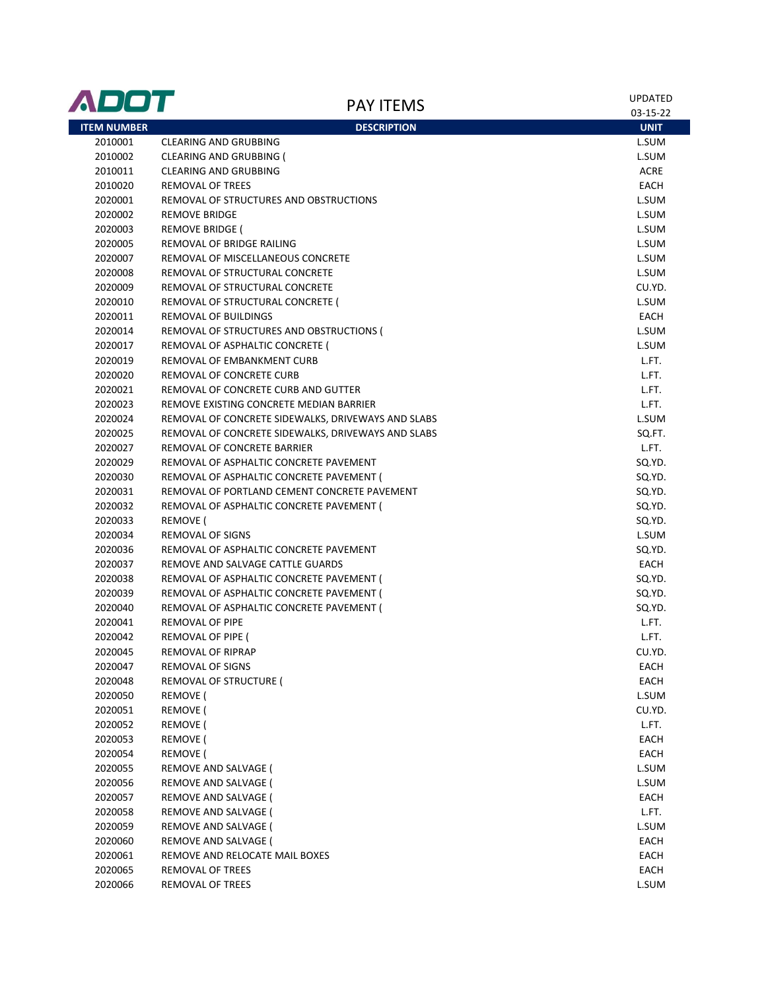| ADOT               | <b>PAY ITEMS</b>                                                                                         | <b>UPDATED</b>  |
|--------------------|----------------------------------------------------------------------------------------------------------|-----------------|
|                    | <b>DESCRIPTION</b>                                                                                       | 03-15-22        |
| <b>ITEM NUMBER</b> | <b>CLEARING AND GRUBBING</b>                                                                             | <b>UNIT</b>     |
| 2010001<br>2010002 | CLEARING AND GRUBBING (                                                                                  | L.SUM<br>L.SUM  |
| 2010011            | <b>CLEARING AND GRUBBING</b>                                                                             | <b>ACRE</b>     |
| 2010020            | <b>REMOVAL OF TREES</b>                                                                                  | EACH            |
| 2020001            | REMOVAL OF STRUCTURES AND OBSTRUCTIONS                                                                   | L.SUM           |
|                    | <b>REMOVE BRIDGE</b>                                                                                     | L.SUM           |
| 2020002            | <b>REMOVE BRIDGE (</b>                                                                                   | L.SUM           |
| 2020003            | REMOVAL OF BRIDGE RAILING                                                                                | L.SUM           |
| 2020005<br>2020007 | REMOVAL OF MISCELLANEOUS CONCRETE                                                                        |                 |
|                    |                                                                                                          | L.SUM           |
| 2020008            | REMOVAL OF STRUCTURAL CONCRETE                                                                           | L.SUM           |
| 2020009            | REMOVAL OF STRUCTURAL CONCRETE                                                                           | CU.YD.          |
| 2020010            | REMOVAL OF STRUCTURAL CONCRETE (                                                                         | L.SUM           |
| 2020011            | REMOVAL OF BUILDINGS                                                                                     | EACH            |
| 2020014            | REMOVAL OF STRUCTURES AND OBSTRUCTIONS (                                                                 | L.SUM           |
| 2020017            | REMOVAL OF ASPHALTIC CONCRETE (                                                                          | L.SUM           |
| 2020019            | REMOVAL OF EMBANKMENT CURB                                                                               | L.FT.           |
| 2020020            | REMOVAL OF CONCRETE CURB                                                                                 | L.FT.           |
| 2020021            | REMOVAL OF CONCRETE CURB AND GUTTER                                                                      | L.FT.           |
| 2020023            | REMOVE EXISTING CONCRETE MEDIAN BARRIER                                                                  | L.FT.           |
| 2020024            | REMOVAL OF CONCRETE SIDEWALKS, DRIVEWAYS AND SLABS<br>REMOVAL OF CONCRETE SIDEWALKS, DRIVEWAYS AND SLABS | L.SUM           |
| 2020025            |                                                                                                          | SQ.FT.          |
| 2020027            | REMOVAL OF CONCRETE BARRIER                                                                              | L.FT.           |
| 2020029            | REMOVAL OF ASPHALTIC CONCRETE PAVEMENT                                                                   | SQ.YD.          |
| 2020030            | REMOVAL OF ASPHALTIC CONCRETE PAVEMENT (                                                                 | SQ.YD.          |
| 2020031            | REMOVAL OF PORTLAND CEMENT CONCRETE PAVEMENT                                                             | SQ.YD.          |
| 2020032            | REMOVAL OF ASPHALTIC CONCRETE PAVEMENT (                                                                 | SQ.YD.          |
| 2020033            | REMOVE (                                                                                                 | SQ.YD.          |
| 2020034            | REMOVAL OF SIGNS                                                                                         | L.SUM           |
| 2020036            | REMOVAL OF ASPHALTIC CONCRETE PAVEMENT                                                                   | SQ.YD.<br>EACH  |
| 2020037            | REMOVE AND SALVAGE CATTLE GUARDS                                                                         | SQ.YD.          |
| 2020038            | REMOVAL OF ASPHALTIC CONCRETE PAVEMENT (                                                                 |                 |
| 2020039            | REMOVAL OF ASPHALTIC CONCRETE PAVEMENT (                                                                 | SQ.YD.          |
| 2020040            | REMOVAL OF ASPHALTIC CONCRETE PAVEMENT (<br><b>REMOVAL OF PIPE</b>                                       | SQ.YD.<br>L.FT. |
| 2020041            |                                                                                                          |                 |
| 2020042            | REMOVAL OF PIPE (                                                                                        | L.FT.           |
| 2020045            | REMOVAL OF RIPRAP                                                                                        | CU.YD.          |
| 2020047<br>2020048 | REMOVAL OF SIGNS<br>REMOVAL OF STRUCTURE (                                                               | EACH<br>EACH    |
| 2020050            | REMOVE (                                                                                                 | L.SUM           |
| 2020051            | REMOVE (                                                                                                 | CU.YD.          |
| 2020052            |                                                                                                          | L.FT.           |
| 2020053            | REMOVE (<br>REMOVE (                                                                                     | EACH            |
| 2020054            | REMOVE (                                                                                                 | EACH            |
| 2020055            | REMOVE AND SALVAGE (                                                                                     | L.SUM           |
| 2020056            | REMOVE AND SALVAGE (                                                                                     | L.SUM           |
| 2020057            | REMOVE AND SALVAGE (                                                                                     | EACH            |
| 2020058            | REMOVE AND SALVAGE (                                                                                     | L.FT.           |
| 2020059            | REMOVE AND SALVAGE (                                                                                     | L.SUM           |
| 2020060            | REMOVE AND SALVAGE (                                                                                     | EACH            |
| 2020061            | REMOVE AND RELOCATE MAIL BOXES                                                                           | EACH            |
| 2020065            | REMOVAL OF TREES                                                                                         | EACH            |
| 2020066            | REMOVAL OF TREES                                                                                         | L.SUM           |
|                    |                                                                                                          |                 |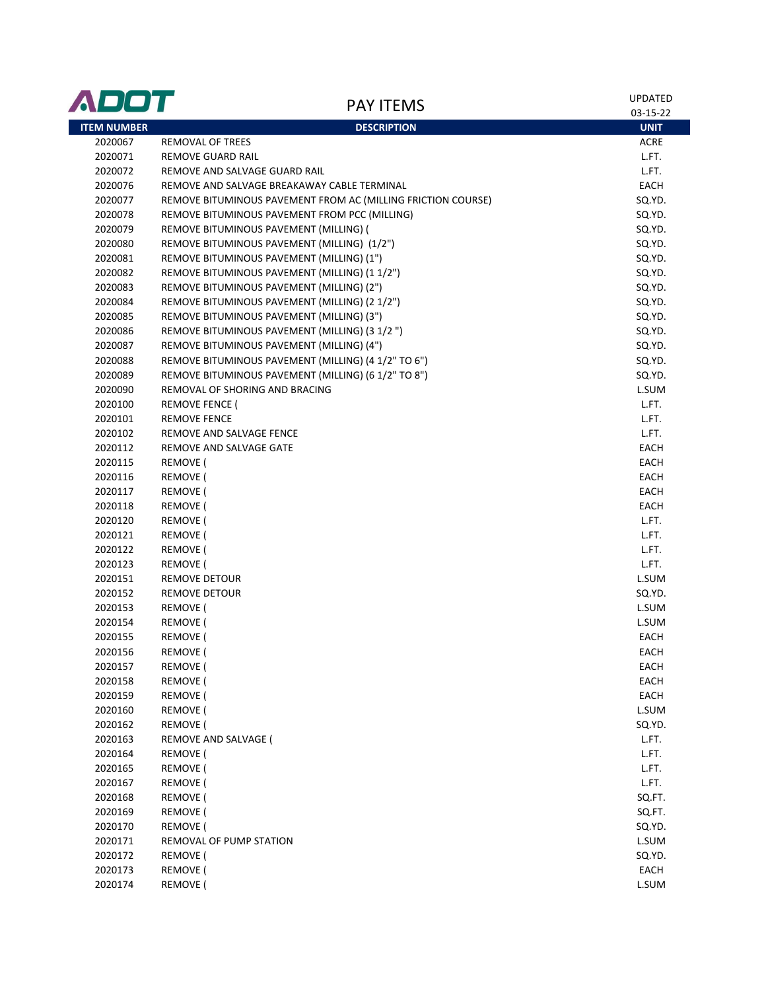| <b>ADOT</b>        | <b>PAY ITEMS</b>                                             | UPDATED<br>03-15-22 |
|--------------------|--------------------------------------------------------------|---------------------|
| <b>ITEM NUMBER</b> | <b>DESCRIPTION</b>                                           | <b>UNIT</b>         |
| 2020067            | REMOVAL OF TREES                                             | <b>ACRE</b>         |
| 2020071            | REMOVE GUARD RAIL                                            | L.FT.               |
| 2020072            | REMOVE AND SALVAGE GUARD RAIL                                | L.FT.               |
| 2020076            | REMOVE AND SALVAGE BREAKAWAY CABLE TERMINAL                  | EACH                |
| 2020077            | REMOVE BITUMINOUS PAVEMENT FROM AC (MILLING FRICTION COURSE) | SQ.YD.              |
| 2020078            | REMOVE BITUMINOUS PAVEMENT FROM PCC (MILLING)                | SQ.YD.              |
| 2020079            | REMOVE BITUMINOUS PAVEMENT (MILLING) (                       | SQ.YD.              |
| 2020080            | REMOVE BITUMINOUS PAVEMENT (MILLING) (1/2")                  | SQ.YD.              |
| 2020081            | REMOVE BITUMINOUS PAVEMENT (MILLING) (1")                    | SQ.YD.              |
| 2020082            | REMOVE BITUMINOUS PAVEMENT (MILLING) (1 1/2")                | SQ.YD.              |
| 2020083            | REMOVE BITUMINOUS PAVEMENT (MILLING) (2")                    | SQ.YD.              |
| 2020084            | REMOVE BITUMINOUS PAVEMENT (MILLING) (2 1/2")                | SQ.YD.              |
| 2020085            | REMOVE BITUMINOUS PAVEMENT (MILLING) (3")                    | SQ.YD.              |
| 2020086            | REMOVE BITUMINOUS PAVEMENT (MILLING) (3 1/2 ")               | SQ.YD.              |
| 2020087            | REMOVE BITUMINOUS PAVEMENT (MILLING) (4")                    | SQ.YD.              |
| 2020088            | REMOVE BITUMINOUS PAVEMENT (MILLING) (4 1/2" TO 6")          | SQ.YD.              |
| 2020089            | REMOVE BITUMINOUS PAVEMENT (MILLING) (6 1/2" TO 8")          | SQ.YD.              |
| 2020090            | REMOVAL OF SHORING AND BRACING                               | L.SUM               |
| 2020100            | <b>REMOVE FENCE (</b>                                        | L.FT.               |
| 2020101            | <b>REMOVE FENCE</b>                                          | L.FT.               |
| 2020102            | REMOVE AND SALVAGE FENCE                                     | L.FT.               |
| 2020112            | REMOVE AND SALVAGE GATE                                      | EACH                |
| 2020115            | REMOVE (                                                     | EACH                |
| 2020116            | <b>REMOVE</b> (                                              | EACH                |
| 2020117            | REMOVE (                                                     | EACH                |
| 2020118            | <b>REMOVE</b> (                                              | EACH                |
| 2020120            | <b>REMOVE</b> (                                              | L.FT.               |
| 2020121            | <b>REMOVE</b> (                                              | L.FT.               |
| 2020122            | <b>REMOVE</b> (                                              | L.FT.               |
| 2020123            | <b>REMOVE</b> (                                              | L.FT.               |
| 2020151            | <b>REMOVE DETOUR</b>                                         | L.SUM               |
| 2020152            | <b>REMOVE DETOUR</b>                                         | SQ.YD.              |
| 2020153            | REMOVE (                                                     | L.SUM               |
| 2020154            | <b>REMOVE</b> (                                              | L.SUM               |
| 2020155            | REMOVE (                                                     | EACH                |
| 2020156            | REMOVE (                                                     | <b>EACH</b>         |
| 2020157            | <b>REMOVE</b> (                                              | EACH                |
| 2020158            | REMOVE (                                                     | EACH                |
| 2020159            | REMOVE (                                                     | EACH                |
| 2020160            | REMOVE (                                                     | L.SUM               |
| 2020162            | REMOVE (                                                     | SQ.YD.              |
| 2020163            | REMOVE AND SALVAGE (                                         | L.FT.               |
| 2020164            | <b>REMOVE</b> (                                              | L.FT.               |
| 2020165<br>2020167 | REMOVE (                                                     | L.FT.               |
|                    | <b>REMOVE</b> (                                              | L.FT.               |
| 2020168            | REMOVE (                                                     | SQ.FT.              |
| 2020169            | REMOVE (<br><b>REMOVE</b> (                                  | SQ.FT.              |
| 2020170<br>2020171 | REMOVAL OF PUMP STATION                                      | SQ.YD.              |
| 2020172            | REMOVE (                                                     | L.SUM<br>SQ.YD.     |
| 2020173            | REMOVE (                                                     | EACH                |
| 2020174            | REMOVE (                                                     | L.SUM               |
|                    |                                                              |                     |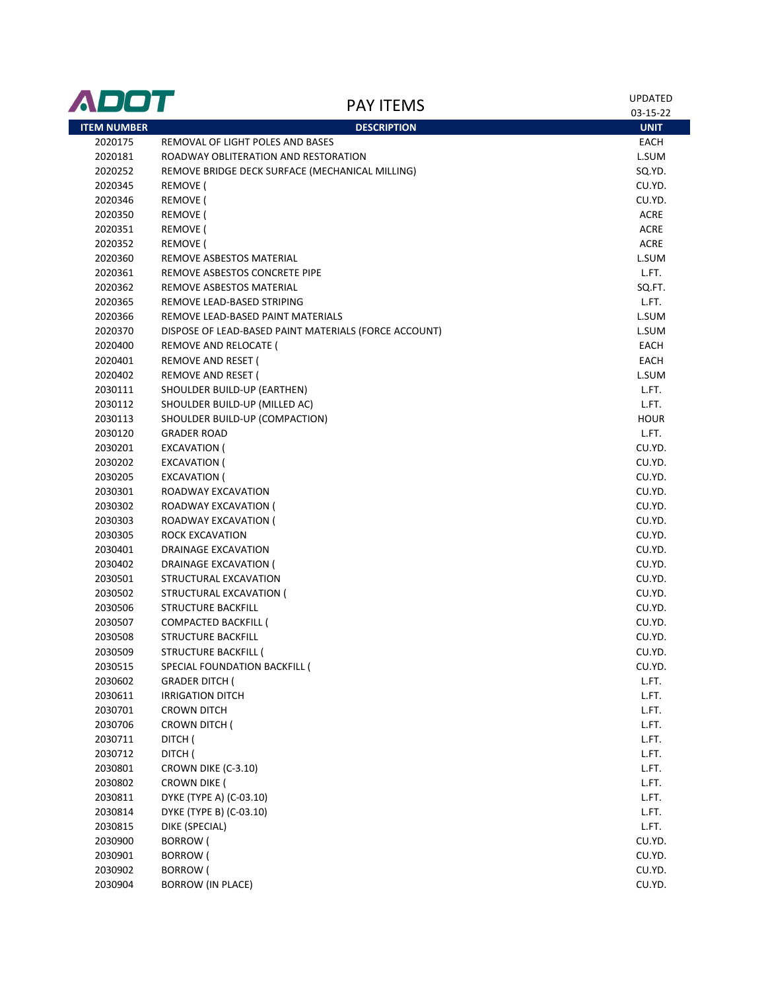| <b>ITEM NUMBER</b><br><b>DESCRIPTION</b><br><b>UNIT</b><br>REMOVAL OF LIGHT POLES AND BASES<br>2020175<br>EACH<br>2020181<br>ROADWAY OBLITERATION AND RESTORATION<br>L.SUM<br>2020252<br>SQ.YD.<br>REMOVE BRIDGE DECK SURFACE (MECHANICAL MILLING)<br>2020345<br>REMOVE (<br>CU.YD.<br>2020346<br>REMOVE (<br>CU.YD.<br><b>REMOVE</b> (<br><b>ACRE</b><br>2020350<br><b>REMOVE</b> (<br>ACRE<br>2020351<br><b>REMOVE</b> (<br>ACRE<br>2020352<br>2020360<br>REMOVE ASBESTOS MATERIAL<br>L.SUM<br>2020361<br>REMOVE ASBESTOS CONCRETE PIPE<br>L.FT.<br>2020362<br>REMOVE ASBESTOS MATERIAL<br>SQ.FT.<br>L.FT.<br>2020365<br>REMOVE LEAD-BASED STRIPING<br>2020366<br>REMOVE LEAD-BASED PAINT MATERIALS<br>L.SUM<br>2020370<br>DISPOSE OF LEAD-BASED PAINT MATERIALS (FORCE ACCOUNT)<br>L.SUM<br>EACH<br>2020400<br>REMOVE AND RELOCATE (<br>REMOVE AND RESET (<br>2020401<br>EACH<br>2020402<br>REMOVE AND RESET (<br>L.SUM<br>SHOULDER BUILD-UP (EARTHEN)<br>L.FT.<br>2030111<br>2030112<br>SHOULDER BUILD-UP (MILLED AC)<br>L.FT.<br>2030113<br><b>HOUR</b><br>SHOULDER BUILD-UP (COMPACTION)<br>2030120<br>L.FT.<br><b>GRADER ROAD</b><br>2030201<br>CU.YD.<br>EXCAVATION (<br>CU.YD.<br>2030202<br>EXCAVATION (<br>CU.YD.<br>2030205<br>EXCAVATION (<br>2030301<br>CU.YD.<br>ROADWAY EXCAVATION<br>2030302<br>CU.YD.<br>ROADWAY EXCAVATION (<br>2030303<br>ROADWAY EXCAVATION (<br>CU.YD.<br>2030305<br>ROCK EXCAVATION<br>CU.YD.<br>CU.YD.<br>2030401<br>DRAINAGE EXCAVATION<br>CU.YD.<br>2030402<br>DRAINAGE EXCAVATION (<br>2030501<br>STRUCTURAL EXCAVATION<br>CU.YD.<br>2030502<br>STRUCTURAL EXCAVATION (<br>CU.YD.<br>CU.YD.<br>2030506<br><b>STRUCTURE BACKFILL</b><br>2030507<br>CU.YD.<br>COMPACTED BACKFILL (<br>2030508<br><b>STRUCTURE BACKFILL</b><br>CU.YD.<br>2030509<br>STRUCTURE BACKFILL (<br>CU.YD.<br>SPECIAL FOUNDATION BACKFILL (<br>CU.YD.<br>2030515<br>2030602<br><b>GRADER DITCH (</b><br>L.FT.<br>2030611<br><b>IRRIGATION DITCH</b><br>L.FT.<br>2030701<br>L.FT.<br>CROWN DITCH<br>2030706<br>L.FT.<br>CROWN DITCH (<br>2030711<br>DITCH (<br>L.FT.<br>2030712<br>DITCH (<br>L.FT.<br>2030801<br>CROWN DIKE (C-3.10)<br>L.FT.<br>2030802<br>CROWN DIKE (<br>L.FT.<br>DYKE (TYPE A) (C-03.10)<br>2030811<br>L.FT.<br>DYKE (TYPE B) (C-03.10)<br>2030814<br>L.FT.<br>2030815<br>DIKE (SPECIAL)<br>L.FT.<br>2030900<br><b>BORROW</b> (<br>CU.YD.<br>2030901<br><b>BORROW</b> (<br>CU.YD.<br>2030902<br><b>BORROW</b> (<br>CU.YD.<br><b>BORROW (IN PLACE)</b><br>2030904<br>CU.YD. | ADOT | <b>PAY ITEMS</b> | <b>UPDATED</b><br>03-15-22 |
|----------------------------------------------------------------------------------------------------------------------------------------------------------------------------------------------------------------------------------------------------------------------------------------------------------------------------------------------------------------------------------------------------------------------------------------------------------------------------------------------------------------------------------------------------------------------------------------------------------------------------------------------------------------------------------------------------------------------------------------------------------------------------------------------------------------------------------------------------------------------------------------------------------------------------------------------------------------------------------------------------------------------------------------------------------------------------------------------------------------------------------------------------------------------------------------------------------------------------------------------------------------------------------------------------------------------------------------------------------------------------------------------------------------------------------------------------------------------------------------------------------------------------------------------------------------------------------------------------------------------------------------------------------------------------------------------------------------------------------------------------------------------------------------------------------------------------------------------------------------------------------------------------------------------------------------------------------------------------------------------------------------------------------------------------------------------------------------------------------------------------------------------------------------------------------------------------------------------------------------------------------------------------------------------------------------------------------------------------------------------------------------------------------------------------------------------------------------------------------------------------------------|------|------------------|----------------------------|
|                                                                                                                                                                                                                                                                                                                                                                                                                                                                                                                                                                                                                                                                                                                                                                                                                                                                                                                                                                                                                                                                                                                                                                                                                                                                                                                                                                                                                                                                                                                                                                                                                                                                                                                                                                                                                                                                                                                                                                                                                                                                                                                                                                                                                                                                                                                                                                                                                                                                                                                |      |                  |                            |
|                                                                                                                                                                                                                                                                                                                                                                                                                                                                                                                                                                                                                                                                                                                                                                                                                                                                                                                                                                                                                                                                                                                                                                                                                                                                                                                                                                                                                                                                                                                                                                                                                                                                                                                                                                                                                                                                                                                                                                                                                                                                                                                                                                                                                                                                                                                                                                                                                                                                                                                |      |                  |                            |
|                                                                                                                                                                                                                                                                                                                                                                                                                                                                                                                                                                                                                                                                                                                                                                                                                                                                                                                                                                                                                                                                                                                                                                                                                                                                                                                                                                                                                                                                                                                                                                                                                                                                                                                                                                                                                                                                                                                                                                                                                                                                                                                                                                                                                                                                                                                                                                                                                                                                                                                |      |                  |                            |
|                                                                                                                                                                                                                                                                                                                                                                                                                                                                                                                                                                                                                                                                                                                                                                                                                                                                                                                                                                                                                                                                                                                                                                                                                                                                                                                                                                                                                                                                                                                                                                                                                                                                                                                                                                                                                                                                                                                                                                                                                                                                                                                                                                                                                                                                                                                                                                                                                                                                                                                |      |                  |                            |
|                                                                                                                                                                                                                                                                                                                                                                                                                                                                                                                                                                                                                                                                                                                                                                                                                                                                                                                                                                                                                                                                                                                                                                                                                                                                                                                                                                                                                                                                                                                                                                                                                                                                                                                                                                                                                                                                                                                                                                                                                                                                                                                                                                                                                                                                                                                                                                                                                                                                                                                |      |                  |                            |
|                                                                                                                                                                                                                                                                                                                                                                                                                                                                                                                                                                                                                                                                                                                                                                                                                                                                                                                                                                                                                                                                                                                                                                                                                                                                                                                                                                                                                                                                                                                                                                                                                                                                                                                                                                                                                                                                                                                                                                                                                                                                                                                                                                                                                                                                                                                                                                                                                                                                                                                |      |                  |                            |
|                                                                                                                                                                                                                                                                                                                                                                                                                                                                                                                                                                                                                                                                                                                                                                                                                                                                                                                                                                                                                                                                                                                                                                                                                                                                                                                                                                                                                                                                                                                                                                                                                                                                                                                                                                                                                                                                                                                                                                                                                                                                                                                                                                                                                                                                                                                                                                                                                                                                                                                |      |                  |                            |
|                                                                                                                                                                                                                                                                                                                                                                                                                                                                                                                                                                                                                                                                                                                                                                                                                                                                                                                                                                                                                                                                                                                                                                                                                                                                                                                                                                                                                                                                                                                                                                                                                                                                                                                                                                                                                                                                                                                                                                                                                                                                                                                                                                                                                                                                                                                                                                                                                                                                                                                |      |                  |                            |
|                                                                                                                                                                                                                                                                                                                                                                                                                                                                                                                                                                                                                                                                                                                                                                                                                                                                                                                                                                                                                                                                                                                                                                                                                                                                                                                                                                                                                                                                                                                                                                                                                                                                                                                                                                                                                                                                                                                                                                                                                                                                                                                                                                                                                                                                                                                                                                                                                                                                                                                |      |                  |                            |
|                                                                                                                                                                                                                                                                                                                                                                                                                                                                                                                                                                                                                                                                                                                                                                                                                                                                                                                                                                                                                                                                                                                                                                                                                                                                                                                                                                                                                                                                                                                                                                                                                                                                                                                                                                                                                                                                                                                                                                                                                                                                                                                                                                                                                                                                                                                                                                                                                                                                                                                |      |                  |                            |
|                                                                                                                                                                                                                                                                                                                                                                                                                                                                                                                                                                                                                                                                                                                                                                                                                                                                                                                                                                                                                                                                                                                                                                                                                                                                                                                                                                                                                                                                                                                                                                                                                                                                                                                                                                                                                                                                                                                                                                                                                                                                                                                                                                                                                                                                                                                                                                                                                                                                                                                |      |                  |                            |
|                                                                                                                                                                                                                                                                                                                                                                                                                                                                                                                                                                                                                                                                                                                                                                                                                                                                                                                                                                                                                                                                                                                                                                                                                                                                                                                                                                                                                                                                                                                                                                                                                                                                                                                                                                                                                                                                                                                                                                                                                                                                                                                                                                                                                                                                                                                                                                                                                                                                                                                |      |                  |                            |
|                                                                                                                                                                                                                                                                                                                                                                                                                                                                                                                                                                                                                                                                                                                                                                                                                                                                                                                                                                                                                                                                                                                                                                                                                                                                                                                                                                                                                                                                                                                                                                                                                                                                                                                                                                                                                                                                                                                                                                                                                                                                                                                                                                                                                                                                                                                                                                                                                                                                                                                |      |                  |                            |
|                                                                                                                                                                                                                                                                                                                                                                                                                                                                                                                                                                                                                                                                                                                                                                                                                                                                                                                                                                                                                                                                                                                                                                                                                                                                                                                                                                                                                                                                                                                                                                                                                                                                                                                                                                                                                                                                                                                                                                                                                                                                                                                                                                                                                                                                                                                                                                                                                                                                                                                |      |                  |                            |
|                                                                                                                                                                                                                                                                                                                                                                                                                                                                                                                                                                                                                                                                                                                                                                                                                                                                                                                                                                                                                                                                                                                                                                                                                                                                                                                                                                                                                                                                                                                                                                                                                                                                                                                                                                                                                                                                                                                                                                                                                                                                                                                                                                                                                                                                                                                                                                                                                                                                                                                |      |                  |                            |
|                                                                                                                                                                                                                                                                                                                                                                                                                                                                                                                                                                                                                                                                                                                                                                                                                                                                                                                                                                                                                                                                                                                                                                                                                                                                                                                                                                                                                                                                                                                                                                                                                                                                                                                                                                                                                                                                                                                                                                                                                                                                                                                                                                                                                                                                                                                                                                                                                                                                                                                |      |                  |                            |
|                                                                                                                                                                                                                                                                                                                                                                                                                                                                                                                                                                                                                                                                                                                                                                                                                                                                                                                                                                                                                                                                                                                                                                                                                                                                                                                                                                                                                                                                                                                                                                                                                                                                                                                                                                                                                                                                                                                                                                                                                                                                                                                                                                                                                                                                                                                                                                                                                                                                                                                |      |                  |                            |
|                                                                                                                                                                                                                                                                                                                                                                                                                                                                                                                                                                                                                                                                                                                                                                                                                                                                                                                                                                                                                                                                                                                                                                                                                                                                                                                                                                                                                                                                                                                                                                                                                                                                                                                                                                                                                                                                                                                                                                                                                                                                                                                                                                                                                                                                                                                                                                                                                                                                                                                |      |                  |                            |
|                                                                                                                                                                                                                                                                                                                                                                                                                                                                                                                                                                                                                                                                                                                                                                                                                                                                                                                                                                                                                                                                                                                                                                                                                                                                                                                                                                                                                                                                                                                                                                                                                                                                                                                                                                                                                                                                                                                                                                                                                                                                                                                                                                                                                                                                                                                                                                                                                                                                                                                |      |                  |                            |
|                                                                                                                                                                                                                                                                                                                                                                                                                                                                                                                                                                                                                                                                                                                                                                                                                                                                                                                                                                                                                                                                                                                                                                                                                                                                                                                                                                                                                                                                                                                                                                                                                                                                                                                                                                                                                                                                                                                                                                                                                                                                                                                                                                                                                                                                                                                                                                                                                                                                                                                |      |                  |                            |
|                                                                                                                                                                                                                                                                                                                                                                                                                                                                                                                                                                                                                                                                                                                                                                                                                                                                                                                                                                                                                                                                                                                                                                                                                                                                                                                                                                                                                                                                                                                                                                                                                                                                                                                                                                                                                                                                                                                                                                                                                                                                                                                                                                                                                                                                                                                                                                                                                                                                                                                |      |                  |                            |
|                                                                                                                                                                                                                                                                                                                                                                                                                                                                                                                                                                                                                                                                                                                                                                                                                                                                                                                                                                                                                                                                                                                                                                                                                                                                                                                                                                                                                                                                                                                                                                                                                                                                                                                                                                                                                                                                                                                                                                                                                                                                                                                                                                                                                                                                                                                                                                                                                                                                                                                |      |                  |                            |
|                                                                                                                                                                                                                                                                                                                                                                                                                                                                                                                                                                                                                                                                                                                                                                                                                                                                                                                                                                                                                                                                                                                                                                                                                                                                                                                                                                                                                                                                                                                                                                                                                                                                                                                                                                                                                                                                                                                                                                                                                                                                                                                                                                                                                                                                                                                                                                                                                                                                                                                |      |                  |                            |
|                                                                                                                                                                                                                                                                                                                                                                                                                                                                                                                                                                                                                                                                                                                                                                                                                                                                                                                                                                                                                                                                                                                                                                                                                                                                                                                                                                                                                                                                                                                                                                                                                                                                                                                                                                                                                                                                                                                                                                                                                                                                                                                                                                                                                                                                                                                                                                                                                                                                                                                |      |                  |                            |
|                                                                                                                                                                                                                                                                                                                                                                                                                                                                                                                                                                                                                                                                                                                                                                                                                                                                                                                                                                                                                                                                                                                                                                                                                                                                                                                                                                                                                                                                                                                                                                                                                                                                                                                                                                                                                                                                                                                                                                                                                                                                                                                                                                                                                                                                                                                                                                                                                                                                                                                |      |                  |                            |
|                                                                                                                                                                                                                                                                                                                                                                                                                                                                                                                                                                                                                                                                                                                                                                                                                                                                                                                                                                                                                                                                                                                                                                                                                                                                                                                                                                                                                                                                                                                                                                                                                                                                                                                                                                                                                                                                                                                                                                                                                                                                                                                                                                                                                                                                                                                                                                                                                                                                                                                |      |                  |                            |
|                                                                                                                                                                                                                                                                                                                                                                                                                                                                                                                                                                                                                                                                                                                                                                                                                                                                                                                                                                                                                                                                                                                                                                                                                                                                                                                                                                                                                                                                                                                                                                                                                                                                                                                                                                                                                                                                                                                                                                                                                                                                                                                                                                                                                                                                                                                                                                                                                                                                                                                |      |                  |                            |
|                                                                                                                                                                                                                                                                                                                                                                                                                                                                                                                                                                                                                                                                                                                                                                                                                                                                                                                                                                                                                                                                                                                                                                                                                                                                                                                                                                                                                                                                                                                                                                                                                                                                                                                                                                                                                                                                                                                                                                                                                                                                                                                                                                                                                                                                                                                                                                                                                                                                                                                |      |                  |                            |
|                                                                                                                                                                                                                                                                                                                                                                                                                                                                                                                                                                                                                                                                                                                                                                                                                                                                                                                                                                                                                                                                                                                                                                                                                                                                                                                                                                                                                                                                                                                                                                                                                                                                                                                                                                                                                                                                                                                                                                                                                                                                                                                                                                                                                                                                                                                                                                                                                                                                                                                |      |                  |                            |
|                                                                                                                                                                                                                                                                                                                                                                                                                                                                                                                                                                                                                                                                                                                                                                                                                                                                                                                                                                                                                                                                                                                                                                                                                                                                                                                                                                                                                                                                                                                                                                                                                                                                                                                                                                                                                                                                                                                                                                                                                                                                                                                                                                                                                                                                                                                                                                                                                                                                                                                |      |                  |                            |
|                                                                                                                                                                                                                                                                                                                                                                                                                                                                                                                                                                                                                                                                                                                                                                                                                                                                                                                                                                                                                                                                                                                                                                                                                                                                                                                                                                                                                                                                                                                                                                                                                                                                                                                                                                                                                                                                                                                                                                                                                                                                                                                                                                                                                                                                                                                                                                                                                                                                                                                |      |                  |                            |
|                                                                                                                                                                                                                                                                                                                                                                                                                                                                                                                                                                                                                                                                                                                                                                                                                                                                                                                                                                                                                                                                                                                                                                                                                                                                                                                                                                                                                                                                                                                                                                                                                                                                                                                                                                                                                                                                                                                                                                                                                                                                                                                                                                                                                                                                                                                                                                                                                                                                                                                |      |                  |                            |
|                                                                                                                                                                                                                                                                                                                                                                                                                                                                                                                                                                                                                                                                                                                                                                                                                                                                                                                                                                                                                                                                                                                                                                                                                                                                                                                                                                                                                                                                                                                                                                                                                                                                                                                                                                                                                                                                                                                                                                                                                                                                                                                                                                                                                                                                                                                                                                                                                                                                                                                |      |                  |                            |
|                                                                                                                                                                                                                                                                                                                                                                                                                                                                                                                                                                                                                                                                                                                                                                                                                                                                                                                                                                                                                                                                                                                                                                                                                                                                                                                                                                                                                                                                                                                                                                                                                                                                                                                                                                                                                                                                                                                                                                                                                                                                                                                                                                                                                                                                                                                                                                                                                                                                                                                |      |                  |                            |
|                                                                                                                                                                                                                                                                                                                                                                                                                                                                                                                                                                                                                                                                                                                                                                                                                                                                                                                                                                                                                                                                                                                                                                                                                                                                                                                                                                                                                                                                                                                                                                                                                                                                                                                                                                                                                                                                                                                                                                                                                                                                                                                                                                                                                                                                                                                                                                                                                                                                                                                |      |                  |                            |
|                                                                                                                                                                                                                                                                                                                                                                                                                                                                                                                                                                                                                                                                                                                                                                                                                                                                                                                                                                                                                                                                                                                                                                                                                                                                                                                                                                                                                                                                                                                                                                                                                                                                                                                                                                                                                                                                                                                                                                                                                                                                                                                                                                                                                                                                                                                                                                                                                                                                                                                |      |                  |                            |
|                                                                                                                                                                                                                                                                                                                                                                                                                                                                                                                                                                                                                                                                                                                                                                                                                                                                                                                                                                                                                                                                                                                                                                                                                                                                                                                                                                                                                                                                                                                                                                                                                                                                                                                                                                                                                                                                                                                                                                                                                                                                                                                                                                                                                                                                                                                                                                                                                                                                                                                |      |                  |                            |
|                                                                                                                                                                                                                                                                                                                                                                                                                                                                                                                                                                                                                                                                                                                                                                                                                                                                                                                                                                                                                                                                                                                                                                                                                                                                                                                                                                                                                                                                                                                                                                                                                                                                                                                                                                                                                                                                                                                                                                                                                                                                                                                                                                                                                                                                                                                                                                                                                                                                                                                |      |                  |                            |
|                                                                                                                                                                                                                                                                                                                                                                                                                                                                                                                                                                                                                                                                                                                                                                                                                                                                                                                                                                                                                                                                                                                                                                                                                                                                                                                                                                                                                                                                                                                                                                                                                                                                                                                                                                                                                                                                                                                                                                                                                                                                                                                                                                                                                                                                                                                                                                                                                                                                                                                |      |                  |                            |
|                                                                                                                                                                                                                                                                                                                                                                                                                                                                                                                                                                                                                                                                                                                                                                                                                                                                                                                                                                                                                                                                                                                                                                                                                                                                                                                                                                                                                                                                                                                                                                                                                                                                                                                                                                                                                                                                                                                                                                                                                                                                                                                                                                                                                                                                                                                                                                                                                                                                                                                |      |                  |                            |
|                                                                                                                                                                                                                                                                                                                                                                                                                                                                                                                                                                                                                                                                                                                                                                                                                                                                                                                                                                                                                                                                                                                                                                                                                                                                                                                                                                                                                                                                                                                                                                                                                                                                                                                                                                                                                                                                                                                                                                                                                                                                                                                                                                                                                                                                                                                                                                                                                                                                                                                |      |                  |                            |
|                                                                                                                                                                                                                                                                                                                                                                                                                                                                                                                                                                                                                                                                                                                                                                                                                                                                                                                                                                                                                                                                                                                                                                                                                                                                                                                                                                                                                                                                                                                                                                                                                                                                                                                                                                                                                                                                                                                                                                                                                                                                                                                                                                                                                                                                                                                                                                                                                                                                                                                |      |                  |                            |
|                                                                                                                                                                                                                                                                                                                                                                                                                                                                                                                                                                                                                                                                                                                                                                                                                                                                                                                                                                                                                                                                                                                                                                                                                                                                                                                                                                                                                                                                                                                                                                                                                                                                                                                                                                                                                                                                                                                                                                                                                                                                                                                                                                                                                                                                                                                                                                                                                                                                                                                |      |                  |                            |
|                                                                                                                                                                                                                                                                                                                                                                                                                                                                                                                                                                                                                                                                                                                                                                                                                                                                                                                                                                                                                                                                                                                                                                                                                                                                                                                                                                                                                                                                                                                                                                                                                                                                                                                                                                                                                                                                                                                                                                                                                                                                                                                                                                                                                                                                                                                                                                                                                                                                                                                |      |                  |                            |
|                                                                                                                                                                                                                                                                                                                                                                                                                                                                                                                                                                                                                                                                                                                                                                                                                                                                                                                                                                                                                                                                                                                                                                                                                                                                                                                                                                                                                                                                                                                                                                                                                                                                                                                                                                                                                                                                                                                                                                                                                                                                                                                                                                                                                                                                                                                                                                                                                                                                                                                |      |                  |                            |
|                                                                                                                                                                                                                                                                                                                                                                                                                                                                                                                                                                                                                                                                                                                                                                                                                                                                                                                                                                                                                                                                                                                                                                                                                                                                                                                                                                                                                                                                                                                                                                                                                                                                                                                                                                                                                                                                                                                                                                                                                                                                                                                                                                                                                                                                                                                                                                                                                                                                                                                |      |                  |                            |
|                                                                                                                                                                                                                                                                                                                                                                                                                                                                                                                                                                                                                                                                                                                                                                                                                                                                                                                                                                                                                                                                                                                                                                                                                                                                                                                                                                                                                                                                                                                                                                                                                                                                                                                                                                                                                                                                                                                                                                                                                                                                                                                                                                                                                                                                                                                                                                                                                                                                                                                |      |                  |                            |
|                                                                                                                                                                                                                                                                                                                                                                                                                                                                                                                                                                                                                                                                                                                                                                                                                                                                                                                                                                                                                                                                                                                                                                                                                                                                                                                                                                                                                                                                                                                                                                                                                                                                                                                                                                                                                                                                                                                                                                                                                                                                                                                                                                                                                                                                                                                                                                                                                                                                                                                |      |                  |                            |
|                                                                                                                                                                                                                                                                                                                                                                                                                                                                                                                                                                                                                                                                                                                                                                                                                                                                                                                                                                                                                                                                                                                                                                                                                                                                                                                                                                                                                                                                                                                                                                                                                                                                                                                                                                                                                                                                                                                                                                                                                                                                                                                                                                                                                                                                                                                                                                                                                                                                                                                |      |                  |                            |
|                                                                                                                                                                                                                                                                                                                                                                                                                                                                                                                                                                                                                                                                                                                                                                                                                                                                                                                                                                                                                                                                                                                                                                                                                                                                                                                                                                                                                                                                                                                                                                                                                                                                                                                                                                                                                                                                                                                                                                                                                                                                                                                                                                                                                                                                                                                                                                                                                                                                                                                |      |                  |                            |
|                                                                                                                                                                                                                                                                                                                                                                                                                                                                                                                                                                                                                                                                                                                                                                                                                                                                                                                                                                                                                                                                                                                                                                                                                                                                                                                                                                                                                                                                                                                                                                                                                                                                                                                                                                                                                                                                                                                                                                                                                                                                                                                                                                                                                                                                                                                                                                                                                                                                                                                |      |                  |                            |
|                                                                                                                                                                                                                                                                                                                                                                                                                                                                                                                                                                                                                                                                                                                                                                                                                                                                                                                                                                                                                                                                                                                                                                                                                                                                                                                                                                                                                                                                                                                                                                                                                                                                                                                                                                                                                                                                                                                                                                                                                                                                                                                                                                                                                                                                                                                                                                                                                                                                                                                |      |                  |                            |
|                                                                                                                                                                                                                                                                                                                                                                                                                                                                                                                                                                                                                                                                                                                                                                                                                                                                                                                                                                                                                                                                                                                                                                                                                                                                                                                                                                                                                                                                                                                                                                                                                                                                                                                                                                                                                                                                                                                                                                                                                                                                                                                                                                                                                                                                                                                                                                                                                                                                                                                |      |                  |                            |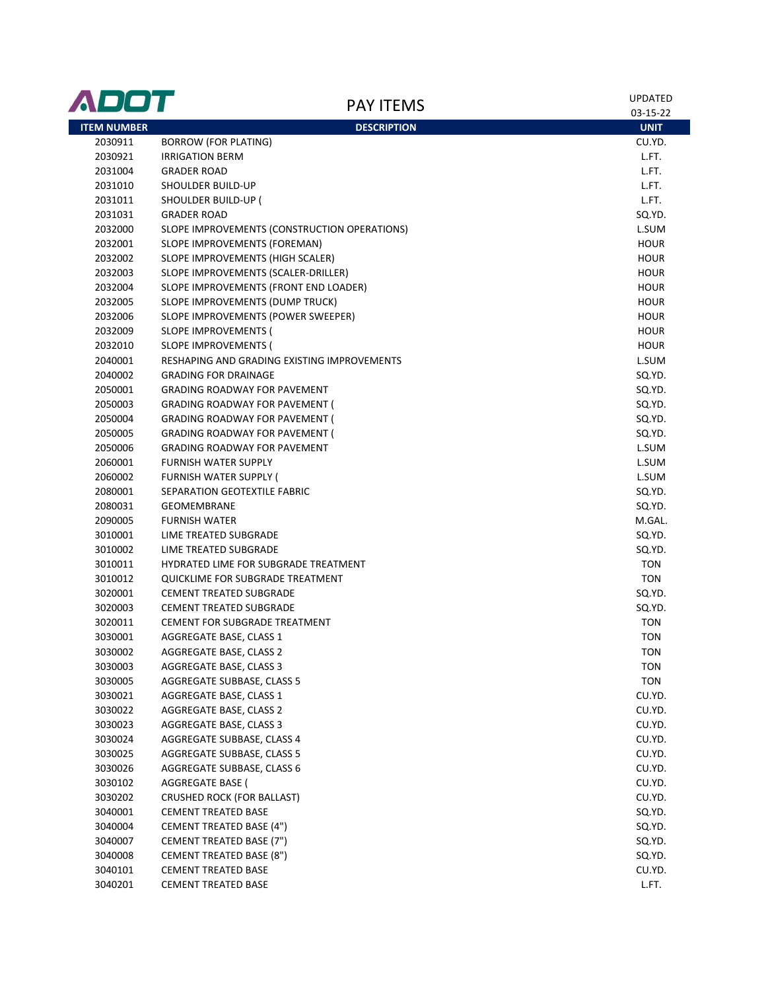| <b>ADDT</b>        | <b>PAY ITEMS</b>                             | <b>UPDATED</b><br>03-15-22 |
|--------------------|----------------------------------------------|----------------------------|
| <b>ITEM NUMBER</b> | <b>DESCRIPTION</b>                           | <b>UNIT</b>                |
| 2030911            | <b>BORROW (FOR PLATING)</b>                  | CU.YD.                     |
| 2030921            | <b>IRRIGATION BERM</b>                       | L.FT.                      |
| 2031004            | <b>GRADER ROAD</b>                           | L.FT.                      |
| 2031010            | SHOULDER BUILD-UP                            | L.FT.                      |
| 2031011            | SHOULDER BUILD-UP (                          | L.FT.                      |
| 2031031            | <b>GRADER ROAD</b>                           | SQ.YD.                     |
| 2032000            | SLOPE IMPROVEMENTS (CONSTRUCTION OPERATIONS) | L.SUM                      |
| 2032001            | SLOPE IMPROVEMENTS (FOREMAN)                 | <b>HOUR</b>                |
| 2032002            | SLOPE IMPROVEMENTS (HIGH SCALER)             | <b>HOUR</b>                |
| 2032003            | SLOPE IMPROVEMENTS (SCALER-DRILLER)          | <b>HOUR</b>                |
| 2032004            | SLOPE IMPROVEMENTS (FRONT END LOADER)        | <b>HOUR</b>                |
| 2032005            | SLOPE IMPROVEMENTS (DUMP TRUCK)              | <b>HOUR</b>                |
| 2032006            | SLOPE IMPROVEMENTS (POWER SWEEPER)           | <b>HOUR</b>                |
| 2032009            | SLOPE IMPROVEMENTS (                         | <b>HOUR</b>                |
| 2032010            | SLOPE IMPROVEMENTS (                         | <b>HOUR</b>                |
| 2040001            | RESHAPING AND GRADING EXISTING IMPROVEMENTS  | L.SUM                      |
| 2040002            | <b>GRADING FOR DRAINAGE</b>                  | SQ.YD.                     |
| 2050001            | <b>GRADING ROADWAY FOR PAVEMENT</b>          | SQ.YD.                     |
| 2050003            | <b>GRADING ROADWAY FOR PAVEMENT (</b>        | SQ.YD.                     |
| 2050004            | <b>GRADING ROADWAY FOR PAVEMENT (</b>        | SQ.YD.                     |
| 2050005            | <b>GRADING ROADWAY FOR PAVEMENT (</b>        | SQ.YD.                     |
| 2050006            | <b>GRADING ROADWAY FOR PAVEMENT</b>          | L.SUM                      |
| 2060001            | <b>FURNISH WATER SUPPLY</b>                  | L.SUM                      |
| 2060002            | <b>FURNISH WATER SUPPLY (</b>                | L.SUM                      |
| 2080001            | SEPARATION GEOTEXTILE FABRIC                 | SQ.YD.                     |
| 2080031            | <b>GEOMEMBRANE</b>                           | SQ.YD.                     |
| 2090005            | <b>FURNISH WATER</b>                         | M.GAL.                     |
| 3010001            | LIME TREATED SUBGRADE                        | SQ.YD.                     |
| 3010002            | LIME TREATED SUBGRADE                        | SQ.YD.                     |
| 3010011            | HYDRATED LIME FOR SUBGRADE TREATMENT         | <b>TON</b>                 |
| 3010012            | QUICKLIME FOR SUBGRADE TREATMENT             | <b>TON</b>                 |
| 3020001            | <b>CEMENT TREATED SUBGRADE</b>               | SQ.YD.                     |
| 3020003            | <b>CEMENT TREATED SUBGRADE</b>               | SQ.YD.                     |
| 3020011            | <b>CEMENT FOR SUBGRADE TREATMENT</b>         | <b>TON</b>                 |
| 3030001            | AGGREGATE BASE, CLASS 1                      | <b>TON</b>                 |
| 3030002            | AGGREGATE BASE, CLASS 2                      | TON                        |
| 3030003            | AGGREGATE BASE, CLASS 3                      | <b>TON</b>                 |
| 3030005            | AGGREGATE SUBBASE, CLASS 5                   | <b>TON</b>                 |
| 3030021            | AGGREGATE BASE, CLASS 1                      | CU.YD.                     |
| 3030022            | AGGREGATE BASE, CLASS 2                      | CU.YD.                     |
| 3030023            | AGGREGATE BASE, CLASS 3                      | CU.YD.                     |
| 3030024            | AGGREGATE SUBBASE, CLASS 4                   | CU.YD.                     |
| 3030025            | <b>AGGREGATE SUBBASE, CLASS 5</b>            | CU.YD.                     |
| 3030026            | AGGREGATE SUBBASE, CLASS 6                   | CU.YD.                     |
| 3030102            | AGGREGATE BASE (                             | CU.YD.                     |
| 3030202            | <b>CRUSHED ROCK (FOR BALLAST)</b>            | CU.YD.                     |
| 3040001            | <b>CEMENT TREATED BASE</b>                   | SQ.YD.                     |
| 3040004            | <b>CEMENT TREATED BASE (4")</b>              | SQ.YD.                     |
| 3040007            | CEMENT TREATED BASE (7")                     | SQ.YD.                     |
| 3040008            | <b>CEMENT TREATED BASE (8")</b>              | SQ.YD.                     |
| 3040101            | <b>CEMENT TREATED BASE</b>                   | CU.YD.                     |
| 3040201            | <b>CEMENT TREATED BASE</b>                   | L.FT.                      |
|                    |                                              |                            |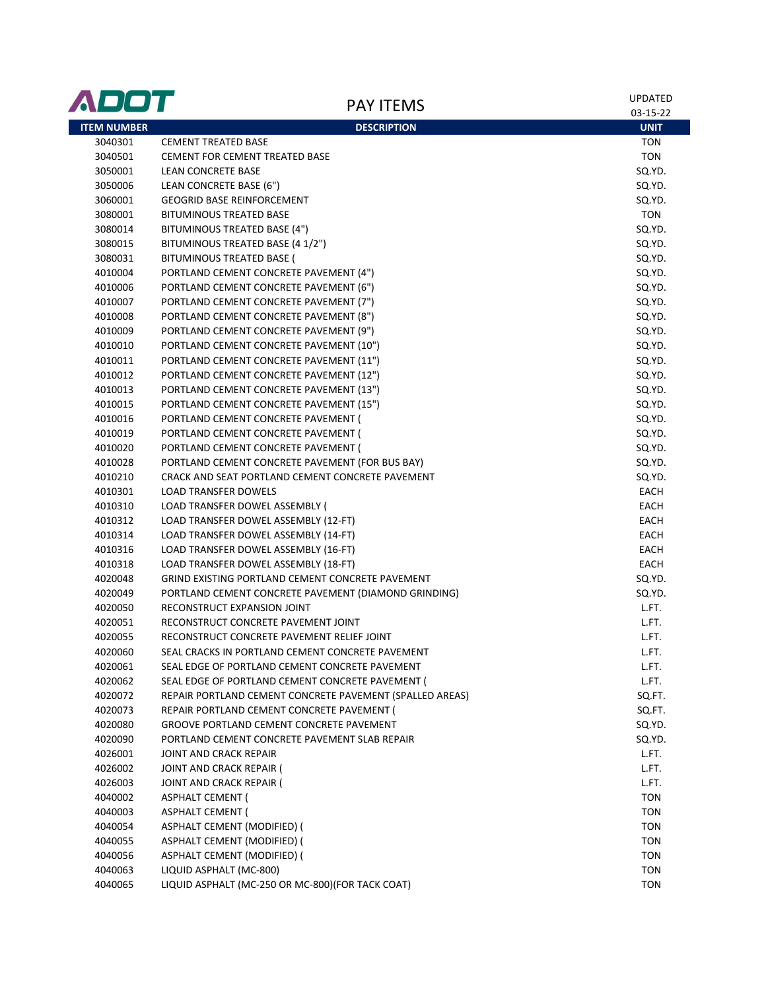| <b>ITEM NUMBER</b><br><b>DESCRIPTION</b><br><b>UNIT</b><br><b>CEMENT TREATED BASE</b><br>3040301<br><b>TON</b><br><b>TON</b><br>3040501<br><b>CEMENT FOR CEMENT TREATED BASE</b><br>3050001<br>SQ.YD.<br>LEAN CONCRETE BASE<br>SQ.YD.<br>3050006<br>LEAN CONCRETE BASE (6")<br>3060001<br><b>GEOGRID BASE REINFORCEMENT</b><br>SQ.YD.<br><b>TON</b><br><b>BITUMINOUS TREATED BASE</b><br>3080001<br>BITUMINOUS TREATED BASE (4")<br>SQ.YD.<br>3080014<br>3080015<br>BITUMINOUS TREATED BASE (4 1/2")<br>SQ.YD.<br>3080031<br>BITUMINOUS TREATED BASE (<br>SQ.YD.<br>4010004<br>PORTLAND CEMENT CONCRETE PAVEMENT (4")<br>SQ.YD.<br>PORTLAND CEMENT CONCRETE PAVEMENT (6")<br>SQ.YD.<br>4010006<br>PORTLAND CEMENT CONCRETE PAVEMENT (7")<br>SQ.YD.<br>4010007<br>PORTLAND CEMENT CONCRETE PAVEMENT (8")<br>SQ.YD.<br>4010008<br>PORTLAND CEMENT CONCRETE PAVEMENT (9")<br>SQ.YD.<br>4010009<br>PORTLAND CEMENT CONCRETE PAVEMENT (10")<br>SQ.YD.<br>4010010<br>PORTLAND CEMENT CONCRETE PAVEMENT (11")<br>SQ.YD.<br>4010011<br>PORTLAND CEMENT CONCRETE PAVEMENT (12")<br>SQ.YD.<br>4010012<br>PORTLAND CEMENT CONCRETE PAVEMENT (13")<br>SQ.YD.<br>4010013<br>SQ.YD.<br>4010015<br>PORTLAND CEMENT CONCRETE PAVEMENT (15")<br>SQ.YD.<br>4010016<br>PORTLAND CEMENT CONCRETE PAVEMENT (<br>4010019<br>PORTLAND CEMENT CONCRETE PAVEMENT (<br>SQ.YD.<br>4010020<br>PORTLAND CEMENT CONCRETE PAVEMENT (<br>SQ.YD.<br>4010028<br>PORTLAND CEMENT CONCRETE PAVEMENT (FOR BUS BAY)<br>SQ.YD.<br>CRACK AND SEAT PORTLAND CEMENT CONCRETE PAVEMENT<br>SQ.YD.<br>4010210<br>4010301<br><b>LOAD TRANSFER DOWELS</b><br>EACH<br>LOAD TRANSFER DOWEL ASSEMBLY (<br>EACH<br>4010310<br>EACH<br>4010312<br>LOAD TRANSFER DOWEL ASSEMBLY (12-FT)<br>EACH<br>4010314<br>LOAD TRANSFER DOWEL ASSEMBLY (14-FT)<br>4010316<br>LOAD TRANSFER DOWEL ASSEMBLY (16-FT)<br>EACH<br>LOAD TRANSFER DOWEL ASSEMBLY (18-FT)<br>EACH<br>4010318<br>GRIND EXISTING PORTLAND CEMENT CONCRETE PAVEMENT<br>4020048<br>SQ.YD.<br>SQ.YD.<br>4020049<br>PORTLAND CEMENT CONCRETE PAVEMENT (DIAMOND GRINDING)<br>RECONSTRUCT EXPANSION JOINT<br>L.FT.<br>4020050<br>RECONSTRUCT CONCRETE PAVEMENT JOINT<br>L.FT.<br>4020051<br>RECONSTRUCT CONCRETE PAVEMENT RELIEF JOINT<br>L.FT.<br>4020055<br>L.FT.<br>4020060<br>SEAL CRACKS IN PORTLAND CEMENT CONCRETE PAVEMENT<br>4020061<br>SEAL EDGE OF PORTLAND CEMENT CONCRETE PAVEMENT<br>L.FT.<br>4020062<br>SEAL EDGE OF PORTLAND CEMENT CONCRETE PAVEMENT (<br>L.FT.<br>REPAIR PORTLAND CEMENT CONCRETE PAVEMENT (SPALLED AREAS)<br>SQ.FT.<br>4020072<br>SQ.FT.<br>4020073<br>REPAIR PORTLAND CEMENT CONCRETE PAVEMENT (<br>SQ.YD.<br>4020080<br><b>GROOVE PORTLAND CEMENT CONCRETE PAVEMENT</b><br>4020090<br>PORTLAND CEMENT CONCRETE PAVEMENT SLAB REPAIR<br>SQ.YD.<br>L.FT.<br>4026001<br>JOINT AND CRACK REPAIR<br>4026002<br>JOINT AND CRACK REPAIR (<br>L.FT.<br>L.FT.<br>4026003<br>JOINT AND CRACK REPAIR (<br><b>TON</b><br>4040002<br><b>ASPHALT CEMENT (</b><br><b>ASPHALT CEMENT (</b><br><b>TON</b><br>4040003<br>ASPHALT CEMENT (MODIFIED) (<br><b>TON</b><br>4040054<br>ASPHALT CEMENT (MODIFIED) (<br><b>TON</b><br>4040055<br>ASPHALT CEMENT (MODIFIED) (<br><b>TON</b><br>4040056<br>LIQUID ASPHALT (MC-800)<br><b>TON</b><br>4040063<br><b>TON</b> | ADOT    | <b>PAY ITEMS</b>                                  | <b>UPDATED</b><br>03-15-22 |
|-----------------------------------------------------------------------------------------------------------------------------------------------------------------------------------------------------------------------------------------------------------------------------------------------------------------------------------------------------------------------------------------------------------------------------------------------------------------------------------------------------------------------------------------------------------------------------------------------------------------------------------------------------------------------------------------------------------------------------------------------------------------------------------------------------------------------------------------------------------------------------------------------------------------------------------------------------------------------------------------------------------------------------------------------------------------------------------------------------------------------------------------------------------------------------------------------------------------------------------------------------------------------------------------------------------------------------------------------------------------------------------------------------------------------------------------------------------------------------------------------------------------------------------------------------------------------------------------------------------------------------------------------------------------------------------------------------------------------------------------------------------------------------------------------------------------------------------------------------------------------------------------------------------------------------------------------------------------------------------------------------------------------------------------------------------------------------------------------------------------------------------------------------------------------------------------------------------------------------------------------------------------------------------------------------------------------------------------------------------------------------------------------------------------------------------------------------------------------------------------------------------------------------------------------------------------------------------------------------------------------------------------------------------------------------------------------------------------------------------------------------------------------------------------------------------------------------------------------------------------------------------------------------------------------------------------------------------------------------------------------------------------------------------------------------------------------------------------------------------------------------------------------------------------------------------------------------------------------------------------------------------------------------------|---------|---------------------------------------------------|----------------------------|
|                                                                                                                                                                                                                                                                                                                                                                                                                                                                                                                                                                                                                                                                                                                                                                                                                                                                                                                                                                                                                                                                                                                                                                                                                                                                                                                                                                                                                                                                                                                                                                                                                                                                                                                                                                                                                                                                                                                                                                                                                                                                                                                                                                                                                                                                                                                                                                                                                                                                                                                                                                                                                                                                                                                                                                                                                                                                                                                                                                                                                                                                                                                                                                                                                                                                                   |         |                                                   |                            |
|                                                                                                                                                                                                                                                                                                                                                                                                                                                                                                                                                                                                                                                                                                                                                                                                                                                                                                                                                                                                                                                                                                                                                                                                                                                                                                                                                                                                                                                                                                                                                                                                                                                                                                                                                                                                                                                                                                                                                                                                                                                                                                                                                                                                                                                                                                                                                                                                                                                                                                                                                                                                                                                                                                                                                                                                                                                                                                                                                                                                                                                                                                                                                                                                                                                                                   |         |                                                   |                            |
|                                                                                                                                                                                                                                                                                                                                                                                                                                                                                                                                                                                                                                                                                                                                                                                                                                                                                                                                                                                                                                                                                                                                                                                                                                                                                                                                                                                                                                                                                                                                                                                                                                                                                                                                                                                                                                                                                                                                                                                                                                                                                                                                                                                                                                                                                                                                                                                                                                                                                                                                                                                                                                                                                                                                                                                                                                                                                                                                                                                                                                                                                                                                                                                                                                                                                   |         |                                                   |                            |
|                                                                                                                                                                                                                                                                                                                                                                                                                                                                                                                                                                                                                                                                                                                                                                                                                                                                                                                                                                                                                                                                                                                                                                                                                                                                                                                                                                                                                                                                                                                                                                                                                                                                                                                                                                                                                                                                                                                                                                                                                                                                                                                                                                                                                                                                                                                                                                                                                                                                                                                                                                                                                                                                                                                                                                                                                                                                                                                                                                                                                                                                                                                                                                                                                                                                                   |         |                                                   |                            |
|                                                                                                                                                                                                                                                                                                                                                                                                                                                                                                                                                                                                                                                                                                                                                                                                                                                                                                                                                                                                                                                                                                                                                                                                                                                                                                                                                                                                                                                                                                                                                                                                                                                                                                                                                                                                                                                                                                                                                                                                                                                                                                                                                                                                                                                                                                                                                                                                                                                                                                                                                                                                                                                                                                                                                                                                                                                                                                                                                                                                                                                                                                                                                                                                                                                                                   |         |                                                   |                            |
|                                                                                                                                                                                                                                                                                                                                                                                                                                                                                                                                                                                                                                                                                                                                                                                                                                                                                                                                                                                                                                                                                                                                                                                                                                                                                                                                                                                                                                                                                                                                                                                                                                                                                                                                                                                                                                                                                                                                                                                                                                                                                                                                                                                                                                                                                                                                                                                                                                                                                                                                                                                                                                                                                                                                                                                                                                                                                                                                                                                                                                                                                                                                                                                                                                                                                   |         |                                                   |                            |
|                                                                                                                                                                                                                                                                                                                                                                                                                                                                                                                                                                                                                                                                                                                                                                                                                                                                                                                                                                                                                                                                                                                                                                                                                                                                                                                                                                                                                                                                                                                                                                                                                                                                                                                                                                                                                                                                                                                                                                                                                                                                                                                                                                                                                                                                                                                                                                                                                                                                                                                                                                                                                                                                                                                                                                                                                                                                                                                                                                                                                                                                                                                                                                                                                                                                                   |         |                                                   |                            |
|                                                                                                                                                                                                                                                                                                                                                                                                                                                                                                                                                                                                                                                                                                                                                                                                                                                                                                                                                                                                                                                                                                                                                                                                                                                                                                                                                                                                                                                                                                                                                                                                                                                                                                                                                                                                                                                                                                                                                                                                                                                                                                                                                                                                                                                                                                                                                                                                                                                                                                                                                                                                                                                                                                                                                                                                                                                                                                                                                                                                                                                                                                                                                                                                                                                                                   |         |                                                   |                            |
|                                                                                                                                                                                                                                                                                                                                                                                                                                                                                                                                                                                                                                                                                                                                                                                                                                                                                                                                                                                                                                                                                                                                                                                                                                                                                                                                                                                                                                                                                                                                                                                                                                                                                                                                                                                                                                                                                                                                                                                                                                                                                                                                                                                                                                                                                                                                                                                                                                                                                                                                                                                                                                                                                                                                                                                                                                                                                                                                                                                                                                                                                                                                                                                                                                                                                   |         |                                                   |                            |
|                                                                                                                                                                                                                                                                                                                                                                                                                                                                                                                                                                                                                                                                                                                                                                                                                                                                                                                                                                                                                                                                                                                                                                                                                                                                                                                                                                                                                                                                                                                                                                                                                                                                                                                                                                                                                                                                                                                                                                                                                                                                                                                                                                                                                                                                                                                                                                                                                                                                                                                                                                                                                                                                                                                                                                                                                                                                                                                                                                                                                                                                                                                                                                                                                                                                                   |         |                                                   |                            |
|                                                                                                                                                                                                                                                                                                                                                                                                                                                                                                                                                                                                                                                                                                                                                                                                                                                                                                                                                                                                                                                                                                                                                                                                                                                                                                                                                                                                                                                                                                                                                                                                                                                                                                                                                                                                                                                                                                                                                                                                                                                                                                                                                                                                                                                                                                                                                                                                                                                                                                                                                                                                                                                                                                                                                                                                                                                                                                                                                                                                                                                                                                                                                                                                                                                                                   |         |                                                   |                            |
|                                                                                                                                                                                                                                                                                                                                                                                                                                                                                                                                                                                                                                                                                                                                                                                                                                                                                                                                                                                                                                                                                                                                                                                                                                                                                                                                                                                                                                                                                                                                                                                                                                                                                                                                                                                                                                                                                                                                                                                                                                                                                                                                                                                                                                                                                                                                                                                                                                                                                                                                                                                                                                                                                                                                                                                                                                                                                                                                                                                                                                                                                                                                                                                                                                                                                   |         |                                                   |                            |
|                                                                                                                                                                                                                                                                                                                                                                                                                                                                                                                                                                                                                                                                                                                                                                                                                                                                                                                                                                                                                                                                                                                                                                                                                                                                                                                                                                                                                                                                                                                                                                                                                                                                                                                                                                                                                                                                                                                                                                                                                                                                                                                                                                                                                                                                                                                                                                                                                                                                                                                                                                                                                                                                                                                                                                                                                                                                                                                                                                                                                                                                                                                                                                                                                                                                                   |         |                                                   |                            |
|                                                                                                                                                                                                                                                                                                                                                                                                                                                                                                                                                                                                                                                                                                                                                                                                                                                                                                                                                                                                                                                                                                                                                                                                                                                                                                                                                                                                                                                                                                                                                                                                                                                                                                                                                                                                                                                                                                                                                                                                                                                                                                                                                                                                                                                                                                                                                                                                                                                                                                                                                                                                                                                                                                                                                                                                                                                                                                                                                                                                                                                                                                                                                                                                                                                                                   |         |                                                   |                            |
|                                                                                                                                                                                                                                                                                                                                                                                                                                                                                                                                                                                                                                                                                                                                                                                                                                                                                                                                                                                                                                                                                                                                                                                                                                                                                                                                                                                                                                                                                                                                                                                                                                                                                                                                                                                                                                                                                                                                                                                                                                                                                                                                                                                                                                                                                                                                                                                                                                                                                                                                                                                                                                                                                                                                                                                                                                                                                                                                                                                                                                                                                                                                                                                                                                                                                   |         |                                                   |                            |
|                                                                                                                                                                                                                                                                                                                                                                                                                                                                                                                                                                                                                                                                                                                                                                                                                                                                                                                                                                                                                                                                                                                                                                                                                                                                                                                                                                                                                                                                                                                                                                                                                                                                                                                                                                                                                                                                                                                                                                                                                                                                                                                                                                                                                                                                                                                                                                                                                                                                                                                                                                                                                                                                                                                                                                                                                                                                                                                                                                                                                                                                                                                                                                                                                                                                                   |         |                                                   |                            |
|                                                                                                                                                                                                                                                                                                                                                                                                                                                                                                                                                                                                                                                                                                                                                                                                                                                                                                                                                                                                                                                                                                                                                                                                                                                                                                                                                                                                                                                                                                                                                                                                                                                                                                                                                                                                                                                                                                                                                                                                                                                                                                                                                                                                                                                                                                                                                                                                                                                                                                                                                                                                                                                                                                                                                                                                                                                                                                                                                                                                                                                                                                                                                                                                                                                                                   |         |                                                   |                            |
|                                                                                                                                                                                                                                                                                                                                                                                                                                                                                                                                                                                                                                                                                                                                                                                                                                                                                                                                                                                                                                                                                                                                                                                                                                                                                                                                                                                                                                                                                                                                                                                                                                                                                                                                                                                                                                                                                                                                                                                                                                                                                                                                                                                                                                                                                                                                                                                                                                                                                                                                                                                                                                                                                                                                                                                                                                                                                                                                                                                                                                                                                                                                                                                                                                                                                   |         |                                                   |                            |
|                                                                                                                                                                                                                                                                                                                                                                                                                                                                                                                                                                                                                                                                                                                                                                                                                                                                                                                                                                                                                                                                                                                                                                                                                                                                                                                                                                                                                                                                                                                                                                                                                                                                                                                                                                                                                                                                                                                                                                                                                                                                                                                                                                                                                                                                                                                                                                                                                                                                                                                                                                                                                                                                                                                                                                                                                                                                                                                                                                                                                                                                                                                                                                                                                                                                                   |         |                                                   |                            |
|                                                                                                                                                                                                                                                                                                                                                                                                                                                                                                                                                                                                                                                                                                                                                                                                                                                                                                                                                                                                                                                                                                                                                                                                                                                                                                                                                                                                                                                                                                                                                                                                                                                                                                                                                                                                                                                                                                                                                                                                                                                                                                                                                                                                                                                                                                                                                                                                                                                                                                                                                                                                                                                                                                                                                                                                                                                                                                                                                                                                                                                                                                                                                                                                                                                                                   |         |                                                   |                            |
|                                                                                                                                                                                                                                                                                                                                                                                                                                                                                                                                                                                                                                                                                                                                                                                                                                                                                                                                                                                                                                                                                                                                                                                                                                                                                                                                                                                                                                                                                                                                                                                                                                                                                                                                                                                                                                                                                                                                                                                                                                                                                                                                                                                                                                                                                                                                                                                                                                                                                                                                                                                                                                                                                                                                                                                                                                                                                                                                                                                                                                                                                                                                                                                                                                                                                   |         |                                                   |                            |
|                                                                                                                                                                                                                                                                                                                                                                                                                                                                                                                                                                                                                                                                                                                                                                                                                                                                                                                                                                                                                                                                                                                                                                                                                                                                                                                                                                                                                                                                                                                                                                                                                                                                                                                                                                                                                                                                                                                                                                                                                                                                                                                                                                                                                                                                                                                                                                                                                                                                                                                                                                                                                                                                                                                                                                                                                                                                                                                                                                                                                                                                                                                                                                                                                                                                                   |         |                                                   |                            |
|                                                                                                                                                                                                                                                                                                                                                                                                                                                                                                                                                                                                                                                                                                                                                                                                                                                                                                                                                                                                                                                                                                                                                                                                                                                                                                                                                                                                                                                                                                                                                                                                                                                                                                                                                                                                                                                                                                                                                                                                                                                                                                                                                                                                                                                                                                                                                                                                                                                                                                                                                                                                                                                                                                                                                                                                                                                                                                                                                                                                                                                                                                                                                                                                                                                                                   |         |                                                   |                            |
|                                                                                                                                                                                                                                                                                                                                                                                                                                                                                                                                                                                                                                                                                                                                                                                                                                                                                                                                                                                                                                                                                                                                                                                                                                                                                                                                                                                                                                                                                                                                                                                                                                                                                                                                                                                                                                                                                                                                                                                                                                                                                                                                                                                                                                                                                                                                                                                                                                                                                                                                                                                                                                                                                                                                                                                                                                                                                                                                                                                                                                                                                                                                                                                                                                                                                   |         |                                                   |                            |
|                                                                                                                                                                                                                                                                                                                                                                                                                                                                                                                                                                                                                                                                                                                                                                                                                                                                                                                                                                                                                                                                                                                                                                                                                                                                                                                                                                                                                                                                                                                                                                                                                                                                                                                                                                                                                                                                                                                                                                                                                                                                                                                                                                                                                                                                                                                                                                                                                                                                                                                                                                                                                                                                                                                                                                                                                                                                                                                                                                                                                                                                                                                                                                                                                                                                                   |         |                                                   |                            |
|                                                                                                                                                                                                                                                                                                                                                                                                                                                                                                                                                                                                                                                                                                                                                                                                                                                                                                                                                                                                                                                                                                                                                                                                                                                                                                                                                                                                                                                                                                                                                                                                                                                                                                                                                                                                                                                                                                                                                                                                                                                                                                                                                                                                                                                                                                                                                                                                                                                                                                                                                                                                                                                                                                                                                                                                                                                                                                                                                                                                                                                                                                                                                                                                                                                                                   |         |                                                   |                            |
|                                                                                                                                                                                                                                                                                                                                                                                                                                                                                                                                                                                                                                                                                                                                                                                                                                                                                                                                                                                                                                                                                                                                                                                                                                                                                                                                                                                                                                                                                                                                                                                                                                                                                                                                                                                                                                                                                                                                                                                                                                                                                                                                                                                                                                                                                                                                                                                                                                                                                                                                                                                                                                                                                                                                                                                                                                                                                                                                                                                                                                                                                                                                                                                                                                                                                   |         |                                                   |                            |
|                                                                                                                                                                                                                                                                                                                                                                                                                                                                                                                                                                                                                                                                                                                                                                                                                                                                                                                                                                                                                                                                                                                                                                                                                                                                                                                                                                                                                                                                                                                                                                                                                                                                                                                                                                                                                                                                                                                                                                                                                                                                                                                                                                                                                                                                                                                                                                                                                                                                                                                                                                                                                                                                                                                                                                                                                                                                                                                                                                                                                                                                                                                                                                                                                                                                                   |         |                                                   |                            |
|                                                                                                                                                                                                                                                                                                                                                                                                                                                                                                                                                                                                                                                                                                                                                                                                                                                                                                                                                                                                                                                                                                                                                                                                                                                                                                                                                                                                                                                                                                                                                                                                                                                                                                                                                                                                                                                                                                                                                                                                                                                                                                                                                                                                                                                                                                                                                                                                                                                                                                                                                                                                                                                                                                                                                                                                                                                                                                                                                                                                                                                                                                                                                                                                                                                                                   |         |                                                   |                            |
|                                                                                                                                                                                                                                                                                                                                                                                                                                                                                                                                                                                                                                                                                                                                                                                                                                                                                                                                                                                                                                                                                                                                                                                                                                                                                                                                                                                                                                                                                                                                                                                                                                                                                                                                                                                                                                                                                                                                                                                                                                                                                                                                                                                                                                                                                                                                                                                                                                                                                                                                                                                                                                                                                                                                                                                                                                                                                                                                                                                                                                                                                                                                                                                                                                                                                   |         |                                                   |                            |
|                                                                                                                                                                                                                                                                                                                                                                                                                                                                                                                                                                                                                                                                                                                                                                                                                                                                                                                                                                                                                                                                                                                                                                                                                                                                                                                                                                                                                                                                                                                                                                                                                                                                                                                                                                                                                                                                                                                                                                                                                                                                                                                                                                                                                                                                                                                                                                                                                                                                                                                                                                                                                                                                                                                                                                                                                                                                                                                                                                                                                                                                                                                                                                                                                                                                                   |         |                                                   |                            |
|                                                                                                                                                                                                                                                                                                                                                                                                                                                                                                                                                                                                                                                                                                                                                                                                                                                                                                                                                                                                                                                                                                                                                                                                                                                                                                                                                                                                                                                                                                                                                                                                                                                                                                                                                                                                                                                                                                                                                                                                                                                                                                                                                                                                                                                                                                                                                                                                                                                                                                                                                                                                                                                                                                                                                                                                                                                                                                                                                                                                                                                                                                                                                                                                                                                                                   |         |                                                   |                            |
|                                                                                                                                                                                                                                                                                                                                                                                                                                                                                                                                                                                                                                                                                                                                                                                                                                                                                                                                                                                                                                                                                                                                                                                                                                                                                                                                                                                                                                                                                                                                                                                                                                                                                                                                                                                                                                                                                                                                                                                                                                                                                                                                                                                                                                                                                                                                                                                                                                                                                                                                                                                                                                                                                                                                                                                                                                                                                                                                                                                                                                                                                                                                                                                                                                                                                   |         |                                                   |                            |
|                                                                                                                                                                                                                                                                                                                                                                                                                                                                                                                                                                                                                                                                                                                                                                                                                                                                                                                                                                                                                                                                                                                                                                                                                                                                                                                                                                                                                                                                                                                                                                                                                                                                                                                                                                                                                                                                                                                                                                                                                                                                                                                                                                                                                                                                                                                                                                                                                                                                                                                                                                                                                                                                                                                                                                                                                                                                                                                                                                                                                                                                                                                                                                                                                                                                                   |         |                                                   |                            |
|                                                                                                                                                                                                                                                                                                                                                                                                                                                                                                                                                                                                                                                                                                                                                                                                                                                                                                                                                                                                                                                                                                                                                                                                                                                                                                                                                                                                                                                                                                                                                                                                                                                                                                                                                                                                                                                                                                                                                                                                                                                                                                                                                                                                                                                                                                                                                                                                                                                                                                                                                                                                                                                                                                                                                                                                                                                                                                                                                                                                                                                                                                                                                                                                                                                                                   |         |                                                   |                            |
|                                                                                                                                                                                                                                                                                                                                                                                                                                                                                                                                                                                                                                                                                                                                                                                                                                                                                                                                                                                                                                                                                                                                                                                                                                                                                                                                                                                                                                                                                                                                                                                                                                                                                                                                                                                                                                                                                                                                                                                                                                                                                                                                                                                                                                                                                                                                                                                                                                                                                                                                                                                                                                                                                                                                                                                                                                                                                                                                                                                                                                                                                                                                                                                                                                                                                   |         |                                                   |                            |
|                                                                                                                                                                                                                                                                                                                                                                                                                                                                                                                                                                                                                                                                                                                                                                                                                                                                                                                                                                                                                                                                                                                                                                                                                                                                                                                                                                                                                                                                                                                                                                                                                                                                                                                                                                                                                                                                                                                                                                                                                                                                                                                                                                                                                                                                                                                                                                                                                                                                                                                                                                                                                                                                                                                                                                                                                                                                                                                                                                                                                                                                                                                                                                                                                                                                                   |         |                                                   |                            |
|                                                                                                                                                                                                                                                                                                                                                                                                                                                                                                                                                                                                                                                                                                                                                                                                                                                                                                                                                                                                                                                                                                                                                                                                                                                                                                                                                                                                                                                                                                                                                                                                                                                                                                                                                                                                                                                                                                                                                                                                                                                                                                                                                                                                                                                                                                                                                                                                                                                                                                                                                                                                                                                                                                                                                                                                                                                                                                                                                                                                                                                                                                                                                                                                                                                                                   |         |                                                   |                            |
|                                                                                                                                                                                                                                                                                                                                                                                                                                                                                                                                                                                                                                                                                                                                                                                                                                                                                                                                                                                                                                                                                                                                                                                                                                                                                                                                                                                                                                                                                                                                                                                                                                                                                                                                                                                                                                                                                                                                                                                                                                                                                                                                                                                                                                                                                                                                                                                                                                                                                                                                                                                                                                                                                                                                                                                                                                                                                                                                                                                                                                                                                                                                                                                                                                                                                   |         |                                                   |                            |
|                                                                                                                                                                                                                                                                                                                                                                                                                                                                                                                                                                                                                                                                                                                                                                                                                                                                                                                                                                                                                                                                                                                                                                                                                                                                                                                                                                                                                                                                                                                                                                                                                                                                                                                                                                                                                                                                                                                                                                                                                                                                                                                                                                                                                                                                                                                                                                                                                                                                                                                                                                                                                                                                                                                                                                                                                                                                                                                                                                                                                                                                                                                                                                                                                                                                                   |         |                                                   |                            |
|                                                                                                                                                                                                                                                                                                                                                                                                                                                                                                                                                                                                                                                                                                                                                                                                                                                                                                                                                                                                                                                                                                                                                                                                                                                                                                                                                                                                                                                                                                                                                                                                                                                                                                                                                                                                                                                                                                                                                                                                                                                                                                                                                                                                                                                                                                                                                                                                                                                                                                                                                                                                                                                                                                                                                                                                                                                                                                                                                                                                                                                                                                                                                                                                                                                                                   |         |                                                   |                            |
|                                                                                                                                                                                                                                                                                                                                                                                                                                                                                                                                                                                                                                                                                                                                                                                                                                                                                                                                                                                                                                                                                                                                                                                                                                                                                                                                                                                                                                                                                                                                                                                                                                                                                                                                                                                                                                                                                                                                                                                                                                                                                                                                                                                                                                                                                                                                                                                                                                                                                                                                                                                                                                                                                                                                                                                                                                                                                                                                                                                                                                                                                                                                                                                                                                                                                   |         |                                                   |                            |
|                                                                                                                                                                                                                                                                                                                                                                                                                                                                                                                                                                                                                                                                                                                                                                                                                                                                                                                                                                                                                                                                                                                                                                                                                                                                                                                                                                                                                                                                                                                                                                                                                                                                                                                                                                                                                                                                                                                                                                                                                                                                                                                                                                                                                                                                                                                                                                                                                                                                                                                                                                                                                                                                                                                                                                                                                                                                                                                                                                                                                                                                                                                                                                                                                                                                                   |         |                                                   |                            |
|                                                                                                                                                                                                                                                                                                                                                                                                                                                                                                                                                                                                                                                                                                                                                                                                                                                                                                                                                                                                                                                                                                                                                                                                                                                                                                                                                                                                                                                                                                                                                                                                                                                                                                                                                                                                                                                                                                                                                                                                                                                                                                                                                                                                                                                                                                                                                                                                                                                                                                                                                                                                                                                                                                                                                                                                                                                                                                                                                                                                                                                                                                                                                                                                                                                                                   |         |                                                   |                            |
|                                                                                                                                                                                                                                                                                                                                                                                                                                                                                                                                                                                                                                                                                                                                                                                                                                                                                                                                                                                                                                                                                                                                                                                                                                                                                                                                                                                                                                                                                                                                                                                                                                                                                                                                                                                                                                                                                                                                                                                                                                                                                                                                                                                                                                                                                                                                                                                                                                                                                                                                                                                                                                                                                                                                                                                                                                                                                                                                                                                                                                                                                                                                                                                                                                                                                   |         |                                                   |                            |
|                                                                                                                                                                                                                                                                                                                                                                                                                                                                                                                                                                                                                                                                                                                                                                                                                                                                                                                                                                                                                                                                                                                                                                                                                                                                                                                                                                                                                                                                                                                                                                                                                                                                                                                                                                                                                                                                                                                                                                                                                                                                                                                                                                                                                                                                                                                                                                                                                                                                                                                                                                                                                                                                                                                                                                                                                                                                                                                                                                                                                                                                                                                                                                                                                                                                                   |         |                                                   |                            |
|                                                                                                                                                                                                                                                                                                                                                                                                                                                                                                                                                                                                                                                                                                                                                                                                                                                                                                                                                                                                                                                                                                                                                                                                                                                                                                                                                                                                                                                                                                                                                                                                                                                                                                                                                                                                                                                                                                                                                                                                                                                                                                                                                                                                                                                                                                                                                                                                                                                                                                                                                                                                                                                                                                                                                                                                                                                                                                                                                                                                                                                                                                                                                                                                                                                                                   |         |                                                   |                            |
|                                                                                                                                                                                                                                                                                                                                                                                                                                                                                                                                                                                                                                                                                                                                                                                                                                                                                                                                                                                                                                                                                                                                                                                                                                                                                                                                                                                                                                                                                                                                                                                                                                                                                                                                                                                                                                                                                                                                                                                                                                                                                                                                                                                                                                                                                                                                                                                                                                                                                                                                                                                                                                                                                                                                                                                                                                                                                                                                                                                                                                                                                                                                                                                                                                                                                   |         |                                                   |                            |
|                                                                                                                                                                                                                                                                                                                                                                                                                                                                                                                                                                                                                                                                                                                                                                                                                                                                                                                                                                                                                                                                                                                                                                                                                                                                                                                                                                                                                                                                                                                                                                                                                                                                                                                                                                                                                                                                                                                                                                                                                                                                                                                                                                                                                                                                                                                                                                                                                                                                                                                                                                                                                                                                                                                                                                                                                                                                                                                                                                                                                                                                                                                                                                                                                                                                                   |         |                                                   |                            |
|                                                                                                                                                                                                                                                                                                                                                                                                                                                                                                                                                                                                                                                                                                                                                                                                                                                                                                                                                                                                                                                                                                                                                                                                                                                                                                                                                                                                                                                                                                                                                                                                                                                                                                                                                                                                                                                                                                                                                                                                                                                                                                                                                                                                                                                                                                                                                                                                                                                                                                                                                                                                                                                                                                                                                                                                                                                                                                                                                                                                                                                                                                                                                                                                                                                                                   |         |                                                   |                            |
|                                                                                                                                                                                                                                                                                                                                                                                                                                                                                                                                                                                                                                                                                                                                                                                                                                                                                                                                                                                                                                                                                                                                                                                                                                                                                                                                                                                                                                                                                                                                                                                                                                                                                                                                                                                                                                                                                                                                                                                                                                                                                                                                                                                                                                                                                                                                                                                                                                                                                                                                                                                                                                                                                                                                                                                                                                                                                                                                                                                                                                                                                                                                                                                                                                                                                   |         |                                                   |                            |
|                                                                                                                                                                                                                                                                                                                                                                                                                                                                                                                                                                                                                                                                                                                                                                                                                                                                                                                                                                                                                                                                                                                                                                                                                                                                                                                                                                                                                                                                                                                                                                                                                                                                                                                                                                                                                                                                                                                                                                                                                                                                                                                                                                                                                                                                                                                                                                                                                                                                                                                                                                                                                                                                                                                                                                                                                                                                                                                                                                                                                                                                                                                                                                                                                                                                                   |         |                                                   |                            |
|                                                                                                                                                                                                                                                                                                                                                                                                                                                                                                                                                                                                                                                                                                                                                                                                                                                                                                                                                                                                                                                                                                                                                                                                                                                                                                                                                                                                                                                                                                                                                                                                                                                                                                                                                                                                                                                                                                                                                                                                                                                                                                                                                                                                                                                                                                                                                                                                                                                                                                                                                                                                                                                                                                                                                                                                                                                                                                                                                                                                                                                                                                                                                                                                                                                                                   | 4040065 | LIQUID ASPHALT (MC-250 OR MC-800) (FOR TACK COAT) |                            |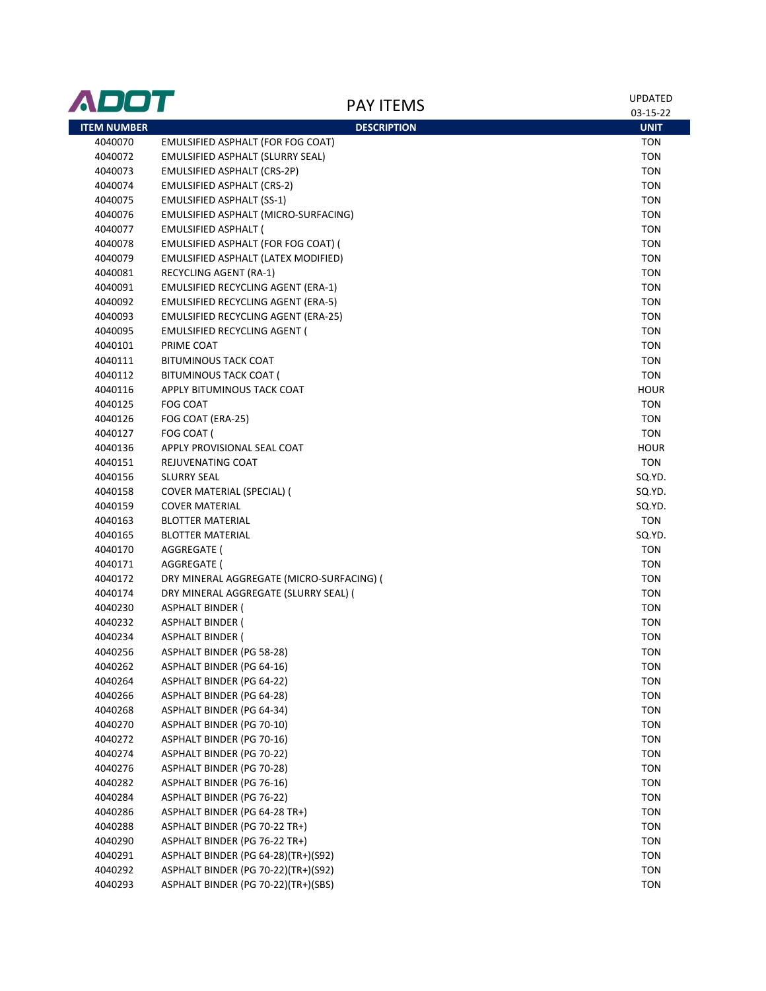| ADOT               | <b>PAY ITEMS</b>                          | <b>UPDATED</b><br>03-15-22 |
|--------------------|-------------------------------------------|----------------------------|
| <b>ITEM NUMBER</b> | <b>DESCRIPTION</b>                        | <b>UNIT</b>                |
| 4040070            | EMULSIFIED ASPHALT (FOR FOG COAT)         | <b>TON</b>                 |
| 4040072            | EMULSIFIED ASPHALT (SLURRY SEAL)          | <b>TON</b>                 |
| 4040073            | EMULSIFIED ASPHALT (CRS-2P)               | <b>TON</b>                 |
| 4040074            | EMULSIFIED ASPHALT (CRS-2)                | <b>TON</b>                 |
| 4040075            | <b>EMULSIFIED ASPHALT (SS-1)</b>          | <b>TON</b>                 |
| 4040076            | EMULSIFIED ASPHALT (MICRO-SURFACING)      | <b>TON</b>                 |
| 4040077            | <b>EMULSIFIED ASPHALT (</b>               | <b>TON</b>                 |
| 4040078            | EMULSIFIED ASPHALT (FOR FOG COAT) (       | <b>TON</b>                 |
| 4040079            | EMULSIFIED ASPHALT (LATEX MODIFIED)       | <b>TON</b>                 |
| 4040081            | RECYCLING AGENT (RA-1)                    | <b>TON</b>                 |
| 4040091            | <b>EMULSIFIED RECYCLING AGENT (ERA-1)</b> | <b>TON</b>                 |
| 4040092            | EMULSIFIED RECYCLING AGENT (ERA-5)        | <b>TON</b>                 |
| 4040093            | EMULSIFIED RECYCLING AGENT (ERA-25)       | <b>TON</b>                 |
| 4040095            | EMULSIFIED RECYCLING AGENT (              | <b>TON</b>                 |
| 4040101            | PRIME COAT                                | <b>TON</b>                 |
| 4040111            | <b>BITUMINOUS TACK COAT</b>               | <b>TON</b>                 |
| 4040112            | BITUMINOUS TACK COAT (                    | <b>TON</b>                 |
| 4040116            | APPLY BITUMINOUS TACK COAT                | <b>HOUR</b>                |
| 4040125            | FOG COAT                                  | <b>TON</b>                 |
| 4040126            | FOG COAT (ERA-25)                         | <b>TON</b>                 |
| 4040127            | FOG COAT (                                | <b>TON</b>                 |
| 4040136            | APPLY PROVISIONAL SEAL COAT               | <b>HOUR</b>                |
| 4040151            | REJUVENATING COAT                         | <b>TON</b>                 |
| 4040156            | <b>SLURRY SEAL</b>                        | SQ.YD.                     |
| 4040158            | COVER MATERIAL (SPECIAL) (                | SQ.YD.                     |
| 4040159            | <b>COVER MATERIAL</b>                     | SQ.YD.                     |
| 4040163            | <b>BLOTTER MATERIAL</b>                   | <b>TON</b>                 |
| 4040165            | <b>BLOTTER MATERIAL</b>                   | SQ.YD.                     |
| 4040170            | AGGREGATE (                               | <b>TON</b>                 |
| 4040171            | AGGREGATE (                               | <b>TON</b>                 |
| 4040172            | DRY MINERAL AGGREGATE (MICRO-SURFACING) ( | <b>TON</b>                 |
| 4040174            | DRY MINERAL AGGREGATE (SLURRY SEAL) (     | <b>TON</b>                 |
| 4040230            | ASPHALT BINDER (                          | <b>TON</b>                 |
| 4040232            | <b>ASPHALT BINDER (</b>                   | <b>TON</b>                 |
| 4040234            | ASPHALT BINDER (                          | <b>TON</b>                 |
| 4040256            | ASPHALT BINDER (PG 58-28)                 | <b>TON</b>                 |
| 4040262            | ASPHALT BINDER (PG 64-16)                 | <b>TON</b>                 |
| 4040264            | ASPHALT BINDER (PG 64-22)                 | <b>TON</b>                 |
| 4040266            | ASPHALT BINDER (PG 64-28)                 | <b>TON</b>                 |
| 4040268            | ASPHALT BINDER (PG 64-34)                 | <b>TON</b>                 |
| 4040270            | ASPHALT BINDER (PG 70-10)                 | <b>TON</b>                 |
| 4040272            | ASPHALT BINDER (PG 70-16)                 | <b>TON</b>                 |
| 4040274            | <b>ASPHALT BINDER (PG 70-22)</b>          | <b>TON</b>                 |
| 4040276            | <b>ASPHALT BINDER (PG 70-28)</b>          | <b>TON</b>                 |
| 4040282            | ASPHALT BINDER (PG 76-16)                 | <b>TON</b>                 |
| 4040284            | <b>ASPHALT BINDER (PG 76-22)</b>          | <b>TON</b>                 |
| 4040286            | ASPHALT BINDER (PG 64-28 TR+)             | <b>TON</b>                 |
| 4040288            | ASPHALT BINDER (PG 70-22 TR+)             | <b>TON</b>                 |
| 4040290            | ASPHALT BINDER (PG 76-22 TR+)             | <b>TON</b>                 |
| 4040291            | ASPHALT BINDER (PG 64-28)(TR+)(S92)       | <b>TON</b>                 |
| 4040292            | ASPHALT BINDER (PG 70-22)(TR+)(S92)       | <b>TON</b>                 |
| 4040293            | ASPHALT BINDER (PG 70-22)(TR+)(SBS)       | <b>TON</b>                 |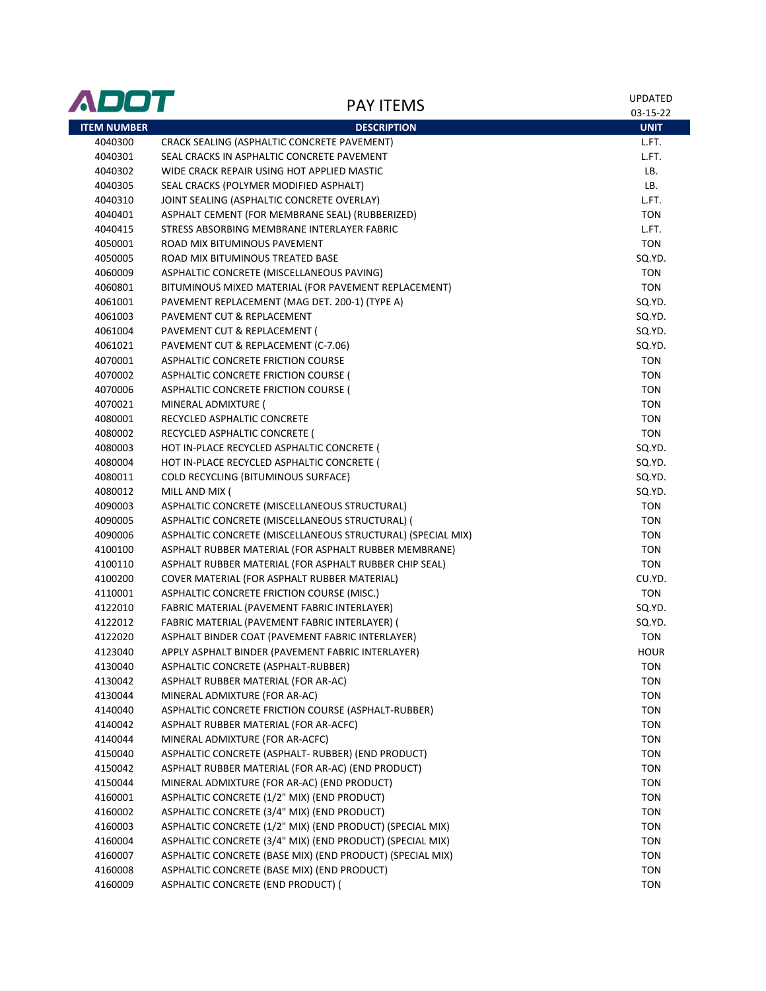| <b>ITEM NUMBER</b><br><b>DESCRIPTION</b><br><b>UNIT</b><br>4040300<br>CRACK SEALING (ASPHALTIC CONCRETE PAVEMENT)<br>L.FT.<br>4040301<br>SEAL CRACKS IN ASPHALTIC CONCRETE PAVEMENT<br>L.FT.<br>LB.<br>4040302<br>WIDE CRACK REPAIR USING HOT APPLIED MASTIC<br>4040305<br>SEAL CRACKS (POLYMER MODIFIED ASPHALT)<br>LB.<br>4040310<br>JOINT SEALING (ASPHALTIC CONCRETE OVERLAY)<br>L.FT.<br><b>TON</b><br>4040401<br>ASPHALT CEMENT (FOR MEMBRANE SEAL) (RUBBERIZED)<br>STRESS ABSORBING MEMBRANE INTERLAYER FABRIC<br>L.FT.<br>4040415<br>ROAD MIX BITUMINOUS PAVEMENT<br><b>TON</b><br>4050001<br>4050005<br>ROAD MIX BITUMINOUS TREATED BASE<br>SQ.YD.<br><b>TON</b><br>4060009<br>ASPHALTIC CONCRETE (MISCELLANEOUS PAVING)<br><b>TON</b><br>BITUMINOUS MIXED MATERIAL (FOR PAVEMENT REPLACEMENT)<br>4060801<br>PAVEMENT REPLACEMENT (MAG DET. 200-1) (TYPE A)<br>SQ.YD.<br>4061001<br>PAVEMENT CUT & REPLACEMENT<br>SQ.YD.<br>4061003<br>PAVEMENT CUT & REPLACEMENT (<br>SQ.YD.<br>4061004<br>PAVEMENT CUT & REPLACEMENT (C-7.06)<br>SQ.YD.<br>4061021<br>4070001<br>ASPHALTIC CONCRETE FRICTION COURSE<br><b>TON</b><br><b>TON</b><br>4070002<br>ASPHALTIC CONCRETE FRICTION COURSE (<br><b>TON</b><br>4070006<br>ASPHALTIC CONCRETE FRICTION COURSE (<br><b>TON</b><br>4070021<br>MINERAL ADMIXTURE (<br>4080001<br><b>TON</b><br>RECYCLED ASPHALTIC CONCRETE<br><b>TON</b><br>4080002<br>RECYCLED ASPHALTIC CONCRETE (<br>4080003<br>SQ.YD.<br>HOT IN-PLACE RECYCLED ASPHALTIC CONCRETE (<br>4080004<br>SQ.YD.<br>HOT IN-PLACE RECYCLED ASPHALTIC CONCRETE (<br>COLD RECYCLING (BITUMINOUS SURFACE)<br>SQ.YD.<br>4080011<br>4080012<br>MILL AND MIX (<br>SQ.YD.<br>4090003<br>ASPHALTIC CONCRETE (MISCELLANEOUS STRUCTURAL)<br><b>TON</b><br>ASPHALTIC CONCRETE (MISCELLANEOUS STRUCTURAL) (<br><b>TON</b><br>4090005<br>ASPHALTIC CONCRETE (MISCELLANEOUS STRUCTURAL) (SPECIAL MIX)<br><b>TON</b><br>4090006<br>4100100<br>ASPHALT RUBBER MATERIAL (FOR ASPHALT RUBBER MEMBRANE)<br><b>TON</b><br>4100110<br>ASPHALT RUBBER MATERIAL (FOR ASPHALT RUBBER CHIP SEAL)<br><b>TON</b><br>4100200<br>CU.YD.<br>COVER MATERIAL (FOR ASPHALT RUBBER MATERIAL)<br><b>TON</b><br>ASPHALTIC CONCRETE FRICTION COURSE (MISC.)<br>4110001<br>FABRIC MATERIAL (PAVEMENT FABRIC INTERLAYER)<br>SQ.YD.<br>4122010<br>4122012<br>FABRIC MATERIAL (PAVEMENT FABRIC INTERLAYER) (<br>SQ.YD.<br>ASPHALT BINDER COAT (PAVEMENT FABRIC INTERLAYER)<br><b>TON</b><br>4122020<br><b>HOUR</b><br>4123040<br>APPLY ASPHALT BINDER (PAVEMENT FABRIC INTERLAYER)<br>4130040<br>ASPHALTIC CONCRETE (ASPHALT-RUBBER)<br><b>TON</b><br><b>TON</b><br>4130042<br>ASPHALT RUBBER MATERIAL (FOR AR-AC)<br><b>TON</b><br>MINERAL ADMIXTURE (FOR AR-AC)<br>4130044<br><b>TON</b><br>ASPHALTIC CONCRETE FRICTION COURSE (ASPHALT-RUBBER)<br>4140040<br><b>TON</b><br>ASPHALT RUBBER MATERIAL (FOR AR-ACFC)<br>4140042<br>4140044<br>MINERAL ADMIXTURE (FOR AR-ACFC)<br><b>TON</b><br>ASPHALTIC CONCRETE (ASPHALT- RUBBER) (END PRODUCT)<br><b>TON</b><br>4150040<br><b>TON</b><br>ASPHALT RUBBER MATERIAL (FOR AR-AC) (END PRODUCT)<br>4150042<br>MINERAL ADMIXTURE (FOR AR-AC) (END PRODUCT)<br><b>TON</b><br>4150044<br>ASPHALTIC CONCRETE (1/2" MIX) (END PRODUCT)<br>4160001<br><b>TON</b><br>ASPHALTIC CONCRETE (3/4" MIX) (END PRODUCT)<br>4160002<br><b>TON</b><br>ASPHALTIC CONCRETE (1/2" MIX) (END PRODUCT) (SPECIAL MIX)<br>4160003<br><b>TON</b><br>ASPHALTIC CONCRETE (3/4" MIX) (END PRODUCT) (SPECIAL MIX)<br>4160004<br><b>TON</b><br>ASPHALTIC CONCRETE (BASE MIX) (END PRODUCT) (SPECIAL MIX)<br>4160007<br><b>TON</b><br>4160008<br>ASPHALTIC CONCRETE (BASE MIX) (END PRODUCT)<br><b>TON</b><br>ASPHALTIC CONCRETE (END PRODUCT) (<br><b>TON</b><br>4160009 | ADOT | <b>PAY ITEMS</b> | <b>UPDATED</b><br>03-15-22 |
|--------------------------------------------------------------------------------------------------------------------------------------------------------------------------------------------------------------------------------------------------------------------------------------------------------------------------------------------------------------------------------------------------------------------------------------------------------------------------------------------------------------------------------------------------------------------------------------------------------------------------------------------------------------------------------------------------------------------------------------------------------------------------------------------------------------------------------------------------------------------------------------------------------------------------------------------------------------------------------------------------------------------------------------------------------------------------------------------------------------------------------------------------------------------------------------------------------------------------------------------------------------------------------------------------------------------------------------------------------------------------------------------------------------------------------------------------------------------------------------------------------------------------------------------------------------------------------------------------------------------------------------------------------------------------------------------------------------------------------------------------------------------------------------------------------------------------------------------------------------------------------------------------------------------------------------------------------------------------------------------------------------------------------------------------------------------------------------------------------------------------------------------------------------------------------------------------------------------------------------------------------------------------------------------------------------------------------------------------------------------------------------------------------------------------------------------------------------------------------------------------------------------------------------------------------------------------------------------------------------------------------------------------------------------------------------------------------------------------------------------------------------------------------------------------------------------------------------------------------------------------------------------------------------------------------------------------------------------------------------------------------------------------------------------------------------------------------------------------------------------------------------------------------------------------------------------------------------------------------------------------------------------------------------------------------------------------------------------------------------------------------------------------------------------------------------------------------------------------------------------------------------------------------------------------------------------------------------------------------------------------------------------------------------------------------------------------------------------------------------------------------|------|------------------|----------------------------|
|                                                                                                                                                                                                                                                                                                                                                                                                                                                                                                                                                                                                                                                                                                                                                                                                                                                                                                                                                                                                                                                                                                                                                                                                                                                                                                                                                                                                                                                                                                                                                                                                                                                                                                                                                                                                                                                                                                                                                                                                                                                                                                                                                                                                                                                                                                                                                                                                                                                                                                                                                                                                                                                                                                                                                                                                                                                                                                                                                                                                                                                                                                                                                                                                                                                                                                                                                                                                                                                                                                                                                                                                                                                                                                                                                        |      |                  |                            |
|                                                                                                                                                                                                                                                                                                                                                                                                                                                                                                                                                                                                                                                                                                                                                                                                                                                                                                                                                                                                                                                                                                                                                                                                                                                                                                                                                                                                                                                                                                                                                                                                                                                                                                                                                                                                                                                                                                                                                                                                                                                                                                                                                                                                                                                                                                                                                                                                                                                                                                                                                                                                                                                                                                                                                                                                                                                                                                                                                                                                                                                                                                                                                                                                                                                                                                                                                                                                                                                                                                                                                                                                                                                                                                                                                        |      |                  |                            |
|                                                                                                                                                                                                                                                                                                                                                                                                                                                                                                                                                                                                                                                                                                                                                                                                                                                                                                                                                                                                                                                                                                                                                                                                                                                                                                                                                                                                                                                                                                                                                                                                                                                                                                                                                                                                                                                                                                                                                                                                                                                                                                                                                                                                                                                                                                                                                                                                                                                                                                                                                                                                                                                                                                                                                                                                                                                                                                                                                                                                                                                                                                                                                                                                                                                                                                                                                                                                                                                                                                                                                                                                                                                                                                                                                        |      |                  |                            |
|                                                                                                                                                                                                                                                                                                                                                                                                                                                                                                                                                                                                                                                                                                                                                                                                                                                                                                                                                                                                                                                                                                                                                                                                                                                                                                                                                                                                                                                                                                                                                                                                                                                                                                                                                                                                                                                                                                                                                                                                                                                                                                                                                                                                                                                                                                                                                                                                                                                                                                                                                                                                                                                                                                                                                                                                                                                                                                                                                                                                                                                                                                                                                                                                                                                                                                                                                                                                                                                                                                                                                                                                                                                                                                                                                        |      |                  |                            |
|                                                                                                                                                                                                                                                                                                                                                                                                                                                                                                                                                                                                                                                                                                                                                                                                                                                                                                                                                                                                                                                                                                                                                                                                                                                                                                                                                                                                                                                                                                                                                                                                                                                                                                                                                                                                                                                                                                                                                                                                                                                                                                                                                                                                                                                                                                                                                                                                                                                                                                                                                                                                                                                                                                                                                                                                                                                                                                                                                                                                                                                                                                                                                                                                                                                                                                                                                                                                                                                                                                                                                                                                                                                                                                                                                        |      |                  |                            |
|                                                                                                                                                                                                                                                                                                                                                                                                                                                                                                                                                                                                                                                                                                                                                                                                                                                                                                                                                                                                                                                                                                                                                                                                                                                                                                                                                                                                                                                                                                                                                                                                                                                                                                                                                                                                                                                                                                                                                                                                                                                                                                                                                                                                                                                                                                                                                                                                                                                                                                                                                                                                                                                                                                                                                                                                                                                                                                                                                                                                                                                                                                                                                                                                                                                                                                                                                                                                                                                                                                                                                                                                                                                                                                                                                        |      |                  |                            |
|                                                                                                                                                                                                                                                                                                                                                                                                                                                                                                                                                                                                                                                                                                                                                                                                                                                                                                                                                                                                                                                                                                                                                                                                                                                                                                                                                                                                                                                                                                                                                                                                                                                                                                                                                                                                                                                                                                                                                                                                                                                                                                                                                                                                                                                                                                                                                                                                                                                                                                                                                                                                                                                                                                                                                                                                                                                                                                                                                                                                                                                                                                                                                                                                                                                                                                                                                                                                                                                                                                                                                                                                                                                                                                                                                        |      |                  |                            |
|                                                                                                                                                                                                                                                                                                                                                                                                                                                                                                                                                                                                                                                                                                                                                                                                                                                                                                                                                                                                                                                                                                                                                                                                                                                                                                                                                                                                                                                                                                                                                                                                                                                                                                                                                                                                                                                                                                                                                                                                                                                                                                                                                                                                                                                                                                                                                                                                                                                                                                                                                                                                                                                                                                                                                                                                                                                                                                                                                                                                                                                                                                                                                                                                                                                                                                                                                                                                                                                                                                                                                                                                                                                                                                                                                        |      |                  |                            |
|                                                                                                                                                                                                                                                                                                                                                                                                                                                                                                                                                                                                                                                                                                                                                                                                                                                                                                                                                                                                                                                                                                                                                                                                                                                                                                                                                                                                                                                                                                                                                                                                                                                                                                                                                                                                                                                                                                                                                                                                                                                                                                                                                                                                                                                                                                                                                                                                                                                                                                                                                                                                                                                                                                                                                                                                                                                                                                                                                                                                                                                                                                                                                                                                                                                                                                                                                                                                                                                                                                                                                                                                                                                                                                                                                        |      |                  |                            |
|                                                                                                                                                                                                                                                                                                                                                                                                                                                                                                                                                                                                                                                                                                                                                                                                                                                                                                                                                                                                                                                                                                                                                                                                                                                                                                                                                                                                                                                                                                                                                                                                                                                                                                                                                                                                                                                                                                                                                                                                                                                                                                                                                                                                                                                                                                                                                                                                                                                                                                                                                                                                                                                                                                                                                                                                                                                                                                                                                                                                                                                                                                                                                                                                                                                                                                                                                                                                                                                                                                                                                                                                                                                                                                                                                        |      |                  |                            |
|                                                                                                                                                                                                                                                                                                                                                                                                                                                                                                                                                                                                                                                                                                                                                                                                                                                                                                                                                                                                                                                                                                                                                                                                                                                                                                                                                                                                                                                                                                                                                                                                                                                                                                                                                                                                                                                                                                                                                                                                                                                                                                                                                                                                                                                                                                                                                                                                                                                                                                                                                                                                                                                                                                                                                                                                                                                                                                                                                                                                                                                                                                                                                                                                                                                                                                                                                                                                                                                                                                                                                                                                                                                                                                                                                        |      |                  |                            |
|                                                                                                                                                                                                                                                                                                                                                                                                                                                                                                                                                                                                                                                                                                                                                                                                                                                                                                                                                                                                                                                                                                                                                                                                                                                                                                                                                                                                                                                                                                                                                                                                                                                                                                                                                                                                                                                                                                                                                                                                                                                                                                                                                                                                                                                                                                                                                                                                                                                                                                                                                                                                                                                                                                                                                                                                                                                                                                                                                                                                                                                                                                                                                                                                                                                                                                                                                                                                                                                                                                                                                                                                                                                                                                                                                        |      |                  |                            |
|                                                                                                                                                                                                                                                                                                                                                                                                                                                                                                                                                                                                                                                                                                                                                                                                                                                                                                                                                                                                                                                                                                                                                                                                                                                                                                                                                                                                                                                                                                                                                                                                                                                                                                                                                                                                                                                                                                                                                                                                                                                                                                                                                                                                                                                                                                                                                                                                                                                                                                                                                                                                                                                                                                                                                                                                                                                                                                                                                                                                                                                                                                                                                                                                                                                                                                                                                                                                                                                                                                                                                                                                                                                                                                                                                        |      |                  |                            |
|                                                                                                                                                                                                                                                                                                                                                                                                                                                                                                                                                                                                                                                                                                                                                                                                                                                                                                                                                                                                                                                                                                                                                                                                                                                                                                                                                                                                                                                                                                                                                                                                                                                                                                                                                                                                                                                                                                                                                                                                                                                                                                                                                                                                                                                                                                                                                                                                                                                                                                                                                                                                                                                                                                                                                                                                                                                                                                                                                                                                                                                                                                                                                                                                                                                                                                                                                                                                                                                                                                                                                                                                                                                                                                                                                        |      |                  |                            |
|                                                                                                                                                                                                                                                                                                                                                                                                                                                                                                                                                                                                                                                                                                                                                                                                                                                                                                                                                                                                                                                                                                                                                                                                                                                                                                                                                                                                                                                                                                                                                                                                                                                                                                                                                                                                                                                                                                                                                                                                                                                                                                                                                                                                                                                                                                                                                                                                                                                                                                                                                                                                                                                                                                                                                                                                                                                                                                                                                                                                                                                                                                                                                                                                                                                                                                                                                                                                                                                                                                                                                                                                                                                                                                                                                        |      |                  |                            |
|                                                                                                                                                                                                                                                                                                                                                                                                                                                                                                                                                                                                                                                                                                                                                                                                                                                                                                                                                                                                                                                                                                                                                                                                                                                                                                                                                                                                                                                                                                                                                                                                                                                                                                                                                                                                                                                                                                                                                                                                                                                                                                                                                                                                                                                                                                                                                                                                                                                                                                                                                                                                                                                                                                                                                                                                                                                                                                                                                                                                                                                                                                                                                                                                                                                                                                                                                                                                                                                                                                                                                                                                                                                                                                                                                        |      |                  |                            |
|                                                                                                                                                                                                                                                                                                                                                                                                                                                                                                                                                                                                                                                                                                                                                                                                                                                                                                                                                                                                                                                                                                                                                                                                                                                                                                                                                                                                                                                                                                                                                                                                                                                                                                                                                                                                                                                                                                                                                                                                                                                                                                                                                                                                                                                                                                                                                                                                                                                                                                                                                                                                                                                                                                                                                                                                                                                                                                                                                                                                                                                                                                                                                                                                                                                                                                                                                                                                                                                                                                                                                                                                                                                                                                                                                        |      |                  |                            |
|                                                                                                                                                                                                                                                                                                                                                                                                                                                                                                                                                                                                                                                                                                                                                                                                                                                                                                                                                                                                                                                                                                                                                                                                                                                                                                                                                                                                                                                                                                                                                                                                                                                                                                                                                                                                                                                                                                                                                                                                                                                                                                                                                                                                                                                                                                                                                                                                                                                                                                                                                                                                                                                                                                                                                                                                                                                                                                                                                                                                                                                                                                                                                                                                                                                                                                                                                                                                                                                                                                                                                                                                                                                                                                                                                        |      |                  |                            |
|                                                                                                                                                                                                                                                                                                                                                                                                                                                                                                                                                                                                                                                                                                                                                                                                                                                                                                                                                                                                                                                                                                                                                                                                                                                                                                                                                                                                                                                                                                                                                                                                                                                                                                                                                                                                                                                                                                                                                                                                                                                                                                                                                                                                                                                                                                                                                                                                                                                                                                                                                                                                                                                                                                                                                                                                                                                                                                                                                                                                                                                                                                                                                                                                                                                                                                                                                                                                                                                                                                                                                                                                                                                                                                                                                        |      |                  |                            |
|                                                                                                                                                                                                                                                                                                                                                                                                                                                                                                                                                                                                                                                                                                                                                                                                                                                                                                                                                                                                                                                                                                                                                                                                                                                                                                                                                                                                                                                                                                                                                                                                                                                                                                                                                                                                                                                                                                                                                                                                                                                                                                                                                                                                                                                                                                                                                                                                                                                                                                                                                                                                                                                                                                                                                                                                                                                                                                                                                                                                                                                                                                                                                                                                                                                                                                                                                                                                                                                                                                                                                                                                                                                                                                                                                        |      |                  |                            |
|                                                                                                                                                                                                                                                                                                                                                                                                                                                                                                                                                                                                                                                                                                                                                                                                                                                                                                                                                                                                                                                                                                                                                                                                                                                                                                                                                                                                                                                                                                                                                                                                                                                                                                                                                                                                                                                                                                                                                                                                                                                                                                                                                                                                                                                                                                                                                                                                                                                                                                                                                                                                                                                                                                                                                                                                                                                                                                                                                                                                                                                                                                                                                                                                                                                                                                                                                                                                                                                                                                                                                                                                                                                                                                                                                        |      |                  |                            |
|                                                                                                                                                                                                                                                                                                                                                                                                                                                                                                                                                                                                                                                                                                                                                                                                                                                                                                                                                                                                                                                                                                                                                                                                                                                                                                                                                                                                                                                                                                                                                                                                                                                                                                                                                                                                                                                                                                                                                                                                                                                                                                                                                                                                                                                                                                                                                                                                                                                                                                                                                                                                                                                                                                                                                                                                                                                                                                                                                                                                                                                                                                                                                                                                                                                                                                                                                                                                                                                                                                                                                                                                                                                                                                                                                        |      |                  |                            |
|                                                                                                                                                                                                                                                                                                                                                                                                                                                                                                                                                                                                                                                                                                                                                                                                                                                                                                                                                                                                                                                                                                                                                                                                                                                                                                                                                                                                                                                                                                                                                                                                                                                                                                                                                                                                                                                                                                                                                                                                                                                                                                                                                                                                                                                                                                                                                                                                                                                                                                                                                                                                                                                                                                                                                                                                                                                                                                                                                                                                                                                                                                                                                                                                                                                                                                                                                                                                                                                                                                                                                                                                                                                                                                                                                        |      |                  |                            |
|                                                                                                                                                                                                                                                                                                                                                                                                                                                                                                                                                                                                                                                                                                                                                                                                                                                                                                                                                                                                                                                                                                                                                                                                                                                                                                                                                                                                                                                                                                                                                                                                                                                                                                                                                                                                                                                                                                                                                                                                                                                                                                                                                                                                                                                                                                                                                                                                                                                                                                                                                                                                                                                                                                                                                                                                                                                                                                                                                                                                                                                                                                                                                                                                                                                                                                                                                                                                                                                                                                                                                                                                                                                                                                                                                        |      |                  |                            |
|                                                                                                                                                                                                                                                                                                                                                                                                                                                                                                                                                                                                                                                                                                                                                                                                                                                                                                                                                                                                                                                                                                                                                                                                                                                                                                                                                                                                                                                                                                                                                                                                                                                                                                                                                                                                                                                                                                                                                                                                                                                                                                                                                                                                                                                                                                                                                                                                                                                                                                                                                                                                                                                                                                                                                                                                                                                                                                                                                                                                                                                                                                                                                                                                                                                                                                                                                                                                                                                                                                                                                                                                                                                                                                                                                        |      |                  |                            |
|                                                                                                                                                                                                                                                                                                                                                                                                                                                                                                                                                                                                                                                                                                                                                                                                                                                                                                                                                                                                                                                                                                                                                                                                                                                                                                                                                                                                                                                                                                                                                                                                                                                                                                                                                                                                                                                                                                                                                                                                                                                                                                                                                                                                                                                                                                                                                                                                                                                                                                                                                                                                                                                                                                                                                                                                                                                                                                                                                                                                                                                                                                                                                                                                                                                                                                                                                                                                                                                                                                                                                                                                                                                                                                                                                        |      |                  |                            |
|                                                                                                                                                                                                                                                                                                                                                                                                                                                                                                                                                                                                                                                                                                                                                                                                                                                                                                                                                                                                                                                                                                                                                                                                                                                                                                                                                                                                                                                                                                                                                                                                                                                                                                                                                                                                                                                                                                                                                                                                                                                                                                                                                                                                                                                                                                                                                                                                                                                                                                                                                                                                                                                                                                                                                                                                                                                                                                                                                                                                                                                                                                                                                                                                                                                                                                                                                                                                                                                                                                                                                                                                                                                                                                                                                        |      |                  |                            |
|                                                                                                                                                                                                                                                                                                                                                                                                                                                                                                                                                                                                                                                                                                                                                                                                                                                                                                                                                                                                                                                                                                                                                                                                                                                                                                                                                                                                                                                                                                                                                                                                                                                                                                                                                                                                                                                                                                                                                                                                                                                                                                                                                                                                                                                                                                                                                                                                                                                                                                                                                                                                                                                                                                                                                                                                                                                                                                                                                                                                                                                                                                                                                                                                                                                                                                                                                                                                                                                                                                                                                                                                                                                                                                                                                        |      |                  |                            |
|                                                                                                                                                                                                                                                                                                                                                                                                                                                                                                                                                                                                                                                                                                                                                                                                                                                                                                                                                                                                                                                                                                                                                                                                                                                                                                                                                                                                                                                                                                                                                                                                                                                                                                                                                                                                                                                                                                                                                                                                                                                                                                                                                                                                                                                                                                                                                                                                                                                                                                                                                                                                                                                                                                                                                                                                                                                                                                                                                                                                                                                                                                                                                                                                                                                                                                                                                                                                                                                                                                                                                                                                                                                                                                                                                        |      |                  |                            |
|                                                                                                                                                                                                                                                                                                                                                                                                                                                                                                                                                                                                                                                                                                                                                                                                                                                                                                                                                                                                                                                                                                                                                                                                                                                                                                                                                                                                                                                                                                                                                                                                                                                                                                                                                                                                                                                                                                                                                                                                                                                                                                                                                                                                                                                                                                                                                                                                                                                                                                                                                                                                                                                                                                                                                                                                                                                                                                                                                                                                                                                                                                                                                                                                                                                                                                                                                                                                                                                                                                                                                                                                                                                                                                                                                        |      |                  |                            |
|                                                                                                                                                                                                                                                                                                                                                                                                                                                                                                                                                                                                                                                                                                                                                                                                                                                                                                                                                                                                                                                                                                                                                                                                                                                                                                                                                                                                                                                                                                                                                                                                                                                                                                                                                                                                                                                                                                                                                                                                                                                                                                                                                                                                                                                                                                                                                                                                                                                                                                                                                                                                                                                                                                                                                                                                                                                                                                                                                                                                                                                                                                                                                                                                                                                                                                                                                                                                                                                                                                                                                                                                                                                                                                                                                        |      |                  |                            |
|                                                                                                                                                                                                                                                                                                                                                                                                                                                                                                                                                                                                                                                                                                                                                                                                                                                                                                                                                                                                                                                                                                                                                                                                                                                                                                                                                                                                                                                                                                                                                                                                                                                                                                                                                                                                                                                                                                                                                                                                                                                                                                                                                                                                                                                                                                                                                                                                                                                                                                                                                                                                                                                                                                                                                                                                                                                                                                                                                                                                                                                                                                                                                                                                                                                                                                                                                                                                                                                                                                                                                                                                                                                                                                                                                        |      |                  |                            |
|                                                                                                                                                                                                                                                                                                                                                                                                                                                                                                                                                                                                                                                                                                                                                                                                                                                                                                                                                                                                                                                                                                                                                                                                                                                                                                                                                                                                                                                                                                                                                                                                                                                                                                                                                                                                                                                                                                                                                                                                                                                                                                                                                                                                                                                                                                                                                                                                                                                                                                                                                                                                                                                                                                                                                                                                                                                                                                                                                                                                                                                                                                                                                                                                                                                                                                                                                                                                                                                                                                                                                                                                                                                                                                                                                        |      |                  |                            |
|                                                                                                                                                                                                                                                                                                                                                                                                                                                                                                                                                                                                                                                                                                                                                                                                                                                                                                                                                                                                                                                                                                                                                                                                                                                                                                                                                                                                                                                                                                                                                                                                                                                                                                                                                                                                                                                                                                                                                                                                                                                                                                                                                                                                                                                                                                                                                                                                                                                                                                                                                                                                                                                                                                                                                                                                                                                                                                                                                                                                                                                                                                                                                                                                                                                                                                                                                                                                                                                                                                                                                                                                                                                                                                                                                        |      |                  |                            |
|                                                                                                                                                                                                                                                                                                                                                                                                                                                                                                                                                                                                                                                                                                                                                                                                                                                                                                                                                                                                                                                                                                                                                                                                                                                                                                                                                                                                                                                                                                                                                                                                                                                                                                                                                                                                                                                                                                                                                                                                                                                                                                                                                                                                                                                                                                                                                                                                                                                                                                                                                                                                                                                                                                                                                                                                                                                                                                                                                                                                                                                                                                                                                                                                                                                                                                                                                                                                                                                                                                                                                                                                                                                                                                                                                        |      |                  |                            |
|                                                                                                                                                                                                                                                                                                                                                                                                                                                                                                                                                                                                                                                                                                                                                                                                                                                                                                                                                                                                                                                                                                                                                                                                                                                                                                                                                                                                                                                                                                                                                                                                                                                                                                                                                                                                                                                                                                                                                                                                                                                                                                                                                                                                                                                                                                                                                                                                                                                                                                                                                                                                                                                                                                                                                                                                                                                                                                                                                                                                                                                                                                                                                                                                                                                                                                                                                                                                                                                                                                                                                                                                                                                                                                                                                        |      |                  |                            |
|                                                                                                                                                                                                                                                                                                                                                                                                                                                                                                                                                                                                                                                                                                                                                                                                                                                                                                                                                                                                                                                                                                                                                                                                                                                                                                                                                                                                                                                                                                                                                                                                                                                                                                                                                                                                                                                                                                                                                                                                                                                                                                                                                                                                                                                                                                                                                                                                                                                                                                                                                                                                                                                                                                                                                                                                                                                                                                                                                                                                                                                                                                                                                                                                                                                                                                                                                                                                                                                                                                                                                                                                                                                                                                                                                        |      |                  |                            |
|                                                                                                                                                                                                                                                                                                                                                                                                                                                                                                                                                                                                                                                                                                                                                                                                                                                                                                                                                                                                                                                                                                                                                                                                                                                                                                                                                                                                                                                                                                                                                                                                                                                                                                                                                                                                                                                                                                                                                                                                                                                                                                                                                                                                                                                                                                                                                                                                                                                                                                                                                                                                                                                                                                                                                                                                                                                                                                                                                                                                                                                                                                                                                                                                                                                                                                                                                                                                                                                                                                                                                                                                                                                                                                                                                        |      |                  |                            |
|                                                                                                                                                                                                                                                                                                                                                                                                                                                                                                                                                                                                                                                                                                                                                                                                                                                                                                                                                                                                                                                                                                                                                                                                                                                                                                                                                                                                                                                                                                                                                                                                                                                                                                                                                                                                                                                                                                                                                                                                                                                                                                                                                                                                                                                                                                                                                                                                                                                                                                                                                                                                                                                                                                                                                                                                                                                                                                                                                                                                                                                                                                                                                                                                                                                                                                                                                                                                                                                                                                                                                                                                                                                                                                                                                        |      |                  |                            |
|                                                                                                                                                                                                                                                                                                                                                                                                                                                                                                                                                                                                                                                                                                                                                                                                                                                                                                                                                                                                                                                                                                                                                                                                                                                                                                                                                                                                                                                                                                                                                                                                                                                                                                                                                                                                                                                                                                                                                                                                                                                                                                                                                                                                                                                                                                                                                                                                                                                                                                                                                                                                                                                                                                                                                                                                                                                                                                                                                                                                                                                                                                                                                                                                                                                                                                                                                                                                                                                                                                                                                                                                                                                                                                                                                        |      |                  |                            |
|                                                                                                                                                                                                                                                                                                                                                                                                                                                                                                                                                                                                                                                                                                                                                                                                                                                                                                                                                                                                                                                                                                                                                                                                                                                                                                                                                                                                                                                                                                                                                                                                                                                                                                                                                                                                                                                                                                                                                                                                                                                                                                                                                                                                                                                                                                                                                                                                                                                                                                                                                                                                                                                                                                                                                                                                                                                                                                                                                                                                                                                                                                                                                                                                                                                                                                                                                                                                                                                                                                                                                                                                                                                                                                                                                        |      |                  |                            |
|                                                                                                                                                                                                                                                                                                                                                                                                                                                                                                                                                                                                                                                                                                                                                                                                                                                                                                                                                                                                                                                                                                                                                                                                                                                                                                                                                                                                                                                                                                                                                                                                                                                                                                                                                                                                                                                                                                                                                                                                                                                                                                                                                                                                                                                                                                                                                                                                                                                                                                                                                                                                                                                                                                                                                                                                                                                                                                                                                                                                                                                                                                                                                                                                                                                                                                                                                                                                                                                                                                                                                                                                                                                                                                                                                        |      |                  |                            |
|                                                                                                                                                                                                                                                                                                                                                                                                                                                                                                                                                                                                                                                                                                                                                                                                                                                                                                                                                                                                                                                                                                                                                                                                                                                                                                                                                                                                                                                                                                                                                                                                                                                                                                                                                                                                                                                                                                                                                                                                                                                                                                                                                                                                                                                                                                                                                                                                                                                                                                                                                                                                                                                                                                                                                                                                                                                                                                                                                                                                                                                                                                                                                                                                                                                                                                                                                                                                                                                                                                                                                                                                                                                                                                                                                        |      |                  |                            |
|                                                                                                                                                                                                                                                                                                                                                                                                                                                                                                                                                                                                                                                                                                                                                                                                                                                                                                                                                                                                                                                                                                                                                                                                                                                                                                                                                                                                                                                                                                                                                                                                                                                                                                                                                                                                                                                                                                                                                                                                                                                                                                                                                                                                                                                                                                                                                                                                                                                                                                                                                                                                                                                                                                                                                                                                                                                                                                                                                                                                                                                                                                                                                                                                                                                                                                                                                                                                                                                                                                                                                                                                                                                                                                                                                        |      |                  |                            |
|                                                                                                                                                                                                                                                                                                                                                                                                                                                                                                                                                                                                                                                                                                                                                                                                                                                                                                                                                                                                                                                                                                                                                                                                                                                                                                                                                                                                                                                                                                                                                                                                                                                                                                                                                                                                                                                                                                                                                                                                                                                                                                                                                                                                                                                                                                                                                                                                                                                                                                                                                                                                                                                                                                                                                                                                                                                                                                                                                                                                                                                                                                                                                                                                                                                                                                                                                                                                                                                                                                                                                                                                                                                                                                                                                        |      |                  |                            |
|                                                                                                                                                                                                                                                                                                                                                                                                                                                                                                                                                                                                                                                                                                                                                                                                                                                                                                                                                                                                                                                                                                                                                                                                                                                                                                                                                                                                                                                                                                                                                                                                                                                                                                                                                                                                                                                                                                                                                                                                                                                                                                                                                                                                                                                                                                                                                                                                                                                                                                                                                                                                                                                                                                                                                                                                                                                                                                                                                                                                                                                                                                                                                                                                                                                                                                                                                                                                                                                                                                                                                                                                                                                                                                                                                        |      |                  |                            |
|                                                                                                                                                                                                                                                                                                                                                                                                                                                                                                                                                                                                                                                                                                                                                                                                                                                                                                                                                                                                                                                                                                                                                                                                                                                                                                                                                                                                                                                                                                                                                                                                                                                                                                                                                                                                                                                                                                                                                                                                                                                                                                                                                                                                                                                                                                                                                                                                                                                                                                                                                                                                                                                                                                                                                                                                                                                                                                                                                                                                                                                                                                                                                                                                                                                                                                                                                                                                                                                                                                                                                                                                                                                                                                                                                        |      |                  |                            |
|                                                                                                                                                                                                                                                                                                                                                                                                                                                                                                                                                                                                                                                                                                                                                                                                                                                                                                                                                                                                                                                                                                                                                                                                                                                                                                                                                                                                                                                                                                                                                                                                                                                                                                                                                                                                                                                                                                                                                                                                                                                                                                                                                                                                                                                                                                                                                                                                                                                                                                                                                                                                                                                                                                                                                                                                                                                                                                                                                                                                                                                                                                                                                                                                                                                                                                                                                                                                                                                                                                                                                                                                                                                                                                                                                        |      |                  |                            |
|                                                                                                                                                                                                                                                                                                                                                                                                                                                                                                                                                                                                                                                                                                                                                                                                                                                                                                                                                                                                                                                                                                                                                                                                                                                                                                                                                                                                                                                                                                                                                                                                                                                                                                                                                                                                                                                                                                                                                                                                                                                                                                                                                                                                                                                                                                                                                                                                                                                                                                                                                                                                                                                                                                                                                                                                                                                                                                                                                                                                                                                                                                                                                                                                                                                                                                                                                                                                                                                                                                                                                                                                                                                                                                                                                        |      |                  |                            |
|                                                                                                                                                                                                                                                                                                                                                                                                                                                                                                                                                                                                                                                                                                                                                                                                                                                                                                                                                                                                                                                                                                                                                                                                                                                                                                                                                                                                                                                                                                                                                                                                                                                                                                                                                                                                                                                                                                                                                                                                                                                                                                                                                                                                                                                                                                                                                                                                                                                                                                                                                                                                                                                                                                                                                                                                                                                                                                                                                                                                                                                                                                                                                                                                                                                                                                                                                                                                                                                                                                                                                                                                                                                                                                                                                        |      |                  |                            |
|                                                                                                                                                                                                                                                                                                                                                                                                                                                                                                                                                                                                                                                                                                                                                                                                                                                                                                                                                                                                                                                                                                                                                                                                                                                                                                                                                                                                                                                                                                                                                                                                                                                                                                                                                                                                                                                                                                                                                                                                                                                                                                                                                                                                                                                                                                                                                                                                                                                                                                                                                                                                                                                                                                                                                                                                                                                                                                                                                                                                                                                                                                                                                                                                                                                                                                                                                                                                                                                                                                                                                                                                                                                                                                                                                        |      |                  |                            |
|                                                                                                                                                                                                                                                                                                                                                                                                                                                                                                                                                                                                                                                                                                                                                                                                                                                                                                                                                                                                                                                                                                                                                                                                                                                                                                                                                                                                                                                                                                                                                                                                                                                                                                                                                                                                                                                                                                                                                                                                                                                                                                                                                                                                                                                                                                                                                                                                                                                                                                                                                                                                                                                                                                                                                                                                                                                                                                                                                                                                                                                                                                                                                                                                                                                                                                                                                                                                                                                                                                                                                                                                                                                                                                                                                        |      |                  |                            |
|                                                                                                                                                                                                                                                                                                                                                                                                                                                                                                                                                                                                                                                                                                                                                                                                                                                                                                                                                                                                                                                                                                                                                                                                                                                                                                                                                                                                                                                                                                                                                                                                                                                                                                                                                                                                                                                                                                                                                                                                                                                                                                                                                                                                                                                                                                                                                                                                                                                                                                                                                                                                                                                                                                                                                                                                                                                                                                                                                                                                                                                                                                                                                                                                                                                                                                                                                                                                                                                                                                                                                                                                                                                                                                                                                        |      |                  |                            |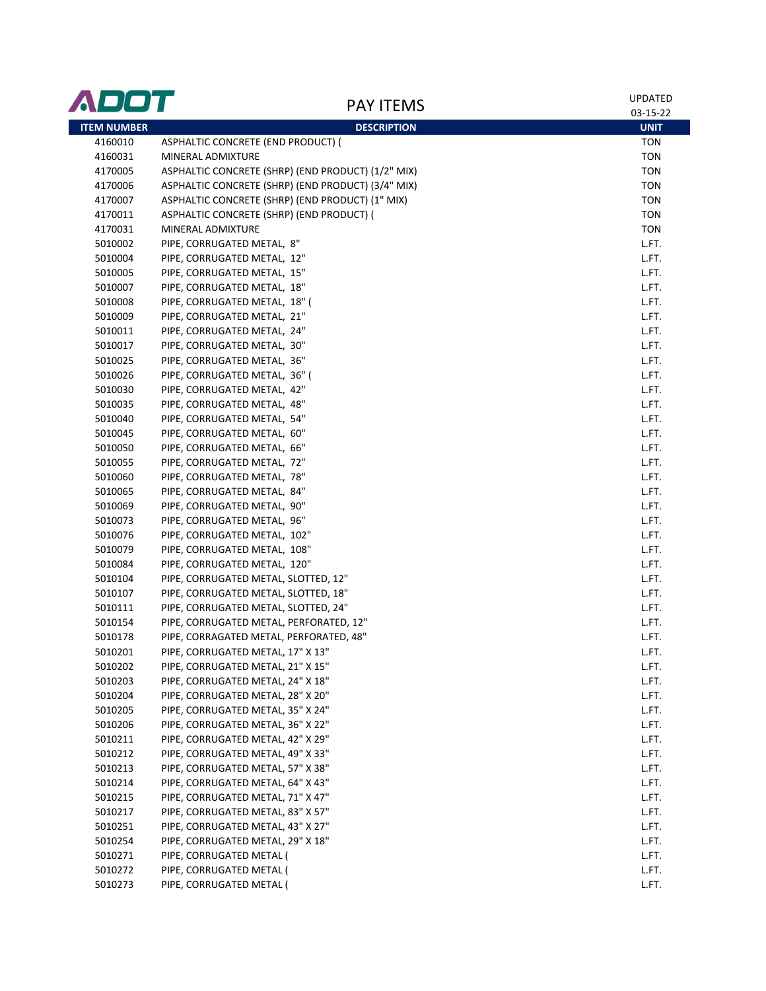| ADOT               | <b>PAY ITEMS</b>                                                       | <b>UPDATED</b> |
|--------------------|------------------------------------------------------------------------|----------------|
|                    |                                                                        | 03-15-22       |
| <b>ITEM NUMBER</b> | <b>DESCRIPTION</b>                                                     | <b>UNIT</b>    |
| 4160010            | ASPHALTIC CONCRETE (END PRODUCT) (                                     | <b>TON</b>     |
| 4160031            | MINERAL ADMIXTURE                                                      | <b>TON</b>     |
| 4170005            | ASPHALTIC CONCRETE (SHRP) (END PRODUCT) (1/2" MIX)                     | <b>TON</b>     |
| 4170006            | ASPHALTIC CONCRETE (SHRP) (END PRODUCT) (3/4" MIX)                     | <b>TON</b>     |
| 4170007            | ASPHALTIC CONCRETE (SHRP) (END PRODUCT) (1" MIX)                       | <b>TON</b>     |
| 4170011            | ASPHALTIC CONCRETE (SHRP) (END PRODUCT) (                              | <b>TON</b>     |
| 4170031            | MINERAL ADMIXTURE                                                      | <b>TON</b>     |
| 5010002            | PIPE, CORRUGATED METAL, 8"                                             | L.FT.          |
| 5010004            | PIPE, CORRUGATED METAL, 12"                                            | L.FT.          |
| 5010005            | PIPE, CORRUGATED METAL, 15"                                            | L.FT.          |
| 5010007            | PIPE, CORRUGATED METAL, 18"                                            | L.FT.          |
| 5010008            | PIPE, CORRUGATED METAL, 18" (                                          | L.FT.          |
| 5010009            | PIPE, CORRUGATED METAL, 21"                                            | L.FT.          |
| 5010011            | PIPE, CORRUGATED METAL, 24"                                            | L.FT.          |
| 5010017            | PIPE, CORRUGATED METAL, 30"                                            | L.FT.          |
| 5010025            | PIPE, CORRUGATED METAL, 36"                                            | L.FT.          |
| 5010026            | PIPE, CORRUGATED METAL, 36" (                                          | L.FT.          |
| 5010030            | PIPE, CORRUGATED METAL, 42"                                            | L.FT.          |
| 5010035            | PIPE, CORRUGATED METAL, 48"                                            | L.FT.          |
| 5010040            | PIPE, CORRUGATED METAL, 54"                                            | L.FT.          |
| 5010045            | PIPE, CORRUGATED METAL, 60"                                            | L.FT.          |
| 5010050            | PIPE, CORRUGATED METAL, 66"                                            | L.FT.          |
| 5010055            | PIPE, CORRUGATED METAL, 72"                                            | L.FT.          |
| 5010060            | PIPE, CORRUGATED METAL, 78"                                            | L.FT.          |
| 5010065            | PIPE, CORRUGATED METAL, 84"                                            | L.FT.          |
| 5010069            | PIPE, CORRUGATED METAL, 90"                                            | L.FT.          |
| 5010073            | PIPE, CORRUGATED METAL, 96"                                            | L.FT.          |
| 5010076            | PIPE, CORRUGATED METAL, 102"                                           | L.FT.          |
| 5010079            | PIPE, CORRUGATED METAL, 108"                                           | L.FT.          |
| 5010084            | PIPE, CORRUGATED METAL, 120"                                           | L.FT.          |
| 5010104            | PIPE, CORRUGATED METAL, SLOTTED, 12"                                   | L.FT.          |
| 5010107            | PIPE, CORRUGATED METAL, SLOTTED, 18"                                   | L.FT.          |
| 5010111            | PIPE, CORRUGATED METAL, SLOTTED, 24"                                   | L.FT.          |
| 5010154            | PIPE, CORRUGATED METAL, PERFORATED, 12"                                | L.FT.          |
| 5010178            | PIPE, CORRAGATED METAL, PERFORATED, 48"                                | L.FT.          |
| 5010201            |                                                                        |                |
|                    | PIPE, CORRUGATED METAL, 17" X 13"<br>PIPE, CORRUGATED METAL, 21" X 15" | L.FT.          |
| 5010202<br>5010203 | PIPE, CORRUGATED METAL, 24" X 18"                                      | L.FT.<br>L.FT. |
|                    |                                                                        |                |
| 5010204            | PIPE, CORRUGATED METAL, 28" X 20"                                      | L.FT.          |
| 5010205            | PIPE, CORRUGATED METAL, 35" X 24"                                      | L.FT.          |
| 5010206            | PIPE, CORRUGATED METAL, 36" X 22"                                      | L.FT.          |
| 5010211            | PIPE, CORRUGATED METAL, 42" X 29"                                      | L.FT.          |
| 5010212            | PIPE, CORRUGATED METAL, 49" X 33"                                      | L.FT.          |
| 5010213            | PIPE, CORRUGATED METAL, 57" X 38"                                      | L.FT.          |
| 5010214            | PIPE, CORRUGATED METAL, 64" X 43"                                      | L.FT.          |
| 5010215            | PIPE, CORRUGATED METAL, 71" X 47"                                      | L.FT.          |
| 5010217            | PIPE, CORRUGATED METAL, 83" X 57"                                      | L.FT.          |
| 5010251            | PIPE, CORRUGATED METAL, 43" X 27"                                      | L.FT.          |
| 5010254            | PIPE, CORRUGATED METAL, 29" X 18"                                      | L.FT.          |
| 5010271            | PIPE, CORRUGATED METAL (                                               | L.FT.          |
| 5010272            | PIPE, CORRUGATED METAL (                                               | L.FT.          |
| 5010273            | PIPE, CORRUGATED METAL (                                               | L.FT.          |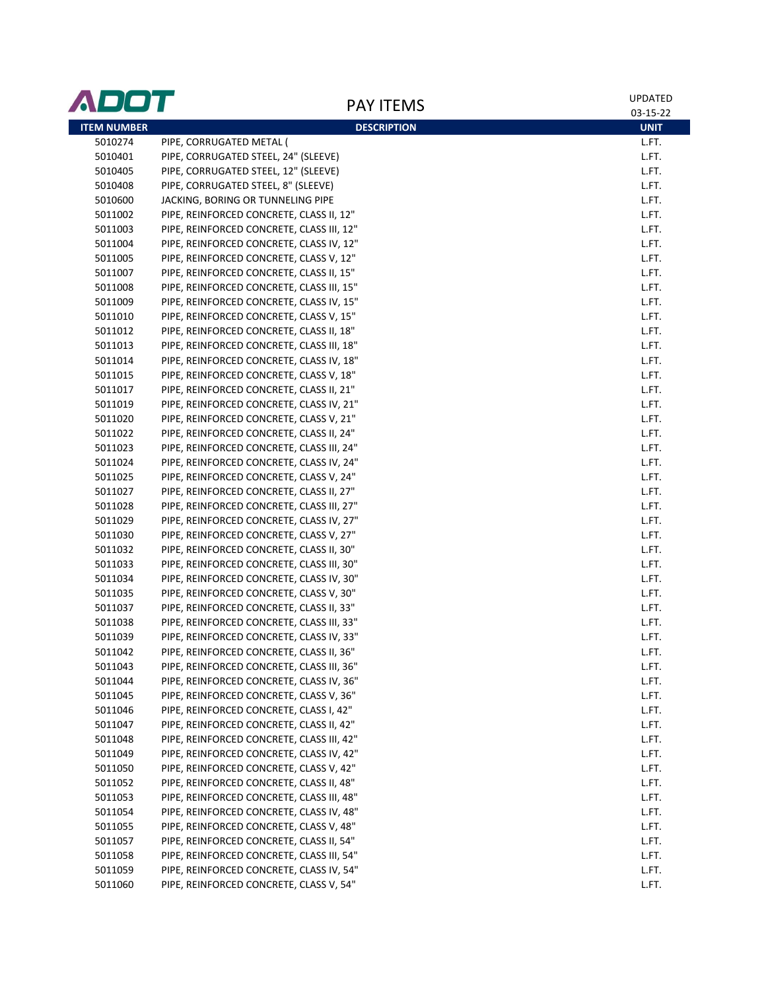| ADOT               | <b>PAY ITEMS</b>                          | <b>UPDATED</b> |
|--------------------|-------------------------------------------|----------------|
|                    |                                           | 03-15-22       |
| <b>ITEM NUMBER</b> | <b>DESCRIPTION</b>                        | <b>UNIT</b>    |
| 5010274            | PIPE, CORRUGATED METAL (                  | L.FT.          |
| 5010401            | PIPE, CORRUGATED STEEL, 24" (SLEEVE)      | L.FT.          |
| 5010405            | PIPE, CORRUGATED STEEL, 12" (SLEEVE)      | L.FT.          |
| 5010408            | PIPE, CORRUGATED STEEL, 8" (SLEEVE)       | L.FT.          |
| 5010600            | JACKING, BORING OR TUNNELING PIPE         | L.FT.          |
| 5011002            | PIPE, REINFORCED CONCRETE, CLASS II, 12"  | L.FT.          |
| 5011003            | PIPE, REINFORCED CONCRETE, CLASS III, 12" | L.FT.          |
| 5011004            | PIPE, REINFORCED CONCRETE, CLASS IV, 12"  | L.FT.          |
| 5011005            | PIPE, REINFORCED CONCRETE, CLASS V, 12"   | L.FT.          |
| 5011007            | PIPE, REINFORCED CONCRETE, CLASS II, 15"  | L.FT.          |
| 5011008            | PIPE, REINFORCED CONCRETE, CLASS III, 15" | L.FT.          |
| 5011009            | PIPE, REINFORCED CONCRETE, CLASS IV, 15"  | L.FT.          |
| 5011010            | PIPE, REINFORCED CONCRETE, CLASS V, 15"   | L.FT.          |
| 5011012            | PIPE, REINFORCED CONCRETE, CLASS II, 18"  | L.FT.          |
| 5011013            | PIPE, REINFORCED CONCRETE, CLASS III, 18" | L.FT.          |
| 5011014            | PIPE, REINFORCED CONCRETE, CLASS IV, 18"  | L.FT.          |
| 5011015            | PIPE, REINFORCED CONCRETE, CLASS V, 18"   | L.FT.          |
| 5011017            | PIPE, REINFORCED CONCRETE, CLASS II, 21"  | L.FT.          |
| 5011019            | PIPE, REINFORCED CONCRETE, CLASS IV, 21"  | L.FT.          |
| 5011020            | PIPE, REINFORCED CONCRETE, CLASS V, 21"   | L.FT.          |
| 5011022            | PIPE, REINFORCED CONCRETE, CLASS II, 24"  | L.FT.          |
| 5011023            | PIPE, REINFORCED CONCRETE, CLASS III, 24" | L.FT.          |
| 5011024            | PIPE, REINFORCED CONCRETE, CLASS IV, 24"  | L.FT.          |
| 5011025            | PIPE, REINFORCED CONCRETE, CLASS V, 24"   | L.FT.          |
| 5011027            | PIPE, REINFORCED CONCRETE, CLASS II, 27"  | L.FT.          |
| 5011028            | PIPE, REINFORCED CONCRETE, CLASS III, 27" | L.FT.          |
| 5011029            | PIPE, REINFORCED CONCRETE, CLASS IV, 27"  | L.FT.          |
| 5011030            | PIPE, REINFORCED CONCRETE, CLASS V, 27"   | L.FT.          |
| 5011032            | PIPE, REINFORCED CONCRETE, CLASS II, 30"  | L.FT.          |
| 5011033            | PIPE, REINFORCED CONCRETE, CLASS III, 30" | L.FT.          |
| 5011034            | PIPE, REINFORCED CONCRETE, CLASS IV, 30"  | L.FT.          |
| 5011035            | PIPE, REINFORCED CONCRETE, CLASS V, 30"   | L.FT.          |
| 5011037            | PIPE, REINFORCED CONCRETE, CLASS II, 33"  | L.FT.          |
| 5011038            | PIPE, REINFORCED CONCRETE, CLASS III, 33" | L.FT.          |
| 5011039            | PIPE, REINFORCED CONCRETE, CLASS IV, 33"  | L.FT.          |
| 5011042            | PIPE, REINFORCED CONCRETE, CLASS II, 36"  | L.FT.          |
| 5011043            | PIPE, REINFORCED CONCRETE, CLASS III, 36" | L.FT.          |
| 5011044            | PIPE, REINFORCED CONCRETE, CLASS IV, 36"  | L.FT.          |
| 5011045            | PIPE, REINFORCED CONCRETE, CLASS V, 36"   | L.FT.          |
| 5011046            | PIPE, REINFORCED CONCRETE, CLASS I, 42"   | L.FT.          |
| 5011047            | PIPE, REINFORCED CONCRETE, CLASS II, 42"  | L.FT.          |
| 5011048            | PIPE, REINFORCED CONCRETE, CLASS III, 42" | L.FT.          |
| 5011049            | PIPE, REINFORCED CONCRETE, CLASS IV, 42"  | L.FT.          |
| 5011050            | PIPE, REINFORCED CONCRETE, CLASS V, 42"   | L.FT.          |
| 5011052            | PIPE, REINFORCED CONCRETE, CLASS II, 48"  | L.FT.          |
| 5011053            | PIPE, REINFORCED CONCRETE, CLASS III, 48" | L.FT.          |
| 5011054            | PIPE, REINFORCED CONCRETE, CLASS IV, 48"  | L.FT.          |
| 5011055            | PIPE, REINFORCED CONCRETE, CLASS V, 48"   | L.FT.          |
| 5011057            | PIPE, REINFORCED CONCRETE, CLASS II, 54"  | L.FT.          |
| 5011058            | PIPE, REINFORCED CONCRETE, CLASS III, 54" | L.FT.          |
| 5011059            | PIPE, REINFORCED CONCRETE, CLASS IV, 54"  | L.FT.          |
| 5011060            | PIPE, REINFORCED CONCRETE, CLASS V, 54"   | L.FT.          |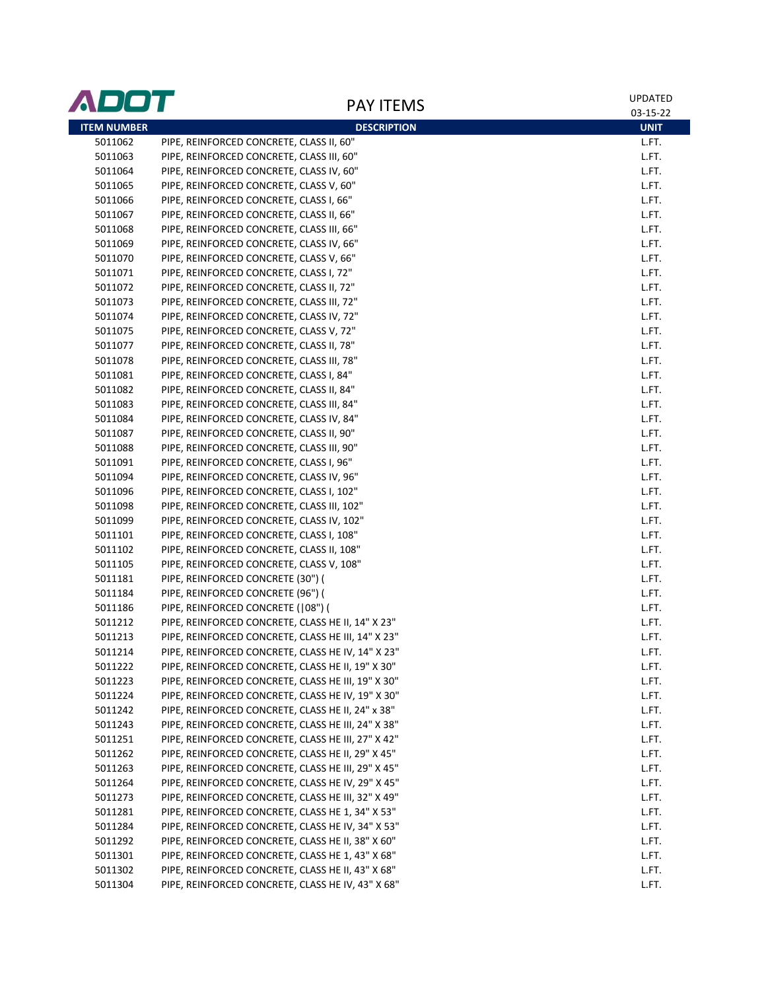| ADOT               | <b>PAY ITEMS</b>                                   | UPDATED     |
|--------------------|----------------------------------------------------|-------------|
|                    |                                                    | 03-15-22    |
| <b>ITEM NUMBER</b> | <b>DESCRIPTION</b>                                 | <b>UNIT</b> |
| 5011062            | PIPE, REINFORCED CONCRETE, CLASS II, 60"           | L.FT.       |
| 5011063            | PIPE, REINFORCED CONCRETE, CLASS III, 60"          | L.FT.       |
| 5011064            | PIPE, REINFORCED CONCRETE, CLASS IV, 60"           | L.FT.       |
| 5011065            | PIPE, REINFORCED CONCRETE, CLASS V, 60"            | L.FT.       |
| 5011066            | PIPE, REINFORCED CONCRETE, CLASS I, 66"            | L.FT.       |
| 5011067            | PIPE, REINFORCED CONCRETE, CLASS II, 66"           | L.FT.       |
| 5011068            | PIPE, REINFORCED CONCRETE, CLASS III, 66"          | L.FT.       |
| 5011069            | PIPE, REINFORCED CONCRETE, CLASS IV, 66"           | L.FT.       |
| 5011070            | PIPE, REINFORCED CONCRETE, CLASS V, 66"            | L.FT.       |
| 5011071            | PIPE, REINFORCED CONCRETE, CLASS I, 72"            | L.FT.       |
| 5011072            | PIPE, REINFORCED CONCRETE, CLASS II, 72"           | L.FT.       |
| 5011073            | PIPE, REINFORCED CONCRETE, CLASS III, 72"          | L.FT.       |
| 5011074            | PIPE, REINFORCED CONCRETE, CLASS IV, 72"           | L.FT.       |
| 5011075            | PIPE, REINFORCED CONCRETE, CLASS V, 72"            | L.FT.       |
| 5011077            | PIPE, REINFORCED CONCRETE, CLASS II, 78"           | L.FT.       |
| 5011078            | PIPE, REINFORCED CONCRETE, CLASS III, 78"          | L.FT.       |
| 5011081            | PIPE, REINFORCED CONCRETE, CLASS I, 84"            | L.FT.       |
| 5011082            | PIPE, REINFORCED CONCRETE, CLASS II, 84"           | L.FT.       |
| 5011083            | PIPE, REINFORCED CONCRETE, CLASS III, 84"          | L.FT.       |
| 5011084            | PIPE, REINFORCED CONCRETE, CLASS IV, 84"           | L.FT.       |
| 5011087            | PIPE, REINFORCED CONCRETE, CLASS II, 90"           | L.FT.       |
| 5011088            | PIPE, REINFORCED CONCRETE, CLASS III, 90"          | L.FT.       |
| 5011091            | PIPE, REINFORCED CONCRETE, CLASS I, 96"            | L.FT.       |
| 5011094            | PIPE, REINFORCED CONCRETE, CLASS IV, 96"           | L.FT.       |
| 5011096            | PIPE, REINFORCED CONCRETE, CLASS I, 102"           | L.FT.       |
| 5011098            | PIPE, REINFORCED CONCRETE, CLASS III, 102"         | L.FT.       |
| 5011099            | PIPE, REINFORCED CONCRETE, CLASS IV, 102"          | L.FT.       |
| 5011101            | PIPE, REINFORCED CONCRETE, CLASS I, 108"           | L.FT.       |
| 5011102            | PIPE, REINFORCED CONCRETE, CLASS II, 108"          | L.FT.       |
| 5011105            | PIPE, REINFORCED CONCRETE, CLASS V, 108"           | L.FT.       |
| 5011181            | PIPE, REINFORCED CONCRETE (30") (                  | L.FT.       |
| 5011184            | PIPE, REINFORCED CONCRETE (96") (                  | L.FT.       |
| 5011186            | PIPE, REINFORCED CONCRETE ( 08") (                 | L.FT.       |
| 5011212            | PIPE, REINFORCED CONCRETE, CLASS HE II, 14" X 23"  | L.FT.       |
| 5011213            | PIPE, REINFORCED CONCRETE, CLASS HE III, 14" X 23" | L.FT.       |
| 5011214            | PIPE, REINFORCED CONCRETE, CLASS HE IV, 14" X 23"  | L.FT.       |
| 5011222            | PIPE, REINFORCED CONCRETE, CLASS HE II, 19" X 30"  | L.FT.       |
| 5011223            | PIPE, REINFORCED CONCRETE, CLASS HE III, 19" X 30" | L.FT.       |
| 5011224            | PIPE, REINFORCED CONCRETE, CLASS HE IV, 19" X 30"  | L.FT.       |
| 5011242            | PIPE, REINFORCED CONCRETE, CLASS HE II, 24" x 38"  | L.FT.       |
| 5011243            | PIPE, REINFORCED CONCRETE, CLASS HE III, 24" X 38" | L.FT.       |
| 5011251            | PIPE, REINFORCED CONCRETE, CLASS HE III, 27" X 42" | L.FT.       |
| 5011262            | PIPE, REINFORCED CONCRETE, CLASS HE II, 29" X 45"  | L.FT.       |
| 5011263            | PIPE, REINFORCED CONCRETE, CLASS HE III, 29" X 45" | L.FT.       |
| 5011264            | PIPE, REINFORCED CONCRETE, CLASS HE IV, 29" X 45"  | L.FT.       |
| 5011273            | PIPE, REINFORCED CONCRETE, CLASS HE III, 32" X 49" | L.FT.       |
| 5011281            | PIPE, REINFORCED CONCRETE, CLASS HE 1, 34" X 53"   | L.FT.       |
| 5011284            | PIPE, REINFORCED CONCRETE, CLASS HE IV, 34" X 53"  | L.FT.       |
| 5011292            | PIPE, REINFORCED CONCRETE, CLASS HE II, 38" X 60"  | L.FT.       |
| 5011301            | PIPE, REINFORCED CONCRETE, CLASS HE 1, 43" X 68"   | L.FT.       |
| 5011302            | PIPE, REINFORCED CONCRETE, CLASS HE II, 43" X 68"  | L.FT.       |
| 5011304            | PIPE, REINFORCED CONCRETE, CLASS HE IV, 43" X 68"  | L.FT.       |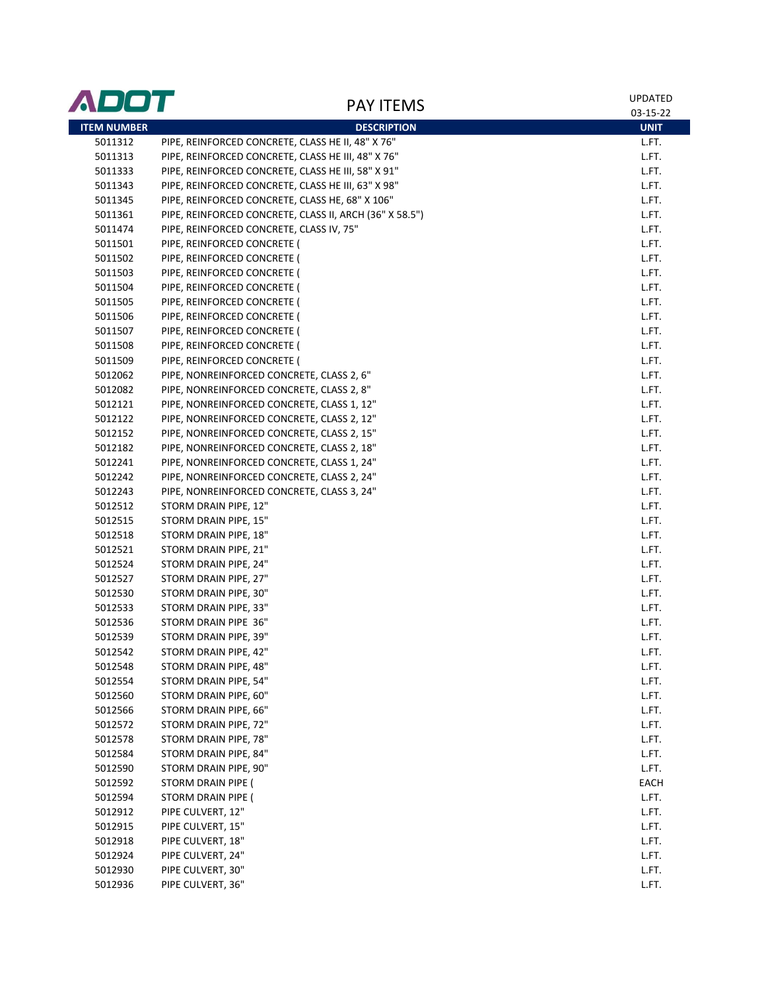| ADOT               |                                                         | <b>UPDATED</b> |
|--------------------|---------------------------------------------------------|----------------|
|                    | <b>PAY ITEMS</b>                                        | 03-15-22       |
| <b>ITEM NUMBER</b> | <b>DESCRIPTION</b>                                      | <b>UNIT</b>    |
| 5011312            | PIPE, REINFORCED CONCRETE, CLASS HE II, 48" X 76"       | L.FT.          |
| 5011313            | PIPE, REINFORCED CONCRETE, CLASS HE III, 48" X 76"      | L.FT.          |
| 5011333            | PIPE, REINFORCED CONCRETE, CLASS HE III, 58" X 91"      | L.FT.          |
| 5011343            | PIPE, REINFORCED CONCRETE, CLASS HE III, 63" X 98"      | L.FT.          |
| 5011345            | PIPE, REINFORCED CONCRETE, CLASS HE, 68" X 106"         | L.FT.          |
| 5011361            | PIPE, REINFORCED CONCRETE, CLASS II, ARCH (36" X 58.5") | L.FT.          |
| 5011474            | PIPE, REINFORCED CONCRETE, CLASS IV, 75"                | L.FT.          |
| 5011501            | PIPE, REINFORCED CONCRETE (                             | L.FT.          |
| 5011502            | PIPE, REINFORCED CONCRETE (                             | L.FT.          |
| 5011503            | PIPE, REINFORCED CONCRETE (                             | L.FT.          |
| 5011504            | PIPE, REINFORCED CONCRETE (                             | L.FT.          |
| 5011505            | PIPE, REINFORCED CONCRETE (                             | L.FT.          |
| 5011506            | PIPE, REINFORCED CONCRETE (                             | L.FT.          |
| 5011507            | PIPE, REINFORCED CONCRETE (                             | L.FT.          |
| 5011508            | PIPE, REINFORCED CONCRETE (                             | L.FT.          |
| 5011509            | PIPE, REINFORCED CONCRETE (                             | L.FT.          |
| 5012062            | PIPE, NONREINFORCED CONCRETE, CLASS 2, 6"               | L.FT.          |
| 5012082            | PIPE, NONREINFORCED CONCRETE, CLASS 2, 8"               | L.FT.          |
| 5012121            | PIPE, NONREINFORCED CONCRETE, CLASS 1, 12"              | L.FT.          |
| 5012122            | PIPE, NONREINFORCED CONCRETE, CLASS 2, 12"              | L.FT.          |
| 5012152            | PIPE, NONREINFORCED CONCRETE, CLASS 2, 15"              | L.FT.          |
| 5012182            | PIPE, NONREINFORCED CONCRETE, CLASS 2, 18"              | L.FT.          |
| 5012241            | PIPE, NONREINFORCED CONCRETE, CLASS 1, 24"              | L.FT.          |
| 5012242            | PIPE, NONREINFORCED CONCRETE, CLASS 2, 24"              | L.FT.          |
| 5012243            | PIPE, NONREINFORCED CONCRETE, CLASS 3, 24"              | L.FT.          |
| 5012512            | STORM DRAIN PIPE, 12"                                   | L.FT.          |
| 5012515            | STORM DRAIN PIPE, 15"                                   | L.FT.          |
| 5012518            | STORM DRAIN PIPE, 18"                                   | L.FT.          |
| 5012521            | STORM DRAIN PIPE, 21"                                   | L.FT.          |
| 5012524            | STORM DRAIN PIPE, 24"                                   | L.FT.          |
| 5012527            | STORM DRAIN PIPE, 27"                                   | L.FT.          |
| 5012530            | STORM DRAIN PIPE, 30"                                   | L.FT.          |
| 5012533            | STORM DRAIN PIPE, 33"                                   | L.FT.          |
| 5012536            | STORM DRAIN PIPE 36"                                    | L.FT.          |
| 5012539            | STORM DRAIN PIPE, 39"                                   | L.FT.          |
| 5012542            | STORM DRAIN PIPE, 42"                                   | L.FT.          |
| 5012548            | STORM DRAIN PIPE, 48"                                   | L.FT.          |
| 5012554            | STORM DRAIN PIPE, 54"                                   | L.FT.          |
| 5012560            | STORM DRAIN PIPE, 60"                                   | L.FT.          |
| 5012566            | STORM DRAIN PIPE, 66"                                   | L.FT.          |
| 5012572            | STORM DRAIN PIPE, 72"                                   | L.FT.          |
| 5012578            | STORM DRAIN PIPE, 78"                                   | L.FT.          |
| 5012584            | STORM DRAIN PIPE, 84"                                   | L.FT.          |
| 5012590            | STORM DRAIN PIPE, 90"                                   | L.FT.          |
| 5012592            | STORM DRAIN PIPE (                                      | EACH           |
| 5012594            | STORM DRAIN PIPE (                                      | L.FT.          |
| 5012912            | PIPE CULVERT, 12"                                       | L.FT.          |
| 5012915            | PIPE CULVERT, 15"                                       | L.FT.          |
| 5012918            | PIPE CULVERT, 18"                                       | L.FT.          |
| 5012924            | PIPE CULVERT, 24"                                       | L.FT.          |
| 5012930            | PIPE CULVERT, 30"                                       | L.FT.          |
| 5012936            | PIPE CULVERT, 36"                                       | L.FT.          |
|                    |                                                         |                |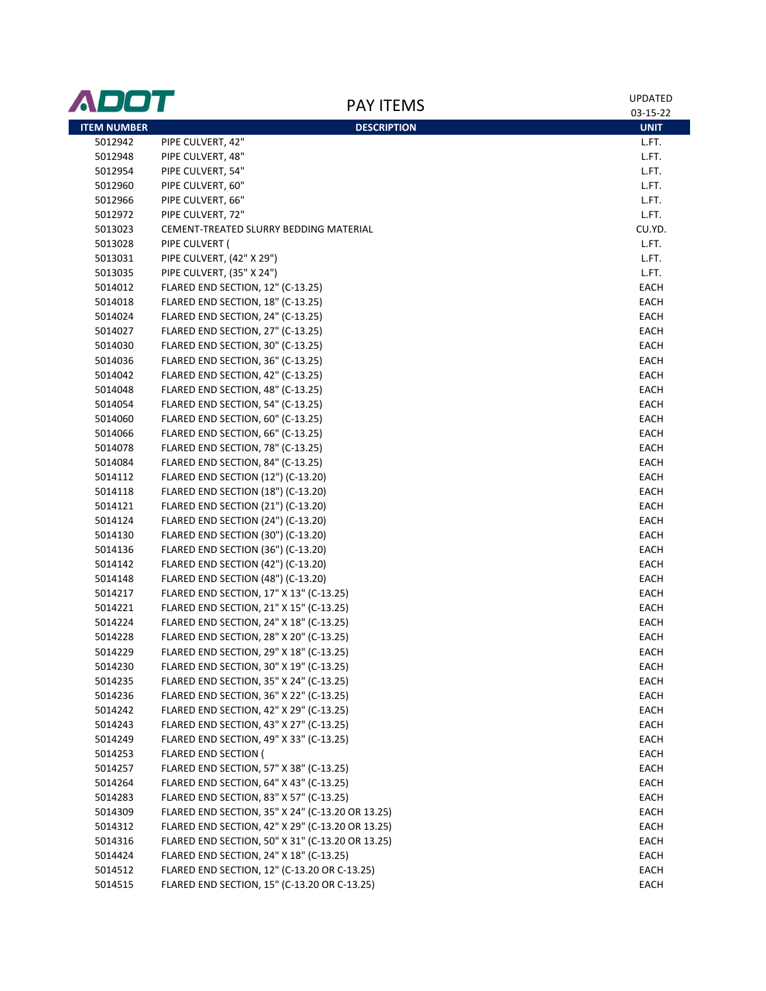| <b>ITEM NUMBER</b><br><b>DESCRIPTION</b><br><b>UNIT</b><br>5012942<br>PIPE CULVERT, 42"<br>L.FT.<br>PIPE CULVERT, 48"<br>5012948<br>L.FT.<br>PIPE CULVERT, 54"<br>5012954<br>L.FT.<br>PIPE CULVERT, 60"<br>5012960<br>L.FT.<br>PIPE CULVERT, 66"<br>5012966<br>L.FT.<br>PIPE CULVERT, 72"<br>5012972<br>L.FT.<br>CU.YD.<br>5013023<br>CEMENT-TREATED SLURRY BEDDING MATERIAL<br>5013028<br>PIPE CULVERT (<br>L.FT.<br>PIPE CULVERT, (42" X 29")<br>5013031<br>L.FT.<br>PIPE CULVERT, (35" X 24")<br>5013035<br>L.FT.<br>FLARED END SECTION, 12" (C-13.25)<br>EACH<br>5014012<br>FLARED END SECTION, 18" (C-13.25)<br>EACH<br>5014018<br>FLARED END SECTION, 24" (C-13.25)<br>5014024<br>EACH<br>FLARED END SECTION, 27" (C-13.25)<br>5014027<br>EACH<br>FLARED END SECTION, 30" (C-13.25)<br>5014030<br>EACH<br>FLARED END SECTION, 36" (C-13.25)<br>EACH<br>5014036<br>FLARED END SECTION, 42" (C-13.25)<br>5014042<br>EACH<br>FLARED END SECTION, 48" (C-13.25)<br>5014048<br>EACH<br>5014054<br>FLARED END SECTION, 54" (C-13.25)<br>EACH<br>5014060<br>FLARED END SECTION, 60" (C-13.25)<br>EACH<br>FLARED END SECTION, 66" (C-13.25)<br>5014066<br>EACH<br>FLARED END SECTION, 78" (C-13.25)<br>5014078<br>EACH<br>FLARED END SECTION, 84" (C-13.25)<br>5014084<br>EACH<br>FLARED END SECTION (12") (C-13.20)<br>EACH<br>5014112<br>FLARED END SECTION (18") (C-13.20)<br>5014118<br>EACH<br>FLARED END SECTION (21") (C-13.20)<br>5014121<br>EACH<br>FLARED END SECTION (24") (C-13.20)<br>5014124<br>EACH<br>FLARED END SECTION (30") (C-13.20)<br>EACH<br>5014130<br>FLARED END SECTION (36") (C-13.20)<br>5014136<br>EACH<br>FLARED END SECTION (42") (C-13.20)<br>5014142<br>EACH<br>5014148<br>FLARED END SECTION (48") (C-13.20)<br>EACH<br>FLARED END SECTION, 17" X 13" (C-13.25)<br>EACH<br>5014217<br>FLARED END SECTION, 21" X 15" (C-13.25)<br>5014221<br>EACH<br>FLARED END SECTION, 24" X 18" (C-13.25)<br>5014224<br>EACH<br>FLARED END SECTION, 28" X 20" (C-13.25)<br>5014228<br>EACH<br>FLARED END SECTION, 29" X 18" (C-13.25)<br>EACH<br>5014229<br>FLARED END SECTION, 30" X 19" (C-13.25)<br>5014230<br>EACH<br>FLARED END SECTION, 35" X 24" (C-13.25)<br>5014235<br>EACH<br>FLARED END SECTION, 36" X 22" (C-13.25)<br>5014236<br>EACH<br>FLARED END SECTION, 42" X 29" (C-13.25)<br>5014242<br>EACH<br>FLARED END SECTION, 43" X 27" (C-13.25)<br>5014243<br>EACH<br>FLARED END SECTION, 49" X 33" (C-13.25)<br>5014249<br>EACH<br>FLARED END SECTION (<br>5014253<br>EACH<br>FLARED END SECTION, 57" X 38" (C-13.25)<br>5014257<br>EACH<br>FLARED END SECTION, 64" X 43" (C-13.25)<br>EACH<br>5014264<br>FLARED END SECTION, 83" X 57" (C-13.25)<br>EACH<br>5014283<br>FLARED END SECTION, 35" X 24" (C-13.20 OR 13.25)<br>5014309<br>EACH<br>FLARED END SECTION, 42" X 29" (C-13.20 OR 13.25)<br>5014312<br>EACH<br>FLARED END SECTION, 50" X 31" (C-13.20 OR 13.25)<br>5014316<br>EACH<br>FLARED END SECTION, 24" X 18" (C-13.25)<br>5014424<br>EACH<br>FLARED END SECTION, 12" (C-13.20 OR C-13.25)<br>5014512<br>EACH<br>FLARED END SECTION, 15" (C-13.20 OR C-13.25)<br>EACH<br>5014515 | ADOT | <b>PAY ITEMS</b> | <b>UPDATED</b><br>03-15-22 |
|------------------------------------------------------------------------------------------------------------------------------------------------------------------------------------------------------------------------------------------------------------------------------------------------------------------------------------------------------------------------------------------------------------------------------------------------------------------------------------------------------------------------------------------------------------------------------------------------------------------------------------------------------------------------------------------------------------------------------------------------------------------------------------------------------------------------------------------------------------------------------------------------------------------------------------------------------------------------------------------------------------------------------------------------------------------------------------------------------------------------------------------------------------------------------------------------------------------------------------------------------------------------------------------------------------------------------------------------------------------------------------------------------------------------------------------------------------------------------------------------------------------------------------------------------------------------------------------------------------------------------------------------------------------------------------------------------------------------------------------------------------------------------------------------------------------------------------------------------------------------------------------------------------------------------------------------------------------------------------------------------------------------------------------------------------------------------------------------------------------------------------------------------------------------------------------------------------------------------------------------------------------------------------------------------------------------------------------------------------------------------------------------------------------------------------------------------------------------------------------------------------------------------------------------------------------------------------------------------------------------------------------------------------------------------------------------------------------------------------------------------------------------------------------------------------------------------------------------------------------------------------------------------------------------------------------------------------------------------------------------------------------------------------------------------------------------------------------------------------------------------|------|------------------|----------------------------|
|                                                                                                                                                                                                                                                                                                                                                                                                                                                                                                                                                                                                                                                                                                                                                                                                                                                                                                                                                                                                                                                                                                                                                                                                                                                                                                                                                                                                                                                                                                                                                                                                                                                                                                                                                                                                                                                                                                                                                                                                                                                                                                                                                                                                                                                                                                                                                                                                                                                                                                                                                                                                                                                                                                                                                                                                                                                                                                                                                                                                                                                                                                                              |      |                  |                            |
|                                                                                                                                                                                                                                                                                                                                                                                                                                                                                                                                                                                                                                                                                                                                                                                                                                                                                                                                                                                                                                                                                                                                                                                                                                                                                                                                                                                                                                                                                                                                                                                                                                                                                                                                                                                                                                                                                                                                                                                                                                                                                                                                                                                                                                                                                                                                                                                                                                                                                                                                                                                                                                                                                                                                                                                                                                                                                                                                                                                                                                                                                                                              |      |                  |                            |
|                                                                                                                                                                                                                                                                                                                                                                                                                                                                                                                                                                                                                                                                                                                                                                                                                                                                                                                                                                                                                                                                                                                                                                                                                                                                                                                                                                                                                                                                                                                                                                                                                                                                                                                                                                                                                                                                                                                                                                                                                                                                                                                                                                                                                                                                                                                                                                                                                                                                                                                                                                                                                                                                                                                                                                                                                                                                                                                                                                                                                                                                                                                              |      |                  |                            |
|                                                                                                                                                                                                                                                                                                                                                                                                                                                                                                                                                                                                                                                                                                                                                                                                                                                                                                                                                                                                                                                                                                                                                                                                                                                                                                                                                                                                                                                                                                                                                                                                                                                                                                                                                                                                                                                                                                                                                                                                                                                                                                                                                                                                                                                                                                                                                                                                                                                                                                                                                                                                                                                                                                                                                                                                                                                                                                                                                                                                                                                                                                                              |      |                  |                            |
|                                                                                                                                                                                                                                                                                                                                                                                                                                                                                                                                                                                                                                                                                                                                                                                                                                                                                                                                                                                                                                                                                                                                                                                                                                                                                                                                                                                                                                                                                                                                                                                                                                                                                                                                                                                                                                                                                                                                                                                                                                                                                                                                                                                                                                                                                                                                                                                                                                                                                                                                                                                                                                                                                                                                                                                                                                                                                                                                                                                                                                                                                                                              |      |                  |                            |
|                                                                                                                                                                                                                                                                                                                                                                                                                                                                                                                                                                                                                                                                                                                                                                                                                                                                                                                                                                                                                                                                                                                                                                                                                                                                                                                                                                                                                                                                                                                                                                                                                                                                                                                                                                                                                                                                                                                                                                                                                                                                                                                                                                                                                                                                                                                                                                                                                                                                                                                                                                                                                                                                                                                                                                                                                                                                                                                                                                                                                                                                                                                              |      |                  |                            |
|                                                                                                                                                                                                                                                                                                                                                                                                                                                                                                                                                                                                                                                                                                                                                                                                                                                                                                                                                                                                                                                                                                                                                                                                                                                                                                                                                                                                                                                                                                                                                                                                                                                                                                                                                                                                                                                                                                                                                                                                                                                                                                                                                                                                                                                                                                                                                                                                                                                                                                                                                                                                                                                                                                                                                                                                                                                                                                                                                                                                                                                                                                                              |      |                  |                            |
|                                                                                                                                                                                                                                                                                                                                                                                                                                                                                                                                                                                                                                                                                                                                                                                                                                                                                                                                                                                                                                                                                                                                                                                                                                                                                                                                                                                                                                                                                                                                                                                                                                                                                                                                                                                                                                                                                                                                                                                                                                                                                                                                                                                                                                                                                                                                                                                                                                                                                                                                                                                                                                                                                                                                                                                                                                                                                                                                                                                                                                                                                                                              |      |                  |                            |
|                                                                                                                                                                                                                                                                                                                                                                                                                                                                                                                                                                                                                                                                                                                                                                                                                                                                                                                                                                                                                                                                                                                                                                                                                                                                                                                                                                                                                                                                                                                                                                                                                                                                                                                                                                                                                                                                                                                                                                                                                                                                                                                                                                                                                                                                                                                                                                                                                                                                                                                                                                                                                                                                                                                                                                                                                                                                                                                                                                                                                                                                                                                              |      |                  |                            |
|                                                                                                                                                                                                                                                                                                                                                                                                                                                                                                                                                                                                                                                                                                                                                                                                                                                                                                                                                                                                                                                                                                                                                                                                                                                                                                                                                                                                                                                                                                                                                                                                                                                                                                                                                                                                                                                                                                                                                                                                                                                                                                                                                                                                                                                                                                                                                                                                                                                                                                                                                                                                                                                                                                                                                                                                                                                                                                                                                                                                                                                                                                                              |      |                  |                            |
|                                                                                                                                                                                                                                                                                                                                                                                                                                                                                                                                                                                                                                                                                                                                                                                                                                                                                                                                                                                                                                                                                                                                                                                                                                                                                                                                                                                                                                                                                                                                                                                                                                                                                                                                                                                                                                                                                                                                                                                                                                                                                                                                                                                                                                                                                                                                                                                                                                                                                                                                                                                                                                                                                                                                                                                                                                                                                                                                                                                                                                                                                                                              |      |                  |                            |
|                                                                                                                                                                                                                                                                                                                                                                                                                                                                                                                                                                                                                                                                                                                                                                                                                                                                                                                                                                                                                                                                                                                                                                                                                                                                                                                                                                                                                                                                                                                                                                                                                                                                                                                                                                                                                                                                                                                                                                                                                                                                                                                                                                                                                                                                                                                                                                                                                                                                                                                                                                                                                                                                                                                                                                                                                                                                                                                                                                                                                                                                                                                              |      |                  |                            |
|                                                                                                                                                                                                                                                                                                                                                                                                                                                                                                                                                                                                                                                                                                                                                                                                                                                                                                                                                                                                                                                                                                                                                                                                                                                                                                                                                                                                                                                                                                                                                                                                                                                                                                                                                                                                                                                                                                                                                                                                                                                                                                                                                                                                                                                                                                                                                                                                                                                                                                                                                                                                                                                                                                                                                                                                                                                                                                                                                                                                                                                                                                                              |      |                  |                            |
|                                                                                                                                                                                                                                                                                                                                                                                                                                                                                                                                                                                                                                                                                                                                                                                                                                                                                                                                                                                                                                                                                                                                                                                                                                                                                                                                                                                                                                                                                                                                                                                                                                                                                                                                                                                                                                                                                                                                                                                                                                                                                                                                                                                                                                                                                                                                                                                                                                                                                                                                                                                                                                                                                                                                                                                                                                                                                                                                                                                                                                                                                                                              |      |                  |                            |
|                                                                                                                                                                                                                                                                                                                                                                                                                                                                                                                                                                                                                                                                                                                                                                                                                                                                                                                                                                                                                                                                                                                                                                                                                                                                                                                                                                                                                                                                                                                                                                                                                                                                                                                                                                                                                                                                                                                                                                                                                                                                                                                                                                                                                                                                                                                                                                                                                                                                                                                                                                                                                                                                                                                                                                                                                                                                                                                                                                                                                                                                                                                              |      |                  |                            |
|                                                                                                                                                                                                                                                                                                                                                                                                                                                                                                                                                                                                                                                                                                                                                                                                                                                                                                                                                                                                                                                                                                                                                                                                                                                                                                                                                                                                                                                                                                                                                                                                                                                                                                                                                                                                                                                                                                                                                                                                                                                                                                                                                                                                                                                                                                                                                                                                                                                                                                                                                                                                                                                                                                                                                                                                                                                                                                                                                                                                                                                                                                                              |      |                  |                            |
|                                                                                                                                                                                                                                                                                                                                                                                                                                                                                                                                                                                                                                                                                                                                                                                                                                                                                                                                                                                                                                                                                                                                                                                                                                                                                                                                                                                                                                                                                                                                                                                                                                                                                                                                                                                                                                                                                                                                                                                                                                                                                                                                                                                                                                                                                                                                                                                                                                                                                                                                                                                                                                                                                                                                                                                                                                                                                                                                                                                                                                                                                                                              |      |                  |                            |
|                                                                                                                                                                                                                                                                                                                                                                                                                                                                                                                                                                                                                                                                                                                                                                                                                                                                                                                                                                                                                                                                                                                                                                                                                                                                                                                                                                                                                                                                                                                                                                                                                                                                                                                                                                                                                                                                                                                                                                                                                                                                                                                                                                                                                                                                                                                                                                                                                                                                                                                                                                                                                                                                                                                                                                                                                                                                                                                                                                                                                                                                                                                              |      |                  |                            |
|                                                                                                                                                                                                                                                                                                                                                                                                                                                                                                                                                                                                                                                                                                                                                                                                                                                                                                                                                                                                                                                                                                                                                                                                                                                                                                                                                                                                                                                                                                                                                                                                                                                                                                                                                                                                                                                                                                                                                                                                                                                                                                                                                                                                                                                                                                                                                                                                                                                                                                                                                                                                                                                                                                                                                                                                                                                                                                                                                                                                                                                                                                                              |      |                  |                            |
|                                                                                                                                                                                                                                                                                                                                                                                                                                                                                                                                                                                                                                                                                                                                                                                                                                                                                                                                                                                                                                                                                                                                                                                                                                                                                                                                                                                                                                                                                                                                                                                                                                                                                                                                                                                                                                                                                                                                                                                                                                                                                                                                                                                                                                                                                                                                                                                                                                                                                                                                                                                                                                                                                                                                                                                                                                                                                                                                                                                                                                                                                                                              |      |                  |                            |
|                                                                                                                                                                                                                                                                                                                                                                                                                                                                                                                                                                                                                                                                                                                                                                                                                                                                                                                                                                                                                                                                                                                                                                                                                                                                                                                                                                                                                                                                                                                                                                                                                                                                                                                                                                                                                                                                                                                                                                                                                                                                                                                                                                                                                                                                                                                                                                                                                                                                                                                                                                                                                                                                                                                                                                                                                                                                                                                                                                                                                                                                                                                              |      |                  |                            |
|                                                                                                                                                                                                                                                                                                                                                                                                                                                                                                                                                                                                                                                                                                                                                                                                                                                                                                                                                                                                                                                                                                                                                                                                                                                                                                                                                                                                                                                                                                                                                                                                                                                                                                                                                                                                                                                                                                                                                                                                                                                                                                                                                                                                                                                                                                                                                                                                                                                                                                                                                                                                                                                                                                                                                                                                                                                                                                                                                                                                                                                                                                                              |      |                  |                            |
|                                                                                                                                                                                                                                                                                                                                                                                                                                                                                                                                                                                                                                                                                                                                                                                                                                                                                                                                                                                                                                                                                                                                                                                                                                                                                                                                                                                                                                                                                                                                                                                                                                                                                                                                                                                                                                                                                                                                                                                                                                                                                                                                                                                                                                                                                                                                                                                                                                                                                                                                                                                                                                                                                                                                                                                                                                                                                                                                                                                                                                                                                                                              |      |                  |                            |
|                                                                                                                                                                                                                                                                                                                                                                                                                                                                                                                                                                                                                                                                                                                                                                                                                                                                                                                                                                                                                                                                                                                                                                                                                                                                                                                                                                                                                                                                                                                                                                                                                                                                                                                                                                                                                                                                                                                                                                                                                                                                                                                                                                                                                                                                                                                                                                                                                                                                                                                                                                                                                                                                                                                                                                                                                                                                                                                                                                                                                                                                                                                              |      |                  |                            |
|                                                                                                                                                                                                                                                                                                                                                                                                                                                                                                                                                                                                                                                                                                                                                                                                                                                                                                                                                                                                                                                                                                                                                                                                                                                                                                                                                                                                                                                                                                                                                                                                                                                                                                                                                                                                                                                                                                                                                                                                                                                                                                                                                                                                                                                                                                                                                                                                                                                                                                                                                                                                                                                                                                                                                                                                                                                                                                                                                                                                                                                                                                                              |      |                  |                            |
|                                                                                                                                                                                                                                                                                                                                                                                                                                                                                                                                                                                                                                                                                                                                                                                                                                                                                                                                                                                                                                                                                                                                                                                                                                                                                                                                                                                                                                                                                                                                                                                                                                                                                                                                                                                                                                                                                                                                                                                                                                                                                                                                                                                                                                                                                                                                                                                                                                                                                                                                                                                                                                                                                                                                                                                                                                                                                                                                                                                                                                                                                                                              |      |                  |                            |
|                                                                                                                                                                                                                                                                                                                                                                                                                                                                                                                                                                                                                                                                                                                                                                                                                                                                                                                                                                                                                                                                                                                                                                                                                                                                                                                                                                                                                                                                                                                                                                                                                                                                                                                                                                                                                                                                                                                                                                                                                                                                                                                                                                                                                                                                                                                                                                                                                                                                                                                                                                                                                                                                                                                                                                                                                                                                                                                                                                                                                                                                                                                              |      |                  |                            |
|                                                                                                                                                                                                                                                                                                                                                                                                                                                                                                                                                                                                                                                                                                                                                                                                                                                                                                                                                                                                                                                                                                                                                                                                                                                                                                                                                                                                                                                                                                                                                                                                                                                                                                                                                                                                                                                                                                                                                                                                                                                                                                                                                                                                                                                                                                                                                                                                                                                                                                                                                                                                                                                                                                                                                                                                                                                                                                                                                                                                                                                                                                                              |      |                  |                            |
|                                                                                                                                                                                                                                                                                                                                                                                                                                                                                                                                                                                                                                                                                                                                                                                                                                                                                                                                                                                                                                                                                                                                                                                                                                                                                                                                                                                                                                                                                                                                                                                                                                                                                                                                                                                                                                                                                                                                                                                                                                                                                                                                                                                                                                                                                                                                                                                                                                                                                                                                                                                                                                                                                                                                                                                                                                                                                                                                                                                                                                                                                                                              |      |                  |                            |
|                                                                                                                                                                                                                                                                                                                                                                                                                                                                                                                                                                                                                                                                                                                                                                                                                                                                                                                                                                                                                                                                                                                                                                                                                                                                                                                                                                                                                                                                                                                                                                                                                                                                                                                                                                                                                                                                                                                                                                                                                                                                                                                                                                                                                                                                                                                                                                                                                                                                                                                                                                                                                                                                                                                                                                                                                                                                                                                                                                                                                                                                                                                              |      |                  |                            |
|                                                                                                                                                                                                                                                                                                                                                                                                                                                                                                                                                                                                                                                                                                                                                                                                                                                                                                                                                                                                                                                                                                                                                                                                                                                                                                                                                                                                                                                                                                                                                                                                                                                                                                                                                                                                                                                                                                                                                                                                                                                                                                                                                                                                                                                                                                                                                                                                                                                                                                                                                                                                                                                                                                                                                                                                                                                                                                                                                                                                                                                                                                                              |      |                  |                            |
|                                                                                                                                                                                                                                                                                                                                                                                                                                                                                                                                                                                                                                                                                                                                                                                                                                                                                                                                                                                                                                                                                                                                                                                                                                                                                                                                                                                                                                                                                                                                                                                                                                                                                                                                                                                                                                                                                                                                                                                                                                                                                                                                                                                                                                                                                                                                                                                                                                                                                                                                                                                                                                                                                                                                                                                                                                                                                                                                                                                                                                                                                                                              |      |                  |                            |
|                                                                                                                                                                                                                                                                                                                                                                                                                                                                                                                                                                                                                                                                                                                                                                                                                                                                                                                                                                                                                                                                                                                                                                                                                                                                                                                                                                                                                                                                                                                                                                                                                                                                                                                                                                                                                                                                                                                                                                                                                                                                                                                                                                                                                                                                                                                                                                                                                                                                                                                                                                                                                                                                                                                                                                                                                                                                                                                                                                                                                                                                                                                              |      |                  |                            |
|                                                                                                                                                                                                                                                                                                                                                                                                                                                                                                                                                                                                                                                                                                                                                                                                                                                                                                                                                                                                                                                                                                                                                                                                                                                                                                                                                                                                                                                                                                                                                                                                                                                                                                                                                                                                                                                                                                                                                                                                                                                                                                                                                                                                                                                                                                                                                                                                                                                                                                                                                                                                                                                                                                                                                                                                                                                                                                                                                                                                                                                                                                                              |      |                  |                            |
|                                                                                                                                                                                                                                                                                                                                                                                                                                                                                                                                                                                                                                                                                                                                                                                                                                                                                                                                                                                                                                                                                                                                                                                                                                                                                                                                                                                                                                                                                                                                                                                                                                                                                                                                                                                                                                                                                                                                                                                                                                                                                                                                                                                                                                                                                                                                                                                                                                                                                                                                                                                                                                                                                                                                                                                                                                                                                                                                                                                                                                                                                                                              |      |                  |                            |
|                                                                                                                                                                                                                                                                                                                                                                                                                                                                                                                                                                                                                                                                                                                                                                                                                                                                                                                                                                                                                                                                                                                                                                                                                                                                                                                                                                                                                                                                                                                                                                                                                                                                                                                                                                                                                                                                                                                                                                                                                                                                                                                                                                                                                                                                                                                                                                                                                                                                                                                                                                                                                                                                                                                                                                                                                                                                                                                                                                                                                                                                                                                              |      |                  |                            |
|                                                                                                                                                                                                                                                                                                                                                                                                                                                                                                                                                                                                                                                                                                                                                                                                                                                                                                                                                                                                                                                                                                                                                                                                                                                                                                                                                                                                                                                                                                                                                                                                                                                                                                                                                                                                                                                                                                                                                                                                                                                                                                                                                                                                                                                                                                                                                                                                                                                                                                                                                                                                                                                                                                                                                                                                                                                                                                                                                                                                                                                                                                                              |      |                  |                            |
|                                                                                                                                                                                                                                                                                                                                                                                                                                                                                                                                                                                                                                                                                                                                                                                                                                                                                                                                                                                                                                                                                                                                                                                                                                                                                                                                                                                                                                                                                                                                                                                                                                                                                                                                                                                                                                                                                                                                                                                                                                                                                                                                                                                                                                                                                                                                                                                                                                                                                                                                                                                                                                                                                                                                                                                                                                                                                                                                                                                                                                                                                                                              |      |                  |                            |
|                                                                                                                                                                                                                                                                                                                                                                                                                                                                                                                                                                                                                                                                                                                                                                                                                                                                                                                                                                                                                                                                                                                                                                                                                                                                                                                                                                                                                                                                                                                                                                                                                                                                                                                                                                                                                                                                                                                                                                                                                                                                                                                                                                                                                                                                                                                                                                                                                                                                                                                                                                                                                                                                                                                                                                                                                                                                                                                                                                                                                                                                                                                              |      |                  |                            |
|                                                                                                                                                                                                                                                                                                                                                                                                                                                                                                                                                                                                                                                                                                                                                                                                                                                                                                                                                                                                                                                                                                                                                                                                                                                                                                                                                                                                                                                                                                                                                                                                                                                                                                                                                                                                                                                                                                                                                                                                                                                                                                                                                                                                                                                                                                                                                                                                                                                                                                                                                                                                                                                                                                                                                                                                                                                                                                                                                                                                                                                                                                                              |      |                  |                            |
|                                                                                                                                                                                                                                                                                                                                                                                                                                                                                                                                                                                                                                                                                                                                                                                                                                                                                                                                                                                                                                                                                                                                                                                                                                                                                                                                                                                                                                                                                                                                                                                                                                                                                                                                                                                                                                                                                                                                                                                                                                                                                                                                                                                                                                                                                                                                                                                                                                                                                                                                                                                                                                                                                                                                                                                                                                                                                                                                                                                                                                                                                                                              |      |                  |                            |
|                                                                                                                                                                                                                                                                                                                                                                                                                                                                                                                                                                                                                                                                                                                                                                                                                                                                                                                                                                                                                                                                                                                                                                                                                                                                                                                                                                                                                                                                                                                                                                                                                                                                                                                                                                                                                                                                                                                                                                                                                                                                                                                                                                                                                                                                                                                                                                                                                                                                                                                                                                                                                                                                                                                                                                                                                                                                                                                                                                                                                                                                                                                              |      |                  |                            |
|                                                                                                                                                                                                                                                                                                                                                                                                                                                                                                                                                                                                                                                                                                                                                                                                                                                                                                                                                                                                                                                                                                                                                                                                                                                                                                                                                                                                                                                                                                                                                                                                                                                                                                                                                                                                                                                                                                                                                                                                                                                                                                                                                                                                                                                                                                                                                                                                                                                                                                                                                                                                                                                                                                                                                                                                                                                                                                                                                                                                                                                                                                                              |      |                  |                            |
|                                                                                                                                                                                                                                                                                                                                                                                                                                                                                                                                                                                                                                                                                                                                                                                                                                                                                                                                                                                                                                                                                                                                                                                                                                                                                                                                                                                                                                                                                                                                                                                                                                                                                                                                                                                                                                                                                                                                                                                                                                                                                                                                                                                                                                                                                                                                                                                                                                                                                                                                                                                                                                                                                                                                                                                                                                                                                                                                                                                                                                                                                                                              |      |                  |                            |
|                                                                                                                                                                                                                                                                                                                                                                                                                                                                                                                                                                                                                                                                                                                                                                                                                                                                                                                                                                                                                                                                                                                                                                                                                                                                                                                                                                                                                                                                                                                                                                                                                                                                                                                                                                                                                                                                                                                                                                                                                                                                                                                                                                                                                                                                                                                                                                                                                                                                                                                                                                                                                                                                                                                                                                                                                                                                                                                                                                                                                                                                                                                              |      |                  |                            |
|                                                                                                                                                                                                                                                                                                                                                                                                                                                                                                                                                                                                                                                                                                                                                                                                                                                                                                                                                                                                                                                                                                                                                                                                                                                                                                                                                                                                                                                                                                                                                                                                                                                                                                                                                                                                                                                                                                                                                                                                                                                                                                                                                                                                                                                                                                                                                                                                                                                                                                                                                                                                                                                                                                                                                                                                                                                                                                                                                                                                                                                                                                                              |      |                  |                            |
|                                                                                                                                                                                                                                                                                                                                                                                                                                                                                                                                                                                                                                                                                                                                                                                                                                                                                                                                                                                                                                                                                                                                                                                                                                                                                                                                                                                                                                                                                                                                                                                                                                                                                                                                                                                                                                                                                                                                                                                                                                                                                                                                                                                                                                                                                                                                                                                                                                                                                                                                                                                                                                                                                                                                                                                                                                                                                                                                                                                                                                                                                                                              |      |                  |                            |
|                                                                                                                                                                                                                                                                                                                                                                                                                                                                                                                                                                                                                                                                                                                                                                                                                                                                                                                                                                                                                                                                                                                                                                                                                                                                                                                                                                                                                                                                                                                                                                                                                                                                                                                                                                                                                                                                                                                                                                                                                                                                                                                                                                                                                                                                                                                                                                                                                                                                                                                                                                                                                                                                                                                                                                                                                                                                                                                                                                                                                                                                                                                              |      |                  |                            |
|                                                                                                                                                                                                                                                                                                                                                                                                                                                                                                                                                                                                                                                                                                                                                                                                                                                                                                                                                                                                                                                                                                                                                                                                                                                                                                                                                                                                                                                                                                                                                                                                                                                                                                                                                                                                                                                                                                                                                                                                                                                                                                                                                                                                                                                                                                                                                                                                                                                                                                                                                                                                                                                                                                                                                                                                                                                                                                                                                                                                                                                                                                                              |      |                  |                            |
|                                                                                                                                                                                                                                                                                                                                                                                                                                                                                                                                                                                                                                                                                                                                                                                                                                                                                                                                                                                                                                                                                                                                                                                                                                                                                                                                                                                                                                                                                                                                                                                                                                                                                                                                                                                                                                                                                                                                                                                                                                                                                                                                                                                                                                                                                                                                                                                                                                                                                                                                                                                                                                                                                                                                                                                                                                                                                                                                                                                                                                                                                                                              |      |                  |                            |
|                                                                                                                                                                                                                                                                                                                                                                                                                                                                                                                                                                                                                                                                                                                                                                                                                                                                                                                                                                                                                                                                                                                                                                                                                                                                                                                                                                                                                                                                                                                                                                                                                                                                                                                                                                                                                                                                                                                                                                                                                                                                                                                                                                                                                                                                                                                                                                                                                                                                                                                                                                                                                                                                                                                                                                                                                                                                                                                                                                                                                                                                                                                              |      |                  |                            |
|                                                                                                                                                                                                                                                                                                                                                                                                                                                                                                                                                                                                                                                                                                                                                                                                                                                                                                                                                                                                                                                                                                                                                                                                                                                                                                                                                                                                                                                                                                                                                                                                                                                                                                                                                                                                                                                                                                                                                                                                                                                                                                                                                                                                                                                                                                                                                                                                                                                                                                                                                                                                                                                                                                                                                                                                                                                                                                                                                                                                                                                                                                                              |      |                  |                            |
|                                                                                                                                                                                                                                                                                                                                                                                                                                                                                                                                                                                                                                                                                                                                                                                                                                                                                                                                                                                                                                                                                                                                                                                                                                                                                                                                                                                                                                                                                                                                                                                                                                                                                                                                                                                                                                                                                                                                                                                                                                                                                                                                                                                                                                                                                                                                                                                                                                                                                                                                                                                                                                                                                                                                                                                                                                                                                                                                                                                                                                                                                                                              |      |                  |                            |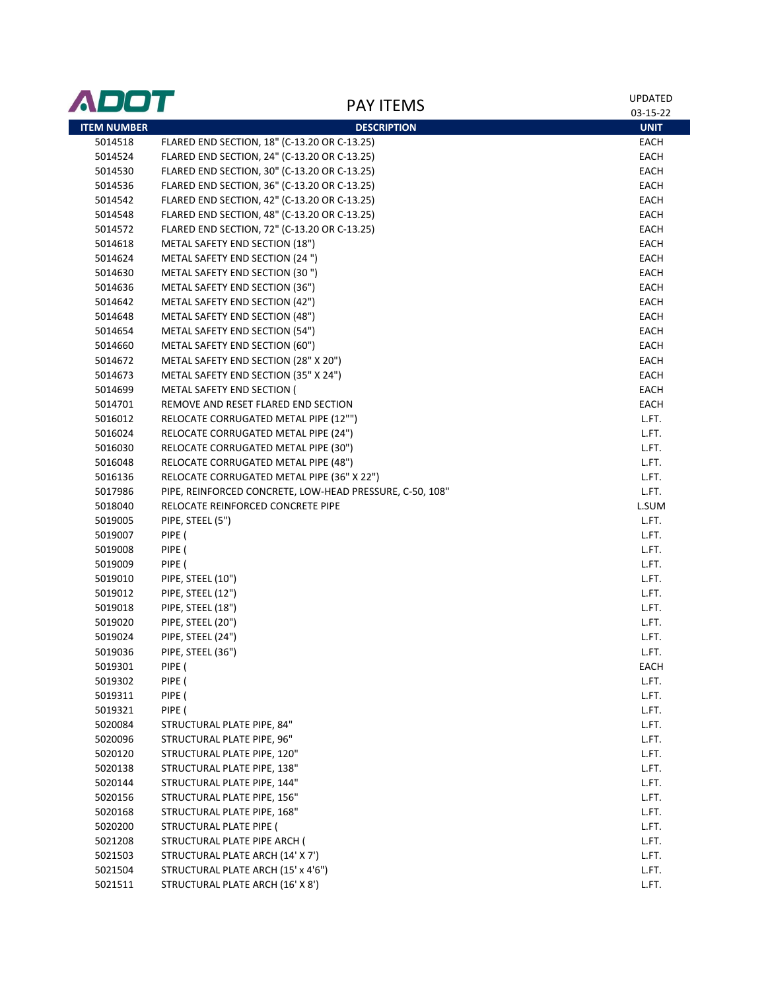| ADOT               | <b>PAY ITEMS</b>                                                                              | <b>UPDATED</b> |
|--------------------|-----------------------------------------------------------------------------------------------|----------------|
|                    |                                                                                               | 03-15-22       |
| <b>ITEM NUMBER</b> | <b>DESCRIPTION</b>                                                                            | <b>UNIT</b>    |
| 5014518            | FLARED END SECTION, 18" (C-13.20 OR C-13.25)<br>FLARED END SECTION, 24" (C-13.20 OR C-13.25)  | EACH<br>EACH   |
| 5014524<br>5014530 | FLARED END SECTION, 30" (C-13.20 OR C-13.25)                                                  | EACH           |
| 5014536            | FLARED END SECTION, 36" (C-13.20 OR C-13.25)                                                  | EACH           |
| 5014542            | FLARED END SECTION, 42" (C-13.20 OR C-13.25)                                                  | EACH           |
|                    | FLARED END SECTION, 48" (C-13.20 OR C-13.25)                                                  | EACH           |
| 5014548            | FLARED END SECTION, 72" (C-13.20 OR C-13.25)                                                  | EACH           |
| 5014572<br>5014618 | METAL SAFETY END SECTION (18")                                                                | EACH           |
|                    |                                                                                               |                |
| 5014624            | METAL SAFETY END SECTION (24 ")                                                               | EACH           |
| 5014630            | METAL SAFETY END SECTION (30")<br>METAL SAFETY END SECTION (36")                              | EACH<br>EACH   |
| 5014636            | METAL SAFETY END SECTION (42")                                                                | EACH           |
| 5014642            |                                                                                               |                |
| 5014648            | METAL SAFETY END SECTION (48")                                                                | EACH           |
| 5014654            | METAL SAFETY END SECTION (54")                                                                | EACH           |
| 5014660            | METAL SAFETY END SECTION (60")                                                                | EACH           |
| 5014672            | METAL SAFETY END SECTION (28" X 20")<br>METAL SAFETY END SECTION (35" X 24")                  | EACH           |
| 5014673            | METAL SAFETY END SECTION (                                                                    | EACH           |
| 5014699            |                                                                                               | EACH           |
| 5014701            | REMOVE AND RESET FLARED END SECTION                                                           | EACH           |
| 5016012            | RELOCATE CORRUGATED METAL PIPE (12"")                                                         | L.FT.          |
| 5016024            | RELOCATE CORRUGATED METAL PIPE (24")                                                          | L.FT.          |
| 5016030            | RELOCATE CORRUGATED METAL PIPE (30")                                                          | L.FT.          |
| 5016048            | RELOCATE CORRUGATED METAL PIPE (48")                                                          | L.FT.          |
| 5016136            | RELOCATE CORRUGATED METAL PIPE (36" X 22")                                                    | L.FT.          |
| 5017986<br>5018040 | PIPE, REINFORCED CONCRETE, LOW-HEAD PRESSURE, C-50, 108"<br>RELOCATE REINFORCED CONCRETE PIPE | L.FT.<br>L.SUM |
|                    | PIPE, STEEL (5")                                                                              | L.FT.          |
| 5019005            | PIPE (                                                                                        | L.FT.          |
| 5019007<br>5019008 | PIPE (                                                                                        |                |
| 5019009            | PIPE (                                                                                        | L.FT.<br>L.FT. |
| 5019010            | PIPE, STEEL (10")                                                                             | L.FT.          |
| 5019012            | PIPE, STEEL (12")                                                                             | L.FT.          |
| 5019018            | PIPE, STEEL (18")                                                                             | L.FT.          |
| 5019020            | PIPE, STEEL (20")                                                                             | L.FT.          |
| 5019024            | PIPE, STEEL (24")                                                                             | L.FT.          |
| 5019036            | PIPE, STEEL (36")                                                                             | L.FT.          |
| 5019301            | PIPE (                                                                                        | EACH           |
| 5019302            | PIPE (                                                                                        | L.FT.          |
| 5019311            | PIPE (                                                                                        | L.FT.          |
| 5019321            | PIPE (                                                                                        | L.FT.          |
| 5020084            | STRUCTURAL PLATE PIPE, 84"                                                                    | L.FT.          |
| 5020096            | STRUCTURAL PLATE PIPE, 96"                                                                    | L.FT.          |
| 5020120            | STRUCTURAL PLATE PIPE, 120"                                                                   | L.FT.          |
| 5020138            | STRUCTURAL PLATE PIPE, 138"                                                                   | L.FT.          |
| 5020144            | STRUCTURAL PLATE PIPE, 144"                                                                   | L.FT.          |
| 5020156            | STRUCTURAL PLATE PIPE, 156"                                                                   | L.FT.          |
| 5020168            | STRUCTURAL PLATE PIPE, 168"                                                                   | L.FT.          |
| 5020200            | STRUCTURAL PLATE PIPE (                                                                       | L.FT.          |
| 5021208            | STRUCTURAL PLATE PIPE ARCH (                                                                  | L.FT.          |
| 5021503            | STRUCTURAL PLATE ARCH (14' X 7')                                                              | L.FT.          |
| 5021504            | STRUCTURAL PLATE ARCH (15' x 4'6")                                                            | L.FT.          |
| 5021511            | STRUCTURAL PLATE ARCH (16' X 8')                                                              | L.FT.          |
|                    |                                                                                               |                |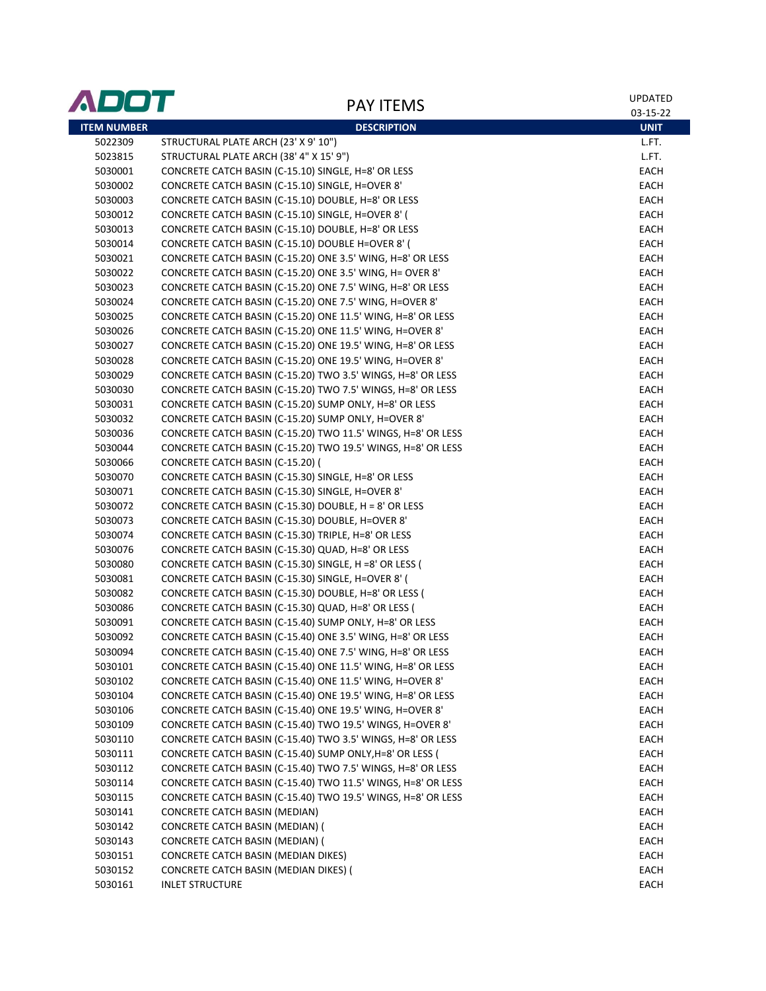| ADOT               | <b>PAY ITEMS</b>                                             | <b>UPDATED</b><br>03-15-22 |
|--------------------|--------------------------------------------------------------|----------------------------|
| <b>ITEM NUMBER</b> | <b>DESCRIPTION</b>                                           | <b>UNIT</b>                |
| 5022309            | STRUCTURAL PLATE ARCH (23' X 9' 10")                         | L.FT.                      |
| 5023815            | STRUCTURAL PLATE ARCH (38' 4" X 15' 9")                      | L.FT.                      |
| 5030001            | CONCRETE CATCH BASIN (C-15.10) SINGLE, H=8' OR LESS          | EACH                       |
| 5030002            | CONCRETE CATCH BASIN (C-15.10) SINGLE, H=OVER 8'             | EACH                       |
| 5030003            | CONCRETE CATCH BASIN (C-15.10) DOUBLE, H=8' OR LESS          | EACH                       |
| 5030012            | CONCRETE CATCH BASIN (C-15.10) SINGLE, H=OVER 8' (           | EACH                       |
| 5030013            | CONCRETE CATCH BASIN (C-15.10) DOUBLE, H=8' OR LESS          | EACH                       |
| 5030014            | CONCRETE CATCH BASIN (C-15.10) DOUBLE H=OVER 8' (            | EACH                       |
| 5030021            | CONCRETE CATCH BASIN (C-15.20) ONE 3.5' WING, H=8' OR LESS   | EACH                       |
| 5030022            | CONCRETE CATCH BASIN (C-15.20) ONE 3.5' WING, H= OVER 8'     | EACH                       |
| 5030023            | CONCRETE CATCH BASIN (C-15.20) ONE 7.5' WING, H=8' OR LESS   | EACH                       |
| 5030024            | CONCRETE CATCH BASIN (C-15.20) ONE 7.5' WING, H=OVER 8'      | EACH                       |
| 5030025            | CONCRETE CATCH BASIN (C-15.20) ONE 11.5' WING, H=8' OR LESS  | EACH                       |
| 5030026            | CONCRETE CATCH BASIN (C-15.20) ONE 11.5' WING, H=OVER 8'     | EACH                       |
| 5030027            | CONCRETE CATCH BASIN (C-15.20) ONE 19.5' WING, H=8' OR LESS  | EACH                       |
| 5030028            | CONCRETE CATCH BASIN (C-15.20) ONE 19.5' WING, H=OVER 8'     | EACH                       |
| 5030029            | CONCRETE CATCH BASIN (C-15.20) TWO 3.5' WINGS, H=8' OR LESS  | EACH                       |
| 5030030            | CONCRETE CATCH BASIN (C-15.20) TWO 7.5' WINGS, H=8' OR LESS  | EACH                       |
| 5030031            | CONCRETE CATCH BASIN (C-15.20) SUMP ONLY, H=8' OR LESS       | EACH                       |
| 5030032            | CONCRETE CATCH BASIN (C-15.20) SUMP ONLY, H=OVER 8'          | EACH                       |
| 5030036            | CONCRETE CATCH BASIN (C-15.20) TWO 11.5' WINGS, H=8' OR LESS | EACH                       |
| 5030044            | CONCRETE CATCH BASIN (C-15.20) TWO 19.5' WINGS, H=8' OR LESS | EACH                       |
| 5030066            | CONCRETE CATCH BASIN (C-15.20) (                             | EACH                       |
| 5030070            | CONCRETE CATCH BASIN (C-15.30) SINGLE, H=8' OR LESS          | EACH                       |
| 5030071            | CONCRETE CATCH BASIN (C-15.30) SINGLE, H=OVER 8'             | EACH                       |
| 5030072            | CONCRETE CATCH BASIN (C-15.30) DOUBLE, H = 8' OR LESS        | EACH                       |
| 5030073            | CONCRETE CATCH BASIN (C-15.30) DOUBLE, H=OVER 8'             | EACH                       |
| 5030074            | CONCRETE CATCH BASIN (C-15.30) TRIPLE, H=8' OR LESS          | EACH                       |
| 5030076            | CONCRETE CATCH BASIN (C-15.30) QUAD, H=8' OR LESS            | EACH                       |
| 5030080            | CONCRETE CATCH BASIN (C-15.30) SINGLE, H =8' OR LESS (       | EACH                       |
| 5030081            | CONCRETE CATCH BASIN (C-15.30) SINGLE, H=OVER 8' (           | EACH                       |
| 5030082            | CONCRETE CATCH BASIN (C-15.30) DOUBLE, H=8' OR LESS (        | EACH                       |
| 5030086            | CONCRETE CATCH BASIN (C-15.30) QUAD, H=8' OR LESS (          | EACH                       |
| 5030091            | CONCRETE CATCH BASIN (C-15.40) SUMP ONLY, H=8' OR LESS       | EACH                       |
| 5030092            | CONCRETE CATCH BASIN (C-15.40) ONE 3.5' WING, H=8' OR LESS   | <b>EACH</b>                |
| 5030094            | CONCRETE CATCH BASIN (C-15.40) ONE 7.5' WING, H=8' OR LESS   | EACH                       |
| 5030101            | CONCRETE CATCH BASIN (C-15.40) ONE 11.5' WING, H=8' OR LESS  | EACH                       |
| 5030102            | CONCRETE CATCH BASIN (C-15.40) ONE 11.5' WING, H=OVER 8'     | EACH                       |
| 5030104            | CONCRETE CATCH BASIN (C-15.40) ONE 19.5' WING, H=8' OR LESS  | EACH                       |
| 5030106            | CONCRETE CATCH BASIN (C-15.40) ONE 19.5' WING, H=OVER 8'     | EACH                       |
| 5030109            | CONCRETE CATCH BASIN (C-15.40) TWO 19.5' WINGS, H=OVER 8'    | EACH                       |
| 5030110            | CONCRETE CATCH BASIN (C-15.40) TWO 3.5' WINGS, H=8' OR LESS  | EACH                       |
| 5030111            | CONCRETE CATCH BASIN (C-15.40) SUMP ONLY, H=8' OR LESS (     | EACH                       |
| 5030112            | CONCRETE CATCH BASIN (C-15.40) TWO 7.5' WINGS, H=8' OR LESS  | EACH                       |
| 5030114            | CONCRETE CATCH BASIN (C-15.40) TWO 11.5' WINGS, H=8' OR LESS | EACH                       |
| 5030115            | CONCRETE CATCH BASIN (C-15.40) TWO 19.5' WINGS, H=8' OR LESS | EACH                       |
| 5030141            | <b>CONCRETE CATCH BASIN (MEDIAN)</b>                         | EACH                       |
| 5030142            | CONCRETE CATCH BASIN (MEDIAN) (                              | EACH                       |
| 5030143            | CONCRETE CATCH BASIN (MEDIAN) (                              | EACH                       |
| 5030151            | CONCRETE CATCH BASIN (MEDIAN DIKES)                          | EACH                       |
| 5030152            | CONCRETE CATCH BASIN (MEDIAN DIKES) (                        | EACH                       |
| 5030161            | <b>INLET STRUCTURE</b>                                       | EACH                       |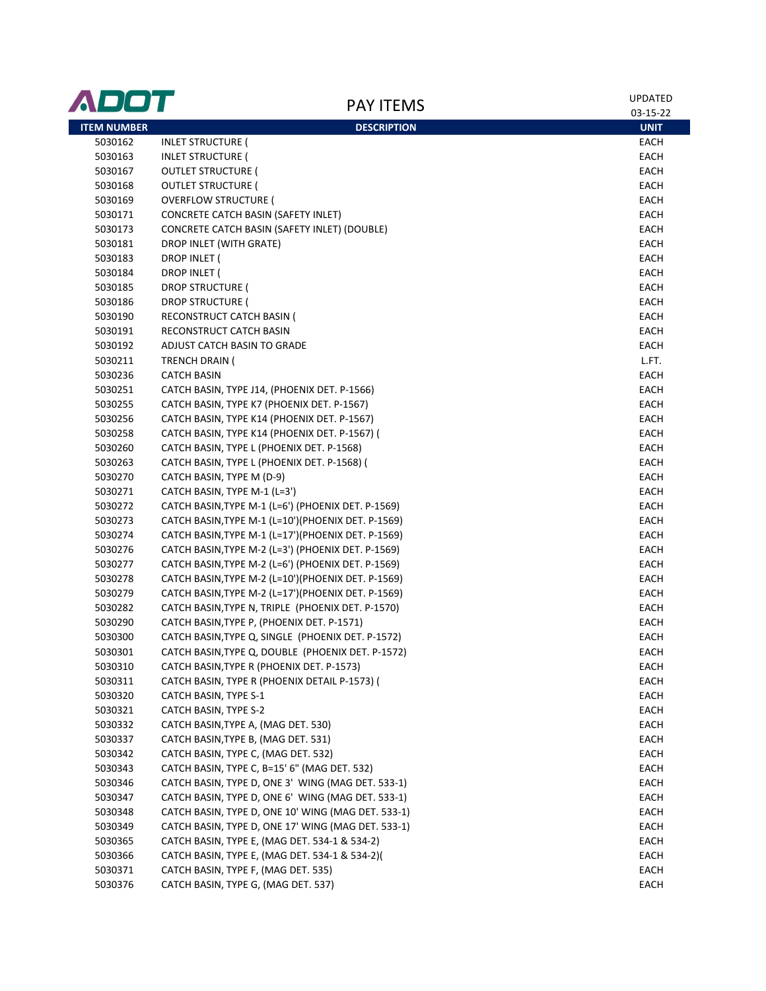| ADOT               | <b>PAY ITEMS</b>                                   | UPDATED<br>03-15-22 |
|--------------------|----------------------------------------------------|---------------------|
| <b>ITEM NUMBER</b> | <b>DESCRIPTION</b>                                 | <b>UNIT</b>         |
| 5030162            | <b>INLET STRUCTURE (</b>                           | EACH                |
| 5030163            | <b>INLET STRUCTURE (</b>                           | EACH                |
| 5030167            | <b>OUTLET STRUCTURE (</b>                          | EACH                |
| 5030168            | <b>OUTLET STRUCTURE (</b>                          | EACH                |
| 5030169            | <b>OVERFLOW STRUCTURE (</b>                        | EACH                |
| 5030171            | CONCRETE CATCH BASIN (SAFETY INLET)                | EACH                |
| 5030173            | CONCRETE CATCH BASIN (SAFETY INLET) (DOUBLE)       | EACH                |
| 5030181            | DROP INLET (WITH GRATE)                            | EACH                |
| 5030183            | DROP INLET (                                       | EACH                |
| 5030184            | DROP INLET (                                       | EACH                |
| 5030185            | <b>DROP STRUCTURE (</b>                            | EACH                |
| 5030186            | DROP STRUCTURE (                                   | EACH                |
| 5030190            | RECONSTRUCT CATCH BASIN (                          | EACH                |
| 5030191            | RECONSTRUCT CATCH BASIN                            | EACH                |
| 5030192            | ADJUST CATCH BASIN TO GRADE                        | EACH                |
| 5030211            | TRENCH DRAIN (                                     | L.FT.               |
| 5030236            | <b>CATCH BASIN</b>                                 | EACH                |
| 5030251            | CATCH BASIN, TYPE J14, (PHOENIX DET. P-1566)       | EACH                |
| 5030255            | CATCH BASIN, TYPE K7 (PHOENIX DET. P-1567)         | EACH                |
| 5030256            | CATCH BASIN, TYPE K14 (PHOENIX DET. P-1567)        | EACH                |
| 5030258            | CATCH BASIN, TYPE K14 (PHOENIX DET. P-1567) (      | EACH                |
| 5030260            | CATCH BASIN, TYPE L (PHOENIX DET. P-1568)          | EACH                |
| 5030263            | CATCH BASIN, TYPE L (PHOENIX DET. P-1568) (        | EACH                |
| 5030270            | CATCH BASIN, TYPE M (D-9)                          | EACH                |
| 5030271            | CATCH BASIN, TYPE M-1 (L=3')                       | EACH                |
| 5030272            | CATCH BASIN, TYPE M-1 (L=6') (PHOENIX DET. P-1569) | EACH                |
| 5030273            | CATCH BASIN, TYPE M-1 (L=10')(PHOENIX DET. P-1569) | EACH                |
| 5030274            | CATCH BASIN, TYPE M-1 (L=17')(PHOENIX DET. P-1569) | EACH                |
| 5030276            | CATCH BASIN, TYPE M-2 (L=3') (PHOENIX DET. P-1569) | EACH                |
| 5030277            | CATCH BASIN, TYPE M-2 (L=6') (PHOENIX DET. P-1569) | EACH                |
| 5030278            | CATCH BASIN, TYPE M-2 (L=10')(PHOENIX DET. P-1569) | EACH                |
| 5030279            | CATCH BASIN, TYPE M-2 (L=17')(PHOENIX DET. P-1569) | EACH                |
| 5030282            | CATCH BASIN, TYPE N, TRIPLE (PHOENIX DET. P-1570)  | EACH                |
| 5030290            | CATCH BASIN, TYPE P, (PHOENIX DET. P-1571)         | EACH                |
| 5030300            | CATCH BASIN, TYPE Q, SINGLE (PHOENIX DET. P-1572)  | EACH                |
| 5030301            | CATCH BASIN, TYPE Q, DOUBLE (PHOENIX DET. P-1572)  | EACH                |
| 5030310            | CATCH BASIN, TYPE R (PHOENIX DET. P-1573)          | EACH                |
| 5030311            | CATCH BASIN, TYPE R (PHOENIX DETAIL P-1573) (      | EACH                |
| 5030320            | CATCH BASIN, TYPE S-1                              | EACH                |
| 5030321            | CATCH BASIN, TYPE S-2                              | EACH                |
| 5030332            | CATCH BASIN, TYPE A, (MAG DET. 530)                | EACH                |
| 5030337            | CATCH BASIN, TYPE B, (MAG DET. 531)                | EACH                |
| 5030342            | CATCH BASIN, TYPE C, (MAG DET. 532)                | EACH                |
| 5030343            | CATCH BASIN, TYPE C, B=15' 6" (MAG DET. 532)       | EACH                |
| 5030346            | CATCH BASIN, TYPE D, ONE 3' WING (MAG DET. 533-1)  | EACH                |
| 5030347            | CATCH BASIN, TYPE D, ONE 6' WING (MAG DET. 533-1)  | EACH                |
| 5030348            | CATCH BASIN, TYPE D, ONE 10' WING (MAG DET. 533-1) | EACH                |
| 5030349            | CATCH BASIN, TYPE D, ONE 17' WING (MAG DET. 533-1) | EACH                |
| 5030365            | CATCH BASIN, TYPE E, (MAG DET. 534-1 & 534-2)      | EACH                |
| 5030366            | CATCH BASIN, TYPE E, (MAG DET. 534-1 & 534-2)(     | <b>EACH</b>         |
| 5030371            | CATCH BASIN, TYPE F, (MAG DET. 535)                | EACH                |
| 5030376            | CATCH BASIN, TYPE G, (MAG DET. 537)                | EACH                |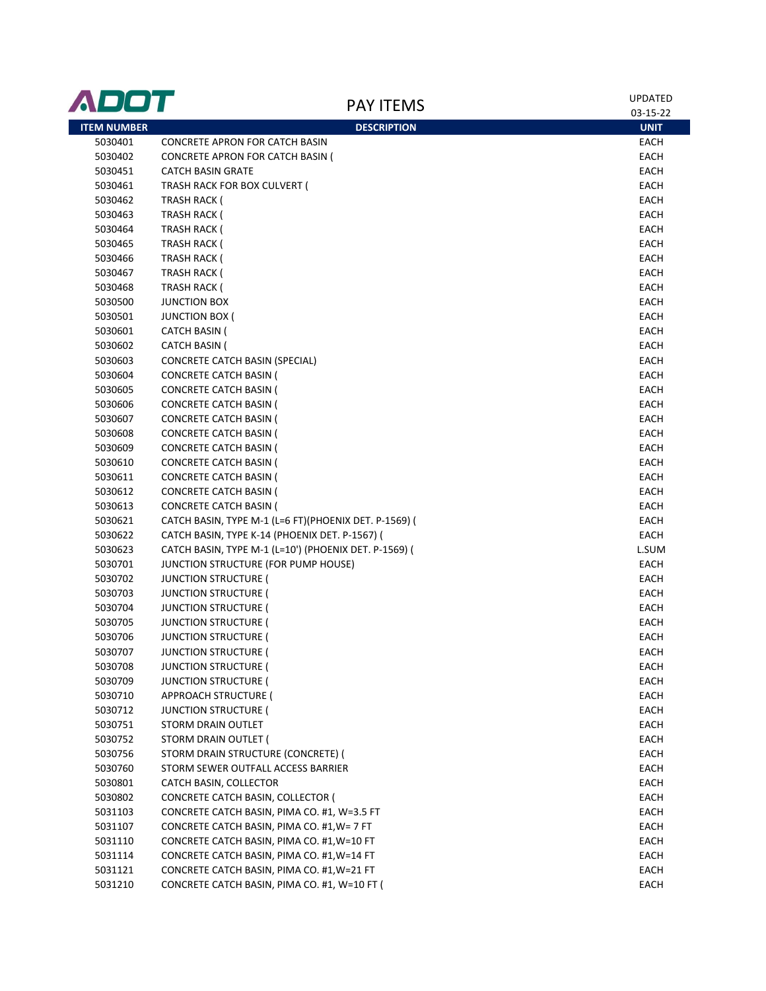| ADOT               | <b>PAY ITEMS</b>                                               | <b>UPDATED</b> |
|--------------------|----------------------------------------------------------------|----------------|
|                    |                                                                | 03-15-22       |
| <b>ITEM NUMBER</b> | <b>DESCRIPTION</b>                                             | <b>UNIT</b>    |
| 5030401            | <b>CONCRETE APRON FOR CATCH BASIN</b>                          | EACH           |
| 5030402            | CONCRETE APRON FOR CATCH BASIN (                               | EACH           |
| 5030451            | <b>CATCH BASIN GRATE</b>                                       | EACH           |
| 5030461            | TRASH RACK FOR BOX CULVERT (                                   | EACH           |
| 5030462            | TRASH RACK (                                                   | EACH           |
| 5030463            | <b>TRASH RACK (</b>                                            | EACH           |
| 5030464            | <b>TRASH RACK (</b>                                            | EACH           |
| 5030465            | <b>TRASH RACK (</b>                                            | EACH           |
| 5030466            | TRASH RACK (                                                   | EACH           |
| 5030467            | <b>TRASH RACK (</b>                                            | EACH           |
| 5030468            | <b>TRASH RACK (</b>                                            | EACH           |
| 5030500            | <b>JUNCTION BOX</b>                                            | EACH           |
| 5030501            | <b>JUNCTION BOX (</b>                                          | EACH           |
| 5030601            | <b>CATCH BASIN (</b>                                           | EACH           |
| 5030602            | <b>CATCH BASIN (</b>                                           | EACH           |
| 5030603            | <b>CONCRETE CATCH BASIN (SPECIAL)</b>                          | EACH           |
| 5030604            | <b>CONCRETE CATCH BASIN (</b>                                  | EACH           |
| 5030605            | <b>CONCRETE CATCH BASIN (</b>                                  | EACH           |
| 5030606            | <b>CONCRETE CATCH BASIN (</b>                                  | EACH           |
| 5030607            | <b>CONCRETE CATCH BASIN (</b>                                  | EACH           |
| 5030608            | <b>CONCRETE CATCH BASIN (</b>                                  | EACH           |
| 5030609            | <b>CONCRETE CATCH BASIN (</b><br><b>CONCRETE CATCH BASIN (</b> | EACH<br>EACH   |
| 5030610<br>5030611 | <b>CONCRETE CATCH BASIN (</b>                                  | EACH           |
| 5030612            | <b>CONCRETE CATCH BASIN (</b>                                  | EACH           |
| 5030613            | <b>CONCRETE CATCH BASIN (</b>                                  | EACH           |
| 5030621            | CATCH BASIN, TYPE M-1 (L=6 FT)(PHOENIX DET. P-1569) (          | EACH           |
| 5030622            | CATCH BASIN, TYPE K-14 (PHOENIX DET. P-1567) (                 | EACH           |
| 5030623            | CATCH BASIN, TYPE M-1 (L=10') (PHOENIX DET. P-1569) (          | L.SUM          |
| 5030701            | JUNCTION STRUCTURE (FOR PUMP HOUSE)                            | EACH           |
| 5030702            | <b>JUNCTION STRUCTURE (</b>                                    | EACH           |
| 5030703            | <b>JUNCTION STRUCTURE (</b>                                    | EACH           |
| 5030704            | <b>JUNCTION STRUCTURE (</b>                                    | EACH           |
| 5030705            | <b>JUNCTION STRUCTURE (</b>                                    | EACH           |
| 5030706            | <b>JUNCTION STRUCTURE (</b>                                    | EACH           |
| 5030707            | <b>JUNCTION STRUCTURE (</b>                                    | EACH           |
| 5030708            | <b>JUNCTION STRUCTURE (</b>                                    | EACH           |
| 5030709            | <b>JUNCTION STRUCTURE (</b>                                    | EACH           |
| 5030710            | APPROACH STRUCTURE (                                           | EACH           |
| 5030712            | <b>JUNCTION STRUCTURE (</b>                                    | <b>EACH</b>    |
| 5030751            | STORM DRAIN OUTLET                                             | <b>EACH</b>    |
| 5030752            | STORM DRAIN OUTLET (                                           | <b>EACH</b>    |
| 5030756            | STORM DRAIN STRUCTURE (CONCRETE) (                             | EACH           |
| 5030760            | STORM SEWER OUTFALL ACCESS BARRIER                             | EACH           |
| 5030801            | CATCH BASIN, COLLECTOR                                         | EACH           |
| 5030802            | CONCRETE CATCH BASIN, COLLECTOR (                              | EACH           |
| 5031103            | CONCRETE CATCH BASIN, PIMA CO. #1, W=3.5 FT                    | EACH           |
| 5031107            | CONCRETE CATCH BASIN, PIMA CO. #1, W= 7 FT                     | EACH           |
| 5031110            | CONCRETE CATCH BASIN, PIMA CO. #1, W=10 FT                     | <b>EACH</b>    |
| 5031114            | CONCRETE CATCH BASIN, PIMA CO. #1, W=14 FT                     | EACH           |
| 5031121            | CONCRETE CATCH BASIN, PIMA CO. #1, W=21 FT                     | EACH           |
| 5031210            | CONCRETE CATCH BASIN, PIMA CO. #1, W=10 FT (                   | EACH           |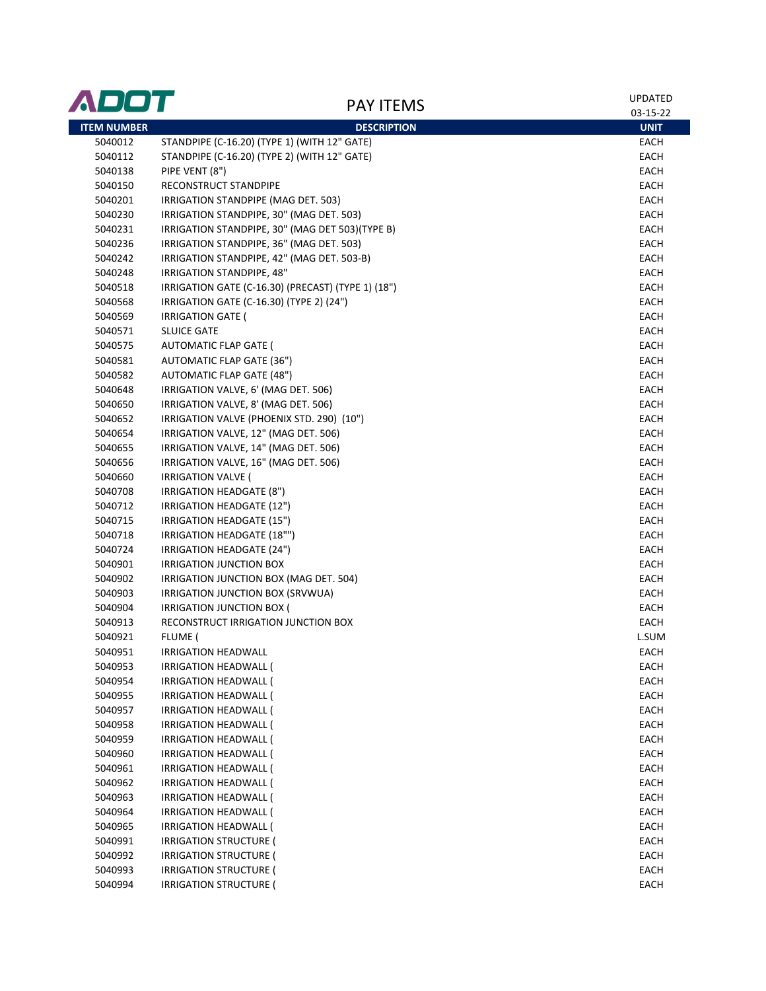| ADOT               | <b>PAY ITEMS</b>                                   | <b>UPDATED</b> |
|--------------------|----------------------------------------------------|----------------|
|                    |                                                    | 03-15-22       |
| <b>ITEM NUMBER</b> | <b>DESCRIPTION</b>                                 | <b>UNIT</b>    |
| 5040012            | STANDPIPE (C-16.20) (TYPE 1) (WITH 12" GATE)       | EACH           |
| 5040112            | STANDPIPE (C-16.20) (TYPE 2) (WITH 12" GATE)       | EACH           |
| 5040138            | PIPE VENT (8")                                     | EACH           |
| 5040150            | RECONSTRUCT STANDPIPE                              | EACH           |
| 5040201            | IRRIGATION STANDPIPE (MAG DET. 503)                | EACH           |
| 5040230            | IRRIGATION STANDPIPE, 30" (MAG DET. 503)           | EACH           |
| 5040231            | IRRIGATION STANDPIPE, 30" (MAG DET 503) (TYPE B)   | EACH           |
| 5040236            | IRRIGATION STANDPIPE, 36" (MAG DET. 503)           | EACH           |
| 5040242            | IRRIGATION STANDPIPE, 42" (MAG DET. 503-B)         | EACH           |
| 5040248            | IRRIGATION STANDPIPE, 48"                          | EACH           |
| 5040518            | IRRIGATION GATE (C-16.30) (PRECAST) (TYPE 1) (18") | EACH           |
| 5040568            | IRRIGATION GATE (C-16.30) (TYPE 2) (24")           | EACH           |
| 5040569            | <b>IRRIGATION GATE (</b>                           | EACH           |
| 5040571            | <b>SLUICE GATE</b>                                 | EACH           |
| 5040575            | <b>AUTOMATIC FLAP GATE (</b>                       | EACH           |
| 5040581            | <b>AUTOMATIC FLAP GATE (36")</b>                   | EACH           |
| 5040582            | <b>AUTOMATIC FLAP GATE (48")</b>                   | EACH           |
| 5040648            | IRRIGATION VALVE, 6' (MAG DET. 506)                | EACH           |
| 5040650            | IRRIGATION VALVE, 8' (MAG DET. 506)                | EACH           |
| 5040652            | IRRIGATION VALVE (PHOENIX STD. 290) (10")          | EACH           |
| 5040654            | IRRIGATION VALVE, 12" (MAG DET. 506)               | EACH           |
| 5040655            | IRRIGATION VALVE, 14" (MAG DET. 506)               | EACH           |
| 5040656            | IRRIGATION VALVE, 16" (MAG DET. 506)               | EACH           |
| 5040660            | <b>IRRIGATION VALVE (</b>                          | EACH           |
| 5040708            | IRRIGATION HEADGATE (8")                           | EACH           |
| 5040712            | IRRIGATION HEADGATE (12")                          | EACH           |
| 5040715            | IRRIGATION HEADGATE (15")                          | EACH           |
| 5040718            | IRRIGATION HEADGATE (18"")                         | EACH           |
| 5040724            | IRRIGATION HEADGATE (24")                          | EACH           |
| 5040901            | IRRIGATION JUNCTION BOX                            | EACH           |
| 5040902            | IRRIGATION JUNCTION BOX (MAG DET. 504)             | EACH           |
| 5040903            | IRRIGATION JUNCTION BOX (SRVWUA)                   | EACH           |
| 5040904            | IRRIGATION JUNCTION BOX (                          | EACH           |
| 5040913            | RECONSTRUCT IRRIGATION JUNCTION BOX                | EACH           |
| 5040921            | FLUME (                                            | L.SUM          |
| 5040951            | <b>IRRIGATION HEADWALL</b>                         | EACH           |
| 5040953            | IRRIGATION HEADWALL (                              | EACH           |
| 5040954            | IRRIGATION HEADWALL (                              | EACH           |
| 5040955            | IRRIGATION HEADWALL (                              | EACH           |
| 5040957            | IRRIGATION HEADWALL (                              | EACH           |
| 5040958            | IRRIGATION HEADWALL (                              | EACH           |
| 5040959            | IRRIGATION HEADWALL (                              | EACH           |
| 5040960            | IRRIGATION HEADWALL (                              | EACH           |
| 5040961            | IRRIGATION HEADWALL (                              | EACH           |
| 5040962            | IRRIGATION HEADWALL (                              | EACH           |
| 5040963            | IRRIGATION HEADWALL (                              | EACH           |
| 5040964            | IRRIGATION HEADWALL (                              | EACH           |
| 5040965            | IRRIGATION HEADWALL (                              | EACH           |
| 5040991            | <b>IRRIGATION STRUCTURE (</b>                      | EACH           |
| 5040992            | <b>IRRIGATION STRUCTURE (</b>                      | EACH           |
| 5040993            | <b>IRRIGATION STRUCTURE (</b>                      | EACH           |
| 5040994            | <b>IRRIGATION STRUCTURE (</b>                      | EACH           |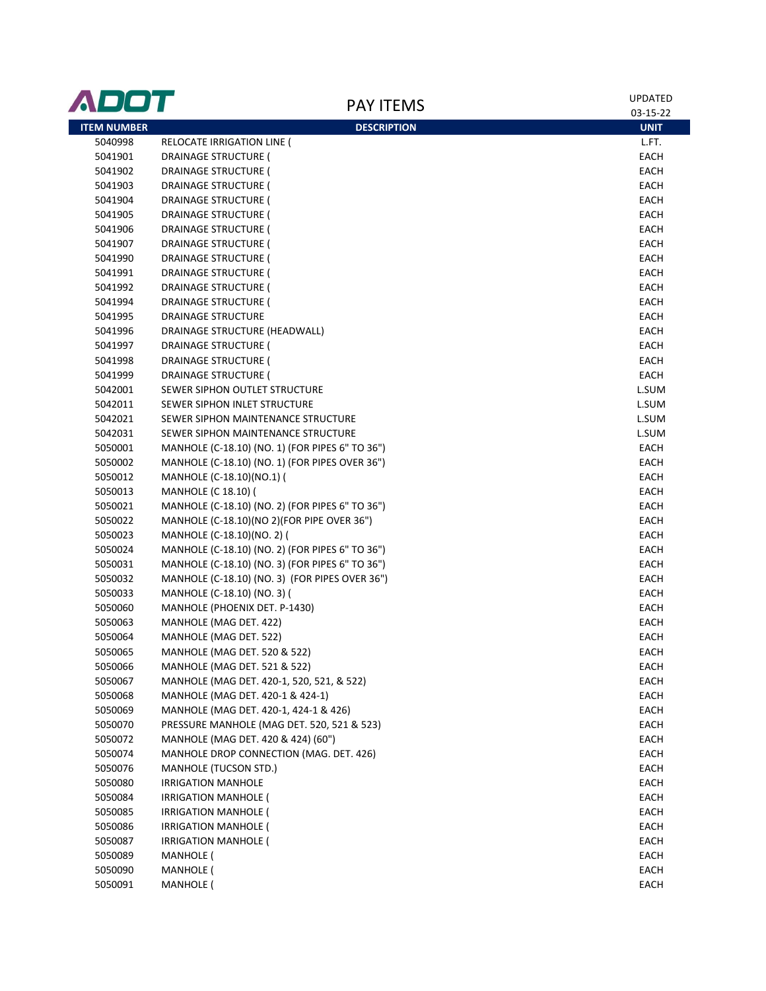| ADOT               | <b>PAY ITEMS</b>                                | UPDATED<br>03-15-22 |
|--------------------|-------------------------------------------------|---------------------|
| <b>ITEM NUMBER</b> | <b>DESCRIPTION</b>                              | <b>UNIT</b>         |
| 5040998            | RELOCATE IRRIGATION LINE (                      | L.FT.               |
| 5041901            | DRAINAGE STRUCTURE (                            | EACH                |
| 5041902            | <b>DRAINAGE STRUCTURE (</b>                     | EACH                |
| 5041903            | <b>DRAINAGE STRUCTURE (</b>                     | EACH                |
| 5041904            | DRAINAGE STRUCTURE (                            | EACH                |
| 5041905            | <b>DRAINAGE STRUCTURE (</b>                     | EACH                |
| 5041906            | <b>DRAINAGE STRUCTURE (</b>                     | EACH                |
| 5041907            | <b>DRAINAGE STRUCTURE (</b>                     | EACH                |
| 5041990            | <b>DRAINAGE STRUCTURE (</b>                     | EACH                |
| 5041991            | <b>DRAINAGE STRUCTURE (</b>                     | EACH                |
| 5041992            | DRAINAGE STRUCTURE (                            | EACH                |
| 5041994            | <b>DRAINAGE STRUCTURE (</b>                     | EACH                |
| 5041995            | <b>DRAINAGE STRUCTURE</b>                       | EACH                |
| 5041996            | DRAINAGE STRUCTURE (HEADWALL)                   | EACH                |
| 5041997            | DRAINAGE STRUCTURE (                            | EACH                |
| 5041998            | <b>DRAINAGE STRUCTURE (</b>                     | EACH                |
| 5041999            | <b>DRAINAGE STRUCTURE (</b>                     | EACH                |
| 5042001            | SEWER SIPHON OUTLET STRUCTURE                   | L.SUM               |
| 5042011            | SEWER SIPHON INLET STRUCTURE                    | L.SUM               |
| 5042021            | SEWER SIPHON MAINTENANCE STRUCTURE              | L.SUM               |
| 5042031            | SEWER SIPHON MAINTENANCE STRUCTURE              | L.SUM               |
| 5050001            | MANHOLE (C-18.10) (NO. 1) (FOR PIPES 6" TO 36") | EACH                |
| 5050002            | MANHOLE (C-18.10) (NO. 1) (FOR PIPES OVER 36")  | EACH                |
| 5050012            | MANHOLE (C-18.10)(NO.1) (                       | EACH                |
| 5050013            | MANHOLE (C 18.10) (                             | EACH                |
| 5050021            | MANHOLE (C-18.10) (NO. 2) (FOR PIPES 6" TO 36") | EACH                |
| 5050022            | MANHOLE (C-18.10)(NO 2)(FOR PIPE OVER 36")      | EACH                |
| 5050023            | MANHOLE (C-18.10)(NO. 2) (                      | EACH                |
| 5050024            | MANHOLE (C-18.10) (NO. 2) (FOR PIPES 6" TO 36") | EACH                |
| 5050031            | MANHOLE (C-18.10) (NO. 3) (FOR PIPES 6" TO 36") | EACH                |
| 5050032            | MANHOLE (C-18.10) (NO. 3) (FOR PIPES OVER 36")  | EACH                |
| 5050033            | MANHOLE (C-18.10) (NO. 3) (                     | EACH                |
| 5050060            | MANHOLE (PHOENIX DET. P-1430)                   | EACH                |
| 5050063            | MANHOLE (MAG DET. 422)                          | EACH                |
| 5050064            | MANHOLE (MAG DET. 522)                          | EACH                |
| 5050065            | MANHOLE (MAG DET. 520 & 522)                    | <b>EACH</b>         |
| 5050066            | MANHOLE (MAG DET. 521 & 522)                    | EACH                |
| 5050067            | MANHOLE (MAG DET. 420-1, 520, 521, & 522)       | <b>EACH</b>         |
| 5050068            | MANHOLE (MAG DET. 420-1 & 424-1)                | <b>EACH</b>         |
| 5050069            | MANHOLE (MAG DET. 420-1, 424-1 & 426)           | <b>EACH</b>         |
| 5050070            | PRESSURE MANHOLE (MAG DET. 520, 521 & 523)      | <b>EACH</b>         |
| 5050072            | MANHOLE (MAG DET. 420 & 424) (60")              | <b>EACH</b>         |
| 5050074            | MANHOLE DROP CONNECTION (MAG. DET. 426)         | <b>EACH</b>         |
| 5050076            | <b>MANHOLE (TUCSON STD.)</b>                    | <b>EACH</b>         |
| 5050080            | <b>IRRIGATION MANHOLE</b>                       | <b>EACH</b>         |
| 5050084            | IRRIGATION MANHOLE (                            | <b>EACH</b>         |
| 5050085            | <b>IRRIGATION MANHOLE (</b>                     | <b>EACH</b>         |
| 5050086            | <b>IRRIGATION MANHOLE (</b>                     | <b>EACH</b>         |
| 5050087            | <b>IRRIGATION MANHOLE (</b>                     | <b>EACH</b>         |
| 5050089            | <b>MANHOLE</b> (                                | EACH                |
| 5050090            | <b>MANHOLE</b> (                                | EACH                |
| 5050091            | <b>MANHOLE</b> (                                | EACH                |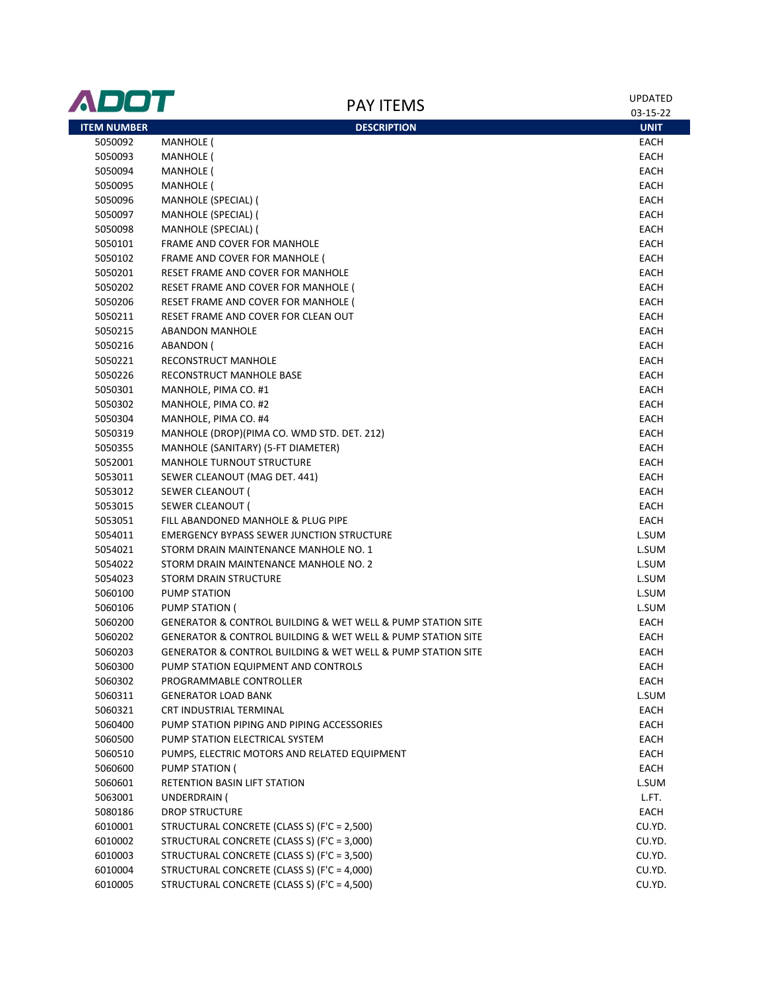| ADOT               | <b>PAY ITEMS</b>                                                               | UPDATED     |
|--------------------|--------------------------------------------------------------------------------|-------------|
|                    |                                                                                | 03-15-22    |
| <b>ITEM NUMBER</b> | <b>DESCRIPTION</b>                                                             | <b>UNIT</b> |
| 5050092            | <b>MANHOLE</b> (                                                               | EACH        |
| 5050093            | <b>MANHOLE</b> (                                                               | EACH        |
| 5050094            | <b>MANHOLE</b> (                                                               | EACH        |
| 5050095            | <b>MANHOLE</b> (                                                               | EACH        |
| 5050096            | MANHOLE (SPECIAL) (                                                            | EACH        |
| 5050097            | MANHOLE (SPECIAL) (                                                            | EACH        |
| 5050098            | MANHOLE (SPECIAL) (                                                            | EACH        |
| 5050101            | FRAME AND COVER FOR MANHOLE                                                    | EACH        |
| 5050102            | FRAME AND COVER FOR MANHOLE (                                                  | EACH        |
| 5050201            | RESET FRAME AND COVER FOR MANHOLE                                              | EACH        |
| 5050202            | RESET FRAME AND COVER FOR MANHOLE (                                            | EACH        |
| 5050206            | RESET FRAME AND COVER FOR MANHOLE (                                            | EACH        |
| 5050211            | RESET FRAME AND COVER FOR CLEAN OUT                                            | EACH        |
| 5050215            | <b>ABANDON MANHOLE</b>                                                         | EACH        |
| 5050216            | ABANDON (                                                                      | EACH        |
| 5050221            | RECONSTRUCT MANHOLE                                                            | EACH        |
| 5050226            | RECONSTRUCT MANHOLE BASE                                                       | EACH        |
| 5050301            | MANHOLE, PIMA CO. #1                                                           | EACH        |
| 5050302            | MANHOLE, PIMA CO. #2                                                           | EACH        |
| 5050304            | MANHOLE, PIMA CO. #4                                                           | EACH        |
| 5050319            | MANHOLE (DROP)(PIMA CO. WMD STD. DET. 212)                                     | EACH        |
| 5050355            | MANHOLE (SANITARY) (5-FT DIAMETER)                                             | EACH        |
| 5052001            | <b>MANHOLE TURNOUT STRUCTURE</b>                                               | EACH        |
| 5053011            | SEWER CLEANOUT (MAG DET. 441)                                                  | EACH        |
| 5053012            | SEWER CLEANOUT (                                                               | EACH        |
| 5053015            | SEWER CLEANOUT (                                                               | EACH        |
| 5053051            | FILL ABANDONED MANHOLE & PLUG PIPE                                             | EACH        |
| 5054011            | <b>EMERGENCY BYPASS SEWER JUNCTION STRUCTURE</b>                               | L.SUM       |
| 5054021            | STORM DRAIN MAINTENANCE MANHOLE NO. 1                                          | L.SUM       |
| 5054022            | STORM DRAIN MAINTENANCE MANHOLE NO. 2                                          | L.SUM       |
| 5054023            | STORM DRAIN STRUCTURE                                                          | L.SUM       |
| 5060100            | PUMP STATION                                                                   | L.SUM       |
| 5060106            | PUMP STATION (                                                                 | L.SUM       |
| 5060200            | <b>GENERATOR &amp; CONTROL BUILDING &amp; WET WELL &amp; PUMP STATION SITE</b> | EACH        |
| 5060202            | <b>GENERATOR &amp; CONTROL BUILDING &amp; WET WELL &amp; PUMP STATION SITE</b> | EACH        |
| 5060203            | GENERATOR & CONTROL BUILDING & WET WELL & PUMP STATION SITE                    | EACH        |
| 5060300            | PUMP STATION EQUIPMENT AND CONTROLS                                            | EACH        |
| 5060302            | PROGRAMMABLE CONTROLLER                                                        | EACH        |
| 5060311            | <b>GENERATOR LOAD BANK</b>                                                     | L.SUM       |
| 5060321            | CRT INDUSTRIAL TERMINAL                                                        | EACH        |
| 5060400            | PUMP STATION PIPING AND PIPING ACCESSORIES                                     | EACH        |
| 5060500            | PUMP STATION ELECTRICAL SYSTEM                                                 | EACH        |
| 5060510            | PUMPS, ELECTRIC MOTORS AND RELATED EQUIPMENT                                   | EACH        |
| 5060600            | PUMP STATION (                                                                 | EACH        |
| 5060601            | RETENTION BASIN LIFT STATION                                                   | L.SUM       |
| 5063001            | UNDERDRAIN (                                                                   | L.FT.       |
| 5080186            | <b>DROP STRUCTURE</b>                                                          | EACH        |
| 6010001            | STRUCTURAL CONCRETE (CLASS S) (F'C = 2,500)                                    | CU.YD.      |
| 6010002            | STRUCTURAL CONCRETE (CLASS S) (F'C = 3,000)                                    | CU.YD.      |
| 6010003            | STRUCTURAL CONCRETE (CLASS S) (F'C = 3,500)                                    | CU.YD.      |
| 6010004            | STRUCTURAL CONCRETE (CLASS S) (F'C = 4,000)                                    | CU.YD.      |
| 6010005            | STRUCTURAL CONCRETE (CLASS S) (F'C = 4,500)                                    | CU.YD.      |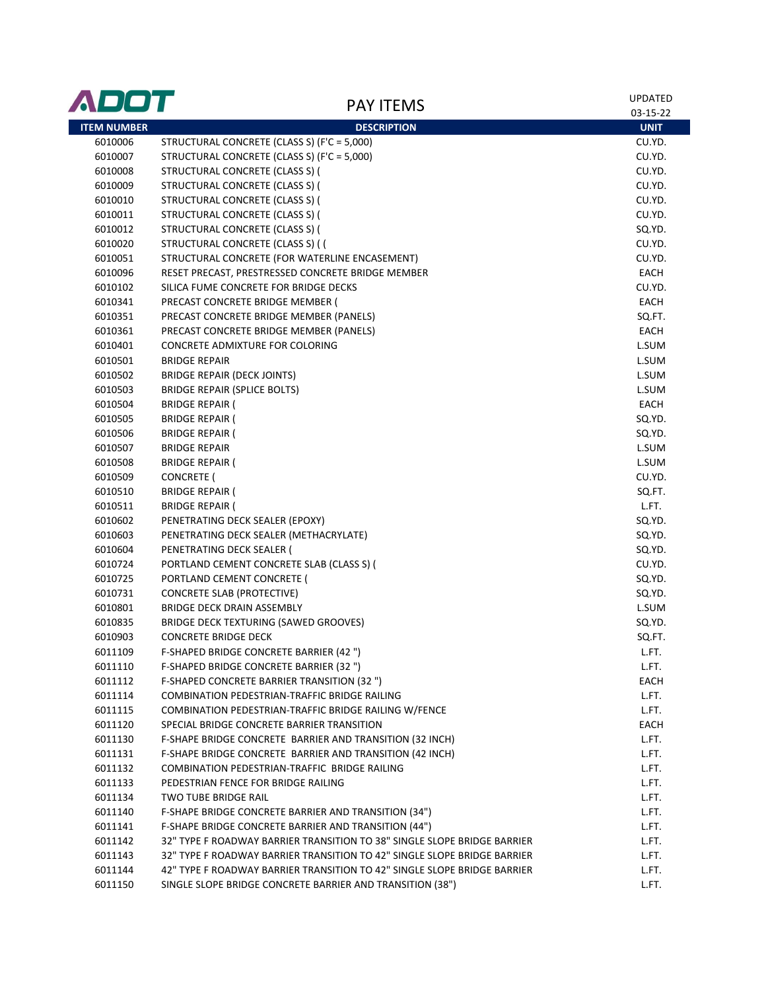| ADOT               | <b>PAY ITEMS</b>                                                         | <b>UPDATED</b> |
|--------------------|--------------------------------------------------------------------------|----------------|
|                    |                                                                          | 03-15-22       |
| <b>ITEM NUMBER</b> | <b>DESCRIPTION</b>                                                       | <b>UNIT</b>    |
| 6010006            | STRUCTURAL CONCRETE (CLASS S) (F'C = 5,000)                              | CU.YD.         |
| 6010007            | STRUCTURAL CONCRETE (CLASS S) (F'C = 5,000)                              | CU.YD.         |
| 6010008            | STRUCTURAL CONCRETE (CLASS S) (                                          | CU.YD.         |
| 6010009            | STRUCTURAL CONCRETE (CLASS S) (                                          | CU.YD.         |
| 6010010            | STRUCTURAL CONCRETE (CLASS S) (                                          | CU.YD.         |
| 6010011            | STRUCTURAL CONCRETE (CLASS S) (                                          | CU.YD.         |
| 6010012            | STRUCTURAL CONCRETE (CLASS S) (                                          | SQ.YD.         |
| 6010020            | STRUCTURAL CONCRETE (CLASS S) (                                          | CU.YD.         |
| 6010051            | STRUCTURAL CONCRETE (FOR WATERLINE ENCASEMENT)                           | CU.YD.         |
| 6010096            | RESET PRECAST, PRESTRESSED CONCRETE BRIDGE MEMBER                        | EACH           |
| 6010102            | SILICA FUME CONCRETE FOR BRIDGE DECKS                                    | CU.YD.         |
| 6010341            | PRECAST CONCRETE BRIDGE MEMBER (                                         | EACH           |
| 6010351            | PRECAST CONCRETE BRIDGE MEMBER (PANELS)                                  | SQ.FT.         |
| 6010361            | PRECAST CONCRETE BRIDGE MEMBER (PANELS)                                  | EACH           |
| 6010401            | CONCRETE ADMIXTURE FOR COLORING                                          | L.SUM          |
| 6010501            | <b>BRIDGE REPAIR</b>                                                     | L.SUM          |
| 6010502            | BRIDGE REPAIR (DECK JOINTS)                                              | L.SUM          |
| 6010503            | BRIDGE REPAIR (SPLICE BOLTS)                                             | L.SUM          |
| 6010504            | <b>BRIDGE REPAIR (</b>                                                   | EACH           |
| 6010505            | <b>BRIDGE REPAIR (</b>                                                   | SQ.YD.         |
| 6010506            | <b>BRIDGE REPAIR (</b>                                                   | SQ.YD.         |
| 6010507            | <b>BRIDGE REPAIR</b>                                                     | L.SUM          |
| 6010508            | <b>BRIDGE REPAIR (</b>                                                   | L.SUM          |
| 6010509            | CONCRETE (                                                               | CU.YD.         |
| 6010510            | <b>BRIDGE REPAIR (</b>                                                   | SQ.FT.         |
| 6010511            | <b>BRIDGE REPAIR (</b>                                                   | L.FT.          |
| 6010602            | PENETRATING DECK SEALER (EPOXY)                                          | SQ.YD.         |
| 6010603            | PENETRATING DECK SEALER (METHACRYLATE)                                   | SQ.YD.         |
| 6010604            | PENETRATING DECK SEALER (                                                | SQ.YD.         |
| 6010724            | PORTLAND CEMENT CONCRETE SLAB (CLASS S) (                                | CU.YD.         |
| 6010725            | PORTLAND CEMENT CONCRETE (                                               | SQ.YD.         |
| 6010731            | <b>CONCRETE SLAB (PROTECTIVE)</b>                                        | SQ.YD.         |
| 6010801            | BRIDGE DECK DRAIN ASSEMBLY                                               | L.SUM          |
| 6010835            | BRIDGE DECK TEXTURING (SAWED GROOVES)                                    | SQ.YD.         |
| 6010903            | <b>CONCRETE BRIDGE DECK</b>                                              | SQ.FT.         |
| 6011109            | F-SHAPED BRIDGE CONCRETE BARRIER (42 ")                                  | L.FT.          |
| 6011110            | F-SHAPED BRIDGE CONCRETE BARRIER (32")                                   | L.FT.          |
| 6011112            | F-SHAPED CONCRETE BARRIER TRANSITION (32 ")                              | EACH           |
| 6011114            | COMBINATION PEDESTRIAN-TRAFFIC BRIDGE RAILING                            | L.FT.          |
| 6011115            | COMBINATION PEDESTRIAN-TRAFFIC BRIDGE RAILING W/FENCE                    | L.FT.          |
| 6011120            | SPECIAL BRIDGE CONCRETE BARRIER TRANSITION                               | <b>EACH</b>    |
| 6011130            | F-SHAPE BRIDGE CONCRETE BARRIER AND TRANSITION (32 INCH)                 | L.FT.          |
| 6011131            | F-SHAPE BRIDGE CONCRETE BARRIER AND TRANSITION (42 INCH)                 | L.FT.          |
| 6011132            | COMBINATION PEDESTRIAN-TRAFFIC BRIDGE RAILING                            | L.FT.          |
| 6011133            | PEDESTRIAN FENCE FOR BRIDGE RAILING                                      | L.FT.          |
| 6011134            | TWO TUBE BRIDGE RAIL                                                     | L.FT.          |
| 6011140            | F-SHAPE BRIDGE CONCRETE BARRIER AND TRANSITION (34")                     | L.FT.          |
| 6011141            | F-SHAPE BRIDGE CONCRETE BARRIER AND TRANSITION (44")                     | L.FT.          |
| 6011142            | 32" TYPE F ROADWAY BARRIER TRANSITION TO 38" SINGLE SLOPE BRIDGE BARRIER | L.FT.          |
| 6011143            | 32" TYPE F ROADWAY BARRIER TRANSITION TO 42" SINGLE SLOPE BRIDGE BARRIER | L.FT.          |
| 6011144            | 42" TYPE F ROADWAY BARRIER TRANSITION TO 42" SINGLE SLOPE BRIDGE BARRIER | L.FT.          |
| 6011150            | SINGLE SLOPE BRIDGE CONCRETE BARRIER AND TRANSITION (38")                | L.FT.          |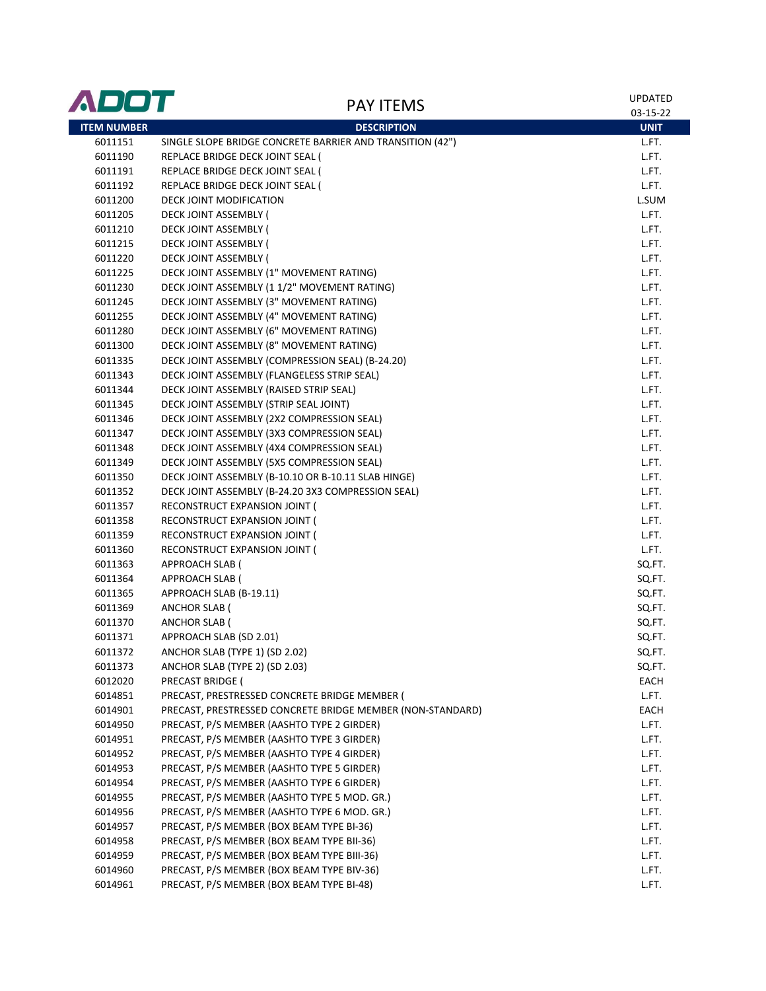| ADOT               |                                                            | UPDATED     |
|--------------------|------------------------------------------------------------|-------------|
|                    | <b>PAY ITEMS</b>                                           | 03-15-22    |
| <b>ITEM NUMBER</b> | <b>DESCRIPTION</b>                                         | <b>UNIT</b> |
| 6011151            | SINGLE SLOPE BRIDGE CONCRETE BARRIER AND TRANSITION (42")  | L.FT.       |
| 6011190            | REPLACE BRIDGE DECK JOINT SEAL (                           | L.FT.       |
| 6011191            | REPLACE BRIDGE DECK JOINT SEAL (                           | L.FT.       |
| 6011192            | REPLACE BRIDGE DECK JOINT SEAL (                           | L.FT.       |
| 6011200            | DECK JOINT MODIFICATION                                    | L.SUM       |
| 6011205            | DECK JOINT ASSEMBLY (                                      | L.FT.       |
| 6011210            | <b>DECK JOINT ASSEMBLY (</b>                               | L.FT.       |
| 6011215            | DECK JOINT ASSEMBLY (                                      | L.FT.       |
| 6011220            | DECK JOINT ASSEMBLY (                                      | L.FT.       |
| 6011225            | DECK JOINT ASSEMBLY (1" MOVEMENT RATING)                   | L.FT.       |
| 6011230            | DECK JOINT ASSEMBLY (11/2" MOVEMENT RATING)                | L.FT.       |
| 6011245            | DECK JOINT ASSEMBLY (3" MOVEMENT RATING)                   | L.FT.       |
| 6011255            | DECK JOINT ASSEMBLY (4" MOVEMENT RATING)                   | L.FT.       |
| 6011280            | DECK JOINT ASSEMBLY (6" MOVEMENT RATING)                   | L.FT.       |
| 6011300            | DECK JOINT ASSEMBLY (8" MOVEMENT RATING)                   | L.FT.       |
| 6011335            | DECK JOINT ASSEMBLY (COMPRESSION SEAL) (B-24.20)           | L.FT.       |
| 6011343            | DECK JOINT ASSEMBLY (FLANGELESS STRIP SEAL)                | L.FT.       |
| 6011344            | DECK JOINT ASSEMBLY (RAISED STRIP SEAL)                    | L.FT.       |
| 6011345            | DECK JOINT ASSEMBLY (STRIP SEAL JOINT)                     | L.FT.       |
| 6011346            | DECK JOINT ASSEMBLY (2X2 COMPRESSION SEAL)                 | L.FT.       |
| 6011347            | DECK JOINT ASSEMBLY (3X3 COMPRESSION SEAL)                 | L.FT.       |
| 6011348            | DECK JOINT ASSEMBLY (4X4 COMPRESSION SEAL)                 | L.FT.       |
| 6011349            | DECK JOINT ASSEMBLY (5X5 COMPRESSION SEAL)                 | L.FT.       |
| 6011350            | DECK JOINT ASSEMBLY (B-10.10 OR B-10.11 SLAB HINGE)        | L.FT.       |
| 6011352            | DECK JOINT ASSEMBLY (B-24.20 3X3 COMPRESSION SEAL)         | L.FT.       |
| 6011357            | RECONSTRUCT EXPANSION JOINT (                              | L.FT.       |
| 6011358            | RECONSTRUCT EXPANSION JOINT (                              | L.FT.       |
| 6011359            | RECONSTRUCT EXPANSION JOINT (                              | L.FT.       |
| 6011360            | RECONSTRUCT EXPANSION JOINT (                              | L.FT.       |
| 6011363            | APPROACH SLAB (                                            | SQ.FT.      |
| 6011364            | APPROACH SLAB (                                            | SQ.FT.      |
| 6011365            | APPROACH SLAB (B-19.11)                                    | SQ.FT.      |
| 6011369            | <b>ANCHOR SLAB (</b>                                       | SQ.FT.      |
| 6011370            | <b>ANCHOR SLAB (</b>                                       | SQ.FT.      |
| 6011371            | APPROACH SLAB (SD 2.01)                                    | SQ.FT.      |
| 6011372            | ANCHOR SLAB (TYPE 1) (SD 2.02)                             | SQ.FT.      |
| 6011373            | ANCHOR SLAB (TYPE 2) (SD 2.03)                             | SQ.FT.      |
| 6012020            | PRECAST BRIDGE (                                           | EACH        |
| 6014851            | PRECAST, PRESTRESSED CONCRETE BRIDGE MEMBER (              | L.FT.       |
| 6014901            | PRECAST, PRESTRESSED CONCRETE BRIDGE MEMBER (NON-STANDARD) | EACH        |
| 6014950            | PRECAST, P/S MEMBER (AASHTO TYPE 2 GIRDER)                 | L.FT.       |
| 6014951            | PRECAST, P/S MEMBER (AASHTO TYPE 3 GIRDER)                 | L.FT.       |
| 6014952            | PRECAST, P/S MEMBER (AASHTO TYPE 4 GIRDER)                 | L.FT.       |
| 6014953            | PRECAST, P/S MEMBER (AASHTO TYPE 5 GIRDER)                 | L.FT.       |
| 6014954            | PRECAST, P/S MEMBER (AASHTO TYPE 6 GIRDER)                 | L.FT.       |
| 6014955            | PRECAST, P/S MEMBER (AASHTO TYPE 5 MOD. GR.)               | L.FT.       |
| 6014956            | PRECAST, P/S MEMBER (AASHTO TYPE 6 MOD. GR.)               | L.FT.       |
| 6014957            | PRECAST, P/S MEMBER (BOX BEAM TYPE BI-36)                  | L.FT.       |
| 6014958            | PRECAST, P/S MEMBER (BOX BEAM TYPE BII-36)                 | L.FT.       |
| 6014959            | PRECAST, P/S MEMBER (BOX BEAM TYPE BIII-36)                | L.FT.       |
| 6014960            | PRECAST, P/S MEMBER (BOX BEAM TYPE BIV-36)                 | L.FT.       |
| 6014961            | PRECAST, P/S MEMBER (BOX BEAM TYPE BI-48)                  | L.FT.       |
|                    |                                                            |             |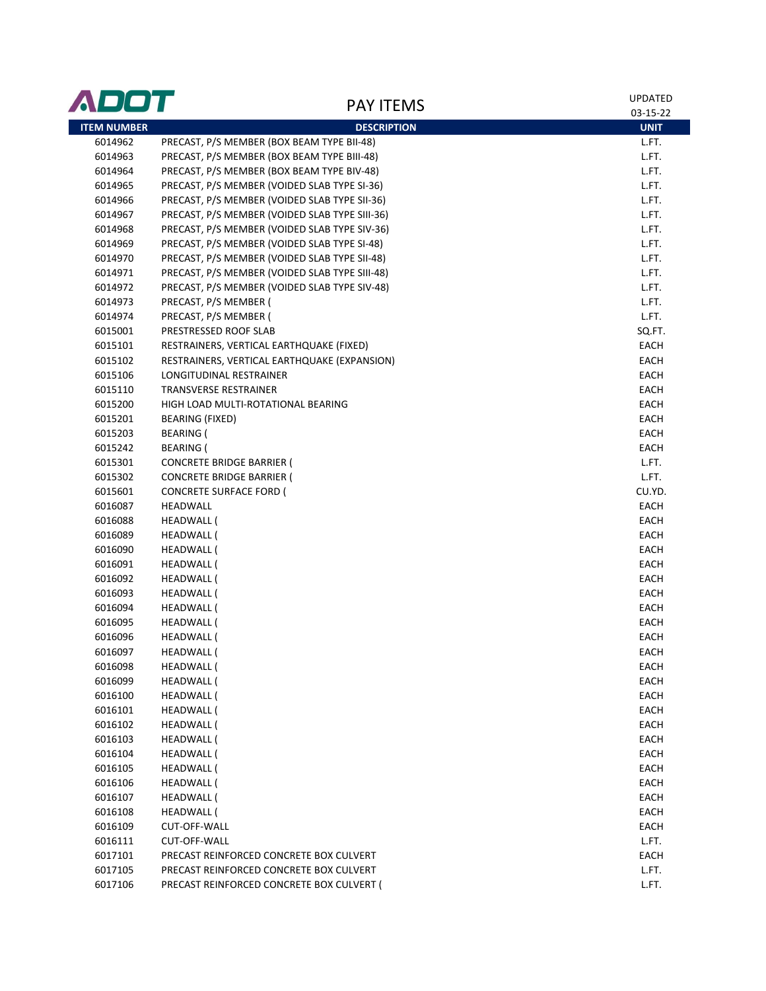| ADOT               | <b>PAY ITEMS</b>                               | <b>UPDATED</b> |
|--------------------|------------------------------------------------|----------------|
|                    |                                                | 03-15-22       |
| <b>ITEM NUMBER</b> | <b>DESCRIPTION</b>                             | <b>UNIT</b>    |
| 6014962            | PRECAST, P/S MEMBER (BOX BEAM TYPE BII-48)     | L.FT.          |
| 6014963            | PRECAST, P/S MEMBER (BOX BEAM TYPE BIII-48)    | L.FT.          |
| 6014964            | PRECAST, P/S MEMBER (BOX BEAM TYPE BIV-48)     | L.FT.          |
| 6014965            | PRECAST, P/S MEMBER (VOIDED SLAB TYPE SI-36)   | L.FT.          |
| 6014966            | PRECAST, P/S MEMBER (VOIDED SLAB TYPE SII-36)  | L.FT.          |
| 6014967            | PRECAST, P/S MEMBER (VOIDED SLAB TYPE SIII-36) | L.FT.          |
| 6014968            | PRECAST, P/S MEMBER (VOIDED SLAB TYPE SIV-36)  | L.FT.          |
| 6014969            | PRECAST, P/S MEMBER (VOIDED SLAB TYPE SI-48)   | L.FT.          |
| 6014970            | PRECAST, P/S MEMBER (VOIDED SLAB TYPE SII-48)  | L.FT.          |
| 6014971            | PRECAST, P/S MEMBER (VOIDED SLAB TYPE SIII-48) | L.FT.          |
| 6014972            | PRECAST, P/S MEMBER (VOIDED SLAB TYPE SIV-48)  | L.FT.          |
| 6014973            | PRECAST, P/S MEMBER (                          | L.FT.          |
| 6014974            | PRECAST, P/S MEMBER (                          | L.FT.          |
| 6015001            | PRESTRESSED ROOF SLAB                          | SQ.FT.         |
| 6015101            | RESTRAINERS, VERTICAL EARTHQUAKE (FIXED)       | EACH           |
| 6015102            | RESTRAINERS, VERTICAL EARTHQUAKE (EXPANSION)   | EACH           |
| 6015106            | LONGITUDINAL RESTRAINER                        | EACH           |
| 6015110            | TRANSVERSE RESTRAINER                          | EACH           |
| 6015200            | HIGH LOAD MULTI-ROTATIONAL BEARING             | EACH           |
| 6015201            | BEARING (FIXED)                                | EACH           |
| 6015203            | <b>BEARING</b> (                               | EACH           |
| 6015242            | <b>BEARING</b> (                               | EACH           |
| 6015301            | <b>CONCRETE BRIDGE BARRIER (</b>               | L.FT.          |
| 6015302            | <b>CONCRETE BRIDGE BARRIER (</b>               | L.FT.          |
| 6015601            | <b>CONCRETE SURFACE FORD (</b>                 | CU.YD.         |
| 6016087            | HEADWALL                                       | EACH           |
| 6016088            | HEADWALL (                                     | EACH           |
| 6016089            | <b>HEADWALL (</b>                              | EACH           |
| 6016090            | <b>HEADWALL (</b>                              | EACH           |
| 6016091            | HEADWALL (                                     | EACH           |
| 6016092            | <b>HEADWALL (</b>                              | EACH           |
| 6016093            | <b>HEADWALL (</b>                              | EACH           |
| 6016094            | <b>HEADWALL (</b>                              | EACH           |
| 6016095            | HEADWALL (                                     | EACH           |
| 6016096            | <b>HEADWALL (</b>                              | EACH           |
| 6016097            | HEADWALL (                                     | EACH           |
| 6016098            | HEADWALL (                                     | EACH           |
| 6016099            | <b>HEADWALL (</b>                              | EACH           |
| 6016100            | <b>HEADWALL (</b>                              | EACH           |
| 6016101            | <b>HEADWALL (</b>                              | EACH           |
| 6016102            | <b>HEADWALL (</b>                              | EACH           |
| 6016103            | <b>HEADWALL (</b>                              | EACH           |
| 6016104            | <b>HEADWALL (</b>                              | EACH           |
| 6016105            | <b>HEADWALL (</b>                              | EACH           |
| 6016106            | HEADWALL (                                     | EACH           |
| 6016107            | HEADWALL (                                     | EACH           |
| 6016108            | <b>HEADWALL (</b>                              | EACH           |
| 6016109            | CUT-OFF-WALL                                   | EACH           |
| 6016111            | CUT-OFF-WALL                                   | L.FT.          |
| 6017101            | PRECAST REINFORCED CONCRETE BOX CULVERT        | EACH           |
| 6017105            | PRECAST REINFORCED CONCRETE BOX CULVERT        | L.FT.          |
| 6017106            | PRECAST REINFORCED CONCRETE BOX CULVERT (      | L.FT.          |
|                    |                                                |                |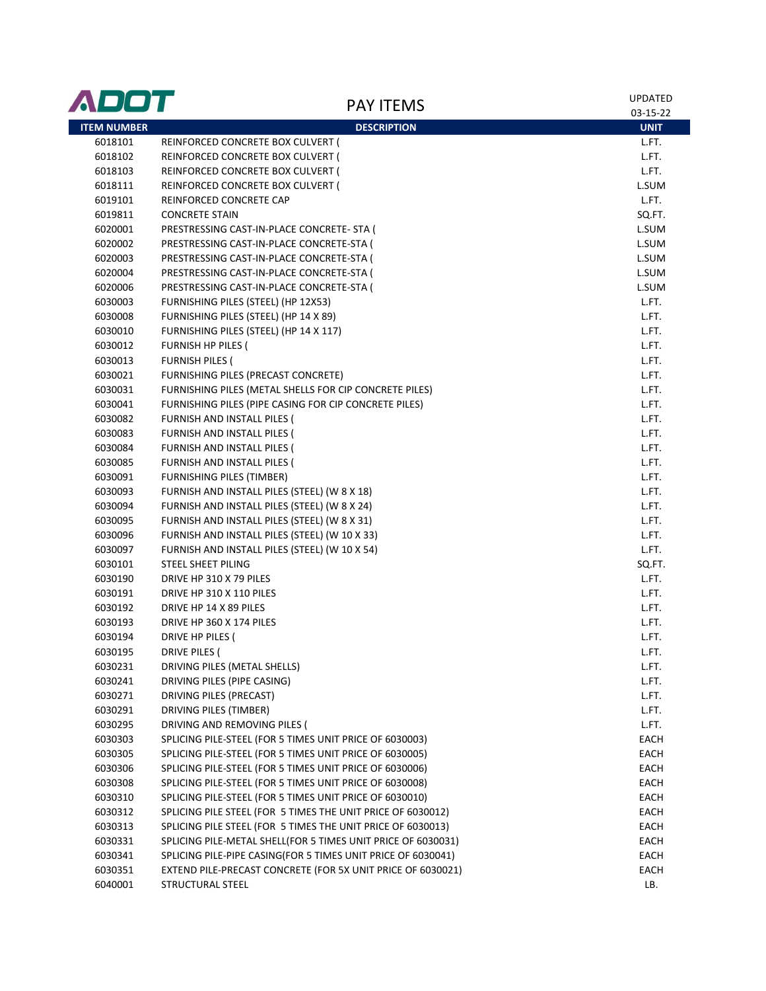| ADOT               | <b>PAY ITEMS</b>                                             | <b>UPDATED</b><br>03-15-22 |
|--------------------|--------------------------------------------------------------|----------------------------|
| <b>ITEM NUMBER</b> | <b>DESCRIPTION</b>                                           | <b>UNIT</b>                |
| 6018101            | REINFORCED CONCRETE BOX CULVERT (                            | L.FT.                      |
| 6018102            | REINFORCED CONCRETE BOX CULVERT (                            | L.FT.                      |
| 6018103            | REINFORCED CONCRETE BOX CULVERT (                            | L.FT.                      |
| 6018111            | REINFORCED CONCRETE BOX CULVERT (                            | L.SUM                      |
| 6019101            | REINFORCED CONCRETE CAP                                      | L.FT.                      |
| 6019811            | <b>CONCRETE STAIN</b>                                        | SQ.FT.                     |
| 6020001            | PRESTRESSING CAST-IN-PLACE CONCRETE- STA (                   | L.SUM                      |
| 6020002            | PRESTRESSING CAST-IN-PLACE CONCRETE-STA (                    | L.SUM                      |
| 6020003            | PRESTRESSING CAST-IN-PLACE CONCRETE-STA (                    | L.SUM                      |
| 6020004            | PRESTRESSING CAST-IN-PLACE CONCRETE-STA                      | L.SUM                      |
| 6020006            | PRESTRESSING CAST-IN-PLACE CONCRETE-STA (                    | L.SUM                      |
| 6030003            | FURNISHING PILES (STEEL) (HP 12X53)                          | L.FT.                      |
| 6030008            | FURNISHING PILES (STEEL) (HP 14 X 89)                        | L.FT.                      |
| 6030010            | FURNISHING PILES (STEEL) (HP 14 X 117)                       | L.FT.                      |
| 6030012            | <b>FURNISH HP PILES (</b>                                    | L.FT.                      |
| 6030013            | <b>FURNISH PILES (</b>                                       | L.FT.                      |
| 6030021            | FURNISHING PILES (PRECAST CONCRETE)                          | L.FT.                      |
| 6030031            | FURNISHING PILES (METAL SHELLS FOR CIP CONCRETE PILES)       | L.FT.                      |
| 6030041            | FURNISHING PILES (PIPE CASING FOR CIP CONCRETE PILES)        | L.FT.                      |
| 6030082            | FURNISH AND INSTALL PILES (                                  | L.FT.                      |
| 6030083            | FURNISH AND INSTALL PILES (                                  | L.FT.                      |
| 6030084            | FURNISH AND INSTALL PILES (                                  | L.FT.                      |
| 6030085            | FURNISH AND INSTALL PILES (                                  | L.FT.                      |
| 6030091            | <b>FURNISHING PILES (TIMBER)</b>                             | L.FT.                      |
| 6030093            | FURNISH AND INSTALL PILES (STEEL) (W 8 X 18)                 | L.FT.                      |
| 6030094            | FURNISH AND INSTALL PILES (STEEL) (W 8 X 24)                 | L.FT.                      |
| 6030095            | FURNISH AND INSTALL PILES (STEEL) (W 8 X 31)                 | L.FT.                      |
| 6030096            | FURNISH AND INSTALL PILES (STEEL) (W 10 X 33)                | L.FT.                      |
| 6030097            | FURNISH AND INSTALL PILES (STEEL) (W 10 X 54)                | L.FT.                      |
| 6030101            | STEEL SHEET PILING                                           | SQ.FT.                     |
| 6030190            | DRIVE HP 310 X 79 PILES                                      | L.FT.                      |
| 6030191            | DRIVE HP 310 X 110 PILES                                     | L.FT.                      |
| 6030192            | DRIVE HP 14 X 89 PILES                                       | L.FT.                      |
| 6030193            | DRIVE HP 360 X 174 PILES                                     | L.FT.                      |
| 6030194            | DRIVE HP PILES (                                             | L.FT.                      |
| 6030195            | DRIVE PILES (                                                | L.FT.                      |
| 6030231            | DRIVING PILES (METAL SHELLS)                                 | L.FT.                      |
| 6030241            | DRIVING PILES (PIPE CASING)                                  | L.FT.                      |
| 6030271            | DRIVING PILES (PRECAST)                                      | L.FT.                      |
| 6030291            | DRIVING PILES (TIMBER)                                       | L.FT.                      |
| 6030295            | DRIVING AND REMOVING PILES (                                 | L.FT.                      |
| 6030303            | SPLICING PILE-STEEL (FOR 5 TIMES UNIT PRICE OF 6030003)      | EACH                       |
| 6030305            | SPLICING PILE-STEEL (FOR 5 TIMES UNIT PRICE OF 6030005)      | EACH                       |
| 6030306            | SPLICING PILE-STEEL (FOR 5 TIMES UNIT PRICE OF 6030006)      | EACH                       |
| 6030308            | SPLICING PILE-STEEL (FOR 5 TIMES UNIT PRICE OF 6030008)      | EACH                       |
| 6030310            | SPLICING PILE-STEEL (FOR 5 TIMES UNIT PRICE OF 6030010)      | EACH                       |
| 6030312            | SPLICING PILE STEEL (FOR 5 TIMES THE UNIT PRICE OF 6030012)  | EACH                       |
| 6030313            | SPLICING PILE STEEL (FOR 5 TIMES THE UNIT PRICE OF 6030013)  | EACH                       |
| 6030331            | SPLICING PILE-METAL SHELL(FOR 5 TIMES UNIT PRICE OF 6030031) | EACH                       |
| 6030341            | SPLICING PILE-PIPE CASING(FOR 5 TIMES UNIT PRICE OF 6030041) | EACH                       |
| 6030351            | EXTEND PILE-PRECAST CONCRETE (FOR 5X UNIT PRICE OF 6030021)  | EACH                       |
| 6040001            | STRUCTURAL STEEL                                             | LB.                        |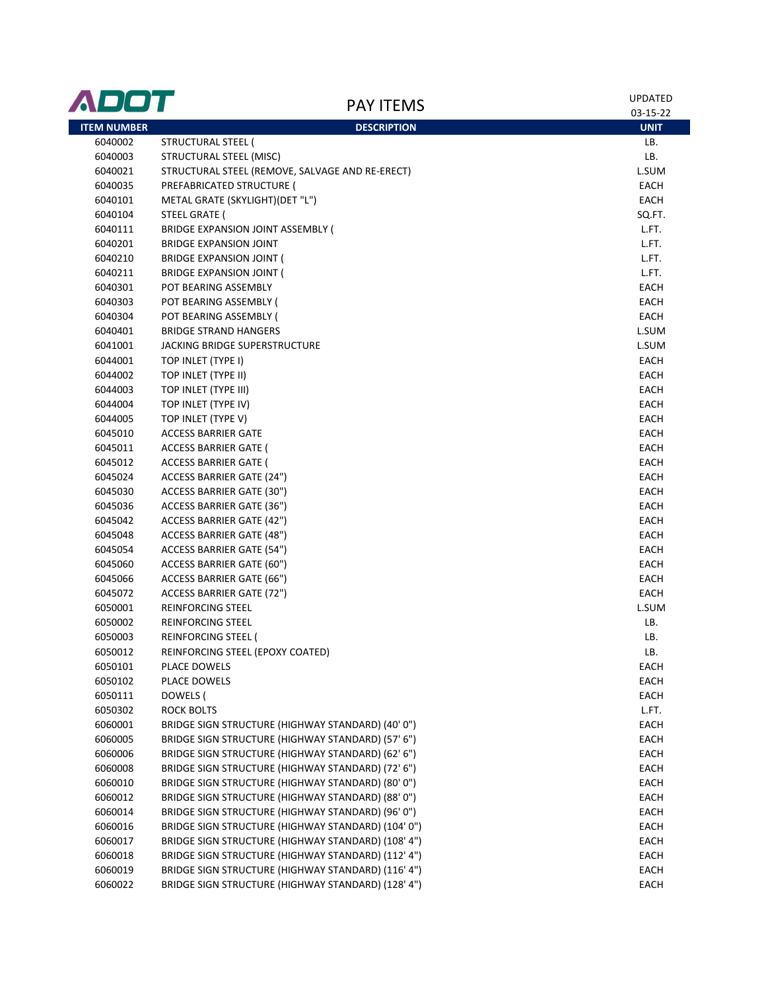| ADOT               | <b>PAY ITEMS</b>                                   | UPDATED<br>03-15-22 |
|--------------------|----------------------------------------------------|---------------------|
| <b>ITEM NUMBER</b> | <b>DESCRIPTION</b>                                 | <b>UNIT</b>         |
| 6040002            | STRUCTURAL STEEL (                                 | LB.                 |
| 6040003            | <b>STRUCTURAL STEEL (MISC)</b>                     | LB.                 |
| 6040021            | STRUCTURAL STEEL (REMOVE, SALVAGE AND RE-ERECT)    | L.SUM               |
| 6040035            | PREFABRICATED STRUCTURE (                          | EACH                |
| 6040101            | METAL GRATE (SKYLIGHT)(DET "L")                    | EACH                |
| 6040104            | <b>STEEL GRATE (</b>                               | SQ.FT.              |
| 6040111            | BRIDGE EXPANSION JOINT ASSEMBLY (                  | L.FT.               |
| 6040201            | <b>BRIDGE EXPANSION JOINT</b>                      | L.FT.               |
| 6040210            | BRIDGE EXPANSION JOINT (                           | L.FT.               |
| 6040211            | BRIDGE EXPANSION JOINT (                           | L.FT.               |
| 6040301            | POT BEARING ASSEMBLY                               | <b>EACH</b>         |
| 6040303            | POT BEARING ASSEMBLY (                             | EACH                |
| 6040304            | POT BEARING ASSEMBLY (                             | EACH                |
| 6040401            | <b>BRIDGE STRAND HANGERS</b>                       | L.SUM               |
| 6041001            | <b>JACKING BRIDGE SUPERSTRUCTURE</b>               | L.SUM               |
| 6044001            | TOP INLET (TYPE I)                                 | EACH                |
| 6044002            | TOP INLET (TYPE II)                                | <b>EACH</b>         |
| 6044003            | TOP INLET (TYPE III)                               | EACH                |
| 6044004            | TOP INLET (TYPE IV)                                | <b>EACH</b>         |
| 6044005            | TOP INLET (TYPE V)                                 | EACH                |
| 6045010            | <b>ACCESS BARRIER GATE</b>                         | EACH                |
| 6045011            | ACCESS BARRIER GATE (                              | EACH                |
| 6045012            | <b>ACCESS BARRIER GATE (</b>                       | EACH                |
| 6045024            | ACCESS BARRIER GATE (24")                          | EACH                |
| 6045030            | ACCESS BARRIER GATE (30")                          | EACH                |
| 6045036            | ACCESS BARRIER GATE (36")                          | <b>EACH</b>         |
| 6045042            | <b>ACCESS BARRIER GATE (42")</b>                   | EACH                |
| 6045048            | ACCESS BARRIER GATE (48")                          | EACH                |
| 6045054            | ACCESS BARRIER GATE (54")                          | EACH                |
| 6045060            | ACCESS BARRIER GATE (60")                          | <b>EACH</b>         |
| 6045066            | ACCESS BARRIER GATE (66")                          | EACH                |
| 6045072            | ACCESS BARRIER GATE (72")                          | EACH                |
| 6050001            | REINFORCING STEEL                                  | L.SUM               |
| 6050002            | REINFORCING STEEL                                  | LB.                 |
| 6050003            | REINFORCING STEEL (                                | LB.                 |
| 6050012            | REINFORCING STEEL (EPOXY COATED)                   | LB.                 |
| 6050101            | PLACE DOWELS                                       | EACH                |
| 6050102            | PLACE DOWELS                                       | EACH                |
| 6050111            | DOWELS (                                           | <b>EACH</b>         |
| 6050302            | <b>ROCK BOLTS</b>                                  | L.FT.               |
| 6060001            | BRIDGE SIGN STRUCTURE (HIGHWAY STANDARD) (40' 0")  | <b>EACH</b>         |
| 6060005            | BRIDGE SIGN STRUCTURE (HIGHWAY STANDARD) (57' 6")  | EACH                |
| 6060006            | BRIDGE SIGN STRUCTURE (HIGHWAY STANDARD) (62' 6")  | <b>EACH</b>         |
| 6060008            | BRIDGE SIGN STRUCTURE (HIGHWAY STANDARD) (72' 6")  | EACH                |
| 6060010            | BRIDGE SIGN STRUCTURE (HIGHWAY STANDARD) (80' 0")  | EACH                |
| 6060012            | BRIDGE SIGN STRUCTURE (HIGHWAY STANDARD) (88' 0")  | EACH                |
| 6060014            | BRIDGE SIGN STRUCTURE (HIGHWAY STANDARD) (96' 0")  | EACH                |
| 6060016            | BRIDGE SIGN STRUCTURE (HIGHWAY STANDARD) (104' 0") | EACH                |
| 6060017            | BRIDGE SIGN STRUCTURE (HIGHWAY STANDARD) (108' 4") | EACH                |
| 6060018            | BRIDGE SIGN STRUCTURE (HIGHWAY STANDARD) (112' 4") | EACH                |
| 6060019            | BRIDGE SIGN STRUCTURE (HIGHWAY STANDARD) (116' 4") | EACH                |
| 6060022            | BRIDGE SIGN STRUCTURE (HIGHWAY STANDARD) (128' 4") | EACH                |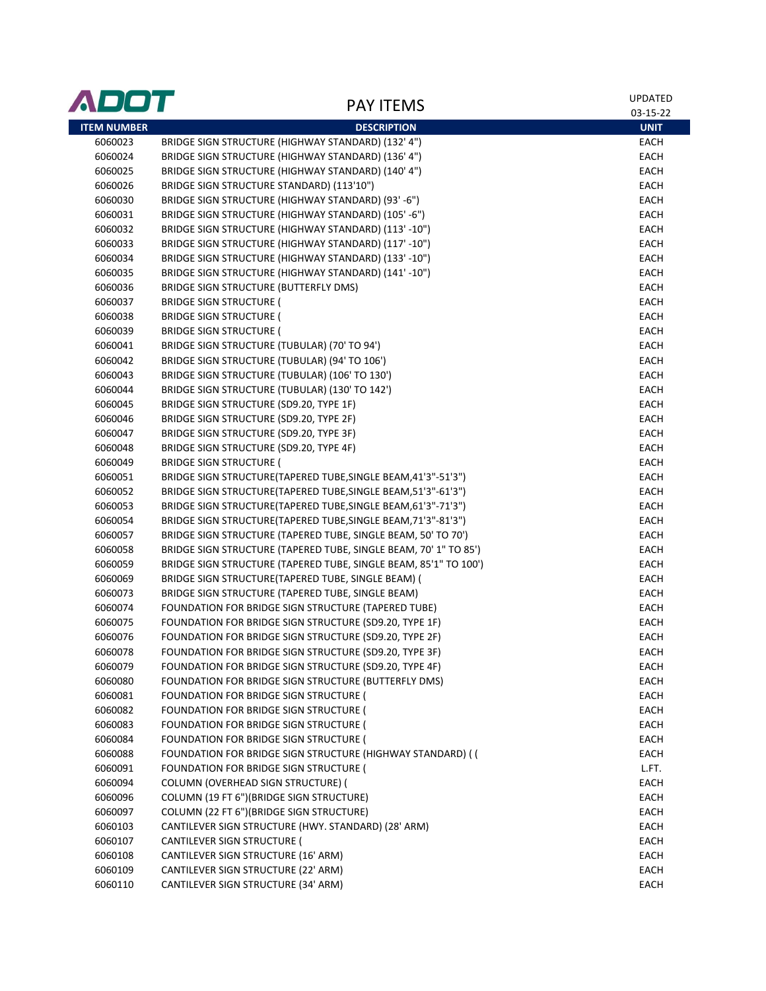| ADOT               | <b>PAY ITEMS</b>                                                 | <b>UPDATED</b><br>03-15-22 |
|--------------------|------------------------------------------------------------------|----------------------------|
| <b>ITEM NUMBER</b> | <b>DESCRIPTION</b>                                               | <b>UNIT</b>                |
| 6060023            | BRIDGE SIGN STRUCTURE (HIGHWAY STANDARD) (132' 4")               | <b>EACH</b>                |
| 6060024            | BRIDGE SIGN STRUCTURE (HIGHWAY STANDARD) (136' 4")               | EACH                       |
| 6060025            | BRIDGE SIGN STRUCTURE (HIGHWAY STANDARD) (140' 4")               | EACH                       |
| 6060026            | BRIDGE SIGN STRUCTURE STANDARD) (113'10")                        | EACH                       |
| 6060030            | BRIDGE SIGN STRUCTURE (HIGHWAY STANDARD) (93'-6")                | EACH                       |
| 6060031            | BRIDGE SIGN STRUCTURE (HIGHWAY STANDARD) (105'-6")               | EACH                       |
| 6060032            | BRIDGE SIGN STRUCTURE (HIGHWAY STANDARD) (113'-10")              | EACH                       |
| 6060033            | BRIDGE SIGN STRUCTURE (HIGHWAY STANDARD) (117' -10")             | EACH                       |
| 6060034            | BRIDGE SIGN STRUCTURE (HIGHWAY STANDARD) (133' -10")             | <b>EACH</b>                |
| 6060035            | BRIDGE SIGN STRUCTURE (HIGHWAY STANDARD) (141'-10")              | <b>EACH</b>                |
| 6060036            | BRIDGE SIGN STRUCTURE (BUTTERFLY DMS)                            | EACH                       |
| 6060037            | <b>BRIDGE SIGN STRUCTURE (</b>                                   | EACH                       |
| 6060038            | <b>BRIDGE SIGN STRUCTURE (</b>                                   | EACH                       |
| 6060039            | <b>BRIDGE SIGN STRUCTURE (</b>                                   | EACH                       |
| 6060041            | BRIDGE SIGN STRUCTURE (TUBULAR) (70' TO 94')                     | EACH                       |
| 6060042            | BRIDGE SIGN STRUCTURE (TUBULAR) (94' TO 106')                    | EACH                       |
| 6060043            | BRIDGE SIGN STRUCTURE (TUBULAR) (106' TO 130')                   | EACH                       |
| 6060044            | BRIDGE SIGN STRUCTURE (TUBULAR) (130' TO 142')                   | EACH                       |
| 6060045            | BRIDGE SIGN STRUCTURE (SD9.20, TYPE 1F)                          | EACH                       |
| 6060046            | BRIDGE SIGN STRUCTURE (SD9.20, TYPE 2F)                          | EACH                       |
| 6060047            | BRIDGE SIGN STRUCTURE (SD9.20, TYPE 3F)                          | EACH                       |
| 6060048            | BRIDGE SIGN STRUCTURE (SD9.20, TYPE 4F)                          | EACH                       |
| 6060049            | <b>BRIDGE SIGN STRUCTURE (</b>                                   | EACH                       |
| 6060051            | BRIDGE SIGN STRUCTURE(TAPERED TUBE, SINGLE BEAM, 41'3"-51'3")    | EACH                       |
| 6060052            | BRIDGE SIGN STRUCTURE(TAPERED TUBE, SINGLE BEAM, 51'3"-61'3")    | EACH                       |
| 6060053            | BRIDGE SIGN STRUCTURE(TAPERED TUBE, SINGLE BEAM, 61'3"-71'3")    | EACH                       |
| 6060054            | BRIDGE SIGN STRUCTURE(TAPERED TUBE, SINGLE BEAM, 71'3"-81'3")    | EACH                       |
| 6060057            | BRIDGE SIGN STRUCTURE (TAPERED TUBE, SINGLE BEAM, 50' TO 70')    | EACH                       |
| 6060058            | BRIDGE SIGN STRUCTURE (TAPERED TUBE, SINGLE BEAM, 70' 1" TO 85') | EACH                       |
| 6060059            | BRIDGE SIGN STRUCTURE (TAPERED TUBE, SINGLE BEAM, 85'1" TO 100') | EACH                       |
| 6060069            | BRIDGE SIGN STRUCTURE(TAPERED TUBE, SINGLE BEAM) (               | EACH                       |
| 6060073            | BRIDGE SIGN STRUCTURE (TAPERED TUBE, SINGLE BEAM)                | EACH                       |
| 6060074            | FOUNDATION FOR BRIDGE SIGN STRUCTURE (TAPERED TUBE)              | EACH                       |
| 6060075            | FOUNDATION FOR BRIDGE SIGN STRUCTURE (SD9.20, TYPE 1F)           | EACH                       |
| 6060076            | FOUNDATION FOR BRIDGE SIGN STRUCTURE (SD9.20, TYPE 2F)           | EACH                       |
| 6060078            | FOUNDATION FOR BRIDGE SIGN STRUCTURE (SD9.20, TYPE 3F)           | EACH                       |
| 6060079            | FOUNDATION FOR BRIDGE SIGN STRUCTURE (SD9.20, TYPE 4F)           | EACH                       |
| 6060080            | FOUNDATION FOR BRIDGE SIGN STRUCTURE (BUTTERFLY DMS)             | EACH                       |
| 6060081            | FOUNDATION FOR BRIDGE SIGN STRUCTURE (                           | EACH                       |
| 6060082            | FOUNDATION FOR BRIDGE SIGN STRUCTURE (                           | EACH                       |
| 6060083            | FOUNDATION FOR BRIDGE SIGN STRUCTURE (                           | EACH                       |
| 6060084            | FOUNDATION FOR BRIDGE SIGN STRUCTURE (                           | EACH                       |
| 6060088            | FOUNDATION FOR BRIDGE SIGN STRUCTURE (HIGHWAY STANDARD) (        | EACH                       |
| 6060091            | FOUNDATION FOR BRIDGE SIGN STRUCTURE (                           | L.FT.                      |
| 6060094            | COLUMN (OVERHEAD SIGN STRUCTURE) (                               | <b>EACH</b>                |
| 6060096            | COLUMN (19 FT 6")(BRIDGE SIGN STRUCTURE)                         | EACH                       |
| 6060097            | COLUMN (22 FT 6")(BRIDGE SIGN STRUCTURE)                         | EACH                       |
| 6060103            | CANTILEVER SIGN STRUCTURE (HWY. STANDARD) (28' ARM)              | EACH                       |
| 6060107            | CANTILEVER SIGN STRUCTURE (                                      | EACH                       |
| 6060108            | CANTILEVER SIGN STRUCTURE (16' ARM)                              | EACH                       |
| 6060109            | CANTILEVER SIGN STRUCTURE (22' ARM)                              | EACH                       |
| 6060110            | CANTILEVER SIGN STRUCTURE (34' ARM)                              | EACH                       |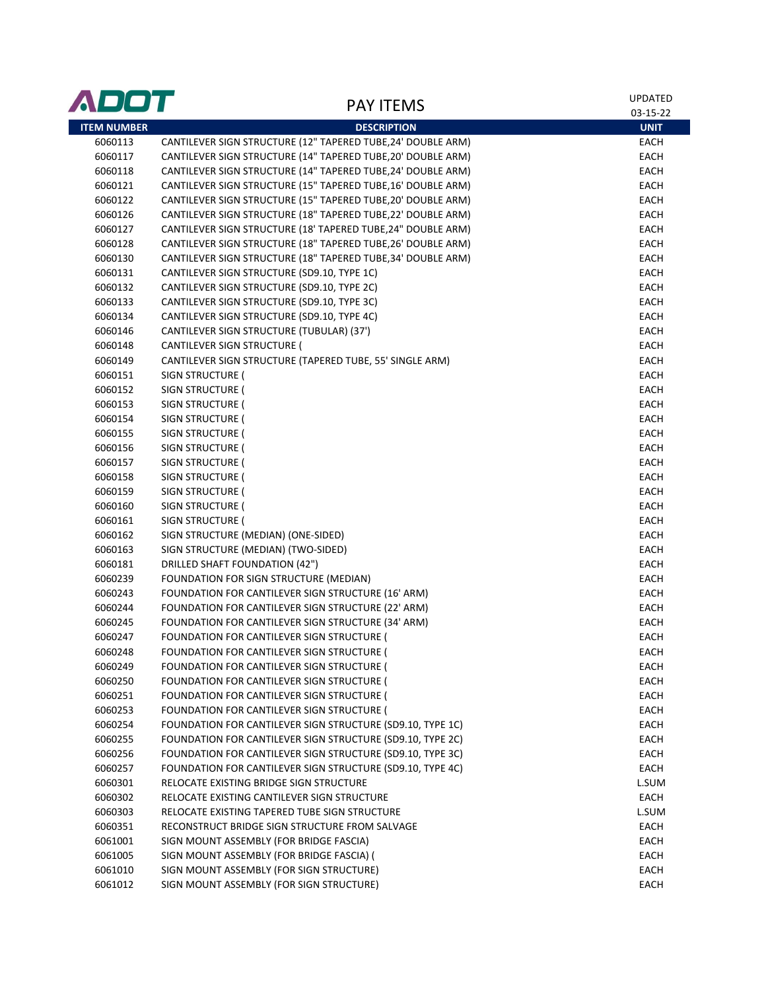| ADOT               |                                                              | UPDATED     |
|--------------------|--------------------------------------------------------------|-------------|
|                    | <b>PAY ITEMS</b>                                             | 03-15-22    |
| <b>ITEM NUMBER</b> | <b>DESCRIPTION</b>                                           | <b>UNIT</b> |
| 6060113            | CANTILEVER SIGN STRUCTURE (12" TAPERED TUBE,24' DOUBLE ARM)  | EACH        |
| 6060117            | CANTILEVER SIGN STRUCTURE (14" TAPERED TUBE, 20' DOUBLE ARM) | EACH        |
| 6060118            | CANTILEVER SIGN STRUCTURE (14" TAPERED TUBE, 24' DOUBLE ARM) | EACH        |
| 6060121            | CANTILEVER SIGN STRUCTURE (15" TAPERED TUBE, 16' DOUBLE ARM) | EACH        |
| 6060122            | CANTILEVER SIGN STRUCTURE (15" TAPERED TUBE, 20' DOUBLE ARM) | EACH        |
| 6060126            | CANTILEVER SIGN STRUCTURE (18" TAPERED TUBE, 22' DOUBLE ARM) | EACH        |
| 6060127            | CANTILEVER SIGN STRUCTURE (18' TAPERED TUBE, 24" DOUBLE ARM) | EACH        |
| 6060128            | CANTILEVER SIGN STRUCTURE (18" TAPERED TUBE, 26' DOUBLE ARM) | EACH        |
| 6060130            | CANTILEVER SIGN STRUCTURE (18" TAPERED TUBE, 34' DOUBLE ARM) | EACH        |
| 6060131            | CANTILEVER SIGN STRUCTURE (SD9.10, TYPE 1C)                  | EACH        |
| 6060132            | CANTILEVER SIGN STRUCTURE (SD9.10, TYPE 2C)                  | EACH        |
| 6060133            | CANTILEVER SIGN STRUCTURE (SD9.10, TYPE 3C)                  | EACH        |
| 6060134            | CANTILEVER SIGN STRUCTURE (SD9.10, TYPE 4C)                  | EACH        |
| 6060146            | CANTILEVER SIGN STRUCTURE (TUBULAR) (37')                    | EACH        |
| 6060148            | CANTILEVER SIGN STRUCTURE (                                  | EACH        |
| 6060149            | CANTILEVER SIGN STRUCTURE (TAPERED TUBE, 55' SINGLE ARM)     | EACH        |
| 6060151            | SIGN STRUCTURE (                                             | EACH        |
| 6060152            | SIGN STRUCTURE (                                             | EACH        |
| 6060153            | SIGN STRUCTURE (                                             | EACH        |
| 6060154            | SIGN STRUCTURE (                                             | EACH        |
| 6060155            | SIGN STRUCTURE (                                             | EACH        |
| 6060156            | SIGN STRUCTURE (                                             | EACH        |
| 6060157            | SIGN STRUCTURE (                                             | EACH        |
| 6060158            | SIGN STRUCTURE (                                             | EACH        |
| 6060159            | SIGN STRUCTURE (                                             | EACH        |
| 6060160            | SIGN STRUCTURE (                                             | EACH        |
| 6060161            | SIGN STRUCTURE (                                             | EACH        |
| 6060162            | SIGN STRUCTURE (MEDIAN) (ONE-SIDED)                          | EACH        |
| 6060163            | SIGN STRUCTURE (MEDIAN) (TWO-SIDED)                          | EACH        |
| 6060181            | <b>DRILLED SHAFT FOUNDATION (42")</b>                        | EACH        |
| 6060239            | FOUNDATION FOR SIGN STRUCTURE (MEDIAN)                       | EACH        |
| 6060243            | FOUNDATION FOR CANTILEVER SIGN STRUCTURE (16' ARM)           | EACH        |
| 6060244            | FOUNDATION FOR CANTILEVER SIGN STRUCTURE (22' ARM)           | EACH        |
| 6060245            | FOUNDATION FOR CANTILEVER SIGN STRUCTURE (34' ARM)           | EACH        |
| 6060247            | FOUNDATION FOR CANTILEVER SIGN STRUCTURE (                   | <b>EACH</b> |
| 6060248            | FOUNDATION FOR CANTILEVER SIGN STRUCTURE (                   | EACH        |
| 6060249            | FOUNDATION FOR CANTILEVER SIGN STRUCTURE (                   | EACH        |
| 6060250            | FOUNDATION FOR CANTILEVER SIGN STRUCTURE (                   | EACH        |
| 6060251            | FOUNDATION FOR CANTILEVER SIGN STRUCTURE (                   | EACH        |
| 6060253            | FOUNDATION FOR CANTILEVER SIGN STRUCTURE (                   | EACH        |
| 6060254            | FOUNDATION FOR CANTILEVER SIGN STRUCTURE (SD9.10, TYPE 1C)   | EACH        |
| 6060255            | FOUNDATION FOR CANTILEVER SIGN STRUCTURE (SD9.10, TYPE 2C)   | EACH        |
| 6060256            | FOUNDATION FOR CANTILEVER SIGN STRUCTURE (SD9.10, TYPE 3C)   | EACH        |
| 6060257            | FOUNDATION FOR CANTILEVER SIGN STRUCTURE (SD9.10, TYPE 4C)   | EACH        |
| 6060301            | RELOCATE EXISTING BRIDGE SIGN STRUCTURE                      | L.SUM       |
| 6060302            | RELOCATE EXISTING CANTILEVER SIGN STRUCTURE                  | EACH        |
| 6060303            | RELOCATE EXISTING TAPERED TUBE SIGN STRUCTURE                | L.SUM       |
| 6060351            | RECONSTRUCT BRIDGE SIGN STRUCTURE FROM SALVAGE               | EACH        |
| 6061001            | SIGN MOUNT ASSEMBLY (FOR BRIDGE FASCIA)                      | EACH        |
| 6061005            | SIGN MOUNT ASSEMBLY (FOR BRIDGE FASCIA) (                    | EACH        |
| 6061010            | SIGN MOUNT ASSEMBLY (FOR SIGN STRUCTURE)                     | EACH        |
| 6061012            | SIGN MOUNT ASSEMBLY (FOR SIGN STRUCTURE)                     | EACH        |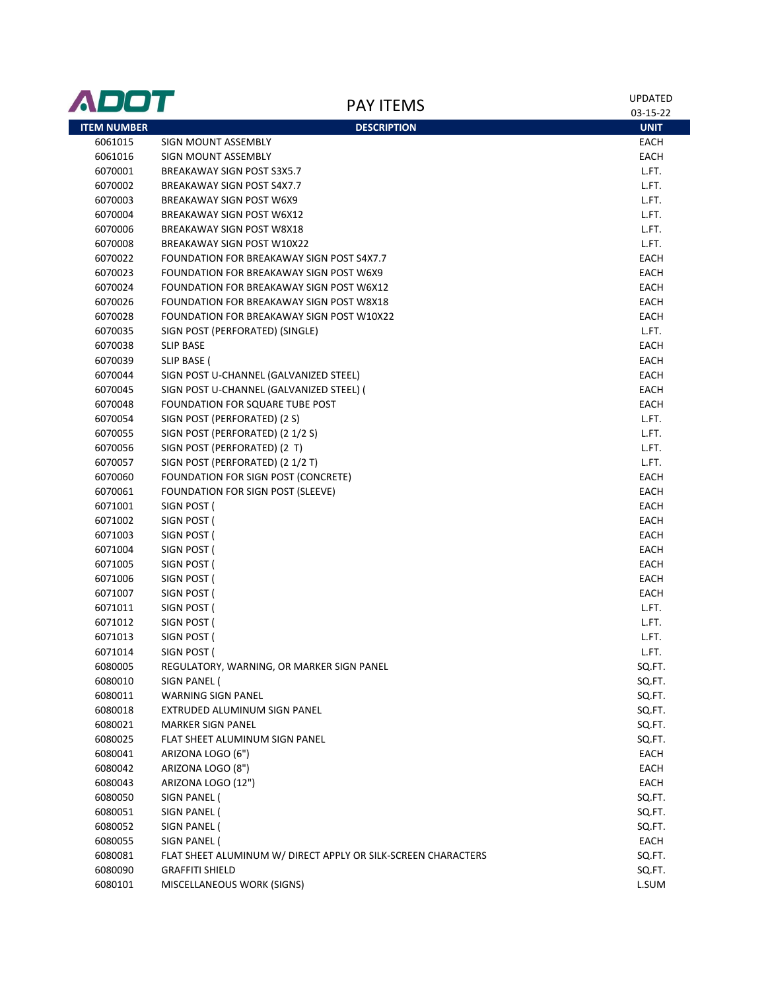| ADOT               | <b>PAY ITEMS</b>                                              | UPDATED<br>03-15-22 |
|--------------------|---------------------------------------------------------------|---------------------|
| <b>ITEM NUMBER</b> | <b>DESCRIPTION</b>                                            | <b>UNIT</b>         |
| 6061015            | SIGN MOUNT ASSEMBLY                                           | EACH                |
| 6061016            | SIGN MOUNT ASSEMBLY                                           | EACH                |
| 6070001            | BREAKAWAY SIGN POST S3X5.7                                    | L.FT.               |
| 6070002            | BREAKAWAY SIGN POST S4X7.7                                    | L.FT.               |
| 6070003            | BREAKAWAY SIGN POST W6X9                                      | L.FT.               |
| 6070004            | BREAKAWAY SIGN POST W6X12                                     | L.FT.               |
| 6070006            | <b>BREAKAWAY SIGN POST W8X18</b>                              | L.FT.               |
| 6070008            | BREAKAWAY SIGN POST W10X22                                    | L.FT.               |
| 6070022            | FOUNDATION FOR BREAKAWAY SIGN POST S4X7.7                     | EACH                |
| 6070023            | FOUNDATION FOR BREAKAWAY SIGN POST W6X9                       | EACH                |
| 6070024            | FOUNDATION FOR BREAKAWAY SIGN POST W6X12                      | EACH                |
| 6070026            | FOUNDATION FOR BREAKAWAY SIGN POST W8X18                      | EACH                |
| 6070028            | FOUNDATION FOR BREAKAWAY SIGN POST W10X22                     | EACH                |
| 6070035            | SIGN POST (PERFORATED) (SINGLE)                               | L.FT.               |
| 6070038            | <b>SLIP BASE</b>                                              | EACH                |
| 6070039            | SLIP BASE (                                                   | EACH                |
| 6070044            | SIGN POST U-CHANNEL (GALVANIZED STEEL)                        | EACH                |
| 6070045            | SIGN POST U-CHANNEL (GALVANIZED STEEL) (                      | EACH                |
| 6070048            | FOUNDATION FOR SQUARE TUBE POST                               | EACH                |
| 6070054            | SIGN POST (PERFORATED) (2 S)                                  | L.FT.               |
| 6070055            | SIGN POST (PERFORATED) (2 1/2 S)                              | L.FT.               |
| 6070056            | SIGN POST (PERFORATED) (2 T)                                  | L.FT.               |
| 6070057            | SIGN POST (PERFORATED) (2 1/2 T)                              | L.FT.               |
| 6070060            | FOUNDATION FOR SIGN POST (CONCRETE)                           | EACH                |
| 6070061            | FOUNDATION FOR SIGN POST (SLEEVE)                             | EACH                |
| 6071001            | SIGN POST (                                                   | EACH                |
| 6071002            | SIGN POST (                                                   | EACH                |
| 6071003            | SIGN POST (                                                   | EACH                |
| 6071004            | SIGN POST (                                                   | EACH                |
| 6071005            | SIGN POST (                                                   | EACH                |
| 6071006            | SIGN POST (                                                   | EACH                |
| 6071007            | SIGN POST (                                                   | EACH                |
| 6071011            | SIGN POST (                                                   | L.FT.               |
| 6071012            | SIGN POST (                                                   | L.FT.               |
| 6071013            | SIGN POST (                                                   | L.FT.               |
| 6071014            | SIGN POST (                                                   | L.FT.               |
| 6080005            | REGULATORY, WARNING, OR MARKER SIGN PANEL                     | SQ.FT.              |
| 6080010            | SIGN PANEL (                                                  | SQ.FT.              |
| 6080011            | WARNING SIGN PANEL                                            | SQ.FT.              |
| 6080018            | EXTRUDED ALUMINUM SIGN PANEL                                  | SQ.FT.              |
| 6080021            | <b>MARKER SIGN PANEL</b>                                      | SQ.FT.              |
| 6080025            | FLAT SHEET ALUMINUM SIGN PANEL                                | SQ.FT.              |
| 6080041            | ARIZONA LOGO (6")                                             | EACH                |
| 6080042            | ARIZONA LOGO (8")                                             | EACH                |
| 6080043            | ARIZONA LOGO (12")                                            | EACH                |
| 6080050            | SIGN PANEL (                                                  | SQ.FT.              |
| 6080051            | SIGN PANEL (                                                  | SQ.FT.              |
| 6080052            | SIGN PANEL (                                                  | SQ.FT.              |
| 6080055            | SIGN PANEL (                                                  | EACH                |
| 6080081            | FLAT SHEET ALUMINUM W/ DIRECT APPLY OR SILK-SCREEN CHARACTERS | SQ.FT.              |
| 6080090            | <b>GRAFFITI SHIELD</b>                                        | SQ.FT.              |
| 6080101            | MISCELLANEOUS WORK (SIGNS)                                    | L.SUM               |
|                    |                                                               |                     |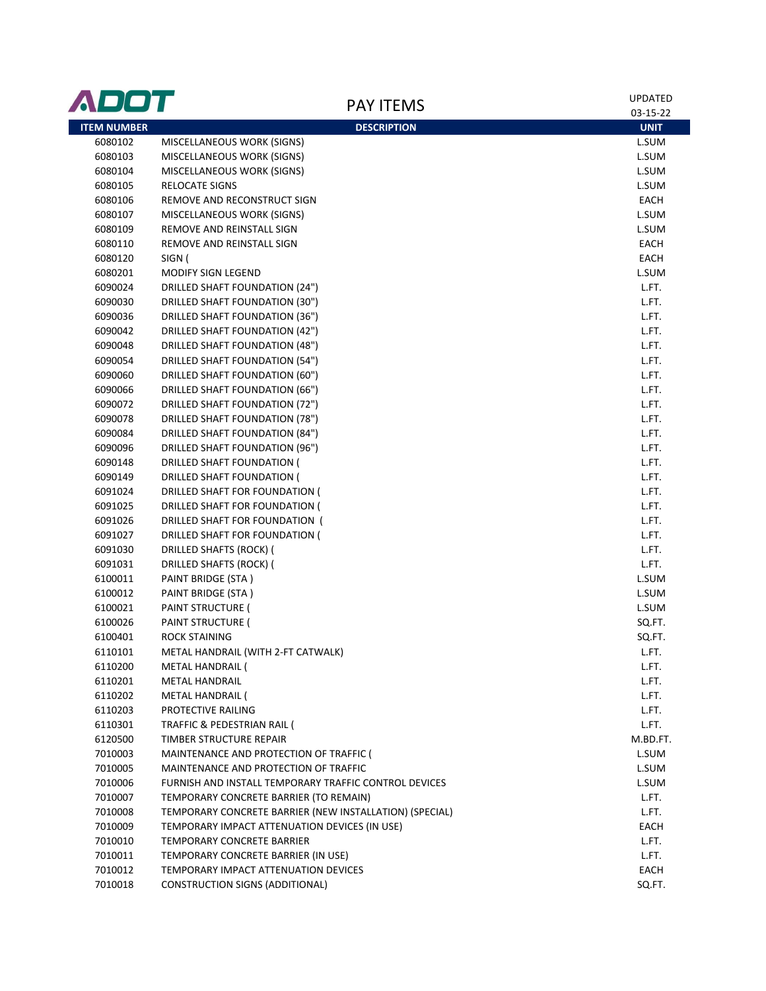| ADOT               |                                                                             | <b>PAY ITEMS</b>   | UPDATED       |
|--------------------|-----------------------------------------------------------------------------|--------------------|---------------|
|                    |                                                                             |                    | 03-15-22      |
| <b>ITEM NUMBER</b> |                                                                             | <b>DESCRIPTION</b> | <b>UNIT</b>   |
| 6080102            | MISCELLANEOUS WORK (SIGNS)                                                  |                    | L.SUM         |
| 6080103            | MISCELLANEOUS WORK (SIGNS)                                                  |                    | L.SUM         |
| 6080104            | MISCELLANEOUS WORK (SIGNS)                                                  |                    | L.SUM         |
| 6080105            | <b>RELOCATE SIGNS</b>                                                       |                    | L.SUM         |
| 6080106            | REMOVE AND RECONSTRUCT SIGN                                                 |                    | EACH          |
| 6080107            | MISCELLANEOUS WORK (SIGNS)                                                  |                    | L.SUM         |
| 6080109            | REMOVE AND REINSTALL SIGN                                                   |                    | L.SUM         |
| 6080110            | REMOVE AND REINSTALL SIGN                                                   |                    | EACH          |
| 6080120            | SIGN (                                                                      |                    | EACH          |
| 6080201            | MODIFY SIGN LEGEND                                                          |                    | L.SUM         |
| 6090024            | <b>DRILLED SHAFT FOUNDATION (24")</b>                                       |                    | L.FT.         |
| 6090030            | <b>DRILLED SHAFT FOUNDATION (30")</b>                                       |                    | L.FT.         |
| 6090036            | <b>DRILLED SHAFT FOUNDATION (36")</b>                                       |                    | L.FT.         |
| 6090042            | <b>DRILLED SHAFT FOUNDATION (42")</b>                                       |                    | L.FT.         |
| 6090048            | <b>DRILLED SHAFT FOUNDATION (48")</b>                                       |                    | L.FT.         |
| 6090054            | <b>DRILLED SHAFT FOUNDATION (54")</b>                                       |                    | L.FT.         |
| 6090060            | <b>DRILLED SHAFT FOUNDATION (60")</b>                                       |                    | L.FT.         |
| 6090066            | <b>DRILLED SHAFT FOUNDATION (66")</b>                                       |                    | L.FT.         |
| 6090072            | <b>DRILLED SHAFT FOUNDATION (72")</b>                                       |                    | L.FT.         |
| 6090078            | <b>DRILLED SHAFT FOUNDATION (78")</b>                                       |                    | L.FT.         |
| 6090084            | <b>DRILLED SHAFT FOUNDATION (84")</b>                                       |                    | L.FT.         |
| 6090096            | <b>DRILLED SHAFT FOUNDATION (96")</b>                                       |                    | L.FT.         |
| 6090148            | DRILLED SHAFT FOUNDATION (                                                  |                    | L.FT.         |
| 6090149            | DRILLED SHAFT FOUNDATION (                                                  |                    | L.FT.         |
| 6091024            | DRILLED SHAFT FOR FOUNDATION (                                              |                    | L.FT.         |
| 6091025            | DRILLED SHAFT FOR FOUNDATION (                                              |                    | L.FT.         |
| 6091026            | DRILLED SHAFT FOR FOUNDATION (                                              |                    | L.FT.         |
| 6091027            | DRILLED SHAFT FOR FOUNDATION (                                              |                    | L.FT.         |
| 6091030            | DRILLED SHAFTS (ROCK) (                                                     |                    | L.FT.         |
| 6091031            | <b>DRILLED SHAFTS (ROCK) (</b>                                              |                    | L.FT.         |
| 6100011            | PAINT BRIDGE (STA)                                                          |                    | L.SUM         |
| 6100012            | PAINT BRIDGE (STA)                                                          |                    | L.SUM         |
| 6100021            | PAINT STRUCTURE (                                                           |                    | L.SUM         |
| 6100026            | PAINT STRUCTURE (                                                           |                    | SQ.FT.        |
| 6100401            | <b>ROCK STAINING</b>                                                        |                    | SQ.FT.        |
| 6110101            | METAL HANDRAIL (WITH 2-FT CATWALK)                                          |                    | L.FT.         |
| 6110200            | METAL HANDRAIL (                                                            |                    | L.FT.         |
| 6110201            | <b>METAL HANDRAIL</b>                                                       |                    | L.FT.         |
| 6110202            | METAL HANDRAIL (                                                            |                    | L.FT.         |
| 6110203            | PROTECTIVE RAILING                                                          |                    | L.FT.         |
| 6110301            | TRAFFIC & PEDESTRIAN RAIL (                                                 |                    | L.FT.         |
| 6120500            | TIMBER STRUCTURE REPAIR                                                     |                    | M.BD.FT.      |
| 7010003            | MAINTENANCE AND PROTECTION OF TRAFFIC (                                     |                    | L.SUM         |
| 7010005            | MAINTENANCE AND PROTECTION OF TRAFFIC                                       |                    | L.SUM         |
| 7010006            | FURNISH AND INSTALL TEMPORARY TRAFFIC CONTROL DEVICES                       |                    | L.SUM         |
| 7010007            | TEMPORARY CONCRETE BARRIER (TO REMAIN)                                      |                    | L.FT.         |
| 7010008            | TEMPORARY CONCRETE BARRIER (NEW INSTALLATION) (SPECIAL)                     |                    | L.FT.         |
| 7010009            | TEMPORARY IMPACT ATTENUATION DEVICES (IN USE)                               |                    | EACH          |
| 7010010            | TEMPORARY CONCRETE BARRIER                                                  |                    | L.FT.         |
| 7010011            | TEMPORARY CONCRETE BARRIER (IN USE)<br>TEMPORARY IMPACT ATTENUATION DEVICES |                    | L.FT.<br>EACH |
| 7010012<br>7010018 | CONSTRUCTION SIGNS (ADDITIONAL)                                             |                    | SQ.FT.        |
|                    |                                                                             |                    |               |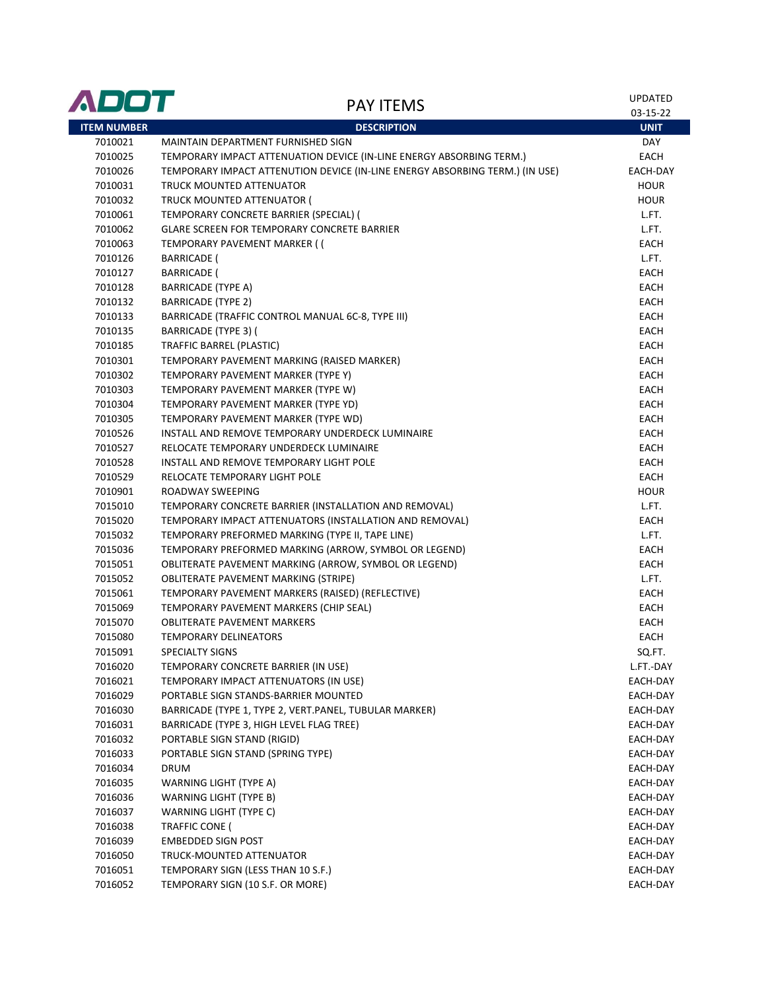| ADOT               | <b>PAY ITEMS</b>                                                             | <b>UPDATED</b><br>03-15-22 |
|--------------------|------------------------------------------------------------------------------|----------------------------|
| <b>ITEM NUMBER</b> | <b>DESCRIPTION</b>                                                           | <b>UNIT</b>                |
| 7010021            | MAINTAIN DEPARTMENT FURNISHED SIGN                                           | <b>DAY</b>                 |
| 7010025            | TEMPORARY IMPACT ATTENUATION DEVICE (IN-LINE ENERGY ABSORBING TERM.)         | EACH                       |
| 7010026            | TEMPORARY IMPACT ATTENUTION DEVICE (IN-LINE ENERGY ABSORBING TERM.) (IN USE) | EACH-DAY                   |
| 7010031            | TRUCK MOUNTED ATTENUATOR                                                     | <b>HOUR</b>                |
| 7010032            | TRUCK MOUNTED ATTENUATOR (                                                   | <b>HOUR</b>                |
| 7010061            | TEMPORARY CONCRETE BARRIER (SPECIAL) (                                       | L.FT.                      |
| 7010062            | <b>GLARE SCREEN FOR TEMPORARY CONCRETE BARRIER</b>                           | L.FT.                      |
| 7010063            | TEMPORARY PAVEMENT MARKER ((                                                 | EACH                       |
| 7010126            | <b>BARRICADE (</b>                                                           | L.FT.                      |
| 7010127            | <b>BARRICADE (</b>                                                           | EACH                       |
| 7010128            | <b>BARRICADE (TYPE A)</b>                                                    | EACH                       |
| 7010132            | <b>BARRICADE (TYPE 2)</b>                                                    | EACH                       |
| 7010133            | BARRICADE (TRAFFIC CONTROL MANUAL 6C-8, TYPE III)                            | <b>EACH</b>                |
| 7010135            | <b>BARRICADE (TYPE 3) (</b>                                                  | EACH                       |
| 7010185            | TRAFFIC BARREL (PLASTIC)                                                     | <b>EACH</b>                |
| 7010301            | TEMPORARY PAVEMENT MARKING (RAISED MARKER)                                   | <b>EACH</b>                |
| 7010302            | TEMPORARY PAVEMENT MARKER (TYPE Y)                                           | <b>EACH</b>                |
| 7010303            | TEMPORARY PAVEMENT MARKER (TYPE W)                                           | EACH                       |
| 7010304            | TEMPORARY PAVEMENT MARKER (TYPE YD)                                          | EACH                       |
| 7010305            | TEMPORARY PAVEMENT MARKER (TYPE WD)                                          | EACH                       |
| 7010526            | INSTALL AND REMOVE TEMPORARY UNDERDECK LUMINAIRE                             | <b>EACH</b>                |
| 7010527            | RELOCATE TEMPORARY UNDERDECK LUMINAIRE                                       | EACH                       |
| 7010528            | INSTALL AND REMOVE TEMPORARY LIGHT POLE                                      | EACH                       |
| 7010529            | RELOCATE TEMPORARY LIGHT POLE                                                | EACH                       |
| 7010901            | ROADWAY SWEEPING                                                             | <b>HOUR</b>                |
| 7015010            | TEMPORARY CONCRETE BARRIER (INSTALLATION AND REMOVAL)                        | L.FT.                      |
| 7015020            | TEMPORARY IMPACT ATTENUATORS (INSTALLATION AND REMOVAL)                      | EACH                       |
| 7015032            | TEMPORARY PREFORMED MARKING (TYPE II, TAPE LINE)                             | L.FT.                      |
| 7015036            | TEMPORARY PREFORMED MARKING (ARROW, SYMBOL OR LEGEND)                        | EACH                       |
| 7015051            | OBLITERATE PAVEMENT MARKING (ARROW, SYMBOL OR LEGEND)                        | EACH                       |
| 7015052            | <b>OBLITERATE PAVEMENT MARKING (STRIPE)</b>                                  | L.FT.                      |
| 7015061            | TEMPORARY PAVEMENT MARKERS (RAISED) (REFLECTIVE)                             | EACH                       |
| 7015069            | TEMPORARY PAVEMENT MARKERS (CHIP SEAL)                                       | EACH                       |
| 7015070            | <b>OBLITERATE PAVEMENT MARKERS</b>                                           | EACH                       |
| 7015080            | <b>TEMPORARY DELINEATORS</b>                                                 | EACH                       |
| 7015091            | <b>SPECIALTY SIGNS</b>                                                       | SQ.FT.                     |
| 7016020            | TEMPORARY CONCRETE BARRIER (IN USE)                                          | L.FT.-DAY                  |
| 7016021            | TEMPORARY IMPACT ATTENUATORS (IN USE)                                        | EACH-DAY                   |
| 7016029            | PORTABLE SIGN STANDS-BARRIER MOUNTED                                         | EACH-DAY                   |
| 7016030            | BARRICADE (TYPE 1, TYPE 2, VERT.PANEL, TUBULAR MARKER)                       | EACH-DAY                   |
| 7016031            | BARRICADE (TYPE 3, HIGH LEVEL FLAG TREE)                                     | EACH-DAY                   |
| 7016032            | PORTABLE SIGN STAND (RIGID)                                                  | EACH-DAY                   |
| 7016033            | PORTABLE SIGN STAND (SPRING TYPE)                                            | EACH-DAY                   |
| 7016034            | DRUM                                                                         | EACH-DAY                   |
| 7016035            | WARNING LIGHT (TYPE A)                                                       | EACH-DAY                   |
| 7016036            | WARNING LIGHT (TYPE B)                                                       | EACH-DAY                   |
| 7016037            | WARNING LIGHT (TYPE C)                                                       | EACH-DAY                   |
| 7016038            | TRAFFIC CONE (                                                               | EACH-DAY                   |
| 7016039            | <b>EMBEDDED SIGN POST</b>                                                    | EACH-DAY                   |
| 7016050            | TRUCK-MOUNTED ATTENUATOR                                                     | EACH-DAY                   |
| 7016051            | TEMPORARY SIGN (LESS THAN 10 S.F.)                                           | EACH-DAY                   |
| 7016052            | TEMPORARY SIGN (10 S.F. OR MORE)                                             | EACH-DAY                   |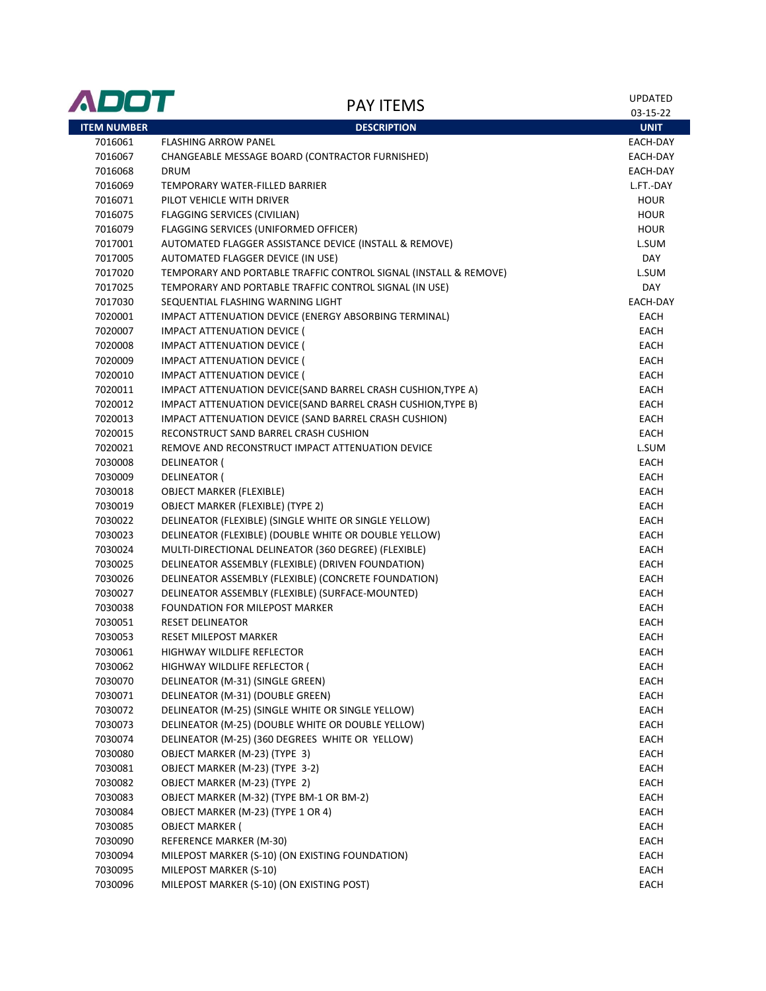| <b>ITEM NUMBER</b><br><b>DESCRIPTION</b><br><b>UNIT</b><br>7016061<br><b>FLASHING ARROW PANEL</b><br>EACH-DAY<br>7016067<br>CHANGEABLE MESSAGE BOARD (CONTRACTOR FURNISHED)<br>EACH-DAY<br>7016068<br><b>DRUM</b><br>EACH-DAY<br>7016069<br>TEMPORARY WATER-FILLED BARRIER<br>L.FT.-DAY<br>7016071<br>PILOT VEHICLE WITH DRIVER<br><b>HOUR</b><br>7016075<br><b>FLAGGING SERVICES (CIVILIAN)</b><br><b>HOUR</b><br>7016079<br>FLAGGING SERVICES (UNIFORMED OFFICER)<br><b>HOUR</b><br>7017001<br>AUTOMATED FLAGGER ASSISTANCE DEVICE (INSTALL & REMOVE)<br>L.SUM<br>7017005<br>AUTOMATED FLAGGER DEVICE (IN USE)<br>DAY<br>7017020<br>TEMPORARY AND PORTABLE TRAFFIC CONTROL SIGNAL (INSTALL & REMOVE)<br>L.SUM<br>7017025<br>TEMPORARY AND PORTABLE TRAFFIC CONTROL SIGNAL (IN USE)<br>DAY<br>SEQUENTIAL FLASHING WARNING LIGHT<br>EACH-DAY<br>7017030<br>IMPACT ATTENUATION DEVICE (ENERGY ABSORBING TERMINAL)<br><b>EACH</b><br>7020001<br>7020007<br><b>IMPACT ATTENUATION DEVICE (</b><br>EACH<br>7020008<br><b>IMPACT ATTENUATION DEVICE (</b><br>EACH<br><b>IMPACT ATTENUATION DEVICE (</b><br><b>EACH</b><br>7020009<br>7020010<br><b>IMPACT ATTENUATION DEVICE (</b><br>EACH<br>7020011<br>IMPACT ATTENUATION DEVICE(SAND BARREL CRASH CUSHION, TYPE A)<br>EACH<br>7020012<br>IMPACT ATTENUATION DEVICE(SAND BARREL CRASH CUSHION, TYPE B)<br><b>EACH</b><br>IMPACT ATTENUATION DEVICE (SAND BARREL CRASH CUSHION)<br><b>EACH</b><br>7020013<br>7020015<br>RECONSTRUCT SAND BARREL CRASH CUSHION<br>EACH<br>7020021<br>REMOVE AND RECONSTRUCT IMPACT ATTENUATION DEVICE<br>L.SUM<br>7030008<br><b>DELINEATOR (</b><br><b>EACH</b><br>7030009<br><b>DELINEATOR (</b><br>EACH<br>7030018<br><b>OBJECT MARKER (FLEXIBLE)</b><br>EACH<br>7030019<br><b>OBJECT MARKER (FLEXIBLE) (TYPE 2)</b><br>EACH<br>7030022<br>DELINEATOR (FLEXIBLE) (SINGLE WHITE OR SINGLE YELLOW)<br>EACH<br>DELINEATOR (FLEXIBLE) (DOUBLE WHITE OR DOUBLE YELLOW)<br><b>EACH</b><br>7030023<br>MULTI-DIRECTIONAL DELINEATOR (360 DEGREE) (FLEXIBLE)<br>EACH<br>7030024<br>7030025<br>DELINEATOR ASSEMBLY (FLEXIBLE) (DRIVEN FOUNDATION)<br>EACH<br>7030026<br>DELINEATOR ASSEMBLY (FLEXIBLE) (CONCRETE FOUNDATION)<br>EACH<br>7030027<br>DELINEATOR ASSEMBLY (FLEXIBLE) (SURFACE-MOUNTED)<br>EACH<br>7030038<br>FOUNDATION FOR MILEPOST MARKER<br>EACH<br>7030051<br><b>RESET DELINEATOR</b><br>EACH<br>7030053<br><b>RESET MILEPOST MARKER</b><br>EACH<br>7030061<br>EACH<br>HIGHWAY WILDLIFE REFLECTOR<br>HIGHWAY WILDLIFE REFLECTOR (<br>7030062<br>EACH<br>7030070<br>DELINEATOR (M-31) (SINGLE GREEN)<br>EACH<br>7030071<br>DELINEATOR (M-31) (DOUBLE GREEN)<br>EACH<br>7030072<br>DELINEATOR (M-25) (SINGLE WHITE OR SINGLE YELLOW)<br>EACH<br>DELINEATOR (M-25) (DOUBLE WHITE OR DOUBLE YELLOW)<br>EACH<br>7030073<br>DELINEATOR (M-25) (360 DEGREES WHITE OR YELLOW)<br>7030074<br>EACH<br>7030080<br>OBJECT MARKER (M-23) (TYPE 3)<br>EACH<br>OBJECT MARKER (M-23) (TYPE 3-2)<br>EACH<br>7030081<br>OBJECT MARKER (M-23) (TYPE 2)<br>7030082<br>EACH<br>OBJECT MARKER (M-32) (TYPE BM-1 OR BM-2)<br>7030083<br>EACH<br>OBJECT MARKER (M-23) (TYPE 1 OR 4)<br>7030084<br>EACH<br><b>OBJECT MARKER (</b><br>7030085<br>EACH<br>REFERENCE MARKER (M-30)<br>EACH<br>7030090<br>MILEPOST MARKER (S-10) (ON EXISTING FOUNDATION)<br>7030094<br>EACH<br>7030095<br>MILEPOST MARKER (S-10)<br>EACH | ADOT    | <b>PAY ITEMS</b>                          | <b>UPDATED</b><br>03-15-22 |
|----------------------------------------------------------------------------------------------------------------------------------------------------------------------------------------------------------------------------------------------------------------------------------------------------------------------------------------------------------------------------------------------------------------------------------------------------------------------------------------------------------------------------------------------------------------------------------------------------------------------------------------------------------------------------------------------------------------------------------------------------------------------------------------------------------------------------------------------------------------------------------------------------------------------------------------------------------------------------------------------------------------------------------------------------------------------------------------------------------------------------------------------------------------------------------------------------------------------------------------------------------------------------------------------------------------------------------------------------------------------------------------------------------------------------------------------------------------------------------------------------------------------------------------------------------------------------------------------------------------------------------------------------------------------------------------------------------------------------------------------------------------------------------------------------------------------------------------------------------------------------------------------------------------------------------------------------------------------------------------------------------------------------------------------------------------------------------------------------------------------------------------------------------------------------------------------------------------------------------------------------------------------------------------------------------------------------------------------------------------------------------------------------------------------------------------------------------------------------------------------------------------------------------------------------------------------------------------------------------------------------------------------------------------------------------------------------------------------------------------------------------------------------------------------------------------------------------------------------------------------------------------------------------------------------------------------------------------------------------------------------------------------------------------------------------------------------------------------------------------------------------------------------------------------------------------------------------------------------------------------------------------------------------------------------------------------------------------------------------------------------------|---------|-------------------------------------------|----------------------------|
|                                                                                                                                                                                                                                                                                                                                                                                                                                                                                                                                                                                                                                                                                                                                                                                                                                                                                                                                                                                                                                                                                                                                                                                                                                                                                                                                                                                                                                                                                                                                                                                                                                                                                                                                                                                                                                                                                                                                                                                                                                                                                                                                                                                                                                                                                                                                                                                                                                                                                                                                                                                                                                                                                                                                                                                                                                                                                                                                                                                                                                                                                                                                                                                                                                                                                                                                                                                  |         |                                           |                            |
|                                                                                                                                                                                                                                                                                                                                                                                                                                                                                                                                                                                                                                                                                                                                                                                                                                                                                                                                                                                                                                                                                                                                                                                                                                                                                                                                                                                                                                                                                                                                                                                                                                                                                                                                                                                                                                                                                                                                                                                                                                                                                                                                                                                                                                                                                                                                                                                                                                                                                                                                                                                                                                                                                                                                                                                                                                                                                                                                                                                                                                                                                                                                                                                                                                                                                                                                                                                  |         |                                           |                            |
|                                                                                                                                                                                                                                                                                                                                                                                                                                                                                                                                                                                                                                                                                                                                                                                                                                                                                                                                                                                                                                                                                                                                                                                                                                                                                                                                                                                                                                                                                                                                                                                                                                                                                                                                                                                                                                                                                                                                                                                                                                                                                                                                                                                                                                                                                                                                                                                                                                                                                                                                                                                                                                                                                                                                                                                                                                                                                                                                                                                                                                                                                                                                                                                                                                                                                                                                                                                  |         |                                           |                            |
|                                                                                                                                                                                                                                                                                                                                                                                                                                                                                                                                                                                                                                                                                                                                                                                                                                                                                                                                                                                                                                                                                                                                                                                                                                                                                                                                                                                                                                                                                                                                                                                                                                                                                                                                                                                                                                                                                                                                                                                                                                                                                                                                                                                                                                                                                                                                                                                                                                                                                                                                                                                                                                                                                                                                                                                                                                                                                                                                                                                                                                                                                                                                                                                                                                                                                                                                                                                  |         |                                           |                            |
|                                                                                                                                                                                                                                                                                                                                                                                                                                                                                                                                                                                                                                                                                                                                                                                                                                                                                                                                                                                                                                                                                                                                                                                                                                                                                                                                                                                                                                                                                                                                                                                                                                                                                                                                                                                                                                                                                                                                                                                                                                                                                                                                                                                                                                                                                                                                                                                                                                                                                                                                                                                                                                                                                                                                                                                                                                                                                                                                                                                                                                                                                                                                                                                                                                                                                                                                                                                  |         |                                           |                            |
|                                                                                                                                                                                                                                                                                                                                                                                                                                                                                                                                                                                                                                                                                                                                                                                                                                                                                                                                                                                                                                                                                                                                                                                                                                                                                                                                                                                                                                                                                                                                                                                                                                                                                                                                                                                                                                                                                                                                                                                                                                                                                                                                                                                                                                                                                                                                                                                                                                                                                                                                                                                                                                                                                                                                                                                                                                                                                                                                                                                                                                                                                                                                                                                                                                                                                                                                                                                  |         |                                           |                            |
|                                                                                                                                                                                                                                                                                                                                                                                                                                                                                                                                                                                                                                                                                                                                                                                                                                                                                                                                                                                                                                                                                                                                                                                                                                                                                                                                                                                                                                                                                                                                                                                                                                                                                                                                                                                                                                                                                                                                                                                                                                                                                                                                                                                                                                                                                                                                                                                                                                                                                                                                                                                                                                                                                                                                                                                                                                                                                                                                                                                                                                                                                                                                                                                                                                                                                                                                                                                  |         |                                           |                            |
|                                                                                                                                                                                                                                                                                                                                                                                                                                                                                                                                                                                                                                                                                                                                                                                                                                                                                                                                                                                                                                                                                                                                                                                                                                                                                                                                                                                                                                                                                                                                                                                                                                                                                                                                                                                                                                                                                                                                                                                                                                                                                                                                                                                                                                                                                                                                                                                                                                                                                                                                                                                                                                                                                                                                                                                                                                                                                                                                                                                                                                                                                                                                                                                                                                                                                                                                                                                  |         |                                           |                            |
|                                                                                                                                                                                                                                                                                                                                                                                                                                                                                                                                                                                                                                                                                                                                                                                                                                                                                                                                                                                                                                                                                                                                                                                                                                                                                                                                                                                                                                                                                                                                                                                                                                                                                                                                                                                                                                                                                                                                                                                                                                                                                                                                                                                                                                                                                                                                                                                                                                                                                                                                                                                                                                                                                                                                                                                                                                                                                                                                                                                                                                                                                                                                                                                                                                                                                                                                                                                  |         |                                           |                            |
|                                                                                                                                                                                                                                                                                                                                                                                                                                                                                                                                                                                                                                                                                                                                                                                                                                                                                                                                                                                                                                                                                                                                                                                                                                                                                                                                                                                                                                                                                                                                                                                                                                                                                                                                                                                                                                                                                                                                                                                                                                                                                                                                                                                                                                                                                                                                                                                                                                                                                                                                                                                                                                                                                                                                                                                                                                                                                                                                                                                                                                                                                                                                                                                                                                                                                                                                                                                  |         |                                           |                            |
|                                                                                                                                                                                                                                                                                                                                                                                                                                                                                                                                                                                                                                                                                                                                                                                                                                                                                                                                                                                                                                                                                                                                                                                                                                                                                                                                                                                                                                                                                                                                                                                                                                                                                                                                                                                                                                                                                                                                                                                                                                                                                                                                                                                                                                                                                                                                                                                                                                                                                                                                                                                                                                                                                                                                                                                                                                                                                                                                                                                                                                                                                                                                                                                                                                                                                                                                                                                  |         |                                           |                            |
|                                                                                                                                                                                                                                                                                                                                                                                                                                                                                                                                                                                                                                                                                                                                                                                                                                                                                                                                                                                                                                                                                                                                                                                                                                                                                                                                                                                                                                                                                                                                                                                                                                                                                                                                                                                                                                                                                                                                                                                                                                                                                                                                                                                                                                                                                                                                                                                                                                                                                                                                                                                                                                                                                                                                                                                                                                                                                                                                                                                                                                                                                                                                                                                                                                                                                                                                                                                  |         |                                           |                            |
|                                                                                                                                                                                                                                                                                                                                                                                                                                                                                                                                                                                                                                                                                                                                                                                                                                                                                                                                                                                                                                                                                                                                                                                                                                                                                                                                                                                                                                                                                                                                                                                                                                                                                                                                                                                                                                                                                                                                                                                                                                                                                                                                                                                                                                                                                                                                                                                                                                                                                                                                                                                                                                                                                                                                                                                                                                                                                                                                                                                                                                                                                                                                                                                                                                                                                                                                                                                  |         |                                           |                            |
|                                                                                                                                                                                                                                                                                                                                                                                                                                                                                                                                                                                                                                                                                                                                                                                                                                                                                                                                                                                                                                                                                                                                                                                                                                                                                                                                                                                                                                                                                                                                                                                                                                                                                                                                                                                                                                                                                                                                                                                                                                                                                                                                                                                                                                                                                                                                                                                                                                                                                                                                                                                                                                                                                                                                                                                                                                                                                                                                                                                                                                                                                                                                                                                                                                                                                                                                                                                  |         |                                           |                            |
|                                                                                                                                                                                                                                                                                                                                                                                                                                                                                                                                                                                                                                                                                                                                                                                                                                                                                                                                                                                                                                                                                                                                                                                                                                                                                                                                                                                                                                                                                                                                                                                                                                                                                                                                                                                                                                                                                                                                                                                                                                                                                                                                                                                                                                                                                                                                                                                                                                                                                                                                                                                                                                                                                                                                                                                                                                                                                                                                                                                                                                                                                                                                                                                                                                                                                                                                                                                  |         |                                           |                            |
|                                                                                                                                                                                                                                                                                                                                                                                                                                                                                                                                                                                                                                                                                                                                                                                                                                                                                                                                                                                                                                                                                                                                                                                                                                                                                                                                                                                                                                                                                                                                                                                                                                                                                                                                                                                                                                                                                                                                                                                                                                                                                                                                                                                                                                                                                                                                                                                                                                                                                                                                                                                                                                                                                                                                                                                                                                                                                                                                                                                                                                                                                                                                                                                                                                                                                                                                                                                  |         |                                           |                            |
|                                                                                                                                                                                                                                                                                                                                                                                                                                                                                                                                                                                                                                                                                                                                                                                                                                                                                                                                                                                                                                                                                                                                                                                                                                                                                                                                                                                                                                                                                                                                                                                                                                                                                                                                                                                                                                                                                                                                                                                                                                                                                                                                                                                                                                                                                                                                                                                                                                                                                                                                                                                                                                                                                                                                                                                                                                                                                                                                                                                                                                                                                                                                                                                                                                                                                                                                                                                  |         |                                           |                            |
|                                                                                                                                                                                                                                                                                                                                                                                                                                                                                                                                                                                                                                                                                                                                                                                                                                                                                                                                                                                                                                                                                                                                                                                                                                                                                                                                                                                                                                                                                                                                                                                                                                                                                                                                                                                                                                                                                                                                                                                                                                                                                                                                                                                                                                                                                                                                                                                                                                                                                                                                                                                                                                                                                                                                                                                                                                                                                                                                                                                                                                                                                                                                                                                                                                                                                                                                                                                  |         |                                           |                            |
|                                                                                                                                                                                                                                                                                                                                                                                                                                                                                                                                                                                                                                                                                                                                                                                                                                                                                                                                                                                                                                                                                                                                                                                                                                                                                                                                                                                                                                                                                                                                                                                                                                                                                                                                                                                                                                                                                                                                                                                                                                                                                                                                                                                                                                                                                                                                                                                                                                                                                                                                                                                                                                                                                                                                                                                                                                                                                                                                                                                                                                                                                                                                                                                                                                                                                                                                                                                  |         |                                           |                            |
|                                                                                                                                                                                                                                                                                                                                                                                                                                                                                                                                                                                                                                                                                                                                                                                                                                                                                                                                                                                                                                                                                                                                                                                                                                                                                                                                                                                                                                                                                                                                                                                                                                                                                                                                                                                                                                                                                                                                                                                                                                                                                                                                                                                                                                                                                                                                                                                                                                                                                                                                                                                                                                                                                                                                                                                                                                                                                                                                                                                                                                                                                                                                                                                                                                                                                                                                                                                  |         |                                           |                            |
|                                                                                                                                                                                                                                                                                                                                                                                                                                                                                                                                                                                                                                                                                                                                                                                                                                                                                                                                                                                                                                                                                                                                                                                                                                                                                                                                                                                                                                                                                                                                                                                                                                                                                                                                                                                                                                                                                                                                                                                                                                                                                                                                                                                                                                                                                                                                                                                                                                                                                                                                                                                                                                                                                                                                                                                                                                                                                                                                                                                                                                                                                                                                                                                                                                                                                                                                                                                  |         |                                           |                            |
|                                                                                                                                                                                                                                                                                                                                                                                                                                                                                                                                                                                                                                                                                                                                                                                                                                                                                                                                                                                                                                                                                                                                                                                                                                                                                                                                                                                                                                                                                                                                                                                                                                                                                                                                                                                                                                                                                                                                                                                                                                                                                                                                                                                                                                                                                                                                                                                                                                                                                                                                                                                                                                                                                                                                                                                                                                                                                                                                                                                                                                                                                                                                                                                                                                                                                                                                                                                  |         |                                           |                            |
|                                                                                                                                                                                                                                                                                                                                                                                                                                                                                                                                                                                                                                                                                                                                                                                                                                                                                                                                                                                                                                                                                                                                                                                                                                                                                                                                                                                                                                                                                                                                                                                                                                                                                                                                                                                                                                                                                                                                                                                                                                                                                                                                                                                                                                                                                                                                                                                                                                                                                                                                                                                                                                                                                                                                                                                                                                                                                                                                                                                                                                                                                                                                                                                                                                                                                                                                                                                  |         |                                           |                            |
|                                                                                                                                                                                                                                                                                                                                                                                                                                                                                                                                                                                                                                                                                                                                                                                                                                                                                                                                                                                                                                                                                                                                                                                                                                                                                                                                                                                                                                                                                                                                                                                                                                                                                                                                                                                                                                                                                                                                                                                                                                                                                                                                                                                                                                                                                                                                                                                                                                                                                                                                                                                                                                                                                                                                                                                                                                                                                                                                                                                                                                                                                                                                                                                                                                                                                                                                                                                  |         |                                           |                            |
|                                                                                                                                                                                                                                                                                                                                                                                                                                                                                                                                                                                                                                                                                                                                                                                                                                                                                                                                                                                                                                                                                                                                                                                                                                                                                                                                                                                                                                                                                                                                                                                                                                                                                                                                                                                                                                                                                                                                                                                                                                                                                                                                                                                                                                                                                                                                                                                                                                                                                                                                                                                                                                                                                                                                                                                                                                                                                                                                                                                                                                                                                                                                                                                                                                                                                                                                                                                  |         |                                           |                            |
|                                                                                                                                                                                                                                                                                                                                                                                                                                                                                                                                                                                                                                                                                                                                                                                                                                                                                                                                                                                                                                                                                                                                                                                                                                                                                                                                                                                                                                                                                                                                                                                                                                                                                                                                                                                                                                                                                                                                                                                                                                                                                                                                                                                                                                                                                                                                                                                                                                                                                                                                                                                                                                                                                                                                                                                                                                                                                                                                                                                                                                                                                                                                                                                                                                                                                                                                                                                  |         |                                           |                            |
|                                                                                                                                                                                                                                                                                                                                                                                                                                                                                                                                                                                                                                                                                                                                                                                                                                                                                                                                                                                                                                                                                                                                                                                                                                                                                                                                                                                                                                                                                                                                                                                                                                                                                                                                                                                                                                                                                                                                                                                                                                                                                                                                                                                                                                                                                                                                                                                                                                                                                                                                                                                                                                                                                                                                                                                                                                                                                                                                                                                                                                                                                                                                                                                                                                                                                                                                                                                  |         |                                           |                            |
|                                                                                                                                                                                                                                                                                                                                                                                                                                                                                                                                                                                                                                                                                                                                                                                                                                                                                                                                                                                                                                                                                                                                                                                                                                                                                                                                                                                                                                                                                                                                                                                                                                                                                                                                                                                                                                                                                                                                                                                                                                                                                                                                                                                                                                                                                                                                                                                                                                                                                                                                                                                                                                                                                                                                                                                                                                                                                                                                                                                                                                                                                                                                                                                                                                                                                                                                                                                  |         |                                           |                            |
|                                                                                                                                                                                                                                                                                                                                                                                                                                                                                                                                                                                                                                                                                                                                                                                                                                                                                                                                                                                                                                                                                                                                                                                                                                                                                                                                                                                                                                                                                                                                                                                                                                                                                                                                                                                                                                                                                                                                                                                                                                                                                                                                                                                                                                                                                                                                                                                                                                                                                                                                                                                                                                                                                                                                                                                                                                                                                                                                                                                                                                                                                                                                                                                                                                                                                                                                                                                  |         |                                           |                            |
|                                                                                                                                                                                                                                                                                                                                                                                                                                                                                                                                                                                                                                                                                                                                                                                                                                                                                                                                                                                                                                                                                                                                                                                                                                                                                                                                                                                                                                                                                                                                                                                                                                                                                                                                                                                                                                                                                                                                                                                                                                                                                                                                                                                                                                                                                                                                                                                                                                                                                                                                                                                                                                                                                                                                                                                                                                                                                                                                                                                                                                                                                                                                                                                                                                                                                                                                                                                  |         |                                           |                            |
|                                                                                                                                                                                                                                                                                                                                                                                                                                                                                                                                                                                                                                                                                                                                                                                                                                                                                                                                                                                                                                                                                                                                                                                                                                                                                                                                                                                                                                                                                                                                                                                                                                                                                                                                                                                                                                                                                                                                                                                                                                                                                                                                                                                                                                                                                                                                                                                                                                                                                                                                                                                                                                                                                                                                                                                                                                                                                                                                                                                                                                                                                                                                                                                                                                                                                                                                                                                  |         |                                           |                            |
|                                                                                                                                                                                                                                                                                                                                                                                                                                                                                                                                                                                                                                                                                                                                                                                                                                                                                                                                                                                                                                                                                                                                                                                                                                                                                                                                                                                                                                                                                                                                                                                                                                                                                                                                                                                                                                                                                                                                                                                                                                                                                                                                                                                                                                                                                                                                                                                                                                                                                                                                                                                                                                                                                                                                                                                                                                                                                                                                                                                                                                                                                                                                                                                                                                                                                                                                                                                  |         |                                           |                            |
|                                                                                                                                                                                                                                                                                                                                                                                                                                                                                                                                                                                                                                                                                                                                                                                                                                                                                                                                                                                                                                                                                                                                                                                                                                                                                                                                                                                                                                                                                                                                                                                                                                                                                                                                                                                                                                                                                                                                                                                                                                                                                                                                                                                                                                                                                                                                                                                                                                                                                                                                                                                                                                                                                                                                                                                                                                                                                                                                                                                                                                                                                                                                                                                                                                                                                                                                                                                  |         |                                           |                            |
|                                                                                                                                                                                                                                                                                                                                                                                                                                                                                                                                                                                                                                                                                                                                                                                                                                                                                                                                                                                                                                                                                                                                                                                                                                                                                                                                                                                                                                                                                                                                                                                                                                                                                                                                                                                                                                                                                                                                                                                                                                                                                                                                                                                                                                                                                                                                                                                                                                                                                                                                                                                                                                                                                                                                                                                                                                                                                                                                                                                                                                                                                                                                                                                                                                                                                                                                                                                  |         |                                           |                            |
|                                                                                                                                                                                                                                                                                                                                                                                                                                                                                                                                                                                                                                                                                                                                                                                                                                                                                                                                                                                                                                                                                                                                                                                                                                                                                                                                                                                                                                                                                                                                                                                                                                                                                                                                                                                                                                                                                                                                                                                                                                                                                                                                                                                                                                                                                                                                                                                                                                                                                                                                                                                                                                                                                                                                                                                                                                                                                                                                                                                                                                                                                                                                                                                                                                                                                                                                                                                  |         |                                           |                            |
|                                                                                                                                                                                                                                                                                                                                                                                                                                                                                                                                                                                                                                                                                                                                                                                                                                                                                                                                                                                                                                                                                                                                                                                                                                                                                                                                                                                                                                                                                                                                                                                                                                                                                                                                                                                                                                                                                                                                                                                                                                                                                                                                                                                                                                                                                                                                                                                                                                                                                                                                                                                                                                                                                                                                                                                                                                                                                                                                                                                                                                                                                                                                                                                                                                                                                                                                                                                  |         |                                           |                            |
|                                                                                                                                                                                                                                                                                                                                                                                                                                                                                                                                                                                                                                                                                                                                                                                                                                                                                                                                                                                                                                                                                                                                                                                                                                                                                                                                                                                                                                                                                                                                                                                                                                                                                                                                                                                                                                                                                                                                                                                                                                                                                                                                                                                                                                                                                                                                                                                                                                                                                                                                                                                                                                                                                                                                                                                                                                                                                                                                                                                                                                                                                                                                                                                                                                                                                                                                                                                  |         |                                           |                            |
|                                                                                                                                                                                                                                                                                                                                                                                                                                                                                                                                                                                                                                                                                                                                                                                                                                                                                                                                                                                                                                                                                                                                                                                                                                                                                                                                                                                                                                                                                                                                                                                                                                                                                                                                                                                                                                                                                                                                                                                                                                                                                                                                                                                                                                                                                                                                                                                                                                                                                                                                                                                                                                                                                                                                                                                                                                                                                                                                                                                                                                                                                                                                                                                                                                                                                                                                                                                  |         |                                           |                            |
|                                                                                                                                                                                                                                                                                                                                                                                                                                                                                                                                                                                                                                                                                                                                                                                                                                                                                                                                                                                                                                                                                                                                                                                                                                                                                                                                                                                                                                                                                                                                                                                                                                                                                                                                                                                                                                                                                                                                                                                                                                                                                                                                                                                                                                                                                                                                                                                                                                                                                                                                                                                                                                                                                                                                                                                                                                                                                                                                                                                                                                                                                                                                                                                                                                                                                                                                                                                  |         |                                           |                            |
|                                                                                                                                                                                                                                                                                                                                                                                                                                                                                                                                                                                                                                                                                                                                                                                                                                                                                                                                                                                                                                                                                                                                                                                                                                                                                                                                                                                                                                                                                                                                                                                                                                                                                                                                                                                                                                                                                                                                                                                                                                                                                                                                                                                                                                                                                                                                                                                                                                                                                                                                                                                                                                                                                                                                                                                                                                                                                                                                                                                                                                                                                                                                                                                                                                                                                                                                                                                  |         |                                           |                            |
|                                                                                                                                                                                                                                                                                                                                                                                                                                                                                                                                                                                                                                                                                                                                                                                                                                                                                                                                                                                                                                                                                                                                                                                                                                                                                                                                                                                                                                                                                                                                                                                                                                                                                                                                                                                                                                                                                                                                                                                                                                                                                                                                                                                                                                                                                                                                                                                                                                                                                                                                                                                                                                                                                                                                                                                                                                                                                                                                                                                                                                                                                                                                                                                                                                                                                                                                                                                  |         |                                           |                            |
|                                                                                                                                                                                                                                                                                                                                                                                                                                                                                                                                                                                                                                                                                                                                                                                                                                                                                                                                                                                                                                                                                                                                                                                                                                                                                                                                                                                                                                                                                                                                                                                                                                                                                                                                                                                                                                                                                                                                                                                                                                                                                                                                                                                                                                                                                                                                                                                                                                                                                                                                                                                                                                                                                                                                                                                                                                                                                                                                                                                                                                                                                                                                                                                                                                                                                                                                                                                  |         |                                           |                            |
|                                                                                                                                                                                                                                                                                                                                                                                                                                                                                                                                                                                                                                                                                                                                                                                                                                                                                                                                                                                                                                                                                                                                                                                                                                                                                                                                                                                                                                                                                                                                                                                                                                                                                                                                                                                                                                                                                                                                                                                                                                                                                                                                                                                                                                                                                                                                                                                                                                                                                                                                                                                                                                                                                                                                                                                                                                                                                                                                                                                                                                                                                                                                                                                                                                                                                                                                                                                  |         |                                           |                            |
|                                                                                                                                                                                                                                                                                                                                                                                                                                                                                                                                                                                                                                                                                                                                                                                                                                                                                                                                                                                                                                                                                                                                                                                                                                                                                                                                                                                                                                                                                                                                                                                                                                                                                                                                                                                                                                                                                                                                                                                                                                                                                                                                                                                                                                                                                                                                                                                                                                                                                                                                                                                                                                                                                                                                                                                                                                                                                                                                                                                                                                                                                                                                                                                                                                                                                                                                                                                  |         |                                           |                            |
|                                                                                                                                                                                                                                                                                                                                                                                                                                                                                                                                                                                                                                                                                                                                                                                                                                                                                                                                                                                                                                                                                                                                                                                                                                                                                                                                                                                                                                                                                                                                                                                                                                                                                                                                                                                                                                                                                                                                                                                                                                                                                                                                                                                                                                                                                                                                                                                                                                                                                                                                                                                                                                                                                                                                                                                                                                                                                                                                                                                                                                                                                                                                                                                                                                                                                                                                                                                  |         |                                           |                            |
|                                                                                                                                                                                                                                                                                                                                                                                                                                                                                                                                                                                                                                                                                                                                                                                                                                                                                                                                                                                                                                                                                                                                                                                                                                                                                                                                                                                                                                                                                                                                                                                                                                                                                                                                                                                                                                                                                                                                                                                                                                                                                                                                                                                                                                                                                                                                                                                                                                                                                                                                                                                                                                                                                                                                                                                                                                                                                                                                                                                                                                                                                                                                                                                                                                                                                                                                                                                  |         |                                           |                            |
|                                                                                                                                                                                                                                                                                                                                                                                                                                                                                                                                                                                                                                                                                                                                                                                                                                                                                                                                                                                                                                                                                                                                                                                                                                                                                                                                                                                                                                                                                                                                                                                                                                                                                                                                                                                                                                                                                                                                                                                                                                                                                                                                                                                                                                                                                                                                                                                                                                                                                                                                                                                                                                                                                                                                                                                                                                                                                                                                                                                                                                                                                                                                                                                                                                                                                                                                                                                  |         |                                           |                            |
|                                                                                                                                                                                                                                                                                                                                                                                                                                                                                                                                                                                                                                                                                                                                                                                                                                                                                                                                                                                                                                                                                                                                                                                                                                                                                                                                                                                                                                                                                                                                                                                                                                                                                                                                                                                                                                                                                                                                                                                                                                                                                                                                                                                                                                                                                                                                                                                                                                                                                                                                                                                                                                                                                                                                                                                                                                                                                                                                                                                                                                                                                                                                                                                                                                                                                                                                                                                  |         |                                           |                            |
|                                                                                                                                                                                                                                                                                                                                                                                                                                                                                                                                                                                                                                                                                                                                                                                                                                                                                                                                                                                                                                                                                                                                                                                                                                                                                                                                                                                                                                                                                                                                                                                                                                                                                                                                                                                                                                                                                                                                                                                                                                                                                                                                                                                                                                                                                                                                                                                                                                                                                                                                                                                                                                                                                                                                                                                                                                                                                                                                                                                                                                                                                                                                                                                                                                                                                                                                                                                  |         |                                           |                            |
|                                                                                                                                                                                                                                                                                                                                                                                                                                                                                                                                                                                                                                                                                                                                                                                                                                                                                                                                                                                                                                                                                                                                                                                                                                                                                                                                                                                                                                                                                                                                                                                                                                                                                                                                                                                                                                                                                                                                                                                                                                                                                                                                                                                                                                                                                                                                                                                                                                                                                                                                                                                                                                                                                                                                                                                                                                                                                                                                                                                                                                                                                                                                                                                                                                                                                                                                                                                  |         |                                           |                            |
|                                                                                                                                                                                                                                                                                                                                                                                                                                                                                                                                                                                                                                                                                                                                                                                                                                                                                                                                                                                                                                                                                                                                                                                                                                                                                                                                                                                                                                                                                                                                                                                                                                                                                                                                                                                                                                                                                                                                                                                                                                                                                                                                                                                                                                                                                                                                                                                                                                                                                                                                                                                                                                                                                                                                                                                                                                                                                                                                                                                                                                                                                                                                                                                                                                                                                                                                                                                  |         |                                           |                            |
|                                                                                                                                                                                                                                                                                                                                                                                                                                                                                                                                                                                                                                                                                                                                                                                                                                                                                                                                                                                                                                                                                                                                                                                                                                                                                                                                                                                                                                                                                                                                                                                                                                                                                                                                                                                                                                                                                                                                                                                                                                                                                                                                                                                                                                                                                                                                                                                                                                                                                                                                                                                                                                                                                                                                                                                                                                                                                                                                                                                                                                                                                                                                                                                                                                                                                                                                                                                  |         |                                           |                            |
|                                                                                                                                                                                                                                                                                                                                                                                                                                                                                                                                                                                                                                                                                                                                                                                                                                                                                                                                                                                                                                                                                                                                                                                                                                                                                                                                                                                                                                                                                                                                                                                                                                                                                                                                                                                                                                                                                                                                                                                                                                                                                                                                                                                                                                                                                                                                                                                                                                                                                                                                                                                                                                                                                                                                                                                                                                                                                                                                                                                                                                                                                                                                                                                                                                                                                                                                                                                  | 7030096 | MILEPOST MARKER (S-10) (ON EXISTING POST) | EACH                       |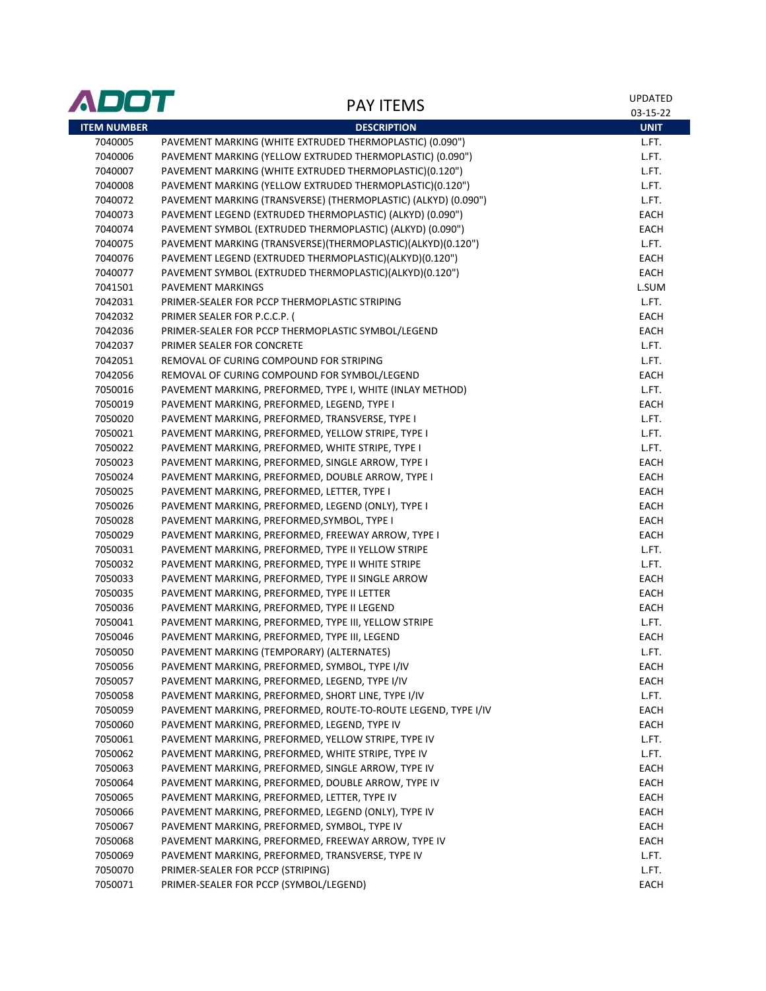| ADOT               | <b>PAY ITEMS</b>                                               | UPDATED<br>03-15-22 |
|--------------------|----------------------------------------------------------------|---------------------|
| <b>ITEM NUMBER</b> | <b>DESCRIPTION</b>                                             | <b>UNIT</b>         |
| 7040005            | PAVEMENT MARKING (WHITE EXTRUDED THERMOPLASTIC) (0.090")       | L.FT.               |
| 7040006            | PAVEMENT MARKING (YELLOW EXTRUDED THERMOPLASTIC) (0.090")      | L.FT.               |
| 7040007            | PAVEMENT MARKING (WHITE EXTRUDED THERMOPLASTIC)(0.120")        | L.FT.               |
| 7040008            | PAVEMENT MARKING (YELLOW EXTRUDED THERMOPLASTIC)(0.120")       | L.FT.               |
| 7040072            | PAVEMENT MARKING (TRANSVERSE) (THERMOPLASTIC) (ALKYD) (0.090") | L.FT.               |
| 7040073            | PAVEMENT LEGEND (EXTRUDED THERMOPLASTIC) (ALKYD) (0.090")      | <b>EACH</b>         |
| 7040074            | PAVEMENT SYMBOL (EXTRUDED THERMOPLASTIC) (ALKYD) (0.090")      | EACH                |
| 7040075            | PAVEMENT MARKING (TRANSVERSE)(THERMOPLASTIC)(ALKYD)(0.120")    | L.FT.               |
| 7040076            | PAVEMENT LEGEND (EXTRUDED THERMOPLASTIC)(ALKYD)(0.120")        | <b>EACH</b>         |
| 7040077            | PAVEMENT SYMBOL (EXTRUDED THERMOPLASTIC)(ALKYD)(0.120")        | EACH                |
| 7041501            | PAVEMENT MARKINGS                                              | L.SUM               |
| 7042031            | PRIMER-SEALER FOR PCCP THERMOPLASTIC STRIPING                  | L.FT.               |
| 7042032            | PRIMER SEALER FOR P.C.C.P.                                     | EACH                |
| 7042036            | PRIMER-SEALER FOR PCCP THERMOPLASTIC SYMBOL/LEGEND             | EACH                |
| 7042037            | PRIMER SEALER FOR CONCRETE                                     | L.FT.               |
| 7042051            | REMOVAL OF CURING COMPOUND FOR STRIPING                        | L.FT.               |
| 7042056            | REMOVAL OF CURING COMPOUND FOR SYMBOL/LEGEND                   | EACH                |
| 7050016            | PAVEMENT MARKING, PREFORMED, TYPE I, WHITE (INLAY METHOD)      | L.FT.               |
| 7050019            | PAVEMENT MARKING, PREFORMED, LEGEND, TYPE I                    | EACH                |
| 7050020            | PAVEMENT MARKING, PREFORMED, TRANSVERSE, TYPE I                | L.FT.               |
| 7050021            | PAVEMENT MARKING, PREFORMED, YELLOW STRIPE, TYPE I             | L.FT.               |
| 7050022            | PAVEMENT MARKING, PREFORMED, WHITE STRIPE, TYPE I              | L.FT.               |
| 7050023            | PAVEMENT MARKING, PREFORMED, SINGLE ARROW, TYPE I              | EACH                |
| 7050024            | PAVEMENT MARKING, PREFORMED, DOUBLE ARROW, TYPE I              | EACH                |
| 7050025            | PAVEMENT MARKING, PREFORMED, LETTER, TYPE I                    | EACH                |
| 7050026            | PAVEMENT MARKING, PREFORMED, LEGEND (ONLY), TYPE I             | EACH                |
| 7050028            | PAVEMENT MARKING, PREFORMED, SYMBOL, TYPE I                    | EACH                |
| 7050029            | PAVEMENT MARKING, PREFORMED, FREEWAY ARROW, TYPE I             | EACH                |
| 7050031            | PAVEMENT MARKING, PREFORMED, TYPE II YELLOW STRIPE             | L.FT.               |
| 7050032            | PAVEMENT MARKING, PREFORMED, TYPE II WHITE STRIPE              | L.FT.               |
| 7050033            | PAVEMENT MARKING, PREFORMED, TYPE II SINGLE ARROW              | EACH                |
| 7050035            | PAVEMENT MARKING, PREFORMED, TYPE II LETTER                    | EACH                |
| 7050036            | PAVEMENT MARKING, PREFORMED, TYPE II LEGEND                    | EACH                |
| 7050041            | PAVEMENT MARKING, PREFORMED, TYPE III, YELLOW STRIPE           | L.FT.               |
| 7050046            | PAVEMENT MARKING, PREFORMED, TYPE III, LEGEND                  | <b>EACH</b>         |
| 7050050            | PAVEMENT MARKING (TEMPORARY) (ALTERNATES)                      | L.FT.               |
| 7050056            | PAVEMENT MARKING, PREFORMED, SYMBOL, TYPE I/IV                 | EACH                |
| 7050057            | PAVEMENT MARKING, PREFORMED, LEGEND, TYPE I/IV                 | EACH                |
| 7050058            | PAVEMENT MARKING, PREFORMED, SHORT LINE, TYPE I/IV             | L.FT.               |
| 7050059            | PAVEMENT MARKING, PREFORMED, ROUTE-TO-ROUTE LEGEND, TYPE I/IV  | EACH                |
| 7050060            | PAVEMENT MARKING, PREFORMED, LEGEND, TYPE IV                   | EACH                |
| 7050061            | PAVEMENT MARKING, PREFORMED, YELLOW STRIPE, TYPE IV            | L.FT.               |
| 7050062            | PAVEMENT MARKING, PREFORMED, WHITE STRIPE, TYPE IV             | L.FT.               |
| 7050063            | PAVEMENT MARKING, PREFORMED, SINGLE ARROW, TYPE IV             | EACH                |
| 7050064            | PAVEMENT MARKING, PREFORMED, DOUBLE ARROW, TYPE IV             | EACH                |
| 7050065            | PAVEMENT MARKING, PREFORMED, LETTER, TYPE IV                   | EACH                |
| 7050066            | PAVEMENT MARKING, PREFORMED, LEGEND (ONLY), TYPE IV            | EACH                |
| 7050067            | PAVEMENT MARKING, PREFORMED, SYMBOL, TYPE IV                   | EACH                |
| 7050068            | PAVEMENT MARKING, PREFORMED, FREEWAY ARROW, TYPE IV            | EACH                |
| 7050069            | PAVEMENT MARKING, PREFORMED, TRANSVERSE, TYPE IV               | L.FT.               |
| 7050070            | PRIMER-SEALER FOR PCCP (STRIPING)                              | L.FT.               |
| 7050071            | PRIMER-SEALER FOR PCCP (SYMBOL/LEGEND)                         | EACH                |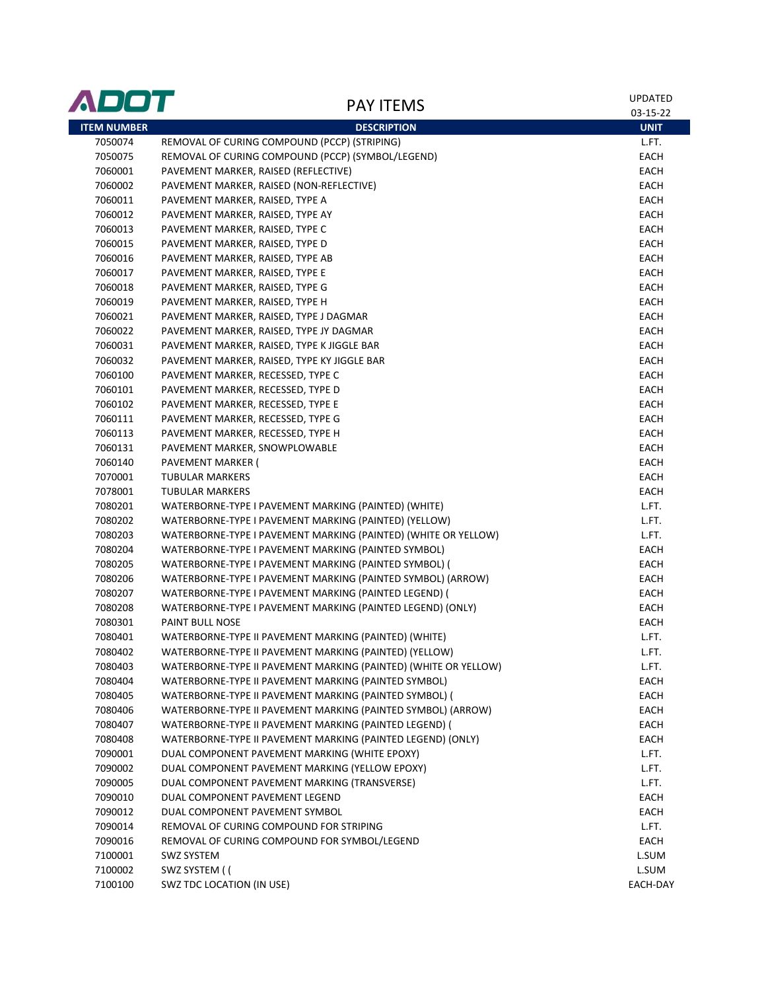| ADOT               | <b>PAY ITEMS</b>                                                | UPDATED<br>03-15-22 |
|--------------------|-----------------------------------------------------------------|---------------------|
| <b>ITEM NUMBER</b> | <b>DESCRIPTION</b>                                              | <b>UNIT</b>         |
| 7050074            | REMOVAL OF CURING COMPOUND (PCCP) (STRIPING)                    | L.FT.               |
| 7050075            | REMOVAL OF CURING COMPOUND (PCCP) (SYMBOL/LEGEND)               | EACH                |
| 7060001            | PAVEMENT MARKER, RAISED (REFLECTIVE)                            | EACH                |
| 7060002            | PAVEMENT MARKER, RAISED (NON-REFLECTIVE)                        | EACH                |
| 7060011            | PAVEMENT MARKER, RAISED, TYPE A                                 | <b>EACH</b>         |
| 7060012            | PAVEMENT MARKER, RAISED, TYPE AY                                | EACH                |
| 7060013            | PAVEMENT MARKER, RAISED, TYPE C                                 | EACH                |
| 7060015            | PAVEMENT MARKER, RAISED, TYPE D                                 | EACH                |
| 7060016            | PAVEMENT MARKER, RAISED, TYPE AB                                | <b>EACH</b>         |
| 7060017            | PAVEMENT MARKER, RAISED, TYPE E                                 | <b>EACH</b>         |
| 7060018            | PAVEMENT MARKER, RAISED, TYPE G                                 | <b>EACH</b>         |
| 7060019            | PAVEMENT MARKER, RAISED, TYPE H                                 | EACH                |
| 7060021            | PAVEMENT MARKER, RAISED, TYPE J DAGMAR                          | EACH                |
| 7060022            | PAVEMENT MARKER, RAISED, TYPE JY DAGMAR                         | EACH                |
| 7060031            | PAVEMENT MARKER, RAISED, TYPE K JIGGLE BAR                      | <b>EACH</b>         |
| 7060032            | PAVEMENT MARKER, RAISED, TYPE KY JIGGLE BAR                     | EACH                |
| 7060100            | PAVEMENT MARKER, RECESSED, TYPE C                               | EACH                |
| 7060101            | PAVEMENT MARKER, RECESSED, TYPE D                               | EACH                |
| 7060102            | PAVEMENT MARKER, RECESSED, TYPE E                               | EACH                |
| 7060111            | PAVEMENT MARKER, RECESSED, TYPE G                               | EACH                |
| 7060113            | PAVEMENT MARKER, RECESSED, TYPE H                               | EACH                |
| 7060131            | PAVEMENT MARKER, SNOWPLOWABLE                                   | EACH                |
| 7060140            | PAVEMENT MARKER (                                               | EACH                |
| 7070001            | <b>TUBULAR MARKERS</b>                                          | EACH                |
| 7078001            | <b>TUBULAR MARKERS</b>                                          | EACH                |
| 7080201            | WATERBORNE-TYPE I PAVEMENT MARKING (PAINTED) (WHITE)            | L.FT.               |
| 7080202            | WATERBORNE-TYPE I PAVEMENT MARKING (PAINTED) (YELLOW)           | L.FT.               |
| 7080203            | WATERBORNE-TYPE I PAVEMENT MARKING (PAINTED) (WHITE OR YELLOW)  | L.FT.               |
| 7080204            | WATERBORNE-TYPE I PAVEMENT MARKING (PAINTED SYMBOL)             | EACH                |
| 7080205            | WATERBORNE-TYPE I PAVEMENT MARKING (PAINTED SYMBOL) (           | EACH                |
| 7080206            | WATERBORNE-TYPE I PAVEMENT MARKING (PAINTED SYMBOL) (ARROW)     | EACH                |
| 7080207            | WATERBORNE-TYPE I PAVEMENT MARKING (PAINTED LEGEND) (           | EACH                |
| 7080208            | WATERBORNE-TYPE I PAVEMENT MARKING (PAINTED LEGEND) (ONLY)      | EACH                |
| 7080301            | <b>PAINT BULL NOSE</b>                                          | EACH                |
| 7080401            | WATERBORNE-TYPE II PAVEMENT MARKING (PAINTED) (WHITE)           | L.FT.               |
| 7080402            | WATERBORNE-TYPE II PAVEMENT MARKING (PAINTED) (YELLOW)          | L.FT.               |
| 7080403            | WATERBORNE-TYPE II PAVEMENT MARKING (PAINTED) (WHITE OR YELLOW) | L.FT.               |
| 7080404            | WATERBORNE-TYPE II PAVEMENT MARKING (PAINTED SYMBOL)            | EACH                |
| 7080405            | WATERBORNE-TYPE II PAVEMENT MARKING (PAINTED SYMBOL) (          | EACH                |
| 7080406            | WATERBORNE-TYPE II PAVEMENT MARKING (PAINTED SYMBOL) (ARROW)    | EACH                |
| 7080407            | WATERBORNE-TYPE II PAVEMENT MARKING (PAINTED LEGEND) (          | EACH                |
| 7080408            | WATERBORNE-TYPE II PAVEMENT MARKING (PAINTED LEGEND) (ONLY)     | EACH                |
| 7090001            | DUAL COMPONENT PAVEMENT MARKING (WHITE EPOXY)                   | L.FT.               |
| 7090002            | DUAL COMPONENT PAVEMENT MARKING (YELLOW EPOXY)                  | L.FT.               |
| 7090005            | DUAL COMPONENT PAVEMENT MARKING (TRANSVERSE)                    | L.FT.               |
| 7090010            | DUAL COMPONENT PAVEMENT LEGEND                                  | EACH                |
| 7090012            | DUAL COMPONENT PAVEMENT SYMBOL                                  | EACH                |
| 7090014            | REMOVAL OF CURING COMPOUND FOR STRIPING                         | L.FT.               |
| 7090016            | REMOVAL OF CURING COMPOUND FOR SYMBOL/LEGEND                    | EACH                |
| 7100001            | <b>SWZ SYSTEM</b>                                               | L.SUM               |
| 7100002            | SWZ SYSTEM ((                                                   | L.SUM               |
| 7100100            | SWZ TDC LOCATION (IN USE)                                       | EACH-DAY            |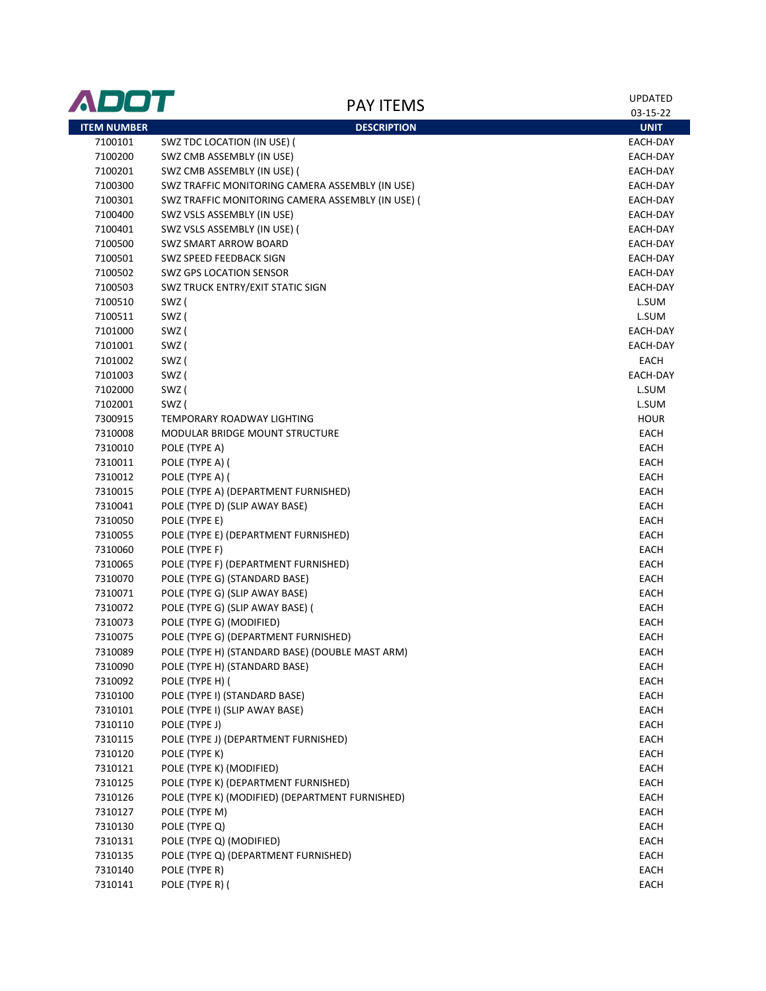| ADOT               | <b>PAY ITEMS</b>                                  | <b>UPDATED</b> |
|--------------------|---------------------------------------------------|----------------|
|                    |                                                   | 03-15-22       |
| <b>ITEM NUMBER</b> | <b>DESCRIPTION</b>                                | <b>UNIT</b>    |
| 7100101            | SWZ TDC LOCATION (IN USE) (                       | EACH-DAY       |
| 7100200            | SWZ CMB ASSEMBLY (IN USE)                         | EACH-DAY       |
| 7100201            | SWZ CMB ASSEMBLY (IN USE) (                       | EACH-DAY       |
| 7100300            | SWZ TRAFFIC MONITORING CAMERA ASSEMBLY (IN USE)   | EACH-DAY       |
| 7100301            | SWZ TRAFFIC MONITORING CAMERA ASSEMBLY (IN USE) ( | EACH-DAY       |
| 7100400            | SWZ VSLS ASSEMBLY (IN USE)                        | EACH-DAY       |
| 7100401            | SWZ VSLS ASSEMBLY (IN USE) (                      | EACH-DAY       |
| 7100500            | SWZ SMART ARROW BOARD                             | EACH-DAY       |
| 7100501            | SWZ SPEED FEEDBACK SIGN                           | EACH-DAY       |
| 7100502            | <b>SWZ GPS LOCATION SENSOR</b>                    | EACH-DAY       |
| 7100503            | SWZ TRUCK ENTRY/EXIT STATIC SIGN                  | EACH-DAY       |
| 7100510            | SWZ (                                             | L.SUM          |
| 7100511            | SWZ (                                             | L.SUM          |
| 7101000            | SWZ (                                             | EACH-DAY       |
| 7101001            | SWZ (                                             | EACH-DAY       |
| 7101002            | SWZ (                                             | EACH           |
| 7101003            | SWZ (                                             | EACH-DAY       |
| 7102000            | SWZ (                                             | L.SUM          |
| 7102001            | SWZ (                                             | L.SUM          |
| 7300915            | TEMPORARY ROADWAY LIGHTING                        | <b>HOUR</b>    |
| 7310008            | <b>MODULAR BRIDGE MOUNT STRUCTURE</b>             | EACH           |
| 7310010            | POLE (TYPE A)                                     | EACH           |
| 7310011            | POLE (TYPE A) (                                   | <b>EACH</b>    |
| 7310012            | POLE (TYPE A) (                                   | EACH           |
| 7310015            | POLE (TYPE A) (DEPARTMENT FURNISHED)              | EACH           |
| 7310041            | POLE (TYPE D) (SLIP AWAY BASE)                    | EACH           |
| 7310050            | POLE (TYPE E)                                     | EACH           |
| 7310055            | POLE (TYPE E) (DEPARTMENT FURNISHED)              | EACH           |
| 7310060            | POLE (TYPE F)                                     | EACH           |
| 7310065            | POLE (TYPE F) (DEPARTMENT FURNISHED)              | EACH           |
| 7310070            | POLE (TYPE G) (STANDARD BASE)                     | EACH           |
| 7310071            | POLE (TYPE G) (SLIP AWAY BASE)                    | EACH           |
| 7310072            | POLE (TYPE G) (SLIP AWAY BASE) (                  | EACH           |
| 7310073            | POLE (TYPE G) (MODIFIED)                          | EACH           |
| 7310075            | POLE (TYPE G) (DEPARTMENT FURNISHED)              | <b>EACH</b>    |
| 7310089            | POLE (TYPE H) (STANDARD BASE) (DOUBLE MAST ARM)   | <b>EACH</b>    |
| 7310090            | POLE (TYPE H) (STANDARD BASE)                     | EACH           |
| 7310092            | POLE (TYPE H) (                                   | EACH           |
| 7310100            | POLE (TYPE I) (STANDARD BASE)                     | EACH           |
| 7310101            | POLE (TYPE I) (SLIP AWAY BASE)                    | EACH           |
| 7310110            | POLE (TYPE J)                                     | EACH           |
| 7310115            | POLE (TYPE J) (DEPARTMENT FURNISHED)              | EACH           |
| 7310120            | POLE (TYPE K)                                     | EACH           |
| 7310121            | POLE (TYPE K) (MODIFIED)                          | EACH           |
| 7310125            | POLE (TYPE K) (DEPARTMENT FURNISHED)              | EACH           |
| 7310126            | POLE (TYPE K) (MODIFIED) (DEPARTMENT FURNISHED)   | EACH           |
| 7310127            | POLE (TYPE M)                                     | EACH           |
| 7310130            | POLE (TYPE Q)                                     | EACH           |
| 7310131            | POLE (TYPE Q) (MODIFIED)                          | EACH           |
| 7310135            | POLE (TYPE Q) (DEPARTMENT FURNISHED)              | EACH           |
| 7310140            | POLE (TYPE R)                                     | EACH           |
| 7310141            | POLE (TYPE R) (                                   | EACH           |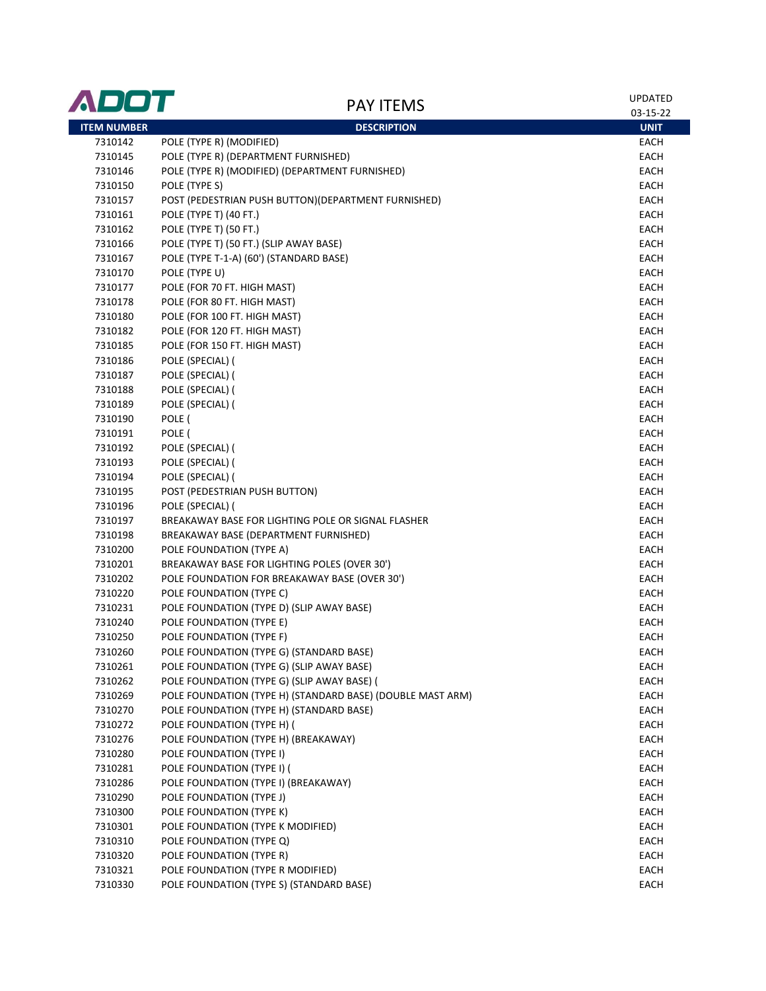| ADOT               | <b>PAY ITEMS</b>                                           | <b>UPDATED</b> |
|--------------------|------------------------------------------------------------|----------------|
|                    |                                                            | 03-15-22       |
| <b>ITEM NUMBER</b> | <b>DESCRIPTION</b>                                         | <b>UNIT</b>    |
| 7310142            | POLE (TYPE R) (MODIFIED)                                   | EACH           |
| 7310145            | POLE (TYPE R) (DEPARTMENT FURNISHED)                       | EACH           |
| 7310146            | POLE (TYPE R) (MODIFIED) (DEPARTMENT FURNISHED)            | EACH           |
| 7310150            | POLE (TYPE S)                                              | EACH           |
| 7310157            | POST (PEDESTRIAN PUSH BUTTON)(DEPARTMENT FURNISHED)        | EACH           |
| 7310161            | POLE (TYPE T) (40 FT.)                                     | EACH           |
| 7310162            | POLE (TYPE T) (50 FT.)                                     | EACH           |
| 7310166            | POLE (TYPE T) (50 FT.) (SLIP AWAY BASE)                    | EACH           |
| 7310167            | POLE (TYPE T-1-A) (60') (STANDARD BASE)                    | EACH           |
| 7310170            | POLE (TYPE U)                                              | EACH           |
| 7310177            | POLE (FOR 70 FT. HIGH MAST)                                | EACH           |
| 7310178            | POLE (FOR 80 FT. HIGH MAST)                                | EACH           |
| 7310180            | POLE (FOR 100 FT. HIGH MAST)                               | EACH           |
| 7310182            | POLE (FOR 120 FT. HIGH MAST)                               | EACH           |
| 7310185            | POLE (FOR 150 FT. HIGH MAST)                               | EACH           |
| 7310186            | POLE (SPECIAL) (                                           | EACH           |
| 7310187            | POLE (SPECIAL) (                                           | EACH           |
| 7310188            | POLE (SPECIAL) (                                           | EACH           |
| 7310189            | POLE (SPECIAL) (                                           | EACH           |
| 7310190            | POLE (                                                     | EACH           |
| 7310191            | POLE (                                                     | EACH           |
| 7310192            | POLE (SPECIAL) (                                           | EACH           |
| 7310193            | POLE (SPECIAL) (                                           | EACH           |
| 7310194            | POLE (SPECIAL) (                                           | EACH           |
| 7310195            | POST (PEDESTRIAN PUSH BUTTON)                              | EACH           |
| 7310196            | POLE (SPECIAL) (                                           | EACH           |
| 7310197            | BREAKAWAY BASE FOR LIGHTING POLE OR SIGNAL FLASHER         | EACH           |
| 7310198            | BREAKAWAY BASE (DEPARTMENT FURNISHED)                      | EACH           |
| 7310200            | POLE FOUNDATION (TYPE A)                                   | EACH           |
| 7310201            | BREAKAWAY BASE FOR LIGHTING POLES (OVER 30')               | EACH           |
| 7310202            | POLE FOUNDATION FOR BREAKAWAY BASE (OVER 30')              | EACH           |
| 7310220            | POLE FOUNDATION (TYPE C)                                   | EACH           |
| 7310231            | POLE FOUNDATION (TYPE D) (SLIP AWAY BASE)                  | EACH           |
| 7310240            | POLE FOUNDATION (TYPE E)                                   | EACH           |
| 7310250            | POLE FOUNDATION (TYPE F)                                   | <b>EACH</b>    |
| 7310260            | POLE FOUNDATION (TYPE G) (STANDARD BASE)                   | EACH           |
| 7310261            | POLE FOUNDATION (TYPE G) (SLIP AWAY BASE)                  | EACH           |
| 7310262            | POLE FOUNDATION (TYPE G) (SLIP AWAY BASE) (                | EACH           |
| 7310269            | POLE FOUNDATION (TYPE H) (STANDARD BASE) (DOUBLE MAST ARM) | <b>EACH</b>    |
| 7310270            | POLE FOUNDATION (TYPE H) (STANDARD BASE)                   | EACH           |
| 7310272            | POLE FOUNDATION (TYPE H) (                                 | EACH           |
| 7310276            | POLE FOUNDATION (TYPE H) (BREAKAWAY)                       | EACH           |
| 7310280            | POLE FOUNDATION (TYPE I)                                   | EACH           |
| 7310281            | POLE FOUNDATION (TYPE I) (                                 | EACH           |
| 7310286            | POLE FOUNDATION (TYPE I) (BREAKAWAY)                       | EACH           |
| 7310290            | POLE FOUNDATION (TYPE J)                                   | EACH           |
| 7310300            | POLE FOUNDATION (TYPE K)                                   | EACH           |
| 7310301            | POLE FOUNDATION (TYPE K MODIFIED)                          | EACH           |
| 7310310            | POLE FOUNDATION (TYPE Q)                                   | EACH           |
| 7310320            | POLE FOUNDATION (TYPE R)                                   | EACH           |
| 7310321            | POLE FOUNDATION (TYPE R MODIFIED)                          | EACH           |
| 7310330            | POLE FOUNDATION (TYPE S) (STANDARD BASE)                   | EACH           |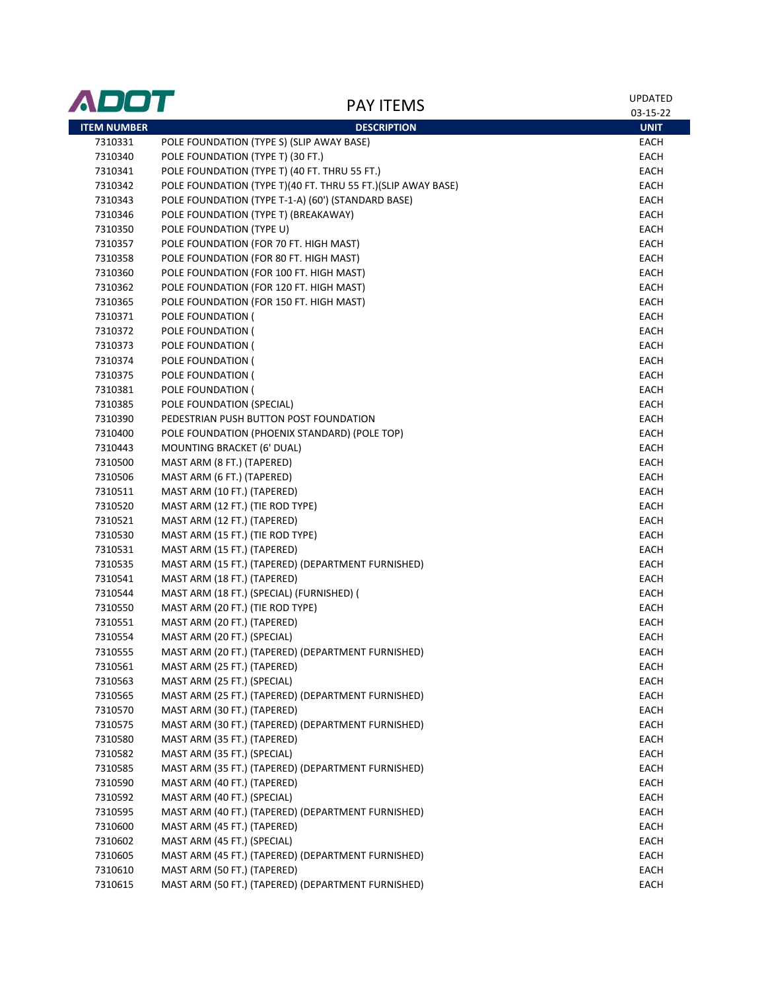| ADOT               | <b>PAY ITEMS</b>                                             | UPDATED<br>03-15-22 |
|--------------------|--------------------------------------------------------------|---------------------|
| <b>ITEM NUMBER</b> | <b>DESCRIPTION</b>                                           | <b>UNIT</b>         |
| 7310331            | POLE FOUNDATION (TYPE S) (SLIP AWAY BASE)                    | EACH                |
| 7310340            | POLE FOUNDATION (TYPE T) (30 FT.)                            | EACH                |
| 7310341            | POLE FOUNDATION (TYPE T) (40 FT. THRU 55 FT.)                | EACH                |
| 7310342            | POLE FOUNDATION (TYPE T)(40 FT. THRU 55 FT.)(SLIP AWAY BASE) | EACH                |
| 7310343            | POLE FOUNDATION (TYPE T-1-A) (60') (STANDARD BASE)           | EACH                |
| 7310346            | POLE FOUNDATION (TYPE T) (BREAKAWAY)                         | EACH                |
| 7310350            | POLE FOUNDATION (TYPE U)                                     | EACH                |
| 7310357            | POLE FOUNDATION (FOR 70 FT. HIGH MAST)                       | EACH                |
| 7310358            | POLE FOUNDATION (FOR 80 FT. HIGH MAST)                       | EACH                |
| 7310360            | POLE FOUNDATION (FOR 100 FT. HIGH MAST)                      | EACH                |
| 7310362            | POLE FOUNDATION (FOR 120 FT. HIGH MAST)                      | EACH                |
| 7310365            | POLE FOUNDATION (FOR 150 FT. HIGH MAST)                      | EACH                |
| 7310371            | POLE FOUNDATION (                                            | EACH                |
| 7310372            | POLE FOUNDATION (                                            | EACH                |
| 7310373            | POLE FOUNDATION (                                            | EACH                |
| 7310374            | POLE FOUNDATION (                                            | EACH                |
| 7310375            | POLE FOUNDATION (                                            | EACH                |
| 7310381            | POLE FOUNDATION (                                            | EACH                |
| 7310385            | POLE FOUNDATION (SPECIAL)                                    | EACH                |
| 7310390            | PEDESTRIAN PUSH BUTTON POST FOUNDATION                       | EACH                |
| 7310400            | POLE FOUNDATION (PHOENIX STANDARD) (POLE TOP)                | EACH                |
| 7310443            | MOUNTING BRACKET (6' DUAL)                                   | EACH                |
| 7310500            | MAST ARM (8 FT.) (TAPERED)                                   | EACH                |
| 7310506            | MAST ARM (6 FT.) (TAPERED)                                   | EACH                |
| 7310511            | MAST ARM (10 FT.) (TAPERED)                                  | EACH                |
| 7310520            | MAST ARM (12 FT.) (TIE ROD TYPE)                             | EACH                |
| 7310521            | MAST ARM (12 FT.) (TAPERED)                                  | EACH                |
| 7310530            | MAST ARM (15 FT.) (TIE ROD TYPE)                             | EACH                |
| 7310531            | MAST ARM (15 FT.) (TAPERED)                                  | EACH                |
| 7310535            | MAST ARM (15 FT.) (TAPERED) (DEPARTMENT FURNISHED)           | EACH                |
| 7310541            | MAST ARM (18 FT.) (TAPERED)                                  | EACH                |
| 7310544            | MAST ARM (18 FT.) (SPECIAL) (FURNISHED) (                    | EACH                |
| 7310550            | MAST ARM (20 FT.) (TIE ROD TYPE)                             | EACH                |
| 7310551            | MAST ARM (20 FT.) (TAPERED)                                  | EACH                |
| 7310554            | MAST ARM (20 FT.) (SPECIAL)                                  | EACH                |
| 7310555            | MAST ARM (20 FT.) (TAPERED) (DEPARTMENT FURNISHED)           | EACH                |
| 7310561            | MAST ARM (25 FT.) (TAPERED)                                  | EACH                |
| 7310563            | MAST ARM (25 FT.) (SPECIAL)                                  | EACH                |
| 7310565            | MAST ARM (25 FT.) (TAPERED) (DEPARTMENT FURNISHED)           | EACH                |
| 7310570            | MAST ARM (30 FT.) (TAPERED)                                  | EACH                |
| 7310575            | MAST ARM (30 FT.) (TAPERED) (DEPARTMENT FURNISHED)           | EACH                |
| 7310580            | MAST ARM (35 FT.) (TAPERED)                                  | EACH                |
| 7310582            | MAST ARM (35 FT.) (SPECIAL)                                  | EACH                |
| 7310585            | MAST ARM (35 FT.) (TAPERED) (DEPARTMENT FURNISHED)           | EACH                |
| 7310590            | MAST ARM (40 FT.) (TAPERED)                                  | EACH                |
| 7310592            | MAST ARM (40 FT.) (SPECIAL)                                  | EACH                |
| 7310595            | MAST ARM (40 FT.) (TAPERED) (DEPARTMENT FURNISHED)           | EACH                |
| 7310600            | MAST ARM (45 FT.) (TAPERED)                                  | EACH                |
| 7310602            | MAST ARM (45 FT.) (SPECIAL)                                  | EACH                |
| 7310605            | MAST ARM (45 FT.) (TAPERED) (DEPARTMENT FURNISHED)           | EACH                |
| 7310610            | MAST ARM (50 FT.) (TAPERED)                                  | EACH                |
| 7310615            | MAST ARM (50 FT.) (TAPERED) (DEPARTMENT FURNISHED)           | EACH                |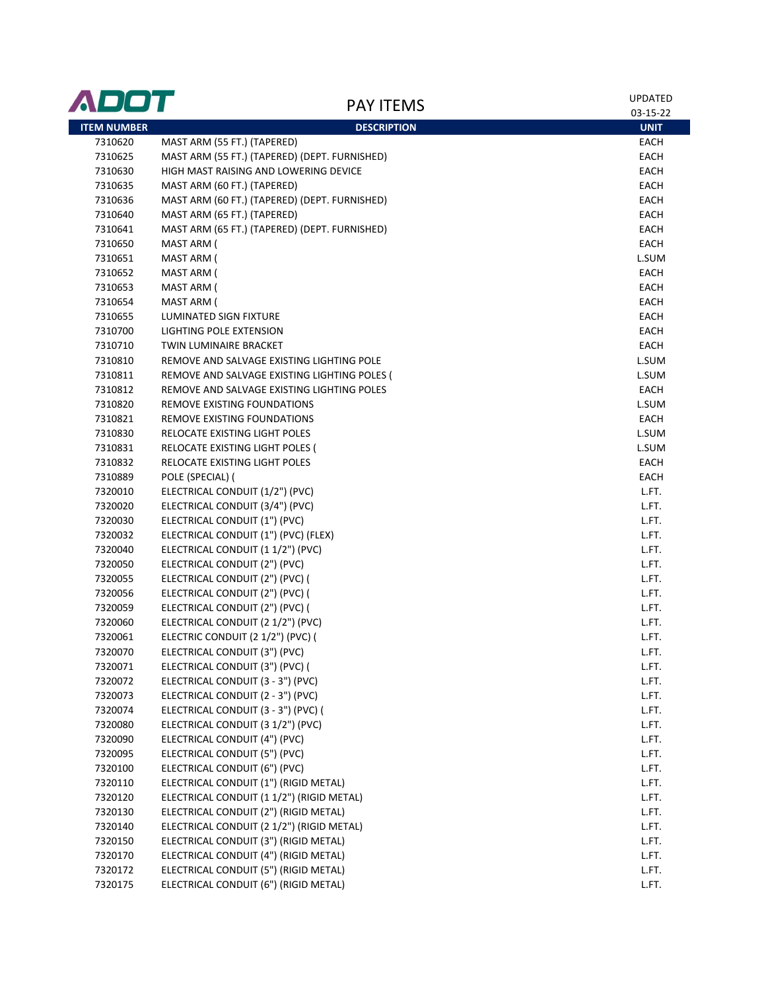| ADOT               | <b>PAY ITEMS</b>                              | UPDATED     |
|--------------------|-----------------------------------------------|-------------|
|                    |                                               | 03-15-22    |
| <b>ITEM NUMBER</b> | <b>DESCRIPTION</b>                            | <b>UNIT</b> |
| 7310620            | MAST ARM (55 FT.) (TAPERED)                   | EACH        |
| 7310625            | MAST ARM (55 FT.) (TAPERED) (DEPT. FURNISHED) | EACH        |
| 7310630            | HIGH MAST RAISING AND LOWERING DEVICE         | EACH        |
| 7310635            | MAST ARM (60 FT.) (TAPERED)                   | EACH        |
| 7310636            | MAST ARM (60 FT.) (TAPERED) (DEPT. FURNISHED) | EACH        |
| 7310640            | MAST ARM (65 FT.) (TAPERED)                   | EACH        |
| 7310641            | MAST ARM (65 FT.) (TAPERED) (DEPT. FURNISHED) | EACH        |
| 7310650            | MAST ARM (                                    | EACH        |
| 7310651            | MAST ARM (                                    | L.SUM       |
| 7310652            | MAST ARM (                                    | EACH        |
| 7310653            | MAST ARM (                                    | EACH        |
| 7310654            | MAST ARM (                                    | EACH        |
| 7310655            | LUMINATED SIGN FIXTURE                        | EACH        |
| 7310700            | LIGHTING POLE EXTENSION                       | EACH        |
| 7310710            | TWIN LUMINAIRE BRACKET                        | EACH        |
| 7310810            | REMOVE AND SALVAGE EXISTING LIGHTING POLE     | L.SUM       |
| 7310811            | REMOVE AND SALVAGE EXISTING LIGHTING POLES (  | L.SUM       |
| 7310812            | REMOVE AND SALVAGE EXISTING LIGHTING POLES    | EACH        |
| 7310820            | REMOVE EXISTING FOUNDATIONS                   | L.SUM       |
| 7310821            | <b>REMOVE EXISTING FOUNDATIONS</b>            | EACH        |
| 7310830            | RELOCATE EXISTING LIGHT POLES                 | L.SUM       |
| 7310831            | RELOCATE EXISTING LIGHT POLES (               | L.SUM       |
| 7310832            | RELOCATE EXISTING LIGHT POLES                 | EACH        |
| 7310889            | POLE (SPECIAL) (                              | EACH        |
| 7320010            | ELECTRICAL CONDUIT (1/2") (PVC)               | L.FT.       |
| 7320020            | ELECTRICAL CONDUIT (3/4") (PVC)               | L.FT.       |
| 7320030            | ELECTRICAL CONDUIT (1") (PVC)                 | L.FT.       |
| 7320032            | ELECTRICAL CONDUIT (1") (PVC) (FLEX)          | L.FT.       |
| 7320040            | ELECTRICAL CONDUIT (1 1/2") (PVC)             | L.FT.       |
| 7320050            | ELECTRICAL CONDUIT (2") (PVC)                 | L.FT.       |
| 7320055            | ELECTRICAL CONDUIT (2") (PVC) (               | L.FT.       |
| 7320056            | ELECTRICAL CONDUIT (2") (PVC) (               | L.FT.       |
| 7320059            | ELECTRICAL CONDUIT (2") (PVC) (               | L.FT.       |
| 7320060            | ELECTRICAL CONDUIT (2 1/2") (PVC)             | L.FT.       |
| 7320061            | ELECTRIC CONDUIT (2 1/2") (PVC) (             | L.FT.       |
| 7320070            | ELECTRICAL CONDUIT (3") (PVC)                 | L.FT.       |
| 7320071            | ELECTRICAL CONDUIT (3") (PVC) (               | L.FT.       |
| 7320072            | ELECTRICAL CONDUIT (3 - 3") (PVC)             | L.FT.       |
| 7320073            | ELECTRICAL CONDUIT (2 - 3") (PVC)             | L.FT.       |
| 7320074            | ELECTRICAL CONDUIT (3 - 3") (PVC) (           | L.FT.       |
| 7320080            | ELECTRICAL CONDUIT (3 1/2") (PVC)             | L.FT.       |
| 7320090            | ELECTRICAL CONDUIT (4") (PVC)                 | L.FT.       |
| 7320095            | ELECTRICAL CONDUIT (5") (PVC)                 | L.FT.       |
| 7320100            | ELECTRICAL CONDUIT (6") (PVC)                 | L.FT.       |
| 7320110            | ELECTRICAL CONDUIT (1") (RIGID METAL)         | L.FT.       |
| 7320120            | ELECTRICAL CONDUIT (1 1/2") (RIGID METAL)     | L.FT.       |
| 7320130            | ELECTRICAL CONDUIT (2") (RIGID METAL)         | L.FT.       |
| 7320140            | ELECTRICAL CONDUIT (2 1/2") (RIGID METAL)     | L.FT.       |
| 7320150            | ELECTRICAL CONDUIT (3") (RIGID METAL)         | L.FT.       |
| 7320170            | ELECTRICAL CONDUIT (4") (RIGID METAL)         | L.FT.       |
| 7320172            | ELECTRICAL CONDUIT (5") (RIGID METAL)         | L.FT.       |
| 7320175            | ELECTRICAL CONDUIT (6") (RIGID METAL)         | L.FT.       |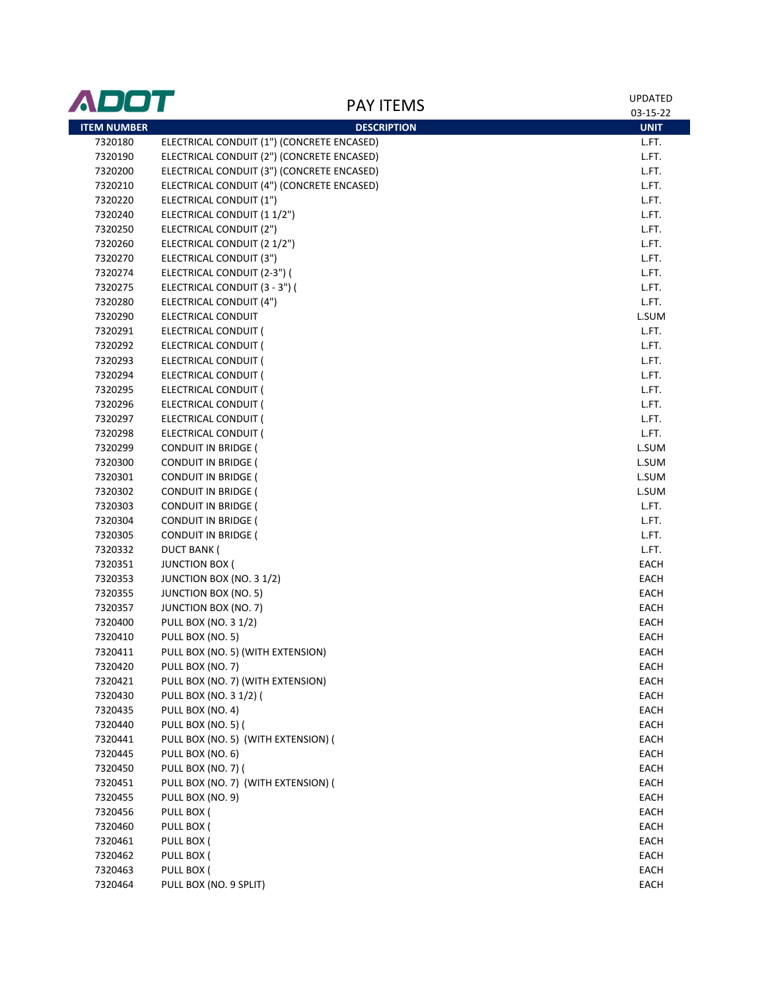| ADOT               | <b>PAY ITEMS</b>                           | <b>UPDATED</b> |
|--------------------|--------------------------------------------|----------------|
|                    |                                            | 03-15-22       |
| <b>ITEM NUMBER</b> | <b>DESCRIPTION</b>                         | <b>UNIT</b>    |
| 7320180            | ELECTRICAL CONDUIT (1") (CONCRETE ENCASED) | L.FT.          |
| 7320190            | ELECTRICAL CONDUIT (2") (CONCRETE ENCASED) | L.FT.          |
| 7320200            | ELECTRICAL CONDUIT (3") (CONCRETE ENCASED) | L.FT.          |
| 7320210            | ELECTRICAL CONDUIT (4") (CONCRETE ENCASED) | L.FT.          |
| 7320220            | ELECTRICAL CONDUIT (1")                    | L.FT.          |
| 7320240            | ELECTRICAL CONDUIT (1 1/2")                | L.FT.          |
| 7320250            | ELECTRICAL CONDUIT (2")                    | L.FT.          |
| 7320260            | ELECTRICAL CONDUIT (2 1/2")                | L.FT.          |
| 7320270            | ELECTRICAL CONDUIT (3")                    | L.FT.          |
| 7320274            | ELECTRICAL CONDUIT (2-3") (                | L.FT.          |
| 7320275            | ELECTRICAL CONDUIT (3 - 3") (              | L.FT.          |
| 7320280            | ELECTRICAL CONDUIT (4")                    | L.FT.          |
| 7320290            | ELECTRICAL CONDUIT                         | L.SUM          |
| 7320291            | ELECTRICAL CONDUIT (                       | L.FT.          |
| 7320292            | ELECTRICAL CONDUIT (                       | L.FT.          |
| 7320293            | ELECTRICAL CONDUIT (                       | L.FT.          |
| 7320294            | ELECTRICAL CONDUIT (                       | L.FT.          |
| 7320295            | ELECTRICAL CONDUIT (                       | L.FT.          |
| 7320296            | ELECTRICAL CONDUIT (                       | L.FT.          |
| 7320297            | ELECTRICAL CONDUIT (                       | L.FT.          |
| 7320298            | ELECTRICAL CONDUIT (                       | L.FT.          |
| 7320299            | <b>CONDUIT IN BRIDGE (</b>                 | L.SUM          |
| 7320300            | <b>CONDUIT IN BRIDGE (</b>                 | L.SUM          |
| 7320301            | <b>CONDUIT IN BRIDGE (</b>                 | L.SUM          |
| 7320302            | <b>CONDUIT IN BRIDGE (</b>                 | L.SUM          |
| 7320303            | <b>CONDUIT IN BRIDGE (</b>                 | L.FT.          |
| 7320304            | <b>CONDUIT IN BRIDGE (</b>                 | L.FT.          |
| 7320305            | <b>CONDUIT IN BRIDGE (</b>                 | L.FT.          |
| 7320332            | <b>DUCT BANK (</b>                         | L.FT.          |
| 7320351            | <b>JUNCTION BOX (</b>                      | EACH           |
| 7320353            | JUNCTION BOX (NO. 3 1/2)                   | EACH           |
| 7320355            | <b>JUNCTION BOX (NO. 5)</b>                | EACH           |
| 7320357            | JUNCTION BOX (NO. 7)                       | EACH           |
| 7320400            | <b>PULL BOX (NO. 3 1/2)</b>                | EACH           |
| 7320410            | PULL BOX (NO. 5)                           | EACH           |
| 7320411            | PULL BOX (NO. 5) (WITH EXTENSION)          | EACH           |
| 7320420            | PULL BOX (NO. 7)                           | EACH           |
| 7320421            | PULL BOX (NO. 7) (WITH EXTENSION)          | EACH           |
| 7320430            | PULL BOX (NO. 3 1/2) (                     | EACH           |
| 7320435            | PULL BOX (NO. 4)                           | EACH           |
| 7320440            | <b>PULL BOX (NO. 5) (</b>                  | EACH           |
| 7320441            | PULL BOX (NO. 5) (WITH EXTENSION) (        | EACH           |
| 7320445            | PULL BOX (NO. 6)                           | EACH           |
|                    | <b>PULL BOX (NO. 7) (</b>                  | EACH           |
| 7320450            |                                            |                |
| 7320451            | PULL BOX (NO. 7) (WITH EXTENSION) (        | EACH           |
| 7320455            | PULL BOX (NO. 9)                           | EACH           |
| 7320456            | PULL BOX (                                 | EACH           |
| 7320460            | PULL BOX (                                 | EACH           |
| 7320461            | PULL BOX (                                 | EACH           |
| 7320462            | PULL BOX (                                 | EACH           |
| 7320463            | PULL BOX (                                 | EACH           |
| 7320464            | PULL BOX (NO. 9 SPLIT)                     | EACH           |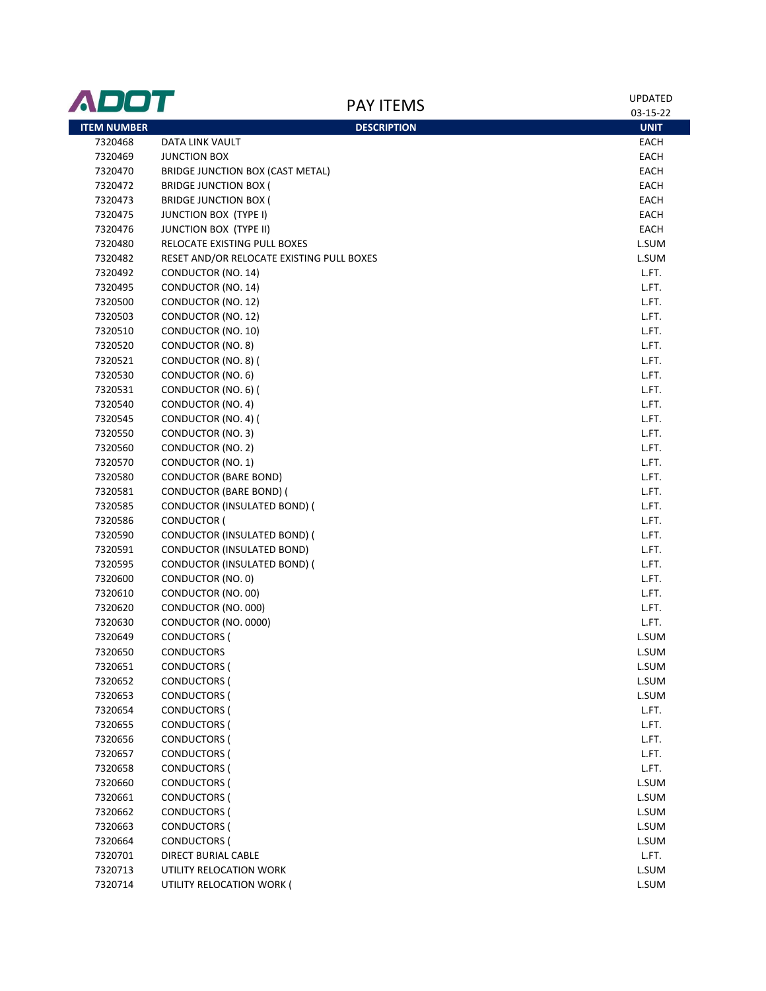| ADOT               | <b>PAY ITEMS</b>                           | <b>UPDATED</b> |  |
|--------------------|--------------------------------------------|----------------|--|
|                    |                                            | 03-15-22       |  |
| <b>ITEM NUMBER</b> | <b>DESCRIPTION</b>                         | <b>UNIT</b>    |  |
| 7320468            | DATA LINK VAULT                            | EACH           |  |
| 7320469            | <b>JUNCTION BOX</b>                        | EACH           |  |
| 7320470            | BRIDGE JUNCTION BOX (CAST METAL)           | EACH           |  |
| 7320472            | <b>BRIDGE JUNCTION BOX (</b>               | EACH           |  |
| 7320473            | <b>BRIDGE JUNCTION BOX (</b>               | EACH           |  |
| 7320475            | <b>JUNCTION BOX (TYPE I)</b>               | EACH           |  |
| 7320476            | <b>JUNCTION BOX (TYPE II)</b>              | EACH           |  |
| 7320480            | RELOCATE EXISTING PULL BOXES               | L.SUM          |  |
| 7320482            | RESET AND/OR RELOCATE EXISTING PULL BOXES  | L.SUM          |  |
| 7320492            | CONDUCTOR (NO. 14)                         | L.FT.          |  |
| 7320495            | CONDUCTOR (NO. 14)                         | L.FT.          |  |
| 7320500            | CONDUCTOR (NO. 12)                         | L.FT.          |  |
| 7320503            | CONDUCTOR (NO. 12)                         | L.FT.          |  |
| 7320510            | CONDUCTOR (NO. 10)                         | L.FT.          |  |
| 7320520            | CONDUCTOR (NO. 8)                          | L.FT.          |  |
| 7320521            | CONDUCTOR (NO. 8) (                        | L.FT.          |  |
| 7320530            | CONDUCTOR (NO. 6)                          | L.FT.          |  |
| 7320531            | CONDUCTOR (NO. 6) (                        | L.FT.          |  |
| 7320540            | CONDUCTOR (NO. 4)                          | L.FT.          |  |
| 7320545            | CONDUCTOR (NO. 4) (                        | L.FT.          |  |
| 7320550            | CONDUCTOR (NO. 3)                          | L.FT.          |  |
| 7320560            | CONDUCTOR (NO. 2)                          | L.FT.          |  |
| 7320570            | CONDUCTOR (NO. 1)                          | L.FT.          |  |
| 7320580            | <b>CONDUCTOR (BARE BOND)</b>               | L.FT.          |  |
| 7320581            | <b>CONDUCTOR (BARE BOND) (</b>             | L.FT.          |  |
| 7320585            | CONDUCTOR (INSULATED BOND) (               | L.FT.          |  |
| 7320586            | CONDUCTOR (                                | L.FT.          |  |
| 7320590            | CONDUCTOR (INSULATED BOND) (               | L.FT.          |  |
| 7320591            | <b>CONDUCTOR (INSULATED BOND)</b>          | L.FT.          |  |
| 7320595            | CONDUCTOR (INSULATED BOND) (               | L.FT.          |  |
| 7320600            | CONDUCTOR (NO. 0)                          | L.FT.          |  |
| 7320610            | CONDUCTOR (NO. 00)                         | L.FT.          |  |
| 7320620            | CONDUCTOR (NO. 000)                        | L.FT.          |  |
| 7320630<br>7320649 | CONDUCTOR (NO. 0000)                       | L.FT.          |  |
|                    | <b>CONDUCTORS (</b>                        | L.SUM          |  |
| 7320650            | <b>CONDUCTORS</b>                          | L.SUM          |  |
| 7320651            | <b>CONDUCTORS (</b>                        | L.SUM          |  |
| 7320652<br>7320653 | <b>CONDUCTORS (</b><br><b>CONDUCTORS (</b> | L.SUM<br>L.SUM |  |
| 7320654            |                                            | L.FT.          |  |
| 7320655            | <b>CONDUCTORS (</b>                        | L.FT.          |  |
| 7320656            | <b>CONDUCTORS (</b>                        | L.FT.          |  |
| 7320657            | <b>CONDUCTORS (</b><br><b>CONDUCTORS (</b> | L.FT.          |  |
| 7320658            | <b>CONDUCTORS (</b>                        | L.FT.          |  |
| 7320660            | <b>CONDUCTORS (</b>                        | L.SUM          |  |
| 7320661            | <b>CONDUCTORS (</b>                        | L.SUM          |  |
| 7320662            | <b>CONDUCTORS (</b>                        | L.SUM          |  |
| 7320663            | <b>CONDUCTORS (</b>                        | L.SUM          |  |
| 7320664            | <b>CONDUCTORS (</b>                        | L.SUM          |  |
| 7320701            | DIRECT BURIAL CABLE                        | L.FT.          |  |
| 7320713            | UTILITY RELOCATION WORK                    | L.SUM          |  |
| 7320714            | UTILITY RELOCATION WORK (                  | L.SUM          |  |
|                    |                                            |                |  |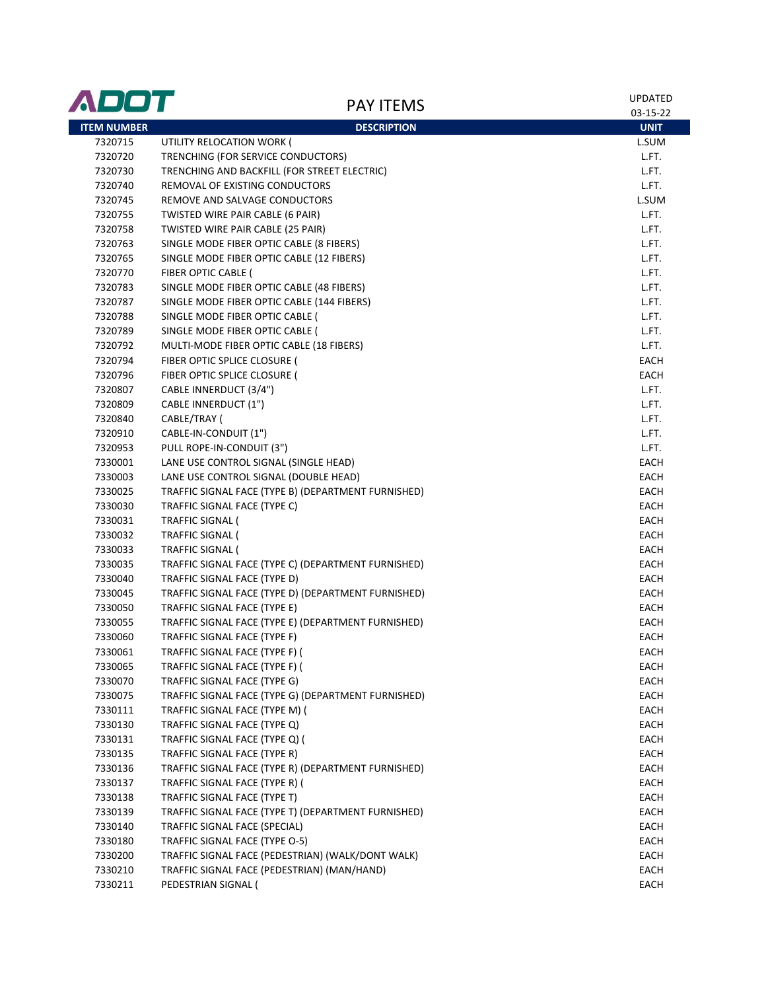| ADOT               | <b>PAY ITEMS</b>                                    | <b>UPDATED</b><br>03-15-22 |
|--------------------|-----------------------------------------------------|----------------------------|
| <b>ITEM NUMBER</b> | <b>DESCRIPTION</b>                                  | <b>UNIT</b>                |
| 7320715            | UTILITY RELOCATION WORK (                           | L.SUM                      |
| 7320720            | TRENCHING (FOR SERVICE CONDUCTORS)                  | L.FT.                      |
| 7320730            | TRENCHING AND BACKFILL (FOR STREET ELECTRIC)        | L.FT.                      |
| 7320740            | REMOVAL OF EXISTING CONDUCTORS                      | L.FT.                      |
| 7320745            | REMOVE AND SALVAGE CONDUCTORS                       | L.SUM                      |
| 7320755            | TWISTED WIRE PAIR CABLE (6 PAIR)                    | L.FT.                      |
| 7320758            | TWISTED WIRE PAIR CABLE (25 PAIR)                   | L.FT.                      |
| 7320763            | SINGLE MODE FIBER OPTIC CABLE (8 FIBERS)            | L.FT.                      |
| 7320765            | SINGLE MODE FIBER OPTIC CABLE (12 FIBERS)           | L.FT.                      |
| 7320770            | FIBER OPTIC CABLE (                                 | L.FT.                      |
| 7320783            | SINGLE MODE FIBER OPTIC CABLE (48 FIBERS)           | L.FT.                      |
| 7320787            | SINGLE MODE FIBER OPTIC CABLE (144 FIBERS)          | L.FT.                      |
| 7320788            | SINGLE MODE FIBER OPTIC CABLE (                     | L.FT.                      |
| 7320789            | SINGLE MODE FIBER OPTIC CABLE (                     | L.FT.                      |
| 7320792            | MULTI-MODE FIBER OPTIC CABLE (18 FIBERS)            | L.FT.                      |
| 7320794            | FIBER OPTIC SPLICE CLOSURE (                        | EACH                       |
| 7320796            | FIBER OPTIC SPLICE CLOSURE (                        | EACH                       |
| 7320807            | CABLE INNERDUCT (3/4")                              | L.FT.                      |
| 7320809            | <b>CABLE INNERDUCT (1")</b>                         | L.FT.                      |
| 7320840            | CABLE/TRAY (                                        | L.FT.                      |
| 7320910            | CABLE-IN-CONDUIT (1")                               | L.FT.                      |
| 7320953            | PULL ROPE-IN-CONDUIT (3")                           | L.FT.                      |
| 7330001            | LANE USE CONTROL SIGNAL (SINGLE HEAD)               | EACH                       |
| 7330003            | LANE USE CONTROL SIGNAL (DOUBLE HEAD)               | EACH                       |
| 7330025            | TRAFFIC SIGNAL FACE (TYPE B) (DEPARTMENT FURNISHED) | EACH                       |
| 7330030            | TRAFFIC SIGNAL FACE (TYPE C)                        | EACH                       |
| 7330031            | TRAFFIC SIGNAL (                                    | EACH                       |
| 7330032            | <b>TRAFFIC SIGNAL (</b>                             | EACH                       |
| 7330033            | <b>TRAFFIC SIGNAL (</b>                             | EACH                       |
| 7330035            | TRAFFIC SIGNAL FACE (TYPE C) (DEPARTMENT FURNISHED) | EACH                       |
| 7330040            | TRAFFIC SIGNAL FACE (TYPE D)                        | EACH                       |
| 7330045            | TRAFFIC SIGNAL FACE (TYPE D) (DEPARTMENT FURNISHED) | EACH                       |
| 7330050            | TRAFFIC SIGNAL FACE (TYPE E)                        | EACH                       |
| 7330055            | TRAFFIC SIGNAL FACE (TYPE E) (DEPARTMENT FURNISHED) | EACH                       |
| 7330060            | TRAFFIC SIGNAL FACE (TYPE F)                        | EACH                       |
| 7330061            | TRAFFIC SIGNAL FACE (TYPE F) (                      | EACH                       |
| 7330065            | TRAFFIC SIGNAL FACE (TYPE F) (                      | EACH                       |
| 7330070            | TRAFFIC SIGNAL FACE (TYPE G)                        | EACH                       |
| 7330075            | TRAFFIC SIGNAL FACE (TYPE G) (DEPARTMENT FURNISHED) | EACH                       |
| 7330111            | TRAFFIC SIGNAL FACE (TYPE M) (                      | EACH                       |
| 7330130            | TRAFFIC SIGNAL FACE (TYPE Q)                        | EACH                       |
| 7330131            | TRAFFIC SIGNAL FACE (TYPE Q) (                      | EACH                       |
| 7330135            | TRAFFIC SIGNAL FACE (TYPE R)                        | EACH                       |
| 7330136            | TRAFFIC SIGNAL FACE (TYPE R) (DEPARTMENT FURNISHED) | EACH                       |
| 7330137            | TRAFFIC SIGNAL FACE (TYPE R) (                      | EACH                       |
| 7330138            | TRAFFIC SIGNAL FACE (TYPE T)                        | EACH                       |
| 7330139            | TRAFFIC SIGNAL FACE (TYPE T) (DEPARTMENT FURNISHED) | EACH                       |
| 7330140            | TRAFFIC SIGNAL FACE (SPECIAL)                       | EACH                       |
| 7330180            | TRAFFIC SIGNAL FACE (TYPE O-5)                      | EACH                       |
| 7330200            | TRAFFIC SIGNAL FACE (PEDESTRIAN) (WALK/DONT WALK)   | EACH                       |
| 7330210            | TRAFFIC SIGNAL FACE (PEDESTRIAN) (MAN/HAND)         | EACH                       |
| 7330211            | PEDESTRIAN SIGNAL (                                 | EACH                       |
|                    |                                                     |                            |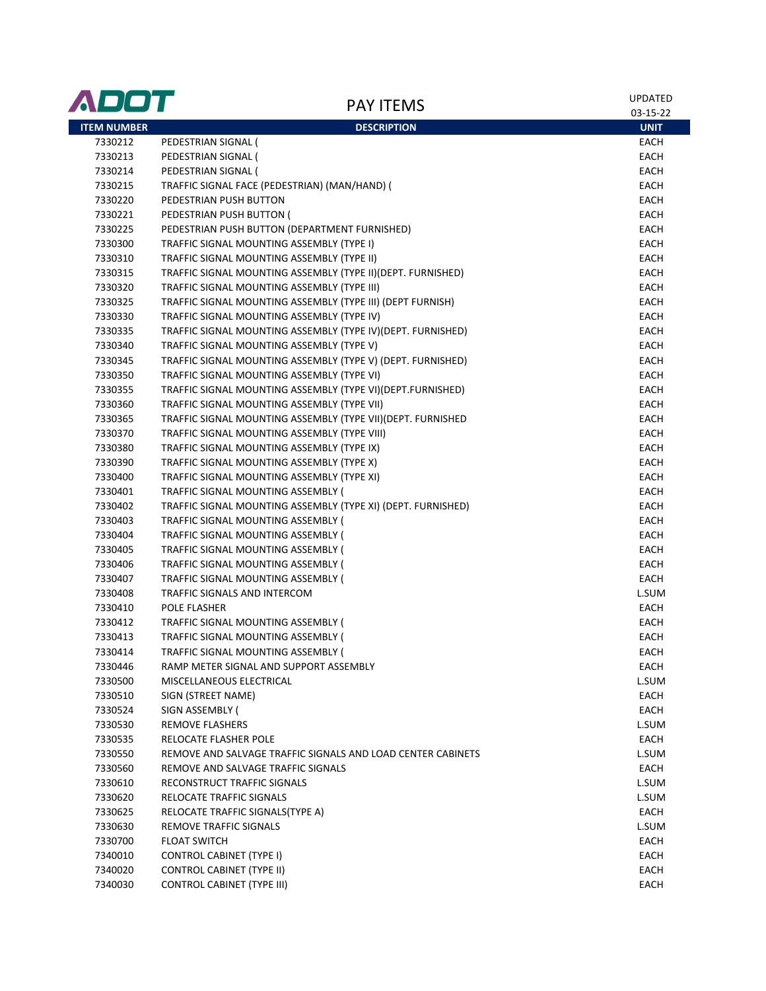| ADOT               | <b>PAY ITEMS</b>                                             | <b>UPDATED</b><br>03-15-22 |
|--------------------|--------------------------------------------------------------|----------------------------|
| <b>ITEM NUMBER</b> | <b>DESCRIPTION</b>                                           | <b>UNIT</b>                |
| 7330212            | PEDESTRIAN SIGNAL (                                          | EACH                       |
| 7330213            | PEDESTRIAN SIGNAL (                                          | <b>EACH</b>                |
| 7330214            | PEDESTRIAN SIGNAL (                                          | EACH                       |
| 7330215            | TRAFFIC SIGNAL FACE (PEDESTRIAN) (MAN/HAND) (                | EACH                       |
| 7330220            | PEDESTRIAN PUSH BUTTON                                       | <b>EACH</b>                |
| 7330221            | PEDESTRIAN PUSH BUTTON (                                     | <b>EACH</b>                |
| 7330225            | PEDESTRIAN PUSH BUTTON (DEPARTMENT FURNISHED)                | <b>EACH</b>                |
| 7330300            | TRAFFIC SIGNAL MOUNTING ASSEMBLY (TYPE I)                    | EACH                       |
| 7330310            | TRAFFIC SIGNAL MOUNTING ASSEMBLY (TYPE II)                   | <b>EACH</b>                |
| 7330315            | TRAFFIC SIGNAL MOUNTING ASSEMBLY (TYPE II) (DEPT. FURNISHED) | EACH                       |
| 7330320            | TRAFFIC SIGNAL MOUNTING ASSEMBLY (TYPE III)                  | EACH                       |
| 7330325            | TRAFFIC SIGNAL MOUNTING ASSEMBLY (TYPE III) (DEPT FURNISH)   | EACH                       |
| 7330330            | TRAFFIC SIGNAL MOUNTING ASSEMBLY (TYPE IV)                   | EACH                       |
| 7330335            | TRAFFIC SIGNAL MOUNTING ASSEMBLY (TYPE IV)(DEPT. FURNISHED)  | EACH                       |
| 7330340            | TRAFFIC SIGNAL MOUNTING ASSEMBLY (TYPE V)                    | EACH                       |
| 7330345            | TRAFFIC SIGNAL MOUNTING ASSEMBLY (TYPE V) (DEPT. FURNISHED)  | EACH                       |
| 7330350            | TRAFFIC SIGNAL MOUNTING ASSEMBLY (TYPE VI)                   | EACH                       |
| 7330355            | TRAFFIC SIGNAL MOUNTING ASSEMBLY (TYPE VI)(DEPT.FURNISHED)   | EACH                       |
| 7330360            | TRAFFIC SIGNAL MOUNTING ASSEMBLY (TYPE VII)                  | EACH                       |
| 7330365            | TRAFFIC SIGNAL MOUNTING ASSEMBLY (TYPE VII)(DEPT. FURNISHED  | <b>EACH</b>                |
| 7330370            | TRAFFIC SIGNAL MOUNTING ASSEMBLY (TYPE VIII)                 | EACH                       |
| 7330380            | TRAFFIC SIGNAL MOUNTING ASSEMBLY (TYPE IX)                   | EACH                       |
| 7330390            | TRAFFIC SIGNAL MOUNTING ASSEMBLY (TYPE X)                    | EACH                       |
| 7330400            | TRAFFIC SIGNAL MOUNTING ASSEMBLY (TYPE XI)                   | EACH                       |
| 7330401            | TRAFFIC SIGNAL MOUNTING ASSEMBLY (                           | EACH                       |
| 7330402            | TRAFFIC SIGNAL MOUNTING ASSEMBLY (TYPE XI) (DEPT. FURNISHED) | EACH                       |
| 7330403            | TRAFFIC SIGNAL MOUNTING ASSEMBLY (                           | EACH                       |
| 7330404            | TRAFFIC SIGNAL MOUNTING ASSEMBLY (                           | EACH                       |
| 7330405            | TRAFFIC SIGNAL MOUNTING ASSEMBLY (                           | EACH                       |
| 7330406            | TRAFFIC SIGNAL MOUNTING ASSEMBLY (                           | EACH                       |
| 7330407            | TRAFFIC SIGNAL MOUNTING ASSEMBLY (                           | EACH                       |
| 7330408            | TRAFFIC SIGNALS AND INTERCOM                                 | L.SUM                      |
| 7330410            | POLE FLASHER                                                 | EACH                       |
| 7330412            | TRAFFIC SIGNAL MOUNTING ASSEMBLY (                           | EACH                       |
| 7330413            | TRAFFIC SIGNAL MOUNTING ASSEMBLY (                           | EACH                       |
| 7330414            | TRAFFIC SIGNAL MOUNTING ASSEMBLY (                           | EACH                       |
| 7330446            | RAMP METER SIGNAL AND SUPPORT ASSEMBLY                       | EACH                       |
| 7330500            | MISCELLANEOUS ELECTRICAL                                     | L.SUM                      |
| 7330510            | SIGN (STREET NAME)                                           | EACH                       |
| 7330524            | SIGN ASSEMBLY (                                              | EACH                       |
| 7330530            | <b>REMOVE FLASHERS</b>                                       | L.SUM                      |
| 7330535            | RELOCATE FLASHER POLE                                        | EACH                       |
| 7330550            | REMOVE AND SALVAGE TRAFFIC SIGNALS AND LOAD CENTER CABINETS  | L.SUM                      |
| 7330560            | REMOVE AND SALVAGE TRAFFIC SIGNALS                           | EACH                       |
| 7330610            | RECONSTRUCT TRAFFIC SIGNALS                                  | L.SUM                      |
| 7330620            | RELOCATE TRAFFIC SIGNALS                                     | L.SUM                      |
| 7330625            | RELOCATE TRAFFIC SIGNALS(TYPE A)                             | EACH                       |
| 7330630            | REMOVE TRAFFIC SIGNALS                                       | L.SUM                      |
| 7330700            | <b>FLOAT SWITCH</b>                                          | EACH                       |
| 7340010            | <b>CONTROL CABINET (TYPE I)</b>                              | EACH                       |
| 7340020            | <b>CONTROL CABINET (TYPE II)</b>                             | EACH                       |
| 7340030            | <b>CONTROL CABINET (TYPE III)</b>                            | EACH                       |
|                    |                                                              |                            |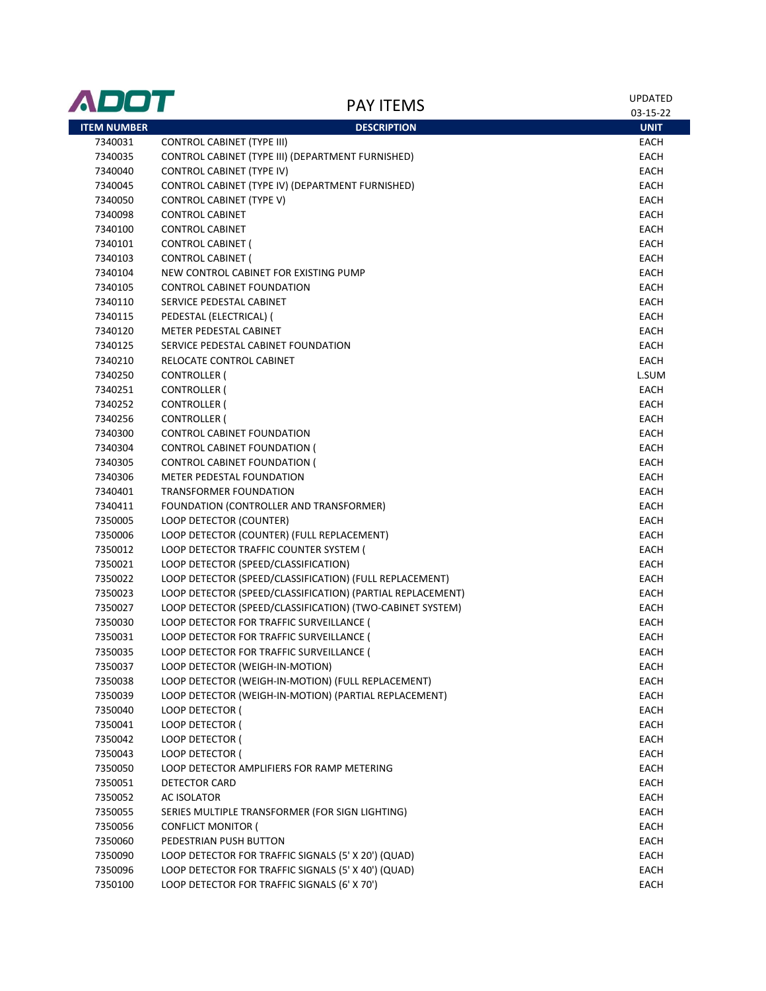| ADOT               | <b>PAY ITEMS</b>                                           | UPDATED<br>03-15-22 |
|--------------------|------------------------------------------------------------|---------------------|
| <b>ITEM NUMBER</b> | <b>DESCRIPTION</b>                                         | <b>UNIT</b>         |
| 7340031            | <b>CONTROL CABINET (TYPE III)</b>                          | EACH                |
| 7340035            | CONTROL CABINET (TYPE III) (DEPARTMENT FURNISHED)          | EACH                |
| 7340040            | <b>CONTROL CABINET (TYPE IV)</b>                           | EACH                |
| 7340045            | CONTROL CABINET (TYPE IV) (DEPARTMENT FURNISHED)           | EACH                |
| 7340050            | <b>CONTROL CABINET (TYPE V)</b>                            | EACH                |
| 7340098            | <b>CONTROL CABINET</b>                                     | EACH                |
| 7340100            | <b>CONTROL CABINET</b>                                     | EACH                |
| 7340101            | <b>CONTROL CABINET (</b>                                   | EACH                |
| 7340103            | <b>CONTROL CABINET (</b>                                   | <b>EACH</b>         |
| 7340104            | NEW CONTROL CABINET FOR EXISTING PUMP                      | EACH                |
| 7340105            | <b>CONTROL CABINET FOUNDATION</b>                          | EACH                |
| 7340110            | SERVICE PEDESTAL CABINET                                   | EACH                |
| 7340115            | PEDESTAL (ELECTRICAL) (                                    | EACH                |
| 7340120            | METER PEDESTAL CABINET                                     | EACH                |
| 7340125            | SERVICE PEDESTAL CABINET FOUNDATION                        | EACH                |
| 7340210            | RELOCATE CONTROL CABINET                                   | EACH                |
| 7340250            | <b>CONTROLLER (</b>                                        | L.SUM               |
| 7340251            | CONTROLLER (                                               | EACH                |
| 7340252            | <b>CONTROLLER (</b>                                        | EACH                |
| 7340256            | <b>CONTROLLER (</b>                                        | EACH                |
| 7340300            | <b>CONTROL CABINET FOUNDATION</b>                          | EACH                |
| 7340304            | CONTROL CABINET FOUNDATION (                               | EACH                |
| 7340305            | CONTROL CABINET FOUNDATION (                               | EACH                |
| 7340306            | METER PEDESTAL FOUNDATION                                  | EACH                |
| 7340401            | TRANSFORMER FOUNDATION                                     | EACH                |
| 7340411            | FOUNDATION (CONTROLLER AND TRANSFORMER)                    | <b>EACH</b>         |
| 7350005            | LOOP DETECTOR (COUNTER)                                    | EACH                |
| 7350006            | LOOP DETECTOR (COUNTER) (FULL REPLACEMENT)                 | EACH                |
| 7350012            | LOOP DETECTOR TRAFFIC COUNTER SYSTEM (                     | EACH                |
| 7350021            | LOOP DETECTOR (SPEED/CLASSIFICATION)                       | EACH                |
| 7350022            | LOOP DETECTOR (SPEED/CLASSIFICATION) (FULL REPLACEMENT)    | EACH                |
| 7350023            | LOOP DETECTOR (SPEED/CLASSIFICATION) (PARTIAL REPLACEMENT) | EACH                |
| 7350027            | LOOP DETECTOR (SPEED/CLASSIFICATION) (TWO-CABINET SYSTEM)  | EACH                |
| 7350030            | LOOP DETECTOR FOR TRAFFIC SURVEILLANCE (                   | <b>EACH</b>         |
| 7350031            | LOOP DETECTOR FOR TRAFFIC SURVEILLANCE (                   | <b>EACH</b>         |
| 7350035            | LOOP DETECTOR FOR TRAFFIC SURVEILLANCE (                   | <b>EACH</b>         |
| 7350037            | LOOP DETECTOR (WEIGH-IN-MOTION)                            | EACH                |
| 7350038            | LOOP DETECTOR (WEIGH-IN-MOTION) (FULL REPLACEMENT)         | EACH                |
| 7350039            | LOOP DETECTOR (WEIGH-IN-MOTION) (PARTIAL REPLACEMENT)      | EACH                |
| 7350040            | LOOP DETECTOR (                                            | EACH                |
| 7350041            | LOOP DETECTOR (                                            | EACH                |
| 7350042            | LOOP DETECTOR (                                            | EACH                |
| 7350043            | <b>LOOP DETECTOR (</b>                                     | EACH                |
| 7350050            | LOOP DETECTOR AMPLIFIERS FOR RAMP METERING                 | EACH                |
| 7350051            | DETECTOR CARD                                              | EACH                |
| 7350052            | AC ISOLATOR                                                | EACH                |
| 7350055            | SERIES MULTIPLE TRANSFORMER (FOR SIGN LIGHTING)            | EACH                |
| 7350056            | <b>CONFLICT MONITOR (</b>                                  | EACH                |
| 7350060            | PEDESTRIAN PUSH BUTTON                                     | EACH                |
| 7350090            | LOOP DETECTOR FOR TRAFFIC SIGNALS (5' X 20') (QUAD)        | EACH                |
| 7350096            | LOOP DETECTOR FOR TRAFFIC SIGNALS (5' X 40') (QUAD)        | EACH                |
| 7350100            | LOOP DETECTOR FOR TRAFFIC SIGNALS (6' X 70')               | EACH                |
|                    |                                                            |                     |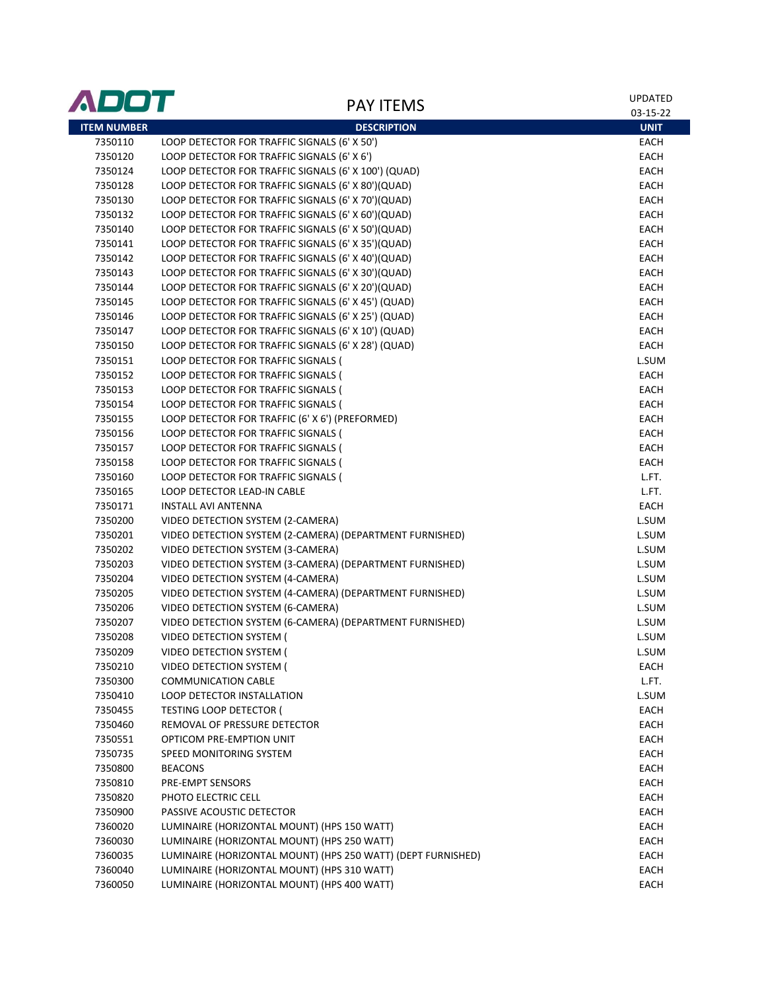| <b>ADOT</b>        |                                                                          | <b>UPDATED</b> |
|--------------------|--------------------------------------------------------------------------|----------------|
|                    | <b>PAY ITEMS</b>                                                         | 03-15-22       |
| <b>ITEM NUMBER</b> | <b>DESCRIPTION</b>                                                       | <b>UNIT</b>    |
| 7350110            | LOOP DETECTOR FOR TRAFFIC SIGNALS (6' X 50')                             | EACH           |
| 7350120            | LOOP DETECTOR FOR TRAFFIC SIGNALS (6' X 6')                              | EACH           |
| 7350124            | LOOP DETECTOR FOR TRAFFIC SIGNALS (6' X 100') (QUAD)                     | EACH           |
| 7350128            | LOOP DETECTOR FOR TRAFFIC SIGNALS (6' X 80')(QUAD)                       | EACH           |
| 7350130            | LOOP DETECTOR FOR TRAFFIC SIGNALS (6' X 70')(QUAD)                       | EACH           |
| 7350132            | LOOP DETECTOR FOR TRAFFIC SIGNALS (6' X 60')(QUAD)                       | EACH           |
| 7350140            | LOOP DETECTOR FOR TRAFFIC SIGNALS (6' X 50')(QUAD)                       | EACH           |
| 7350141            | LOOP DETECTOR FOR TRAFFIC SIGNALS (6' X 35')(QUAD)                       | EACH           |
| 7350142            | LOOP DETECTOR FOR TRAFFIC SIGNALS (6' X 40')(QUAD)                       | EACH           |
| 7350143            | LOOP DETECTOR FOR TRAFFIC SIGNALS (6' X 30')(QUAD)                       | EACH           |
| 7350144            | LOOP DETECTOR FOR TRAFFIC SIGNALS (6' X 20')(QUAD)                       | EACH           |
| 7350145            | LOOP DETECTOR FOR TRAFFIC SIGNALS (6' X 45') (QUAD)                      | EACH           |
| 7350146            | LOOP DETECTOR FOR TRAFFIC SIGNALS (6' X 25') (QUAD)                      | EACH           |
| 7350147            | LOOP DETECTOR FOR TRAFFIC SIGNALS (6' X 10') (QUAD)                      | EACH           |
| 7350150            | LOOP DETECTOR FOR TRAFFIC SIGNALS (6' X 28') (QUAD)                      | EACH           |
| 7350151            | LOOP DETECTOR FOR TRAFFIC SIGNALS (                                      | L.SUM          |
| 7350152            | LOOP DETECTOR FOR TRAFFIC SIGNALS (                                      | EACH           |
| 7350153            | LOOP DETECTOR FOR TRAFFIC SIGNALS (                                      | EACH           |
| 7350154            | LOOP DETECTOR FOR TRAFFIC SIGNALS (                                      | EACH           |
| 7350155            | LOOP DETECTOR FOR TRAFFIC (6' X 6') (PREFORMED)                          | EACH           |
| 7350156            | LOOP DETECTOR FOR TRAFFIC SIGNALS (                                      | EACH           |
| 7350157            | LOOP DETECTOR FOR TRAFFIC SIGNALS (                                      | EACH           |
| 7350158            | LOOP DETECTOR FOR TRAFFIC SIGNALS (                                      | EACH           |
| 7350160            | LOOP DETECTOR FOR TRAFFIC SIGNALS (                                      | L.FT.          |
| 7350165            | LOOP DETECTOR LEAD-IN CABLE                                              | L.FT.          |
| 7350171            | <b>INSTALL AVI ANTENNA</b>                                               | EACH           |
| 7350200            | VIDEO DETECTION SYSTEM (2-CAMERA)                                        | L.SUM          |
| 7350201            | VIDEO DETECTION SYSTEM (2-CAMERA) (DEPARTMENT FURNISHED)                 | L.SUM          |
| 7350202            | VIDEO DETECTION SYSTEM (3-CAMERA)                                        | L.SUM          |
| 7350203            | VIDEO DETECTION SYSTEM (3-CAMERA) (DEPARTMENT FURNISHED)                 | L.SUM          |
| 7350204            | VIDEO DETECTION SYSTEM (4-CAMERA)                                        | L.SUM          |
| 7350205            | VIDEO DETECTION SYSTEM (4-CAMERA) (DEPARTMENT FURNISHED)                 | L.SUM          |
| 7350206            | VIDEO DETECTION SYSTEM (6-CAMERA)                                        | L.SUM          |
| 7350207            | VIDEO DETECTION SYSTEM (6-CAMERA) (DEPARTMENT FURNISHED)                 | L.SUM          |
| 7350208            | VIDEO DETECTION SYSTEM (                                                 | L.SUM          |
| 7350209            | VIDEO DETECTION SYSTEM (                                                 | L.SUM          |
| 7350210            | VIDEO DETECTION SYSTEM (                                                 | EACH           |
| 7350300            | <b>COMMUNICATION CABLE</b>                                               | L.FT.          |
| 7350410            | LOOP DETECTOR INSTALLATION                                               | L.SUM          |
| 7350455            | <b>TESTING LOOP DETECTOR (</b>                                           | EACH           |
| 7350460            | REMOVAL OF PRESSURE DETECTOR                                             | EACH           |
| 7350551            | OPTICOM PRE-EMPTION UNIT                                                 | EACH           |
| 7350735            | SPEED MONITORING SYSTEM                                                  | EACH           |
| 7350800            | <b>BEACONS</b>                                                           | EACH           |
| 7350810            | PRE-EMPT SENSORS                                                         | EACH           |
|                    | PHOTO ELECTRIC CELL                                                      |                |
| 7350820            |                                                                          | EACH           |
| 7350900<br>7360020 | PASSIVE ACOUSTIC DETECTOR<br>LUMINAIRE (HORIZONTAL MOUNT) (HPS 150 WATT) | EACH           |
| 7360030            | LUMINAIRE (HORIZONTAL MOUNT) (HPS 250 WATT)                              | EACH           |
|                    |                                                                          | EACH           |
| 7360035            | LUMINAIRE (HORIZONTAL MOUNT) (HPS 250 WATT) (DEPT FURNISHED)             | EACH           |
| 7360040            | LUMINAIRE (HORIZONTAL MOUNT) (HPS 310 WATT)                              | EACH           |
| 7360050            | LUMINAIRE (HORIZONTAL MOUNT) (HPS 400 WATT)                              | EACH           |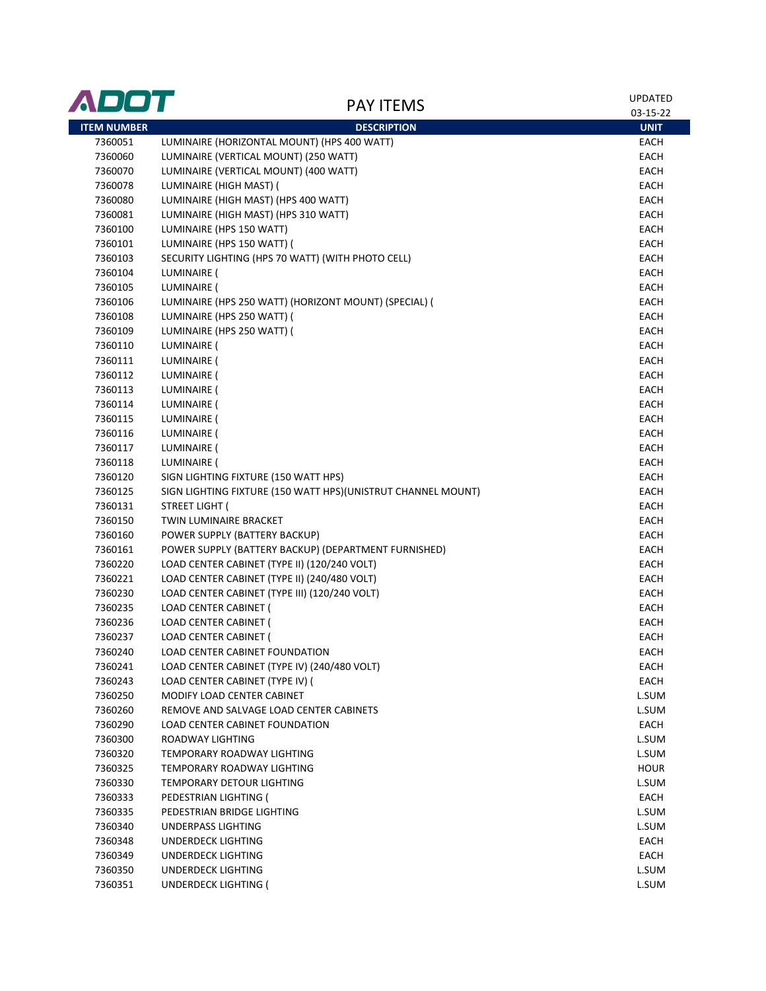| ADOT               |                                                              | <b>UPDATED</b> |
|--------------------|--------------------------------------------------------------|----------------|
|                    | <b>PAY ITEMS</b>                                             | 03-15-22       |
| <b>ITEM NUMBER</b> | <b>DESCRIPTION</b>                                           | <b>UNIT</b>    |
| 7360051            | LUMINAIRE (HORIZONTAL MOUNT) (HPS 400 WATT)                  | EACH           |
| 7360060            | LUMINAIRE (VERTICAL MOUNT) (250 WATT)                        | EACH           |
| 7360070            | LUMINAIRE (VERTICAL MOUNT) (400 WATT)                        | EACH           |
| 7360078            | LUMINAIRE (HIGH MAST) (                                      | EACH           |
| 7360080            | LUMINAIRE (HIGH MAST) (HPS 400 WATT)                         | EACH           |
| 7360081            | LUMINAIRE (HIGH MAST) (HPS 310 WATT)                         | EACH           |
| 7360100            | LUMINAIRE (HPS 150 WATT)                                     | EACH           |
| 7360101            | LUMINAIRE (HPS 150 WATT) (                                   | EACH           |
| 7360103            | SECURITY LIGHTING (HPS 70 WATT) (WITH PHOTO CELL)            | <b>EACH</b>    |
| 7360104            | LUMINAIRE (                                                  | EACH           |
| 7360105            | LUMINAIRE (                                                  | EACH           |
| 7360106            | LUMINAIRE (HPS 250 WATT) (HORIZONT MOUNT) (SPECIAL) (        | EACH           |
| 7360108            | LUMINAIRE (HPS 250 WATT) (                                   | <b>EACH</b>    |
| 7360109            | LUMINAIRE (HPS 250 WATT) (                                   | EACH           |
| 7360110            | LUMINAIRE (                                                  | EACH           |
| 7360111            | LUMINAIRE (                                                  | EACH           |
| 7360112            | LUMINAIRE (                                                  | EACH           |
| 7360113            | LUMINAIRE (                                                  | EACH           |
| 7360114            | LUMINAIRE (                                                  | EACH           |
| 7360115            | LUMINAIRE (                                                  | EACH           |
| 7360116            | LUMINAIRE (                                                  | EACH           |
| 7360117            | LUMINAIRE (                                                  | EACH           |
| 7360118            | LUMINAIRE (                                                  | EACH           |
| 7360120            | SIGN LIGHTING FIXTURE (150 WATT HPS)                         | EACH           |
| 7360125            | SIGN LIGHTING FIXTURE (150 WATT HPS)(UNISTRUT CHANNEL MOUNT) | EACH           |
| 7360131            | STREET LIGHT (                                               | EACH           |
| 7360150            | TWIN LUMINAIRE BRACKET                                       | EACH           |
| 7360160            | POWER SUPPLY (BATTERY BACKUP)                                | EACH           |
| 7360161            | POWER SUPPLY (BATTERY BACKUP) (DEPARTMENT FURNISHED)         | EACH           |
| 7360220            | LOAD CENTER CABINET (TYPE II) (120/240 VOLT)                 | EACH           |
| 7360221            | LOAD CENTER CABINET (TYPE II) (240/480 VOLT)                 | EACH           |
| 7360230            | LOAD CENTER CABINET (TYPE III) (120/240 VOLT)                | EACH           |
| 7360235            | LOAD CENTER CABINET (                                        | EACH           |
| 7360236            | LOAD CENTER CABINET (                                        | EACH           |
| 7360237            | <b>LOAD CENTER CABINET (</b>                                 | <b>EACH</b>    |
| 7360240            | LOAD CENTER CABINET FOUNDATION                               | EACH           |
| 7360241            | LOAD CENTER CABINET (TYPE IV) (240/480 VOLT)                 | EACH           |
| 7360243            | LOAD CENTER CABINET (TYPE IV) (                              | EACH           |
| 7360250            | MODIFY LOAD CENTER CABINET                                   | L.SUM          |
| 7360260            | REMOVE AND SALVAGE LOAD CENTER CABINETS                      | L.SUM          |
| 7360290            | <b>LOAD CENTER CABINET FOUNDATION</b>                        | EACH           |
| 7360300            | ROADWAY LIGHTING                                             | L.SUM          |
| 7360320            | TEMPORARY ROADWAY LIGHTING                                   | L.SUM          |
| 7360325            | TEMPORARY ROADWAY LIGHTING                                   | <b>HOUR</b>    |
|                    | TEMPORARY DETOUR LIGHTING                                    |                |
| 7360330            |                                                              | L.SUM          |
| 7360333            | PEDESTRIAN LIGHTING (                                        | EACH           |
| 7360335            | PEDESTRIAN BRIDGE LIGHTING                                   | L.SUM          |
| 7360340            | UNDERPASS LIGHTING                                           | L.SUM          |
| 7360348            | UNDERDECK LIGHTING                                           | EACH           |
| 7360349            | UNDERDECK LIGHTING                                           | EACH           |
| 7360350            | UNDERDECK LIGHTING                                           | L.SUM          |
| 7360351            | <b>UNDERDECK LIGHTING (</b>                                  | L.SUM          |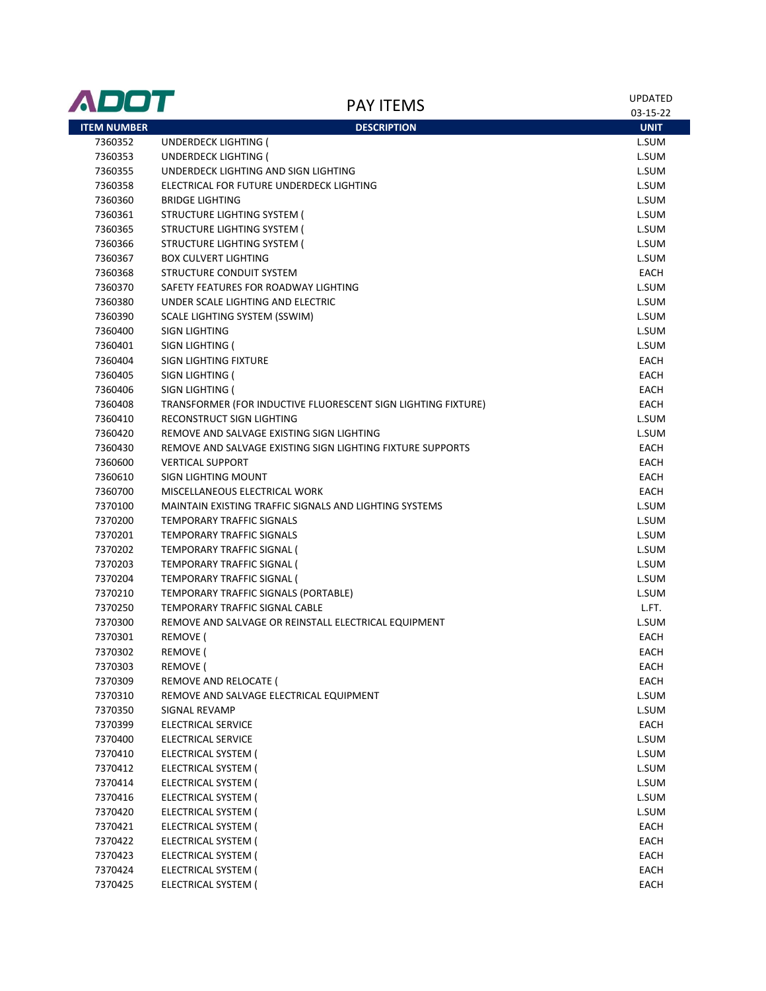| ADOT               | <b>PAY ITEMS</b>                                              | <b>UPDATED</b><br>03-15-22 |
|--------------------|---------------------------------------------------------------|----------------------------|
| <b>ITEM NUMBER</b> | <b>DESCRIPTION</b>                                            | <b>UNIT</b>                |
| 7360352            | <b>UNDERDECK LIGHTING (</b>                                   | L.SUM                      |
| 7360353            | UNDERDECK LIGHTING (                                          | L.SUM                      |
| 7360355            | UNDERDECK LIGHTING AND SIGN LIGHTING                          | L.SUM                      |
| 7360358            | ELECTRICAL FOR FUTURE UNDERDECK LIGHTING                      | L.SUM                      |
| 7360360            | <b>BRIDGE LIGHTING</b>                                        | L.SUM                      |
| 7360361            | STRUCTURE LIGHTING SYSTEM (                                   | L.SUM                      |
| 7360365            | STRUCTURE LIGHTING SYSTEM (                                   | L.SUM                      |
| 7360366            | STRUCTURE LIGHTING SYSTEM (                                   | L.SUM                      |
| 7360367            | <b>BOX CULVERT LIGHTING</b>                                   | L.SUM                      |
| 7360368            | STRUCTURE CONDUIT SYSTEM                                      | EACH                       |
| 7360370            | SAFETY FEATURES FOR ROADWAY LIGHTING                          | L.SUM                      |
| 7360380            | UNDER SCALE LIGHTING AND ELECTRIC                             | L.SUM                      |
| 7360390            | SCALE LIGHTING SYSTEM (SSWIM)                                 | L.SUM                      |
| 7360400            | SIGN LIGHTING                                                 | L.SUM                      |
| 7360401            | SIGN LIGHTING (                                               | L.SUM                      |
| 7360404            | SIGN LIGHTING FIXTURE                                         | EACH                       |
| 7360405            | SIGN LIGHTING (                                               | EACH                       |
| 7360406            | SIGN LIGHTING (                                               | EACH                       |
| 7360408            | TRANSFORMER (FOR INDUCTIVE FLUORESCENT SIGN LIGHTING FIXTURE) | EACH                       |
| 7360410            | RECONSTRUCT SIGN LIGHTING                                     | L.SUM                      |
| 7360420            | REMOVE AND SALVAGE EXISTING SIGN LIGHTING                     | L.SUM                      |
| 7360430            | REMOVE AND SALVAGE EXISTING SIGN LIGHTING FIXTURE SUPPORTS    | EACH                       |
| 7360600            | <b>VERTICAL SUPPORT</b>                                       | <b>EACH</b>                |
| 7360610            | SIGN LIGHTING MOUNT                                           | EACH                       |
| 7360700            | MISCELLANEOUS ELECTRICAL WORK                                 | <b>EACH</b>                |
| 7370100            | MAINTAIN EXISTING TRAFFIC SIGNALS AND LIGHTING SYSTEMS        | L.SUM                      |
| 7370200            | TEMPORARY TRAFFIC SIGNALS                                     | L.SUM                      |
| 7370201            | TEMPORARY TRAFFIC SIGNALS                                     | L.SUM                      |
| 7370202            | TEMPORARY TRAFFIC SIGNAL (                                    | L.SUM                      |
| 7370203            | TEMPORARY TRAFFIC SIGNAL (                                    | L.SUM                      |
| 7370204            | TEMPORARY TRAFFIC SIGNAL (                                    | L.SUM                      |
| 7370210            | TEMPORARY TRAFFIC SIGNALS (PORTABLE)                          | L.SUM                      |
| 7370250            | TEMPORARY TRAFFIC SIGNAL CABLE                                | L.FT.                      |
| 7370300            | REMOVE AND SALVAGE OR REINSTALL ELECTRICAL EQUIPMENT          | L.SUM                      |
| 7370301            | REMOVE (                                                      | EACH                       |
| 7370302            | REMOVE (                                                      | EACH                       |
| 7370303            | REMOVE (                                                      | EACH                       |
| 7370309            | REMOVE AND RELOCATE (                                         | EACH                       |
| 7370310            | REMOVE AND SALVAGE ELECTRICAL EQUIPMENT                       | L.SUM                      |
| 7370350            | SIGNAL REVAMP                                                 | L.SUM                      |
| 7370399            | ELECTRICAL SERVICE                                            | EACH                       |
| 7370400            | ELECTRICAL SERVICE                                            | L.SUM                      |
| 7370410            | ELECTRICAL SYSTEM (                                           | L.SUM                      |
| 7370412            | ELECTRICAL SYSTEM (                                           | L.SUM                      |
|                    |                                                               |                            |
| 7370414<br>7370416 | ELECTRICAL SYSTEM (<br>ELECTRICAL SYSTEM (                    | L.SUM<br>L.SUM             |
| 7370420            | ELECTRICAL SYSTEM (                                           | L.SUM                      |
|                    |                                                               |                            |
| 7370421            | ELECTRICAL SYSTEM (                                           | EACH                       |
| 7370422            | ELECTRICAL SYSTEM (                                           | EACH                       |
| 7370423            | ELECTRICAL SYSTEM (                                           | EACH                       |
| 7370424            | ELECTRICAL SYSTEM (                                           | EACH                       |
| 7370425            | ELECTRICAL SYSTEM (                                           | EACH                       |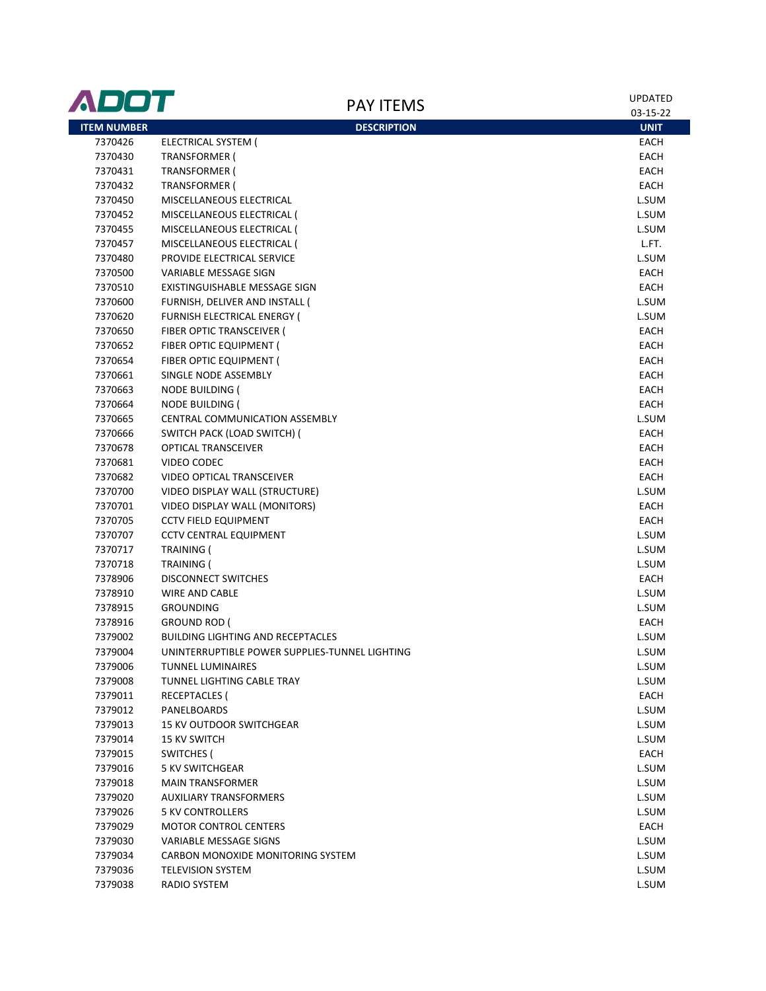| ADOT               |                                                | <b>UPDATED</b> |
|--------------------|------------------------------------------------|----------------|
|                    | <b>PAY ITEMS</b>                               | 03-15-22       |
| <b>ITEM NUMBER</b> | <b>DESCRIPTION</b>                             | <b>UNIT</b>    |
| 7370426            | ELECTRICAL SYSTEM (                            | EACH           |
| 7370430            | <b>TRANSFORMER (</b>                           | EACH           |
| 7370431            | <b>TRANSFORMER (</b>                           | EACH           |
| 7370432            | <b>TRANSFORMER (</b>                           | EACH           |
| 7370450            | MISCELLANEOUS ELECTRICAL                       | L.SUM          |
| 7370452            | MISCELLANEOUS ELECTRICAL (                     | L.SUM          |
| 7370455            | MISCELLANEOUS ELECTRICAL (                     | L.SUM          |
| 7370457            | MISCELLANEOUS ELECTRICAL (                     | L.FT.          |
| 7370480            | PROVIDE ELECTRICAL SERVICE                     | L.SUM          |
| 7370500            | <b>VARIABLE MESSAGE SIGN</b>                   | EACH           |
| 7370510            | EXISTINGUISHABLE MESSAGE SIGN                  | EACH           |
| 7370600            | FURNISH, DELIVER AND INSTALL (                 | L.SUM          |
| 7370620            | <b>FURNISH ELECTRICAL ENERGY (</b>             | L.SUM          |
| 7370650            | FIBER OPTIC TRANSCEIVER (                      | EACH           |
| 7370652            | FIBER OPTIC EQUIPMENT (                        | EACH           |
| 7370654            | FIBER OPTIC EQUIPMENT (                        | EACH           |
| 7370661            | SINGLE NODE ASSEMBLY                           | EACH           |
| 7370663            | NODE BUILDING (                                | EACH           |
| 7370664            | NODE BUILDING (                                | EACH           |
| 7370665            | CENTRAL COMMUNICATION ASSEMBLY                 | L.SUM          |
| 7370666            | SWITCH PACK (LOAD SWITCH) (                    | EACH           |
| 7370678            | <b>OPTICAL TRANSCEIVER</b>                     | EACH           |
| 7370681            | VIDEO CODEC                                    | EACH           |
| 7370682            | <b>VIDEO OPTICAL TRANSCEIVER</b>               | EACH           |
| 7370700            | VIDEO DISPLAY WALL (STRUCTURE)                 | L.SUM          |
| 7370701            | VIDEO DISPLAY WALL (MONITORS)                  | EACH           |
| 7370705            | <b>CCTV FIELD EQUIPMENT</b>                    | EACH           |
| 7370707            | <b>CCTV CENTRAL EQUIPMENT</b>                  | L.SUM          |
| 7370717            | TRAINING (                                     | L.SUM          |
| 7370718            | TRAINING (                                     | L.SUM          |
| 7378906            | <b>DISCONNECT SWITCHES</b>                     | EACH           |
| 7378910            | <b>WIRE AND CABLE</b>                          | L.SUM          |
| 7378915            | <b>GROUNDING</b>                               | L.SUM          |
| 7378916            | <b>GROUND ROD (</b>                            | EACH           |
| 7379002            | <b>BUILDING LIGHTING AND RECEPTACLES</b>       | L.SUM          |
| 7379004            | UNINTERRUPTIBLE POWER SUPPLIES-TUNNEL LIGHTING | L.SUM          |
| 7379006            | <b>TUNNEL LUMINAIRES</b>                       | L.SUM          |
| 7379008            | TUNNEL LIGHTING CABLE TRAY                     | L.SUM          |
| 7379011            | RECEPTACLES (                                  | EACH           |
| 7379012            | PANELBOARDS                                    | L.SUM          |
| 7379013            | <b>15 KV OUTDOOR SWITCHGEAR</b>                | L.SUM          |
| 7379014            | <b>15 KV SWITCH</b>                            | L.SUM          |
| 7379015            | <b>SWITCHES (</b>                              | EACH           |
| 7379016            | 5 KV SWITCHGEAR                                | L.SUM          |
| 7379018            | <b>MAIN TRANSFORMER</b>                        | L.SUM          |
| 7379020            | <b>AUXILIARY TRANSFORMERS</b>                  | L.SUM          |
| 7379026            | <b>5 KV CONTROLLERS</b>                        | L.SUM          |
| 7379029            | <b>MOTOR CONTROL CENTERS</b>                   | EACH           |
| 7379030            | VARIABLE MESSAGE SIGNS                         | L.SUM          |
| 7379034            | CARBON MONOXIDE MONITORING SYSTEM              | L.SUM          |
| 7379036            | <b>TELEVISION SYSTEM</b>                       | L.SUM          |
| 7379038            | RADIO SYSTEM                                   | L.SUM          |
|                    |                                                |                |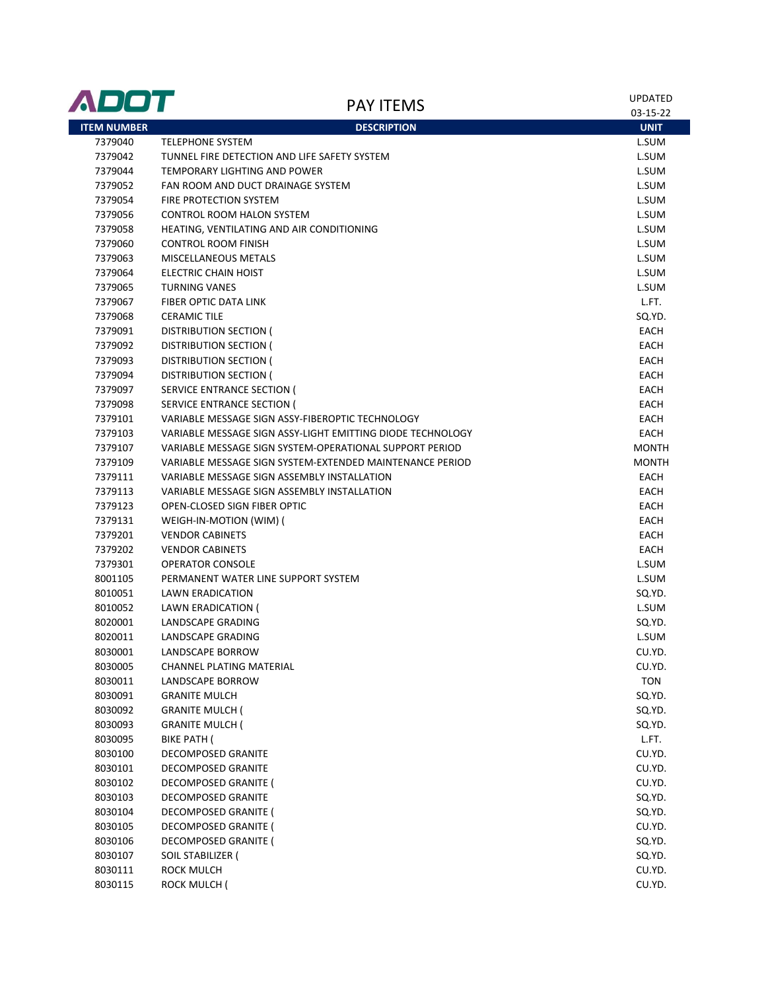| ADOT               | <b>PAY ITEMS</b>                                           | <b>UPDATED</b> |
|--------------------|------------------------------------------------------------|----------------|
|                    |                                                            | 03-15-22       |
| <b>ITEM NUMBER</b> | <b>DESCRIPTION</b>                                         | <b>UNIT</b>    |
| 7379040            | <b>TELEPHONE SYSTEM</b>                                    | L.SUM          |
| 7379042            | TUNNEL FIRE DETECTION AND LIFE SAFETY SYSTEM               | L.SUM          |
| 7379044            | TEMPORARY LIGHTING AND POWER                               | L.SUM          |
| 7379052            | FAN ROOM AND DUCT DRAINAGE SYSTEM                          | L.SUM          |
| 7379054            | FIRE PROTECTION SYSTEM                                     | L.SUM          |
| 7379056            | CONTROL ROOM HALON SYSTEM                                  | L.SUM          |
| 7379058            | HEATING, VENTILATING AND AIR CONDITIONING                  | L.SUM          |
| 7379060            | <b>CONTROL ROOM FINISH</b>                                 | L.SUM          |
| 7379063            | MISCELLANEOUS METALS                                       | L.SUM          |
| 7379064            | <b>ELECTRIC CHAIN HOIST</b>                                | L.SUM          |
| 7379065            | <b>TURNING VANES</b>                                       | L.SUM          |
| 7379067            | FIBER OPTIC DATA LINK                                      | L.FT.          |
| 7379068            | <b>CERAMIC TILE</b>                                        | SQ.YD.         |
| 7379091            | <b>DISTRIBUTION SECTION (</b>                              | EACH           |
| 7379092            | DISTRIBUTION SECTION (                                     | EACH           |
| 7379093            | <b>DISTRIBUTION SECTION (</b>                              | EACH           |
| 7379094            | DISTRIBUTION SECTION (                                     | EACH           |
| 7379097            | <b>SERVICE ENTRANCE SECTION (</b>                          | EACH           |
| 7379098            | SERVICE ENTRANCE SECTION (                                 | EACH           |
| 7379101            | VARIABLE MESSAGE SIGN ASSY-FIBEROPTIC TECHNOLOGY           | EACH           |
| 7379103            | VARIABLE MESSAGE SIGN ASSY-LIGHT EMITTING DIODE TECHNOLOGY | EACH           |
| 7379107            | VARIABLE MESSAGE SIGN SYSTEM-OPERATIONAL SUPPORT PERIOD    | <b>MONTH</b>   |
| 7379109            | VARIABLE MESSAGE SIGN SYSTEM-EXTENDED MAINTENANCE PERIOD   | <b>MONTH</b>   |
| 7379111            | VARIABLE MESSAGE SIGN ASSEMBLY INSTALLATION                | EACH           |
| 7379113            | VARIABLE MESSAGE SIGN ASSEMBLY INSTALLATION                | EACH           |
| 7379123            | OPEN-CLOSED SIGN FIBER OPTIC                               | <b>EACH</b>    |
| 7379131            | WEIGH-IN-MOTION (WIM) (                                    | EACH           |
| 7379201            | <b>VENDOR CABINETS</b>                                     | EACH           |
| 7379202            | <b>VENDOR CABINETS</b>                                     | EACH           |
| 7379301            | <b>OPERATOR CONSOLE</b>                                    | L.SUM          |
| 8001105            | PERMANENT WATER LINE SUPPORT SYSTEM                        | L.SUM          |
| 8010051            | LAWN ERADICATION                                           | SQ.YD.         |
| 8010052            | LAWN ERADICATION (                                         | L.SUM          |
| 8020001            | <b>LANDSCAPE GRADING</b>                                   | SQ.YD.         |
| 8020011            | <b>LANDSCAPE GRADING</b>                                   | L.SUM          |
| 8030001            | <b>LANDSCAPE BORROW</b>                                    | CU.YD.         |
| 8030005            | CHANNEL PLATING MATERIAL                                   | CU.YD.         |
| 8030011            | LANDSCAPE BORROW                                           | <b>TON</b>     |
| 8030091            | <b>GRANITE MULCH</b>                                       | SQ.YD.         |
| 8030092            | <b>GRANITE MULCH (</b>                                     | SQ.YD.         |
| 8030093            | <b>GRANITE MULCH (</b>                                     | SQ.YD.         |
| 8030095            | BIKE PATH (                                                | L.FT.          |
| 8030100            | <b>DECOMPOSED GRANITE</b>                                  | CU.YD.         |
| 8030101            | DECOMPOSED GRANITE                                         | CU.YD.         |
| 8030102            | DECOMPOSED GRANITE (                                       | CU.YD.         |
| 8030103            | DECOMPOSED GRANITE                                         | SQ.YD.         |
| 8030104            | DECOMPOSED GRANITE (                                       | SQ.YD.         |
| 8030105            | DECOMPOSED GRANITE (                                       | CU.YD.         |
| 8030106            | DECOMPOSED GRANITE (                                       | SQ.YD.         |
| 8030107            | SOIL STABILIZER (                                          | SQ.YD.         |
| 8030111            | ROCK MULCH                                                 | CU.YD.         |
| 8030115            | ROCK MULCH (                                               | CU.YD.         |
|                    |                                                            |                |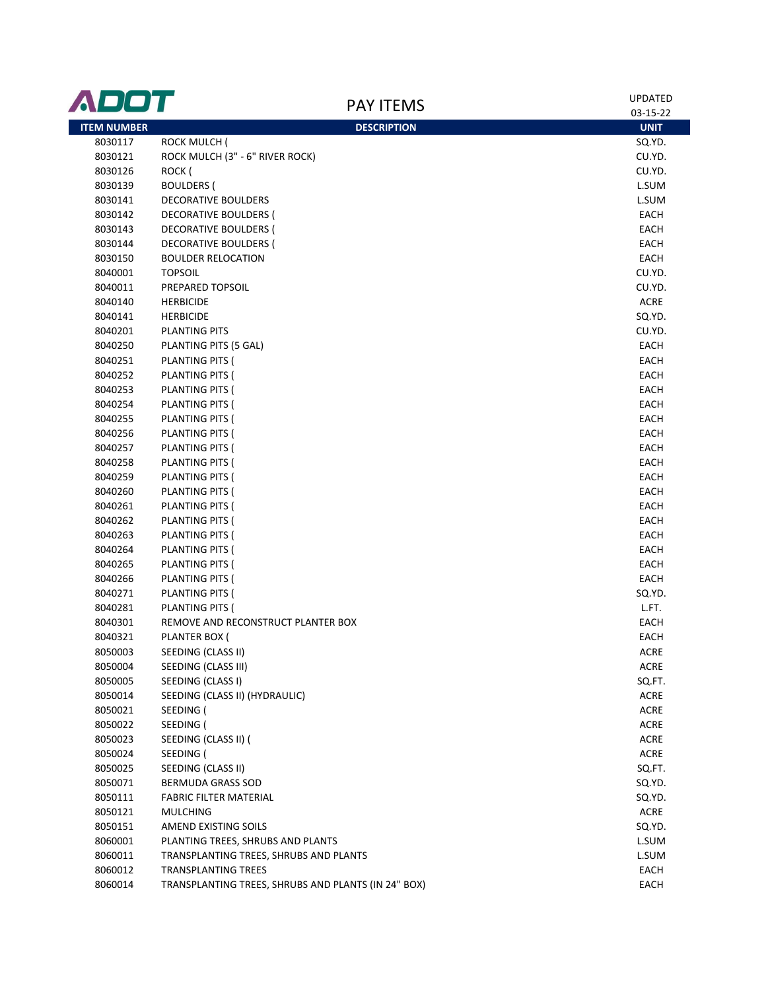| ADOT               | <b>PAY ITEMS</b>                                    | <b>UPDATED</b><br>03-15-22 |
|--------------------|-----------------------------------------------------|----------------------------|
| <b>ITEM NUMBER</b> | <b>DESCRIPTION</b>                                  | <b>UNIT</b>                |
| 8030117            | <b>ROCK MULCH (</b>                                 | SQ.YD.                     |
| 8030121            | ROCK MULCH (3" - 6" RIVER ROCK)                     | CU.YD.                     |
| 8030126            | ROCK (                                              | CU.YD.                     |
| 8030139            | <b>BOULDERS (</b>                                   | L.SUM                      |
| 8030141            | DECORATIVE BOULDERS                                 | L.SUM                      |
| 8030142            | DECORATIVE BOULDERS (                               | EACH                       |
| 8030143            | DECORATIVE BOULDERS (                               | EACH                       |
| 8030144            | DECORATIVE BOULDERS (                               | EACH                       |
| 8030150            | <b>BOULDER RELOCATION</b>                           | EACH                       |
| 8040001            | <b>TOPSOIL</b>                                      | CU.YD.                     |
| 8040011            | PREPARED TOPSOIL                                    | CU.YD.                     |
| 8040140            | <b>HERBICIDE</b>                                    | ACRE                       |
| 8040141            | <b>HERBICIDE</b>                                    | SQ.YD.                     |
| 8040201            | <b>PLANTING PITS</b>                                | CU.YD.                     |
| 8040250            | PLANTING PITS (5 GAL)                               | EACH                       |
| 8040251            | PLANTING PITS (                                     | EACH                       |
| 8040252            | PLANTING PITS (                                     | EACH                       |
| 8040253            | PLANTING PITS (                                     | EACH                       |
| 8040254            | PLANTING PITS (                                     | EACH                       |
| 8040255            | PLANTING PITS (                                     | EACH                       |
| 8040256            | PLANTING PITS (                                     | EACH                       |
| 8040257            | PLANTING PITS (                                     | EACH                       |
| 8040258            | PLANTING PITS (                                     | EACH                       |
| 8040259            | PLANTING PITS (                                     | EACH                       |
| 8040260            | PLANTING PITS (                                     | EACH                       |
| 8040261            | PLANTING PITS (                                     | EACH                       |
| 8040262            | PLANTING PITS (                                     | EACH                       |
| 8040263            | PLANTING PITS (                                     | EACH                       |
| 8040264            | PLANTING PITS (                                     | EACH                       |
| 8040265            | PLANTING PITS (                                     | EACH                       |
| 8040266            | PLANTING PITS (                                     | EACH                       |
| 8040271            | PLANTING PITS (                                     | SQ.YD.                     |
| 8040281            | PLANTING PITS (                                     | L.FT.                      |
| 8040301            | REMOVE AND RECONSTRUCT PLANTER BOX                  | EACH                       |
| 8040321            | PLANTER BOX (                                       | EACH                       |
| 8050003            | SEEDING (CLASS II)                                  | ACRE                       |
| 8050004            | SEEDING (CLASS III)                                 | ACRE                       |
| 8050005            | SEEDING (CLASS I)                                   | SQ.FT.                     |
| 8050014            | SEEDING (CLASS II) (HYDRAULIC)                      | ACRE                       |
| 8050021            | SEEDING (                                           | <b>ACRE</b>                |
| 8050022            | SEEDING (                                           | <b>ACRE</b>                |
| 8050023            | SEEDING (CLASS II) (                                | <b>ACRE</b>                |
| 8050024            | SEEDING (                                           | ACRE                       |
| 8050025            | SEEDING (CLASS II)                                  | SQ.FT.                     |
| 8050071            | BERMUDA GRASS SOD                                   | SQ.YD.                     |
| 8050111            | <b>FABRIC FILTER MATERIAL</b>                       | SQ.YD.                     |
| 8050121            | <b>MULCHING</b>                                     | ACRE                       |
| 8050151            | AMEND EXISTING SOILS                                | SQ.YD.                     |
| 8060001            | PLANTING TREES, SHRUBS AND PLANTS                   | L.SUM                      |
| 8060011            | TRANSPLANTING TREES, SHRUBS AND PLANTS              | L.SUM                      |
| 8060012            | <b>TRANSPLANTING TREES</b>                          | EACH                       |
| 8060014            | TRANSPLANTING TREES, SHRUBS AND PLANTS (IN 24" BOX) | EACH                       |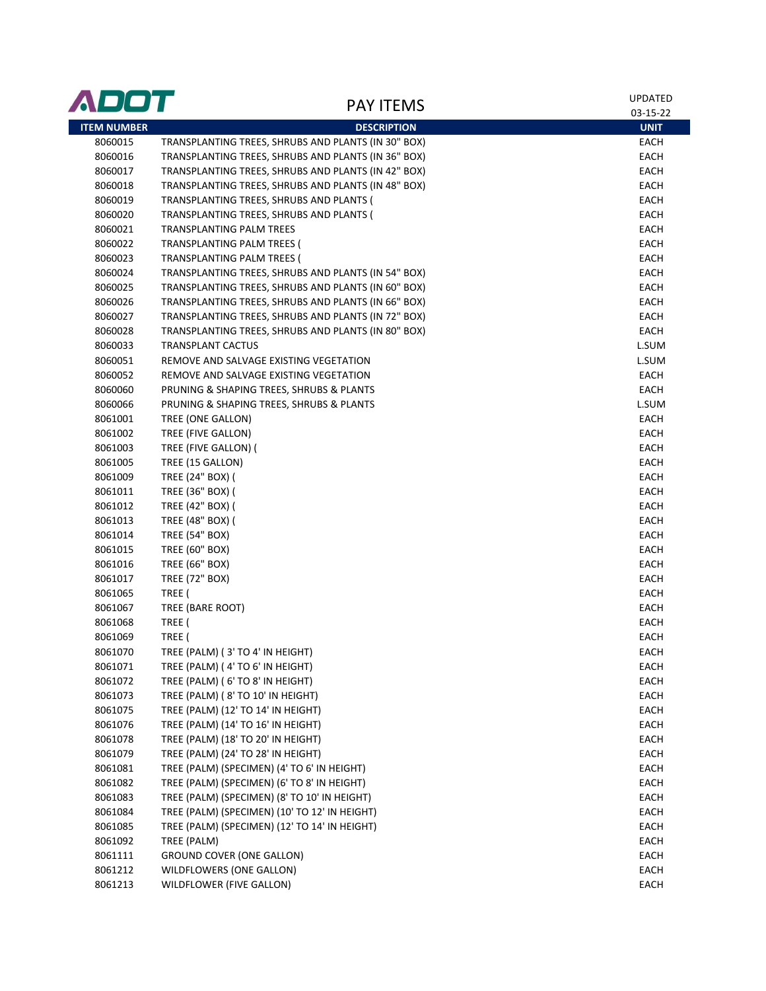| ADOT               | <b>PAY ITEMS</b>                                    | <b>UPDATED</b> |
|--------------------|-----------------------------------------------------|----------------|
|                    |                                                     | 03-15-22       |
| <b>ITEM NUMBER</b> | <b>DESCRIPTION</b>                                  | <b>UNIT</b>    |
| 8060015            | TRANSPLANTING TREES, SHRUBS AND PLANTS (IN 30" BOX) | EACH           |
| 8060016            | TRANSPLANTING TREES, SHRUBS AND PLANTS (IN 36" BOX) | EACH           |
| 8060017            | TRANSPLANTING TREES, SHRUBS AND PLANTS (IN 42" BOX) | <b>EACH</b>    |
| 8060018            | TRANSPLANTING TREES, SHRUBS AND PLANTS (IN 48" BOX) | EACH           |
| 8060019            | TRANSPLANTING TREES, SHRUBS AND PLANTS (            | EACH           |
| 8060020            | TRANSPLANTING TREES, SHRUBS AND PLANTS (            | EACH           |
| 8060021            | TRANSPLANTING PALM TREES                            | <b>EACH</b>    |
| 8060022            | TRANSPLANTING PALM TREES (                          | EACH           |
| 8060023            | TRANSPLANTING PALM TREES (                          | <b>EACH</b>    |
| 8060024            | TRANSPLANTING TREES, SHRUBS AND PLANTS (IN 54" BOX) | EACH           |
| 8060025            | TRANSPLANTING TREES, SHRUBS AND PLANTS (IN 60" BOX) | EACH           |
| 8060026            | TRANSPLANTING TREES, SHRUBS AND PLANTS (IN 66" BOX) | EACH           |
| 8060027            | TRANSPLANTING TREES, SHRUBS AND PLANTS (IN 72" BOX) | EACH           |
| 8060028            | TRANSPLANTING TREES, SHRUBS AND PLANTS (IN 80" BOX) | EACH           |
| 8060033            | <b>TRANSPLANT CACTUS</b>                            | L.SUM          |
| 8060051            | REMOVE AND SALVAGE EXISTING VEGETATION              | L.SUM          |
| 8060052            | REMOVE AND SALVAGE EXISTING VEGETATION              | EACH           |
| 8060060            | PRUNING & SHAPING TREES, SHRUBS & PLANTS            | EACH           |
| 8060066            | PRUNING & SHAPING TREES, SHRUBS & PLANTS            | L.SUM          |
| 8061001            | TREE (ONE GALLON)                                   | EACH           |
| 8061002            | TREE (FIVE GALLON)                                  | EACH           |
| 8061003            | TREE (FIVE GALLON) (                                | EACH           |
| 8061005            | TREE (15 GALLON)                                    | EACH           |
| 8061009            | TREE (24" BOX) (                                    | EACH           |
| 8061011            | TREE (36" BOX) (                                    | EACH           |
| 8061012            | TREE (42" BOX) (                                    | EACH           |
| 8061013            | TREE (48" BOX) (                                    | EACH           |
| 8061014            | <b>TREE (54" BOX)</b>                               | EACH           |
| 8061015            | TREE (60" BOX)                                      | EACH           |
| 8061016            | <b>TREE (66" BOX)</b>                               | EACH           |
| 8061017            | <b>TREE (72" BOX)</b>                               | EACH           |
| 8061065            | TREE (                                              | EACH           |
| 8061067            | TREE (BARE ROOT)                                    | EACH           |
| 8061068            | TREE (                                              | EACH           |
| 8061069            | TREE (                                              | <b>EACH</b>    |
| 8061070            | TREE (PALM) (3' TO 4' IN HEIGHT)                    | EACH           |
| 8061071            | TREE (PALM) (4' TO 6' IN HEIGHT)                    | EACH           |
| 8061072            | TREE (PALM) (6' TO 8' IN HEIGHT)                    | EACH           |
| 8061073            | TREE (PALM) (8' TO 10' IN HEIGHT)                   | EACH           |
| 8061075            | TREE (PALM) (12' TO 14' IN HEIGHT)                  | EACH           |
| 8061076            | TREE (PALM) (14' TO 16' IN HEIGHT)                  | EACH           |
| 8061078            | TREE (PALM) (18' TO 20' IN HEIGHT)                  | EACH           |
| 8061079            | TREE (PALM) (24' TO 28' IN HEIGHT)                  | EACH           |
| 8061081            | TREE (PALM) (SPECIMEN) (4' TO 6' IN HEIGHT)         | EACH           |
| 8061082            | TREE (PALM) (SPECIMEN) (6' TO 8' IN HEIGHT)         | EACH           |
| 8061083            | TREE (PALM) (SPECIMEN) (8' TO 10' IN HEIGHT)        | EACH           |
| 8061084            | TREE (PALM) (SPECIMEN) (10' TO 12' IN HEIGHT)       | EACH           |
| 8061085            | TREE (PALM) (SPECIMEN) (12' TO 14' IN HEIGHT)       | EACH           |
| 8061092            | TREE (PALM)                                         | EACH           |
| 8061111            | <b>GROUND COVER (ONE GALLON)</b>                    | EACH           |
| 8061212            | WILDFLOWERS (ONE GALLON)                            | EACH           |
| 8061213            | WILDFLOWER (FIVE GALLON)                            | EACH           |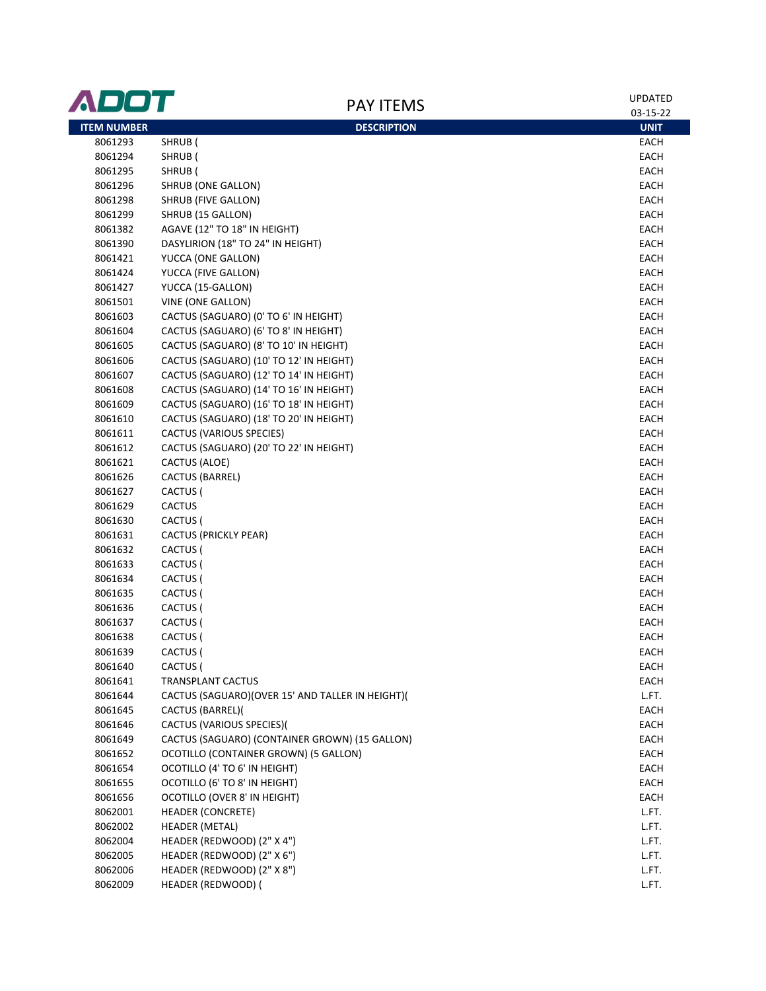| ADOT               | <b>PAY ITEMS</b>                                 | <b>UPDATED</b> |
|--------------------|--------------------------------------------------|----------------|
|                    |                                                  | 03-15-22       |
| <b>ITEM NUMBER</b> | <b>DESCRIPTION</b>                               | <b>UNIT</b>    |
| 8061293            | SHRUB (                                          | EACH           |
| 8061294            | SHRUB (                                          | EACH           |
| 8061295            | SHRUB (                                          | EACH           |
| 8061296            | SHRUB (ONE GALLON)                               | EACH           |
| 8061298            | SHRUB (FIVE GALLON)                              | EACH           |
| 8061299            | SHRUB (15 GALLON)                                | EACH           |
| 8061382            | AGAVE (12" TO 18" IN HEIGHT)                     | EACH           |
| 8061390            | DASYLIRION (18" TO 24" IN HEIGHT)                | EACH           |
| 8061421            | YUCCA (ONE GALLON)                               | EACH           |
| 8061424            | YUCCA (FIVE GALLON)                              | EACH           |
| 8061427            | YUCCA (15-GALLON)                                | EACH           |
| 8061501            | VINE (ONE GALLON)                                | EACH           |
| 8061603            | CACTUS (SAGUARO) (0' TO 6' IN HEIGHT)            | EACH           |
| 8061604            | CACTUS (SAGUARO) (6' TO 8' IN HEIGHT)            | EACH           |
| 8061605            | CACTUS (SAGUARO) (8' TO 10' IN HEIGHT)           | EACH           |
| 8061606            | CACTUS (SAGUARO) (10' TO 12' IN HEIGHT)          | EACH           |
| 8061607            | CACTUS (SAGUARO) (12' TO 14' IN HEIGHT)          | EACH           |
| 8061608            | CACTUS (SAGUARO) (14' TO 16' IN HEIGHT)          | EACH           |
| 8061609            | CACTUS (SAGUARO) (16' TO 18' IN HEIGHT)          | EACH           |
| 8061610            | CACTUS (SAGUARO) (18' TO 20' IN HEIGHT)          | EACH           |
| 8061611            | <b>CACTUS (VARIOUS SPECIES)</b>                  | EACH           |
| 8061612            | CACTUS (SAGUARO) (20' TO 22' IN HEIGHT)          | EACH           |
| 8061621            | CACTUS (ALOE)                                    | EACH           |
| 8061626            | CACTUS (BARREL)                                  | EACH           |
| 8061627            | CACTUS (                                         | EACH           |
| 8061629            | <b>CACTUS</b>                                    | EACH           |
| 8061630            | CACTUS (                                         | EACH           |
| 8061631            | CACTUS (PRICKLY PEAR)                            | EACH           |
| 8061632            | CACTUS (                                         | EACH           |
| 8061633            | CACTUS (                                         | EACH           |
| 8061634            | CACTUS (                                         | EACH           |
| 8061635            | CACTUS (                                         | EACH           |
| 8061636            | CACTUS (                                         | EACH           |
| 8061637            | CACTUS (                                         | EACH           |
| 8061638            | CACTUS (                                         | EACH           |
| 8061639            | CACTUS (                                         | EACH           |
| 8061640            | CACTUS (                                         | EACH           |
| 8061641            | <b>TRANSPLANT CACTUS</b>                         | EACH           |
| 8061644            | CACTUS (SAGUARO)(OVER 15' AND TALLER IN HEIGHT)( | L.FT.          |
| 8061645            | CACTUS (BARREL)(                                 | EACH           |
| 8061646            | CACTUS (VARIOUS SPECIES)(                        | EACH           |
| 8061649            | CACTUS (SAGUARO) (CONTAINER GROWN) (15 GALLON)   | EACH           |
| 8061652            | OCOTILLO (CONTAINER GROWN) (5 GALLON)            | <b>EACH</b>    |
| 8061654            | OCOTILLO (4' TO 6' IN HEIGHT)                    | EACH           |
| 8061655            | OCOTILLO (6' TO 8' IN HEIGHT)                    | EACH           |
| 8061656            | OCOTILLO (OVER 8' IN HEIGHT)                     | EACH           |
| 8062001            | <b>HEADER (CONCRETE)</b>                         | L.FT.          |
| 8062002            | <b>HEADER (METAL)</b>                            | L.FT.          |
| 8062004            | HEADER (REDWOOD) (2" X 4")                       | L.FT.          |
| 8062005            | HEADER (REDWOOD) (2" X 6")                       | L.FT.          |
| 8062006            | HEADER (REDWOOD) (2" X 8")                       | L.FT.          |
| 8062009            | HEADER (REDWOOD) (                               | L.FT.          |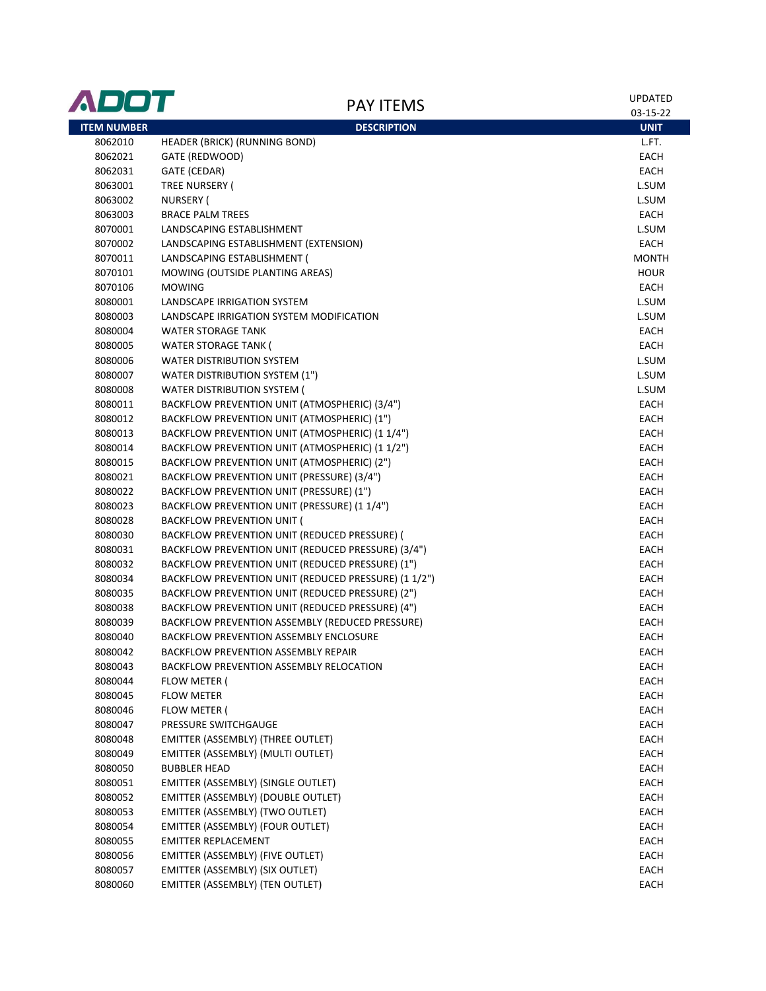| ADOT               | <b>PAY ITEMS</b>                                    | UPDATED<br>03-15-22 |
|--------------------|-----------------------------------------------------|---------------------|
| <b>ITEM NUMBER</b> | <b>DESCRIPTION</b>                                  | <b>UNIT</b>         |
| 8062010            | <b>HEADER (BRICK) (RUNNING BOND)</b>                | L.FT.               |
| 8062021            | GATE (REDWOOD)                                      | <b>EACH</b>         |
| 8062031            | GATE (CEDAR)                                        | <b>EACH</b>         |
| 8063001            | TREE NURSERY (                                      | L.SUM               |
| 8063002            | NURSERY (                                           | L.SUM               |
| 8063003            | <b>BRACE PALM TREES</b>                             | EACH                |
| 8070001            | LANDSCAPING ESTABLISHMENT                           | L.SUM               |
| 8070002            | LANDSCAPING ESTABLISHMENT (EXTENSION)               | EACH                |
| 8070011            | LANDSCAPING ESTABLISHMENT (                         | <b>MONTH</b>        |
| 8070101            | MOWING (OUTSIDE PLANTING AREAS)                     | <b>HOUR</b>         |
| 8070106            | <b>MOWING</b>                                       | <b>EACH</b>         |
| 8080001            | LANDSCAPE IRRIGATION SYSTEM                         | L.SUM               |
| 8080003            | LANDSCAPE IRRIGATION SYSTEM MODIFICATION            | L.SUM               |
| 8080004            | <b>WATER STORAGE TANK</b>                           | EACH                |
| 8080005            | <b>WATER STORAGE TANK (</b>                         | EACH                |
| 8080006            | <b>WATER DISTRIBUTION SYSTEM</b>                    | L.SUM               |
| 8080007            | WATER DISTRIBUTION SYSTEM (1")                      | L.SUM               |
| 8080008            | WATER DISTRIBUTION SYSTEM (                         | L.SUM               |
| 8080011            | BACKFLOW PREVENTION UNIT (ATMOSPHERIC) (3/4")       | <b>EACH</b>         |
| 8080012            | BACKFLOW PREVENTION UNIT (ATMOSPHERIC) (1")         | <b>EACH</b>         |
| 8080013            | BACKFLOW PREVENTION UNIT (ATMOSPHERIC) (1 1/4")     | <b>EACH</b>         |
| 8080014            | BACKFLOW PREVENTION UNIT (ATMOSPHERIC) (1 1/2")     | EACH                |
| 8080015            | BACKFLOW PREVENTION UNIT (ATMOSPHERIC) (2")         | <b>EACH</b>         |
| 8080021            | BACKFLOW PREVENTION UNIT (PRESSURE) (3/4")          | <b>EACH</b>         |
| 8080022            | BACKFLOW PREVENTION UNIT (PRESSURE) (1")            | <b>EACH</b>         |
| 8080023            | BACKFLOW PREVENTION UNIT (PRESSURE) (1 1/4")        | EACH                |
| 8080028            | <b>BACKFLOW PREVENTION UNIT (</b>                   | EACH                |
| 8080030            | BACKFLOW PREVENTION UNIT (REDUCED PRESSURE) (       | EACH                |
| 8080031            | BACKFLOW PREVENTION UNIT (REDUCED PRESSURE) (3/4")  | EACH                |
| 8080032            | BACKFLOW PREVENTION UNIT (REDUCED PRESSURE) (1")    | EACH                |
| 8080034            | BACKFLOW PREVENTION UNIT (REDUCED PRESSURE) (11/2") | EACH                |
| 8080035            | BACKFLOW PREVENTION UNIT (REDUCED PRESSURE) (2")    | <b>EACH</b>         |
| 8080038            | BACKFLOW PREVENTION UNIT (REDUCED PRESSURE) (4")    | EACH                |
| 8080039            | BACKFLOW PREVENTION ASSEMBLY (REDUCED PRESSURE)     | EACH                |
| 8080040            | BACKFLOW PREVENTION ASSEMBLY ENCLOSURE              | <b>EACH</b>         |
| 8080042            | BACKFLOW PREVENTION ASSEMBLY REPAIR                 | EACH                |
| 8080043            | BACKFLOW PREVENTION ASSEMBLY RELOCATION             | EACH                |
| 8080044            | FLOW METER (                                        | EACH                |
| 8080045            | <b>FLOW METER</b>                                   | EACH                |
| 8080046            | FLOW METER (                                        | EACH                |
| 8080047            | PRESSURE SWITCHGAUGE                                | EACH                |
| 8080048            | EMITTER (ASSEMBLY) (THREE OUTLET)                   | EACH                |
| 8080049            | EMITTER (ASSEMBLY) (MULTI OUTLET)                   | EACH                |
| 8080050            | <b>BUBBLER HEAD</b>                                 | EACH                |
| 8080051            | EMITTER (ASSEMBLY) (SINGLE OUTLET)                  | EACH                |
| 8080052            | EMITTER (ASSEMBLY) (DOUBLE OUTLET)                  | EACH                |
| 8080053            | EMITTER (ASSEMBLY) (TWO OUTLET)                     | EACH                |
| 8080054            | EMITTER (ASSEMBLY) (FOUR OUTLET)                    | EACH                |
| 8080055            | <b>EMITTER REPLACEMENT</b>                          | EACH                |
| 8080056            | EMITTER (ASSEMBLY) (FIVE OUTLET)                    | EACH                |
| 8080057            | EMITTER (ASSEMBLY) (SIX OUTLET)                     | EACH                |
| 8080060            | EMITTER (ASSEMBLY) (TEN OUTLET)                     | EACH                |
|                    |                                                     |                     |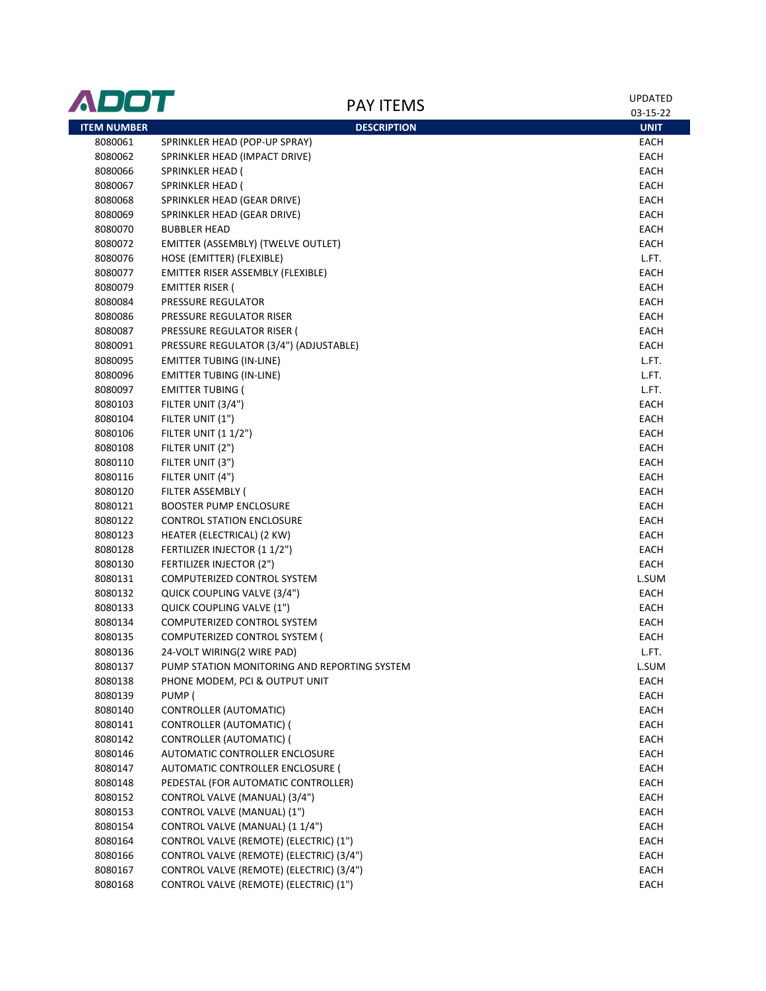| ADOT               | <b>PAY ITEMS</b>                             | <b>UPDATED</b>          |
|--------------------|----------------------------------------------|-------------------------|
| <b>ITEM NUMBER</b> | <b>DESCRIPTION</b>                           | 03-15-22<br><b>UNIT</b> |
| 8080061            | SPRINKLER HEAD (POP-UP SPRAY)                | EACH                    |
| 8080062            | SPRINKLER HEAD (IMPACT DRIVE)                | EACH                    |
| 8080066            | SPRINKLER HEAD (                             | EACH                    |
| 8080067            | <b>SPRINKLER HEAD (</b>                      | EACH                    |
| 8080068            | SPRINKLER HEAD (GEAR DRIVE)                  | EACH                    |
| 8080069            | SPRINKLER HEAD (GEAR DRIVE)                  | EACH                    |
| 8080070            | <b>BUBBLER HEAD</b>                          | EACH                    |
| 8080072            | EMITTER (ASSEMBLY) (TWELVE OUTLET)           | EACH                    |
| 8080076            | HOSE (EMITTER) (FLEXIBLE)                    | L.FT.                   |
| 8080077            | EMITTER RISER ASSEMBLY (FLEXIBLE)            | EACH                    |
| 8080079            | EMITTER RISER (                              | EACH                    |
| 8080084            | PRESSURE REGULATOR                           | EACH                    |
| 8080086            | PRESSURE REGULATOR RISER                     | EACH                    |
| 8080087            | PRESSURE REGULATOR RISER (                   | EACH                    |
| 8080091            | PRESSURE REGULATOR (3/4") (ADJUSTABLE)       | EACH                    |
| 8080095            | <b>EMITTER TUBING (IN-LINE)</b>              | L.FT.                   |
| 8080096            | <b>EMITTER TUBING (IN-LINE)</b>              | L.FT.                   |
| 8080097            | <b>EMITTER TUBING (</b>                      | L.FT.                   |
| 8080103            | FILTER UNIT (3/4")                           | EACH                    |
| 8080104            | FILTER UNIT (1")                             | EACH                    |
| 8080106            | <b>FILTER UNIT (1 1/2")</b>                  | EACH                    |
| 8080108            | FILTER UNIT (2")                             | EACH                    |
| 8080110            | FILTER UNIT (3")                             | EACH                    |
| 8080116            | FILTER UNIT (4")                             | EACH                    |
| 8080120            | FILTER ASSEMBLY (                            | EACH                    |
| 8080121            | <b>BOOSTER PUMP ENCLOSURE</b>                | EACH                    |
| 8080122            | <b>CONTROL STATION ENCLOSURE</b>             | EACH                    |
| 8080123            | HEATER (ELECTRICAL) (2 KW)                   | EACH                    |
| 8080128            | FERTILIZER INJECTOR (11/2")                  | EACH                    |
| 8080130            | FERTILIZER INJECTOR (2")                     | EACH                    |
| 8080131            | COMPUTERIZED CONTROL SYSTEM                  | L.SUM                   |
| 8080132            | QUICK COUPLING VALVE (3/4")                  | EACH                    |
| 8080133            | QUICK COUPLING VALVE (1")                    | EACH                    |
| 8080134            | COMPUTERIZED CONTROL SYSTEM                  | EACH                    |
| 8080135            | COMPUTERIZED CONTROL SYSTEM (                | <b>EACH</b>             |
| 8080136            | 24-VOLT WIRING(2 WIRE PAD)                   | L.FT.                   |
| 8080137            | PUMP STATION MONITORING AND REPORTING SYSTEM | L.SUM                   |
| 8080138            | PHONE MODEM, PCI & OUTPUT UNIT               | EACH                    |
| 8080139            | PUMP (                                       | EACH                    |
| 8080140            | CONTROLLER (AUTOMATIC)                       | EACH                    |
| 8080141            | CONTROLLER (AUTOMATIC) (                     | EACH                    |
| 8080142            | CONTROLLER (AUTOMATIC) (                     | EACH                    |
| 8080146            | AUTOMATIC CONTROLLER ENCLOSURE               | EACH                    |
| 8080147            | <b>AUTOMATIC CONTROLLER ENCLOSURE (</b>      | EACH                    |
| 8080148            | PEDESTAL (FOR AUTOMATIC CONTROLLER)          | EACH                    |
| 8080152            | CONTROL VALVE (MANUAL) (3/4")                | EACH                    |
| 8080153            | CONTROL VALVE (MANUAL) (1")                  | EACH                    |
| 8080154            | CONTROL VALVE (MANUAL) (1 1/4")              | EACH                    |
| 8080164            | CONTROL VALVE (REMOTE) (ELECTRIC) (1")       | EACH                    |
| 8080166            | CONTROL VALVE (REMOTE) (ELECTRIC) (3/4")     | EACH                    |
| 8080167            | CONTROL VALVE (REMOTE) (ELECTRIC) (3/4")     | EACH                    |
| 8080168            | CONTROL VALVE (REMOTE) (ELECTRIC) (1")       | EACH                    |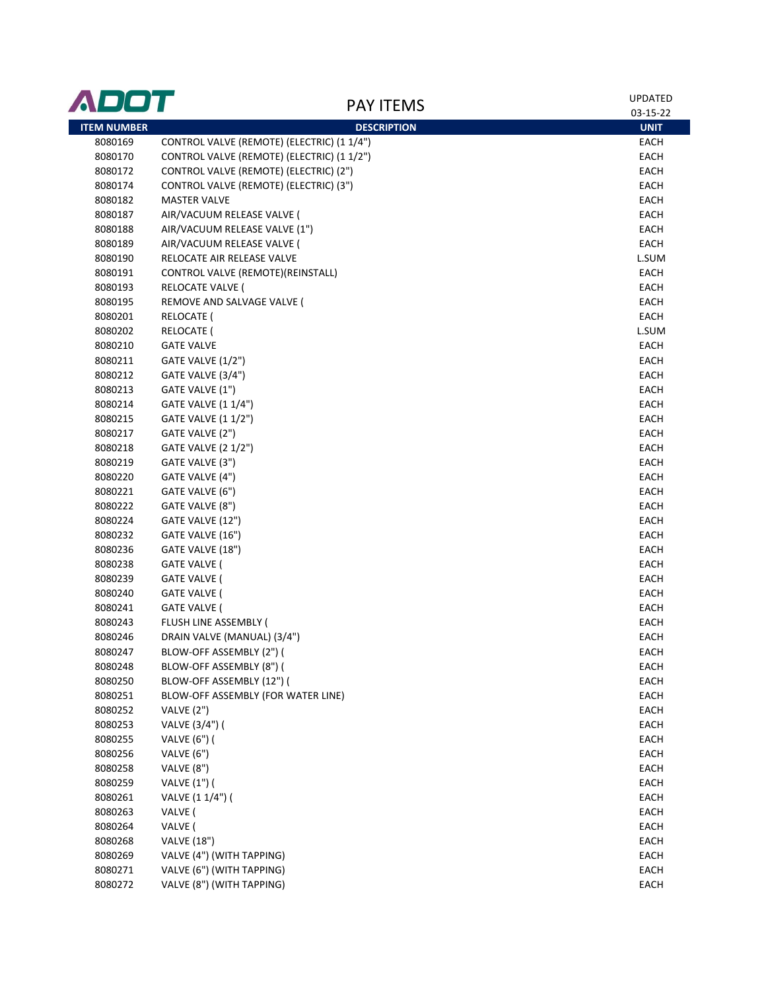| ADOT               | <b>PAY ITEMS</b>                           | <b>UPDATED</b> |
|--------------------|--------------------------------------------|----------------|
|                    |                                            | 03-15-22       |
| <b>ITEM NUMBER</b> | <b>DESCRIPTION</b>                         | <b>UNIT</b>    |
| 8080169            | CONTROL VALVE (REMOTE) (ELECTRIC) (1 1/4") | EACH           |
| 8080170            | CONTROL VALVE (REMOTE) (ELECTRIC) (1 1/2") | EACH           |
| 8080172            | CONTROL VALVE (REMOTE) (ELECTRIC) (2")     | EACH           |
| 8080174            | CONTROL VALVE (REMOTE) (ELECTRIC) (3")     | EACH           |
| 8080182            | <b>MASTER VALVE</b>                        | EACH           |
| 8080187            | AIR/VACUUM RELEASE VALVE (                 | EACH           |
| 8080188            | AIR/VACUUM RELEASE VALVE (1")              | EACH           |
| 8080189            | AIR/VACUUM RELEASE VALVE (                 | EACH           |
| 8080190            | RELOCATE AIR RELEASE VALVE                 | L.SUM          |
| 8080191            | CONTROL VALVE (REMOTE)(REINSTALL)          | EACH           |
| 8080193            | RELOCATE VALVE (                           | EACH           |
| 8080195            | REMOVE AND SALVAGE VALVE (                 | EACH           |
| 8080201            | RELOCATE (                                 | EACH           |
| 8080202            | RELOCATE (                                 | L.SUM          |
| 8080210            | <b>GATE VALVE</b>                          | EACH           |
| 8080211            | GATE VALVE (1/2")                          | EACH           |
| 8080212            | GATE VALVE (3/4")                          | EACH           |
| 8080213            | GATE VALVE (1")                            | EACH           |
| 8080214            | GATE VALVE (1 1/4")                        | EACH           |
| 8080215            | GATE VALVE (1 1/2")                        | EACH           |
| 8080217            | GATE VALVE (2")                            | EACH           |
| 8080218            | <b>GATE VALVE (2 1/2")</b>                 | EACH           |
| 8080219            | GATE VALVE (3")                            | EACH           |
| 8080220            | GATE VALVE (4")                            | EACH           |
| 8080221            | GATE VALVE (6")                            | EACH           |
| 8080222            | GATE VALVE (8")                            | EACH           |
| 8080224            | GATE VALVE (12")                           | EACH           |
| 8080232            | GATE VALVE (16")                           | EACH           |
| 8080236            | GATE VALVE (18")                           | EACH           |
| 8080238            | GATE VALVE (                               | EACH           |
|                    | <b>GATE VALVE (</b>                        | EACH           |
| 8080239            |                                            |                |
| 8080240            | <b>GATE VALVE (</b>                        | EACH           |
| 8080241            | <b>GATE VALVE (</b>                        | EACH           |
| 8080243            | FLUSH LINE ASSEMBLY (                      | EACH           |
| 8080246            | DRAIN VALVE (MANUAL) (3/4")                | EACH           |
| 8080247            | BLOW-OFF ASSEMBLY (2") (                   | <b>EACH</b>    |
| 8080248            | BLOW-OFF ASSEMBLY (8") (                   | EACH           |
| 8080250            | BLOW-OFF ASSEMBLY (12") (                  | EACH           |
| 8080251            | BLOW-OFF ASSEMBLY (FOR WATER LINE)         | EACH           |
| 8080252            | VALVE (2")                                 | EACH           |
| 8080253            | VALVE (3/4") (                             | EACH           |
| 8080255            | VALVE (6") (                               | EACH           |
| 8080256            | VALVE (6")                                 | EACH           |
| 8080258            | VALVE (8")                                 | <b>EACH</b>    |
| 8080259            | VALVE (1") (                               | EACH           |
| 8080261            | VALVE (1 1/4") (                           | EACH           |
| 8080263            | VALVE (                                    | EACH           |
| 8080264            | VALVE (                                    | EACH           |
| 8080268            | <b>VALVE (18")</b>                         | EACH           |
| 8080269            | VALVE (4") (WITH TAPPING)                  | EACH           |
| 8080271            | VALVE (6") (WITH TAPPING)                  | EACH           |
| 8080272            | VALVE (8") (WITH TAPPING)                  | EACH           |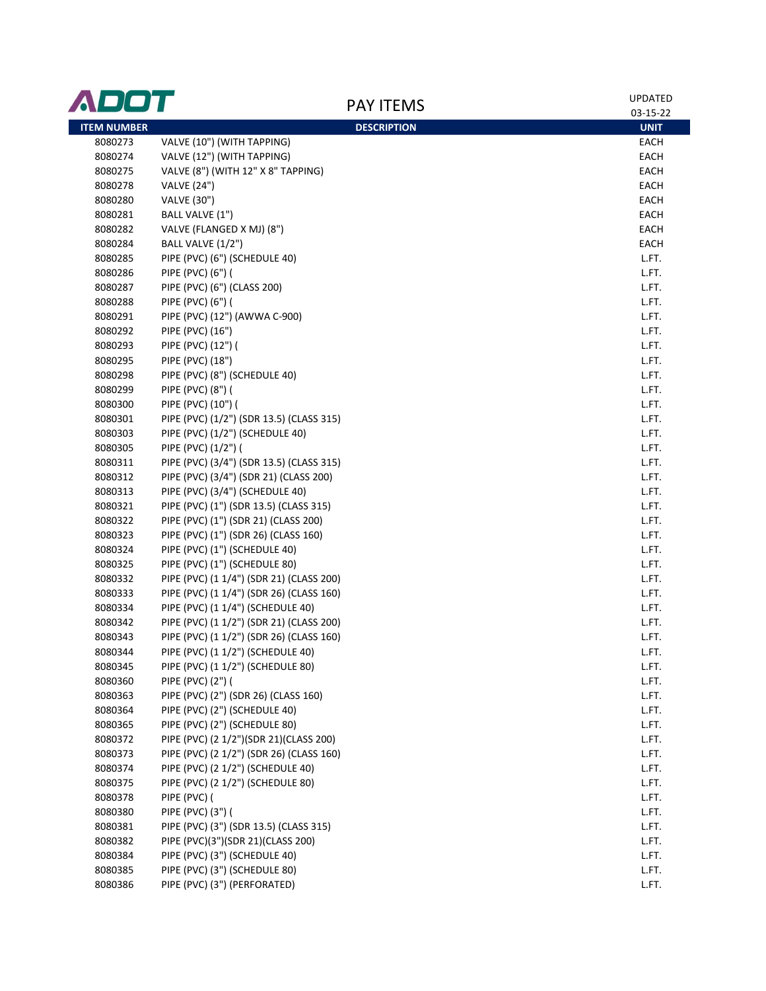| 03-15-22<br><b>ITEM NUMBER</b><br><b>DESCRIPTION</b><br><b>UNIT</b><br>VALVE (10") (WITH TAPPING)<br>8080273<br>EACH<br>VALVE (12") (WITH TAPPING)<br>8080274<br>EACH<br>VALVE (8") (WITH 12" X 8" TAPPING)<br>EACH<br>8080275<br>8080278<br>EACH<br><b>VALVE (24")</b><br><b>VALVE (30")</b><br>EACH<br>8080280<br>8080281<br>BALL VALVE (1")<br>EACH<br>EACH<br>8080282<br>VALVE (FLANGED X MJ) (8")<br>EACH<br>8080284<br>BALL VALVE (1/2")<br>PIPE (PVC) (6") (SCHEDULE 40)<br>L.FT.<br>8080285<br>PIPE (PVC) (6") (<br>L.FT.<br>8080286<br>PIPE (PVC) (6") (CLASS 200)<br>8080287<br>L.FT.<br>L.FT.<br>8080288<br>PIPE (PVC) (6") (<br>L.FT.<br>8080291<br>PIPE (PVC) (12") (AWWA C-900)<br>8080292<br>PIPE (PVC) (16")<br>L.FT.<br>8080293<br>PIPE (PVC) (12") (<br>L.FT.<br>8080295<br>PIPE (PVC) (18")<br>L.FT.<br>PIPE (PVC) (8") (SCHEDULE 40)<br>8080298<br>L.FT.<br>8080299<br>PIPE (PVC) (8") (<br>L.FT.<br>8080300<br>PIPE (PVC) (10") (<br>L.FT.<br>PIPE (PVC) (1/2") (SDR 13.5) (CLASS 315)<br>8080301<br>L.FT.<br>8080303<br>PIPE (PVC) (1/2") (SCHEDULE 40)<br>L.FT.<br>L.FT.<br>8080305<br>PIPE (PVC) (1/2") (<br>PIPE (PVC) (3/4") (SDR 13.5) (CLASS 315)<br>8080311<br>L.FT.<br>PIPE (PVC) (3/4") (SDR 21) (CLASS 200)<br>8080312<br>L.FT.<br>L.FT.<br>8080313<br>PIPE (PVC) (3/4") (SCHEDULE 40)<br>PIPE (PVC) (1") (SDR 13.5) (CLASS 315)<br>L.FT.<br>8080321<br>PIPE (PVC) (1") (SDR 21) (CLASS 200)<br>8080322<br>L.FT.<br>PIPE (PVC) (1") (SDR 26) (CLASS 160)<br>L.FT.<br>8080323<br>PIPE (PVC) (1") (SCHEDULE 40)<br>L.FT.<br>8080324<br>PIPE (PVC) (1") (SCHEDULE 80)<br>8080325<br>L.FT.<br>8080332<br>PIPE (PVC) (1 1/4") (SDR 21) (CLASS 200)<br>L.FT.<br>PIPE (PVC) (1 1/4") (SDR 26) (CLASS 160)<br>8080333<br>L.FT.<br>PIPE (PVC) (1 1/4") (SCHEDULE 40)<br>8080334<br>L.FT.<br>PIPE (PVC) (1 1/2") (SDR 21) (CLASS 200)<br>8080342<br>L.FT.<br>8080343<br>PIPE (PVC) (1 1/2") (SDR 26) (CLASS 160)<br>L.FT.<br>PIPE (PVC) (1 1/2") (SCHEDULE 40)<br>8080344<br>L.FT.<br>PIPE (PVC) (1 1/2") (SCHEDULE 80)<br>8080345<br>L.FT.<br>PIPE (PVC) (2") (<br>8080360<br>L.FT.<br>PIPE (PVC) (2") (SDR 26) (CLASS 160)<br>8080363<br>L.FT.<br>PIPE (PVC) (2") (SCHEDULE 40)<br>8080364<br>L.FT.<br>8080365<br>PIPE (PVC) (2") (SCHEDULE 80)<br>L.FT.<br>PIPE (PVC) (2 1/2")(SDR 21)(CLASS 200)<br>8080372<br>L.FT.<br>PIPE (PVC) (2 1/2") (SDR 26) (CLASS 160)<br>8080373<br>L.FT.<br>8080374<br>PIPE (PVC) (2 1/2") (SCHEDULE 40)<br>L.FT.<br>8080375<br>PIPE (PVC) (2 1/2") (SCHEDULE 80)<br>L.FT.<br>8080378<br>PIPE (PVC) (<br>L.FT.<br>PIPE (PVC) (3") (<br>8080380<br>L.FT.<br>PIPE (PVC) (3") (SDR 13.5) (CLASS 315)<br>8080381<br>L.FT.<br>PIPE (PVC)(3")(SDR 21)(CLASS 200)<br>8080382<br>L.FT.<br>PIPE (PVC) (3") (SCHEDULE 40)<br>8080384<br>L.FT.<br>PIPE (PVC) (3") (SCHEDULE 80)<br>8080385<br>L.FT.<br>PIPE (PVC) (3") (PERFORATED)<br>8080386<br>L.FT. | ADOT | <b>PAY ITEMS</b> | <b>UPDATED</b> |
|----------------------------------------------------------------------------------------------------------------------------------------------------------------------------------------------------------------------------------------------------------------------------------------------------------------------------------------------------------------------------------------------------------------------------------------------------------------------------------------------------------------------------------------------------------------------------------------------------------------------------------------------------------------------------------------------------------------------------------------------------------------------------------------------------------------------------------------------------------------------------------------------------------------------------------------------------------------------------------------------------------------------------------------------------------------------------------------------------------------------------------------------------------------------------------------------------------------------------------------------------------------------------------------------------------------------------------------------------------------------------------------------------------------------------------------------------------------------------------------------------------------------------------------------------------------------------------------------------------------------------------------------------------------------------------------------------------------------------------------------------------------------------------------------------------------------------------------------------------------------------------------------------------------------------------------------------------------------------------------------------------------------------------------------------------------------------------------------------------------------------------------------------------------------------------------------------------------------------------------------------------------------------------------------------------------------------------------------------------------------------------------------------------------------------------------------------------------------------------------------------------------------------------------------------------------------------------------------------------------------------------------------------------------------------------------------------------------------------------------------------------------------------------------------------------------------------------------------------------------------------------------------------|------|------------------|----------------|
|                                                                                                                                                                                                                                                                                                                                                                                                                                                                                                                                                                                                                                                                                                                                                                                                                                                                                                                                                                                                                                                                                                                                                                                                                                                                                                                                                                                                                                                                                                                                                                                                                                                                                                                                                                                                                                                                                                                                                                                                                                                                                                                                                                                                                                                                                                                                                                                                                                                                                                                                                                                                                                                                                                                                                                                                                                                                                                    |      |                  |                |
|                                                                                                                                                                                                                                                                                                                                                                                                                                                                                                                                                                                                                                                                                                                                                                                                                                                                                                                                                                                                                                                                                                                                                                                                                                                                                                                                                                                                                                                                                                                                                                                                                                                                                                                                                                                                                                                                                                                                                                                                                                                                                                                                                                                                                                                                                                                                                                                                                                                                                                                                                                                                                                                                                                                                                                                                                                                                                                    |      |                  |                |
|                                                                                                                                                                                                                                                                                                                                                                                                                                                                                                                                                                                                                                                                                                                                                                                                                                                                                                                                                                                                                                                                                                                                                                                                                                                                                                                                                                                                                                                                                                                                                                                                                                                                                                                                                                                                                                                                                                                                                                                                                                                                                                                                                                                                                                                                                                                                                                                                                                                                                                                                                                                                                                                                                                                                                                                                                                                                                                    |      |                  |                |
|                                                                                                                                                                                                                                                                                                                                                                                                                                                                                                                                                                                                                                                                                                                                                                                                                                                                                                                                                                                                                                                                                                                                                                                                                                                                                                                                                                                                                                                                                                                                                                                                                                                                                                                                                                                                                                                                                                                                                                                                                                                                                                                                                                                                                                                                                                                                                                                                                                                                                                                                                                                                                                                                                                                                                                                                                                                                                                    |      |                  |                |
|                                                                                                                                                                                                                                                                                                                                                                                                                                                                                                                                                                                                                                                                                                                                                                                                                                                                                                                                                                                                                                                                                                                                                                                                                                                                                                                                                                                                                                                                                                                                                                                                                                                                                                                                                                                                                                                                                                                                                                                                                                                                                                                                                                                                                                                                                                                                                                                                                                                                                                                                                                                                                                                                                                                                                                                                                                                                                                    |      |                  |                |
|                                                                                                                                                                                                                                                                                                                                                                                                                                                                                                                                                                                                                                                                                                                                                                                                                                                                                                                                                                                                                                                                                                                                                                                                                                                                                                                                                                                                                                                                                                                                                                                                                                                                                                                                                                                                                                                                                                                                                                                                                                                                                                                                                                                                                                                                                                                                                                                                                                                                                                                                                                                                                                                                                                                                                                                                                                                                                                    |      |                  |                |
|                                                                                                                                                                                                                                                                                                                                                                                                                                                                                                                                                                                                                                                                                                                                                                                                                                                                                                                                                                                                                                                                                                                                                                                                                                                                                                                                                                                                                                                                                                                                                                                                                                                                                                                                                                                                                                                                                                                                                                                                                                                                                                                                                                                                                                                                                                                                                                                                                                                                                                                                                                                                                                                                                                                                                                                                                                                                                                    |      |                  |                |
|                                                                                                                                                                                                                                                                                                                                                                                                                                                                                                                                                                                                                                                                                                                                                                                                                                                                                                                                                                                                                                                                                                                                                                                                                                                                                                                                                                                                                                                                                                                                                                                                                                                                                                                                                                                                                                                                                                                                                                                                                                                                                                                                                                                                                                                                                                                                                                                                                                                                                                                                                                                                                                                                                                                                                                                                                                                                                                    |      |                  |                |
|                                                                                                                                                                                                                                                                                                                                                                                                                                                                                                                                                                                                                                                                                                                                                                                                                                                                                                                                                                                                                                                                                                                                                                                                                                                                                                                                                                                                                                                                                                                                                                                                                                                                                                                                                                                                                                                                                                                                                                                                                                                                                                                                                                                                                                                                                                                                                                                                                                                                                                                                                                                                                                                                                                                                                                                                                                                                                                    |      |                  |                |
|                                                                                                                                                                                                                                                                                                                                                                                                                                                                                                                                                                                                                                                                                                                                                                                                                                                                                                                                                                                                                                                                                                                                                                                                                                                                                                                                                                                                                                                                                                                                                                                                                                                                                                                                                                                                                                                                                                                                                                                                                                                                                                                                                                                                                                                                                                                                                                                                                                                                                                                                                                                                                                                                                                                                                                                                                                                                                                    |      |                  |                |
|                                                                                                                                                                                                                                                                                                                                                                                                                                                                                                                                                                                                                                                                                                                                                                                                                                                                                                                                                                                                                                                                                                                                                                                                                                                                                                                                                                                                                                                                                                                                                                                                                                                                                                                                                                                                                                                                                                                                                                                                                                                                                                                                                                                                                                                                                                                                                                                                                                                                                                                                                                                                                                                                                                                                                                                                                                                                                                    |      |                  |                |
|                                                                                                                                                                                                                                                                                                                                                                                                                                                                                                                                                                                                                                                                                                                                                                                                                                                                                                                                                                                                                                                                                                                                                                                                                                                                                                                                                                                                                                                                                                                                                                                                                                                                                                                                                                                                                                                                                                                                                                                                                                                                                                                                                                                                                                                                                                                                                                                                                                                                                                                                                                                                                                                                                                                                                                                                                                                                                                    |      |                  |                |
|                                                                                                                                                                                                                                                                                                                                                                                                                                                                                                                                                                                                                                                                                                                                                                                                                                                                                                                                                                                                                                                                                                                                                                                                                                                                                                                                                                                                                                                                                                                                                                                                                                                                                                                                                                                                                                                                                                                                                                                                                                                                                                                                                                                                                                                                                                                                                                                                                                                                                                                                                                                                                                                                                                                                                                                                                                                                                                    |      |                  |                |
|                                                                                                                                                                                                                                                                                                                                                                                                                                                                                                                                                                                                                                                                                                                                                                                                                                                                                                                                                                                                                                                                                                                                                                                                                                                                                                                                                                                                                                                                                                                                                                                                                                                                                                                                                                                                                                                                                                                                                                                                                                                                                                                                                                                                                                                                                                                                                                                                                                                                                                                                                                                                                                                                                                                                                                                                                                                                                                    |      |                  |                |
|                                                                                                                                                                                                                                                                                                                                                                                                                                                                                                                                                                                                                                                                                                                                                                                                                                                                                                                                                                                                                                                                                                                                                                                                                                                                                                                                                                                                                                                                                                                                                                                                                                                                                                                                                                                                                                                                                                                                                                                                                                                                                                                                                                                                                                                                                                                                                                                                                                                                                                                                                                                                                                                                                                                                                                                                                                                                                                    |      |                  |                |
|                                                                                                                                                                                                                                                                                                                                                                                                                                                                                                                                                                                                                                                                                                                                                                                                                                                                                                                                                                                                                                                                                                                                                                                                                                                                                                                                                                                                                                                                                                                                                                                                                                                                                                                                                                                                                                                                                                                                                                                                                                                                                                                                                                                                                                                                                                                                                                                                                                                                                                                                                                                                                                                                                                                                                                                                                                                                                                    |      |                  |                |
|                                                                                                                                                                                                                                                                                                                                                                                                                                                                                                                                                                                                                                                                                                                                                                                                                                                                                                                                                                                                                                                                                                                                                                                                                                                                                                                                                                                                                                                                                                                                                                                                                                                                                                                                                                                                                                                                                                                                                                                                                                                                                                                                                                                                                                                                                                                                                                                                                                                                                                                                                                                                                                                                                                                                                                                                                                                                                                    |      |                  |                |
|                                                                                                                                                                                                                                                                                                                                                                                                                                                                                                                                                                                                                                                                                                                                                                                                                                                                                                                                                                                                                                                                                                                                                                                                                                                                                                                                                                                                                                                                                                                                                                                                                                                                                                                                                                                                                                                                                                                                                                                                                                                                                                                                                                                                                                                                                                                                                                                                                                                                                                                                                                                                                                                                                                                                                                                                                                                                                                    |      |                  |                |
|                                                                                                                                                                                                                                                                                                                                                                                                                                                                                                                                                                                                                                                                                                                                                                                                                                                                                                                                                                                                                                                                                                                                                                                                                                                                                                                                                                                                                                                                                                                                                                                                                                                                                                                                                                                                                                                                                                                                                                                                                                                                                                                                                                                                                                                                                                                                                                                                                                                                                                                                                                                                                                                                                                                                                                                                                                                                                                    |      |                  |                |
|                                                                                                                                                                                                                                                                                                                                                                                                                                                                                                                                                                                                                                                                                                                                                                                                                                                                                                                                                                                                                                                                                                                                                                                                                                                                                                                                                                                                                                                                                                                                                                                                                                                                                                                                                                                                                                                                                                                                                                                                                                                                                                                                                                                                                                                                                                                                                                                                                                                                                                                                                                                                                                                                                                                                                                                                                                                                                                    |      |                  |                |
|                                                                                                                                                                                                                                                                                                                                                                                                                                                                                                                                                                                                                                                                                                                                                                                                                                                                                                                                                                                                                                                                                                                                                                                                                                                                                                                                                                                                                                                                                                                                                                                                                                                                                                                                                                                                                                                                                                                                                                                                                                                                                                                                                                                                                                                                                                                                                                                                                                                                                                                                                                                                                                                                                                                                                                                                                                                                                                    |      |                  |                |
|                                                                                                                                                                                                                                                                                                                                                                                                                                                                                                                                                                                                                                                                                                                                                                                                                                                                                                                                                                                                                                                                                                                                                                                                                                                                                                                                                                                                                                                                                                                                                                                                                                                                                                                                                                                                                                                                                                                                                                                                                                                                                                                                                                                                                                                                                                                                                                                                                                                                                                                                                                                                                                                                                                                                                                                                                                                                                                    |      |                  |                |
|                                                                                                                                                                                                                                                                                                                                                                                                                                                                                                                                                                                                                                                                                                                                                                                                                                                                                                                                                                                                                                                                                                                                                                                                                                                                                                                                                                                                                                                                                                                                                                                                                                                                                                                                                                                                                                                                                                                                                                                                                                                                                                                                                                                                                                                                                                                                                                                                                                                                                                                                                                                                                                                                                                                                                                                                                                                                                                    |      |                  |                |
|                                                                                                                                                                                                                                                                                                                                                                                                                                                                                                                                                                                                                                                                                                                                                                                                                                                                                                                                                                                                                                                                                                                                                                                                                                                                                                                                                                                                                                                                                                                                                                                                                                                                                                                                                                                                                                                                                                                                                                                                                                                                                                                                                                                                                                                                                                                                                                                                                                                                                                                                                                                                                                                                                                                                                                                                                                                                                                    |      |                  |                |
|                                                                                                                                                                                                                                                                                                                                                                                                                                                                                                                                                                                                                                                                                                                                                                                                                                                                                                                                                                                                                                                                                                                                                                                                                                                                                                                                                                                                                                                                                                                                                                                                                                                                                                                                                                                                                                                                                                                                                                                                                                                                                                                                                                                                                                                                                                                                                                                                                                                                                                                                                                                                                                                                                                                                                                                                                                                                                                    |      |                  |                |
|                                                                                                                                                                                                                                                                                                                                                                                                                                                                                                                                                                                                                                                                                                                                                                                                                                                                                                                                                                                                                                                                                                                                                                                                                                                                                                                                                                                                                                                                                                                                                                                                                                                                                                                                                                                                                                                                                                                                                                                                                                                                                                                                                                                                                                                                                                                                                                                                                                                                                                                                                                                                                                                                                                                                                                                                                                                                                                    |      |                  |                |
|                                                                                                                                                                                                                                                                                                                                                                                                                                                                                                                                                                                                                                                                                                                                                                                                                                                                                                                                                                                                                                                                                                                                                                                                                                                                                                                                                                                                                                                                                                                                                                                                                                                                                                                                                                                                                                                                                                                                                                                                                                                                                                                                                                                                                                                                                                                                                                                                                                                                                                                                                                                                                                                                                                                                                                                                                                                                                                    |      |                  |                |
|                                                                                                                                                                                                                                                                                                                                                                                                                                                                                                                                                                                                                                                                                                                                                                                                                                                                                                                                                                                                                                                                                                                                                                                                                                                                                                                                                                                                                                                                                                                                                                                                                                                                                                                                                                                                                                                                                                                                                                                                                                                                                                                                                                                                                                                                                                                                                                                                                                                                                                                                                                                                                                                                                                                                                                                                                                                                                                    |      |                  |                |
|                                                                                                                                                                                                                                                                                                                                                                                                                                                                                                                                                                                                                                                                                                                                                                                                                                                                                                                                                                                                                                                                                                                                                                                                                                                                                                                                                                                                                                                                                                                                                                                                                                                                                                                                                                                                                                                                                                                                                                                                                                                                                                                                                                                                                                                                                                                                                                                                                                                                                                                                                                                                                                                                                                                                                                                                                                                                                                    |      |                  |                |
|                                                                                                                                                                                                                                                                                                                                                                                                                                                                                                                                                                                                                                                                                                                                                                                                                                                                                                                                                                                                                                                                                                                                                                                                                                                                                                                                                                                                                                                                                                                                                                                                                                                                                                                                                                                                                                                                                                                                                                                                                                                                                                                                                                                                                                                                                                                                                                                                                                                                                                                                                                                                                                                                                                                                                                                                                                                                                                    |      |                  |                |
|                                                                                                                                                                                                                                                                                                                                                                                                                                                                                                                                                                                                                                                                                                                                                                                                                                                                                                                                                                                                                                                                                                                                                                                                                                                                                                                                                                                                                                                                                                                                                                                                                                                                                                                                                                                                                                                                                                                                                                                                                                                                                                                                                                                                                                                                                                                                                                                                                                                                                                                                                                                                                                                                                                                                                                                                                                                                                                    |      |                  |                |
|                                                                                                                                                                                                                                                                                                                                                                                                                                                                                                                                                                                                                                                                                                                                                                                                                                                                                                                                                                                                                                                                                                                                                                                                                                                                                                                                                                                                                                                                                                                                                                                                                                                                                                                                                                                                                                                                                                                                                                                                                                                                                                                                                                                                                                                                                                                                                                                                                                                                                                                                                                                                                                                                                                                                                                                                                                                                                                    |      |                  |                |
|                                                                                                                                                                                                                                                                                                                                                                                                                                                                                                                                                                                                                                                                                                                                                                                                                                                                                                                                                                                                                                                                                                                                                                                                                                                                                                                                                                                                                                                                                                                                                                                                                                                                                                                                                                                                                                                                                                                                                                                                                                                                                                                                                                                                                                                                                                                                                                                                                                                                                                                                                                                                                                                                                                                                                                                                                                                                                                    |      |                  |                |
|                                                                                                                                                                                                                                                                                                                                                                                                                                                                                                                                                                                                                                                                                                                                                                                                                                                                                                                                                                                                                                                                                                                                                                                                                                                                                                                                                                                                                                                                                                                                                                                                                                                                                                                                                                                                                                                                                                                                                                                                                                                                                                                                                                                                                                                                                                                                                                                                                                                                                                                                                                                                                                                                                                                                                                                                                                                                                                    |      |                  |                |
|                                                                                                                                                                                                                                                                                                                                                                                                                                                                                                                                                                                                                                                                                                                                                                                                                                                                                                                                                                                                                                                                                                                                                                                                                                                                                                                                                                                                                                                                                                                                                                                                                                                                                                                                                                                                                                                                                                                                                                                                                                                                                                                                                                                                                                                                                                                                                                                                                                                                                                                                                                                                                                                                                                                                                                                                                                                                                                    |      |                  |                |
|                                                                                                                                                                                                                                                                                                                                                                                                                                                                                                                                                                                                                                                                                                                                                                                                                                                                                                                                                                                                                                                                                                                                                                                                                                                                                                                                                                                                                                                                                                                                                                                                                                                                                                                                                                                                                                                                                                                                                                                                                                                                                                                                                                                                                                                                                                                                                                                                                                                                                                                                                                                                                                                                                                                                                                                                                                                                                                    |      |                  |                |
|                                                                                                                                                                                                                                                                                                                                                                                                                                                                                                                                                                                                                                                                                                                                                                                                                                                                                                                                                                                                                                                                                                                                                                                                                                                                                                                                                                                                                                                                                                                                                                                                                                                                                                                                                                                                                                                                                                                                                                                                                                                                                                                                                                                                                                                                                                                                                                                                                                                                                                                                                                                                                                                                                                                                                                                                                                                                                                    |      |                  |                |
|                                                                                                                                                                                                                                                                                                                                                                                                                                                                                                                                                                                                                                                                                                                                                                                                                                                                                                                                                                                                                                                                                                                                                                                                                                                                                                                                                                                                                                                                                                                                                                                                                                                                                                                                                                                                                                                                                                                                                                                                                                                                                                                                                                                                                                                                                                                                                                                                                                                                                                                                                                                                                                                                                                                                                                                                                                                                                                    |      |                  |                |
|                                                                                                                                                                                                                                                                                                                                                                                                                                                                                                                                                                                                                                                                                                                                                                                                                                                                                                                                                                                                                                                                                                                                                                                                                                                                                                                                                                                                                                                                                                                                                                                                                                                                                                                                                                                                                                                                                                                                                                                                                                                                                                                                                                                                                                                                                                                                                                                                                                                                                                                                                                                                                                                                                                                                                                                                                                                                                                    |      |                  |                |
|                                                                                                                                                                                                                                                                                                                                                                                                                                                                                                                                                                                                                                                                                                                                                                                                                                                                                                                                                                                                                                                                                                                                                                                                                                                                                                                                                                                                                                                                                                                                                                                                                                                                                                                                                                                                                                                                                                                                                                                                                                                                                                                                                                                                                                                                                                                                                                                                                                                                                                                                                                                                                                                                                                                                                                                                                                                                                                    |      |                  |                |
|                                                                                                                                                                                                                                                                                                                                                                                                                                                                                                                                                                                                                                                                                                                                                                                                                                                                                                                                                                                                                                                                                                                                                                                                                                                                                                                                                                                                                                                                                                                                                                                                                                                                                                                                                                                                                                                                                                                                                                                                                                                                                                                                                                                                                                                                                                                                                                                                                                                                                                                                                                                                                                                                                                                                                                                                                                                                                                    |      |                  |                |
|                                                                                                                                                                                                                                                                                                                                                                                                                                                                                                                                                                                                                                                                                                                                                                                                                                                                                                                                                                                                                                                                                                                                                                                                                                                                                                                                                                                                                                                                                                                                                                                                                                                                                                                                                                                                                                                                                                                                                                                                                                                                                                                                                                                                                                                                                                                                                                                                                                                                                                                                                                                                                                                                                                                                                                                                                                                                                                    |      |                  |                |
|                                                                                                                                                                                                                                                                                                                                                                                                                                                                                                                                                                                                                                                                                                                                                                                                                                                                                                                                                                                                                                                                                                                                                                                                                                                                                                                                                                                                                                                                                                                                                                                                                                                                                                                                                                                                                                                                                                                                                                                                                                                                                                                                                                                                                                                                                                                                                                                                                                                                                                                                                                                                                                                                                                                                                                                                                                                                                                    |      |                  |                |
|                                                                                                                                                                                                                                                                                                                                                                                                                                                                                                                                                                                                                                                                                                                                                                                                                                                                                                                                                                                                                                                                                                                                                                                                                                                                                                                                                                                                                                                                                                                                                                                                                                                                                                                                                                                                                                                                                                                                                                                                                                                                                                                                                                                                                                                                                                                                                                                                                                                                                                                                                                                                                                                                                                                                                                                                                                                                                                    |      |                  |                |
|                                                                                                                                                                                                                                                                                                                                                                                                                                                                                                                                                                                                                                                                                                                                                                                                                                                                                                                                                                                                                                                                                                                                                                                                                                                                                                                                                                                                                                                                                                                                                                                                                                                                                                                                                                                                                                                                                                                                                                                                                                                                                                                                                                                                                                                                                                                                                                                                                                                                                                                                                                                                                                                                                                                                                                                                                                                                                                    |      |                  |                |
|                                                                                                                                                                                                                                                                                                                                                                                                                                                                                                                                                                                                                                                                                                                                                                                                                                                                                                                                                                                                                                                                                                                                                                                                                                                                                                                                                                                                                                                                                                                                                                                                                                                                                                                                                                                                                                                                                                                                                                                                                                                                                                                                                                                                                                                                                                                                                                                                                                                                                                                                                                                                                                                                                                                                                                                                                                                                                                    |      |                  |                |
|                                                                                                                                                                                                                                                                                                                                                                                                                                                                                                                                                                                                                                                                                                                                                                                                                                                                                                                                                                                                                                                                                                                                                                                                                                                                                                                                                                                                                                                                                                                                                                                                                                                                                                                                                                                                                                                                                                                                                                                                                                                                                                                                                                                                                                                                                                                                                                                                                                                                                                                                                                                                                                                                                                                                                                                                                                                                                                    |      |                  |                |
|                                                                                                                                                                                                                                                                                                                                                                                                                                                                                                                                                                                                                                                                                                                                                                                                                                                                                                                                                                                                                                                                                                                                                                                                                                                                                                                                                                                                                                                                                                                                                                                                                                                                                                                                                                                                                                                                                                                                                                                                                                                                                                                                                                                                                                                                                                                                                                                                                                                                                                                                                                                                                                                                                                                                                                                                                                                                                                    |      |                  |                |
|                                                                                                                                                                                                                                                                                                                                                                                                                                                                                                                                                                                                                                                                                                                                                                                                                                                                                                                                                                                                                                                                                                                                                                                                                                                                                                                                                                                                                                                                                                                                                                                                                                                                                                                                                                                                                                                                                                                                                                                                                                                                                                                                                                                                                                                                                                                                                                                                                                                                                                                                                                                                                                                                                                                                                                                                                                                                                                    |      |                  |                |
|                                                                                                                                                                                                                                                                                                                                                                                                                                                                                                                                                                                                                                                                                                                                                                                                                                                                                                                                                                                                                                                                                                                                                                                                                                                                                                                                                                                                                                                                                                                                                                                                                                                                                                                                                                                                                                                                                                                                                                                                                                                                                                                                                                                                                                                                                                                                                                                                                                                                                                                                                                                                                                                                                                                                                                                                                                                                                                    |      |                  |                |
|                                                                                                                                                                                                                                                                                                                                                                                                                                                                                                                                                                                                                                                                                                                                                                                                                                                                                                                                                                                                                                                                                                                                                                                                                                                                                                                                                                                                                                                                                                                                                                                                                                                                                                                                                                                                                                                                                                                                                                                                                                                                                                                                                                                                                                                                                                                                                                                                                                                                                                                                                                                                                                                                                                                                                                                                                                                                                                    |      |                  |                |
|                                                                                                                                                                                                                                                                                                                                                                                                                                                                                                                                                                                                                                                                                                                                                                                                                                                                                                                                                                                                                                                                                                                                                                                                                                                                                                                                                                                                                                                                                                                                                                                                                                                                                                                                                                                                                                                                                                                                                                                                                                                                                                                                                                                                                                                                                                                                                                                                                                                                                                                                                                                                                                                                                                                                                                                                                                                                                                    |      |                  |                |
|                                                                                                                                                                                                                                                                                                                                                                                                                                                                                                                                                                                                                                                                                                                                                                                                                                                                                                                                                                                                                                                                                                                                                                                                                                                                                                                                                                                                                                                                                                                                                                                                                                                                                                                                                                                                                                                                                                                                                                                                                                                                                                                                                                                                                                                                                                                                                                                                                                                                                                                                                                                                                                                                                                                                                                                                                                                                                                    |      |                  |                |
|                                                                                                                                                                                                                                                                                                                                                                                                                                                                                                                                                                                                                                                                                                                                                                                                                                                                                                                                                                                                                                                                                                                                                                                                                                                                                                                                                                                                                                                                                                                                                                                                                                                                                                                                                                                                                                                                                                                                                                                                                                                                                                                                                                                                                                                                                                                                                                                                                                                                                                                                                                                                                                                                                                                                                                                                                                                                                                    |      |                  |                |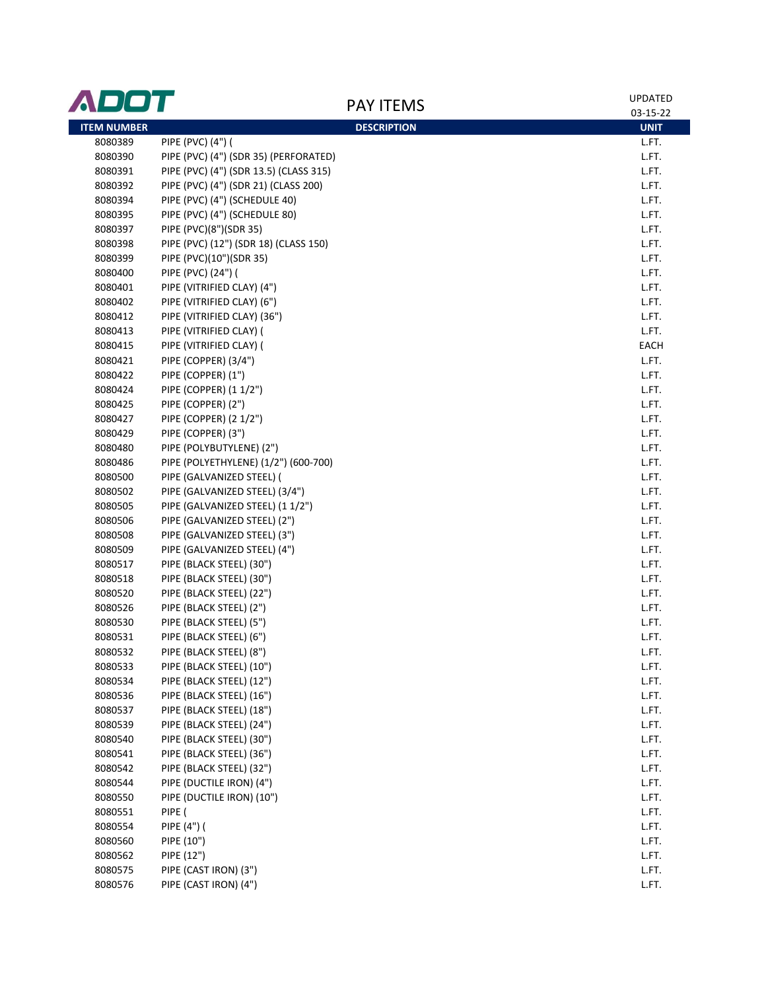| ADOT               | <b>PAY ITEMS</b>                       | <b>UPDATED</b>          |
|--------------------|----------------------------------------|-------------------------|
| <b>ITEM NUMBER</b> | <b>DESCRIPTION</b>                     | 03-15-22<br><b>UNIT</b> |
| 8080389            | PIPE (PVC) (4") (                      | L.FT.                   |
| 8080390            | PIPE (PVC) (4") (SDR 35) (PERFORATED)  | L.FT.                   |
| 8080391            | PIPE (PVC) (4") (SDR 13.5) (CLASS 315) | L.FT.                   |
| 8080392            | PIPE (PVC) (4") (SDR 21) (CLASS 200)   | L.FT.                   |
| 8080394            |                                        | L.FT.                   |
| 8080395            | PIPE (PVC) (4") (SCHEDULE 40)          | L.FT.                   |
| 8080397            | PIPE (PVC) (4") (SCHEDULE 80)          | L.FT.                   |
| 8080398            | PIPE (PVC)(8")(SDR 35)                 | L.FT.                   |
| 8080399            | PIPE (PVC) (12") (SDR 18) (CLASS 150)  |                         |
|                    | PIPE (PVC)(10")(SDR 35)                | L.FT.                   |
| 8080400<br>8080401 | PIPE (PVC) (24") (                     | L.FT.                   |
|                    | PIPE (VITRIFIED CLAY) (4")             | L.FT.                   |
| 8080402            | PIPE (VITRIFIED CLAY) (6")             | L.FT.                   |
| 8080412            | PIPE (VITRIFIED CLAY) (36")            | L.FT.                   |
| 8080413            | PIPE (VITRIFIED CLAY) (                | L.FT.<br><b>EACH</b>    |
| 8080415            | PIPE (VITRIFIED CLAY) (                |                         |
| 8080421            | PIPE (COPPER) (3/4")                   | L.FT.                   |
| 8080422            | PIPE (COPPER) (1")                     | L.FT.                   |
| 8080424            | PIPE (COPPER) (1 1/2")                 | L.FT.                   |
| 8080425            | PIPE (COPPER) (2")                     | L.FT.                   |
| 8080427            | PIPE (COPPER) (2 1/2")                 | L.FT.                   |
| 8080429            | PIPE (COPPER) (3")                     | L.FT.                   |
| 8080480            | PIPE (POLYBUTYLENE) (2")               | L.FT.                   |
| 8080486            | PIPE (POLYETHYLENE) (1/2") (600-700)   | L.FT.                   |
| 8080500            | PIPE (GALVANIZED STEEL) (              | L.FT.                   |
| 8080502            | PIPE (GALVANIZED STEEL) (3/4")         | L.FT.                   |
| 8080505            | PIPE (GALVANIZED STEEL) (1 1/2")       | L.FT.                   |
| 8080506            | PIPE (GALVANIZED STEEL) (2")           | L.FT.                   |
| 8080508            | PIPE (GALVANIZED STEEL) (3")           | L.FT.                   |
| 8080509            | PIPE (GALVANIZED STEEL) (4")           | L.FT.                   |
| 8080517            | PIPE (BLACK STEEL) (30")               | L.FT.                   |
| 8080518            | PIPE (BLACK STEEL) (30")               | L.FT.                   |
| 8080520            | PIPE (BLACK STEEL) (22")               | L.FT.                   |
| 8080526            | PIPE (BLACK STEEL) (2")                | L.FT.                   |
| 8080530            | PIPE (BLACK STEEL) (5")                | L.FT.                   |
| 8080531            | PIPE (BLACK STEEL) (6")                | L.FT.                   |
| 8080532            | PIPE (BLACK STEEL) (8")                | L.FT.                   |
| 8080533            | PIPE (BLACK STEEL) (10")               | L.FT.                   |
| 8080534            | PIPE (BLACK STEEL) (12")               | L.FT.                   |
| 8080536            | PIPE (BLACK STEEL) (16")               | L.FT.                   |
| 8080537            | PIPE (BLACK STEEL) (18")               | L.FT.                   |
| 8080539            | PIPE (BLACK STEEL) (24")               | L.FT.                   |
| 8080540            | PIPE (BLACK STEEL) (30")               | L.FT.                   |
| 8080541            | PIPE (BLACK STEEL) (36")               | L.FT.                   |
| 8080542            | PIPE (BLACK STEEL) (32")               | L.FT.                   |
| 8080544            | PIPE (DUCTILE IRON) (4")               | L.FT.                   |
| 8080550            | PIPE (DUCTILE IRON) (10")              | L.FT.                   |
| 8080551            | PIPE (                                 | L.FT.                   |
| 8080554            | PIPE (4") (                            | L.FT.                   |
| 8080560            | PIPE (10")                             | L.FT.                   |
| 8080562            | PIPE (12")                             | L.FT.                   |
| 8080575            | PIPE (CAST IRON) (3")                  | L.FT.                   |
| 8080576            | PIPE (CAST IRON) (4")                  | L.FT.                   |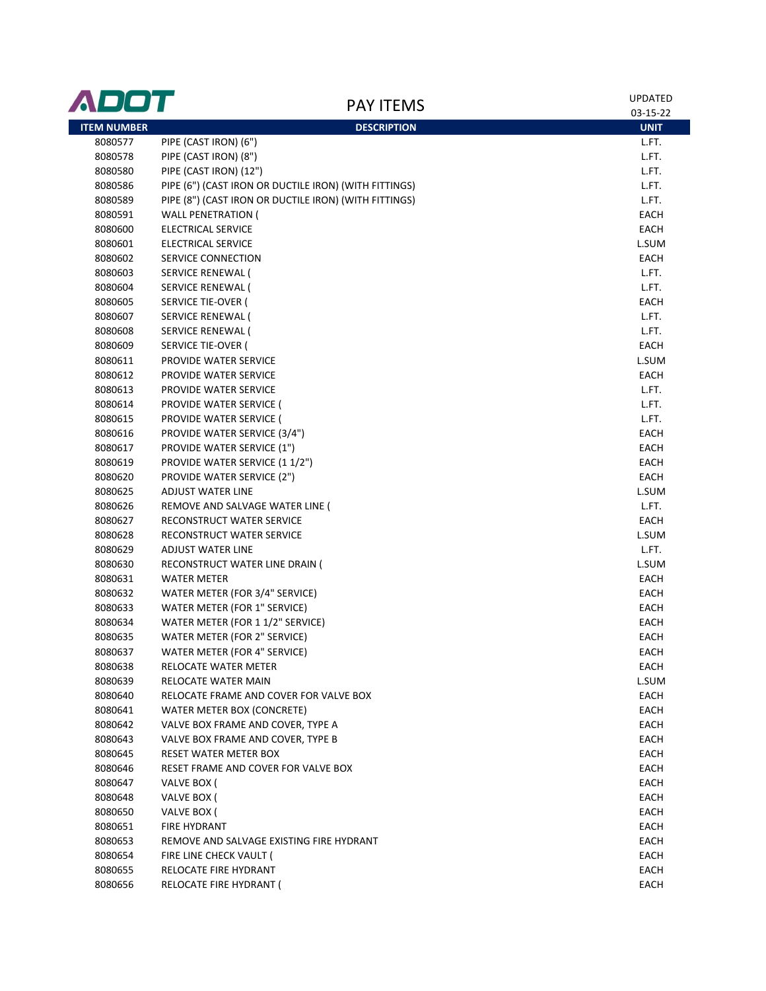| ADOT               | <b>PAY ITEMS</b>                                      | <b>UPDATED</b> |
|--------------------|-------------------------------------------------------|----------------|
|                    |                                                       | 03-15-22       |
| <b>ITEM NUMBER</b> | <b>DESCRIPTION</b>                                    | <b>UNIT</b>    |
| 8080577            | PIPE (CAST IRON) (6")                                 | L.FT.          |
| 8080578            | PIPE (CAST IRON) (8")                                 | L.FT.          |
| 8080580            | PIPE (CAST IRON) (12")                                | L.FT.          |
| 8080586            | PIPE (6") (CAST IRON OR DUCTILE IRON) (WITH FITTINGS) | L.FT.          |
| 8080589            | PIPE (8") (CAST IRON OR DUCTILE IRON) (WITH FITTINGS) | L.FT.          |
| 8080591            | <b>WALL PENETRATION (</b>                             | EACH           |
| 8080600            | ELECTRICAL SERVICE                                    | EACH           |
| 8080601            | <b>ELECTRICAL SERVICE</b>                             | L.SUM          |
| 8080602            | SERVICE CONNECTION                                    | EACH           |
| 8080603            | SERVICE RENEWAL (                                     | L.FT.          |
| 8080604            | SERVICE RENEWAL (                                     | L.FT.          |
| 8080605            | SERVICE TIE-OVER (                                    | EACH           |
| 8080607            | SERVICE RENEWAL (                                     | L.FT.          |
| 8080608            | SERVICE RENEWAL (                                     | L.FT.          |
| 8080609            | SERVICE TIE-OVER (                                    | EACH           |
| 8080611            | PROVIDE WATER SERVICE                                 | L.SUM          |
| 8080612            | PROVIDE WATER SERVICE                                 | EACH           |
| 8080613            | PROVIDE WATER SERVICE                                 | L.FT.          |
| 8080614            | PROVIDE WATER SERVICE (                               | L.FT.          |
| 8080615            | PROVIDE WATER SERVICE (                               | L.FT.          |
| 8080616            | PROVIDE WATER SERVICE (3/4")                          | EACH           |
| 8080617            | PROVIDE WATER SERVICE (1")                            | EACH           |
| 8080619            | PROVIDE WATER SERVICE (1 1/2")                        | EACH           |
| 8080620            | PROVIDE WATER SERVICE (2")                            | EACH           |
| 8080625            | ADJUST WATER LINE                                     | L.SUM          |
| 8080626            | REMOVE AND SALVAGE WATER LINE (                       | L.FT.          |
| 8080627            | RECONSTRUCT WATER SERVICE                             | EACH           |
| 8080628            | RECONSTRUCT WATER SERVICE                             | L.SUM          |
| 8080629            | <b>ADJUST WATER LINE</b>                              | L.FT.          |
| 8080630            | RECONSTRUCT WATER LINE DRAIN (                        | L.SUM          |
| 8080631            | <b>WATER METER</b>                                    | EACH           |
| 8080632            | WATER METER (FOR 3/4" SERVICE)                        | EACH           |
| 8080633            | WATER METER (FOR 1" SERVICE)                          | EACH           |
| 8080634            | WATER METER (FOR 1 1/2" SERVICE)                      | EACH           |
| 8080635            | WATER METER (FOR 2" SERVICE)                          | EACH           |
| 8080637            | WATER METER (FOR 4" SERVICE)                          | EACH           |
| 8080638            | RELOCATE WATER METER                                  | EACH           |
| 8080639            | RELOCATE WATER MAIN                                   | L.SUM          |
| 8080640            | RELOCATE FRAME AND COVER FOR VALVE BOX                | EACH           |
| 8080641            | WATER METER BOX (CONCRETE)                            | EACH           |
| 8080642            | VALVE BOX FRAME AND COVER, TYPE A                     | EACH           |
| 8080643            | VALVE BOX FRAME AND COVER, TYPE B                     | EACH           |
| 8080645            | RESET WATER METER BOX                                 | EACH           |
| 8080646            | RESET FRAME AND COVER FOR VALVE BOX                   | EACH           |
| 8080647            | VALVE BOX (                                           | EACH           |
| 8080648            | VALVE BOX (                                           | EACH           |
| 8080650            | VALVE BOX (                                           | EACH           |
| 8080651            | <b>FIRE HYDRANT</b>                                   | EACH           |
| 8080653            | REMOVE AND SALVAGE EXISTING FIRE HYDRANT              | EACH           |
| 8080654            | FIRE LINE CHECK VAULT (                               | EACH           |
| 8080655            | RELOCATE FIRE HYDRANT                                 | EACH           |
| 8080656            | RELOCATE FIRE HYDRANT (                               | EACH           |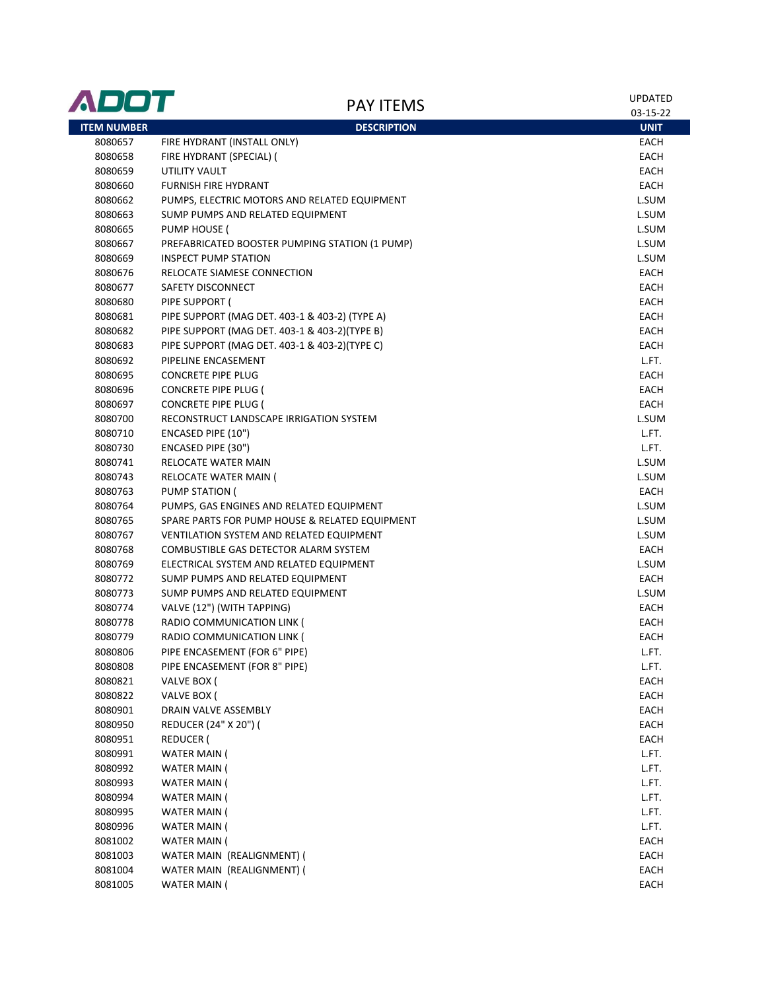| ADOT               | <b>PAY ITEMS</b>                               | UPDATED<br>03-15-22 |
|--------------------|------------------------------------------------|---------------------|
| <b>ITEM NUMBER</b> | <b>DESCRIPTION</b>                             | <b>UNIT</b>         |
| 8080657            | FIRE HYDRANT (INSTALL ONLY)                    | <b>EACH</b>         |
| 8080658            | FIRE HYDRANT (SPECIAL) (                       | <b>EACH</b>         |
| 8080659            | UTILITY VAULT                                  | <b>EACH</b>         |
| 8080660            | <b>FURNISH FIRE HYDRANT</b>                    | <b>EACH</b>         |
| 8080662            | PUMPS, ELECTRIC MOTORS AND RELATED EQUIPMENT   | L.SUM               |
| 8080663            | SUMP PUMPS AND RELATED EQUIPMENT               | L.SUM               |
| 8080665            | PUMP HOUSE (                                   | L.SUM               |
| 8080667            | PREFABRICATED BOOSTER PUMPING STATION (1 PUMP) | L.SUM               |
| 8080669            | <b>INSPECT PUMP STATION</b>                    | L.SUM               |
| 8080676            | RELOCATE SIAMESE CONNECTION                    | EACH                |
| 8080677            | SAFETY DISCONNECT                              | <b>EACH</b>         |
| 8080680            | PIPE SUPPORT (                                 | <b>EACH</b>         |
| 8080681            | PIPE SUPPORT (MAG DET. 403-1 & 403-2) (TYPE A) | <b>EACH</b>         |
| 8080682            | PIPE SUPPORT (MAG DET. 403-1 & 403-2)(TYPE B)  | <b>EACH</b>         |
| 8080683            | PIPE SUPPORT (MAG DET. 403-1 & 403-2)(TYPE C)  | EACH                |
| 8080692            | PIPELINE ENCASEMENT                            | L.FT.               |
| 8080695            | <b>CONCRETE PIPE PLUG</b>                      | EACH                |
| 8080696            | CONCRETE PIPE PLUG (                           | <b>EACH</b>         |
| 8080697            | <b>CONCRETE PIPE PLUG (</b>                    | EACH                |
| 8080700            | RECONSTRUCT LANDSCAPE IRRIGATION SYSTEM        | L.SUM               |
| 8080710            | ENCASED PIPE (10")                             | L.FT.               |
| 8080730            | ENCASED PIPE (30")                             | L.FT.               |
| 8080741            | RELOCATE WATER MAIN                            | L.SUM               |
| 8080743            | RELOCATE WATER MAIN (                          | L.SUM               |
| 8080763            | PUMP STATION (                                 | EACH                |
| 8080764            | PUMPS, GAS ENGINES AND RELATED EQUIPMENT       | L.SUM               |
| 8080765            | SPARE PARTS FOR PUMP HOUSE & RELATED EQUIPMENT | L.SUM               |
| 8080767            | VENTILATION SYSTEM AND RELATED EQUIPMENT       | L.SUM               |
| 8080768            | COMBUSTIBLE GAS DETECTOR ALARM SYSTEM          | <b>EACH</b>         |
| 8080769            | ELECTRICAL SYSTEM AND RELATED EQUIPMENT        | L.SUM               |
| 8080772            | SUMP PUMPS AND RELATED EQUIPMENT               | EACH                |
| 8080773            | SUMP PUMPS AND RELATED EQUIPMENT               | L.SUM               |
| 8080774            | VALVE (12") (WITH TAPPING)                     | <b>EACH</b>         |
| 8080778            | RADIO COMMUNICATION LINK (                     | EACH                |
| 8080779            | RADIO COMMUNICATION LINK (                     | EACH                |
| 8080806            | PIPE ENCASEMENT (FOR 6" PIPE)                  | L.FT.               |
| 8080808            | PIPE ENCASEMENT (FOR 8" PIPE)                  | L.FT.               |
| 8080821            | VALVE BOX (                                    | EACH                |
| 8080822            | VALVE BOX (                                    | EACH                |
| 8080901            | DRAIN VALVE ASSEMBLY                           | <b>EACH</b>         |
| 8080950            | REDUCER (24" X 20") (                          | <b>EACH</b>         |
| 8080951            | REDUCER (                                      | EACH                |
| 8080991            | WATER MAIN (                                   | L.FT.               |
| 8080992            | WATER MAIN (                                   | L.FT.               |
| 8080993            | WATER MAIN (                                   | L.FT.               |
| 8080994            | WATER MAIN (                                   | L.FT.               |
| 8080995            | WATER MAIN (                                   | L.FT.               |
| 8080996            | WATER MAIN (                                   | L.FT.               |
| 8081002            | WATER MAIN (                                   | EACH                |
| 8081003            | WATER MAIN (REALIGNMENT) (                     | EACH                |
| 8081004            | WATER MAIN (REALIGNMENT) (                     | EACH                |
| 8081005            | WATER MAIN (                                   | EACH                |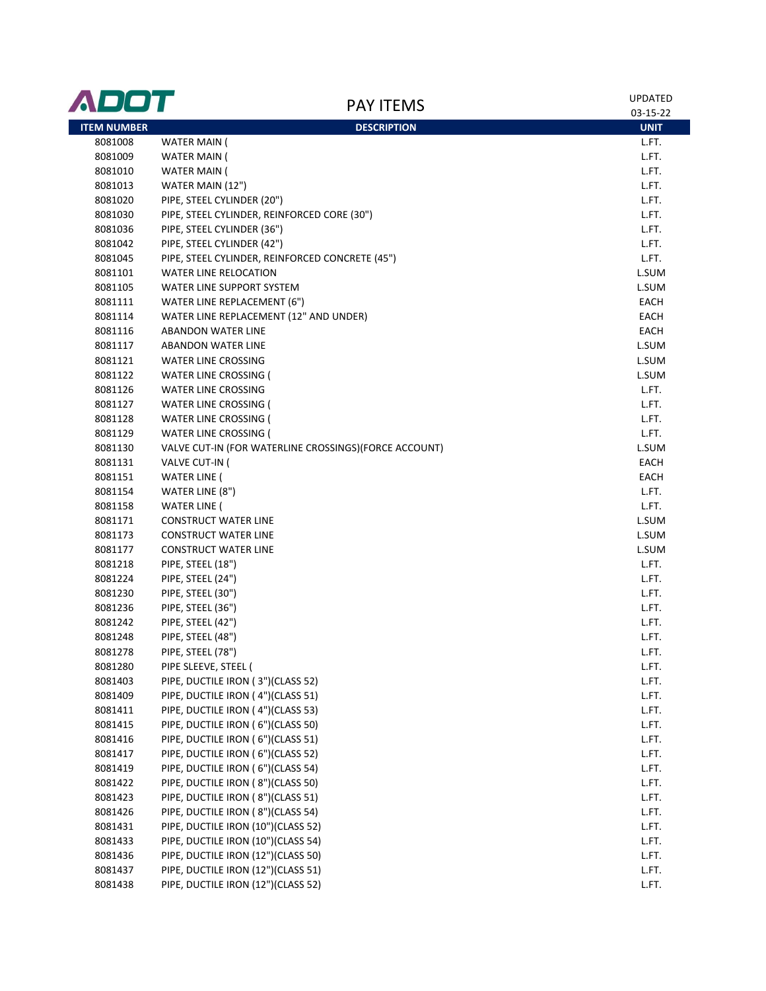| ADOT               | <b>PAY ITEMS</b>                                      | <b>UPDATED</b><br>03-15-22 |
|--------------------|-------------------------------------------------------|----------------------------|
| <b>ITEM NUMBER</b> | <b>DESCRIPTION</b>                                    | <b>UNIT</b>                |
| 8081008            | WATER MAIN (                                          | L.FT.                      |
| 8081009            | <b>WATER MAIN (</b>                                   | L.FT.                      |
| 8081010            | <b>WATER MAIN (</b>                                   | L.FT.                      |
| 8081013            | WATER MAIN (12")                                      | L.FT.                      |
| 8081020            | PIPE, STEEL CYLINDER (20")                            | L.FT.                      |
| 8081030            | PIPE, STEEL CYLINDER, REINFORCED CORE (30")           | L.FT.                      |
| 8081036            | PIPE, STEEL CYLINDER (36")                            | L.FT.                      |
| 8081042            | PIPE, STEEL CYLINDER (42")                            | L.FT.                      |
| 8081045            | PIPE, STEEL CYLINDER, REINFORCED CONCRETE (45")       | L.FT.                      |
| 8081101            | <b>WATER LINE RELOCATION</b>                          | L.SUM                      |
| 8081105            | WATER LINE SUPPORT SYSTEM                             | L.SUM                      |
| 8081111            | WATER LINE REPLACEMENT (6")                           | EACH                       |
| 8081114            | WATER LINE REPLACEMENT (12" AND UNDER)                | EACH                       |
| 8081116            | <b>ABANDON WATER LINE</b>                             | EACH                       |
| 8081117            | <b>ABANDON WATER LINE</b>                             | L.SUM                      |
| 8081121            | <b>WATER LINE CROSSING</b>                            | L.SUM                      |
| 8081122            | WATER LINE CROSSING (                                 | L.SUM                      |
| 8081126            | <b>WATER LINE CROSSING</b>                            | L.FT.                      |
| 8081127            | <b>WATER LINE CROSSING (</b>                          | L.FT.                      |
| 8081128            | <b>WATER LINE CROSSING (</b>                          | L.FT.                      |
| 8081129            | WATER LINE CROSSING (                                 | L.FT.                      |
| 8081130            | VALVE CUT-IN (FOR WATERLINE CROSSINGS)(FORCE ACCOUNT) | L.SUM                      |
| 8081131            | VALVE CUT-IN (                                        | EACH                       |
| 8081151            | <b>WATER LINE (</b>                                   | EACH                       |
| 8081154            | WATER LINE (8")                                       | L.FT.                      |
| 8081158            | <b>WATER LINE (</b>                                   | L.FT.                      |
| 8081171            | <b>CONSTRUCT WATER LINE</b>                           | L.SUM                      |
| 8081173            | <b>CONSTRUCT WATER LINE</b>                           | L.SUM                      |
| 8081177            | <b>CONSTRUCT WATER LINE</b>                           | L.SUM                      |
| 8081218            | PIPE, STEEL (18")                                     | L.FT.                      |
| 8081224            | PIPE, STEEL (24")                                     | L.FT.                      |
| 8081230            | PIPE, STEEL (30")                                     | L.FT.                      |
| 8081236            | PIPE, STEEL (36")                                     | L.FT.                      |
| 8081242            | PIPE, STEEL (42")                                     | L.FT.                      |
| 8081248            | PIPE, STEEL (48")                                     | L.FT.                      |
| 8081278            | PIPE, STEEL (78")                                     | L.FT.                      |
| 8081280            | PIPE SLEEVE, STEEL (                                  | L.FT.                      |
| 8081403            | PIPE, DUCTILE IRON (3")(CLASS 52)                     | L.FT.                      |
| 8081409            | PIPE, DUCTILE IRON (4")(CLASS 51)                     | L.FT.                      |
| 8081411            | PIPE, DUCTILE IRON (4")(CLASS 53)                     | L.FT.                      |
| 8081415            | PIPE, DUCTILE IRON (6")(CLASS 50)                     | L.FT.                      |
| 8081416            | PIPE, DUCTILE IRON (6")(CLASS 51)                     | L.FT.                      |
| 8081417            | PIPE, DUCTILE IRON (6")(CLASS 52)                     | L.FT.                      |
| 8081419            | PIPE, DUCTILE IRON (6")(CLASS 54)                     | L.FT.                      |
| 8081422            | PIPE, DUCTILE IRON (8")(CLASS 50)                     | L.FT.                      |
| 8081423            | PIPE, DUCTILE IRON (8")(CLASS 51)                     | L.FT.                      |
| 8081426            | PIPE, DUCTILE IRON (8")(CLASS 54)                     | L.FT.                      |
| 8081431            | PIPE, DUCTILE IRON (10")(CLASS 52)                    | L.FT.                      |
| 8081433            | PIPE, DUCTILE IRON (10")(CLASS 54)                    | L.FT.                      |
| 8081436            | PIPE, DUCTILE IRON (12")(CLASS 50)                    | L.FT.                      |
| 8081437            | PIPE, DUCTILE IRON (12")(CLASS 51)                    | L.FT.                      |
| 8081438            | PIPE, DUCTILE IRON (12")(CLASS 52)                    | L.FT.                      |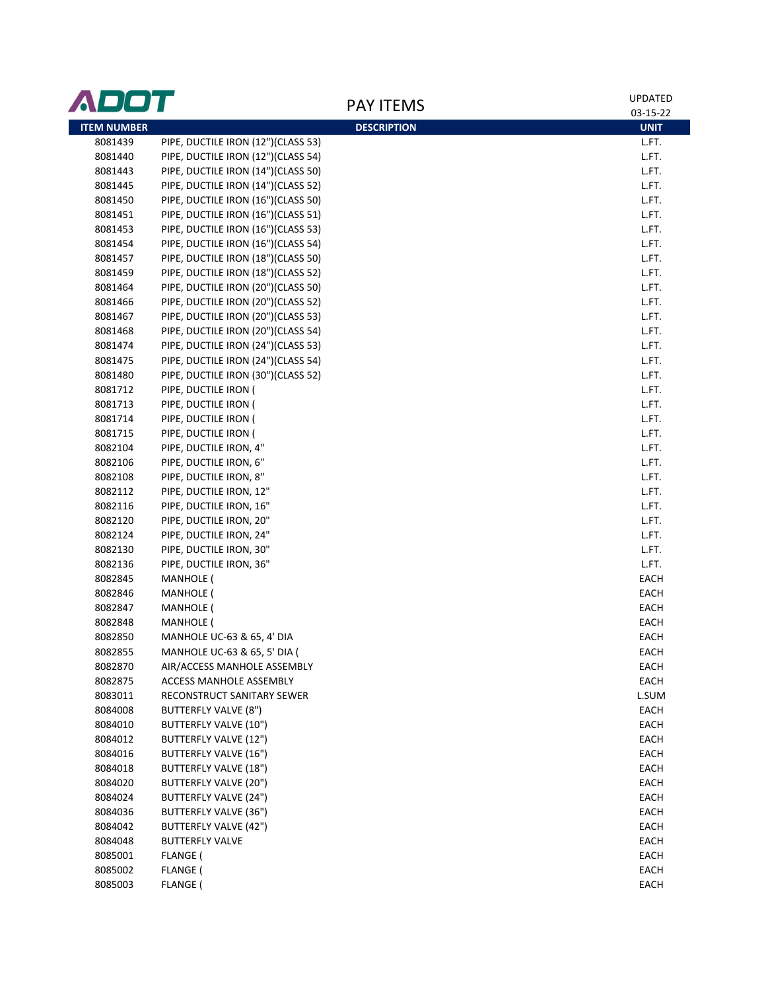| ADOT               |                                    |                    | <b>UPDATED</b> |
|--------------------|------------------------------------|--------------------|----------------|
|                    |                                    | <b>PAY ITEMS</b>   | 03-15-22       |
| <b>ITEM NUMBER</b> |                                    | <b>DESCRIPTION</b> | <b>UNIT</b>    |
| 8081439            | PIPE, DUCTILE IRON (12")(CLASS 53) |                    | L.FT.          |
| 8081440            | PIPE, DUCTILE IRON (12")(CLASS 54) |                    | L.FT.          |
| 8081443            | PIPE, DUCTILE IRON (14")(CLASS 50) |                    | L.FT.          |
| 8081445            | PIPE, DUCTILE IRON (14")(CLASS 52) |                    | L.FT.          |
| 8081450            | PIPE, DUCTILE IRON (16")(CLASS 50) |                    | L.FT.          |
| 8081451            | PIPE, DUCTILE IRON (16")(CLASS 51) |                    | L.FT.          |
| 8081453            | PIPE, DUCTILE IRON (16")(CLASS 53) |                    | L.FT.          |
| 8081454            | PIPE, DUCTILE IRON (16")(CLASS 54) |                    | L.FT.          |
| 8081457            | PIPE, DUCTILE IRON (18")(CLASS 50) |                    | L.FT.          |
| 8081459            | PIPE, DUCTILE IRON (18")(CLASS 52) |                    | L.FT.          |
| 8081464            | PIPE, DUCTILE IRON (20")(CLASS 50) |                    | L.FT.          |
| 8081466            | PIPE, DUCTILE IRON (20")(CLASS 52) |                    | L.FT.          |
| 8081467            | PIPE, DUCTILE IRON (20")(CLASS 53) |                    | L.FT.          |
| 8081468            | PIPE, DUCTILE IRON (20")(CLASS 54) |                    | L.FT.          |
| 8081474            | PIPE, DUCTILE IRON (24")(CLASS 53) |                    | L.FT.          |
| 8081475            | PIPE, DUCTILE IRON (24")(CLASS 54) |                    | L.FT.          |
| 8081480            | PIPE, DUCTILE IRON (30")(CLASS 52) |                    | L.FT.          |
| 8081712            | PIPE, DUCTILE IRON (               |                    | L.FT.          |
| 8081713            | PIPE, DUCTILE IRON (               |                    | L.FT.          |
| 8081714            | PIPE, DUCTILE IRON (               |                    | L.FT.          |
| 8081715            | PIPE, DUCTILE IRON (               |                    | L.FT.          |
| 8082104            | PIPE, DUCTILE IRON, 4"             |                    | L.FT.          |
| 8082106            | PIPE, DUCTILE IRON, 6"             |                    | L.FT.          |
| 8082108            | PIPE, DUCTILE IRON, 8"             |                    | L.FT.          |
| 8082112            | PIPE, DUCTILE IRON, 12"            |                    | L.FT.          |
| 8082116            | PIPE, DUCTILE IRON, 16"            |                    | L.FT.          |
| 8082120            | PIPE, DUCTILE IRON, 20"            |                    | L.FT.          |
| 8082124            | PIPE, DUCTILE IRON, 24"            |                    | L.FT.          |
| 8082130            | PIPE, DUCTILE IRON, 30"            |                    | L.FT.          |
| 8082136            | PIPE, DUCTILE IRON, 36"            |                    | L.FT.          |
| 8082845            | <b>MANHOLE (</b>                   |                    | EACH           |
| 8082846            | MANHOLE (                          |                    | EACH           |
| 8082847            | <b>MANHOLE (</b>                   |                    | EACH           |
| 8082848            | <b>MANHOLE</b> (                   |                    | EACH           |
| 8082850            | MANHOLE UC-63 & 65, 4' DIA         |                    | EACH           |
| 8082855            | MANHOLE UC-63 & 65, 5' DIA (       |                    | EACH           |
| 8082870            | AIR/ACCESS MANHOLE ASSEMBLY        |                    | EACH           |
| 8082875            | ACCESS MANHOLE ASSEMBLY            |                    | EACH           |
| 8083011            | RECONSTRUCT SANITARY SEWER         |                    | L.SUM          |
| 8084008            | BUTTERFLY VALVE (8")               |                    | EACH           |
| 8084010            | BUTTERFLY VALVE (10")              |                    | EACH           |
| 8084012            | BUTTERFLY VALVE (12")              |                    | EACH           |
| 8084016            | BUTTERFLY VALVE (16")              |                    | EACH           |
| 8084018            | <b>BUTTERFLY VALVE (18")</b>       |                    | EACH           |
| 8084020            | BUTTERFLY VALVE (20")              |                    | EACH           |
| 8084024            | BUTTERFLY VALVE (24")              |                    | EACH           |
| 8084036            | BUTTERFLY VALVE (36")              |                    | EACH           |
| 8084042            | BUTTERFLY VALVE (42")              |                    | EACH           |
| 8084048            | <b>BUTTERFLY VALVE</b>             |                    | EACH           |
| 8085001            | FLANGE (                           |                    | EACH           |
| 8085002            | FLANGE (                           |                    | EACH           |
| 8085003            | FLANGE (                           |                    | EACH           |
|                    |                                    |                    |                |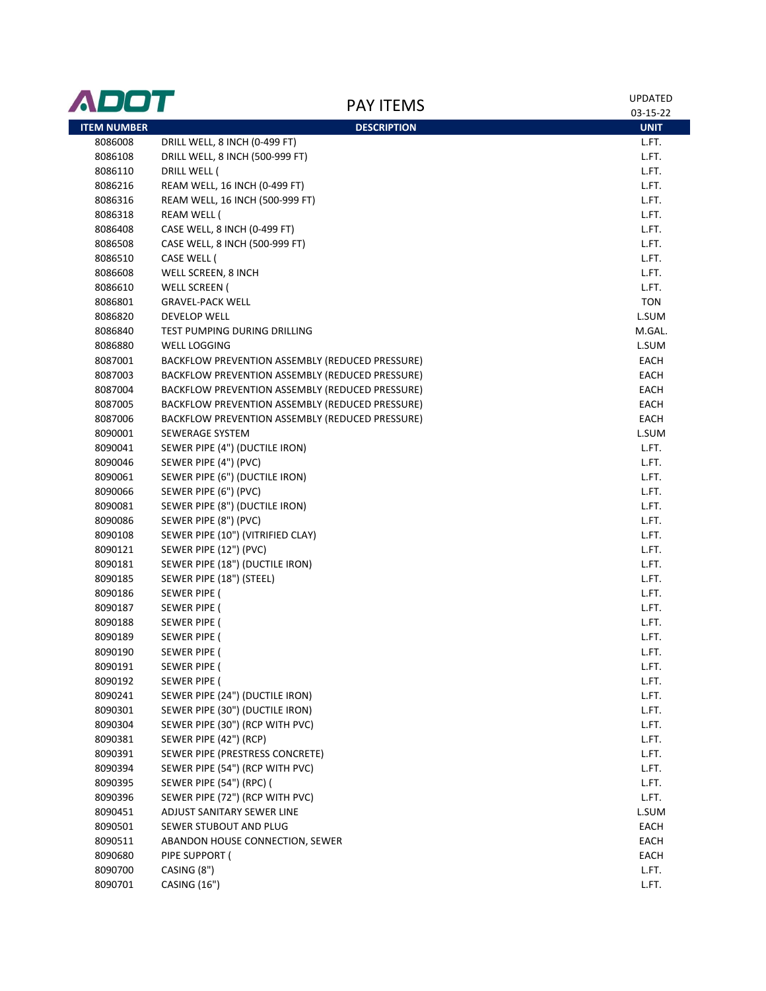| 03-15-22<br><b>ITEM NUMBER</b><br><b>DESCRIPTION</b><br><b>UNIT</b><br>DRILL WELL, 8 INCH (0-499 FT)<br>8086008<br>L.FT.<br>DRILL WELL, 8 INCH (500-999 FT)<br>8086108<br>L.FT.<br>8086110<br>DRILL WELL (<br>L.FT.<br>REAM WELL, 16 INCH (0-499 FT)<br>8086216<br>L.FT.<br>8086316<br>REAM WELL, 16 INCH (500-999 FT)<br>L.FT.<br>L.FT.<br>8086318<br>REAM WELL (<br>CASE WELL, 8 INCH (0-499 FT)<br>L.FT.<br>8086408<br>CASE WELL, 8 INCH (500-999 FT)<br>L.FT.<br>8086508<br>8086510<br>CASE WELL (<br>L.FT.<br>WELL SCREEN, 8 INCH<br>L.FT.<br>8086608<br>L.FT.<br>8086610<br>WELL SCREEN (<br><b>TON</b><br>8086801<br><b>GRAVEL-PACK WELL</b><br>8086820<br>L.SUM<br>DEVELOP WELL<br>8086840<br>TEST PUMPING DURING DRILLING<br>M.GAL.<br>L.SUM<br>8086880<br><b>WELL LOGGING</b><br>8087001<br>BACKFLOW PREVENTION ASSEMBLY (REDUCED PRESSURE)<br>EACH<br>8087003<br>BACKFLOW PREVENTION ASSEMBLY (REDUCED PRESSURE)<br>EACH<br>8087004<br>BACKFLOW PREVENTION ASSEMBLY (REDUCED PRESSURE)<br>EACH<br>8087005<br>BACKFLOW PREVENTION ASSEMBLY (REDUCED PRESSURE)<br>EACH<br>8087006<br>BACKFLOW PREVENTION ASSEMBLY (REDUCED PRESSURE)<br>EACH<br>8090001<br>L.SUM<br>SEWERAGE SYSTEM<br>8090041<br>SEWER PIPE (4") (DUCTILE IRON)<br>L.FT.<br>8090046<br>SEWER PIPE (4") (PVC)<br>L.FT.<br>8090061<br>SEWER PIPE (6") (DUCTILE IRON)<br>L.FT.<br>8090066<br>SEWER PIPE (6") (PVC)<br>L.FT.<br>8090081<br>SEWER PIPE (8") (DUCTILE IRON)<br>L.FT.<br>SEWER PIPE (8") (PVC)<br>L.FT.<br>8090086<br>SEWER PIPE (10") (VITRIFIED CLAY)<br>L.FT.<br>8090108<br>8090121<br>SEWER PIPE (12") (PVC)<br>L.FT.<br>8090181<br>SEWER PIPE (18") (DUCTILE IRON)<br>L.FT.<br>SEWER PIPE (18") (STEEL)<br>L.FT.<br>8090185<br>L.FT.<br>8090186<br>SEWER PIPE (<br>SEWER PIPE (<br>L.FT.<br>8090187<br>8090188<br><b>SEWER PIPE (</b><br>L.FT.<br><b>SEWER PIPE (</b><br>L.FT.<br>8090189<br>L.FT.<br>8090190<br>SEWER PIPE (<br>8090191<br>SEWER PIPE (<br>L.FT.<br>8090192<br>SEWER PIPE (<br>L.FT.<br>SEWER PIPE (24") (DUCTILE IRON)<br>8090241<br>L.FT.<br>SEWER PIPE (30") (DUCTILE IRON)<br>8090301<br>L.FT.<br>SEWER PIPE (30") (RCP WITH PVC)<br>8090304<br>L.FT.<br>8090381<br>SEWER PIPE (42") (RCP)<br>L.FT.<br>SEWER PIPE (PRESTRESS CONCRETE)<br>L.FT.<br>8090391<br>SEWER PIPE (54") (RCP WITH PVC)<br>L.FT.<br>8090394<br>SEWER PIPE (54") (RPC) (<br>L.FT.<br>8090395<br>SEWER PIPE (72") (RCP WITH PVC)<br>L.FT.<br>8090396<br>ADJUST SANITARY SEWER LINE<br>L.SUM<br>8090451<br>SEWER STUBOUT AND PLUG<br>EACH<br>8090501<br>8090511<br>ABANDON HOUSE CONNECTION, SEWER<br>EACH<br>8090680<br>EACH<br>PIPE SUPPORT (<br>8090700<br>CASING (8")<br>L.FT.<br>CASING (16")<br>8090701<br>L.FT. | ADOT | <b>PAY ITEMS</b> | <b>UPDATED</b> |
|--------------------------------------------------------------------------------------------------------------------------------------------------------------------------------------------------------------------------------------------------------------------------------------------------------------------------------------------------------------------------------------------------------------------------------------------------------------------------------------------------------------------------------------------------------------------------------------------------------------------------------------------------------------------------------------------------------------------------------------------------------------------------------------------------------------------------------------------------------------------------------------------------------------------------------------------------------------------------------------------------------------------------------------------------------------------------------------------------------------------------------------------------------------------------------------------------------------------------------------------------------------------------------------------------------------------------------------------------------------------------------------------------------------------------------------------------------------------------------------------------------------------------------------------------------------------------------------------------------------------------------------------------------------------------------------------------------------------------------------------------------------------------------------------------------------------------------------------------------------------------------------------------------------------------------------------------------------------------------------------------------------------------------------------------------------------------------------------------------------------------------------------------------------------------------------------------------------------------------------------------------------------------------------------------------------------------------------------------------------------------------------------------------------------------------------------------------------------------------------------------------------------------------------------------------------------------------------------------------------------------------------------------------------------------------------------------------|------|------------------|----------------|
|                                                                                                                                                                                                                                                                                                                                                                                                                                                                                                                                                                                                                                                                                                                                                                                                                                                                                                                                                                                                                                                                                                                                                                                                                                                                                                                                                                                                                                                                                                                                                                                                                                                                                                                                                                                                                                                                                                                                                                                                                                                                                                                                                                                                                                                                                                                                                                                                                                                                                                                                                                                                                                                                                                        |      |                  |                |
|                                                                                                                                                                                                                                                                                                                                                                                                                                                                                                                                                                                                                                                                                                                                                                                                                                                                                                                                                                                                                                                                                                                                                                                                                                                                                                                                                                                                                                                                                                                                                                                                                                                                                                                                                                                                                                                                                                                                                                                                                                                                                                                                                                                                                                                                                                                                                                                                                                                                                                                                                                                                                                                                                                        |      |                  |                |
|                                                                                                                                                                                                                                                                                                                                                                                                                                                                                                                                                                                                                                                                                                                                                                                                                                                                                                                                                                                                                                                                                                                                                                                                                                                                                                                                                                                                                                                                                                                                                                                                                                                                                                                                                                                                                                                                                                                                                                                                                                                                                                                                                                                                                                                                                                                                                                                                                                                                                                                                                                                                                                                                                                        |      |                  |                |
|                                                                                                                                                                                                                                                                                                                                                                                                                                                                                                                                                                                                                                                                                                                                                                                                                                                                                                                                                                                                                                                                                                                                                                                                                                                                                                                                                                                                                                                                                                                                                                                                                                                                                                                                                                                                                                                                                                                                                                                                                                                                                                                                                                                                                                                                                                                                                                                                                                                                                                                                                                                                                                                                                                        |      |                  |                |
|                                                                                                                                                                                                                                                                                                                                                                                                                                                                                                                                                                                                                                                                                                                                                                                                                                                                                                                                                                                                                                                                                                                                                                                                                                                                                                                                                                                                                                                                                                                                                                                                                                                                                                                                                                                                                                                                                                                                                                                                                                                                                                                                                                                                                                                                                                                                                                                                                                                                                                                                                                                                                                                                                                        |      |                  |                |
|                                                                                                                                                                                                                                                                                                                                                                                                                                                                                                                                                                                                                                                                                                                                                                                                                                                                                                                                                                                                                                                                                                                                                                                                                                                                                                                                                                                                                                                                                                                                                                                                                                                                                                                                                                                                                                                                                                                                                                                                                                                                                                                                                                                                                                                                                                                                                                                                                                                                                                                                                                                                                                                                                                        |      |                  |                |
|                                                                                                                                                                                                                                                                                                                                                                                                                                                                                                                                                                                                                                                                                                                                                                                                                                                                                                                                                                                                                                                                                                                                                                                                                                                                                                                                                                                                                                                                                                                                                                                                                                                                                                                                                                                                                                                                                                                                                                                                                                                                                                                                                                                                                                                                                                                                                                                                                                                                                                                                                                                                                                                                                                        |      |                  |                |
|                                                                                                                                                                                                                                                                                                                                                                                                                                                                                                                                                                                                                                                                                                                                                                                                                                                                                                                                                                                                                                                                                                                                                                                                                                                                                                                                                                                                                                                                                                                                                                                                                                                                                                                                                                                                                                                                                                                                                                                                                                                                                                                                                                                                                                                                                                                                                                                                                                                                                                                                                                                                                                                                                                        |      |                  |                |
|                                                                                                                                                                                                                                                                                                                                                                                                                                                                                                                                                                                                                                                                                                                                                                                                                                                                                                                                                                                                                                                                                                                                                                                                                                                                                                                                                                                                                                                                                                                                                                                                                                                                                                                                                                                                                                                                                                                                                                                                                                                                                                                                                                                                                                                                                                                                                                                                                                                                                                                                                                                                                                                                                                        |      |                  |                |
|                                                                                                                                                                                                                                                                                                                                                                                                                                                                                                                                                                                                                                                                                                                                                                                                                                                                                                                                                                                                                                                                                                                                                                                                                                                                                                                                                                                                                                                                                                                                                                                                                                                                                                                                                                                                                                                                                                                                                                                                                                                                                                                                                                                                                                                                                                                                                                                                                                                                                                                                                                                                                                                                                                        |      |                  |                |
|                                                                                                                                                                                                                                                                                                                                                                                                                                                                                                                                                                                                                                                                                                                                                                                                                                                                                                                                                                                                                                                                                                                                                                                                                                                                                                                                                                                                                                                                                                                                                                                                                                                                                                                                                                                                                                                                                                                                                                                                                                                                                                                                                                                                                                                                                                                                                                                                                                                                                                                                                                                                                                                                                                        |      |                  |                |
|                                                                                                                                                                                                                                                                                                                                                                                                                                                                                                                                                                                                                                                                                                                                                                                                                                                                                                                                                                                                                                                                                                                                                                                                                                                                                                                                                                                                                                                                                                                                                                                                                                                                                                                                                                                                                                                                                                                                                                                                                                                                                                                                                                                                                                                                                                                                                                                                                                                                                                                                                                                                                                                                                                        |      |                  |                |
|                                                                                                                                                                                                                                                                                                                                                                                                                                                                                                                                                                                                                                                                                                                                                                                                                                                                                                                                                                                                                                                                                                                                                                                                                                                                                                                                                                                                                                                                                                                                                                                                                                                                                                                                                                                                                                                                                                                                                                                                                                                                                                                                                                                                                                                                                                                                                                                                                                                                                                                                                                                                                                                                                                        |      |                  |                |
|                                                                                                                                                                                                                                                                                                                                                                                                                                                                                                                                                                                                                                                                                                                                                                                                                                                                                                                                                                                                                                                                                                                                                                                                                                                                                                                                                                                                                                                                                                                                                                                                                                                                                                                                                                                                                                                                                                                                                                                                                                                                                                                                                                                                                                                                                                                                                                                                                                                                                                                                                                                                                                                                                                        |      |                  |                |
|                                                                                                                                                                                                                                                                                                                                                                                                                                                                                                                                                                                                                                                                                                                                                                                                                                                                                                                                                                                                                                                                                                                                                                                                                                                                                                                                                                                                                                                                                                                                                                                                                                                                                                                                                                                                                                                                                                                                                                                                                                                                                                                                                                                                                                                                                                                                                                                                                                                                                                                                                                                                                                                                                                        |      |                  |                |
|                                                                                                                                                                                                                                                                                                                                                                                                                                                                                                                                                                                                                                                                                                                                                                                                                                                                                                                                                                                                                                                                                                                                                                                                                                                                                                                                                                                                                                                                                                                                                                                                                                                                                                                                                                                                                                                                                                                                                                                                                                                                                                                                                                                                                                                                                                                                                                                                                                                                                                                                                                                                                                                                                                        |      |                  |                |
|                                                                                                                                                                                                                                                                                                                                                                                                                                                                                                                                                                                                                                                                                                                                                                                                                                                                                                                                                                                                                                                                                                                                                                                                                                                                                                                                                                                                                                                                                                                                                                                                                                                                                                                                                                                                                                                                                                                                                                                                                                                                                                                                                                                                                                                                                                                                                                                                                                                                                                                                                                                                                                                                                                        |      |                  |                |
|                                                                                                                                                                                                                                                                                                                                                                                                                                                                                                                                                                                                                                                                                                                                                                                                                                                                                                                                                                                                                                                                                                                                                                                                                                                                                                                                                                                                                                                                                                                                                                                                                                                                                                                                                                                                                                                                                                                                                                                                                                                                                                                                                                                                                                                                                                                                                                                                                                                                                                                                                                                                                                                                                                        |      |                  |                |
|                                                                                                                                                                                                                                                                                                                                                                                                                                                                                                                                                                                                                                                                                                                                                                                                                                                                                                                                                                                                                                                                                                                                                                                                                                                                                                                                                                                                                                                                                                                                                                                                                                                                                                                                                                                                                                                                                                                                                                                                                                                                                                                                                                                                                                                                                                                                                                                                                                                                                                                                                                                                                                                                                                        |      |                  |                |
|                                                                                                                                                                                                                                                                                                                                                                                                                                                                                                                                                                                                                                                                                                                                                                                                                                                                                                                                                                                                                                                                                                                                                                                                                                                                                                                                                                                                                                                                                                                                                                                                                                                                                                                                                                                                                                                                                                                                                                                                                                                                                                                                                                                                                                                                                                                                                                                                                                                                                                                                                                                                                                                                                                        |      |                  |                |
|                                                                                                                                                                                                                                                                                                                                                                                                                                                                                                                                                                                                                                                                                                                                                                                                                                                                                                                                                                                                                                                                                                                                                                                                                                                                                                                                                                                                                                                                                                                                                                                                                                                                                                                                                                                                                                                                                                                                                                                                                                                                                                                                                                                                                                                                                                                                                                                                                                                                                                                                                                                                                                                                                                        |      |                  |                |
|                                                                                                                                                                                                                                                                                                                                                                                                                                                                                                                                                                                                                                                                                                                                                                                                                                                                                                                                                                                                                                                                                                                                                                                                                                                                                                                                                                                                                                                                                                                                                                                                                                                                                                                                                                                                                                                                                                                                                                                                                                                                                                                                                                                                                                                                                                                                                                                                                                                                                                                                                                                                                                                                                                        |      |                  |                |
|                                                                                                                                                                                                                                                                                                                                                                                                                                                                                                                                                                                                                                                                                                                                                                                                                                                                                                                                                                                                                                                                                                                                                                                                                                                                                                                                                                                                                                                                                                                                                                                                                                                                                                                                                                                                                                                                                                                                                                                                                                                                                                                                                                                                                                                                                                                                                                                                                                                                                                                                                                                                                                                                                                        |      |                  |                |
|                                                                                                                                                                                                                                                                                                                                                                                                                                                                                                                                                                                                                                                                                                                                                                                                                                                                                                                                                                                                                                                                                                                                                                                                                                                                                                                                                                                                                                                                                                                                                                                                                                                                                                                                                                                                                                                                                                                                                                                                                                                                                                                                                                                                                                                                                                                                                                                                                                                                                                                                                                                                                                                                                                        |      |                  |                |
|                                                                                                                                                                                                                                                                                                                                                                                                                                                                                                                                                                                                                                                                                                                                                                                                                                                                                                                                                                                                                                                                                                                                                                                                                                                                                                                                                                                                                                                                                                                                                                                                                                                                                                                                                                                                                                                                                                                                                                                                                                                                                                                                                                                                                                                                                                                                                                                                                                                                                                                                                                                                                                                                                                        |      |                  |                |
|                                                                                                                                                                                                                                                                                                                                                                                                                                                                                                                                                                                                                                                                                                                                                                                                                                                                                                                                                                                                                                                                                                                                                                                                                                                                                                                                                                                                                                                                                                                                                                                                                                                                                                                                                                                                                                                                                                                                                                                                                                                                                                                                                                                                                                                                                                                                                                                                                                                                                                                                                                                                                                                                                                        |      |                  |                |
|                                                                                                                                                                                                                                                                                                                                                                                                                                                                                                                                                                                                                                                                                                                                                                                                                                                                                                                                                                                                                                                                                                                                                                                                                                                                                                                                                                                                                                                                                                                                                                                                                                                                                                                                                                                                                                                                                                                                                                                                                                                                                                                                                                                                                                                                                                                                                                                                                                                                                                                                                                                                                                                                                                        |      |                  |                |
|                                                                                                                                                                                                                                                                                                                                                                                                                                                                                                                                                                                                                                                                                                                                                                                                                                                                                                                                                                                                                                                                                                                                                                                                                                                                                                                                                                                                                                                                                                                                                                                                                                                                                                                                                                                                                                                                                                                                                                                                                                                                                                                                                                                                                                                                                                                                                                                                                                                                                                                                                                                                                                                                                                        |      |                  |                |
|                                                                                                                                                                                                                                                                                                                                                                                                                                                                                                                                                                                                                                                                                                                                                                                                                                                                                                                                                                                                                                                                                                                                                                                                                                                                                                                                                                                                                                                                                                                                                                                                                                                                                                                                                                                                                                                                                                                                                                                                                                                                                                                                                                                                                                                                                                                                                                                                                                                                                                                                                                                                                                                                                                        |      |                  |                |
|                                                                                                                                                                                                                                                                                                                                                                                                                                                                                                                                                                                                                                                                                                                                                                                                                                                                                                                                                                                                                                                                                                                                                                                                                                                                                                                                                                                                                                                                                                                                                                                                                                                                                                                                                                                                                                                                                                                                                                                                                                                                                                                                                                                                                                                                                                                                                                                                                                                                                                                                                                                                                                                                                                        |      |                  |                |
|                                                                                                                                                                                                                                                                                                                                                                                                                                                                                                                                                                                                                                                                                                                                                                                                                                                                                                                                                                                                                                                                                                                                                                                                                                                                                                                                                                                                                                                                                                                                                                                                                                                                                                                                                                                                                                                                                                                                                                                                                                                                                                                                                                                                                                                                                                                                                                                                                                                                                                                                                                                                                                                                                                        |      |                  |                |
|                                                                                                                                                                                                                                                                                                                                                                                                                                                                                                                                                                                                                                                                                                                                                                                                                                                                                                                                                                                                                                                                                                                                                                                                                                                                                                                                                                                                                                                                                                                                                                                                                                                                                                                                                                                                                                                                                                                                                                                                                                                                                                                                                                                                                                                                                                                                                                                                                                                                                                                                                                                                                                                                                                        |      |                  |                |
|                                                                                                                                                                                                                                                                                                                                                                                                                                                                                                                                                                                                                                                                                                                                                                                                                                                                                                                                                                                                                                                                                                                                                                                                                                                                                                                                                                                                                                                                                                                                                                                                                                                                                                                                                                                                                                                                                                                                                                                                                                                                                                                                                                                                                                                                                                                                                                                                                                                                                                                                                                                                                                                                                                        |      |                  |                |
|                                                                                                                                                                                                                                                                                                                                                                                                                                                                                                                                                                                                                                                                                                                                                                                                                                                                                                                                                                                                                                                                                                                                                                                                                                                                                                                                                                                                                                                                                                                                                                                                                                                                                                                                                                                                                                                                                                                                                                                                                                                                                                                                                                                                                                                                                                                                                                                                                                                                                                                                                                                                                                                                                                        |      |                  |                |
|                                                                                                                                                                                                                                                                                                                                                                                                                                                                                                                                                                                                                                                                                                                                                                                                                                                                                                                                                                                                                                                                                                                                                                                                                                                                                                                                                                                                                                                                                                                                                                                                                                                                                                                                                                                                                                                                                                                                                                                                                                                                                                                                                                                                                                                                                                                                                                                                                                                                                                                                                                                                                                                                                                        |      |                  |                |
|                                                                                                                                                                                                                                                                                                                                                                                                                                                                                                                                                                                                                                                                                                                                                                                                                                                                                                                                                                                                                                                                                                                                                                                                                                                                                                                                                                                                                                                                                                                                                                                                                                                                                                                                                                                                                                                                                                                                                                                                                                                                                                                                                                                                                                                                                                                                                                                                                                                                                                                                                                                                                                                                                                        |      |                  |                |
|                                                                                                                                                                                                                                                                                                                                                                                                                                                                                                                                                                                                                                                                                                                                                                                                                                                                                                                                                                                                                                                                                                                                                                                                                                                                                                                                                                                                                                                                                                                                                                                                                                                                                                                                                                                                                                                                                                                                                                                                                                                                                                                                                                                                                                                                                                                                                                                                                                                                                                                                                                                                                                                                                                        |      |                  |                |
|                                                                                                                                                                                                                                                                                                                                                                                                                                                                                                                                                                                                                                                                                                                                                                                                                                                                                                                                                                                                                                                                                                                                                                                                                                                                                                                                                                                                                                                                                                                                                                                                                                                                                                                                                                                                                                                                                                                                                                                                                                                                                                                                                                                                                                                                                                                                                                                                                                                                                                                                                                                                                                                                                                        |      |                  |                |
|                                                                                                                                                                                                                                                                                                                                                                                                                                                                                                                                                                                                                                                                                                                                                                                                                                                                                                                                                                                                                                                                                                                                                                                                                                                                                                                                                                                                                                                                                                                                                                                                                                                                                                                                                                                                                                                                                                                                                                                                                                                                                                                                                                                                                                                                                                                                                                                                                                                                                                                                                                                                                                                                                                        |      |                  |                |
|                                                                                                                                                                                                                                                                                                                                                                                                                                                                                                                                                                                                                                                                                                                                                                                                                                                                                                                                                                                                                                                                                                                                                                                                                                                                                                                                                                                                                                                                                                                                                                                                                                                                                                                                                                                                                                                                                                                                                                                                                                                                                                                                                                                                                                                                                                                                                                                                                                                                                                                                                                                                                                                                                                        |      |                  |                |
|                                                                                                                                                                                                                                                                                                                                                                                                                                                                                                                                                                                                                                                                                                                                                                                                                                                                                                                                                                                                                                                                                                                                                                                                                                                                                                                                                                                                                                                                                                                                                                                                                                                                                                                                                                                                                                                                                                                                                                                                                                                                                                                                                                                                                                                                                                                                                                                                                                                                                                                                                                                                                                                                                                        |      |                  |                |
|                                                                                                                                                                                                                                                                                                                                                                                                                                                                                                                                                                                                                                                                                                                                                                                                                                                                                                                                                                                                                                                                                                                                                                                                                                                                                                                                                                                                                                                                                                                                                                                                                                                                                                                                                                                                                                                                                                                                                                                                                                                                                                                                                                                                                                                                                                                                                                                                                                                                                                                                                                                                                                                                                                        |      |                  |                |
|                                                                                                                                                                                                                                                                                                                                                                                                                                                                                                                                                                                                                                                                                                                                                                                                                                                                                                                                                                                                                                                                                                                                                                                                                                                                                                                                                                                                                                                                                                                                                                                                                                                                                                                                                                                                                                                                                                                                                                                                                                                                                                                                                                                                                                                                                                                                                                                                                                                                                                                                                                                                                                                                                                        |      |                  |                |
|                                                                                                                                                                                                                                                                                                                                                                                                                                                                                                                                                                                                                                                                                                                                                                                                                                                                                                                                                                                                                                                                                                                                                                                                                                                                                                                                                                                                                                                                                                                                                                                                                                                                                                                                                                                                                                                                                                                                                                                                                                                                                                                                                                                                                                                                                                                                                                                                                                                                                                                                                                                                                                                                                                        |      |                  |                |
|                                                                                                                                                                                                                                                                                                                                                                                                                                                                                                                                                                                                                                                                                                                                                                                                                                                                                                                                                                                                                                                                                                                                                                                                                                                                                                                                                                                                                                                                                                                                                                                                                                                                                                                                                                                                                                                                                                                                                                                                                                                                                                                                                                                                                                                                                                                                                                                                                                                                                                                                                                                                                                                                                                        |      |                  |                |
|                                                                                                                                                                                                                                                                                                                                                                                                                                                                                                                                                                                                                                                                                                                                                                                                                                                                                                                                                                                                                                                                                                                                                                                                                                                                                                                                                                                                                                                                                                                                                                                                                                                                                                                                                                                                                                                                                                                                                                                                                                                                                                                                                                                                                                                                                                                                                                                                                                                                                                                                                                                                                                                                                                        |      |                  |                |
|                                                                                                                                                                                                                                                                                                                                                                                                                                                                                                                                                                                                                                                                                                                                                                                                                                                                                                                                                                                                                                                                                                                                                                                                                                                                                                                                                                                                                                                                                                                                                                                                                                                                                                                                                                                                                                                                                                                                                                                                                                                                                                                                                                                                                                                                                                                                                                                                                                                                                                                                                                                                                                                                                                        |      |                  |                |
|                                                                                                                                                                                                                                                                                                                                                                                                                                                                                                                                                                                                                                                                                                                                                                                                                                                                                                                                                                                                                                                                                                                                                                                                                                                                                                                                                                                                                                                                                                                                                                                                                                                                                                                                                                                                                                                                                                                                                                                                                                                                                                                                                                                                                                                                                                                                                                                                                                                                                                                                                                                                                                                                                                        |      |                  |                |
|                                                                                                                                                                                                                                                                                                                                                                                                                                                                                                                                                                                                                                                                                                                                                                                                                                                                                                                                                                                                                                                                                                                                                                                                                                                                                                                                                                                                                                                                                                                                                                                                                                                                                                                                                                                                                                                                                                                                                                                                                                                                                                                                                                                                                                                                                                                                                                                                                                                                                                                                                                                                                                                                                                        |      |                  |                |
|                                                                                                                                                                                                                                                                                                                                                                                                                                                                                                                                                                                                                                                                                                                                                                                                                                                                                                                                                                                                                                                                                                                                                                                                                                                                                                                                                                                                                                                                                                                                                                                                                                                                                                                                                                                                                                                                                                                                                                                                                                                                                                                                                                                                                                                                                                                                                                                                                                                                                                                                                                                                                                                                                                        |      |                  |                |
|                                                                                                                                                                                                                                                                                                                                                                                                                                                                                                                                                                                                                                                                                                                                                                                                                                                                                                                                                                                                                                                                                                                                                                                                                                                                                                                                                                                                                                                                                                                                                                                                                                                                                                                                                                                                                                                                                                                                                                                                                                                                                                                                                                                                                                                                                                                                                                                                                                                                                                                                                                                                                                                                                                        |      |                  |                |
|                                                                                                                                                                                                                                                                                                                                                                                                                                                                                                                                                                                                                                                                                                                                                                                                                                                                                                                                                                                                                                                                                                                                                                                                                                                                                                                                                                                                                                                                                                                                                                                                                                                                                                                                                                                                                                                                                                                                                                                                                                                                                                                                                                                                                                                                                                                                                                                                                                                                                                                                                                                                                                                                                                        |      |                  |                |
|                                                                                                                                                                                                                                                                                                                                                                                                                                                                                                                                                                                                                                                                                                                                                                                                                                                                                                                                                                                                                                                                                                                                                                                                                                                                                                                                                                                                                                                                                                                                                                                                                                                                                                                                                                                                                                                                                                                                                                                                                                                                                                                                                                                                                                                                                                                                                                                                                                                                                                                                                                                                                                                                                                        |      |                  |                |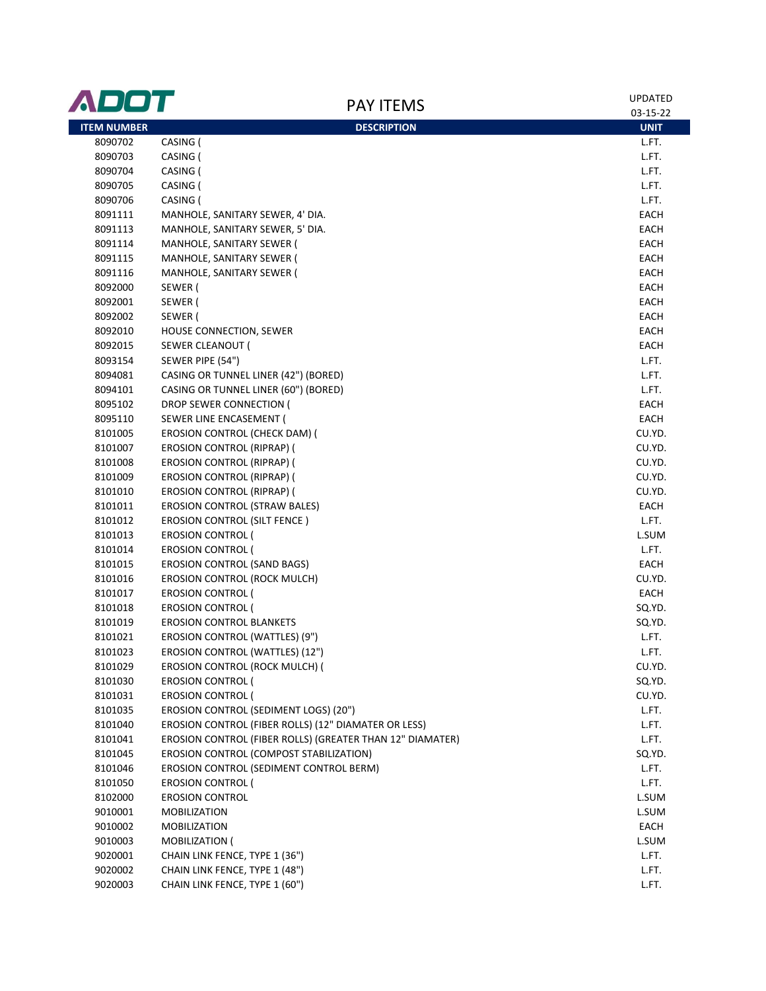| <b>PAY ITEMS</b><br>03-15-22<br><b>ITEM NUMBER</b><br><b>DESCRIPTION</b><br><b>UNIT</b><br>CASING (<br>8090702<br>L.FT.<br>CASING (<br>8090703<br>L.FT.<br>8090704<br>CASING (<br>L.FT.<br>8090705<br>CASING (<br>L.FT.<br>CASING (<br>L.FT.<br>8090706<br>MANHOLE, SANITARY SEWER, 4' DIA.<br>EACH<br>8091111<br>MANHOLE, SANITARY SEWER, 5' DIA.<br>EACH<br>8091113<br>EACH<br>8091114<br>MANHOLE, SANITARY SEWER (<br>8091115<br>MANHOLE, SANITARY SEWER (<br>EACH<br>MANHOLE, SANITARY SEWER (<br>EACH<br>8091116<br>EACH<br>8092000<br>SEWER (<br>EACH<br>8092001<br>SEWER (<br>SEWER (<br>EACH<br>8092002<br>EACH<br>8092010<br>HOUSE CONNECTION, SEWER<br>EACH<br>8092015<br>SEWER CLEANOUT (<br>L.FT.<br>8093154<br>SEWER PIPE (54")<br>CASING OR TUNNEL LINER (42") (BORED)<br>L.FT.<br>8094081<br>CASING OR TUNNEL LINER (60") (BORED)<br>8094101<br>L.FT.<br>8095102<br>DROP SEWER CONNECTION (<br>EACH<br>8095110<br>EACH<br>SEWER LINE ENCASEMENT (<br>8101005<br>EROSION CONTROL (CHECK DAM) (<br>CU.YD.<br>8101007<br><b>EROSION CONTROL (RIPRAP) (</b><br>CU.YD.<br>CU.YD.<br>8101008<br>EROSION CONTROL (RIPRAP) (<br>8101009<br><b>EROSION CONTROL (RIPRAP) (</b><br>CU.YD.<br><b>EROSION CONTROL (RIPRAP) (</b><br>CU.YD.<br>8101010<br>EROSION CONTROL (STRAW BALES)<br>EACH<br>8101011<br>L.FT.<br>8101012<br><b>EROSION CONTROL (SILT FENCE)</b><br>8101013<br><b>EROSION CONTROL (</b><br>L.SUM<br>8101014<br><b>EROSION CONTROL (</b><br>L.FT.<br><b>EROSION CONTROL (SAND BAGS)</b><br>EACH<br>8101015<br><b>EROSION CONTROL (ROCK MULCH)</b><br>CU.YD.<br>8101016<br>8101017<br><b>EROSION CONTROL (</b><br>EACH<br>8101018<br><b>EROSION CONTROL (</b><br>SQ.YD.<br><b>EROSION CONTROL BLANKETS</b><br>SQ.YD.<br>8101019<br>L.FT.<br>8101021<br>EROSION CONTROL (WATTLES) (9")<br>EROSION CONTROL (WATTLES) (12")<br>L.FT.<br>8101023<br>EROSION CONTROL (ROCK MULCH) (<br>CU.YD.<br>8101029<br>8101030<br><b>EROSION CONTROL (</b><br>SQ.YD.<br><b>EROSION CONTROL (</b><br>CU.YD.<br>8101031<br>EROSION CONTROL (SEDIMENT LOGS) (20")<br>8101035<br>L.FT.<br>EROSION CONTROL (FIBER ROLLS) (12" DIAMATER OR LESS)<br>8101040<br>L.FT.<br>EROSION CONTROL (FIBER ROLLS) (GREATER THAN 12" DIAMATER)<br>L.FT.<br>8101041<br>EROSION CONTROL (COMPOST STABILIZATION)<br>SQ.YD.<br>8101045<br>EROSION CONTROL (SEDIMENT CONTROL BERM)<br>L.FT.<br>8101046<br>8101050<br><b>EROSION CONTROL (</b><br>L.FT.<br><b>EROSION CONTROL</b><br>L.SUM<br>8102000<br>L.SUM<br>9010001<br><b>MOBILIZATION</b><br>9010002<br><b>MOBILIZATION</b><br>EACH<br>9010003<br><b>MOBILIZATION (</b><br>L.SUM<br>CHAIN LINK FENCE, TYPE 1 (36")<br>9020001<br>L.FT.<br>CHAIN LINK FENCE, TYPE 1 (48")<br>9020002<br>L.FT.<br>CHAIN LINK FENCE, TYPE 1 (60")<br>9020003<br>L.FT. | ADOT |  | <b>UPDATED</b> |
|--------------------------------------------------------------------------------------------------------------------------------------------------------------------------------------------------------------------------------------------------------------------------------------------------------------------------------------------------------------------------------------------------------------------------------------------------------------------------------------------------------------------------------------------------------------------------------------------------------------------------------------------------------------------------------------------------------------------------------------------------------------------------------------------------------------------------------------------------------------------------------------------------------------------------------------------------------------------------------------------------------------------------------------------------------------------------------------------------------------------------------------------------------------------------------------------------------------------------------------------------------------------------------------------------------------------------------------------------------------------------------------------------------------------------------------------------------------------------------------------------------------------------------------------------------------------------------------------------------------------------------------------------------------------------------------------------------------------------------------------------------------------------------------------------------------------------------------------------------------------------------------------------------------------------------------------------------------------------------------------------------------------------------------------------------------------------------------------------------------------------------------------------------------------------------------------------------------------------------------------------------------------------------------------------------------------------------------------------------------------------------------------------------------------------------------------------------------------------------------------------------------------------------------------------------------------------------------------------------------------------------------------------------------------------------------------------------------------------------------------------------------------------------------|------|--|----------------|
|                                                                                                                                                                                                                                                                                                                                                                                                                                                                                                                                                                                                                                                                                                                                                                                                                                                                                                                                                                                                                                                                                                                                                                                                                                                                                                                                                                                                                                                                                                                                                                                                                                                                                                                                                                                                                                                                                                                                                                                                                                                                                                                                                                                                                                                                                                                                                                                                                                                                                                                                                                                                                                                                                                                                                                                      |      |  |                |
|                                                                                                                                                                                                                                                                                                                                                                                                                                                                                                                                                                                                                                                                                                                                                                                                                                                                                                                                                                                                                                                                                                                                                                                                                                                                                                                                                                                                                                                                                                                                                                                                                                                                                                                                                                                                                                                                                                                                                                                                                                                                                                                                                                                                                                                                                                                                                                                                                                                                                                                                                                                                                                                                                                                                                                                      |      |  |                |
|                                                                                                                                                                                                                                                                                                                                                                                                                                                                                                                                                                                                                                                                                                                                                                                                                                                                                                                                                                                                                                                                                                                                                                                                                                                                                                                                                                                                                                                                                                                                                                                                                                                                                                                                                                                                                                                                                                                                                                                                                                                                                                                                                                                                                                                                                                                                                                                                                                                                                                                                                                                                                                                                                                                                                                                      |      |  |                |
|                                                                                                                                                                                                                                                                                                                                                                                                                                                                                                                                                                                                                                                                                                                                                                                                                                                                                                                                                                                                                                                                                                                                                                                                                                                                                                                                                                                                                                                                                                                                                                                                                                                                                                                                                                                                                                                                                                                                                                                                                                                                                                                                                                                                                                                                                                                                                                                                                                                                                                                                                                                                                                                                                                                                                                                      |      |  |                |
|                                                                                                                                                                                                                                                                                                                                                                                                                                                                                                                                                                                                                                                                                                                                                                                                                                                                                                                                                                                                                                                                                                                                                                                                                                                                                                                                                                                                                                                                                                                                                                                                                                                                                                                                                                                                                                                                                                                                                                                                                                                                                                                                                                                                                                                                                                                                                                                                                                                                                                                                                                                                                                                                                                                                                                                      |      |  |                |
|                                                                                                                                                                                                                                                                                                                                                                                                                                                                                                                                                                                                                                                                                                                                                                                                                                                                                                                                                                                                                                                                                                                                                                                                                                                                                                                                                                                                                                                                                                                                                                                                                                                                                                                                                                                                                                                                                                                                                                                                                                                                                                                                                                                                                                                                                                                                                                                                                                                                                                                                                                                                                                                                                                                                                                                      |      |  |                |
|                                                                                                                                                                                                                                                                                                                                                                                                                                                                                                                                                                                                                                                                                                                                                                                                                                                                                                                                                                                                                                                                                                                                                                                                                                                                                                                                                                                                                                                                                                                                                                                                                                                                                                                                                                                                                                                                                                                                                                                                                                                                                                                                                                                                                                                                                                                                                                                                                                                                                                                                                                                                                                                                                                                                                                                      |      |  |                |
|                                                                                                                                                                                                                                                                                                                                                                                                                                                                                                                                                                                                                                                                                                                                                                                                                                                                                                                                                                                                                                                                                                                                                                                                                                                                                                                                                                                                                                                                                                                                                                                                                                                                                                                                                                                                                                                                                                                                                                                                                                                                                                                                                                                                                                                                                                                                                                                                                                                                                                                                                                                                                                                                                                                                                                                      |      |  |                |
|                                                                                                                                                                                                                                                                                                                                                                                                                                                                                                                                                                                                                                                                                                                                                                                                                                                                                                                                                                                                                                                                                                                                                                                                                                                                                                                                                                                                                                                                                                                                                                                                                                                                                                                                                                                                                                                                                                                                                                                                                                                                                                                                                                                                                                                                                                                                                                                                                                                                                                                                                                                                                                                                                                                                                                                      |      |  |                |
|                                                                                                                                                                                                                                                                                                                                                                                                                                                                                                                                                                                                                                                                                                                                                                                                                                                                                                                                                                                                                                                                                                                                                                                                                                                                                                                                                                                                                                                                                                                                                                                                                                                                                                                                                                                                                                                                                                                                                                                                                                                                                                                                                                                                                                                                                                                                                                                                                                                                                                                                                                                                                                                                                                                                                                                      |      |  |                |
|                                                                                                                                                                                                                                                                                                                                                                                                                                                                                                                                                                                                                                                                                                                                                                                                                                                                                                                                                                                                                                                                                                                                                                                                                                                                                                                                                                                                                                                                                                                                                                                                                                                                                                                                                                                                                                                                                                                                                                                                                                                                                                                                                                                                                                                                                                                                                                                                                                                                                                                                                                                                                                                                                                                                                                                      |      |  |                |
|                                                                                                                                                                                                                                                                                                                                                                                                                                                                                                                                                                                                                                                                                                                                                                                                                                                                                                                                                                                                                                                                                                                                                                                                                                                                                                                                                                                                                                                                                                                                                                                                                                                                                                                                                                                                                                                                                                                                                                                                                                                                                                                                                                                                                                                                                                                                                                                                                                                                                                                                                                                                                                                                                                                                                                                      |      |  |                |
|                                                                                                                                                                                                                                                                                                                                                                                                                                                                                                                                                                                                                                                                                                                                                                                                                                                                                                                                                                                                                                                                                                                                                                                                                                                                                                                                                                                                                                                                                                                                                                                                                                                                                                                                                                                                                                                                                                                                                                                                                                                                                                                                                                                                                                                                                                                                                                                                                                                                                                                                                                                                                                                                                                                                                                                      |      |  |                |
|                                                                                                                                                                                                                                                                                                                                                                                                                                                                                                                                                                                                                                                                                                                                                                                                                                                                                                                                                                                                                                                                                                                                                                                                                                                                                                                                                                                                                                                                                                                                                                                                                                                                                                                                                                                                                                                                                                                                                                                                                                                                                                                                                                                                                                                                                                                                                                                                                                                                                                                                                                                                                                                                                                                                                                                      |      |  |                |
|                                                                                                                                                                                                                                                                                                                                                                                                                                                                                                                                                                                                                                                                                                                                                                                                                                                                                                                                                                                                                                                                                                                                                                                                                                                                                                                                                                                                                                                                                                                                                                                                                                                                                                                                                                                                                                                                                                                                                                                                                                                                                                                                                                                                                                                                                                                                                                                                                                                                                                                                                                                                                                                                                                                                                                                      |      |  |                |
|                                                                                                                                                                                                                                                                                                                                                                                                                                                                                                                                                                                                                                                                                                                                                                                                                                                                                                                                                                                                                                                                                                                                                                                                                                                                                                                                                                                                                                                                                                                                                                                                                                                                                                                                                                                                                                                                                                                                                                                                                                                                                                                                                                                                                                                                                                                                                                                                                                                                                                                                                                                                                                                                                                                                                                                      |      |  |                |
|                                                                                                                                                                                                                                                                                                                                                                                                                                                                                                                                                                                                                                                                                                                                                                                                                                                                                                                                                                                                                                                                                                                                                                                                                                                                                                                                                                                                                                                                                                                                                                                                                                                                                                                                                                                                                                                                                                                                                                                                                                                                                                                                                                                                                                                                                                                                                                                                                                                                                                                                                                                                                                                                                                                                                                                      |      |  |                |
|                                                                                                                                                                                                                                                                                                                                                                                                                                                                                                                                                                                                                                                                                                                                                                                                                                                                                                                                                                                                                                                                                                                                                                                                                                                                                                                                                                                                                                                                                                                                                                                                                                                                                                                                                                                                                                                                                                                                                                                                                                                                                                                                                                                                                                                                                                                                                                                                                                                                                                                                                                                                                                                                                                                                                                                      |      |  |                |
|                                                                                                                                                                                                                                                                                                                                                                                                                                                                                                                                                                                                                                                                                                                                                                                                                                                                                                                                                                                                                                                                                                                                                                                                                                                                                                                                                                                                                                                                                                                                                                                                                                                                                                                                                                                                                                                                                                                                                                                                                                                                                                                                                                                                                                                                                                                                                                                                                                                                                                                                                                                                                                                                                                                                                                                      |      |  |                |
|                                                                                                                                                                                                                                                                                                                                                                                                                                                                                                                                                                                                                                                                                                                                                                                                                                                                                                                                                                                                                                                                                                                                                                                                                                                                                                                                                                                                                                                                                                                                                                                                                                                                                                                                                                                                                                                                                                                                                                                                                                                                                                                                                                                                                                                                                                                                                                                                                                                                                                                                                                                                                                                                                                                                                                                      |      |  |                |
|                                                                                                                                                                                                                                                                                                                                                                                                                                                                                                                                                                                                                                                                                                                                                                                                                                                                                                                                                                                                                                                                                                                                                                                                                                                                                                                                                                                                                                                                                                                                                                                                                                                                                                                                                                                                                                                                                                                                                                                                                                                                                                                                                                                                                                                                                                                                                                                                                                                                                                                                                                                                                                                                                                                                                                                      |      |  |                |
|                                                                                                                                                                                                                                                                                                                                                                                                                                                                                                                                                                                                                                                                                                                                                                                                                                                                                                                                                                                                                                                                                                                                                                                                                                                                                                                                                                                                                                                                                                                                                                                                                                                                                                                                                                                                                                                                                                                                                                                                                                                                                                                                                                                                                                                                                                                                                                                                                                                                                                                                                                                                                                                                                                                                                                                      |      |  |                |
|                                                                                                                                                                                                                                                                                                                                                                                                                                                                                                                                                                                                                                                                                                                                                                                                                                                                                                                                                                                                                                                                                                                                                                                                                                                                                                                                                                                                                                                                                                                                                                                                                                                                                                                                                                                                                                                                                                                                                                                                                                                                                                                                                                                                                                                                                                                                                                                                                                                                                                                                                                                                                                                                                                                                                                                      |      |  |                |
|                                                                                                                                                                                                                                                                                                                                                                                                                                                                                                                                                                                                                                                                                                                                                                                                                                                                                                                                                                                                                                                                                                                                                                                                                                                                                                                                                                                                                                                                                                                                                                                                                                                                                                                                                                                                                                                                                                                                                                                                                                                                                                                                                                                                                                                                                                                                                                                                                                                                                                                                                                                                                                                                                                                                                                                      |      |  |                |
|                                                                                                                                                                                                                                                                                                                                                                                                                                                                                                                                                                                                                                                                                                                                                                                                                                                                                                                                                                                                                                                                                                                                                                                                                                                                                                                                                                                                                                                                                                                                                                                                                                                                                                                                                                                                                                                                                                                                                                                                                                                                                                                                                                                                                                                                                                                                                                                                                                                                                                                                                                                                                                                                                                                                                                                      |      |  |                |
|                                                                                                                                                                                                                                                                                                                                                                                                                                                                                                                                                                                                                                                                                                                                                                                                                                                                                                                                                                                                                                                                                                                                                                                                                                                                                                                                                                                                                                                                                                                                                                                                                                                                                                                                                                                                                                                                                                                                                                                                                                                                                                                                                                                                                                                                                                                                                                                                                                                                                                                                                                                                                                                                                                                                                                                      |      |  |                |
|                                                                                                                                                                                                                                                                                                                                                                                                                                                                                                                                                                                                                                                                                                                                                                                                                                                                                                                                                                                                                                                                                                                                                                                                                                                                                                                                                                                                                                                                                                                                                                                                                                                                                                                                                                                                                                                                                                                                                                                                                                                                                                                                                                                                                                                                                                                                                                                                                                                                                                                                                                                                                                                                                                                                                                                      |      |  |                |
|                                                                                                                                                                                                                                                                                                                                                                                                                                                                                                                                                                                                                                                                                                                                                                                                                                                                                                                                                                                                                                                                                                                                                                                                                                                                                                                                                                                                                                                                                                                                                                                                                                                                                                                                                                                                                                                                                                                                                                                                                                                                                                                                                                                                                                                                                                                                                                                                                                                                                                                                                                                                                                                                                                                                                                                      |      |  |                |
|                                                                                                                                                                                                                                                                                                                                                                                                                                                                                                                                                                                                                                                                                                                                                                                                                                                                                                                                                                                                                                                                                                                                                                                                                                                                                                                                                                                                                                                                                                                                                                                                                                                                                                                                                                                                                                                                                                                                                                                                                                                                                                                                                                                                                                                                                                                                                                                                                                                                                                                                                                                                                                                                                                                                                                                      |      |  |                |
|                                                                                                                                                                                                                                                                                                                                                                                                                                                                                                                                                                                                                                                                                                                                                                                                                                                                                                                                                                                                                                                                                                                                                                                                                                                                                                                                                                                                                                                                                                                                                                                                                                                                                                                                                                                                                                                                                                                                                                                                                                                                                                                                                                                                                                                                                                                                                                                                                                                                                                                                                                                                                                                                                                                                                                                      |      |  |                |
|                                                                                                                                                                                                                                                                                                                                                                                                                                                                                                                                                                                                                                                                                                                                                                                                                                                                                                                                                                                                                                                                                                                                                                                                                                                                                                                                                                                                                                                                                                                                                                                                                                                                                                                                                                                                                                                                                                                                                                                                                                                                                                                                                                                                                                                                                                                                                                                                                                                                                                                                                                                                                                                                                                                                                                                      |      |  |                |
|                                                                                                                                                                                                                                                                                                                                                                                                                                                                                                                                                                                                                                                                                                                                                                                                                                                                                                                                                                                                                                                                                                                                                                                                                                                                                                                                                                                                                                                                                                                                                                                                                                                                                                                                                                                                                                                                                                                                                                                                                                                                                                                                                                                                                                                                                                                                                                                                                                                                                                                                                                                                                                                                                                                                                                                      |      |  |                |
|                                                                                                                                                                                                                                                                                                                                                                                                                                                                                                                                                                                                                                                                                                                                                                                                                                                                                                                                                                                                                                                                                                                                                                                                                                                                                                                                                                                                                                                                                                                                                                                                                                                                                                                                                                                                                                                                                                                                                                                                                                                                                                                                                                                                                                                                                                                                                                                                                                                                                                                                                                                                                                                                                                                                                                                      |      |  |                |
|                                                                                                                                                                                                                                                                                                                                                                                                                                                                                                                                                                                                                                                                                                                                                                                                                                                                                                                                                                                                                                                                                                                                                                                                                                                                                                                                                                                                                                                                                                                                                                                                                                                                                                                                                                                                                                                                                                                                                                                                                                                                                                                                                                                                                                                                                                                                                                                                                                                                                                                                                                                                                                                                                                                                                                                      |      |  |                |
|                                                                                                                                                                                                                                                                                                                                                                                                                                                                                                                                                                                                                                                                                                                                                                                                                                                                                                                                                                                                                                                                                                                                                                                                                                                                                                                                                                                                                                                                                                                                                                                                                                                                                                                                                                                                                                                                                                                                                                                                                                                                                                                                                                                                                                                                                                                                                                                                                                                                                                                                                                                                                                                                                                                                                                                      |      |  |                |
|                                                                                                                                                                                                                                                                                                                                                                                                                                                                                                                                                                                                                                                                                                                                                                                                                                                                                                                                                                                                                                                                                                                                                                                                                                                                                                                                                                                                                                                                                                                                                                                                                                                                                                                                                                                                                                                                                                                                                                                                                                                                                                                                                                                                                                                                                                                                                                                                                                                                                                                                                                                                                                                                                                                                                                                      |      |  |                |
|                                                                                                                                                                                                                                                                                                                                                                                                                                                                                                                                                                                                                                                                                                                                                                                                                                                                                                                                                                                                                                                                                                                                                                                                                                                                                                                                                                                                                                                                                                                                                                                                                                                                                                                                                                                                                                                                                                                                                                                                                                                                                                                                                                                                                                                                                                                                                                                                                                                                                                                                                                                                                                                                                                                                                                                      |      |  |                |
|                                                                                                                                                                                                                                                                                                                                                                                                                                                                                                                                                                                                                                                                                                                                                                                                                                                                                                                                                                                                                                                                                                                                                                                                                                                                                                                                                                                                                                                                                                                                                                                                                                                                                                                                                                                                                                                                                                                                                                                                                                                                                                                                                                                                                                                                                                                                                                                                                                                                                                                                                                                                                                                                                                                                                                                      |      |  |                |
|                                                                                                                                                                                                                                                                                                                                                                                                                                                                                                                                                                                                                                                                                                                                                                                                                                                                                                                                                                                                                                                                                                                                                                                                                                                                                                                                                                                                                                                                                                                                                                                                                                                                                                                                                                                                                                                                                                                                                                                                                                                                                                                                                                                                                                                                                                                                                                                                                                                                                                                                                                                                                                                                                                                                                                                      |      |  |                |
|                                                                                                                                                                                                                                                                                                                                                                                                                                                                                                                                                                                                                                                                                                                                                                                                                                                                                                                                                                                                                                                                                                                                                                                                                                                                                                                                                                                                                                                                                                                                                                                                                                                                                                                                                                                                                                                                                                                                                                                                                                                                                                                                                                                                                                                                                                                                                                                                                                                                                                                                                                                                                                                                                                                                                                                      |      |  |                |
|                                                                                                                                                                                                                                                                                                                                                                                                                                                                                                                                                                                                                                                                                                                                                                                                                                                                                                                                                                                                                                                                                                                                                                                                                                                                                                                                                                                                                                                                                                                                                                                                                                                                                                                                                                                                                                                                                                                                                                                                                                                                                                                                                                                                                                                                                                                                                                                                                                                                                                                                                                                                                                                                                                                                                                                      |      |  |                |
|                                                                                                                                                                                                                                                                                                                                                                                                                                                                                                                                                                                                                                                                                                                                                                                                                                                                                                                                                                                                                                                                                                                                                                                                                                                                                                                                                                                                                                                                                                                                                                                                                                                                                                                                                                                                                                                                                                                                                                                                                                                                                                                                                                                                                                                                                                                                                                                                                                                                                                                                                                                                                                                                                                                                                                                      |      |  |                |
|                                                                                                                                                                                                                                                                                                                                                                                                                                                                                                                                                                                                                                                                                                                                                                                                                                                                                                                                                                                                                                                                                                                                                                                                                                                                                                                                                                                                                                                                                                                                                                                                                                                                                                                                                                                                                                                                                                                                                                                                                                                                                                                                                                                                                                                                                                                                                                                                                                                                                                                                                                                                                                                                                                                                                                                      |      |  |                |
|                                                                                                                                                                                                                                                                                                                                                                                                                                                                                                                                                                                                                                                                                                                                                                                                                                                                                                                                                                                                                                                                                                                                                                                                                                                                                                                                                                                                                                                                                                                                                                                                                                                                                                                                                                                                                                                                                                                                                                                                                                                                                                                                                                                                                                                                                                                                                                                                                                                                                                                                                                                                                                                                                                                                                                                      |      |  |                |
|                                                                                                                                                                                                                                                                                                                                                                                                                                                                                                                                                                                                                                                                                                                                                                                                                                                                                                                                                                                                                                                                                                                                                                                                                                                                                                                                                                                                                                                                                                                                                                                                                                                                                                                                                                                                                                                                                                                                                                                                                                                                                                                                                                                                                                                                                                                                                                                                                                                                                                                                                                                                                                                                                                                                                                                      |      |  |                |
|                                                                                                                                                                                                                                                                                                                                                                                                                                                                                                                                                                                                                                                                                                                                                                                                                                                                                                                                                                                                                                                                                                                                                                                                                                                                                                                                                                                                                                                                                                                                                                                                                                                                                                                                                                                                                                                                                                                                                                                                                                                                                                                                                                                                                                                                                                                                                                                                                                                                                                                                                                                                                                                                                                                                                                                      |      |  |                |
|                                                                                                                                                                                                                                                                                                                                                                                                                                                                                                                                                                                                                                                                                                                                                                                                                                                                                                                                                                                                                                                                                                                                                                                                                                                                                                                                                                                                                                                                                                                                                                                                                                                                                                                                                                                                                                                                                                                                                                                                                                                                                                                                                                                                                                                                                                                                                                                                                                                                                                                                                                                                                                                                                                                                                                                      |      |  |                |
|                                                                                                                                                                                                                                                                                                                                                                                                                                                                                                                                                                                                                                                                                                                                                                                                                                                                                                                                                                                                                                                                                                                                                                                                                                                                                                                                                                                                                                                                                                                                                                                                                                                                                                                                                                                                                                                                                                                                                                                                                                                                                                                                                                                                                                                                                                                                                                                                                                                                                                                                                                                                                                                                                                                                                                                      |      |  |                |
|                                                                                                                                                                                                                                                                                                                                                                                                                                                                                                                                                                                                                                                                                                                                                                                                                                                                                                                                                                                                                                                                                                                                                                                                                                                                                                                                                                                                                                                                                                                                                                                                                                                                                                                                                                                                                                                                                                                                                                                                                                                                                                                                                                                                                                                                                                                                                                                                                                                                                                                                                                                                                                                                                                                                                                                      |      |  |                |
|                                                                                                                                                                                                                                                                                                                                                                                                                                                                                                                                                                                                                                                                                                                                                                                                                                                                                                                                                                                                                                                                                                                                                                                                                                                                                                                                                                                                                                                                                                                                                                                                                                                                                                                                                                                                                                                                                                                                                                                                                                                                                                                                                                                                                                                                                                                                                                                                                                                                                                                                                                                                                                                                                                                                                                                      |      |  |                |
|                                                                                                                                                                                                                                                                                                                                                                                                                                                                                                                                                                                                                                                                                                                                                                                                                                                                                                                                                                                                                                                                                                                                                                                                                                                                                                                                                                                                                                                                                                                                                                                                                                                                                                                                                                                                                                                                                                                                                                                                                                                                                                                                                                                                                                                                                                                                                                                                                                                                                                                                                                                                                                                                                                                                                                                      |      |  |                |
|                                                                                                                                                                                                                                                                                                                                                                                                                                                                                                                                                                                                                                                                                                                                                                                                                                                                                                                                                                                                                                                                                                                                                                                                                                                                                                                                                                                                                                                                                                                                                                                                                                                                                                                                                                                                                                                                                                                                                                                                                                                                                                                                                                                                                                                                                                                                                                                                                                                                                                                                                                                                                                                                                                                                                                                      |      |  |                |
|                                                                                                                                                                                                                                                                                                                                                                                                                                                                                                                                                                                                                                                                                                                                                                                                                                                                                                                                                                                                                                                                                                                                                                                                                                                                                                                                                                                                                                                                                                                                                                                                                                                                                                                                                                                                                                                                                                                                                                                                                                                                                                                                                                                                                                                                                                                                                                                                                                                                                                                                                                                                                                                                                                                                                                                      |      |  |                |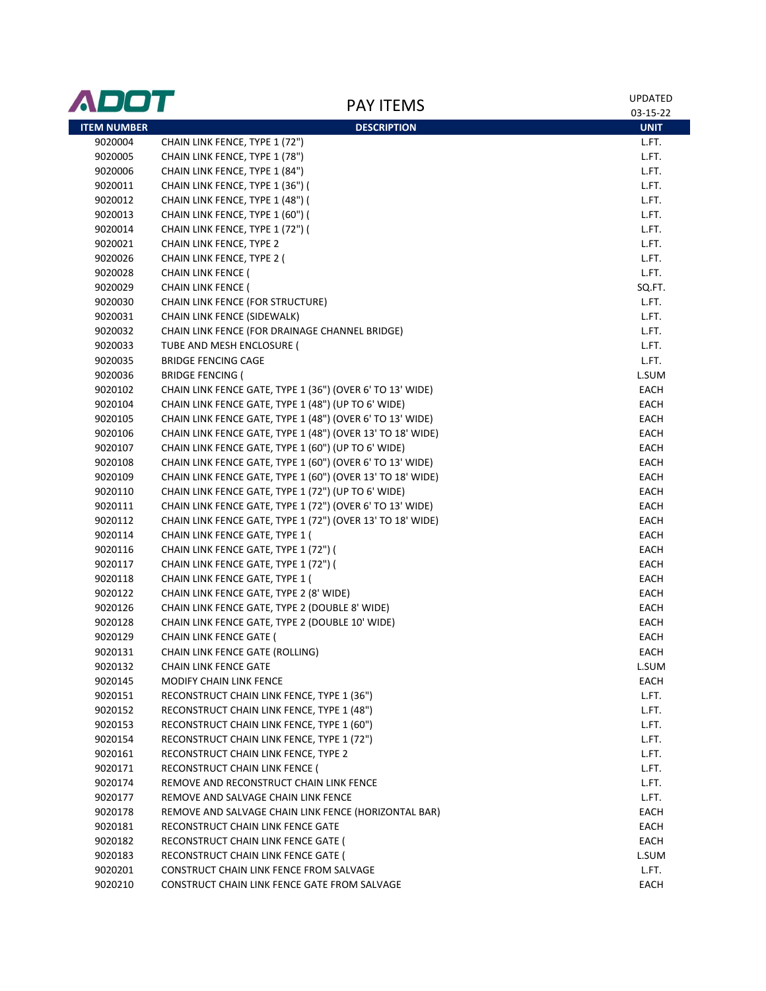| <b>ADOT</b>        | <b>PAY ITEMS</b>                                           | <b>UPDATED</b><br>03-15-22 |
|--------------------|------------------------------------------------------------|----------------------------|
| <b>ITEM NUMBER</b> | <b>DESCRIPTION</b>                                         | <b>UNIT</b>                |
| 9020004            | CHAIN LINK FENCE, TYPE 1 (72")                             | L.FT.                      |
| 9020005            | CHAIN LINK FENCE, TYPE 1 (78")                             | L.FT.                      |
| 9020006            | CHAIN LINK FENCE, TYPE 1 (84")                             | L.FT.                      |
| 9020011            | CHAIN LINK FENCE, TYPE 1 (36") (                           | L.FT.                      |
| 9020012            | CHAIN LINK FENCE, TYPE 1 (48") (                           | L.FT.                      |
| 9020013            | CHAIN LINK FENCE, TYPE 1 (60") (                           | L.FT.                      |
| 9020014            | CHAIN LINK FENCE, TYPE 1 (72") (                           | L.FT.                      |
| 9020021            | CHAIN LINK FENCE, TYPE 2                                   | L.FT.                      |
| 9020026            | CHAIN LINK FENCE, TYPE 2 (                                 | L.FT.                      |
| 9020028            | CHAIN LINK FENCE (                                         | L.FT.                      |
| 9020029            | <b>CHAIN LINK FENCE (</b>                                  | SQ.FT.                     |
| 9020030            | CHAIN LINK FENCE (FOR STRUCTURE)                           | L.FT.                      |
| 9020031            | CHAIN LINK FENCE (SIDEWALK)                                | L.FT.                      |
| 9020032            | CHAIN LINK FENCE (FOR DRAINAGE CHANNEL BRIDGE)             | L.FT.                      |
| 9020033            | TUBE AND MESH ENCLOSURE (                                  | L.FT.                      |
| 9020035            | <b>BRIDGE FENCING CAGE</b>                                 | L.FT.                      |
| 9020036            | <b>BRIDGE FENCING (</b>                                    | L.SUM                      |
| 9020102            | CHAIN LINK FENCE GATE, TYPE 1 (36") (OVER 6' TO 13' WIDE)  | EACH                       |
| 9020104            | CHAIN LINK FENCE GATE, TYPE 1 (48") (UP TO 6' WIDE)        | EACH                       |
| 9020105            | CHAIN LINK FENCE GATE, TYPE 1 (48") (OVER 6' TO 13' WIDE)  | EACH                       |
| 9020106            | CHAIN LINK FENCE GATE, TYPE 1 (48") (OVER 13' TO 18' WIDE) | EACH                       |
| 9020107            | CHAIN LINK FENCE GATE, TYPE 1 (60") (UP TO 6' WIDE)        | EACH                       |
| 9020108            | CHAIN LINK FENCE GATE, TYPE 1 (60") (OVER 6' TO 13' WIDE)  | EACH                       |
| 9020109            | CHAIN LINK FENCE GATE, TYPE 1 (60") (OVER 13' TO 18' WIDE) | EACH                       |
| 9020110            | CHAIN LINK FENCE GATE, TYPE 1 (72") (UP TO 6' WIDE)        | EACH                       |
| 9020111            | CHAIN LINK FENCE GATE, TYPE 1 (72") (OVER 6' TO 13' WIDE)  | EACH                       |
| 9020112            | CHAIN LINK FENCE GATE, TYPE 1 (72") (OVER 13' TO 18' WIDE) | EACH                       |
| 9020114            | CHAIN LINK FENCE GATE, TYPE 1 (                            | EACH                       |
| 9020116            | CHAIN LINK FENCE GATE, TYPE 1 (72") (                      | EACH                       |
| 9020117            | CHAIN LINK FENCE GATE, TYPE 1 (72") (                      | EACH                       |
| 9020118            | CHAIN LINK FENCE GATE, TYPE 1 (                            | EACH                       |
| 9020122            | CHAIN LINK FENCE GATE, TYPE 2 (8' WIDE)                    | EACH                       |
| 9020126            | CHAIN LINK FENCE GATE, TYPE 2 (DOUBLE 8' WIDE)             | EACH                       |
| 9020128            | CHAIN LINK FENCE GATE, TYPE 2 (DOUBLE 10' WIDE)            | EACH                       |
| 9020129            | CHAIN LINK FENCE GATE (                                    | <b>EACH</b>                |
| 9020131            | CHAIN LINK FENCE GATE (ROLLING)                            | EACH                       |
| 9020132            | <b>CHAIN LINK FENCE GATE</b>                               | L.SUM                      |
| 9020145            | MODIFY CHAIN LINK FENCE                                    | EACH                       |
| 9020151            | RECONSTRUCT CHAIN LINK FENCE, TYPE 1 (36")                 | L.FT.                      |
| 9020152            | RECONSTRUCT CHAIN LINK FENCE, TYPE 1 (48")                 | L.FT.                      |
| 9020153            | RECONSTRUCT CHAIN LINK FENCE, TYPE 1 (60")                 | L.FT.                      |
| 9020154            | RECONSTRUCT CHAIN LINK FENCE, TYPE 1 (72")                 | L.FT.                      |
| 9020161            | RECONSTRUCT CHAIN LINK FENCE, TYPE 2                       | L.FT.                      |
| 9020171            | RECONSTRUCT CHAIN LINK FENCE (                             | L.FT.                      |
| 9020174            | REMOVE AND RECONSTRUCT CHAIN LINK FENCE                    | L.FT.                      |
| 9020177            | REMOVE AND SALVAGE CHAIN LINK FENCE                        | L.FT.                      |
| 9020178            | REMOVE AND SALVAGE CHAIN LINK FENCE (HORIZONTAL BAR)       | <b>EACH</b>                |
| 9020181            | RECONSTRUCT CHAIN LINK FENCE GATE                          | EACH                       |
| 9020182            | RECONSTRUCT CHAIN LINK FENCE GATE (                        | EACH                       |
| 9020183            | RECONSTRUCT CHAIN LINK FENCE GATE (                        | L.SUM                      |
| 9020201            | CONSTRUCT CHAIN LINK FENCE FROM SALVAGE                    | L.FT.                      |
| 9020210            | CONSTRUCT CHAIN LINK FENCE GATE FROM SALVAGE               | EACH                       |
|                    |                                                            |                            |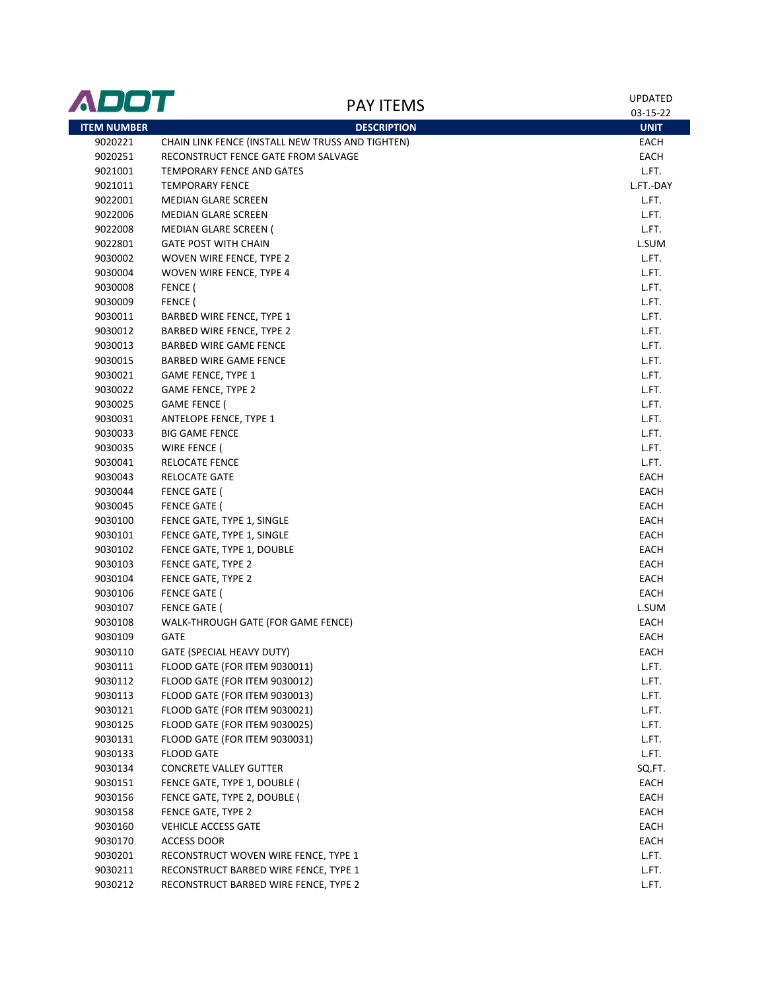| <b>ITEM NUMBER</b><br><b>DESCRIPTION</b><br><b>UNIT</b><br>9020221<br>CHAIN LINK FENCE (INSTALL NEW TRUSS AND TIGHTEN)<br>EACH<br>9020251<br>RECONSTRUCT FENCE GATE FROM SALVAGE<br>EACH<br><b>TEMPORARY FENCE AND GATES</b><br>L.FT.<br>9021001<br>9021011<br><b>TEMPORARY FENCE</b><br>L.FT.-DAY<br>9022001<br><b>MEDIAN GLARE SCREEN</b><br>L.FT.<br>L.FT.<br>9022006<br><b>MEDIAN GLARE SCREEN</b><br>L.FT.<br>9022008<br><b>MEDIAN GLARE SCREEN (</b><br>L.SUM<br>9022801<br><b>GATE POST WITH CHAIN</b><br>L.FT.<br>9030002<br>WOVEN WIRE FENCE, TYPE 2<br>9030004<br>L.FT.<br>WOVEN WIRE FENCE, TYPE 4<br>FENCE (<br>L.FT.<br>9030008<br>FENCE (<br>L.FT.<br>9030009<br>L.FT.<br>9030011<br>BARBED WIRE FENCE, TYPE 1<br>L.FT.<br>9030012<br><b>BARBED WIRE FENCE, TYPE 2</b><br>L.FT.<br>9030013<br>BARBED WIRE GAME FENCE<br>L.FT.<br>9030015<br>BARBED WIRE GAME FENCE<br>L.FT.<br>9030021<br><b>GAME FENCE, TYPE 1</b><br>L.FT.<br>9030022<br><b>GAME FENCE, TYPE 2</b><br>L.FT.<br>9030025<br><b>GAME FENCE (</b><br>L.FT.<br>9030031<br>ANTELOPE FENCE, TYPE 1<br>L.FT.<br>9030033<br><b>BIG GAME FENCE</b><br>L.FT.<br>9030035<br>WIRE FENCE (<br>L.FT.<br>9030041<br>RELOCATE FENCE<br>EACH<br>9030043<br><b>RELOCATE GATE</b><br>EACH<br>9030044<br><b>FENCE GATE (</b><br>EACH<br>9030045<br><b>FENCE GATE (</b><br>EACH<br>9030100<br>FENCE GATE, TYPE 1, SINGLE<br>EACH<br>9030101<br>FENCE GATE, TYPE 1, SINGLE<br>9030102<br>FENCE GATE, TYPE 1, DOUBLE<br>EACH<br>9030103<br>FENCE GATE, TYPE 2<br>EACH<br>9030104<br>FENCE GATE, TYPE 2<br>EACH<br>9030106<br><b>FENCE GATE (</b><br>EACH<br><b>FENCE GATE (</b><br>L.SUM<br>9030107<br>EACH<br>9030108<br>WALK-THROUGH GATE (FOR GAME FENCE)<br>9030109<br>GATE<br>EACH<br>9030110<br>GATE (SPECIAL HEAVY DUTY)<br><b>EACH</b><br>FLOOD GATE (FOR ITEM 9030011)<br>9030111<br>L.FT.<br>FLOOD GATE (FOR ITEM 9030012)<br>L.FT.<br>9030112<br>FLOOD GATE (FOR ITEM 9030013)<br>L.FT.<br>9030113<br>FLOOD GATE (FOR ITEM 9030021)<br>L.FT.<br>9030121<br>FLOOD GATE (FOR ITEM 9030025)<br>L.FT.<br>9030125<br>FLOOD GATE (FOR ITEM 9030031)<br>9030131<br>L.FT.<br>9030133<br><b>FLOOD GATE</b><br>L.FT.<br>SQ.FT.<br>9030134<br><b>CONCRETE VALLEY GUTTER</b><br>9030151<br>FENCE GATE, TYPE 1, DOUBLE (<br>EACH<br>9030156<br>FENCE GATE, TYPE 2, DOUBLE (<br>EACH<br>9030158<br>FENCE GATE, TYPE 2<br>EACH<br>9030160<br>EACH<br><b>VEHICLE ACCESS GATE</b><br>9030170<br>ACCESS DOOR<br>EACH<br>9030201<br>RECONSTRUCT WOVEN WIRE FENCE, TYPE 1<br>L.FT.<br>RECONSTRUCT BARBED WIRE FENCE, TYPE 1<br>9030211<br>L.FT.<br>9030212<br>RECONSTRUCT BARBED WIRE FENCE, TYPE 2<br>L.FT. | ADOT | <b>PAY ITEMS</b> | <b>UPDATED</b><br>03-15-22 |
|-------------------------------------------------------------------------------------------------------------------------------------------------------------------------------------------------------------------------------------------------------------------------------------------------------------------------------------------------------------------------------------------------------------------------------------------------------------------------------------------------------------------------------------------------------------------------------------------------------------------------------------------------------------------------------------------------------------------------------------------------------------------------------------------------------------------------------------------------------------------------------------------------------------------------------------------------------------------------------------------------------------------------------------------------------------------------------------------------------------------------------------------------------------------------------------------------------------------------------------------------------------------------------------------------------------------------------------------------------------------------------------------------------------------------------------------------------------------------------------------------------------------------------------------------------------------------------------------------------------------------------------------------------------------------------------------------------------------------------------------------------------------------------------------------------------------------------------------------------------------------------------------------------------------------------------------------------------------------------------------------------------------------------------------------------------------------------------------------------------------------------------------------------------------------------------------------------------------------------------------------------------------------------------------------------------------------------------------------------------------------------------------------------------------------------------------------------------------------------------------------------------------------------------------------------------------------------------------------------------------------------------------------------------|------|------------------|----------------------------|
|                                                                                                                                                                                                                                                                                                                                                                                                                                                                                                                                                                                                                                                                                                                                                                                                                                                                                                                                                                                                                                                                                                                                                                                                                                                                                                                                                                                                                                                                                                                                                                                                                                                                                                                                                                                                                                                                                                                                                                                                                                                                                                                                                                                                                                                                                                                                                                                                                                                                                                                                                                                                                                                             |      |                  |                            |
|                                                                                                                                                                                                                                                                                                                                                                                                                                                                                                                                                                                                                                                                                                                                                                                                                                                                                                                                                                                                                                                                                                                                                                                                                                                                                                                                                                                                                                                                                                                                                                                                                                                                                                                                                                                                                                                                                                                                                                                                                                                                                                                                                                                                                                                                                                                                                                                                                                                                                                                                                                                                                                                             |      |                  |                            |
|                                                                                                                                                                                                                                                                                                                                                                                                                                                                                                                                                                                                                                                                                                                                                                                                                                                                                                                                                                                                                                                                                                                                                                                                                                                                                                                                                                                                                                                                                                                                                                                                                                                                                                                                                                                                                                                                                                                                                                                                                                                                                                                                                                                                                                                                                                                                                                                                                                                                                                                                                                                                                                                             |      |                  |                            |
|                                                                                                                                                                                                                                                                                                                                                                                                                                                                                                                                                                                                                                                                                                                                                                                                                                                                                                                                                                                                                                                                                                                                                                                                                                                                                                                                                                                                                                                                                                                                                                                                                                                                                                                                                                                                                                                                                                                                                                                                                                                                                                                                                                                                                                                                                                                                                                                                                                                                                                                                                                                                                                                             |      |                  |                            |
|                                                                                                                                                                                                                                                                                                                                                                                                                                                                                                                                                                                                                                                                                                                                                                                                                                                                                                                                                                                                                                                                                                                                                                                                                                                                                                                                                                                                                                                                                                                                                                                                                                                                                                                                                                                                                                                                                                                                                                                                                                                                                                                                                                                                                                                                                                                                                                                                                                                                                                                                                                                                                                                             |      |                  |                            |
|                                                                                                                                                                                                                                                                                                                                                                                                                                                                                                                                                                                                                                                                                                                                                                                                                                                                                                                                                                                                                                                                                                                                                                                                                                                                                                                                                                                                                                                                                                                                                                                                                                                                                                                                                                                                                                                                                                                                                                                                                                                                                                                                                                                                                                                                                                                                                                                                                                                                                                                                                                                                                                                             |      |                  |                            |
|                                                                                                                                                                                                                                                                                                                                                                                                                                                                                                                                                                                                                                                                                                                                                                                                                                                                                                                                                                                                                                                                                                                                                                                                                                                                                                                                                                                                                                                                                                                                                                                                                                                                                                                                                                                                                                                                                                                                                                                                                                                                                                                                                                                                                                                                                                                                                                                                                                                                                                                                                                                                                                                             |      |                  |                            |
|                                                                                                                                                                                                                                                                                                                                                                                                                                                                                                                                                                                                                                                                                                                                                                                                                                                                                                                                                                                                                                                                                                                                                                                                                                                                                                                                                                                                                                                                                                                                                                                                                                                                                                                                                                                                                                                                                                                                                                                                                                                                                                                                                                                                                                                                                                                                                                                                                                                                                                                                                                                                                                                             |      |                  |                            |
|                                                                                                                                                                                                                                                                                                                                                                                                                                                                                                                                                                                                                                                                                                                                                                                                                                                                                                                                                                                                                                                                                                                                                                                                                                                                                                                                                                                                                                                                                                                                                                                                                                                                                                                                                                                                                                                                                                                                                                                                                                                                                                                                                                                                                                                                                                                                                                                                                                                                                                                                                                                                                                                             |      |                  |                            |
|                                                                                                                                                                                                                                                                                                                                                                                                                                                                                                                                                                                                                                                                                                                                                                                                                                                                                                                                                                                                                                                                                                                                                                                                                                                                                                                                                                                                                                                                                                                                                                                                                                                                                                                                                                                                                                                                                                                                                                                                                                                                                                                                                                                                                                                                                                                                                                                                                                                                                                                                                                                                                                                             |      |                  |                            |
|                                                                                                                                                                                                                                                                                                                                                                                                                                                                                                                                                                                                                                                                                                                                                                                                                                                                                                                                                                                                                                                                                                                                                                                                                                                                                                                                                                                                                                                                                                                                                                                                                                                                                                                                                                                                                                                                                                                                                                                                                                                                                                                                                                                                                                                                                                                                                                                                                                                                                                                                                                                                                                                             |      |                  |                            |
|                                                                                                                                                                                                                                                                                                                                                                                                                                                                                                                                                                                                                                                                                                                                                                                                                                                                                                                                                                                                                                                                                                                                                                                                                                                                                                                                                                                                                                                                                                                                                                                                                                                                                                                                                                                                                                                                                                                                                                                                                                                                                                                                                                                                                                                                                                                                                                                                                                                                                                                                                                                                                                                             |      |                  |                            |
|                                                                                                                                                                                                                                                                                                                                                                                                                                                                                                                                                                                                                                                                                                                                                                                                                                                                                                                                                                                                                                                                                                                                                                                                                                                                                                                                                                                                                                                                                                                                                                                                                                                                                                                                                                                                                                                                                                                                                                                                                                                                                                                                                                                                                                                                                                                                                                                                                                                                                                                                                                                                                                                             |      |                  |                            |
|                                                                                                                                                                                                                                                                                                                                                                                                                                                                                                                                                                                                                                                                                                                                                                                                                                                                                                                                                                                                                                                                                                                                                                                                                                                                                                                                                                                                                                                                                                                                                                                                                                                                                                                                                                                                                                                                                                                                                                                                                                                                                                                                                                                                                                                                                                                                                                                                                                                                                                                                                                                                                                                             |      |                  |                            |
|                                                                                                                                                                                                                                                                                                                                                                                                                                                                                                                                                                                                                                                                                                                                                                                                                                                                                                                                                                                                                                                                                                                                                                                                                                                                                                                                                                                                                                                                                                                                                                                                                                                                                                                                                                                                                                                                                                                                                                                                                                                                                                                                                                                                                                                                                                                                                                                                                                                                                                                                                                                                                                                             |      |                  |                            |
|                                                                                                                                                                                                                                                                                                                                                                                                                                                                                                                                                                                                                                                                                                                                                                                                                                                                                                                                                                                                                                                                                                                                                                                                                                                                                                                                                                                                                                                                                                                                                                                                                                                                                                                                                                                                                                                                                                                                                                                                                                                                                                                                                                                                                                                                                                                                                                                                                                                                                                                                                                                                                                                             |      |                  |                            |
|                                                                                                                                                                                                                                                                                                                                                                                                                                                                                                                                                                                                                                                                                                                                                                                                                                                                                                                                                                                                                                                                                                                                                                                                                                                                                                                                                                                                                                                                                                                                                                                                                                                                                                                                                                                                                                                                                                                                                                                                                                                                                                                                                                                                                                                                                                                                                                                                                                                                                                                                                                                                                                                             |      |                  |                            |
|                                                                                                                                                                                                                                                                                                                                                                                                                                                                                                                                                                                                                                                                                                                                                                                                                                                                                                                                                                                                                                                                                                                                                                                                                                                                                                                                                                                                                                                                                                                                                                                                                                                                                                                                                                                                                                                                                                                                                                                                                                                                                                                                                                                                                                                                                                                                                                                                                                                                                                                                                                                                                                                             |      |                  |                            |
|                                                                                                                                                                                                                                                                                                                                                                                                                                                                                                                                                                                                                                                                                                                                                                                                                                                                                                                                                                                                                                                                                                                                                                                                                                                                                                                                                                                                                                                                                                                                                                                                                                                                                                                                                                                                                                                                                                                                                                                                                                                                                                                                                                                                                                                                                                                                                                                                                                                                                                                                                                                                                                                             |      |                  |                            |
|                                                                                                                                                                                                                                                                                                                                                                                                                                                                                                                                                                                                                                                                                                                                                                                                                                                                                                                                                                                                                                                                                                                                                                                                                                                                                                                                                                                                                                                                                                                                                                                                                                                                                                                                                                                                                                                                                                                                                                                                                                                                                                                                                                                                                                                                                                                                                                                                                                                                                                                                                                                                                                                             |      |                  |                            |
|                                                                                                                                                                                                                                                                                                                                                                                                                                                                                                                                                                                                                                                                                                                                                                                                                                                                                                                                                                                                                                                                                                                                                                                                                                                                                                                                                                                                                                                                                                                                                                                                                                                                                                                                                                                                                                                                                                                                                                                                                                                                                                                                                                                                                                                                                                                                                                                                                                                                                                                                                                                                                                                             |      |                  |                            |
|                                                                                                                                                                                                                                                                                                                                                                                                                                                                                                                                                                                                                                                                                                                                                                                                                                                                                                                                                                                                                                                                                                                                                                                                                                                                                                                                                                                                                                                                                                                                                                                                                                                                                                                                                                                                                                                                                                                                                                                                                                                                                                                                                                                                                                                                                                                                                                                                                                                                                                                                                                                                                                                             |      |                  |                            |
|                                                                                                                                                                                                                                                                                                                                                                                                                                                                                                                                                                                                                                                                                                                                                                                                                                                                                                                                                                                                                                                                                                                                                                                                                                                                                                                                                                                                                                                                                                                                                                                                                                                                                                                                                                                                                                                                                                                                                                                                                                                                                                                                                                                                                                                                                                                                                                                                                                                                                                                                                                                                                                                             |      |                  |                            |
|                                                                                                                                                                                                                                                                                                                                                                                                                                                                                                                                                                                                                                                                                                                                                                                                                                                                                                                                                                                                                                                                                                                                                                                                                                                                                                                                                                                                                                                                                                                                                                                                                                                                                                                                                                                                                                                                                                                                                                                                                                                                                                                                                                                                                                                                                                                                                                                                                                                                                                                                                                                                                                                             |      |                  |                            |
|                                                                                                                                                                                                                                                                                                                                                                                                                                                                                                                                                                                                                                                                                                                                                                                                                                                                                                                                                                                                                                                                                                                                                                                                                                                                                                                                                                                                                                                                                                                                                                                                                                                                                                                                                                                                                                                                                                                                                                                                                                                                                                                                                                                                                                                                                                                                                                                                                                                                                                                                                                                                                                                             |      |                  |                            |
|                                                                                                                                                                                                                                                                                                                                                                                                                                                                                                                                                                                                                                                                                                                                                                                                                                                                                                                                                                                                                                                                                                                                                                                                                                                                                                                                                                                                                                                                                                                                                                                                                                                                                                                                                                                                                                                                                                                                                                                                                                                                                                                                                                                                                                                                                                                                                                                                                                                                                                                                                                                                                                                             |      |                  |                            |
|                                                                                                                                                                                                                                                                                                                                                                                                                                                                                                                                                                                                                                                                                                                                                                                                                                                                                                                                                                                                                                                                                                                                                                                                                                                                                                                                                                                                                                                                                                                                                                                                                                                                                                                                                                                                                                                                                                                                                                                                                                                                                                                                                                                                                                                                                                                                                                                                                                                                                                                                                                                                                                                             |      |                  |                            |
|                                                                                                                                                                                                                                                                                                                                                                                                                                                                                                                                                                                                                                                                                                                                                                                                                                                                                                                                                                                                                                                                                                                                                                                                                                                                                                                                                                                                                                                                                                                                                                                                                                                                                                                                                                                                                                                                                                                                                                                                                                                                                                                                                                                                                                                                                                                                                                                                                                                                                                                                                                                                                                                             |      |                  |                            |
|                                                                                                                                                                                                                                                                                                                                                                                                                                                                                                                                                                                                                                                                                                                                                                                                                                                                                                                                                                                                                                                                                                                                                                                                                                                                                                                                                                                                                                                                                                                                                                                                                                                                                                                                                                                                                                                                                                                                                                                                                                                                                                                                                                                                                                                                                                                                                                                                                                                                                                                                                                                                                                                             |      |                  |                            |
|                                                                                                                                                                                                                                                                                                                                                                                                                                                                                                                                                                                                                                                                                                                                                                                                                                                                                                                                                                                                                                                                                                                                                                                                                                                                                                                                                                                                                                                                                                                                                                                                                                                                                                                                                                                                                                                                                                                                                                                                                                                                                                                                                                                                                                                                                                                                                                                                                                                                                                                                                                                                                                                             |      |                  |                            |
|                                                                                                                                                                                                                                                                                                                                                                                                                                                                                                                                                                                                                                                                                                                                                                                                                                                                                                                                                                                                                                                                                                                                                                                                                                                                                                                                                                                                                                                                                                                                                                                                                                                                                                                                                                                                                                                                                                                                                                                                                                                                                                                                                                                                                                                                                                                                                                                                                                                                                                                                                                                                                                                             |      |                  |                            |
|                                                                                                                                                                                                                                                                                                                                                                                                                                                                                                                                                                                                                                                                                                                                                                                                                                                                                                                                                                                                                                                                                                                                                                                                                                                                                                                                                                                                                                                                                                                                                                                                                                                                                                                                                                                                                                                                                                                                                                                                                                                                                                                                                                                                                                                                                                                                                                                                                                                                                                                                                                                                                                                             |      |                  |                            |
|                                                                                                                                                                                                                                                                                                                                                                                                                                                                                                                                                                                                                                                                                                                                                                                                                                                                                                                                                                                                                                                                                                                                                                                                                                                                                                                                                                                                                                                                                                                                                                                                                                                                                                                                                                                                                                                                                                                                                                                                                                                                                                                                                                                                                                                                                                                                                                                                                                                                                                                                                                                                                                                             |      |                  |                            |
|                                                                                                                                                                                                                                                                                                                                                                                                                                                                                                                                                                                                                                                                                                                                                                                                                                                                                                                                                                                                                                                                                                                                                                                                                                                                                                                                                                                                                                                                                                                                                                                                                                                                                                                                                                                                                                                                                                                                                                                                                                                                                                                                                                                                                                                                                                                                                                                                                                                                                                                                                                                                                                                             |      |                  |                            |
|                                                                                                                                                                                                                                                                                                                                                                                                                                                                                                                                                                                                                                                                                                                                                                                                                                                                                                                                                                                                                                                                                                                                                                                                                                                                                                                                                                                                                                                                                                                                                                                                                                                                                                                                                                                                                                                                                                                                                                                                                                                                                                                                                                                                                                                                                                                                                                                                                                                                                                                                                                                                                                                             |      |                  |                            |
|                                                                                                                                                                                                                                                                                                                                                                                                                                                                                                                                                                                                                                                                                                                                                                                                                                                                                                                                                                                                                                                                                                                                                                                                                                                                                                                                                                                                                                                                                                                                                                                                                                                                                                                                                                                                                                                                                                                                                                                                                                                                                                                                                                                                                                                                                                                                                                                                                                                                                                                                                                                                                                                             |      |                  |                            |
|                                                                                                                                                                                                                                                                                                                                                                                                                                                                                                                                                                                                                                                                                                                                                                                                                                                                                                                                                                                                                                                                                                                                                                                                                                                                                                                                                                                                                                                                                                                                                                                                                                                                                                                                                                                                                                                                                                                                                                                                                                                                                                                                                                                                                                                                                                                                                                                                                                                                                                                                                                                                                                                             |      |                  |                            |
|                                                                                                                                                                                                                                                                                                                                                                                                                                                                                                                                                                                                                                                                                                                                                                                                                                                                                                                                                                                                                                                                                                                                                                                                                                                                                                                                                                                                                                                                                                                                                                                                                                                                                                                                                                                                                                                                                                                                                                                                                                                                                                                                                                                                                                                                                                                                                                                                                                                                                                                                                                                                                                                             |      |                  |                            |
|                                                                                                                                                                                                                                                                                                                                                                                                                                                                                                                                                                                                                                                                                                                                                                                                                                                                                                                                                                                                                                                                                                                                                                                                                                                                                                                                                                                                                                                                                                                                                                                                                                                                                                                                                                                                                                                                                                                                                                                                                                                                                                                                                                                                                                                                                                                                                                                                                                                                                                                                                                                                                                                             |      |                  |                            |
|                                                                                                                                                                                                                                                                                                                                                                                                                                                                                                                                                                                                                                                                                                                                                                                                                                                                                                                                                                                                                                                                                                                                                                                                                                                                                                                                                                                                                                                                                                                                                                                                                                                                                                                                                                                                                                                                                                                                                                                                                                                                                                                                                                                                                                                                                                                                                                                                                                                                                                                                                                                                                                                             |      |                  |                            |
|                                                                                                                                                                                                                                                                                                                                                                                                                                                                                                                                                                                                                                                                                                                                                                                                                                                                                                                                                                                                                                                                                                                                                                                                                                                                                                                                                                                                                                                                                                                                                                                                                                                                                                                                                                                                                                                                                                                                                                                                                                                                                                                                                                                                                                                                                                                                                                                                                                                                                                                                                                                                                                                             |      |                  |                            |
|                                                                                                                                                                                                                                                                                                                                                                                                                                                                                                                                                                                                                                                                                                                                                                                                                                                                                                                                                                                                                                                                                                                                                                                                                                                                                                                                                                                                                                                                                                                                                                                                                                                                                                                                                                                                                                                                                                                                                                                                                                                                                                                                                                                                                                                                                                                                                                                                                                                                                                                                                                                                                                                             |      |                  |                            |
|                                                                                                                                                                                                                                                                                                                                                                                                                                                                                                                                                                                                                                                                                                                                                                                                                                                                                                                                                                                                                                                                                                                                                                                                                                                                                                                                                                                                                                                                                                                                                                                                                                                                                                                                                                                                                                                                                                                                                                                                                                                                                                                                                                                                                                                                                                                                                                                                                                                                                                                                                                                                                                                             |      |                  |                            |
|                                                                                                                                                                                                                                                                                                                                                                                                                                                                                                                                                                                                                                                                                                                                                                                                                                                                                                                                                                                                                                                                                                                                                                                                                                                                                                                                                                                                                                                                                                                                                                                                                                                                                                                                                                                                                                                                                                                                                                                                                                                                                                                                                                                                                                                                                                                                                                                                                                                                                                                                                                                                                                                             |      |                  |                            |
|                                                                                                                                                                                                                                                                                                                                                                                                                                                                                                                                                                                                                                                                                                                                                                                                                                                                                                                                                                                                                                                                                                                                                                                                                                                                                                                                                                                                                                                                                                                                                                                                                                                                                                                                                                                                                                                                                                                                                                                                                                                                                                                                                                                                                                                                                                                                                                                                                                                                                                                                                                                                                                                             |      |                  |                            |
|                                                                                                                                                                                                                                                                                                                                                                                                                                                                                                                                                                                                                                                                                                                                                                                                                                                                                                                                                                                                                                                                                                                                                                                                                                                                                                                                                                                                                                                                                                                                                                                                                                                                                                                                                                                                                                                                                                                                                                                                                                                                                                                                                                                                                                                                                                                                                                                                                                                                                                                                                                                                                                                             |      |                  |                            |
|                                                                                                                                                                                                                                                                                                                                                                                                                                                                                                                                                                                                                                                                                                                                                                                                                                                                                                                                                                                                                                                                                                                                                                                                                                                                                                                                                                                                                                                                                                                                                                                                                                                                                                                                                                                                                                                                                                                                                                                                                                                                                                                                                                                                                                                                                                                                                                                                                                                                                                                                                                                                                                                             |      |                  |                            |
|                                                                                                                                                                                                                                                                                                                                                                                                                                                                                                                                                                                                                                                                                                                                                                                                                                                                                                                                                                                                                                                                                                                                                                                                                                                                                                                                                                                                                                                                                                                                                                                                                                                                                                                                                                                                                                                                                                                                                                                                                                                                                                                                                                                                                                                                                                                                                                                                                                                                                                                                                                                                                                                             |      |                  |                            |
|                                                                                                                                                                                                                                                                                                                                                                                                                                                                                                                                                                                                                                                                                                                                                                                                                                                                                                                                                                                                                                                                                                                                                                                                                                                                                                                                                                                                                                                                                                                                                                                                                                                                                                                                                                                                                                                                                                                                                                                                                                                                                                                                                                                                                                                                                                                                                                                                                                                                                                                                                                                                                                                             |      |                  |                            |
|                                                                                                                                                                                                                                                                                                                                                                                                                                                                                                                                                                                                                                                                                                                                                                                                                                                                                                                                                                                                                                                                                                                                                                                                                                                                                                                                                                                                                                                                                                                                                                                                                                                                                                                                                                                                                                                                                                                                                                                                                                                                                                                                                                                                                                                                                                                                                                                                                                                                                                                                                                                                                                                             |      |                  |                            |
|                                                                                                                                                                                                                                                                                                                                                                                                                                                                                                                                                                                                                                                                                                                                                                                                                                                                                                                                                                                                                                                                                                                                                                                                                                                                                                                                                                                                                                                                                                                                                                                                                                                                                                                                                                                                                                                                                                                                                                                                                                                                                                                                                                                                                                                                                                                                                                                                                                                                                                                                                                                                                                                             |      |                  |                            |
|                                                                                                                                                                                                                                                                                                                                                                                                                                                                                                                                                                                                                                                                                                                                                                                                                                                                                                                                                                                                                                                                                                                                                                                                                                                                                                                                                                                                                                                                                                                                                                                                                                                                                                                                                                                                                                                                                                                                                                                                                                                                                                                                                                                                                                                                                                                                                                                                                                                                                                                                                                                                                                                             |      |                  |                            |
|                                                                                                                                                                                                                                                                                                                                                                                                                                                                                                                                                                                                                                                                                                                                                                                                                                                                                                                                                                                                                                                                                                                                                                                                                                                                                                                                                                                                                                                                                                                                                                                                                                                                                                                                                                                                                                                                                                                                                                                                                                                                                                                                                                                                                                                                                                                                                                                                                                                                                                                                                                                                                                                             |      |                  |                            |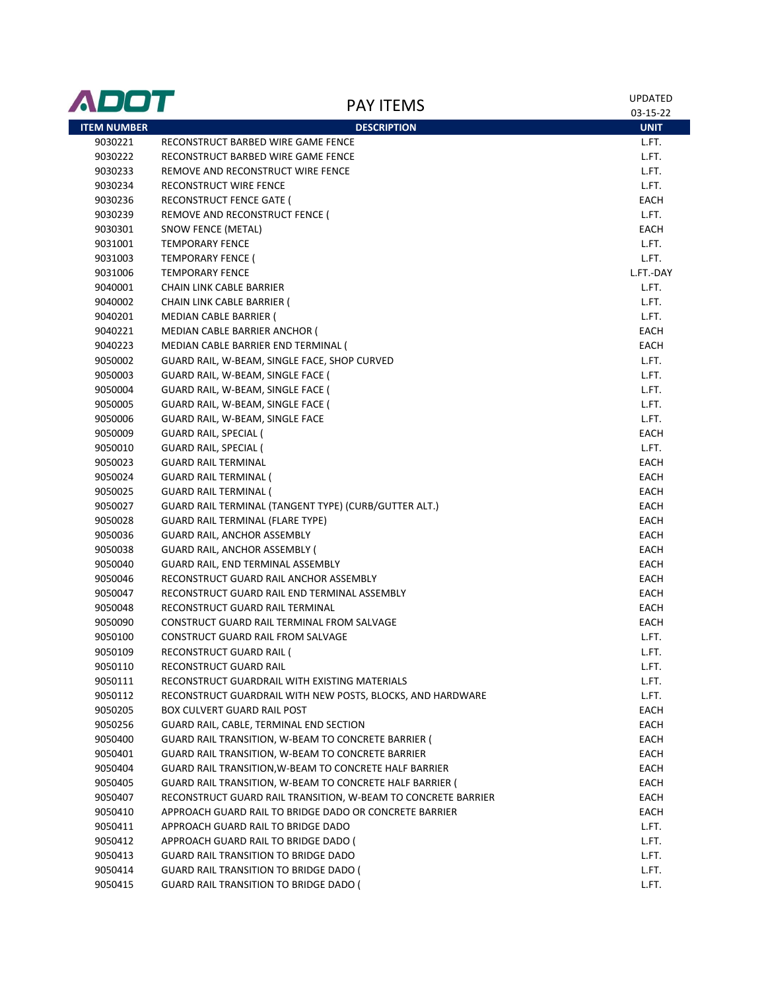| ADOT               | <b>PAY ITEMS</b>                                              | <b>UPDATED</b> |
|--------------------|---------------------------------------------------------------|----------------|
|                    |                                                               | 03-15-22       |
| <b>ITEM NUMBER</b> | <b>DESCRIPTION</b>                                            | <b>UNIT</b>    |
| 9030221            | RECONSTRUCT BARBED WIRE GAME FENCE                            | L.FT.          |
| 9030222            | RECONSTRUCT BARBED WIRE GAME FENCE                            | L.FT.          |
| 9030233            | REMOVE AND RECONSTRUCT WIRE FENCE                             | L.FT.          |
| 9030234            | RECONSTRUCT WIRE FENCE                                        | L.FT.          |
| 9030236            | RECONSTRUCT FENCE GATE (                                      | EACH           |
| 9030239            | REMOVE AND RECONSTRUCT FENCE (                                | L.FT.          |
| 9030301            | SNOW FENCE (METAL)                                            | EACH           |
| 9031001            | <b>TEMPORARY FENCE</b>                                        | L.FT.          |
| 9031003            | <b>TEMPORARY FENCE (</b>                                      | L.FT.          |
| 9031006            | <b>TEMPORARY FENCE</b>                                        | L.FT.-DAY      |
| 9040001            | CHAIN LINK CABLE BARRIER                                      | L.FT.          |
| 9040002            | CHAIN LINK CABLE BARRIER (                                    | L.FT.          |
| 9040201            | MEDIAN CABLE BARRIER (                                        | L.FT.          |
| 9040221            | MEDIAN CABLE BARRIER ANCHOR (                                 | EACH           |
| 9040223            | MEDIAN CABLE BARRIER END TERMINAL (                           | EACH           |
| 9050002            | GUARD RAIL, W-BEAM, SINGLE FACE, SHOP CURVED                  | L.FT.          |
| 9050003            | GUARD RAIL, W-BEAM, SINGLE FACE (                             | L.FT.          |
| 9050004            | GUARD RAIL, W-BEAM, SINGLE FACE (                             | L.FT.          |
| 9050005            | GUARD RAIL, W-BEAM, SINGLE FACE (                             | L.FT.          |
| 9050006            | GUARD RAIL, W-BEAM, SINGLE FACE                               | L.FT.          |
| 9050009            | GUARD RAIL, SPECIAL (                                         | EACH           |
| 9050010            | <b>GUARD RAIL, SPECIAL (</b>                                  | L.FT.          |
| 9050023            | <b>GUARD RAIL TERMINAL</b>                                    | EACH           |
| 9050024            | <b>GUARD RAIL TERMINAL (</b>                                  | EACH           |
| 9050025            | <b>GUARD RAIL TERMINAL (</b>                                  | EACH           |
| 9050027            | GUARD RAIL TERMINAL (TANGENT TYPE) (CURB/GUTTER ALT.)         | EACH           |
| 9050028            | <b>GUARD RAIL TERMINAL (FLARE TYPE)</b>                       | EACH           |
| 9050036            | <b>GUARD RAIL, ANCHOR ASSEMBLY</b>                            | EACH           |
| 9050038            | <b>GUARD RAIL, ANCHOR ASSEMBLY (</b>                          | EACH           |
| 9050040            | GUARD RAIL, END TERMINAL ASSEMBLY                             | EACH           |
| 9050046            | RECONSTRUCT GUARD RAIL ANCHOR ASSEMBLY                        | EACH           |
| 9050047            | RECONSTRUCT GUARD RAIL END TERMINAL ASSEMBLY                  | EACH           |
| 9050048            | RECONSTRUCT GUARD RAIL TERMINAL                               | EACH           |
| 9050090            | CONSTRUCT GUARD RAIL TERMINAL FROM SALVAGE                    | EACH           |
| 9050100            | CONSTRUCT GUARD RAIL FROM SALVAGE                             | L.FT.          |
| 9050109            | RECONSTRUCT GUARD RAIL (                                      | L.FT.          |
| 9050110            | RECONSTRUCT GUARD RAIL                                        | L.FT.          |
| 9050111            | RECONSTRUCT GUARDRAIL WITH EXISTING MATERIALS                 | L.FT.          |
| 9050112            | RECONSTRUCT GUARDRAIL WITH NEW POSTS, BLOCKS, AND HARDWARE    | L.FT.          |
| 9050205            | <b>BOX CULVERT GUARD RAIL POST</b>                            | EACH           |
| 9050256            | GUARD RAIL, CABLE, TERMINAL END SECTION                       | EACH           |
| 9050400            | GUARD RAIL TRANSITION, W-BEAM TO CONCRETE BARRIER (           | EACH           |
| 9050401            | GUARD RAIL TRANSITION, W-BEAM TO CONCRETE BARRIER             | EACH           |
| 9050404            | GUARD RAIL TRANSITION, W-BEAM TO CONCRETE HALF BARRIER        | EACH           |
| 9050405            | GUARD RAIL TRANSITION, W-BEAM TO CONCRETE HALF BARRIER (      | EACH           |
| 9050407            | RECONSTRUCT GUARD RAIL TRANSITION, W-BEAM TO CONCRETE BARRIER | EACH           |
| 9050410            | APPROACH GUARD RAIL TO BRIDGE DADO OR CONCRETE BARRIER        | EACH           |
| 9050411            | APPROACH GUARD RAIL TO BRIDGE DADO                            | L.FT.          |
| 9050412            | APPROACH GUARD RAIL TO BRIDGE DADO (                          | L.FT.          |
| 9050413            | GUARD RAIL TRANSITION TO BRIDGE DADO                          | L.FT.          |
| 9050414            | <b>GUARD RAIL TRANSITION TO BRIDGE DADO (</b>                 | L.FT.          |
| 9050415            | <b>GUARD RAIL TRANSITION TO BRIDGE DADO (</b>                 | L.FT.          |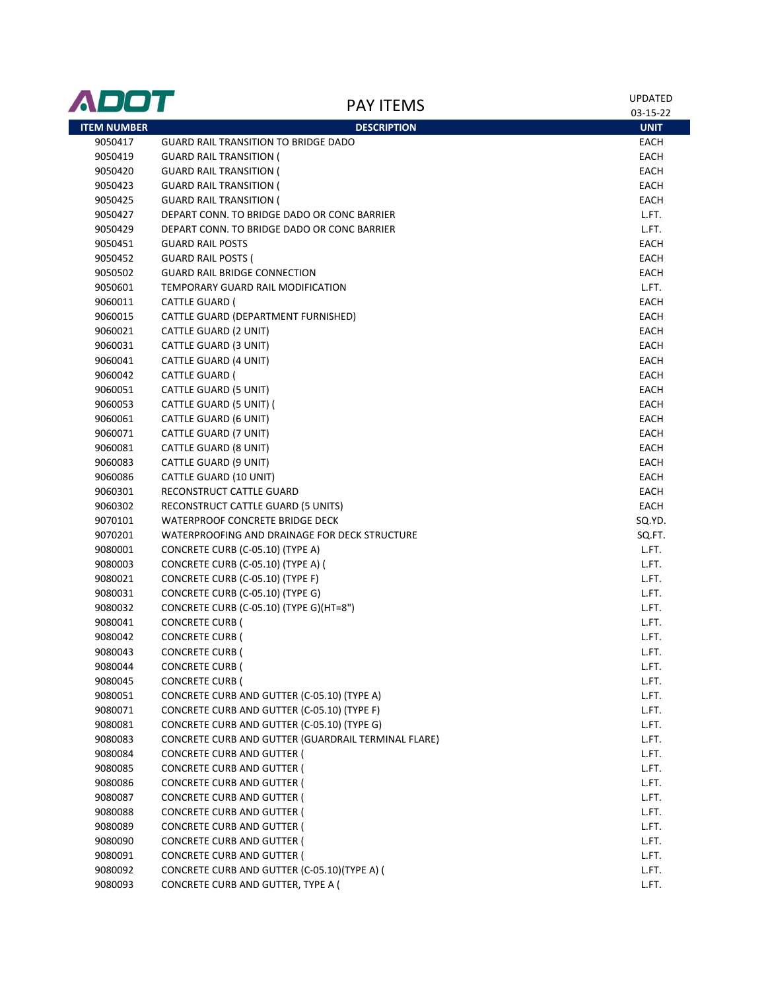| ADOT               | <b>PAY ITEMS</b>                                    | <b>UPDATED</b> |
|--------------------|-----------------------------------------------------|----------------|
|                    |                                                     | 03-15-22       |
| <b>ITEM NUMBER</b> | <b>DESCRIPTION</b>                                  | <b>UNIT</b>    |
| 9050417            | <b>GUARD RAIL TRANSITION TO BRIDGE DADO</b>         | EACH           |
| 9050419            | <b>GUARD RAIL TRANSITION (</b>                      | EACH           |
| 9050420            | <b>GUARD RAIL TRANSITION (</b>                      | EACH           |
| 9050423            | <b>GUARD RAIL TRANSITION (</b>                      | EACH           |
| 9050425            | <b>GUARD RAIL TRANSITION (</b>                      | EACH           |
| 9050427            | DEPART CONN. TO BRIDGE DADO OR CONC BARRIER         | L.FT.          |
| 9050429            | DEPART CONN. TO BRIDGE DADO OR CONC BARRIER         | L.FT.          |
| 9050451            | <b>GUARD RAIL POSTS</b>                             | EACH           |
| 9050452            | <b>GUARD RAIL POSTS (</b>                           | EACH           |
| 9050502            | <b>GUARD RAIL BRIDGE CONNECTION</b>                 | EACH           |
| 9050601            | TEMPORARY GUARD RAIL MODIFICATION                   | L.FT.          |
| 9060011            | CATTLE GUARD (                                      | EACH           |
| 9060015            | CATTLE GUARD (DEPARTMENT FURNISHED)                 | EACH           |
| 9060021            | CATTLE GUARD (2 UNIT)                               | EACH           |
| 9060031            | CATTLE GUARD (3 UNIT)                               | EACH           |
| 9060041            | CATTLE GUARD (4 UNIT)                               | EACH           |
| 9060042            | <b>CATTLE GUARD (</b>                               | EACH           |
| 9060051            | CATTLE GUARD (5 UNIT)                               | EACH           |
| 9060053            | CATTLE GUARD (5 UNIT) (                             | EACH           |
| 9060061            | CATTLE GUARD (6 UNIT)                               | EACH           |
| 9060071            | CATTLE GUARD (7 UNIT)                               | EACH           |
| 9060081            | CATTLE GUARD (8 UNIT)                               | EACH           |
| 9060083            | CATTLE GUARD (9 UNIT)                               | EACH           |
| 9060086            | CATTLE GUARD (10 UNIT)                              | EACH           |
| 9060301            | RECONSTRUCT CATTLE GUARD                            | EACH           |
| 9060302            | RECONSTRUCT CATTLE GUARD (5 UNITS)                  | EACH           |
| 9070101            | WATERPROOF CONCRETE BRIDGE DECK                     | SQ.YD.         |
| 9070201            | WATERPROOFING AND DRAINAGE FOR DECK STRUCTURE       | SQ.FT.         |
| 9080001            | CONCRETE CURB (C-05.10) (TYPE A)                    | L.FT.          |
| 9080003            | CONCRETE CURB (C-05.10) (TYPE A) (                  | L.FT.          |
| 9080021            | CONCRETE CURB (C-05.10) (TYPE F)                    | L.FT.          |
| 9080031            | CONCRETE CURB (C-05.10) (TYPE G)                    | L.FT.          |
| 9080032            | CONCRETE CURB (C-05.10) (TYPE G)(HT=8")             | L.FT.          |
| 9080041            | <b>CONCRETE CURB (</b>                              | L.FT.          |
| 9080042            | <b>CONCRETE CURB (</b>                              | L.FT.          |
| 9080043            | <b>CONCRETE CURB (</b>                              | L.FT.          |
| 9080044            | <b>CONCRETE CURB (</b>                              | L.FT.          |
| 9080045            | <b>CONCRETE CURB (</b>                              | L.FT.          |
| 9080051            | CONCRETE CURB AND GUTTER (C-05.10) (TYPE A)         | L.FT.          |
| 9080071            | CONCRETE CURB AND GUTTER (C-05.10) (TYPE F)         | L.FT.          |
| 9080081            | CONCRETE CURB AND GUTTER (C-05.10) (TYPE G)         | L.FT.          |
| 9080083            | CONCRETE CURB AND GUTTER (GUARDRAIL TERMINAL FLARE) | L.FT.          |
| 9080084            | <b>CONCRETE CURB AND GUTTER (</b>                   | L.FT.          |
| 9080085            | <b>CONCRETE CURB AND GUTTER (</b>                   | L.FT.          |
| 9080086            | <b>CONCRETE CURB AND GUTTER (</b>                   | L.FT.          |
| 9080087            | <b>CONCRETE CURB AND GUTTER (</b>                   | L.FT.          |
| 9080088            | <b>CONCRETE CURB AND GUTTER (</b>                   | L.FT.          |
| 9080089            | <b>CONCRETE CURB AND GUTTER (</b>                   | L.FT.          |
| 9080090            | <b>CONCRETE CURB AND GUTTER (</b>                   | L.FT.          |
| 9080091            | <b>CONCRETE CURB AND GUTTER (</b>                   | L.FT.          |
| 9080092            | CONCRETE CURB AND GUTTER (C-05.10)(TYPE A) (        | L.FT.          |
| 9080093            | CONCRETE CURB AND GUTTER, TYPE A (                  | L.FT.          |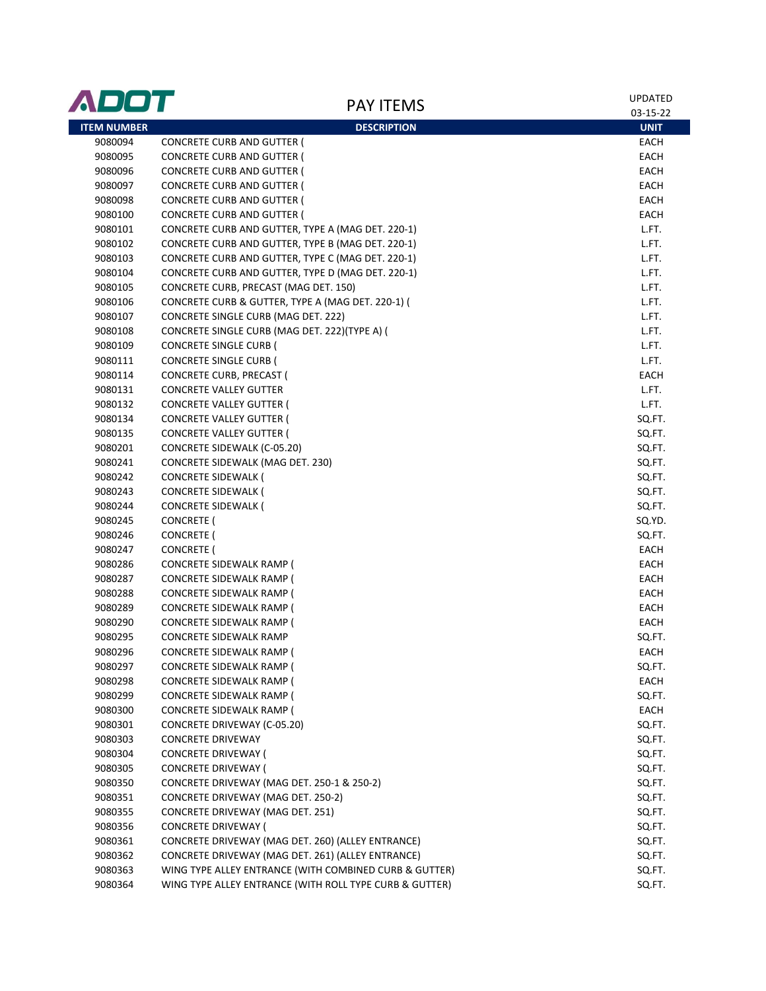| ADOT               | <b>PAY ITEMS</b>                                        | <b>UPDATED</b><br>03-15-22 |
|--------------------|---------------------------------------------------------|----------------------------|
| <b>ITEM NUMBER</b> | <b>DESCRIPTION</b>                                      | <b>UNIT</b>                |
| 9080094            | <b>CONCRETE CURB AND GUTTER (</b>                       | EACH                       |
| 9080095            | <b>CONCRETE CURB AND GUTTER (</b>                       | EACH                       |
| 9080096            | <b>CONCRETE CURB AND GUTTER (</b>                       | EACH                       |
| 9080097            | <b>CONCRETE CURB AND GUTTER (</b>                       | EACH                       |
| 9080098            | <b>CONCRETE CURB AND GUTTER (</b>                       | EACH                       |
| 9080100            | <b>CONCRETE CURB AND GUTTER (</b>                       | EACH                       |
| 9080101            | CONCRETE CURB AND GUTTER, TYPE A (MAG DET. 220-1)       | L.FT.                      |
| 9080102            | CONCRETE CURB AND GUTTER, TYPE B (MAG DET. 220-1)       | L.FT.                      |
| 9080103            | CONCRETE CURB AND GUTTER, TYPE C (MAG DET. 220-1)       | L.FT.                      |
| 9080104            | CONCRETE CURB AND GUTTER, TYPE D (MAG DET. 220-1)       | L.FT.                      |
| 9080105            | CONCRETE CURB, PRECAST (MAG DET. 150)                   | L.FT.                      |
| 9080106            | CONCRETE CURB & GUTTER, TYPE A (MAG DET. 220-1) (       | L.FT.                      |
| 9080107            | CONCRETE SINGLE CURB (MAG DET. 222)                     | L.FT.                      |
| 9080108            | CONCRETE SINGLE CURB (MAG DET. 222) (TYPE A) (          | L.FT.                      |
| 9080109            | <b>CONCRETE SINGLE CURB (</b>                           | L.FT.                      |
| 9080111            | <b>CONCRETE SINGLE CURB (</b>                           | L.FT.                      |
| 9080114            | CONCRETE CURB, PRECAST (                                | EACH                       |
| 9080131            | <b>CONCRETE VALLEY GUTTER</b>                           | L.FT.                      |
| 9080132            | <b>CONCRETE VALLEY GUTTER (</b>                         | L.FT.                      |
| 9080134            | <b>CONCRETE VALLEY GUTTER (</b>                         | SQ.FT.                     |
| 9080135            | <b>CONCRETE VALLEY GUTTER (</b>                         | SQ.FT.                     |
| 9080201            | CONCRETE SIDEWALK (C-05.20)                             | SQ.FT.                     |
| 9080241            | CONCRETE SIDEWALK (MAG DET. 230)                        | SQ.FT.                     |
| 9080242            | CONCRETE SIDEWALK (                                     | SQ.FT.                     |
| 9080243            | CONCRETE SIDEWALK (                                     | SQ.FT.                     |
| 9080244            | CONCRETE SIDEWALK (                                     | SQ.FT.                     |
| 9080245            | CONCRETE (                                              | SQ.YD.                     |
| 9080246            | CONCRETE (                                              | SQ.FT.                     |
| 9080247            | CONCRETE (                                              | EACH                       |
| 9080286            | CONCRETE SIDEWALK RAMP (                                | EACH                       |
| 9080287            | CONCRETE SIDEWALK RAMP (                                | EACH                       |
| 9080288            | CONCRETE SIDEWALK RAMP (                                | EACH                       |
| 9080289            | CONCRETE SIDEWALK RAMP (                                | EACH                       |
| 9080290            | CONCRETE SIDEWALK RAMP (                                | EACH                       |
| 9080295            | <b>CONCRETE SIDEWALK RAMP</b>                           | SQ.FT.                     |
| 9080296            | <b>CONCRETE SIDEWALK RAMP (</b>                         | EACH                       |
| 9080297            | CONCRETE SIDEWALK RAMP (                                | SQ.FT.                     |
| 9080298            | CONCRETE SIDEWALK RAMP (                                | <b>EACH</b>                |
| 9080299            | CONCRETE SIDEWALK RAMP (                                | SQ.FT.                     |
| 9080300            | <b>CONCRETE SIDEWALK RAMP (</b>                         | EACH                       |
| 9080301            | CONCRETE DRIVEWAY (C-05.20)                             | SQ.FT.                     |
| 9080303            | CONCRETE DRIVEWAY                                       | SQ.FT.                     |
| 9080304            | CONCRETE DRIVEWAY (                                     | SQ.FT.                     |
| 9080305            | <b>CONCRETE DRIVEWAY (</b>                              | SQ.FT.                     |
| 9080350            | CONCRETE DRIVEWAY (MAG DET. 250-1 & 250-2)              | SQ.FT.                     |
| 9080351            | CONCRETE DRIVEWAY (MAG DET. 250-2)                      | SQ.FT.                     |
| 9080355            | CONCRETE DRIVEWAY (MAG DET. 251)                        | SQ.FT.                     |
| 9080356            | <b>CONCRETE DRIVEWAY (</b>                              | SQ.FT.                     |
| 9080361            | CONCRETE DRIVEWAY (MAG DET. 260) (ALLEY ENTRANCE)       | SQ.FT.                     |
| 9080362            | CONCRETE DRIVEWAY (MAG DET. 261) (ALLEY ENTRANCE)       | SQ.FT.                     |
| 9080363            | WING TYPE ALLEY ENTRANCE (WITH COMBINED CURB & GUTTER)  | SQ.FT.                     |
| 9080364            | WING TYPE ALLEY ENTRANCE (WITH ROLL TYPE CURB & GUTTER) | SQ.FT.                     |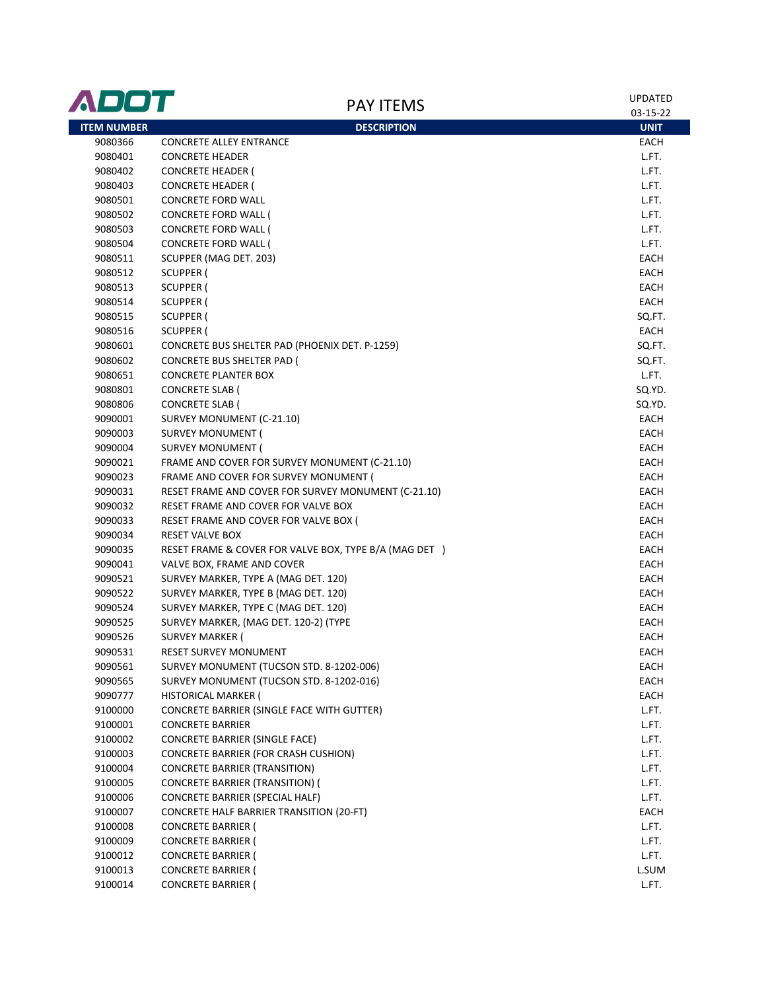| 03-15-22<br><b>ITEM NUMBER</b><br><b>DESCRIPTION</b><br><b>UNIT</b><br>9080366<br><b>CONCRETE ALLEY ENTRANCE</b><br>EACH<br>9080401<br><b>CONCRETE HEADER</b><br>L.FT.<br>9080402<br><b>CONCRETE HEADER (</b><br>L.FT.<br>9080403<br><b>CONCRETE HEADER (</b><br>L.FT.<br><b>CONCRETE FORD WALL</b><br>L.FT.<br>9080501<br>L.FT.<br>9080502<br>CONCRETE FORD WALL (<br>L.FT.<br>9080503<br>CONCRETE FORD WALL (<br><b>CONCRETE FORD WALL (</b><br>L.FT.<br>9080504<br>SCUPPER (MAG DET. 203)<br>EACH<br>9080511<br>EACH<br>9080512<br>SCUPPER (<br>EACH<br>9080513<br>SCUPPER (<br>EACH<br>9080514<br>SCUPPER (<br><b>SCUPPER (</b><br>SQ.FT.<br>9080515<br>SCUPPER (<br>EACH<br>9080516<br>9080601<br>CONCRETE BUS SHELTER PAD (PHOENIX DET. P-1259)<br>SQ.FT.<br>9080602<br><b>CONCRETE BUS SHELTER PAD (</b><br>SQ.FT.<br>L.FT.<br>9080651<br><b>CONCRETE PLANTER BOX</b><br>SQ.YD.<br>9080801<br><b>CONCRETE SLAB (</b><br>SQ.YD.<br>9080806<br><b>CONCRETE SLAB (</b><br>9090001<br>SURVEY MONUMENT (C-21.10)<br>EACH<br>9090003<br><b>SURVEY MONUMENT (</b><br>EACH<br>9090004<br><b>SURVEY MONUMENT (</b><br>EACH<br>EACH<br>9090021<br>FRAME AND COVER FOR SURVEY MONUMENT (C-21.10)<br>EACH<br>9090023<br>FRAME AND COVER FOR SURVEY MONUMENT (<br>EACH<br>9090031<br>RESET FRAME AND COVER FOR SURVEY MONUMENT (C-21.10)<br>EACH<br>9090032<br>RESET FRAME AND COVER FOR VALVE BOX<br>EACH<br>9090033<br>RESET FRAME AND COVER FOR VALVE BOX (<br>9090034<br><b>RESET VALVE BOX</b><br>EACH<br>RESET FRAME & COVER FOR VALVE BOX, TYPE B/A (MAG DET)<br>9090035<br>EACH<br>EACH<br>9090041<br>VALVE BOX, FRAME AND COVER<br>9090521<br>SURVEY MARKER, TYPE A (MAG DET. 120)<br>EACH<br>SURVEY MARKER, TYPE B (MAG DET. 120)<br>9090522<br>EACH<br>SURVEY MARKER, TYPE C (MAG DET. 120)<br>9090524<br>EACH<br>SURVEY MARKER, (MAG DET. 120-2) (TYPE<br>EACH<br>9090525<br>9090526<br><b>SURVEY MARKER (</b><br>EACH<br>RESET SURVEY MONUMENT<br>EACH<br>9090531<br>9090561<br>SURVEY MONUMENT (TUCSON STD. 8-1202-006)<br>EACH<br>9090565<br>SURVEY MONUMENT (TUCSON STD. 8-1202-016)<br>EACH<br>HISTORICAL MARKER (<br>9090777<br><b>EACH</b><br>9100000<br>CONCRETE BARRIER (SINGLE FACE WITH GUTTER)<br>L.FT.<br>9100001<br><b>CONCRETE BARRIER</b><br>L.FT.<br>CONCRETE BARRIER (SINGLE FACE)<br>L.FT.<br>9100002<br><b>CONCRETE BARRIER (FOR CRASH CUSHION)</b><br>L.FT.<br>9100003<br>9100004<br><b>CONCRETE BARRIER (TRANSITION)</b><br>L.FT.<br><b>CONCRETE BARRIER (TRANSITION) (</b><br>L.FT.<br>9100005<br>CONCRETE BARRIER (SPECIAL HALF)<br>L.FT.<br>9100006<br>CONCRETE HALF BARRIER TRANSITION (20-FT)<br>EACH<br>9100007<br>L.FT.<br>9100008<br><b>CONCRETE BARRIER (</b><br>L.FT.<br>9100009<br><b>CONCRETE BARRIER (</b><br><b>CONCRETE BARRIER (</b><br>L.FT.<br>9100012<br><b>CONCRETE BARRIER (</b><br>L.SUM<br>9100013<br>9100014<br><b>CONCRETE BARRIER (</b><br>L.FT. | ADOT | <b>PAY ITEMS</b> | <b>UPDATED</b> |
|--------------------------------------------------------------------------------------------------------------------------------------------------------------------------------------------------------------------------------------------------------------------------------------------------------------------------------------------------------------------------------------------------------------------------------------------------------------------------------------------------------------------------------------------------------------------------------------------------------------------------------------------------------------------------------------------------------------------------------------------------------------------------------------------------------------------------------------------------------------------------------------------------------------------------------------------------------------------------------------------------------------------------------------------------------------------------------------------------------------------------------------------------------------------------------------------------------------------------------------------------------------------------------------------------------------------------------------------------------------------------------------------------------------------------------------------------------------------------------------------------------------------------------------------------------------------------------------------------------------------------------------------------------------------------------------------------------------------------------------------------------------------------------------------------------------------------------------------------------------------------------------------------------------------------------------------------------------------------------------------------------------------------------------------------------------------------------------------------------------------------------------------------------------------------------------------------------------------------------------------------------------------------------------------------------------------------------------------------------------------------------------------------------------------------------------------------------------------------------------------------------------------------------------------------------------------------------------------------------------------------------------------------------------------------------------------------------------------------------------------------------------------------------------------------------------------------------------------------------------------------------------------------------|------|------------------|----------------|
|                                                                                                                                                                                                                                                                                                                                                                                                                                                                                                                                                                                                                                                                                                                                                                                                                                                                                                                                                                                                                                                                                                                                                                                                                                                                                                                                                                                                                                                                                                                                                                                                                                                                                                                                                                                                                                                                                                                                                                                                                                                                                                                                                                                                                                                                                                                                                                                                                                                                                                                                                                                                                                                                                                                                                                                                                                                                                                        |      |                  |                |
|                                                                                                                                                                                                                                                                                                                                                                                                                                                                                                                                                                                                                                                                                                                                                                                                                                                                                                                                                                                                                                                                                                                                                                                                                                                                                                                                                                                                                                                                                                                                                                                                                                                                                                                                                                                                                                                                                                                                                                                                                                                                                                                                                                                                                                                                                                                                                                                                                                                                                                                                                                                                                                                                                                                                                                                                                                                                                                        |      |                  |                |
|                                                                                                                                                                                                                                                                                                                                                                                                                                                                                                                                                                                                                                                                                                                                                                                                                                                                                                                                                                                                                                                                                                                                                                                                                                                                                                                                                                                                                                                                                                                                                                                                                                                                                                                                                                                                                                                                                                                                                                                                                                                                                                                                                                                                                                                                                                                                                                                                                                                                                                                                                                                                                                                                                                                                                                                                                                                                                                        |      |                  |                |
|                                                                                                                                                                                                                                                                                                                                                                                                                                                                                                                                                                                                                                                                                                                                                                                                                                                                                                                                                                                                                                                                                                                                                                                                                                                                                                                                                                                                                                                                                                                                                                                                                                                                                                                                                                                                                                                                                                                                                                                                                                                                                                                                                                                                                                                                                                                                                                                                                                                                                                                                                                                                                                                                                                                                                                                                                                                                                                        |      |                  |                |
|                                                                                                                                                                                                                                                                                                                                                                                                                                                                                                                                                                                                                                                                                                                                                                                                                                                                                                                                                                                                                                                                                                                                                                                                                                                                                                                                                                                                                                                                                                                                                                                                                                                                                                                                                                                                                                                                                                                                                                                                                                                                                                                                                                                                                                                                                                                                                                                                                                                                                                                                                                                                                                                                                                                                                                                                                                                                                                        |      |                  |                |
|                                                                                                                                                                                                                                                                                                                                                                                                                                                                                                                                                                                                                                                                                                                                                                                                                                                                                                                                                                                                                                                                                                                                                                                                                                                                                                                                                                                                                                                                                                                                                                                                                                                                                                                                                                                                                                                                                                                                                                                                                                                                                                                                                                                                                                                                                                                                                                                                                                                                                                                                                                                                                                                                                                                                                                                                                                                                                                        |      |                  |                |
|                                                                                                                                                                                                                                                                                                                                                                                                                                                                                                                                                                                                                                                                                                                                                                                                                                                                                                                                                                                                                                                                                                                                                                                                                                                                                                                                                                                                                                                                                                                                                                                                                                                                                                                                                                                                                                                                                                                                                                                                                                                                                                                                                                                                                                                                                                                                                                                                                                                                                                                                                                                                                                                                                                                                                                                                                                                                                                        |      |                  |                |
|                                                                                                                                                                                                                                                                                                                                                                                                                                                                                                                                                                                                                                                                                                                                                                                                                                                                                                                                                                                                                                                                                                                                                                                                                                                                                                                                                                                                                                                                                                                                                                                                                                                                                                                                                                                                                                                                                                                                                                                                                                                                                                                                                                                                                                                                                                                                                                                                                                                                                                                                                                                                                                                                                                                                                                                                                                                                                                        |      |                  |                |
|                                                                                                                                                                                                                                                                                                                                                                                                                                                                                                                                                                                                                                                                                                                                                                                                                                                                                                                                                                                                                                                                                                                                                                                                                                                                                                                                                                                                                                                                                                                                                                                                                                                                                                                                                                                                                                                                                                                                                                                                                                                                                                                                                                                                                                                                                                                                                                                                                                                                                                                                                                                                                                                                                                                                                                                                                                                                                                        |      |                  |                |
|                                                                                                                                                                                                                                                                                                                                                                                                                                                                                                                                                                                                                                                                                                                                                                                                                                                                                                                                                                                                                                                                                                                                                                                                                                                                                                                                                                                                                                                                                                                                                                                                                                                                                                                                                                                                                                                                                                                                                                                                                                                                                                                                                                                                                                                                                                                                                                                                                                                                                                                                                                                                                                                                                                                                                                                                                                                                                                        |      |                  |                |
|                                                                                                                                                                                                                                                                                                                                                                                                                                                                                                                                                                                                                                                                                                                                                                                                                                                                                                                                                                                                                                                                                                                                                                                                                                                                                                                                                                                                                                                                                                                                                                                                                                                                                                                                                                                                                                                                                                                                                                                                                                                                                                                                                                                                                                                                                                                                                                                                                                                                                                                                                                                                                                                                                                                                                                                                                                                                                                        |      |                  |                |
|                                                                                                                                                                                                                                                                                                                                                                                                                                                                                                                                                                                                                                                                                                                                                                                                                                                                                                                                                                                                                                                                                                                                                                                                                                                                                                                                                                                                                                                                                                                                                                                                                                                                                                                                                                                                                                                                                                                                                                                                                                                                                                                                                                                                                                                                                                                                                                                                                                                                                                                                                                                                                                                                                                                                                                                                                                                                                                        |      |                  |                |
|                                                                                                                                                                                                                                                                                                                                                                                                                                                                                                                                                                                                                                                                                                                                                                                                                                                                                                                                                                                                                                                                                                                                                                                                                                                                                                                                                                                                                                                                                                                                                                                                                                                                                                                                                                                                                                                                                                                                                                                                                                                                                                                                                                                                                                                                                                                                                                                                                                                                                                                                                                                                                                                                                                                                                                                                                                                                                                        |      |                  |                |
|                                                                                                                                                                                                                                                                                                                                                                                                                                                                                                                                                                                                                                                                                                                                                                                                                                                                                                                                                                                                                                                                                                                                                                                                                                                                                                                                                                                                                                                                                                                                                                                                                                                                                                                                                                                                                                                                                                                                                                                                                                                                                                                                                                                                                                                                                                                                                                                                                                                                                                                                                                                                                                                                                                                                                                                                                                                                                                        |      |                  |                |
|                                                                                                                                                                                                                                                                                                                                                                                                                                                                                                                                                                                                                                                                                                                                                                                                                                                                                                                                                                                                                                                                                                                                                                                                                                                                                                                                                                                                                                                                                                                                                                                                                                                                                                                                                                                                                                                                                                                                                                                                                                                                                                                                                                                                                                                                                                                                                                                                                                                                                                                                                                                                                                                                                                                                                                                                                                                                                                        |      |                  |                |
|                                                                                                                                                                                                                                                                                                                                                                                                                                                                                                                                                                                                                                                                                                                                                                                                                                                                                                                                                                                                                                                                                                                                                                                                                                                                                                                                                                                                                                                                                                                                                                                                                                                                                                                                                                                                                                                                                                                                                                                                                                                                                                                                                                                                                                                                                                                                                                                                                                                                                                                                                                                                                                                                                                                                                                                                                                                                                                        |      |                  |                |
|                                                                                                                                                                                                                                                                                                                                                                                                                                                                                                                                                                                                                                                                                                                                                                                                                                                                                                                                                                                                                                                                                                                                                                                                                                                                                                                                                                                                                                                                                                                                                                                                                                                                                                                                                                                                                                                                                                                                                                                                                                                                                                                                                                                                                                                                                                                                                                                                                                                                                                                                                                                                                                                                                                                                                                                                                                                                                                        |      |                  |                |
|                                                                                                                                                                                                                                                                                                                                                                                                                                                                                                                                                                                                                                                                                                                                                                                                                                                                                                                                                                                                                                                                                                                                                                                                                                                                                                                                                                                                                                                                                                                                                                                                                                                                                                                                                                                                                                                                                                                                                                                                                                                                                                                                                                                                                                                                                                                                                                                                                                                                                                                                                                                                                                                                                                                                                                                                                                                                                                        |      |                  |                |
|                                                                                                                                                                                                                                                                                                                                                                                                                                                                                                                                                                                                                                                                                                                                                                                                                                                                                                                                                                                                                                                                                                                                                                                                                                                                                                                                                                                                                                                                                                                                                                                                                                                                                                                                                                                                                                                                                                                                                                                                                                                                                                                                                                                                                                                                                                                                                                                                                                                                                                                                                                                                                                                                                                                                                                                                                                                                                                        |      |                  |                |
|                                                                                                                                                                                                                                                                                                                                                                                                                                                                                                                                                                                                                                                                                                                                                                                                                                                                                                                                                                                                                                                                                                                                                                                                                                                                                                                                                                                                                                                                                                                                                                                                                                                                                                                                                                                                                                                                                                                                                                                                                                                                                                                                                                                                                                                                                                                                                                                                                                                                                                                                                                                                                                                                                                                                                                                                                                                                                                        |      |                  |                |
|                                                                                                                                                                                                                                                                                                                                                                                                                                                                                                                                                                                                                                                                                                                                                                                                                                                                                                                                                                                                                                                                                                                                                                                                                                                                                                                                                                                                                                                                                                                                                                                                                                                                                                                                                                                                                                                                                                                                                                                                                                                                                                                                                                                                                                                                                                                                                                                                                                                                                                                                                                                                                                                                                                                                                                                                                                                                                                        |      |                  |                |
|                                                                                                                                                                                                                                                                                                                                                                                                                                                                                                                                                                                                                                                                                                                                                                                                                                                                                                                                                                                                                                                                                                                                                                                                                                                                                                                                                                                                                                                                                                                                                                                                                                                                                                                                                                                                                                                                                                                                                                                                                                                                                                                                                                                                                                                                                                                                                                                                                                                                                                                                                                                                                                                                                                                                                                                                                                                                                                        |      |                  |                |
|                                                                                                                                                                                                                                                                                                                                                                                                                                                                                                                                                                                                                                                                                                                                                                                                                                                                                                                                                                                                                                                                                                                                                                                                                                                                                                                                                                                                                                                                                                                                                                                                                                                                                                                                                                                                                                                                                                                                                                                                                                                                                                                                                                                                                                                                                                                                                                                                                                                                                                                                                                                                                                                                                                                                                                                                                                                                                                        |      |                  |                |
|                                                                                                                                                                                                                                                                                                                                                                                                                                                                                                                                                                                                                                                                                                                                                                                                                                                                                                                                                                                                                                                                                                                                                                                                                                                                                                                                                                                                                                                                                                                                                                                                                                                                                                                                                                                                                                                                                                                                                                                                                                                                                                                                                                                                                                                                                                                                                                                                                                                                                                                                                                                                                                                                                                                                                                                                                                                                                                        |      |                  |                |
|                                                                                                                                                                                                                                                                                                                                                                                                                                                                                                                                                                                                                                                                                                                                                                                                                                                                                                                                                                                                                                                                                                                                                                                                                                                                                                                                                                                                                                                                                                                                                                                                                                                                                                                                                                                                                                                                                                                                                                                                                                                                                                                                                                                                                                                                                                                                                                                                                                                                                                                                                                                                                                                                                                                                                                                                                                                                                                        |      |                  |                |
|                                                                                                                                                                                                                                                                                                                                                                                                                                                                                                                                                                                                                                                                                                                                                                                                                                                                                                                                                                                                                                                                                                                                                                                                                                                                                                                                                                                                                                                                                                                                                                                                                                                                                                                                                                                                                                                                                                                                                                                                                                                                                                                                                                                                                                                                                                                                                                                                                                                                                                                                                                                                                                                                                                                                                                                                                                                                                                        |      |                  |                |
|                                                                                                                                                                                                                                                                                                                                                                                                                                                                                                                                                                                                                                                                                                                                                                                                                                                                                                                                                                                                                                                                                                                                                                                                                                                                                                                                                                                                                                                                                                                                                                                                                                                                                                                                                                                                                                                                                                                                                                                                                                                                                                                                                                                                                                                                                                                                                                                                                                                                                                                                                                                                                                                                                                                                                                                                                                                                                                        |      |                  |                |
|                                                                                                                                                                                                                                                                                                                                                                                                                                                                                                                                                                                                                                                                                                                                                                                                                                                                                                                                                                                                                                                                                                                                                                                                                                                                                                                                                                                                                                                                                                                                                                                                                                                                                                                                                                                                                                                                                                                                                                                                                                                                                                                                                                                                                                                                                                                                                                                                                                                                                                                                                                                                                                                                                                                                                                                                                                                                                                        |      |                  |                |
|                                                                                                                                                                                                                                                                                                                                                                                                                                                                                                                                                                                                                                                                                                                                                                                                                                                                                                                                                                                                                                                                                                                                                                                                                                                                                                                                                                                                                                                                                                                                                                                                                                                                                                                                                                                                                                                                                                                                                                                                                                                                                                                                                                                                                                                                                                                                                                                                                                                                                                                                                                                                                                                                                                                                                                                                                                                                                                        |      |                  |                |
|                                                                                                                                                                                                                                                                                                                                                                                                                                                                                                                                                                                                                                                                                                                                                                                                                                                                                                                                                                                                                                                                                                                                                                                                                                                                                                                                                                                                                                                                                                                                                                                                                                                                                                                                                                                                                                                                                                                                                                                                                                                                                                                                                                                                                                                                                                                                                                                                                                                                                                                                                                                                                                                                                                                                                                                                                                                                                                        |      |                  |                |
|                                                                                                                                                                                                                                                                                                                                                                                                                                                                                                                                                                                                                                                                                                                                                                                                                                                                                                                                                                                                                                                                                                                                                                                                                                                                                                                                                                                                                                                                                                                                                                                                                                                                                                                                                                                                                                                                                                                                                                                                                                                                                                                                                                                                                                                                                                                                                                                                                                                                                                                                                                                                                                                                                                                                                                                                                                                                                                        |      |                  |                |
|                                                                                                                                                                                                                                                                                                                                                                                                                                                                                                                                                                                                                                                                                                                                                                                                                                                                                                                                                                                                                                                                                                                                                                                                                                                                                                                                                                                                                                                                                                                                                                                                                                                                                                                                                                                                                                                                                                                                                                                                                                                                                                                                                                                                                                                                                                                                                                                                                                                                                                                                                                                                                                                                                                                                                                                                                                                                                                        |      |                  |                |
|                                                                                                                                                                                                                                                                                                                                                                                                                                                                                                                                                                                                                                                                                                                                                                                                                                                                                                                                                                                                                                                                                                                                                                                                                                                                                                                                                                                                                                                                                                                                                                                                                                                                                                                                                                                                                                                                                                                                                                                                                                                                                                                                                                                                                                                                                                                                                                                                                                                                                                                                                                                                                                                                                                                                                                                                                                                                                                        |      |                  |                |
|                                                                                                                                                                                                                                                                                                                                                                                                                                                                                                                                                                                                                                                                                                                                                                                                                                                                                                                                                                                                                                                                                                                                                                                                                                                                                                                                                                                                                                                                                                                                                                                                                                                                                                                                                                                                                                                                                                                                                                                                                                                                                                                                                                                                                                                                                                                                                                                                                                                                                                                                                                                                                                                                                                                                                                                                                                                                                                        |      |                  |                |
|                                                                                                                                                                                                                                                                                                                                                                                                                                                                                                                                                                                                                                                                                                                                                                                                                                                                                                                                                                                                                                                                                                                                                                                                                                                                                                                                                                                                                                                                                                                                                                                                                                                                                                                                                                                                                                                                                                                                                                                                                                                                                                                                                                                                                                                                                                                                                                                                                                                                                                                                                                                                                                                                                                                                                                                                                                                                                                        |      |                  |                |
|                                                                                                                                                                                                                                                                                                                                                                                                                                                                                                                                                                                                                                                                                                                                                                                                                                                                                                                                                                                                                                                                                                                                                                                                                                                                                                                                                                                                                                                                                                                                                                                                                                                                                                                                                                                                                                                                                                                                                                                                                                                                                                                                                                                                                                                                                                                                                                                                                                                                                                                                                                                                                                                                                                                                                                                                                                                                                                        |      |                  |                |
|                                                                                                                                                                                                                                                                                                                                                                                                                                                                                                                                                                                                                                                                                                                                                                                                                                                                                                                                                                                                                                                                                                                                                                                                                                                                                                                                                                                                                                                                                                                                                                                                                                                                                                                                                                                                                                                                                                                                                                                                                                                                                                                                                                                                                                                                                                                                                                                                                                                                                                                                                                                                                                                                                                                                                                                                                                                                                                        |      |                  |                |
|                                                                                                                                                                                                                                                                                                                                                                                                                                                                                                                                                                                                                                                                                                                                                                                                                                                                                                                                                                                                                                                                                                                                                                                                                                                                                                                                                                                                                                                                                                                                                                                                                                                                                                                                                                                                                                                                                                                                                                                                                                                                                                                                                                                                                                                                                                                                                                                                                                                                                                                                                                                                                                                                                                                                                                                                                                                                                                        |      |                  |                |
|                                                                                                                                                                                                                                                                                                                                                                                                                                                                                                                                                                                                                                                                                                                                                                                                                                                                                                                                                                                                                                                                                                                                                                                                                                                                                                                                                                                                                                                                                                                                                                                                                                                                                                                                                                                                                                                                                                                                                                                                                                                                                                                                                                                                                                                                                                                                                                                                                                                                                                                                                                                                                                                                                                                                                                                                                                                                                                        |      |                  |                |
|                                                                                                                                                                                                                                                                                                                                                                                                                                                                                                                                                                                                                                                                                                                                                                                                                                                                                                                                                                                                                                                                                                                                                                                                                                                                                                                                                                                                                                                                                                                                                                                                                                                                                                                                                                                                                                                                                                                                                                                                                                                                                                                                                                                                                                                                                                                                                                                                                                                                                                                                                                                                                                                                                                                                                                                                                                                                                                        |      |                  |                |
|                                                                                                                                                                                                                                                                                                                                                                                                                                                                                                                                                                                                                                                                                                                                                                                                                                                                                                                                                                                                                                                                                                                                                                                                                                                                                                                                                                                                                                                                                                                                                                                                                                                                                                                                                                                                                                                                                                                                                                                                                                                                                                                                                                                                                                                                                                                                                                                                                                                                                                                                                                                                                                                                                                                                                                                                                                                                                                        |      |                  |                |
|                                                                                                                                                                                                                                                                                                                                                                                                                                                                                                                                                                                                                                                                                                                                                                                                                                                                                                                                                                                                                                                                                                                                                                                                                                                                                                                                                                                                                                                                                                                                                                                                                                                                                                                                                                                                                                                                                                                                                                                                                                                                                                                                                                                                                                                                                                                                                                                                                                                                                                                                                                                                                                                                                                                                                                                                                                                                                                        |      |                  |                |
|                                                                                                                                                                                                                                                                                                                                                                                                                                                                                                                                                                                                                                                                                                                                                                                                                                                                                                                                                                                                                                                                                                                                                                                                                                                                                                                                                                                                                                                                                                                                                                                                                                                                                                                                                                                                                                                                                                                                                                                                                                                                                                                                                                                                                                                                                                                                                                                                                                                                                                                                                                                                                                                                                                                                                                                                                                                                                                        |      |                  |                |
|                                                                                                                                                                                                                                                                                                                                                                                                                                                                                                                                                                                                                                                                                                                                                                                                                                                                                                                                                                                                                                                                                                                                                                                                                                                                                                                                                                                                                                                                                                                                                                                                                                                                                                                                                                                                                                                                                                                                                                                                                                                                                                                                                                                                                                                                                                                                                                                                                                                                                                                                                                                                                                                                                                                                                                                                                                                                                                        |      |                  |                |
|                                                                                                                                                                                                                                                                                                                                                                                                                                                                                                                                                                                                                                                                                                                                                                                                                                                                                                                                                                                                                                                                                                                                                                                                                                                                                                                                                                                                                                                                                                                                                                                                                                                                                                                                                                                                                                                                                                                                                                                                                                                                                                                                                                                                                                                                                                                                                                                                                                                                                                                                                                                                                                                                                                                                                                                                                                                                                                        |      |                  |                |
|                                                                                                                                                                                                                                                                                                                                                                                                                                                                                                                                                                                                                                                                                                                                                                                                                                                                                                                                                                                                                                                                                                                                                                                                                                                                                                                                                                                                                                                                                                                                                                                                                                                                                                                                                                                                                                                                                                                                                                                                                                                                                                                                                                                                                                                                                                                                                                                                                                                                                                                                                                                                                                                                                                                                                                                                                                                                                                        |      |                  |                |
|                                                                                                                                                                                                                                                                                                                                                                                                                                                                                                                                                                                                                                                                                                                                                                                                                                                                                                                                                                                                                                                                                                                                                                                                                                                                                                                                                                                                                                                                                                                                                                                                                                                                                                                                                                                                                                                                                                                                                                                                                                                                                                                                                                                                                                                                                                                                                                                                                                                                                                                                                                                                                                                                                                                                                                                                                                                                                                        |      |                  |                |
|                                                                                                                                                                                                                                                                                                                                                                                                                                                                                                                                                                                                                                                                                                                                                                                                                                                                                                                                                                                                                                                                                                                                                                                                                                                                                                                                                                                                                                                                                                                                                                                                                                                                                                                                                                                                                                                                                                                                                                                                                                                                                                                                                                                                                                                                                                                                                                                                                                                                                                                                                                                                                                                                                                                                                                                                                                                                                                        |      |                  |                |
|                                                                                                                                                                                                                                                                                                                                                                                                                                                                                                                                                                                                                                                                                                                                                                                                                                                                                                                                                                                                                                                                                                                                                                                                                                                                                                                                                                                                                                                                                                                                                                                                                                                                                                                                                                                                                                                                                                                                                                                                                                                                                                                                                                                                                                                                                                                                                                                                                                                                                                                                                                                                                                                                                                                                                                                                                                                                                                        |      |                  |                |
|                                                                                                                                                                                                                                                                                                                                                                                                                                                                                                                                                                                                                                                                                                                                                                                                                                                                                                                                                                                                                                                                                                                                                                                                                                                                                                                                                                                                                                                                                                                                                                                                                                                                                                                                                                                                                                                                                                                                                                                                                                                                                                                                                                                                                                                                                                                                                                                                                                                                                                                                                                                                                                                                                                                                                                                                                                                                                                        |      |                  |                |
|                                                                                                                                                                                                                                                                                                                                                                                                                                                                                                                                                                                                                                                                                                                                                                                                                                                                                                                                                                                                                                                                                                                                                                                                                                                                                                                                                                                                                                                                                                                                                                                                                                                                                                                                                                                                                                                                                                                                                                                                                                                                                                                                                                                                                                                                                                                                                                                                                                                                                                                                                                                                                                                                                                                                                                                                                                                                                                        |      |                  |                |
|                                                                                                                                                                                                                                                                                                                                                                                                                                                                                                                                                                                                                                                                                                                                                                                                                                                                                                                                                                                                                                                                                                                                                                                                                                                                                                                                                                                                                                                                                                                                                                                                                                                                                                                                                                                                                                                                                                                                                                                                                                                                                                                                                                                                                                                                                                                                                                                                                                                                                                                                                                                                                                                                                                                                                                                                                                                                                                        |      |                  |                |
|                                                                                                                                                                                                                                                                                                                                                                                                                                                                                                                                                                                                                                                                                                                                                                                                                                                                                                                                                                                                                                                                                                                                                                                                                                                                                                                                                                                                                                                                                                                                                                                                                                                                                                                                                                                                                                                                                                                                                                                                                                                                                                                                                                                                                                                                                                                                                                                                                                                                                                                                                                                                                                                                                                                                                                                                                                                                                                        |      |                  |                |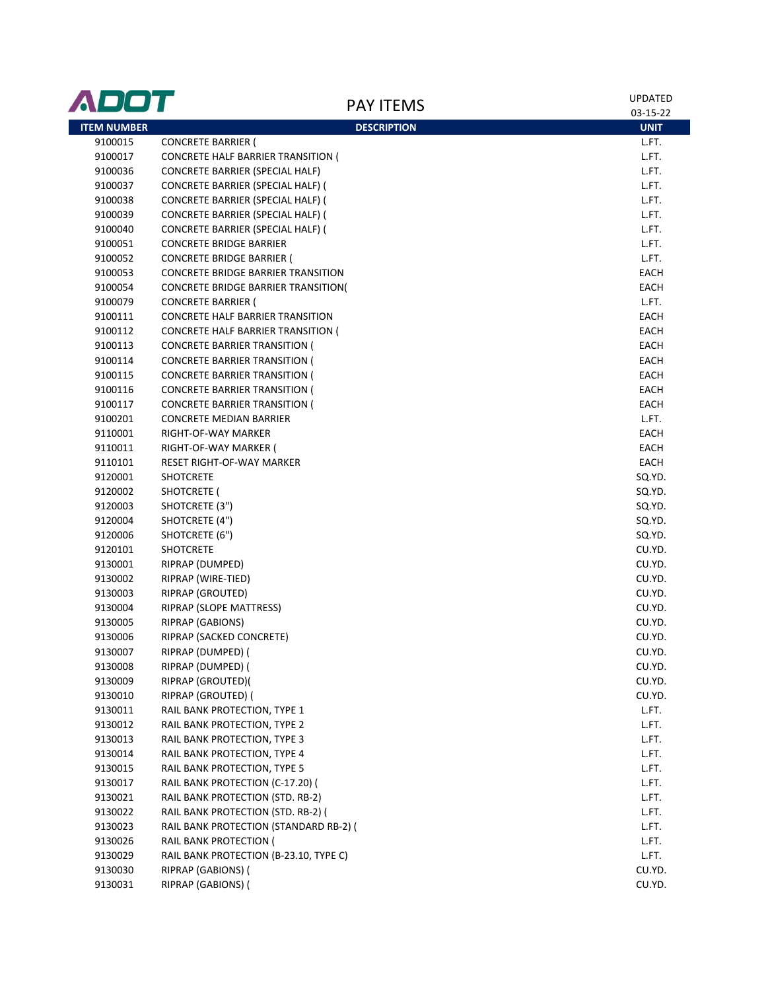| ADOT               | <b>PAY ITEMS</b>                           | <b>UPDATED</b> |
|--------------------|--------------------------------------------|----------------|
|                    |                                            | 03-15-22       |
| <b>ITEM NUMBER</b> | <b>DESCRIPTION</b>                         | <b>UNIT</b>    |
| 9100015            | <b>CONCRETE BARRIER (</b>                  | L.FT.          |
| 9100017            | CONCRETE HALF BARRIER TRANSITION (         | L.FT.          |
| 9100036            | CONCRETE BARRIER (SPECIAL HALF)            | L.FT.          |
| 9100037            | CONCRETE BARRIER (SPECIAL HALF) (          | L.FT.          |
| 9100038            | CONCRETE BARRIER (SPECIAL HALF) (          | L.FT.          |
| 9100039            | CONCRETE BARRIER (SPECIAL HALF) (          | L.FT.          |
| 9100040            | CONCRETE BARRIER (SPECIAL HALF) (          | L.FT.          |
| 9100051            | <b>CONCRETE BRIDGE BARRIER</b>             | L.FT.          |
| 9100052            | <b>CONCRETE BRIDGE BARRIER (</b>           | L.FT.          |
| 9100053            | <b>CONCRETE BRIDGE BARRIER TRANSITION</b>  | EACH           |
| 9100054            | <b>CONCRETE BRIDGE BARRIER TRANSITION(</b> | EACH           |
| 9100079            | <b>CONCRETE BARRIER (</b>                  | L.FT.          |
| 9100111            | CONCRETE HALF BARRIER TRANSITION           | EACH           |
| 9100112            | <b>CONCRETE HALF BARRIER TRANSITION (</b>  | EACH           |
| 9100113            | <b>CONCRETE BARRIER TRANSITION (</b>       | EACH           |
| 9100114            | <b>CONCRETE BARRIER TRANSITION (</b>       | EACH           |
| 9100115            | <b>CONCRETE BARRIER TRANSITION (</b>       | EACH           |
| 9100116            | <b>CONCRETE BARRIER TRANSITION (</b>       | EACH           |
| 9100117            | <b>CONCRETE BARRIER TRANSITION (</b>       | EACH           |
| 9100201            | CONCRETE MEDIAN BARRIER                    | L.FT.          |
| 9110001            | RIGHT-OF-WAY MARKER                        | <b>EACH</b>    |
| 9110011            | RIGHT-OF-WAY MARKER (                      | EACH           |
| 9110101            | RESET RIGHT-OF-WAY MARKER                  | EACH           |
| 9120001            | <b>SHOTCRETE</b>                           | SQ.YD.         |
| 9120002            | SHOTCRETE (                                | SQ.YD.         |
| 9120003            | SHOTCRETE (3")                             | SQ.YD.         |
| 9120004            | SHOTCRETE (4")                             | SQ.YD.         |
| 9120006            | SHOTCRETE (6")                             | SQ.YD.         |
| 9120101            | <b>SHOTCRETE</b>                           | CU.YD.         |
| 9130001            | RIPRAP (DUMPED)                            | CU.YD.         |
| 9130002            | RIPRAP (WIRE-TIED)                         | CU.YD.         |
| 9130003            | <b>RIPRAP (GROUTED)</b>                    | CU.YD.         |
| 9130004            | RIPRAP (SLOPE MATTRESS)                    | CU.YD.         |
| 9130005            | <b>RIPRAP (GABIONS)</b>                    | CU.YD.         |
| 9130006            | RIPRAP (SACKED CONCRETE)                   | CU.YD.         |
| 9130007            | RIPRAP (DUMPED) (                          | CU.YD.         |
| 9130008            | RIPRAP (DUMPED) (                          | CU.YD.         |
| 9130009            | RIPRAP (GROUTED)(                          | CU.YD.         |
| 9130010            | RIPRAP (GROUTED) (                         | CU.YD.         |
| 9130011            | RAIL BANK PROTECTION, TYPE 1               | L.FT.          |
| 9130012            | RAIL BANK PROTECTION, TYPE 2               | L.FT.          |
| 9130013            | RAIL BANK PROTECTION, TYPE 3               | L.FT.          |
| 9130014            | RAIL BANK PROTECTION, TYPE 4               | L.FT.          |
| 9130015            | RAIL BANK PROTECTION, TYPE 5               | L.FT.          |
| 9130017            | RAIL BANK PROTECTION (C-17.20) (           | L.FT.          |
| 9130021            | RAIL BANK PROTECTION (STD. RB-2)           | L.FT.          |
| 9130022            | RAIL BANK PROTECTION (STD. RB-2) (         | L.FT.          |
| 9130023            | RAIL BANK PROTECTION (STANDARD RB-2) (     | L.FT.          |
| 9130026            | RAIL BANK PROTECTION (                     | L.FT.          |
| 9130029            | RAIL BANK PROTECTION (B-23.10, TYPE C)     | L.FT.          |
| 9130030            | RIPRAP (GABIONS) (                         | CU.YD.         |
| 9130031            | RIPRAP (GABIONS) (                         | CU.YD.         |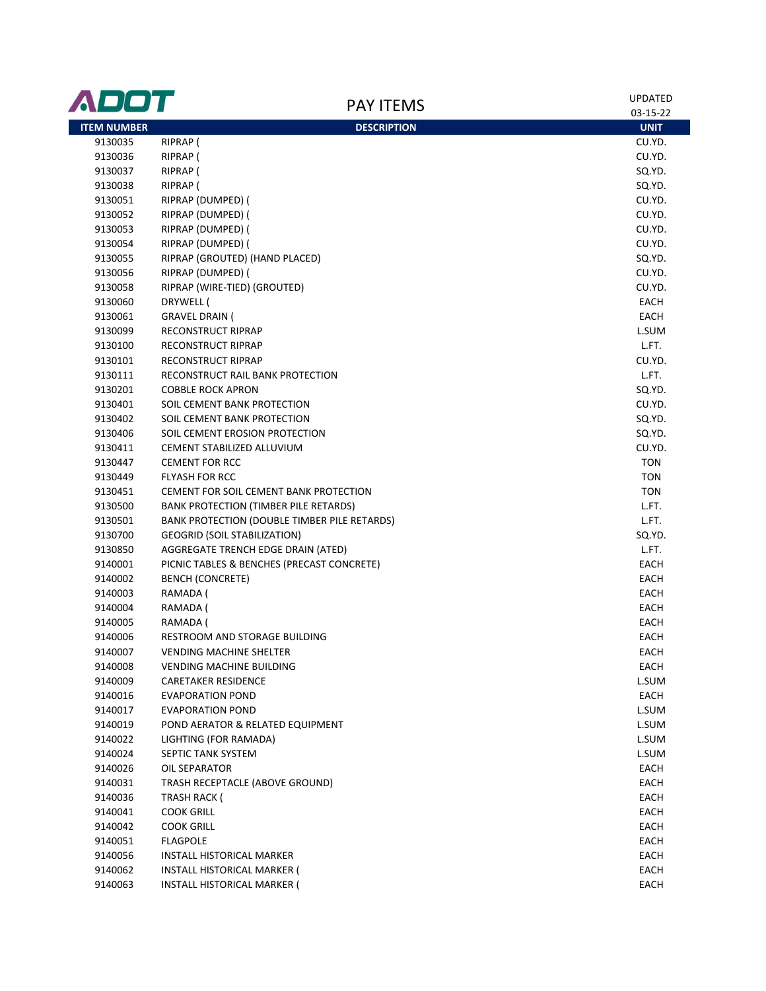| ADOT               | <b>PAY ITEMS</b>                             | <b>UPDATED</b>        |
|--------------------|----------------------------------------------|-----------------------|
| <b>ITEM NUMBER</b> |                                              | 03-15-22              |
| 9130035            | <b>DESCRIPTION</b><br>RIPRAP (               | <b>UNIT</b><br>CU.YD. |
| 9130036            | RIPRAP (                                     | CU.YD.                |
| 9130037            | RIPRAP (                                     | SQ.YD.                |
| 9130038            | RIPRAP (                                     | SQ.YD.                |
| 9130051            | RIPRAP (DUMPED) (                            | CU.YD.                |
| 9130052            | RIPRAP (DUMPED) (                            | CU.YD.                |
| 9130053            | RIPRAP (DUMPED) (                            | CU.YD.                |
| 9130054            | RIPRAP (DUMPED) (                            | CU.YD.                |
| 9130055            | RIPRAP (GROUTED) (HAND PLACED)               | SQ.YD.                |
| 9130056            | RIPRAP (DUMPED) (                            | CU.YD.                |
| 9130058            | RIPRAP (WIRE-TIED) (GROUTED)                 | CU.YD.                |
| 9130060            | DRYWELL (                                    | EACH                  |
| 9130061            | <b>GRAVEL DRAIN (</b>                        | EACH                  |
|                    | RECONSTRUCT RIPRAP                           | L.SUM                 |
| 9130099            | <b>RECONSTRUCT RIPRAP</b>                    | L.FT.                 |
| 9130100            | <b>RECONSTRUCT RIPRAP</b>                    | CU.YD.                |
| 9130101            |                                              |                       |
| 9130111            | RECONSTRUCT RAIL BANK PROTECTION             | L.FT.                 |
| 9130201            | <b>COBBLE ROCK APRON</b>                     | SQ.YD.                |
| 9130401            | SOIL CEMENT BANK PROTECTION                  | CU.YD.                |
| 9130402            | SOIL CEMENT BANK PROTECTION                  | SQ.YD.                |
| 9130406            | SOIL CEMENT EROSION PROTECTION               | SQ.YD.                |
| 9130411            | CEMENT STABILIZED ALLUVIUM                   | CU.YD.                |
| 9130447            | <b>CEMENT FOR RCC</b>                        | <b>TON</b>            |
| 9130449            | <b>FLYASH FOR RCC</b>                        | <b>TON</b>            |
| 9130451            | CEMENT FOR SOIL CEMENT BANK PROTECTION       | <b>TON</b>            |
| 9130500            | BANK PROTECTION (TIMBER PILE RETARDS)        | L.FT.                 |
| 9130501            | BANK PROTECTION (DOUBLE TIMBER PILE RETARDS) | L.FT.                 |
| 9130700            | <b>GEOGRID (SOIL STABILIZATION)</b>          | SQ.YD.                |
| 9130850            | AGGREGATE TRENCH EDGE DRAIN (ATED)           | L.FT.                 |
| 9140001            | PICNIC TABLES & BENCHES (PRECAST CONCRETE)   | EACH                  |
| 9140002            | <b>BENCH (CONCRETE)</b>                      | EACH                  |
| 9140003            | RAMADA (                                     | EACH                  |
| 9140004            | RAMADA (                                     | EACH                  |
| 9140005            | RAMADA (                                     | EACH                  |
| 9140006            | RESTROOM AND STORAGE BUILDING                | EACH                  |
| 9140007            | <b>VENDING MACHINE SHELTER</b>               | EACH                  |
| 9140008            | VENDING MACHINE BUILDING                     | EACH                  |
| 9140009            | <b>CARETAKER RESIDENCE</b>                   | L.SUM                 |
| 9140016            | <b>EVAPORATION POND</b>                      | EACH                  |
| 9140017            | <b>EVAPORATION POND</b>                      | L.SUM                 |
| 9140019            | POND AERATOR & RELATED EQUIPMENT             | L.SUM                 |
| 9140022            | LIGHTING (FOR RAMADA)                        | L.SUM                 |
| 9140024            | SEPTIC TANK SYSTEM                           | L.SUM                 |
| 9140026            | OIL SEPARATOR                                | EACH                  |
| 9140031            | TRASH RECEPTACLE (ABOVE GROUND)              | EACH                  |
| 9140036            | <b>TRASH RACK (</b>                          | <b>EACH</b>           |
| 9140041            | <b>COOK GRILL</b>                            | EACH                  |
| 9140042            | <b>COOK GRILL</b>                            | EACH                  |
| 9140051            | <b>FLAGPOLE</b>                              | EACH                  |
| 9140056            | INSTALL HISTORICAL MARKER                    | EACH                  |
| 9140062            | INSTALL HISTORICAL MARKER (                  | EACH                  |
| 9140063            | <b>INSTALL HISTORICAL MARKER (</b>           | EACH                  |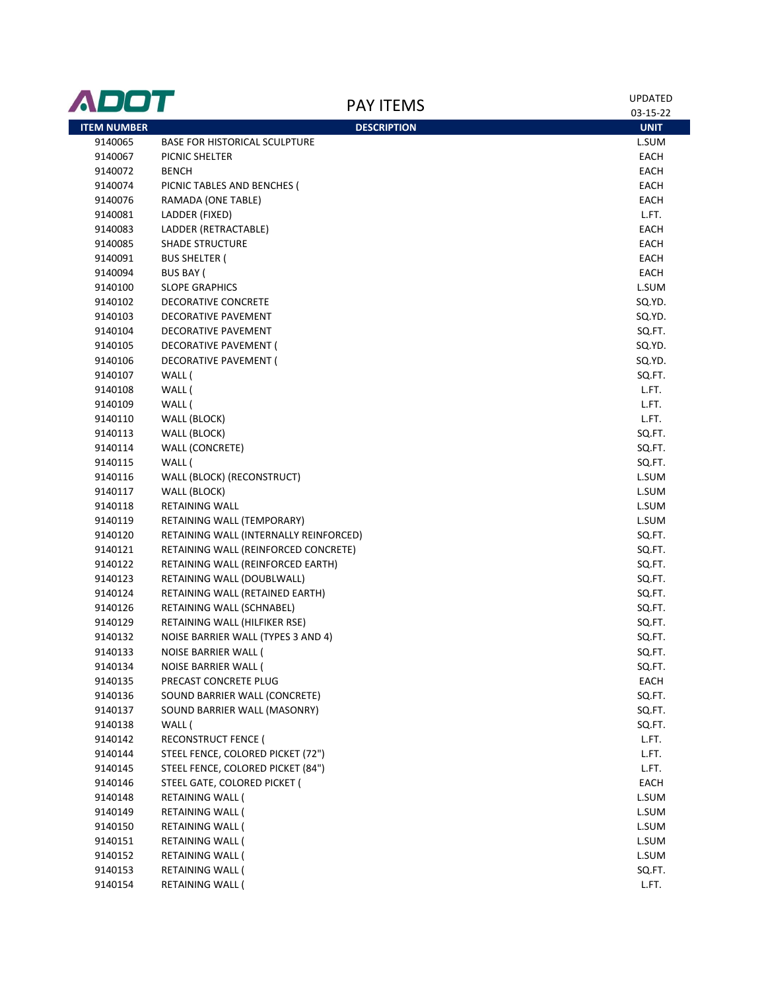| 03-15-22<br><b>ITEM NUMBER</b><br><b>DESCRIPTION</b><br><b>UNIT</b><br><b>BASE FOR HISTORICAL SCULPTURE</b><br>9140065<br>L.SUM<br>9140067<br>EACH<br>PICNIC SHELTER<br>9140072<br><b>BENCH</b><br>EACH<br>9140074<br>PICNIC TABLES AND BENCHES (<br>EACH<br>9140076<br>RAMADA (ONE TABLE)<br>EACH<br>LADDER (FIXED)<br>L.FT.<br>9140081<br>LADDER (RETRACTABLE)<br>EACH<br>9140083<br><b>SHADE STRUCTURE</b><br>EACH<br>9140085<br>9140091<br><b>BUS SHELTER (</b><br>EACH<br><b>BUS BAY (</b><br>EACH<br>9140094<br><b>SLOPE GRAPHICS</b><br>L.SUM<br>9140100<br>9140102<br>DECORATIVE CONCRETE<br>SQ.YD.<br>DECORATIVE PAVEMENT<br>SQ.YD.<br>9140103<br>SQ.FT.<br>9140104<br>DECORATIVE PAVEMENT<br>SQ.YD.<br>9140105<br>DECORATIVE PAVEMENT (<br>DECORATIVE PAVEMENT (<br>SQ.YD.<br>9140106<br>WALL (<br>SQ.FT.<br>9140107<br>WALL (<br>L.FT.<br>9140108<br>WALL (<br>9140109<br>L.FT.<br>9140110<br>WALL (BLOCK)<br>L.FT.<br>9140113<br>WALL (BLOCK)<br>SQ.FT.<br>WALL (CONCRETE)<br>SQ.FT.<br>9140114<br>WALL (<br>SQ.FT.<br>9140115<br>WALL (BLOCK) (RECONSTRUCT)<br>L.SUM<br>9140116<br>WALL (BLOCK)<br>L.SUM<br>9140117<br>L.SUM<br>9140118<br>RETAINING WALL<br>RETAINING WALL (TEMPORARY)<br>L.SUM<br>9140119<br>9140120<br>RETAINING WALL (INTERNALLY REINFORCED)<br>SQ.FT.<br>9140121<br>RETAINING WALL (REINFORCED CONCRETE)<br>SQ.FT.<br>SQ.FT.<br>9140122<br>RETAINING WALL (REINFORCED EARTH)<br>SQ.FT.<br>9140123<br>RETAINING WALL (DOUBLWALL)<br>RETAINING WALL (RETAINED EARTH)<br>SQ.FT.<br>9140124<br>9140126<br>RETAINING WALL (SCHNABEL)<br>SQ.FT.<br>RETAINING WALL (HILFIKER RSE)<br>SQ.FT.<br>9140129<br>NOISE BARRIER WALL (TYPES 3 AND 4)<br>SQ.FT.<br>9140132<br>SQ.FT.<br>9140133<br>NOISE BARRIER WALL (<br>9140134<br>NOISE BARRIER WALL (<br>SQ.FT.<br>9140135<br>EACH<br>PRECAST CONCRETE PLUG<br>9140136<br>SOUND BARRIER WALL (CONCRETE)<br>SQ.FT.<br>SOUND BARRIER WALL (MASONRY)<br>9140137<br>SQ.FT.<br>9140138<br>WALL (<br>SQ.FT.<br>RECONSTRUCT FENCE (<br>9140142<br>L.FT.<br>STEEL FENCE, COLORED PICKET (72")<br>9140144<br>L.FT.<br>STEEL FENCE, COLORED PICKET (84")<br>9140145<br>L.FT.<br>STEEL GATE, COLORED PICKET (<br>9140146<br>EACH<br>9140148<br>RETAINING WALL (<br>L.SUM<br>9140149<br>RETAINING WALL (<br>L.SUM<br>9140150<br>RETAINING WALL (<br>L.SUM<br>9140151<br>RETAINING WALL (<br>L.SUM<br>9140152<br>RETAINING WALL (<br>L.SUM<br>9140153<br>RETAINING WALL (<br>SQ.FT.<br>9140154<br>RETAINING WALL (<br>L.FT. | ADOT | <b>PAY ITEMS</b> | <b>UPDATED</b> |
|---------------------------------------------------------------------------------------------------------------------------------------------------------------------------------------------------------------------------------------------------------------------------------------------------------------------------------------------------------------------------------------------------------------------------------------------------------------------------------------------------------------------------------------------------------------------------------------------------------------------------------------------------------------------------------------------------------------------------------------------------------------------------------------------------------------------------------------------------------------------------------------------------------------------------------------------------------------------------------------------------------------------------------------------------------------------------------------------------------------------------------------------------------------------------------------------------------------------------------------------------------------------------------------------------------------------------------------------------------------------------------------------------------------------------------------------------------------------------------------------------------------------------------------------------------------------------------------------------------------------------------------------------------------------------------------------------------------------------------------------------------------------------------------------------------------------------------------------------------------------------------------------------------------------------------------------------------------------------------------------------------------------------------------------------------------------------------------------------------------------------------------------------------------------------------------------------------------------------------------------------------------------------------------------------------------------------------------------------------------------------------------------------------------------------------------------------------------------------------------|------|------------------|----------------|
|                                                                                                                                                                                                                                                                                                                                                                                                                                                                                                                                                                                                                                                                                                                                                                                                                                                                                                                                                                                                                                                                                                                                                                                                                                                                                                                                                                                                                                                                                                                                                                                                                                                                                                                                                                                                                                                                                                                                                                                                                                                                                                                                                                                                                                                                                                                                                                                                                                                                                       |      |                  |                |
|                                                                                                                                                                                                                                                                                                                                                                                                                                                                                                                                                                                                                                                                                                                                                                                                                                                                                                                                                                                                                                                                                                                                                                                                                                                                                                                                                                                                                                                                                                                                                                                                                                                                                                                                                                                                                                                                                                                                                                                                                                                                                                                                                                                                                                                                                                                                                                                                                                                                                       |      |                  |                |
|                                                                                                                                                                                                                                                                                                                                                                                                                                                                                                                                                                                                                                                                                                                                                                                                                                                                                                                                                                                                                                                                                                                                                                                                                                                                                                                                                                                                                                                                                                                                                                                                                                                                                                                                                                                                                                                                                                                                                                                                                                                                                                                                                                                                                                                                                                                                                                                                                                                                                       |      |                  |                |
|                                                                                                                                                                                                                                                                                                                                                                                                                                                                                                                                                                                                                                                                                                                                                                                                                                                                                                                                                                                                                                                                                                                                                                                                                                                                                                                                                                                                                                                                                                                                                                                                                                                                                                                                                                                                                                                                                                                                                                                                                                                                                                                                                                                                                                                                                                                                                                                                                                                                                       |      |                  |                |
|                                                                                                                                                                                                                                                                                                                                                                                                                                                                                                                                                                                                                                                                                                                                                                                                                                                                                                                                                                                                                                                                                                                                                                                                                                                                                                                                                                                                                                                                                                                                                                                                                                                                                                                                                                                                                                                                                                                                                                                                                                                                                                                                                                                                                                                                                                                                                                                                                                                                                       |      |                  |                |
|                                                                                                                                                                                                                                                                                                                                                                                                                                                                                                                                                                                                                                                                                                                                                                                                                                                                                                                                                                                                                                                                                                                                                                                                                                                                                                                                                                                                                                                                                                                                                                                                                                                                                                                                                                                                                                                                                                                                                                                                                                                                                                                                                                                                                                                                                                                                                                                                                                                                                       |      |                  |                |
|                                                                                                                                                                                                                                                                                                                                                                                                                                                                                                                                                                                                                                                                                                                                                                                                                                                                                                                                                                                                                                                                                                                                                                                                                                                                                                                                                                                                                                                                                                                                                                                                                                                                                                                                                                                                                                                                                                                                                                                                                                                                                                                                                                                                                                                                                                                                                                                                                                                                                       |      |                  |                |
|                                                                                                                                                                                                                                                                                                                                                                                                                                                                                                                                                                                                                                                                                                                                                                                                                                                                                                                                                                                                                                                                                                                                                                                                                                                                                                                                                                                                                                                                                                                                                                                                                                                                                                                                                                                                                                                                                                                                                                                                                                                                                                                                                                                                                                                                                                                                                                                                                                                                                       |      |                  |                |
|                                                                                                                                                                                                                                                                                                                                                                                                                                                                                                                                                                                                                                                                                                                                                                                                                                                                                                                                                                                                                                                                                                                                                                                                                                                                                                                                                                                                                                                                                                                                                                                                                                                                                                                                                                                                                                                                                                                                                                                                                                                                                                                                                                                                                                                                                                                                                                                                                                                                                       |      |                  |                |
|                                                                                                                                                                                                                                                                                                                                                                                                                                                                                                                                                                                                                                                                                                                                                                                                                                                                                                                                                                                                                                                                                                                                                                                                                                                                                                                                                                                                                                                                                                                                                                                                                                                                                                                                                                                                                                                                                                                                                                                                                                                                                                                                                                                                                                                                                                                                                                                                                                                                                       |      |                  |                |
|                                                                                                                                                                                                                                                                                                                                                                                                                                                                                                                                                                                                                                                                                                                                                                                                                                                                                                                                                                                                                                                                                                                                                                                                                                                                                                                                                                                                                                                                                                                                                                                                                                                                                                                                                                                                                                                                                                                                                                                                                                                                                                                                                                                                                                                                                                                                                                                                                                                                                       |      |                  |                |
|                                                                                                                                                                                                                                                                                                                                                                                                                                                                                                                                                                                                                                                                                                                                                                                                                                                                                                                                                                                                                                                                                                                                                                                                                                                                                                                                                                                                                                                                                                                                                                                                                                                                                                                                                                                                                                                                                                                                                                                                                                                                                                                                                                                                                                                                                                                                                                                                                                                                                       |      |                  |                |
|                                                                                                                                                                                                                                                                                                                                                                                                                                                                                                                                                                                                                                                                                                                                                                                                                                                                                                                                                                                                                                                                                                                                                                                                                                                                                                                                                                                                                                                                                                                                                                                                                                                                                                                                                                                                                                                                                                                                                                                                                                                                                                                                                                                                                                                                                                                                                                                                                                                                                       |      |                  |                |
|                                                                                                                                                                                                                                                                                                                                                                                                                                                                                                                                                                                                                                                                                                                                                                                                                                                                                                                                                                                                                                                                                                                                                                                                                                                                                                                                                                                                                                                                                                                                                                                                                                                                                                                                                                                                                                                                                                                                                                                                                                                                                                                                                                                                                                                                                                                                                                                                                                                                                       |      |                  |                |
|                                                                                                                                                                                                                                                                                                                                                                                                                                                                                                                                                                                                                                                                                                                                                                                                                                                                                                                                                                                                                                                                                                                                                                                                                                                                                                                                                                                                                                                                                                                                                                                                                                                                                                                                                                                                                                                                                                                                                                                                                                                                                                                                                                                                                                                                                                                                                                                                                                                                                       |      |                  |                |
|                                                                                                                                                                                                                                                                                                                                                                                                                                                                                                                                                                                                                                                                                                                                                                                                                                                                                                                                                                                                                                                                                                                                                                                                                                                                                                                                                                                                                                                                                                                                                                                                                                                                                                                                                                                                                                                                                                                                                                                                                                                                                                                                                                                                                                                                                                                                                                                                                                                                                       |      |                  |                |
|                                                                                                                                                                                                                                                                                                                                                                                                                                                                                                                                                                                                                                                                                                                                                                                                                                                                                                                                                                                                                                                                                                                                                                                                                                                                                                                                                                                                                                                                                                                                                                                                                                                                                                                                                                                                                                                                                                                                                                                                                                                                                                                                                                                                                                                                                                                                                                                                                                                                                       |      |                  |                |
|                                                                                                                                                                                                                                                                                                                                                                                                                                                                                                                                                                                                                                                                                                                                                                                                                                                                                                                                                                                                                                                                                                                                                                                                                                                                                                                                                                                                                                                                                                                                                                                                                                                                                                                                                                                                                                                                                                                                                                                                                                                                                                                                                                                                                                                                                                                                                                                                                                                                                       |      |                  |                |
|                                                                                                                                                                                                                                                                                                                                                                                                                                                                                                                                                                                                                                                                                                                                                                                                                                                                                                                                                                                                                                                                                                                                                                                                                                                                                                                                                                                                                                                                                                                                                                                                                                                                                                                                                                                                                                                                                                                                                                                                                                                                                                                                                                                                                                                                                                                                                                                                                                                                                       |      |                  |                |
|                                                                                                                                                                                                                                                                                                                                                                                                                                                                                                                                                                                                                                                                                                                                                                                                                                                                                                                                                                                                                                                                                                                                                                                                                                                                                                                                                                                                                                                                                                                                                                                                                                                                                                                                                                                                                                                                                                                                                                                                                                                                                                                                                                                                                                                                                                                                                                                                                                                                                       |      |                  |                |
|                                                                                                                                                                                                                                                                                                                                                                                                                                                                                                                                                                                                                                                                                                                                                                                                                                                                                                                                                                                                                                                                                                                                                                                                                                                                                                                                                                                                                                                                                                                                                                                                                                                                                                                                                                                                                                                                                                                                                                                                                                                                                                                                                                                                                                                                                                                                                                                                                                                                                       |      |                  |                |
|                                                                                                                                                                                                                                                                                                                                                                                                                                                                                                                                                                                                                                                                                                                                                                                                                                                                                                                                                                                                                                                                                                                                                                                                                                                                                                                                                                                                                                                                                                                                                                                                                                                                                                                                                                                                                                                                                                                                                                                                                                                                                                                                                                                                                                                                                                                                                                                                                                                                                       |      |                  |                |
|                                                                                                                                                                                                                                                                                                                                                                                                                                                                                                                                                                                                                                                                                                                                                                                                                                                                                                                                                                                                                                                                                                                                                                                                                                                                                                                                                                                                                                                                                                                                                                                                                                                                                                                                                                                                                                                                                                                                                                                                                                                                                                                                                                                                                                                                                                                                                                                                                                                                                       |      |                  |                |
|                                                                                                                                                                                                                                                                                                                                                                                                                                                                                                                                                                                                                                                                                                                                                                                                                                                                                                                                                                                                                                                                                                                                                                                                                                                                                                                                                                                                                                                                                                                                                                                                                                                                                                                                                                                                                                                                                                                                                                                                                                                                                                                                                                                                                                                                                                                                                                                                                                                                                       |      |                  |                |
|                                                                                                                                                                                                                                                                                                                                                                                                                                                                                                                                                                                                                                                                                                                                                                                                                                                                                                                                                                                                                                                                                                                                                                                                                                                                                                                                                                                                                                                                                                                                                                                                                                                                                                                                                                                                                                                                                                                                                                                                                                                                                                                                                                                                                                                                                                                                                                                                                                                                                       |      |                  |                |
|                                                                                                                                                                                                                                                                                                                                                                                                                                                                                                                                                                                                                                                                                                                                                                                                                                                                                                                                                                                                                                                                                                                                                                                                                                                                                                                                                                                                                                                                                                                                                                                                                                                                                                                                                                                                                                                                                                                                                                                                                                                                                                                                                                                                                                                                                                                                                                                                                                                                                       |      |                  |                |
|                                                                                                                                                                                                                                                                                                                                                                                                                                                                                                                                                                                                                                                                                                                                                                                                                                                                                                                                                                                                                                                                                                                                                                                                                                                                                                                                                                                                                                                                                                                                                                                                                                                                                                                                                                                                                                                                                                                                                                                                                                                                                                                                                                                                                                                                                                                                                                                                                                                                                       |      |                  |                |
|                                                                                                                                                                                                                                                                                                                                                                                                                                                                                                                                                                                                                                                                                                                                                                                                                                                                                                                                                                                                                                                                                                                                                                                                                                                                                                                                                                                                                                                                                                                                                                                                                                                                                                                                                                                                                                                                                                                                                                                                                                                                                                                                                                                                                                                                                                                                                                                                                                                                                       |      |                  |                |
|                                                                                                                                                                                                                                                                                                                                                                                                                                                                                                                                                                                                                                                                                                                                                                                                                                                                                                                                                                                                                                                                                                                                                                                                                                                                                                                                                                                                                                                                                                                                                                                                                                                                                                                                                                                                                                                                                                                                                                                                                                                                                                                                                                                                                                                                                                                                                                                                                                                                                       |      |                  |                |
|                                                                                                                                                                                                                                                                                                                                                                                                                                                                                                                                                                                                                                                                                                                                                                                                                                                                                                                                                                                                                                                                                                                                                                                                                                                                                                                                                                                                                                                                                                                                                                                                                                                                                                                                                                                                                                                                                                                                                                                                                                                                                                                                                                                                                                                                                                                                                                                                                                                                                       |      |                  |                |
|                                                                                                                                                                                                                                                                                                                                                                                                                                                                                                                                                                                                                                                                                                                                                                                                                                                                                                                                                                                                                                                                                                                                                                                                                                                                                                                                                                                                                                                                                                                                                                                                                                                                                                                                                                                                                                                                                                                                                                                                                                                                                                                                                                                                                                                                                                                                                                                                                                                                                       |      |                  |                |
|                                                                                                                                                                                                                                                                                                                                                                                                                                                                                                                                                                                                                                                                                                                                                                                                                                                                                                                                                                                                                                                                                                                                                                                                                                                                                                                                                                                                                                                                                                                                                                                                                                                                                                                                                                                                                                                                                                                                                                                                                                                                                                                                                                                                                                                                                                                                                                                                                                                                                       |      |                  |                |
|                                                                                                                                                                                                                                                                                                                                                                                                                                                                                                                                                                                                                                                                                                                                                                                                                                                                                                                                                                                                                                                                                                                                                                                                                                                                                                                                                                                                                                                                                                                                                                                                                                                                                                                                                                                                                                                                                                                                                                                                                                                                                                                                                                                                                                                                                                                                                                                                                                                                                       |      |                  |                |
|                                                                                                                                                                                                                                                                                                                                                                                                                                                                                                                                                                                                                                                                                                                                                                                                                                                                                                                                                                                                                                                                                                                                                                                                                                                                                                                                                                                                                                                                                                                                                                                                                                                                                                                                                                                                                                                                                                                                                                                                                                                                                                                                                                                                                                                                                                                                                                                                                                                                                       |      |                  |                |
|                                                                                                                                                                                                                                                                                                                                                                                                                                                                                                                                                                                                                                                                                                                                                                                                                                                                                                                                                                                                                                                                                                                                                                                                                                                                                                                                                                                                                                                                                                                                                                                                                                                                                                                                                                                                                                                                                                                                                                                                                                                                                                                                                                                                                                                                                                                                                                                                                                                                                       |      |                  |                |
|                                                                                                                                                                                                                                                                                                                                                                                                                                                                                                                                                                                                                                                                                                                                                                                                                                                                                                                                                                                                                                                                                                                                                                                                                                                                                                                                                                                                                                                                                                                                                                                                                                                                                                                                                                                                                                                                                                                                                                                                                                                                                                                                                                                                                                                                                                                                                                                                                                                                                       |      |                  |                |
|                                                                                                                                                                                                                                                                                                                                                                                                                                                                                                                                                                                                                                                                                                                                                                                                                                                                                                                                                                                                                                                                                                                                                                                                                                                                                                                                                                                                                                                                                                                                                                                                                                                                                                                                                                                                                                                                                                                                                                                                                                                                                                                                                                                                                                                                                                                                                                                                                                                                                       |      |                  |                |
|                                                                                                                                                                                                                                                                                                                                                                                                                                                                                                                                                                                                                                                                                                                                                                                                                                                                                                                                                                                                                                                                                                                                                                                                                                                                                                                                                                                                                                                                                                                                                                                                                                                                                                                                                                                                                                                                                                                                                                                                                                                                                                                                                                                                                                                                                                                                                                                                                                                                                       |      |                  |                |
|                                                                                                                                                                                                                                                                                                                                                                                                                                                                                                                                                                                                                                                                                                                                                                                                                                                                                                                                                                                                                                                                                                                                                                                                                                                                                                                                                                                                                                                                                                                                                                                                                                                                                                                                                                                                                                                                                                                                                                                                                                                                                                                                                                                                                                                                                                                                                                                                                                                                                       |      |                  |                |
|                                                                                                                                                                                                                                                                                                                                                                                                                                                                                                                                                                                                                                                                                                                                                                                                                                                                                                                                                                                                                                                                                                                                                                                                                                                                                                                                                                                                                                                                                                                                                                                                                                                                                                                                                                                                                                                                                                                                                                                                                                                                                                                                                                                                                                                                                                                                                                                                                                                                                       |      |                  |                |
|                                                                                                                                                                                                                                                                                                                                                                                                                                                                                                                                                                                                                                                                                                                                                                                                                                                                                                                                                                                                                                                                                                                                                                                                                                                                                                                                                                                                                                                                                                                                                                                                                                                                                                                                                                                                                                                                                                                                                                                                                                                                                                                                                                                                                                                                                                                                                                                                                                                                                       |      |                  |                |
|                                                                                                                                                                                                                                                                                                                                                                                                                                                                                                                                                                                                                                                                                                                                                                                                                                                                                                                                                                                                                                                                                                                                                                                                                                                                                                                                                                                                                                                                                                                                                                                                                                                                                                                                                                                                                                                                                                                                                                                                                                                                                                                                                                                                                                                                                                                                                                                                                                                                                       |      |                  |                |
|                                                                                                                                                                                                                                                                                                                                                                                                                                                                                                                                                                                                                                                                                                                                                                                                                                                                                                                                                                                                                                                                                                                                                                                                                                                                                                                                                                                                                                                                                                                                                                                                                                                                                                                                                                                                                                                                                                                                                                                                                                                                                                                                                                                                                                                                                                                                                                                                                                                                                       |      |                  |                |
|                                                                                                                                                                                                                                                                                                                                                                                                                                                                                                                                                                                                                                                                                                                                                                                                                                                                                                                                                                                                                                                                                                                                                                                                                                                                                                                                                                                                                                                                                                                                                                                                                                                                                                                                                                                                                                                                                                                                                                                                                                                                                                                                                                                                                                                                                                                                                                                                                                                                                       |      |                  |                |
|                                                                                                                                                                                                                                                                                                                                                                                                                                                                                                                                                                                                                                                                                                                                                                                                                                                                                                                                                                                                                                                                                                                                                                                                                                                                                                                                                                                                                                                                                                                                                                                                                                                                                                                                                                                                                                                                                                                                                                                                                                                                                                                                                                                                                                                                                                                                                                                                                                                                                       |      |                  |                |
|                                                                                                                                                                                                                                                                                                                                                                                                                                                                                                                                                                                                                                                                                                                                                                                                                                                                                                                                                                                                                                                                                                                                                                                                                                                                                                                                                                                                                                                                                                                                                                                                                                                                                                                                                                                                                                                                                                                                                                                                                                                                                                                                                                                                                                                                                                                                                                                                                                                                                       |      |                  |                |
|                                                                                                                                                                                                                                                                                                                                                                                                                                                                                                                                                                                                                                                                                                                                                                                                                                                                                                                                                                                                                                                                                                                                                                                                                                                                                                                                                                                                                                                                                                                                                                                                                                                                                                                                                                                                                                                                                                                                                                                                                                                                                                                                                                                                                                                                                                                                                                                                                                                                                       |      |                  |                |
|                                                                                                                                                                                                                                                                                                                                                                                                                                                                                                                                                                                                                                                                                                                                                                                                                                                                                                                                                                                                                                                                                                                                                                                                                                                                                                                                                                                                                                                                                                                                                                                                                                                                                                                                                                                                                                                                                                                                                                                                                                                                                                                                                                                                                                                                                                                                                                                                                                                                                       |      |                  |                |
|                                                                                                                                                                                                                                                                                                                                                                                                                                                                                                                                                                                                                                                                                                                                                                                                                                                                                                                                                                                                                                                                                                                                                                                                                                                                                                                                                                                                                                                                                                                                                                                                                                                                                                                                                                                                                                                                                                                                                                                                                                                                                                                                                                                                                                                                                                                                                                                                                                                                                       |      |                  |                |
|                                                                                                                                                                                                                                                                                                                                                                                                                                                                                                                                                                                                                                                                                                                                                                                                                                                                                                                                                                                                                                                                                                                                                                                                                                                                                                                                                                                                                                                                                                                                                                                                                                                                                                                                                                                                                                                                                                                                                                                                                                                                                                                                                                                                                                                                                                                                                                                                                                                                                       |      |                  |                |
|                                                                                                                                                                                                                                                                                                                                                                                                                                                                                                                                                                                                                                                                                                                                                                                                                                                                                                                                                                                                                                                                                                                                                                                                                                                                                                                                                                                                                                                                                                                                                                                                                                                                                                                                                                                                                                                                                                                                                                                                                                                                                                                                                                                                                                                                                                                                                                                                                                                                                       |      |                  |                |
|                                                                                                                                                                                                                                                                                                                                                                                                                                                                                                                                                                                                                                                                                                                                                                                                                                                                                                                                                                                                                                                                                                                                                                                                                                                                                                                                                                                                                                                                                                                                                                                                                                                                                                                                                                                                                                                                                                                                                                                                                                                                                                                                                                                                                                                                                                                                                                                                                                                                                       |      |                  |                |
|                                                                                                                                                                                                                                                                                                                                                                                                                                                                                                                                                                                                                                                                                                                                                                                                                                                                                                                                                                                                                                                                                                                                                                                                                                                                                                                                                                                                                                                                                                                                                                                                                                                                                                                                                                                                                                                                                                                                                                                                                                                                                                                                                                                                                                                                                                                                                                                                                                                                                       |      |                  |                |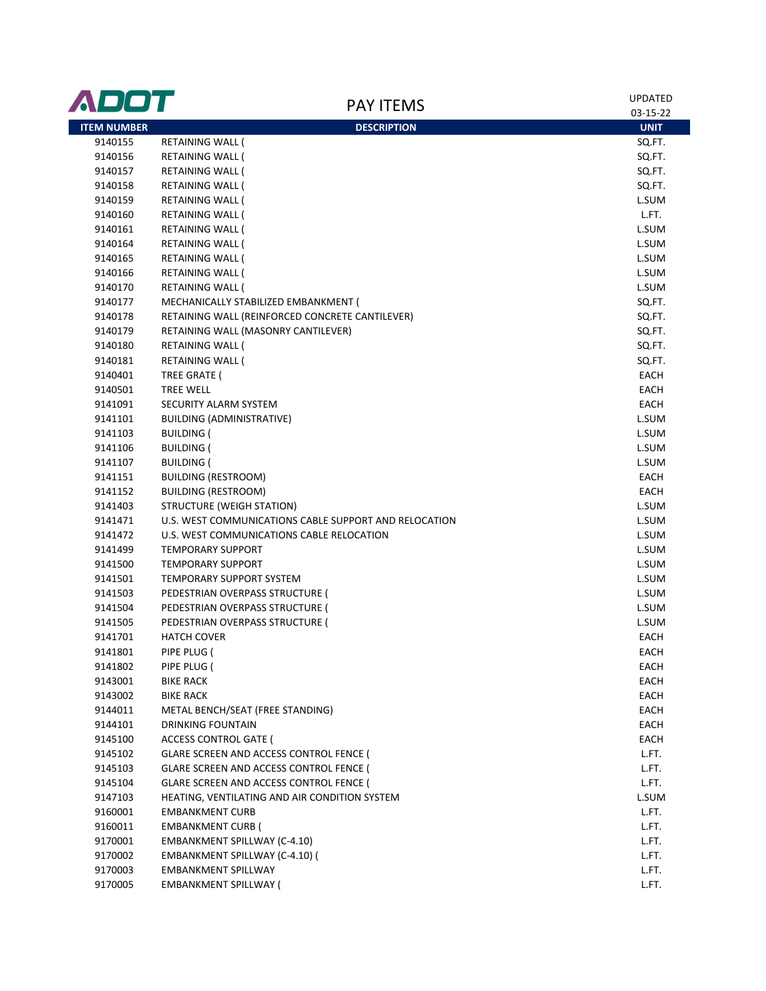| ADOT               |                                                                                    | <b>PAY ITEMS</b>   | <b>UPDATED</b><br>03-15-22 |
|--------------------|------------------------------------------------------------------------------------|--------------------|----------------------------|
| <b>ITEM NUMBER</b> |                                                                                    | <b>DESCRIPTION</b> | <b>UNIT</b>                |
| 9140155            | RETAINING WALL (                                                                   |                    | SQ.FT.                     |
| 9140156            | RETAINING WALL (                                                                   |                    | SQ.FT.                     |
| 9140157            | RETAINING WALL (                                                                   |                    | SQ.FT.                     |
| 9140158            | RETAINING WALL (                                                                   |                    | SQ.FT.                     |
| 9140159            | RETAINING WALL (                                                                   |                    | L.SUM                      |
| 9140160            | RETAINING WALL (                                                                   |                    | L.FT.                      |
| 9140161            | <b>RETAINING WALL (</b>                                                            |                    | L.SUM                      |
| 9140164            | RETAINING WALL (                                                                   |                    | L.SUM                      |
| 9140165            | RETAINING WALL (                                                                   |                    | L.SUM                      |
| 9140166            | RETAINING WALL (                                                                   |                    | L.SUM                      |
| 9140170            | RETAINING WALL (                                                                   |                    | L.SUM                      |
| 9140177            | MECHANICALLY STABILIZED EMBANKMENT (                                               |                    | SQ.FT.                     |
| 9140178            | RETAINING WALL (REINFORCED CONCRETE CANTILEVER)                                    |                    | SQ.FT.                     |
| 9140179            | RETAINING WALL (MASONRY CANTILEVER)                                                |                    | SQ.FT.                     |
| 9140180            | <b>RETAINING WALL (</b>                                                            |                    | SQ.FT.                     |
| 9140181            | <b>RETAINING WALL (</b>                                                            |                    | SQ.FT.                     |
| 9140401            | TREE GRATE (                                                                       |                    | EACH                       |
| 9140501            | <b>TREE WELL</b>                                                                   |                    | EACH                       |
| 9141091            | SECURITY ALARM SYSTEM                                                              |                    | EACH                       |
| 9141101            | BUILDING (ADMINISTRATIVE)                                                          |                    | L.SUM                      |
| 9141103            | <b>BUILDING (</b>                                                                  |                    | L.SUM                      |
| 9141106            | <b>BUILDING (</b>                                                                  |                    | L.SUM                      |
| 9141107            | <b>BUILDING (</b>                                                                  |                    | L.SUM                      |
| 9141151            | <b>BUILDING (RESTROOM)</b>                                                         |                    | EACH                       |
| 9141152            | <b>BUILDING (RESTROOM)</b>                                                         |                    | EACH                       |
| 9141403            | <b>STRUCTURE (WEIGH STATION)</b>                                                   |                    | L.SUM                      |
| 9141471            | U.S. WEST COMMUNICATIONS CABLE SUPPORT AND RELOCATION                              |                    | L.SUM                      |
| 9141472            | U.S. WEST COMMUNICATIONS CABLE RELOCATION                                          |                    | L.SUM                      |
| 9141499            | <b>TEMPORARY SUPPORT</b>                                                           |                    | L.SUM                      |
| 9141500            | <b>TEMPORARY SUPPORT</b>                                                           |                    | L.SUM                      |
| 9141501            | <b>TEMPORARY SUPPORT SYSTEM</b>                                                    |                    | L.SUM                      |
| 9141503            | PEDESTRIAN OVERPASS STRUCTURE (                                                    |                    | L.SUM                      |
| 9141504            | PEDESTRIAN OVERPASS STRUCTURE (                                                    |                    | L.SUM                      |
| 9141505            | PEDESTRIAN OVERPASS STRUCTURE (                                                    |                    | L.SUM                      |
| 9141701            | <b>HATCH COVER</b>                                                                 |                    | EACH                       |
| 9141801            | PIPE PLUG (                                                                        |                    | EACH                       |
| 9141802            | PIPE PLUG (                                                                        |                    | EACH                       |
| 9143001            | <b>BIKE RACK</b>                                                                   |                    | EACH                       |
| 9143002            | <b>BIKE RACK</b>                                                                   |                    | EACH                       |
| 9144011            | METAL BENCH/SEAT (FREE STANDING)                                                   |                    | EACH                       |
| 9144101            | DRINKING FOUNTAIN                                                                  |                    | EACH                       |
| 9145100            | <b>ACCESS CONTROL GATE (</b>                                                       |                    | EACH                       |
| 9145102            | GLARE SCREEN AND ACCESS CONTROL FENCE (                                            |                    | L.FT.                      |
|                    |                                                                                    |                    |                            |
| 9145103<br>9145104 | GLARE SCREEN AND ACCESS CONTROL FENCE (<br>GLARE SCREEN AND ACCESS CONTROL FENCE ( |                    | L.FT.<br>L.FT.             |
| 9147103            | HEATING, VENTILATING AND AIR CONDITION SYSTEM                                      |                    | L.SUM                      |
| 9160001            | <b>EMBANKMENT CURB</b>                                                             |                    | L.FT.                      |
|                    |                                                                                    |                    | L.FT.                      |
| 9160011            | <b>EMBANKMENT CURB (</b>                                                           |                    | L.FT.                      |
| 9170001            | EMBANKMENT SPILLWAY (C-4.10)                                                       |                    | L.FT.                      |
| 9170002            | EMBANKMENT SPILLWAY (C-4.10) (<br><b>EMBANKMENT SPILLWAY</b>                       |                    |                            |
| 9170003            |                                                                                    |                    | L.FT.                      |
| 9170005            | <b>EMBANKMENT SPILLWAY (</b>                                                       |                    | L.FT.                      |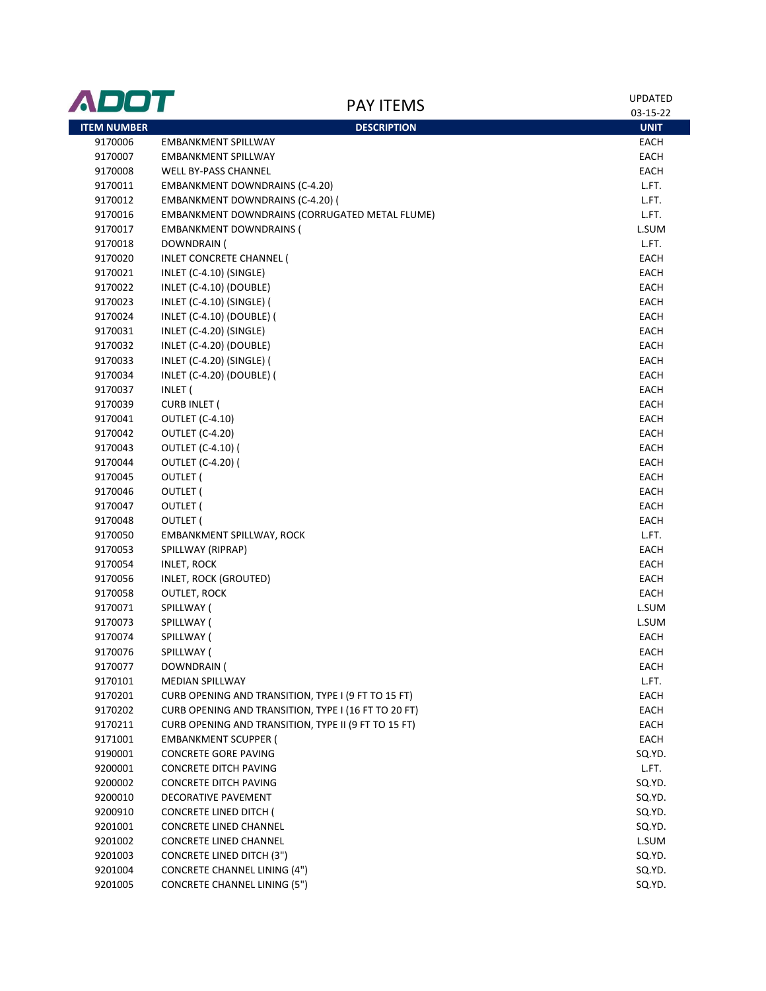| ADOT               | <b>PAY ITEMS</b>                                     | <b>UPDATED</b><br>03-15-22 |
|--------------------|------------------------------------------------------|----------------------------|
| <b>ITEM NUMBER</b> | <b>DESCRIPTION</b>                                   | <b>UNIT</b>                |
| 9170006            | <b>EMBANKMENT SPILLWAY</b>                           | EACH                       |
| 9170007            | <b>EMBANKMENT SPILLWAY</b>                           | EACH                       |
| 9170008            | <b>WELL BY-PASS CHANNEL</b>                          | EACH                       |
| 9170011            | <b>EMBANKMENT DOWNDRAINS (C-4.20)</b>                | L.FT.                      |
| 9170012            | <b>EMBANKMENT DOWNDRAINS (C-4.20) (</b>              | L.FT.                      |
| 9170016            | EMBANKMENT DOWNDRAINS (CORRUGATED METAL FLUME)       | L.FT.                      |
| 9170017            | <b>EMBANKMENT DOWNDRAINS (</b>                       | L.SUM                      |
| 9170018            | DOWNDRAIN (                                          | L.FT.                      |
| 9170020            | INLET CONCRETE CHANNEL (                             | <b>EACH</b>                |
| 9170021            | INLET (C-4.10) (SINGLE)                              | <b>EACH</b>                |
| 9170022            | INLET (C-4.10) (DOUBLE)                              | EACH                       |
| 9170023            | INLET (C-4.10) (SINGLE) (                            | EACH                       |
| 9170024            | INLET (C-4.10) (DOUBLE) (                            | EACH                       |
| 9170031            | INLET (C-4.20) (SINGLE)                              | EACH                       |
| 9170032            | INLET (C-4.20) (DOUBLE)                              | EACH                       |
| 9170033            | INLET (C-4.20) (SINGLE) (                            | EACH                       |
| 9170034            | INLET (C-4.20) (DOUBLE) (                            | EACH                       |
| 9170037            | INLET (                                              | EACH                       |
| 9170039            | <b>CURB INLET (</b>                                  | EACH                       |
| 9170041            | <b>OUTLET (C-4.10)</b>                               | EACH                       |
| 9170042            | <b>OUTLET (C-4.20)</b>                               | EACH                       |
| 9170043            | <b>OUTLET (C-4.10) (</b>                             | EACH                       |
| 9170044            | <b>OUTLET (C-4.20) (</b>                             | EACH                       |
| 9170045            | OUTLET (                                             | EACH                       |
| 9170046            | OUTLET (                                             | EACH                       |
| 9170047            | OUTLET (                                             | EACH                       |
| 9170048            | OUTLET (                                             | EACH                       |
| 9170050            | EMBANKMENT SPILLWAY, ROCK                            | L.FT.                      |
| 9170053            | SPILLWAY (RIPRAP)                                    | EACH                       |
| 9170054            | <b>INLET, ROCK</b>                                   | EACH                       |
| 9170056            | INLET, ROCK (GROUTED)                                | EACH                       |
| 9170058            | <b>OUTLET, ROCK</b>                                  | EACH                       |
| 9170071            | SPILLWAY (                                           | L.SUM                      |
| 9170073            | SPILLWAY (                                           | L.SUM                      |
| 9170074            | SPILLWAY (                                           | <b>EACH</b>                |
| 9170076            | SPILLWAY (                                           | EACH                       |
| 9170077            | DOWNDRAIN (                                          | EACH                       |
| 9170101            | <b>MEDIAN SPILLWAY</b>                               | L.FT.                      |
| 9170201            | CURB OPENING AND TRANSITION, TYPE I (9 FT TO 15 FT)  | EACH                       |
| 9170202            | CURB OPENING AND TRANSITION, TYPE I (16 FT TO 20 FT) | EACH                       |
| 9170211            | CURB OPENING AND TRANSITION, TYPE II (9 FT TO 15 FT) | EACH                       |
| 9171001            | <b>EMBANKMENT SCUPPER (</b>                          | EACH                       |
| 9190001            | CONCRETE GORE PAVING                                 | SQ.YD.                     |
| 9200001            | <b>CONCRETE DITCH PAVING</b>                         | L.FT.                      |
| 9200002            | CONCRETE DITCH PAVING                                | SQ.YD.                     |
| 9200010            | DECORATIVE PAVEMENT                                  | SQ.YD.                     |
| 9200910            | <b>CONCRETE LINED DITCH (</b>                        | SQ.YD.                     |
| 9201001            | <b>CONCRETE LINED CHANNEL</b>                        | SQ.YD.                     |
| 9201002            | <b>CONCRETE LINED CHANNEL</b>                        | L.SUM                      |
| 9201003            | <b>CONCRETE LINED DITCH (3")</b>                     | SQ.YD.                     |
| 9201004            | <b>CONCRETE CHANNEL LINING (4")</b>                  | SQ.YD.                     |
| 9201005            | <b>CONCRETE CHANNEL LINING (5")</b>                  | SQ.YD.                     |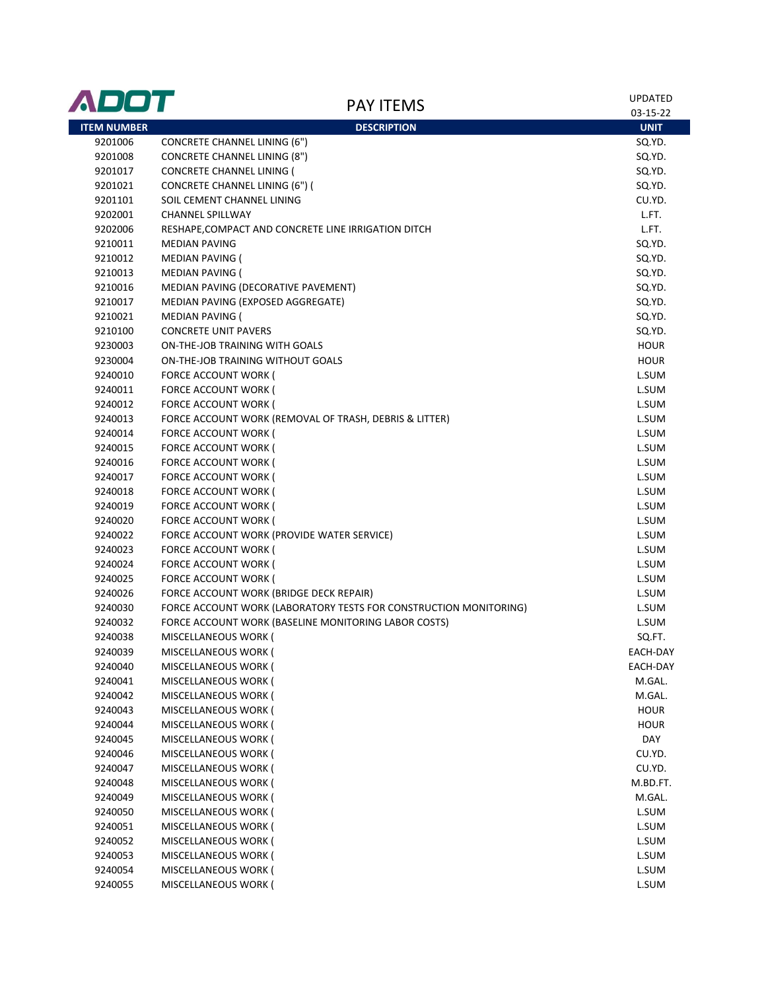| ADOT               | <b>PAY ITEMS</b>                                                  | <b>UPDATED</b><br>03-15-22 |
|--------------------|-------------------------------------------------------------------|----------------------------|
| <b>ITEM NUMBER</b> | <b>DESCRIPTION</b>                                                | <b>UNIT</b>                |
| 9201006            | <b>CONCRETE CHANNEL LINING (6")</b>                               | SQ.YD.                     |
| 9201008            | <b>CONCRETE CHANNEL LINING (8")</b>                               | SQ.YD.                     |
| 9201017            | <b>CONCRETE CHANNEL LINING (</b>                                  | SQ.YD.                     |
| 9201021            | CONCRETE CHANNEL LINING (6") (                                    | SQ.YD.                     |
| 9201101            | SOIL CEMENT CHANNEL LINING                                        | CU.YD.                     |
| 9202001            | <b>CHANNEL SPILLWAY</b>                                           | L.FT.                      |
| 9202006            | RESHAPE, COMPACT AND CONCRETE LINE IRRIGATION DITCH               | L.FT.                      |
| 9210011            | <b>MEDIAN PAVING</b>                                              | SQ.YD.                     |
| 9210012            | <b>MEDIAN PAVING (</b>                                            | SQ.YD.                     |
| 9210013            | <b>MEDIAN PAVING (</b>                                            | SQ.YD.                     |
| 9210016            | MEDIAN PAVING (DECORATIVE PAVEMENT)                               | SQ.YD.                     |
| 9210017            | MEDIAN PAVING (EXPOSED AGGREGATE)                                 | SQ.YD.                     |
| 9210021            | MEDIAN PAVING (                                                   | SQ.YD.                     |
| 9210100            | <b>CONCRETE UNIT PAVERS</b>                                       | SQ.YD.                     |
| 9230003            | ON-THE-JOB TRAINING WITH GOALS                                    | <b>HOUR</b>                |
| 9230004            | ON-THE-JOB TRAINING WITHOUT GOALS                                 | <b>HOUR</b>                |
| 9240010            | <b>FORCE ACCOUNT WORK (</b>                                       | L.SUM                      |
| 9240011            | FORCE ACCOUNT WORK (                                              | L.SUM                      |
| 9240012            | <b>FORCE ACCOUNT WORK (</b>                                       | L.SUM                      |
| 9240013            | FORCE ACCOUNT WORK (REMOVAL OF TRASH, DEBRIS & LITTER)            | L.SUM                      |
| 9240014            | FORCE ACCOUNT WORK (                                              | L.SUM                      |
| 9240015            | FORCE ACCOUNT WORK (                                              | L.SUM                      |
| 9240016            | FORCE ACCOUNT WORK (                                              | L.SUM                      |
| 9240017            | FORCE ACCOUNT WORK (                                              | L.SUM                      |
| 9240018            | FORCE ACCOUNT WORK (                                              | L.SUM                      |
| 9240019            | FORCE ACCOUNT WORK (                                              | L.SUM                      |
| 9240020            | FORCE ACCOUNT WORK (                                              | L.SUM                      |
| 9240022            | FORCE ACCOUNT WORK (PROVIDE WATER SERVICE)                        | L.SUM                      |
| 9240023            | FORCE ACCOUNT WORK (                                              | L.SUM                      |
| 9240024            | FORCE ACCOUNT WORK (                                              | L.SUM                      |
| 9240025            | FORCE ACCOUNT WORK (                                              | L.SUM                      |
| 9240026            | FORCE ACCOUNT WORK (BRIDGE DECK REPAIR)                           | L.SUM                      |
| 9240030            | FORCE ACCOUNT WORK (LABORATORY TESTS FOR CONSTRUCTION MONITORING) | L.SUM                      |
| 9240032            | FORCE ACCOUNT WORK (BASELINE MONITORING LABOR COSTS)              | L.SUM                      |
| 9240038            | MISCELLANEOUS WORK (                                              | SQ.FT.                     |
| 9240039            | MISCELLANEOUS WORK (                                              | EACH-DAY                   |
| 9240040            | MISCELLANEOUS WORK (                                              | EACH-DAY                   |
| 9240041            | MISCELLANEOUS WORK (                                              | M.GAL.                     |
| 9240042            | MISCELLANEOUS WORK (                                              | M.GAL.                     |
| 9240043            | MISCELLANEOUS WORK (                                              | <b>HOUR</b>                |
| 9240044            | MISCELLANEOUS WORK (                                              | <b>HOUR</b>                |
| 9240045            | MISCELLANEOUS WORK (                                              | DAY                        |
| 9240046            | MISCELLANEOUS WORK (                                              | CU.YD.                     |
| 9240047            | MISCELLANEOUS WORK (                                              | CU.YD.                     |
| 9240048            | MISCELLANEOUS WORK (                                              | M.BD.FT.                   |
| 9240049            | MISCELLANEOUS WORK (                                              | M.GAL.                     |
| 9240050            | MISCELLANEOUS WORK (                                              | L.SUM                      |
| 9240051            | MISCELLANEOUS WORK (                                              | L.SUM                      |
| 9240052            | MISCELLANEOUS WORK (                                              | L.SUM                      |
| 9240053            | MISCELLANEOUS WORK (                                              | L.SUM                      |
| 9240054            | MISCELLANEOUS WORK (                                              | L.SUM                      |
| 9240055            | MISCELLANEOUS WORK (                                              | L.SUM                      |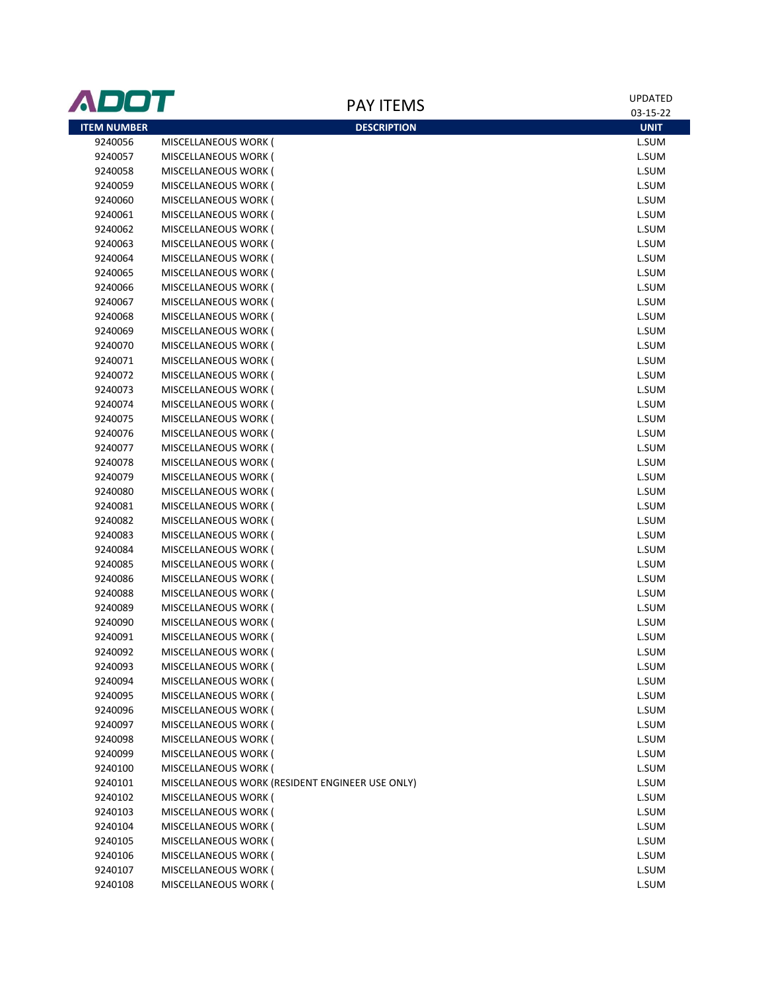| ADOT               |                                                 |                    | <b>UPDATED</b> |
|--------------------|-------------------------------------------------|--------------------|----------------|
|                    |                                                 | <b>PAY ITEMS</b>   | 03-15-22       |
| <b>ITEM NUMBER</b> |                                                 | <b>DESCRIPTION</b> | <b>UNIT</b>    |
| 9240056            | MISCELLANEOUS WORK (                            |                    | L.SUM          |
| 9240057            | MISCELLANEOUS WORK (                            |                    | L.SUM          |
| 9240058            | MISCELLANEOUS WORK (                            |                    | L.SUM          |
| 9240059            | MISCELLANEOUS WORK (                            |                    | L.SUM          |
| 9240060            | MISCELLANEOUS WORK (                            |                    | L.SUM          |
| 9240061            | MISCELLANEOUS WORK (                            |                    | L.SUM          |
| 9240062            | MISCELLANEOUS WORK (                            |                    | L.SUM          |
| 9240063            | MISCELLANEOUS WORK (                            |                    | L.SUM          |
| 9240064            | MISCELLANEOUS WORK (                            |                    | L.SUM          |
| 9240065            | MISCELLANEOUS WORK (                            |                    | L.SUM          |
| 9240066            | MISCELLANEOUS WORK (                            |                    | L.SUM          |
| 9240067            | MISCELLANEOUS WORK (                            |                    | L.SUM          |
| 9240068            | MISCELLANEOUS WORK (                            |                    | L.SUM          |
| 9240069            | MISCELLANEOUS WORK (                            |                    | L.SUM          |
| 9240070            | MISCELLANEOUS WORK (                            |                    | L.SUM          |
| 9240071            | MISCELLANEOUS WORK (                            |                    | L.SUM          |
| 9240072            | MISCELLANEOUS WORK (                            |                    | L.SUM          |
| 9240073            | MISCELLANEOUS WORK (                            |                    | L.SUM          |
| 9240074            | MISCELLANEOUS WORK (                            |                    | L.SUM          |
| 9240075            | MISCELLANEOUS WORK (                            |                    | L.SUM          |
| 9240076            | MISCELLANEOUS WORK (                            |                    | L.SUM          |
| 9240077            | MISCELLANEOUS WORK (                            |                    | L.SUM          |
| 9240078            | MISCELLANEOUS WORK (                            |                    | L.SUM          |
| 9240079            | MISCELLANEOUS WORK (                            |                    | L.SUM          |
| 9240080            | MISCELLANEOUS WORK (                            |                    | L.SUM          |
| 9240081            | MISCELLANEOUS WORK (                            |                    | L.SUM          |
| 9240082            | MISCELLANEOUS WORK (                            |                    | L.SUM          |
| 9240083            | MISCELLANEOUS WORK (                            |                    | L.SUM          |
| 9240084            | MISCELLANEOUS WORK (                            |                    | L.SUM          |
| 9240085            | MISCELLANEOUS WORK (                            |                    | L.SUM          |
| 9240086            | MISCELLANEOUS WORK (                            |                    | L.SUM          |
| 9240088            | MISCELLANEOUS WORK (                            |                    | L.SUM          |
| 9240089            | MISCELLANEOUS WORK (                            |                    | L.SUM          |
| 9240090            | MISCELLANEOUS WORK (                            |                    | L.SUM          |
| 9240091            | MISCELLANEOUS WORK (                            |                    | L.SUM          |
| 9240092            | MISCELLANEOUS WORK (                            |                    | L.SUM          |
| 9240093            | MISCELLANEOUS WORK (                            |                    | L.SUM          |
| 9240094            | MISCELLANEOUS WORK (                            |                    | L.SUM          |
| 9240095            | MISCELLANEOUS WORK (                            |                    | L.SUM          |
| 9240096            | MISCELLANEOUS WORK (                            |                    | L.SUM          |
| 9240097            | MISCELLANEOUS WORK (                            |                    | L.SUM          |
| 9240098            | MISCELLANEOUS WORK (                            |                    | L.SUM          |
| 9240099            | MISCELLANEOUS WORK (                            |                    | L.SUM          |
| 9240100            | MISCELLANEOUS WORK (                            |                    | L.SUM          |
| 9240101            | MISCELLANEOUS WORK (RESIDENT ENGINEER USE ONLY) |                    | L.SUM          |
| 9240102            | MISCELLANEOUS WORK (                            |                    | L.SUM          |
| 9240103            | MISCELLANEOUS WORK (                            |                    | L.SUM          |
| 9240104            | MISCELLANEOUS WORK (                            |                    | L.SUM          |
| 9240105            | MISCELLANEOUS WORK (                            |                    | L.SUM          |
| 9240106            | MISCELLANEOUS WORK (                            |                    | L.SUM          |
| 9240107            | MISCELLANEOUS WORK (                            |                    | L.SUM          |
| 9240108            | MISCELLANEOUS WORK (                            |                    | L.SUM          |
|                    |                                                 |                    |                |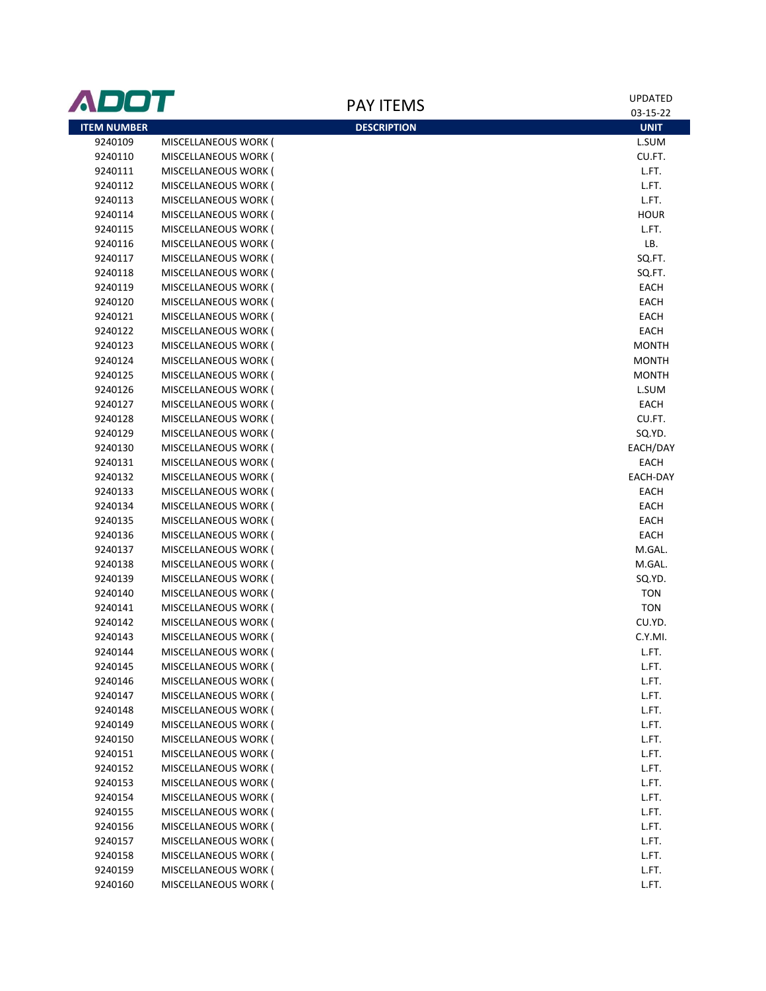| <b>ADOT</b>        |                      | <b>PAY ITEMS</b>   | <b>UPDATED</b> |
|--------------------|----------------------|--------------------|----------------|
|                    |                      |                    | 03-15-22       |
| <b>ITEM NUMBER</b> |                      | <b>DESCRIPTION</b> | <b>UNIT</b>    |
| 9240109            | MISCELLANEOUS WORK ( |                    | L.SUM          |
| 9240110            | MISCELLANEOUS WORK ( |                    | CU.FT.         |
| 9240111            | MISCELLANEOUS WORK ( |                    | L.FT.          |
| 9240112            | MISCELLANEOUS WORK ( |                    | L.FT.          |
| 9240113            | MISCELLANEOUS WORK ( |                    | L.FT.          |
| 9240114            | MISCELLANEOUS WORK ( |                    | <b>HOUR</b>    |
| 9240115            | MISCELLANEOUS WORK ( |                    | L.FT.          |
| 9240116            | MISCELLANEOUS WORK ( |                    | LB.            |
| 9240117            | MISCELLANEOUS WORK ( |                    | SQ.FT.         |
| 9240118            | MISCELLANEOUS WORK ( |                    | SQ.FT.         |
| 9240119            | MISCELLANEOUS WORK ( |                    | EACH           |
| 9240120            | MISCELLANEOUS WORK ( |                    | EACH           |
| 9240121            | MISCELLANEOUS WORK ( |                    | EACH           |
| 9240122            | MISCELLANEOUS WORK ( |                    | EACH           |
| 9240123            | MISCELLANEOUS WORK ( |                    | <b>MONTH</b>   |
| 9240124            | MISCELLANEOUS WORK ( |                    | <b>MONTH</b>   |
| 9240125            | MISCELLANEOUS WORK ( |                    | <b>MONTH</b>   |
| 9240126            | MISCELLANEOUS WORK ( |                    | L.SUM          |
| 9240127            | MISCELLANEOUS WORK ( |                    | EACH           |
| 9240128            | MISCELLANEOUS WORK ( |                    | CU.FT.         |
| 9240129            | MISCELLANEOUS WORK ( |                    | SQ.YD.         |
| 9240130            | MISCELLANEOUS WORK ( |                    | EACH/DAY       |
| 9240131            | MISCELLANEOUS WORK ( |                    | EACH           |
| 9240132            | MISCELLANEOUS WORK ( |                    | EACH-DAY       |
| 9240133            | MISCELLANEOUS WORK ( |                    | EACH           |
| 9240134            | MISCELLANEOUS WORK ( |                    | EACH           |
| 9240135            | MISCELLANEOUS WORK ( |                    | EACH           |
| 9240136            | MISCELLANEOUS WORK ( |                    | EACH           |
| 9240137            | MISCELLANEOUS WORK ( |                    | M.GAL.         |
| 9240138            | MISCELLANEOUS WORK ( |                    | M.GAL.         |
| 9240139            | MISCELLANEOUS WORK ( |                    | SQ.YD.         |
| 9240140            | MISCELLANEOUS WORK ( |                    | <b>TON</b>     |
| 9240141            | MISCELLANEOUS WORK ( |                    | <b>TON</b>     |
| 9240142            | MISCELLANEOUS WORK ( |                    | CU.YD.         |
| 9240143            | MISCELLANEOUS WORK ( |                    | C.Y.MI.        |
| 9240144            | MISCELLANEOUS WORK ( |                    | L.FT.          |
| 9240145            | MISCELLANEOUS WORK ( |                    | L.FT.          |
| 9240146            | MISCELLANEOUS WORK ( |                    | L.FT.          |
| 9240147            | MISCELLANEOUS WORK ( |                    | L.FT.          |
| 9240148            | MISCELLANEOUS WORK ( |                    | L.FT.          |
| 9240149            | MISCELLANEOUS WORK ( |                    | L.FT.          |
| 9240150            | MISCELLANEOUS WORK ( |                    | L.FT.          |
| 9240151            | MISCELLANEOUS WORK ( |                    | L.FT.          |
| 9240152            | MISCELLANEOUS WORK ( |                    | L.FT.          |
| 9240153            | MISCELLANEOUS WORK ( |                    | L.FT.          |
| 9240154            | MISCELLANEOUS WORK ( |                    | L.FT.          |
| 9240155            | MISCELLANEOUS WORK ( |                    | L.FT.          |
| 9240156            | MISCELLANEOUS WORK ( |                    | L.FT.          |
| 9240157            | MISCELLANEOUS WORK ( |                    | L.FT.          |
| 9240158            | MISCELLANEOUS WORK ( |                    | L.FT.          |
| 9240159            | MISCELLANEOUS WORK ( |                    | L.FT.          |
| 9240160            | MISCELLANEOUS WORK ( |                    | L.FT.          |
|                    |                      |                    |                |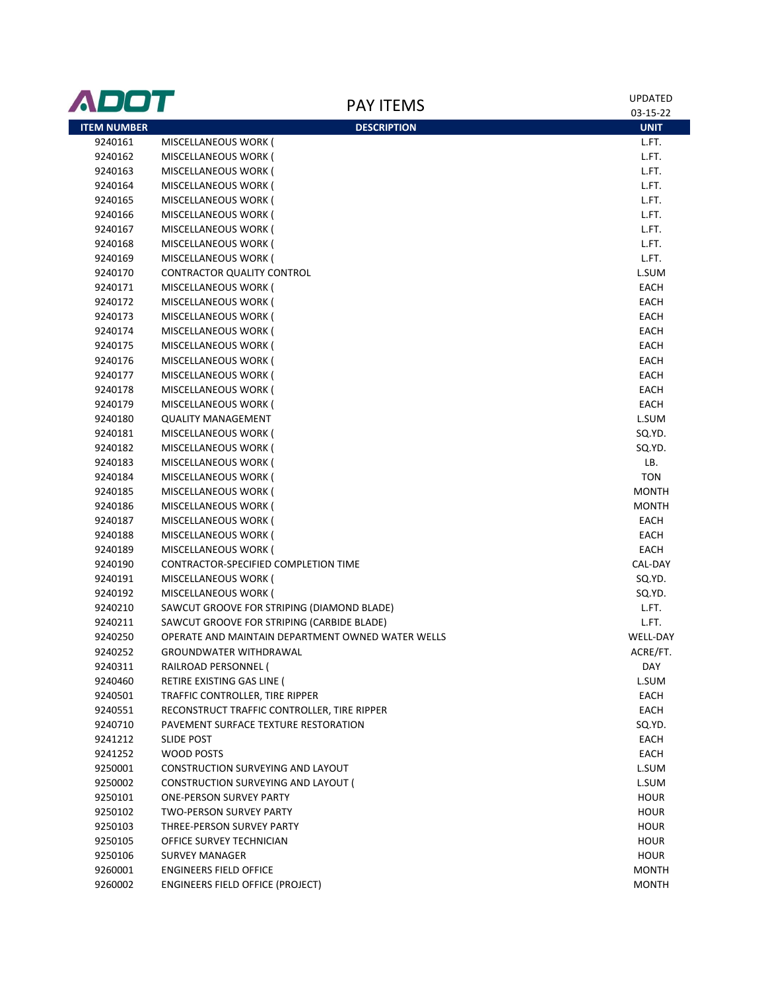| ADOT               | <b>PAY ITEMS</b>                                  | <b>UPDATED</b>  |
|--------------------|---------------------------------------------------|-----------------|
|                    |                                                   | 03-15-22        |
| <b>ITEM NUMBER</b> | <b>DESCRIPTION</b>                                | <b>UNIT</b>     |
| 9240161            | MISCELLANEOUS WORK (                              | L.FT.           |
| 9240162            | MISCELLANEOUS WORK (                              | L.FT.           |
| 9240163            | MISCELLANEOUS WORK (                              | L.FT.           |
| 9240164            | MISCELLANEOUS WORK (                              | L.FT.           |
| 9240165            | MISCELLANEOUS WORK (                              | L.FT.           |
| 9240166            | MISCELLANEOUS WORK (                              | L.FT.           |
| 9240167            | MISCELLANEOUS WORK (                              | L.FT.           |
| 9240168            | MISCELLANEOUS WORK (                              | L.FT.           |
| 9240169            | MISCELLANEOUS WORK (                              | L.FT.           |
| 9240170            | <b>CONTRACTOR QUALITY CONTROL</b>                 | L.SUM           |
| 9240171            | MISCELLANEOUS WORK (                              | EACH            |
| 9240172            | MISCELLANEOUS WORK (                              | EACH            |
| 9240173            | MISCELLANEOUS WORK (                              | EACH            |
| 9240174            | MISCELLANEOUS WORK (                              | EACH            |
| 9240175            | MISCELLANEOUS WORK (                              | EACH            |
| 9240176            | MISCELLANEOUS WORK (                              | EACH            |
| 9240177            | MISCELLANEOUS WORK (                              | EACH            |
| 9240178            | MISCELLANEOUS WORK (                              | EACH            |
| 9240179            | MISCELLANEOUS WORK (                              | EACH            |
| 9240180            | <b>QUALITY MANAGEMENT</b>                         | L.SUM           |
| 9240181            | MISCELLANEOUS WORK (                              | SQ.YD.          |
| 9240182            | MISCELLANEOUS WORK (                              | SQ.YD.          |
| 9240183            | MISCELLANEOUS WORK (                              | LB.             |
| 9240184            | MISCELLANEOUS WORK (                              | <b>TON</b>      |
| 9240185            | MISCELLANEOUS WORK (                              | <b>MONTH</b>    |
| 9240186            | MISCELLANEOUS WORK (                              | MONTH           |
| 9240187            | MISCELLANEOUS WORK (                              | EACH            |
| 9240188            | MISCELLANEOUS WORK (                              | EACH            |
| 9240189            | MISCELLANEOUS WORK (                              | EACH            |
| 9240190            | CONTRACTOR-SPECIFIED COMPLETION TIME              | CAL-DAY         |
| 9240191            | MISCELLANEOUS WORK (                              | SQ.YD.          |
| 9240192            | MISCELLANEOUS WORK (                              | SQ.YD.          |
| 9240210            | SAWCUT GROOVE FOR STRIPING (DIAMOND BLADE)        | L.FT.           |
| 9240211            | SAWCUT GROOVE FOR STRIPING (CARBIDE BLADE)        | L.FT.           |
| 9240250            | OPERATE AND MAINTAIN DEPARTMENT OWNED WATER WELLS | <b>WELL-DAY</b> |
| 9240252            | GROUNDWATER WITHDRAWAL                            | ACRE/FT.        |
| 9240311            | RAILROAD PERSONNEL (                              | DAY             |
| 9240460            | RETIRE EXISTING GAS LINE (                        | L.SUM           |
| 9240501            | TRAFFIC CONTROLLER, TIRE RIPPER                   | EACH            |
| 9240551            | RECONSTRUCT TRAFFIC CONTROLLER, TIRE RIPPER       | EACH            |
| 9240710            | PAVEMENT SURFACE TEXTURE RESTORATION              | SQ.YD.          |
| 9241212            | <b>SLIDE POST</b>                                 | EACH            |
| 9241252            | WOOD POSTS                                        | EACH            |
| 9250001            | CONSTRUCTION SURVEYING AND LAYOUT                 | L.SUM           |
| 9250002            | CONSTRUCTION SURVEYING AND LAYOUT (               | L.SUM           |
| 9250101            | <b>ONE-PERSON SURVEY PARTY</b>                    | <b>HOUR</b>     |
| 9250102            | <b>TWO-PERSON SURVEY PARTY</b>                    | <b>HOUR</b>     |
| 9250103            | THREE-PERSON SURVEY PARTY                         | <b>HOUR</b>     |
| 9250105            | OFFICE SURVEY TECHNICIAN                          | <b>HOUR</b>     |
| 9250106            | <b>SURVEY MANAGER</b>                             | <b>HOUR</b>     |
| 9260001            | <b>ENGINEERS FIELD OFFICE</b>                     | <b>MONTH</b>    |
| 9260002            | <b>ENGINEERS FIELD OFFICE (PROJECT)</b>           | MONTH           |
|                    |                                                   |                 |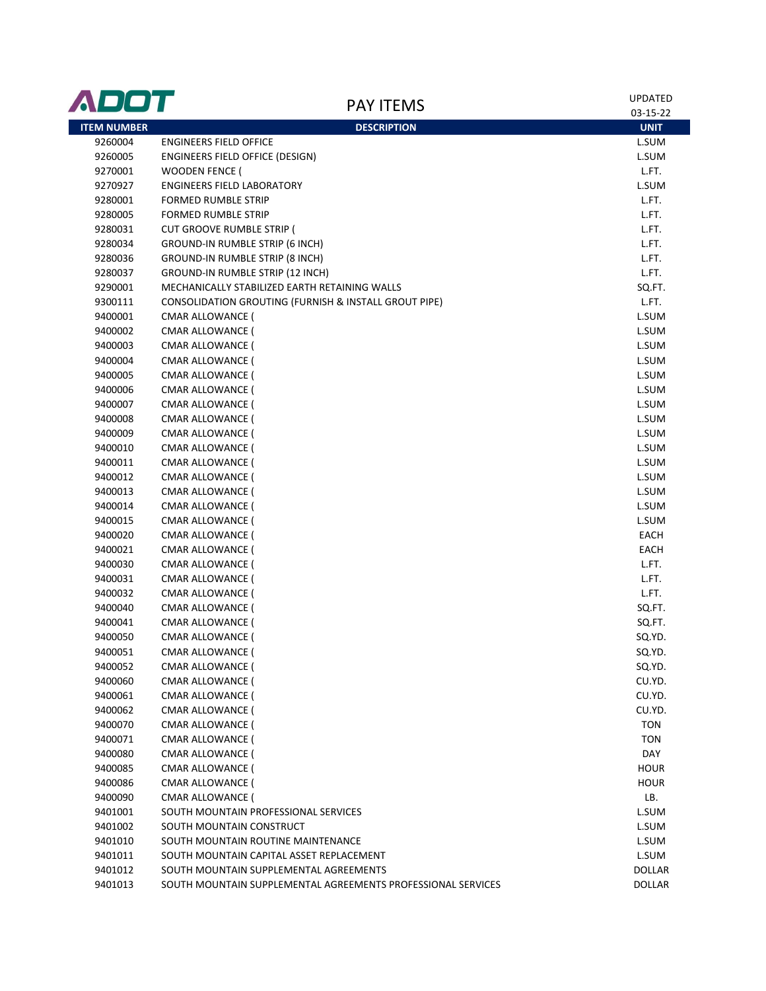| <b>ADOT</b>        | <b>PAY ITEMS</b>                                                 | <b>UPDATED</b><br>03-15-22 |
|--------------------|------------------------------------------------------------------|----------------------------|
| <b>ITEM NUMBER</b> | <b>DESCRIPTION</b>                                               | <b>UNIT</b>                |
| 9260004            | <b>ENGINEERS FIELD OFFICE</b>                                    | L.SUM                      |
| 9260005            | ENGINEERS FIELD OFFICE (DESIGN)                                  | L.SUM                      |
| 9270001            | <b>WOODEN FENCE (</b>                                            | L.FT.                      |
| 9270927            | <b>ENGINEERS FIELD LABORATORY</b>                                | L.SUM                      |
| 9280001            | <b>FORMED RUMBLE STRIP</b>                                       | L.FT.                      |
| 9280005            | <b>FORMED RUMBLE STRIP</b>                                       | L.FT.                      |
| 9280031            | <b>CUT GROOVE RUMBLE STRIP (</b>                                 | L.FT.                      |
| 9280034            | GROUND-IN RUMBLE STRIP (6 INCH)                                  | L.FT.                      |
| 9280036            | GROUND-IN RUMBLE STRIP (8 INCH)                                  | L.FT.                      |
| 9280037            | GROUND-IN RUMBLE STRIP (12 INCH)                                 | L.FT.                      |
| 9290001            | MECHANICALLY STABILIZED EARTH RETAINING WALLS                    | SQ.FT.                     |
| 9300111            | <b>CONSOLIDATION GROUTING (FURNISH &amp; INSTALL GROUT PIPE)</b> | L.FT.                      |
| 9400001            | CMAR ALLOWANCE (                                                 | L.SUM                      |
| 9400002            | <b>CMAR ALLOWANCE (</b>                                          | L.SUM                      |
| 9400003            | CMAR ALLOWANCE (                                                 | L.SUM                      |
| 9400004            | CMAR ALLOWANCE (                                                 | L.SUM                      |
| 9400005            | <b>CMAR ALLOWANCE (</b>                                          | L.SUM                      |
| 9400006            | <b>CMAR ALLOWANCE (</b>                                          | L.SUM                      |
| 9400007            | CMAR ALLOWANCE (                                                 | L.SUM                      |
| 9400008            | CMAR ALLOWANCE (                                                 | L.SUM                      |
| 9400009            | <b>CMAR ALLOWANCE (</b>                                          | L.SUM                      |
| 9400010            | CMAR ALLOWANCE (                                                 | L.SUM                      |
| 9400011            | CMAR ALLOWANCE (                                                 | L.SUM                      |
| 9400012            | CMAR ALLOWANCE (                                                 | L.SUM                      |
| 9400013            | CMAR ALLOWANCE (                                                 | L.SUM                      |
| 9400014            | CMAR ALLOWANCE (                                                 | L.SUM                      |
| 9400015            | CMAR ALLOWANCE (                                                 | L.SUM                      |
| 9400020            | CMAR ALLOWANCE (                                                 | EACH                       |
| 9400021            | CMAR ALLOWANCE (                                                 | EACH                       |
| 9400030            | CMAR ALLOWANCE (                                                 | L.FT.                      |
| 9400031            | <b>CMAR ALLOWANCE (</b>                                          | L.FT.                      |
| 9400032            | <b>CMAR ALLOWANCE (</b>                                          | L.FT.                      |
| 9400040            | CMAR ALLOWANCE (                                                 | SQ.FT.                     |
| 9400041            | CMAR ALLOWANCE (                                                 | SQ.FT.                     |
| 9400050            | CMAR ALLOWANCE (                                                 | SQ.YD.                     |
| 9400051            | <b>CMAR ALLOWANCE (</b>                                          | SQ.YD.                     |
| 9400052            | <b>CMAR ALLOWANCE (</b>                                          | SQ.YD.                     |
| 9400060            | CMAR ALLOWANCE (                                                 | CU.YD.                     |
| 9400061            | <b>CMAR ALLOWANCE (</b>                                          | CU.YD.                     |
| 9400062            | <b>CMAR ALLOWANCE (</b>                                          | CU.YD.                     |
| 9400070            | CMAR ALLOWANCE (                                                 | <b>TON</b>                 |
| 9400071            | CMAR ALLOWANCE (                                                 | <b>TON</b>                 |
| 9400080            | <b>CMAR ALLOWANCE (</b>                                          | DAY                        |
| 9400085            | <b>CMAR ALLOWANCE (</b>                                          | <b>HOUR</b>                |
| 9400086            | CMAR ALLOWANCE (                                                 | <b>HOUR</b>                |
| 9400090            | CMAR ALLOWANCE (                                                 | LB.                        |
| 9401001            | SOUTH MOUNTAIN PROFESSIONAL SERVICES                             | L.SUM                      |
| 9401002            | SOUTH MOUNTAIN CONSTRUCT                                         | L.SUM                      |
| 9401010            | SOUTH MOUNTAIN ROUTINE MAINTENANCE                               | L.SUM                      |
| 9401011            | SOUTH MOUNTAIN CAPITAL ASSET REPLACEMENT                         | L.SUM                      |
| 9401012            | SOUTH MOUNTAIN SUPPLEMENTAL AGREEMENTS                           | DOLLAR                     |
| 9401013            | SOUTH MOUNTAIN SUPPLEMENTAL AGREEMENTS PROFESSIONAL SERVICES     | <b>DOLLAR</b>              |